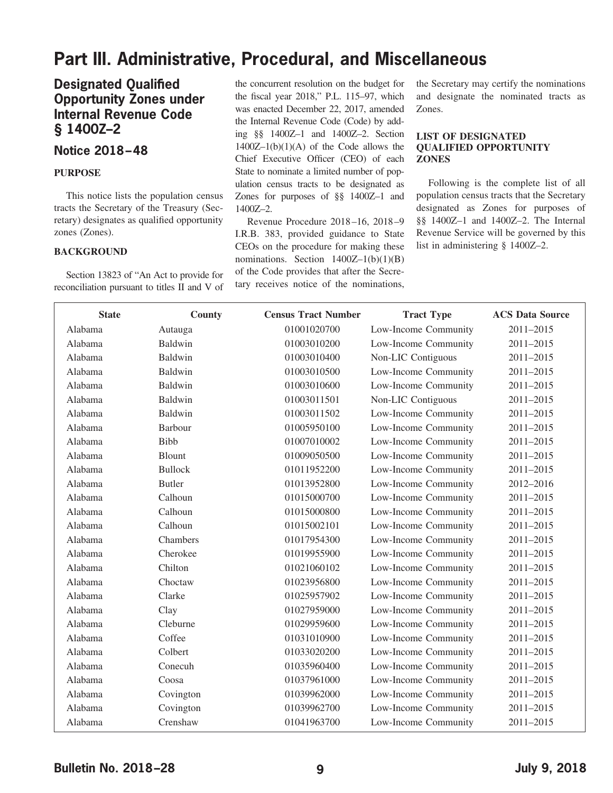# **Part III. Administrative, Procedural, and Miscellaneous**

## **Designated Qualified Opportunity Zones under Internal Revenue Code § 1400Z–2**

### **Notice 2018–48**

#### **PURPOSE**

This notice lists the population census tracts the Secretary of the Treasury (Secretary) designates as qualified opportunity zones (Zones).

#### **BACKGROUND**

Section 13823 of "An Act to provide for reconciliation pursuant to titles II and V of the concurrent resolution on the budget for the fiscal year 2018," P.L. 115–97, which was enacted December 22, 2017, amended the Internal Revenue Code (Code) by adding §§ 1400Z–1 and 1400Z–2. Section  $1400Z-1(b)(1)(A)$  of the Code allows the Chief Executive Officer (CEO) of each State to nominate a limited number of population census tracts to be designated as Zones for purposes of §§ 1400Z–1 and 1400Z–2.

Revenue Procedure 2018 –16, 2018 –9 I.R.B. 383, provided guidance to State CEOs on the procedure for making these nominations. Section  $1400Z-1(b)(1)(B)$ of the Code provides that after the Secretary receives notice of the nominations,

the Secretary may certify the nominations and designate the nominated tracts as Zones.

#### **LIST OF DESIGNATED QUALIFIED OPPORTUNITY ZONES**

Following is the complete list of all population census tracts that the Secretary designated as Zones for purposes of §§ 1400Z–1 and 1400Z–2. The Internal Revenue Service will be governed by this list in administering § 1400Z–2.

| <b>State</b> | County         | <b>Census Tract Number</b> | <b>Tract Type</b>    | <b>ACS Data Source</b> |
|--------------|----------------|----------------------------|----------------------|------------------------|
| Alabama      | Autauga        | 01001020700                | Low-Income Community | 2011-2015              |
| Alabama      | Baldwin        | 01003010200                | Low-Income Community | 2011-2015              |
| Alabama      | Baldwin        | 01003010400                | Non-LIC Contiguous   | 2011-2015              |
| Alabama      | Baldwin        | 01003010500                | Low-Income Community | 2011-2015              |
| Alabama      | Baldwin        | 01003010600                | Low-Income Community | 2011-2015              |
| Alabama      | Baldwin        | 01003011501                | Non-LIC Contiguous   | 2011-2015              |
| Alabama      | Baldwin        | 01003011502                | Low-Income Community | 2011-2015              |
| Alabama      | Barbour        | 01005950100                | Low-Income Community | 2011-2015              |
| Alabama      | <b>Bibb</b>    | 01007010002                | Low-Income Community | 2011-2015              |
| Alabama      | Blount         | 01009050500                | Low-Income Community | 2011-2015              |
| Alabama      | <b>Bullock</b> | 01011952200                | Low-Income Community | 2011-2015              |
| Alabama      | <b>Butler</b>  | 01013952800                | Low-Income Community | 2012-2016              |
| Alabama      | Calhoun        | 01015000700                | Low-Income Community | 2011-2015              |
| Alabama      | Calhoun        | 01015000800                | Low-Income Community | 2011-2015              |
| Alabama      | Calhoun        | 01015002101                | Low-Income Community | 2011-2015              |
| Alabama      | Chambers       | 01017954300                | Low-Income Community | 2011-2015              |
| Alabama      | Cherokee       | 01019955900                | Low-Income Community | 2011-2015              |
| Alabama      | Chilton        | 01021060102                | Low-Income Community | 2011-2015              |
| Alabama      | Choctaw        | 01023956800                | Low-Income Community | 2011-2015              |
| Alabama      | Clarke         | 01025957902                | Low-Income Community | 2011-2015              |
| Alabama      | Clay           | 01027959000                | Low-Income Community | 2011-2015              |
| Alabama      | Cleburne       | 01029959600                | Low-Income Community | 2011-2015              |
| Alabama      | Coffee         | 01031010900                | Low-Income Community | 2011-2015              |
| Alabama      | Colbert        | 01033020200                | Low-Income Community | 2011-2015              |
| Alabama      | Conecuh        | 01035960400                | Low-Income Community | 2011-2015              |
| Alabama      | Coosa          | 01037961000                | Low-Income Community | 2011-2015              |
| Alabama      | Covington      | 01039962000                | Low-Income Community | 2011-2015              |
| Alabama      | Covington      | 01039962700                | Low-Income Community | 2011-2015              |
| Alabama      | Crenshaw       | 01041963700                | Low-Income Community | 2011-2015              |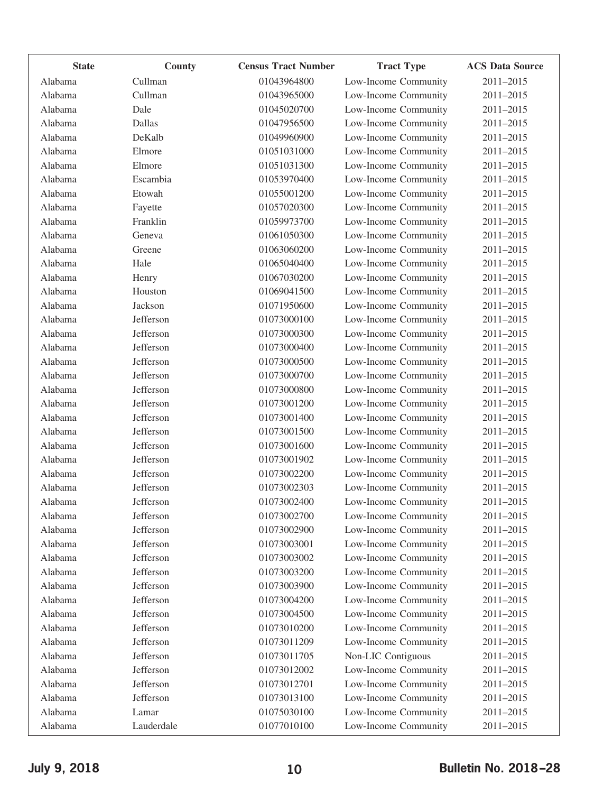| <b>State</b> | County     | <b>Census Tract Number</b> | <b>Tract Type</b>    | <b>ACS Data Source</b> |
|--------------|------------|----------------------------|----------------------|------------------------|
| Alabama      | Cullman    | 01043964800                | Low-Income Community | 2011-2015              |
| Alabama      | Cullman    | 01043965000                | Low-Income Community | 2011-2015              |
| Alabama      | Dale       | 01045020700                | Low-Income Community | 2011-2015              |
| Alabama      | Dallas     | 01047956500                | Low-Income Community | 2011-2015              |
| Alabama      | DeKalb     | 01049960900                | Low-Income Community | 2011-2015              |
| Alabama      | Elmore     | 01051031000                | Low-Income Community | 2011-2015              |
| Alabama      | Elmore     | 01051031300                | Low-Income Community | 2011-2015              |
| Alabama      | Escambia   | 01053970400                | Low-Income Community | 2011-2015              |
| Alabama      | Etowah     | 01055001200                | Low-Income Community | 2011-2015              |
| Alabama      | Fayette    | 01057020300                | Low-Income Community | 2011-2015              |
| Alabama      | Franklin   | 01059973700                | Low-Income Community | 2011-2015              |
| Alabama      | Geneva     | 01061050300                | Low-Income Community | 2011-2015              |
| Alabama      | Greene     | 01063060200                | Low-Income Community | 2011-2015              |
| Alabama      | Hale       | 01065040400                | Low-Income Community | 2011-2015              |
| Alabama      | Henry      | 01067030200                | Low-Income Community | 2011-2015              |
| Alabama      | Houston    | 01069041500                | Low-Income Community | 2011-2015              |
| Alabama      | Jackson    | 01071950600                | Low-Income Community | 2011-2015              |
| Alabama      | Jefferson  | 01073000100                | Low-Income Community | 2011-2015              |
| Alabama      | Jefferson  | 01073000300                | Low-Income Community | 2011-2015              |
| Alabama      | Jefferson  | 01073000400                | Low-Income Community | 2011-2015              |
| Alabama      | Jefferson  | 01073000500                | Low-Income Community | 2011-2015              |
| Alabama      | Jefferson  | 01073000700                | Low-Income Community | 2011-2015              |
| Alabama      | Jefferson  | 01073000800                | Low-Income Community | 2011-2015              |
| Alabama      | Jefferson  | 01073001200                | Low-Income Community | 2011-2015              |
| Alabama      | Jefferson  | 01073001400                | Low-Income Community | 2011-2015              |
| Alabama      | Jefferson  | 01073001500                | Low-Income Community | 2011-2015              |
| Alabama      | Jefferson  | 01073001600                | Low-Income Community | 2011-2015              |
| Alabama      | Jefferson  | 01073001902                | Low-Income Community | 2011-2015              |
| Alabama      | Jefferson  | 01073002200                | Low-Income Community | 2011-2015              |
| Alabama      | Jefferson  | 01073002303                | Low-Income Community | 2011-2015              |
| Alabama      | Jefferson  | 01073002400                | Low-Income Community | 2011-2015              |
| Alabama      | Jefferson  | 01073002700                | Low-Income Community | 2011-2015              |
| Alabama      | Jefferson  | 01073002900                | Low-Income Community | 2011-2015              |
| Alabama      | Jefferson  | 01073003001                | Low-Income Community | 2011-2015              |
| Alabama      | Jefferson  | 01073003002                | Low-Income Community | 2011-2015              |
| Alabama      | Jefferson  | 01073003200                | Low-Income Community | 2011-2015              |
| Alabama      | Jefferson  | 01073003900                | Low-Income Community | 2011-2015              |
| Alabama      | Jefferson  | 01073004200                | Low-Income Community | 2011-2015              |
| Alabama      | Jefferson  | 01073004500                | Low-Income Community | 2011-2015              |
| Alabama      | Jefferson  | 01073010200                | Low-Income Community | 2011-2015              |
| Alabama      | Jefferson  | 01073011209                | Low-Income Community | 2011-2015              |
| Alabama      | Jefferson  | 01073011705                | Non-LIC Contiguous   | 2011-2015              |
| Alabama      | Jefferson  | 01073012002                | Low-Income Community | 2011-2015              |
| Alabama      | Jefferson  | 01073012701                | Low-Income Community | 2011-2015              |
| Alabama      | Jefferson  | 01073013100                | Low-Income Community | 2011-2015              |
| Alabama      | Lamar      | 01075030100                | Low-Income Community | 2011-2015              |
| Alabama      | Lauderdale | 01077010100                | Low-Income Community | 2011-2015              |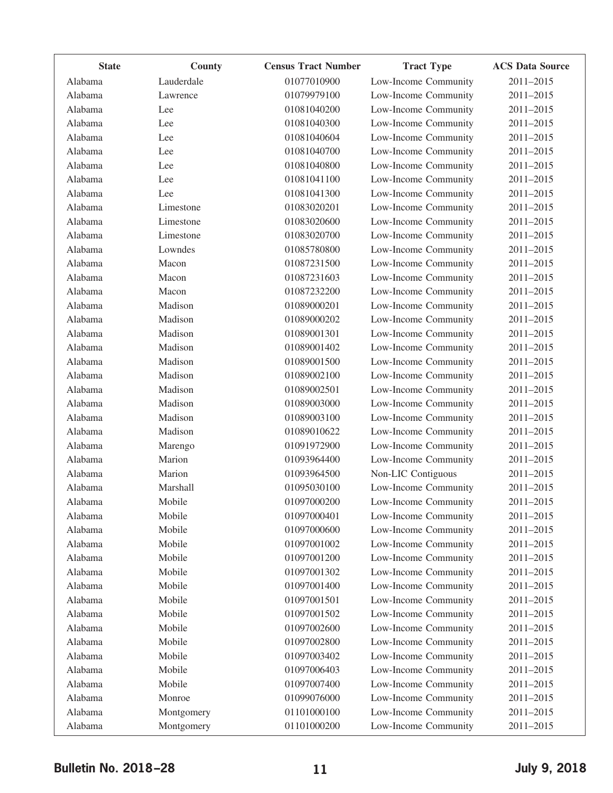| 01077010900<br>Low-Income Community<br>Lauderdale<br>Alabama<br>Alabama<br>01079979100<br>Low-Income Community<br>Lawrence<br>Alabama<br>01081040200<br>Low-Income Community<br>Lee<br>01081040300<br>Low-Income Community<br>Alabama<br>Lee<br>Alabama<br>Low-Income Community<br>01081040604<br>Lee<br>01081040700<br>Low-Income Community<br>Alabama<br>Lee<br>Alabama<br>01081040800<br>Low-Income Community<br>Lee | 2011-2015<br>2011-2015<br>2011-2015<br>2011-2015<br>2011-2015<br>2011-2015<br>2011-2015 |
|-------------------------------------------------------------------------------------------------------------------------------------------------------------------------------------------------------------------------------------------------------------------------------------------------------------------------------------------------------------------------------------------------------------------------|-----------------------------------------------------------------------------------------|
|                                                                                                                                                                                                                                                                                                                                                                                                                         |                                                                                         |
|                                                                                                                                                                                                                                                                                                                                                                                                                         |                                                                                         |
|                                                                                                                                                                                                                                                                                                                                                                                                                         |                                                                                         |
|                                                                                                                                                                                                                                                                                                                                                                                                                         |                                                                                         |
|                                                                                                                                                                                                                                                                                                                                                                                                                         |                                                                                         |
|                                                                                                                                                                                                                                                                                                                                                                                                                         |                                                                                         |
|                                                                                                                                                                                                                                                                                                                                                                                                                         |                                                                                         |
| Alabama<br>01081041100<br>Low-Income Community<br>Lee                                                                                                                                                                                                                                                                                                                                                                   | 2011-2015                                                                               |
| Alabama<br>Lee<br>01081041300<br>Low-Income Community                                                                                                                                                                                                                                                                                                                                                                   | 2011-2015                                                                               |
| Alabama<br>Limestone<br>01083020201<br>Low-Income Community                                                                                                                                                                                                                                                                                                                                                             | 2011-2015                                                                               |
| Alabama<br>Low-Income Community<br>Limestone<br>01083020600                                                                                                                                                                                                                                                                                                                                                             | 2011-2015                                                                               |
| 01083020700<br>Low-Income Community<br>Alabama<br>Limestone                                                                                                                                                                                                                                                                                                                                                             | 2011-2015                                                                               |
| Alabama<br>Lowndes<br>01085780800<br>Low-Income Community                                                                                                                                                                                                                                                                                                                                                               | 2011-2015                                                                               |
| Alabama<br>Macon<br>Low-Income Community<br>01087231500                                                                                                                                                                                                                                                                                                                                                                 | 2011-2015                                                                               |
| Alabama<br>Macon<br>01087231603<br>Low-Income Community                                                                                                                                                                                                                                                                                                                                                                 | 2011-2015                                                                               |
| Alabama<br>Macon<br>01087232200<br>Low-Income Community                                                                                                                                                                                                                                                                                                                                                                 | 2011-2015                                                                               |
| Alabama<br>Madison<br>Low-Income Community<br>01089000201                                                                                                                                                                                                                                                                                                                                                               | 2011-2015                                                                               |
| Madison<br>01089000202<br>Low-Income Community<br>Alabama                                                                                                                                                                                                                                                                                                                                                               | 2011-2015                                                                               |
| Alabama<br>Madison<br>01089001301<br>Low-Income Community                                                                                                                                                                                                                                                                                                                                                               | 2011-2015                                                                               |
| Alabama<br>Madison<br>01089001402<br>Low-Income Community                                                                                                                                                                                                                                                                                                                                                               | 2011-2015                                                                               |
| Madison<br>Alabama<br>01089001500<br>Low-Income Community                                                                                                                                                                                                                                                                                                                                                               | 2011-2015                                                                               |
| Alabama<br>Madison<br>01089002100<br>Low-Income Community                                                                                                                                                                                                                                                                                                                                                               | 2011-2015                                                                               |
| Alabama<br>Madison<br>Low-Income Community<br>01089002501                                                                                                                                                                                                                                                                                                                                                               | 2011-2015                                                                               |
| Madison<br>01089003000<br>Low-Income Community<br>Alabama                                                                                                                                                                                                                                                                                                                                                               | 2011-2015                                                                               |
| Alabama<br>Madison<br>01089003100<br>Low-Income Community                                                                                                                                                                                                                                                                                                                                                               | 2011-2015                                                                               |
| Alabama<br>Madison<br>01089010622<br>Low-Income Community                                                                                                                                                                                                                                                                                                                                                               | 2011-2015                                                                               |
| Alabama<br>01091972900<br>Low-Income Community<br>Marengo                                                                                                                                                                                                                                                                                                                                                               | 2011-2015                                                                               |
| Alabama<br>Marion<br>01093964400<br>Low-Income Community                                                                                                                                                                                                                                                                                                                                                                | 2011-2015                                                                               |
| Marion<br>Non-LIC Contiguous<br>Alabama<br>01093964500                                                                                                                                                                                                                                                                                                                                                                  | 2011-2015                                                                               |
| 01095030100<br>Low-Income Community<br>Alabama<br>Marshall                                                                                                                                                                                                                                                                                                                                                              | 2011-2015                                                                               |
| Mobile<br>01097000200<br>Low-Income Community<br>Alabama                                                                                                                                                                                                                                                                                                                                                                | 2011-2015                                                                               |
| Mobile<br>01097000401<br>Alabama<br>Low-Income Community                                                                                                                                                                                                                                                                                                                                                                | 2011-2015                                                                               |
| Mobile<br>01097000600<br>Low-Income Community<br>Alabama                                                                                                                                                                                                                                                                                                                                                                | 2011-2015                                                                               |
| Alabama<br>Mobile<br>01097001002<br>Low-Income Community                                                                                                                                                                                                                                                                                                                                                                | 2011-2015                                                                               |
| Alabama<br>01097001200<br>Low-Income Community<br>Mobile                                                                                                                                                                                                                                                                                                                                                                | 2011-2015                                                                               |
| Alabama<br>Mobile<br>01097001302<br>Low-Income Community                                                                                                                                                                                                                                                                                                                                                                | 2011-2015                                                                               |
| Low-Income Community<br>Alabama<br>Mobile<br>01097001400                                                                                                                                                                                                                                                                                                                                                                | 2011-2015                                                                               |
| Alabama<br>Mobile<br>Low-Income Community<br>01097001501                                                                                                                                                                                                                                                                                                                                                                | 2011-2015                                                                               |
| Low-Income Community<br>Mobile<br>01097001502<br>Alabama                                                                                                                                                                                                                                                                                                                                                                | 2011-2015                                                                               |
| Alabama<br>Mobile<br>01097002600<br>Low-Income Community                                                                                                                                                                                                                                                                                                                                                                | 2011-2015                                                                               |
| Alabama<br>Low-Income Community<br>Mobile<br>01097002800                                                                                                                                                                                                                                                                                                                                                                | 2011-2015                                                                               |
| Alabama<br>Mobile<br>01097003402<br>Low-Income Community                                                                                                                                                                                                                                                                                                                                                                | 2011-2015                                                                               |
| Low-Income Community<br>Alabama<br>Mobile<br>01097006403                                                                                                                                                                                                                                                                                                                                                                | 2011-2015                                                                               |
| Alabama<br>Mobile<br>Low-Income Community<br>01097007400                                                                                                                                                                                                                                                                                                                                                                | 2011-2015                                                                               |
| Low-Income Community<br>Monroe<br>01099076000<br>Alabama                                                                                                                                                                                                                                                                                                                                                                | 2011-2015                                                                               |
| Alabama<br>01101000100<br>Low-Income Community<br>Montgomery                                                                                                                                                                                                                                                                                                                                                            | 2011-2015                                                                               |
| 01101000200<br>Low-Income Community<br>Alabama<br>Montgomery                                                                                                                                                                                                                                                                                                                                                            | 2011-2015                                                                               |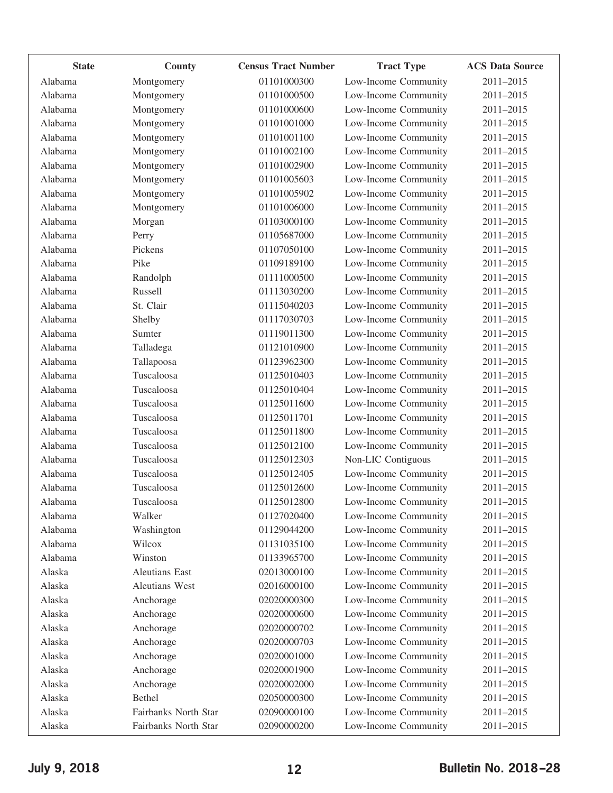| <b>State</b> | County                | <b>Census Tract Number</b> | <b>Tract Type</b>    | <b>ACS Data Source</b> |
|--------------|-----------------------|----------------------------|----------------------|------------------------|
| Alabama      | Montgomery            | 01101000300                | Low-Income Community | 2011-2015              |
| Alabama      | Montgomery            | 01101000500                | Low-Income Community | 2011-2015              |
| Alabama      | Montgomery            | 01101000600                | Low-Income Community | 2011-2015              |
| Alabama      | Montgomery            | 01101001000                | Low-Income Community | 2011-2015              |
| Alabama      | Montgomery            | 01101001100                | Low-Income Community | 2011-2015              |
| Alabama      | Montgomery            | 01101002100                | Low-Income Community | 2011-2015              |
| Alabama      | Montgomery            | 01101002900                | Low-Income Community | 2011-2015              |
| Alabama      | Montgomery            | 01101005603                | Low-Income Community | 2011-2015              |
| Alabama      | Montgomery            | 01101005902                | Low-Income Community | 2011-2015              |
| Alabama      | Montgomery            | 01101006000                | Low-Income Community | 2011-2015              |
| Alabama      | Morgan                | 01103000100                | Low-Income Community | 2011-2015              |
| Alabama      | Perry                 | 01105687000                | Low-Income Community | 2011-2015              |
| Alabama      | Pickens               | 01107050100                | Low-Income Community | 2011-2015              |
| Alabama      | Pike                  | 01109189100                | Low-Income Community | 2011-2015              |
| Alabama      | Randolph              | 01111000500                | Low-Income Community | 2011-2015              |
| Alabama      | Russell               | 01113030200                | Low-Income Community | 2011-2015              |
| Alabama      | St. Clair             | 01115040203                | Low-Income Community | 2011-2015              |
| Alabama      | Shelby                | 01117030703                | Low-Income Community | 2011-2015              |
| Alabama      | Sumter                | 01119011300                | Low-Income Community | 2011-2015              |
| Alabama      | Talladega             | 01121010900                | Low-Income Community | 2011-2015              |
| Alabama      | Tallapoosa            | 01123962300                | Low-Income Community | 2011-2015              |
| Alabama      | Tuscaloosa            | 01125010403                | Low-Income Community | 2011-2015              |
| Alabama      | Tuscaloosa            | 01125010404                | Low-Income Community | 2011-2015              |
| Alabama      | Tuscaloosa            | 01125011600                | Low-Income Community | 2011-2015              |
| Alabama      | Tuscaloosa            | 01125011701                | Low-Income Community | 2011-2015              |
| Alabama      | Tuscaloosa            | 01125011800                | Low-Income Community | 2011-2015              |
| Alabama      | Tuscaloosa            | 01125012100                | Low-Income Community | 2011-2015              |
| Alabama      | Tuscaloosa            | 01125012303                | Non-LIC Contiguous   | 2011-2015              |
| Alabama      | Tuscaloosa            | 01125012405                | Low-Income Community | 2011-2015              |
| Alabama      | Tuscaloosa            | 01125012600                | Low-Income Community | 2011-2015              |
| Alabama      | Tuscaloosa            | 01125012800                | Low-Income Community | 2011-2015              |
| Alabama      | Walker                | 01127020400                | Low-Income Community | 2011-2015              |
| Alabama      | Washington            | 01129044200                | Low-Income Community | 2011-2015              |
| Alabama      | Wilcox                | 01131035100                | Low-Income Community | 2011-2015              |
| Alabama      | Winston               | 01133965700                | Low-Income Community | 2011-2015              |
| Alaska       | <b>Aleutians East</b> | 02013000100                | Low-Income Community | 2011-2015              |
| Alaska       | Aleutians West        | 02016000100                | Low-Income Community | 2011-2015              |
| Alaska       | Anchorage             | 02020000300                | Low-Income Community | 2011-2015              |
| Alaska       | Anchorage             | 02020000600                | Low-Income Community | 2011-2015              |
| Alaska       | Anchorage             | 02020000702                | Low-Income Community | 2011-2015              |
| Alaska       | Anchorage             | 02020000703                | Low-Income Community | 2011-2015              |
| Alaska       | Anchorage             | 02020001000                | Low-Income Community | 2011-2015              |
| Alaska       | Anchorage             | 02020001900                | Low-Income Community | 2011-2015              |
| Alaska       | Anchorage             | 02020002000                | Low-Income Community | 2011-2015              |
| Alaska       | Bethel                | 02050000300                | Low-Income Community | 2011-2015              |
| Alaska       | Fairbanks North Star  | 02090000100                | Low-Income Community | 2011-2015              |
| Alaska       | Fairbanks North Star  | 02090000200                | Low-Income Community | 2011-2015              |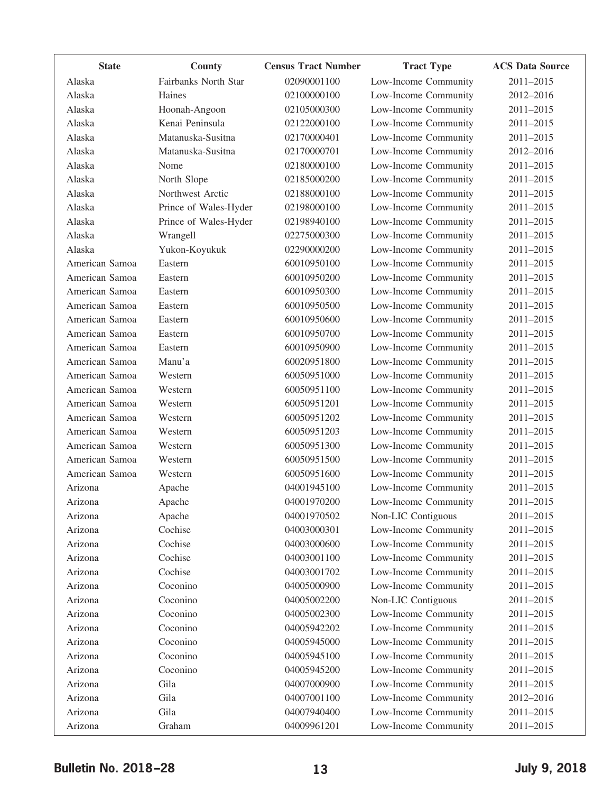| <b>State</b>   | County                | <b>Census Tract Number</b> | <b>Tract Type</b>    | <b>ACS Data Source</b> |
|----------------|-----------------------|----------------------------|----------------------|------------------------|
| Alaska         | Fairbanks North Star  | 02090001100                | Low-Income Community | 2011-2015              |
| Alaska         | Haines                | 02100000100                | Low-Income Community | 2012-2016              |
| Alaska         | Hoonah-Angoon         | 02105000300                | Low-Income Community | 2011-2015              |
| Alaska         | Kenai Peninsula       | 02122000100                | Low-Income Community | 2011-2015              |
| Alaska         | Matanuska-Susitna     | 02170000401                | Low-Income Community | 2011-2015              |
| Alaska         | Matanuska-Susitna     | 02170000701                | Low-Income Community | 2012-2016              |
| Alaska         | Nome                  | 02180000100                | Low-Income Community | 2011-2015              |
| Alaska         | North Slope           | 02185000200                | Low-Income Community | 2011-2015              |
| Alaska         | Northwest Arctic      | 02188000100                | Low-Income Community | 2011-2015              |
| Alaska         | Prince of Wales-Hyder | 02198000100                | Low-Income Community | 2011-2015              |
| Alaska         | Prince of Wales-Hyder | 02198940100                | Low-Income Community | 2011-2015              |
| Alaska         | Wrangell              | 02275000300                | Low-Income Community | 2011-2015              |
| Alaska         | Yukon-Koyukuk         | 02290000200                | Low-Income Community | 2011-2015              |
| American Samoa | Eastern               | 60010950100                | Low-Income Community | 2011-2015              |
| American Samoa | Eastern               | 60010950200                | Low-Income Community | 2011-2015              |
| American Samoa | Eastern               | 60010950300                | Low-Income Community | 2011-2015              |
| American Samoa | Eastern               | 60010950500                | Low-Income Community | 2011-2015              |
| American Samoa | Eastern               | 60010950600                | Low-Income Community | 2011-2015              |
| American Samoa | Eastern               | 60010950700                | Low-Income Community | 2011-2015              |
| American Samoa | Eastern               | 60010950900                | Low-Income Community | 2011-2015              |
| American Samoa | Manu'a                | 60020951800                | Low-Income Community | 2011-2015              |
| American Samoa | Western               | 60050951000                | Low-Income Community | 2011-2015              |
| American Samoa | Western               | 60050951100                | Low-Income Community | 2011-2015              |
| American Samoa | Western               | 60050951201                | Low-Income Community | 2011-2015              |
| American Samoa | Western               | 60050951202                | Low-Income Community | 2011-2015              |
| American Samoa | Western               | 60050951203                | Low-Income Community | 2011-2015              |
| American Samoa | Western               | 60050951300                | Low-Income Community | 2011-2015              |
| American Samoa | Western               | 60050951500                | Low-Income Community | 2011-2015              |
| American Samoa | Western               | 60050951600                | Low-Income Community | 2011-2015              |
| Arizona        | Apache                | 04001945100                | Low-Income Community | 2011-2015              |
| Arizona        | Apache                | 04001970200                | Low-Income Community | 2011-2015              |
| Arizona        | Apache                | 04001970502                | Non-LIC Contiguous   | 2011-2015              |
| Arizona        | Cochise               | 04003000301                | Low-Income Community | 2011-2015              |
| Arizona        | Cochise               | 04003000600                | Low-Income Community | 2011-2015              |
| Arizona        | Cochise               | 04003001100                | Low-Income Community | 2011-2015              |
| Arizona        | Cochise               | 04003001702                | Low-Income Community | 2011-2015              |
| Arizona        | Coconino              | 04005000900                | Low-Income Community | 2011-2015              |
| Arizona        | Coconino              | 04005002200                | Non-LIC Contiguous   | 2011-2015              |
| Arizona        | Coconino              | 04005002300                | Low-Income Community | 2011-2015              |
| Arizona        | Coconino              | 04005942202                | Low-Income Community | 2011-2015              |
| Arizona        | Coconino              | 04005945000                | Low-Income Community | 2011-2015              |
| Arizona        | Coconino              | 04005945100                | Low-Income Community | 2011-2015              |
| Arizona        | Coconino              | 04005945200                | Low-Income Community | 2011-2015              |
| Arizona        | Gila                  | 04007000900                | Low-Income Community | 2011-2015              |
| Arizona        | Gila                  | 04007001100                | Low-Income Community | 2012-2016              |
| Arizona        | Gila                  | 04007940400                | Low-Income Community | 2011-2015              |
| Arizona        | Graham                | 04009961201                | Low-Income Community | 2011-2015              |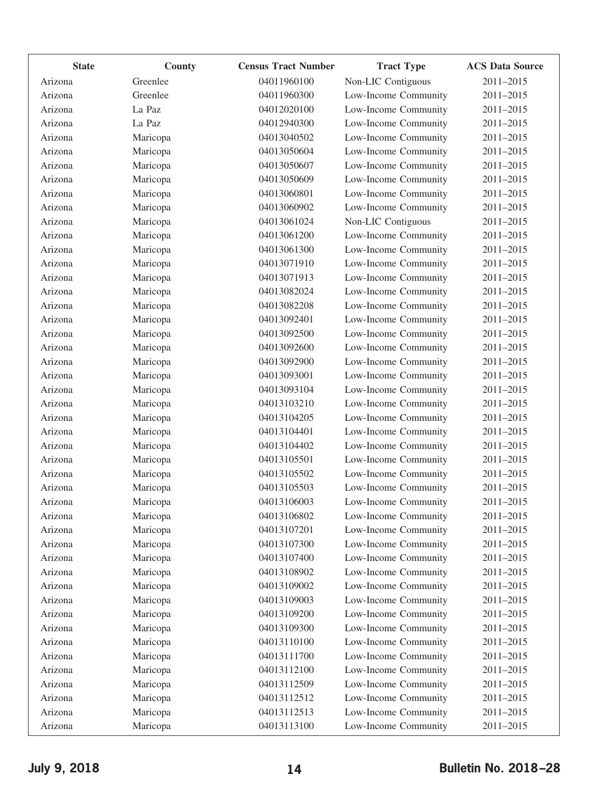| <b>State</b> | County   | <b>Census Tract Number</b> | <b>Tract Type</b>    | <b>ACS Data Source</b> |
|--------------|----------|----------------------------|----------------------|------------------------|
| Arizona      | Greenlee | 04011960100                | Non-LIC Contiguous   | 2011-2015              |
| Arizona      | Greenlee | 04011960300                | Low-Income Community | 2011-2015              |
| Arizona      | La Paz   | 04012020100                | Low-Income Community | 2011-2015              |
| Arizona      | La Paz   | 04012940300                | Low-Income Community | 2011-2015              |
| Arizona      | Maricopa | 04013040502                | Low-Income Community | 2011-2015              |
| Arizona      | Maricopa | 04013050604                | Low-Income Community | 2011-2015              |
| Arizona      | Maricopa | 04013050607                | Low-Income Community | 2011-2015              |
| Arizona      | Maricopa | 04013050609                | Low-Income Community | 2011-2015              |
| Arizona      | Maricopa | 04013060801                | Low-Income Community | 2011-2015              |
| Arizona      | Maricopa | 04013060902                | Low-Income Community | 2011-2015              |
| Arizona      | Maricopa | 04013061024                | Non-LIC Contiguous   | 2011-2015              |
| Arizona      | Maricopa | 04013061200                | Low-Income Community | 2011-2015              |
| Arizona      | Maricopa | 04013061300                | Low-Income Community | 2011-2015              |
| Arizona      | Maricopa | 04013071910                | Low-Income Community | 2011-2015              |
| Arizona      | Maricopa | 04013071913                | Low-Income Community | 2011-2015              |
| Arizona      | Maricopa | 04013082024                | Low-Income Community | 2011-2015              |
| Arizona      | Maricopa | 04013082208                | Low-Income Community | 2011-2015              |
| Arizona      | Maricopa | 04013092401                | Low-Income Community | 2011-2015              |
| Arizona      | Maricopa | 04013092500                | Low-Income Community | 2011-2015              |
| Arizona      | Maricopa | 04013092600                | Low-Income Community | 2011-2015              |
| Arizona      | Maricopa | 04013092900                | Low-Income Community | 2011-2015              |
| Arizona      | Maricopa | 04013093001                | Low-Income Community | 2011-2015              |
| Arizona      | Maricopa | 04013093104                | Low-Income Community | 2011-2015              |
| Arizona      | Maricopa | 04013103210                | Low-Income Community | 2011-2015              |
| Arizona      | Maricopa | 04013104205                | Low-Income Community | 2011-2015              |
| Arizona      | Maricopa | 04013104401                | Low-Income Community | 2011-2015              |
| Arizona      | Maricopa | 04013104402                | Low-Income Community | 2011-2015              |
| Arizona      | Maricopa | 04013105501                | Low-Income Community | 2011-2015              |
| Arizona      | Maricopa | 04013105502                | Low-Income Community | 2011-2015              |
| Arizona      | Maricopa | 04013105503                | Low-Income Community | 2011-2015              |
| Arizona      | Maricopa | 04013106003                | Low-Income Community | 2011-2015              |
| Arizona      | Maricopa | 04013106802                | Low-Income Community | 2011-2015              |
| Arizona      | Maricopa | 04013107201                | Low-Income Community | 2011-2015              |
| Arizona      | Maricopa | 04013107300                | Low-Income Community | 2011-2015              |
| Arizona      | Maricopa | 04013107400                | Low-Income Community | 2011-2015              |
| Arizona      | Maricopa | 04013108902                | Low-Income Community | 2011-2015              |
| Arizona      | Maricopa | 04013109002                | Low-Income Community | 2011-2015              |
| Arizona      | Maricopa | 04013109003                | Low-Income Community | 2011-2015              |
| Arizona      | Maricopa | 04013109200                | Low-Income Community | 2011-2015              |
| Arizona      | Maricopa | 04013109300                | Low-Income Community | 2011-2015              |
| Arizona      | Maricopa | 04013110100                | Low-Income Community | 2011-2015              |
| Arizona      | Maricopa | 04013111700                | Low-Income Community | 2011-2015              |
| Arizona      | Maricopa | 04013112100                | Low-Income Community | 2011-2015              |
| Arizona      | Maricopa | 04013112509                | Low-Income Community | 2011-2015              |
| Arizona      | Maricopa | 04013112512                | Low-Income Community | 2011-2015              |
| Arizona      | Maricopa | 04013112513                | Low-Income Community | 2011-2015              |
| Arizona      | Maricopa | 04013113100                | Low-Income Community | 2011-2015              |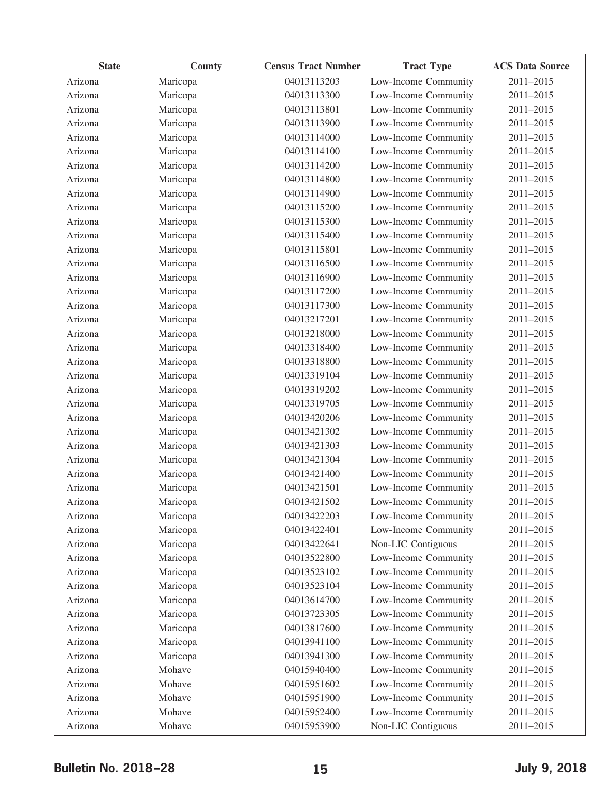| <b>State</b> | County   | <b>Census Tract Number</b> | <b>Tract Type</b>    | <b>ACS Data Source</b> |
|--------------|----------|----------------------------|----------------------|------------------------|
| Arizona      | Maricopa | 04013113203                | Low-Income Community | 2011-2015              |
| Arizona      | Maricopa | 04013113300                | Low-Income Community | 2011-2015              |
| Arizona      | Maricopa | 04013113801                | Low-Income Community | 2011-2015              |
| Arizona      | Maricopa | 04013113900                | Low-Income Community | 2011-2015              |
| Arizona      | Maricopa | 04013114000                | Low-Income Community | 2011-2015              |
| Arizona      | Maricopa | 04013114100                | Low-Income Community | 2011-2015              |
| Arizona      | Maricopa | 04013114200                | Low-Income Community | 2011-2015              |
| Arizona      | Maricopa | 04013114800                | Low-Income Community | 2011-2015              |
| Arizona      | Maricopa | 04013114900                | Low-Income Community | 2011-2015              |
| Arizona      | Maricopa | 04013115200                | Low-Income Community | 2011-2015              |
| Arizona      | Maricopa | 04013115300                | Low-Income Community | 2011-2015              |
| Arizona      | Maricopa | 04013115400                | Low-Income Community | 2011-2015              |
| Arizona      | Maricopa | 04013115801                | Low-Income Community | 2011-2015              |
| Arizona      | Maricopa | 04013116500                | Low-Income Community | 2011-2015              |
| Arizona      | Maricopa | 04013116900                | Low-Income Community | 2011-2015              |
| Arizona      | Maricopa | 04013117200                | Low-Income Community | 2011-2015              |
| Arizona      | Maricopa | 04013117300                | Low-Income Community | 2011-2015              |
| Arizona      | Maricopa | 04013217201                | Low-Income Community | 2011-2015              |
| Arizona      | Maricopa | 04013218000                | Low-Income Community | 2011-2015              |
| Arizona      | Maricopa | 04013318400                | Low-Income Community | 2011-2015              |
| Arizona      | Maricopa | 04013318800                | Low-Income Community | 2011-2015              |
| Arizona      | Maricopa | 04013319104                | Low-Income Community | 2011-2015              |
| Arizona      | Maricopa | 04013319202                | Low-Income Community | 2011-2015              |
| Arizona      | Maricopa | 04013319705                | Low-Income Community | 2011-2015              |
| Arizona      | Maricopa | 04013420206                | Low-Income Community | 2011-2015              |
| Arizona      | Maricopa | 04013421302                | Low-Income Community | 2011-2015              |
| Arizona      | Maricopa | 04013421303                | Low-Income Community | 2011-2015              |
| Arizona      | Maricopa | 04013421304                | Low-Income Community | 2011-2015              |
| Arizona      | Maricopa | 04013421400                | Low-Income Community | 2011-2015              |
| Arizona      | Maricopa | 04013421501                | Low-Income Community | 2011-2015              |
| Arizona      | Maricopa | 04013421502                | Low-Income Community | 2011-2015              |
| Arizona      | Maricopa | 04013422203                | Low-Income Community | 2011-2015              |
| Arizona      | Maricopa | 04013422401                | Low-Income Community | 2011-2015              |
| Arizona      | Maricopa | 04013422641                | Non-LIC Contiguous   | 2011-2015              |
| Arizona      | Maricopa | 04013522800                | Low-Income Community | 2011-2015              |
| Arizona      | Maricopa | 04013523102                | Low-Income Community | 2011-2015              |
| Arizona      | Maricopa | 04013523104                | Low-Income Community | 2011-2015              |
| Arizona      | Maricopa | 04013614700                | Low-Income Community | 2011-2015              |
| Arizona      | Maricopa | 04013723305                | Low-Income Community | 2011-2015              |
| Arizona      | Maricopa | 04013817600                | Low-Income Community | 2011-2015              |
| Arizona      | Maricopa | 04013941100                | Low-Income Community | 2011-2015              |
| Arizona      | Maricopa | 04013941300                | Low-Income Community | 2011-2015              |
| Arizona      | Mohave   | 04015940400                | Low-Income Community | 2011-2015              |
| Arizona      | Mohave   | 04015951602                | Low-Income Community | 2011-2015              |
| Arizona      | Mohave   | 04015951900                | Low-Income Community | 2011-2015              |
| Arizona      | Mohave   | 04015952400                | Low-Income Community | 2011-2015              |
| Arizona      | Mohave   | 04015953900                | Non-LIC Contiguous   | 2011-2015              |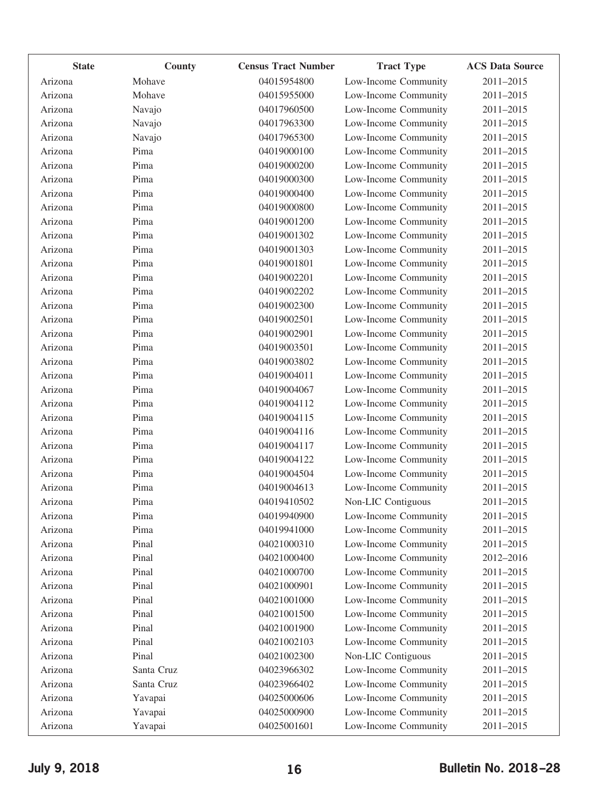| <b>State</b> | County     | <b>Census Tract Number</b> | <b>Tract Type</b>    | <b>ACS Data Source</b> |
|--------------|------------|----------------------------|----------------------|------------------------|
| Arizona      | Mohave     | 04015954800                | Low-Income Community | 2011-2015              |
| Arizona      | Mohave     | 04015955000                | Low-Income Community | 2011-2015              |
| Arizona      | Navajo     | 04017960500                | Low-Income Community | 2011-2015              |
| Arizona      | Navajo     | 04017963300                | Low-Income Community | 2011-2015              |
| Arizona      | Navajo     | 04017965300                | Low-Income Community | 2011-2015              |
| Arizona      | Pima       | 04019000100                | Low-Income Community | 2011-2015              |
| Arizona      | Pima       | 04019000200                | Low-Income Community | 2011-2015              |
| Arizona      | Pima       | 04019000300                | Low-Income Community | 2011-2015              |
| Arizona      | Pima       | 04019000400                | Low-Income Community | 2011-2015              |
| Arizona      | Pima       | 04019000800                | Low-Income Community | 2011-2015              |
| Arizona      | Pima       | 04019001200                | Low-Income Community | 2011-2015              |
| Arizona      | Pima       | 04019001302                | Low-Income Community | 2011-2015              |
| Arizona      | Pima       | 04019001303                | Low-Income Community | 2011-2015              |
| Arizona      | Pima       | 04019001801                | Low-Income Community | 2011-2015              |
| Arizona      | Pima       | 04019002201                | Low-Income Community | 2011-2015              |
| Arizona      | Pima       | 04019002202                | Low-Income Community | 2011-2015              |
| Arizona      | Pima       | 04019002300                | Low-Income Community | 2011-2015              |
| Arizona      | Pima       | 04019002501                | Low-Income Community | 2011-2015              |
| Arizona      | Pima       | 04019002901                | Low-Income Community | 2011-2015              |
| Arizona      | Pima       | 04019003501                | Low-Income Community | 2011-2015              |
| Arizona      | Pima       | 04019003802                | Low-Income Community | 2011-2015              |
| Arizona      | Pima       | 04019004011                | Low-Income Community | 2011-2015              |
| Arizona      | Pima       | 04019004067                | Low-Income Community | 2011-2015              |
| Arizona      | Pima       | 04019004112                | Low-Income Community | 2011-2015              |
| Arizona      | Pima       | 04019004115                | Low-Income Community | 2011-2015              |
| Arizona      | Pima       | 04019004116                | Low-Income Community | 2011-2015              |
| Arizona      | Pima       | 04019004117                | Low-Income Community | 2011-2015              |
| Arizona      | Pima       | 04019004122                | Low-Income Community | 2011-2015              |
| Arizona      | Pima       | 04019004504                | Low-Income Community | 2011-2015              |
| Arizona      | Pima       | 04019004613                | Low-Income Community | 2011-2015              |
| Arizona      | Pima       | 04019410502                | Non-LIC Contiguous   | 2011-2015              |
| Arizona      | Pima       | 04019940900                | Low-Income Community | 2011-2015              |
| Arizona      | Pima       | 04019941000                | Low-Income Community | $2011 - 2015$          |
| Arizona      | Pinal      | 04021000310                | Low-Income Community | 2011-2015              |
| Arizona      | Pinal      | 04021000400                | Low-Income Community | 2012-2016              |
| Arizona      | Pinal      | 04021000700                | Low-Income Community | 2011-2015              |
| Arizona      | Pinal      | 04021000901                | Low-Income Community | 2011-2015              |
| Arizona      | Pinal      | 04021001000                | Low-Income Community | 2011-2015              |
| Arizona      | Pinal      | 04021001500                | Low-Income Community | 2011-2015              |
| Arizona      | Pinal      | 04021001900                | Low-Income Community | 2011-2015              |
| Arizona      | Pinal      | 04021002103                | Low-Income Community | 2011-2015              |
| Arizona      | Pinal      | 04021002300                | Non-LIC Contiguous   | 2011-2015              |
| Arizona      | Santa Cruz | 04023966302                | Low-Income Community | 2011-2015              |
| Arizona      | Santa Cruz | 04023966402                | Low-Income Community | 2011-2015              |
| Arizona      | Yavapai    | 04025000606                | Low-Income Community | 2011-2015              |
| Arizona      | Yavapai    | 04025000900                | Low-Income Community | 2011-2015              |
| Arizona      | Yavapai    | 04025001601                | Low-Income Community | 2011-2015              |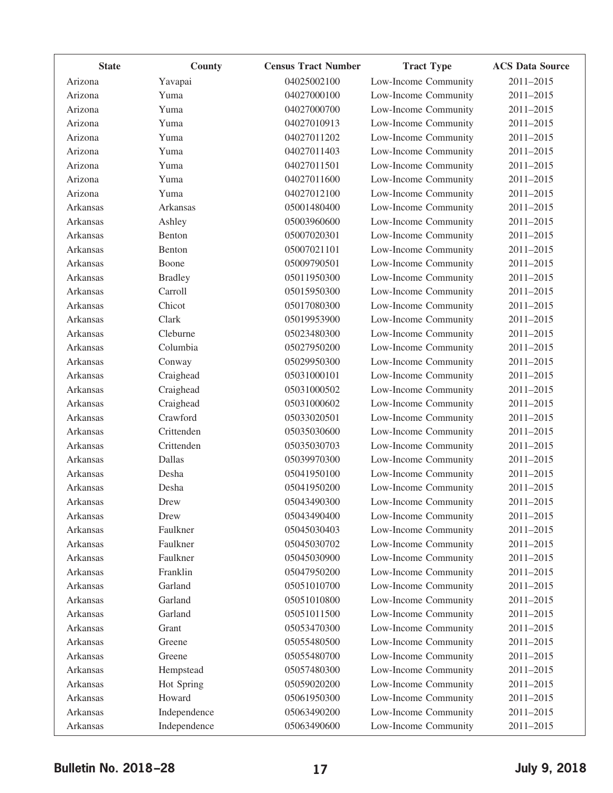| <b>State</b>    | County         | <b>Census Tract Number</b> | <b>Tract Type</b>    | <b>ACS Data Source</b> |
|-----------------|----------------|----------------------------|----------------------|------------------------|
| Arizona         | Yavapai        | 04025002100                | Low-Income Community | 2011-2015              |
| Arizona         | Yuma           | 04027000100                | Low-Income Community | 2011-2015              |
| Arizona         | Yuma           | 04027000700                | Low-Income Community | 2011-2015              |
| Arizona         | Yuma           | 04027010913                | Low-Income Community | 2011-2015              |
| Arizona         | Yuma           | 04027011202                | Low-Income Community | 2011-2015              |
| Arizona         | Yuma           | 04027011403                | Low-Income Community | 2011-2015              |
| Arizona         | Yuma           | 04027011501                | Low-Income Community | 2011-2015              |
| Arizona         | Yuma           | 04027011600                | Low-Income Community | 2011-2015              |
| Arizona         | Yuma           | 04027012100                | Low-Income Community | 2011-2015              |
| Arkansas        | Arkansas       | 05001480400                | Low-Income Community | 2011-2015              |
| Arkansas        | Ashley         | 05003960600                | Low-Income Community | 2011-2015              |
| Arkansas        | Benton         | 05007020301                | Low-Income Community | 2011-2015              |
| Arkansas        | Benton         | 05007021101                | Low-Income Community | 2011-2015              |
| Arkansas        | Boone          | 05009790501                | Low-Income Community | 2011-2015              |
| Arkansas        | <b>Bradley</b> | 05011950300                | Low-Income Community | 2011-2015              |
| Arkansas        | Carroll        | 05015950300                | Low-Income Community | 2011-2015              |
| Arkansas        | Chicot         | 05017080300                | Low-Income Community | 2011-2015              |
| Arkansas        | Clark          | 05019953900                | Low-Income Community | 2011-2015              |
| Arkansas        | Cleburne       | 05023480300                | Low-Income Community | 2011-2015              |
| Arkansas        | Columbia       | 05027950200                | Low-Income Community | 2011-2015              |
| Arkansas        | Conway         | 05029950300                | Low-Income Community | 2011-2015              |
| Arkansas        | Craighead      | 05031000101                | Low-Income Community | 2011-2015              |
| Arkansas        | Craighead      | 05031000502                | Low-Income Community | 2011-2015              |
| Arkansas        | Craighead      | 05031000602                | Low-Income Community | 2011-2015              |
| Arkansas        | Crawford       | 05033020501                | Low-Income Community | 2011-2015              |
| Arkansas        | Crittenden     | 05035030600                | Low-Income Community | 2011-2015              |
| Arkansas        | Crittenden     | 05035030703                | Low-Income Community | 2011-2015              |
| Arkansas        | Dallas         | 05039970300                | Low-Income Community | 2011-2015              |
| Arkansas        | Desha          | 05041950100                | Low-Income Community | 2011-2015              |
| Arkansas        | Desha          | 05041950200                | Low-Income Community | 2011-2015              |
| Arkansas        | Drew           | 05043490300                | Low-Income Community | 2011-2015              |
| Arkansas        | Drew           | 05043490400                | Low-Income Community | 2011-2015              |
| Arkansas        | Faulkner       | 05045030403                | Low-Income Community | 2011-2015              |
| Arkansas        | Faulkner       | 05045030702                | Low-Income Community | 2011-2015              |
| <b>Arkansas</b> | Faulkner       | 05045030900                | Low-Income Community | 2011-2015              |
| Arkansas        | Franklin       | 05047950200                | Low-Income Community | 2011-2015              |
| Arkansas        | Garland        | 05051010700                | Low-Income Community | 2011-2015              |
| Arkansas        | Garland        | 05051010800                | Low-Income Community | 2011-2015              |
| Arkansas        | Garland        | 05051011500                | Low-Income Community | 2011-2015              |
| Arkansas        | Grant          | 05053470300                | Low-Income Community | 2011-2015              |
| Arkansas        | Greene         | 05055480500                | Low-Income Community | 2011-2015              |
| Arkansas        | Greene         | 05055480700                | Low-Income Community | 2011-2015              |
| Arkansas        | Hempstead      | 05057480300                | Low-Income Community | 2011-2015              |
| Arkansas        | Hot Spring     | 05059020200                | Low-Income Community | 2011-2015              |
| Arkansas        | Howard         | 05061950300                | Low-Income Community | 2011-2015              |
| Arkansas        | Independence   | 05063490200                | Low-Income Community | 2011-2015              |
| Arkansas        | Independence   | 05063490600                | Low-Income Community | 2011-2015              |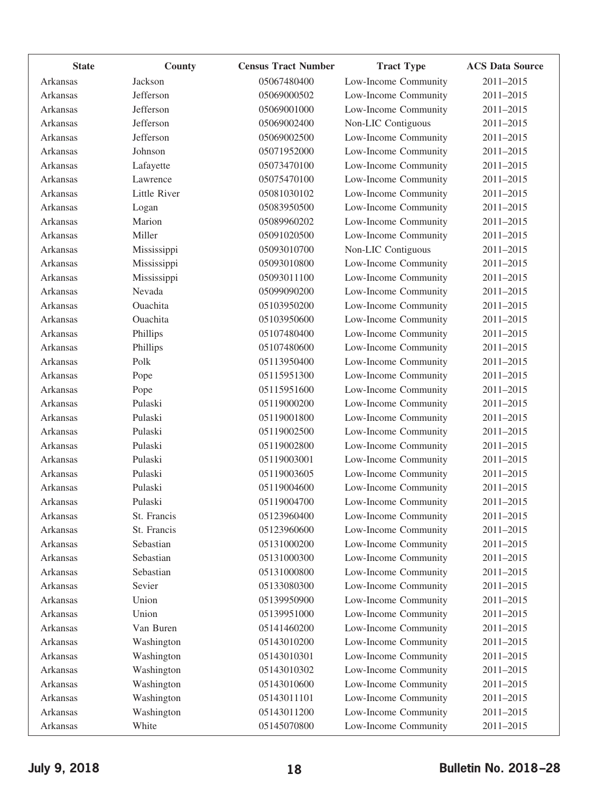| <b>State</b>    | County       | <b>Census Tract Number</b> | <b>Tract Type</b>    | <b>ACS Data Source</b> |
|-----------------|--------------|----------------------------|----------------------|------------------------|
| Arkansas        | Jackson      | 05067480400                | Low-Income Community | 2011-2015              |
| Arkansas        | Jefferson    | 05069000502                | Low-Income Community | 2011-2015              |
| Arkansas        | Jefferson    | 05069001000                | Low-Income Community | 2011-2015              |
| Arkansas        | Jefferson    | 05069002400                | Non-LIC Contiguous   | 2011-2015              |
| Arkansas        | Jefferson    | 05069002500                | Low-Income Community | 2011-2015              |
| Arkansas        | Johnson      | 05071952000                | Low-Income Community | 2011-2015              |
| Arkansas        | Lafayette    | 05073470100                | Low-Income Community | 2011-2015              |
| Arkansas        | Lawrence     | 05075470100                | Low-Income Community | 2011-2015              |
| <b>Arkansas</b> | Little River | 05081030102                | Low-Income Community | 2011-2015              |
| Arkansas        | Logan        | 05083950500                | Low-Income Community | 2011-2015              |
| Arkansas        | Marion       | 05089960202                | Low-Income Community | 2011-2015              |
| Arkansas        | Miller       | 05091020500                | Low-Income Community | 2011-2015              |
| Arkansas        | Mississippi  | 05093010700                | Non-LIC Contiguous   | 2011-2015              |
| Arkansas        | Mississippi  | 05093010800                | Low-Income Community | 2011-2015              |
| Arkansas        | Mississippi  | 05093011100                | Low-Income Community | 2011-2015              |
| Arkansas        | Nevada       | 05099090200                | Low-Income Community | 2011-2015              |
| Arkansas        | Ouachita     | 05103950200                | Low-Income Community | 2011-2015              |
| Arkansas        | Ouachita     | 05103950600                | Low-Income Community | 2011-2015              |
| Arkansas        | Phillips     | 05107480400                | Low-Income Community | 2011-2015              |
| Arkansas        | Phillips     | 05107480600                | Low-Income Community | 2011-2015              |
| Arkansas        | Polk         | 05113950400                | Low-Income Community | 2011-2015              |
| Arkansas        | Pope         | 05115951300                | Low-Income Community | 2011-2015              |
| Arkansas        | Pope         | 05115951600                | Low-Income Community | 2011-2015              |
| Arkansas        | Pulaski      | 05119000200                | Low-Income Community | 2011-2015              |
| Arkansas        | Pulaski      | 05119001800                | Low-Income Community | 2011-2015              |
| Arkansas        | Pulaski      | 05119002500                | Low-Income Community | 2011-2015              |
| Arkansas        | Pulaski      | 05119002800                | Low-Income Community | 2011-2015              |
| Arkansas        | Pulaski      | 05119003001                | Low-Income Community | 2011-2015              |
| Arkansas        | Pulaski      | 05119003605                | Low-Income Community | 2011-2015              |
| Arkansas        | Pulaski      | 05119004600                | Low-Income Community | 2011-2015              |
| Arkansas        | Pulaski      | 05119004700                | Low-Income Community | 2011-2015              |
| Arkansas        | St. Francis  | 05123960400                | Low-Income Community | 2011-2015              |
| Arkansas        | St. Francis  | 05123960600                | Low-Income Community | 2011-2015              |
| Arkansas        | Sebastian    | 05131000200                | Low-Income Community | 2011-2015              |
| Arkansas        | Sebastian    | 05131000300                | Low-Income Community | 2011-2015              |
| Arkansas        | Sebastian    | 05131000800                | Low-Income Community | 2011-2015              |
| Arkansas        | Sevier       | 05133080300                | Low-Income Community | 2011-2015              |
| Arkansas        | Union        | 05139950900                | Low-Income Community | 2011-2015              |
| Arkansas        | Union        | 05139951000                | Low-Income Community | 2011-2015              |
| Arkansas        | Van Buren    | 05141460200                | Low-Income Community | 2011-2015              |
| Arkansas        | Washington   | 05143010200                | Low-Income Community | 2011-2015              |
| Arkansas        | Washington   | 05143010301                | Low-Income Community | 2011-2015              |
| Arkansas        | Washington   | 05143010302                | Low-Income Community | 2011-2015              |
| Arkansas        | Washington   | 05143010600                | Low-Income Community | 2011-2015              |
| Arkansas        | Washington   | 05143011101                | Low-Income Community | 2011-2015              |
| Arkansas        | Washington   | 05143011200                | Low-Income Community | 2011-2015              |
| Arkansas        | White        | 05145070800                | Low-Income Community | 2011-2015              |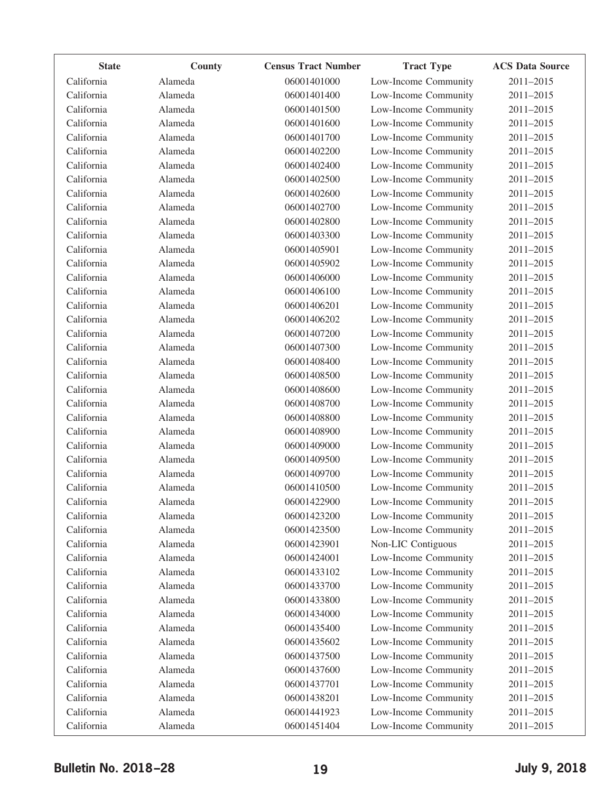| <b>State</b> | County  | <b>Census Tract Number</b> | <b>Tract Type</b>    | <b>ACS Data Source</b> |
|--------------|---------|----------------------------|----------------------|------------------------|
| California   | Alameda | 06001401000                | Low-Income Community | 2011-2015              |
| California   | Alameda | 06001401400                | Low-Income Community | 2011-2015              |
| California   | Alameda | 06001401500                | Low-Income Community | 2011-2015              |
| California   | Alameda | 06001401600                | Low-Income Community | 2011-2015              |
| California   | Alameda | 06001401700                | Low-Income Community | 2011-2015              |
| California   | Alameda | 06001402200                | Low-Income Community | 2011-2015              |
| California   | Alameda | 06001402400                | Low-Income Community | 2011-2015              |
| California   | Alameda | 06001402500                | Low-Income Community | 2011-2015              |
| California   | Alameda | 06001402600                | Low-Income Community | 2011-2015              |
| California   | Alameda | 06001402700                | Low-Income Community | 2011-2015              |
| California   | Alameda | 06001402800                | Low-Income Community | 2011-2015              |
| California   | Alameda | 06001403300                | Low-Income Community | 2011-2015              |
| California   | Alameda | 06001405901                | Low-Income Community | 2011-2015              |
| California   | Alameda | 06001405902                | Low-Income Community | 2011-2015              |
| California   | Alameda | 06001406000                | Low-Income Community | 2011-2015              |
| California   | Alameda | 06001406100                | Low-Income Community | 2011-2015              |
| California   | Alameda | 06001406201                | Low-Income Community | 2011-2015              |
| California   | Alameda | 06001406202                | Low-Income Community | 2011-2015              |
| California   | Alameda | 06001407200                | Low-Income Community | 2011-2015              |
| California   | Alameda | 06001407300                | Low-Income Community | 2011-2015              |
| California   | Alameda | 06001408400                | Low-Income Community | 2011-2015              |
| California   | Alameda | 06001408500                | Low-Income Community | 2011-2015              |
| California   | Alameda | 06001408600                | Low-Income Community | 2011-2015              |
| California   | Alameda | 06001408700                | Low-Income Community | 2011-2015              |
| California   | Alameda | 06001408800                | Low-Income Community | 2011-2015              |
| California   | Alameda | 06001408900                | Low-Income Community | 2011-2015              |
| California   | Alameda | 06001409000                | Low-Income Community | 2011-2015              |
| California   | Alameda | 06001409500                | Low-Income Community | 2011-2015              |
| California   | Alameda | 06001409700                | Low-Income Community | 2011-2015              |
| California   | Alameda | 06001410500                | Low-Income Community | 2011-2015              |
| California   | Alameda | 06001422900                | Low-Income Community | 2011-2015              |
| California   | Alameda | 06001423200                | Low-Income Community | 2011-2015              |
| California   | Alameda | 06001423500                | Low-Income Community | 2011-2015              |
| California   | Alameda | 06001423901                | Non-LIC Contiguous   | 2011-2015              |
| California   | Alameda | 06001424001                | Low-Income Community | 2011-2015              |
| California   | Alameda | 06001433102                | Low-Income Community | 2011-2015              |
| California   | Alameda | 06001433700                | Low-Income Community | 2011-2015              |
| California   | Alameda | 06001433800                | Low-Income Community | 2011-2015              |
| California   | Alameda | 06001434000                | Low-Income Community | 2011-2015              |
| California   | Alameda | 06001435400                | Low-Income Community | 2011-2015              |
| California   | Alameda | 06001435602                | Low-Income Community | 2011-2015              |
| California   | Alameda | 06001437500                | Low-Income Community | 2011-2015              |
| California   | Alameda | 06001437600                | Low-Income Community | 2011-2015              |
| California   | Alameda | 06001437701                | Low-Income Community | 2011-2015              |
| California   | Alameda | 06001438201                | Low-Income Community | 2011-2015              |
| California   | Alameda | 06001441923                | Low-Income Community | 2011-2015              |
| California   | Alameda | 06001451404                | Low-Income Community | 2011-2015              |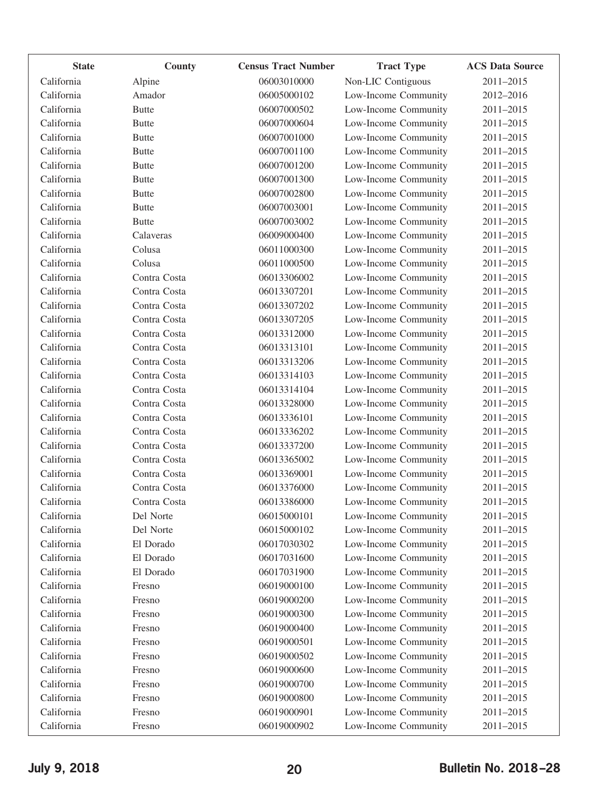| <b>State</b> | County       | <b>Census Tract Number</b> | <b>Tract Type</b>    | <b>ACS Data Source</b> |
|--------------|--------------|----------------------------|----------------------|------------------------|
| California   | Alpine       | 06003010000                | Non-LIC Contiguous   | 2011-2015              |
| California   | Amador       | 06005000102                | Low-Income Community | 2012-2016              |
| California   | <b>Butte</b> | 06007000502                | Low-Income Community | 2011-2015              |
| California   | <b>Butte</b> | 06007000604                | Low-Income Community | 2011-2015              |
| California   | <b>Butte</b> | 06007001000                | Low-Income Community | 2011-2015              |
| California   | <b>Butte</b> | 06007001100                | Low-Income Community | 2011-2015              |
| California   | <b>Butte</b> | 06007001200                | Low-Income Community | 2011-2015              |
| California   | <b>Butte</b> | 06007001300                | Low-Income Community | 2011-2015              |
| California   | <b>Butte</b> | 06007002800                | Low-Income Community | 2011-2015              |
| California   | <b>Butte</b> | 06007003001                | Low-Income Community | 2011-2015              |
| California   | <b>Butte</b> | 06007003002                | Low-Income Community | 2011-2015              |
| California   | Calaveras    | 06009000400                | Low-Income Community | 2011-2015              |
| California   | Colusa       | 06011000300                | Low-Income Community | 2011-2015              |
| California   | Colusa       | 06011000500                | Low-Income Community | 2011-2015              |
| California   | Contra Costa | 06013306002                | Low-Income Community | 2011-2015              |
| California   | Contra Costa | 06013307201                | Low-Income Community | 2011-2015              |
| California   | Contra Costa | 06013307202                | Low-Income Community | 2011-2015              |
| California   | Contra Costa | 06013307205                | Low-Income Community | 2011-2015              |
| California   | Contra Costa | 06013312000                | Low-Income Community | 2011-2015              |
| California   | Contra Costa | 06013313101                | Low-Income Community | 2011-2015              |
| California   | Contra Costa | 06013313206                | Low-Income Community | 2011-2015              |
| California   | Contra Costa | 06013314103                | Low-Income Community | 2011-2015              |
| California   | Contra Costa | 06013314104                | Low-Income Community | 2011-2015              |
| California   | Contra Costa | 06013328000                | Low-Income Community | 2011-2015              |
| California   | Contra Costa | 06013336101                | Low-Income Community | 2011-2015              |
| California   | Contra Costa | 06013336202                | Low-Income Community | 2011-2015              |
| California   | Contra Costa | 06013337200                | Low-Income Community | 2011-2015              |
| California   | Contra Costa | 06013365002                | Low-Income Community | 2011-2015              |
| California   | Contra Costa | 06013369001                | Low-Income Community | 2011-2015              |
| California   | Contra Costa | 06013376000                | Low-Income Community | 2011-2015              |
| California   | Contra Costa | 06013386000                | Low-Income Community | 2011-2015              |
| California   | Del Norte    | 06015000101                | Low-Income Community | 2011-2015              |
| California   | Del Norte    | 06015000102                | Low-Income Community | 2011-2015              |
| California   | El Dorado    | 06017030302                | Low-Income Community | 2011-2015              |
| California   | El Dorado    | 06017031600                | Low-Income Community | 2011-2015              |
| California   | El Dorado    | 06017031900                | Low-Income Community | 2011-2015              |
| California   | Fresno       | 06019000100                | Low-Income Community | 2011-2015              |
| California   | Fresno       | 06019000200                | Low-Income Community | 2011-2015              |
| California   | Fresno       | 06019000300                | Low-Income Community | 2011-2015              |
| California   | Fresno       | 06019000400                | Low-Income Community | 2011-2015              |
| California   | Fresno       | 06019000501                | Low-Income Community | 2011-2015              |
| California   | Fresno       | 06019000502                | Low-Income Community | 2011-2015              |
| California   | Fresno       | 06019000600                | Low-Income Community | 2011-2015              |
| California   | Fresno       | 06019000700                | Low-Income Community | 2011-2015              |
| California   | Fresno       | 06019000800                | Low-Income Community | 2011-2015              |
| California   | Fresno       | 06019000901                | Low-Income Community | 2011-2015              |
| California   | Fresno       | 06019000902                | Low-Income Community | 2011-2015              |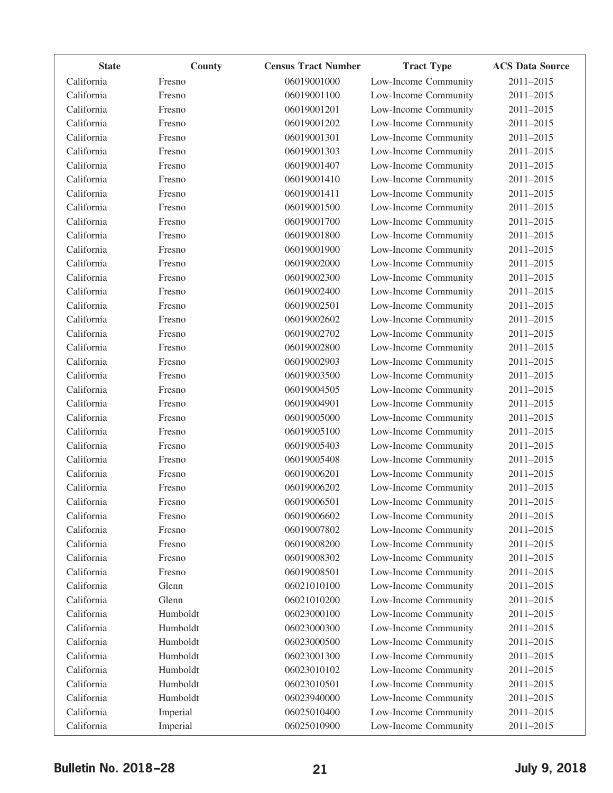| <b>State</b> | County   | <b>Census Tract Number</b> | <b>Tract Type</b>    | <b>ACS Data Source</b> |
|--------------|----------|----------------------------|----------------------|------------------------|
| California   | Fresno   | 06019001000                | Low-Income Community | 2011-2015              |
| California   | Fresno   | 06019001100                | Low-Income Community | 2011-2015              |
| California   | Fresno   | 06019001201                | Low-Income Community | 2011-2015              |
| California   | Fresno   | 06019001202                | Low-Income Community | 2011-2015              |
| California   | Fresno   | 06019001301                | Low-Income Community | 2011-2015              |
| California   | Fresno   | 06019001303                | Low-Income Community | 2011-2015              |
| California   | Fresno   | 06019001407                | Low-Income Community | 2011-2015              |
| California   | Fresno   | 06019001410                | Low-Income Community | 2011-2015              |
| California   | Fresno   | 06019001411                | Low-Income Community | 2011-2015              |
| California   | Fresno   | 06019001500                | Low-Income Community | 2011-2015              |
| California   | Fresno   | 06019001700                | Low-Income Community | 2011-2015              |
| California   | Fresno   | 06019001800                | Low-Income Community | 2011-2015              |
| California   | Fresno   | 06019001900                | Low-Income Community | 2011-2015              |
| California   | Fresno   | 06019002000                | Low-Income Community | 2011-2015              |
| California   | Fresno   | 06019002300                | Low-Income Community | 2011-2015              |
| California   | Fresno   | 06019002400                | Low-Income Community | 2011-2015              |
| California   | Fresno   | 06019002501                | Low-Income Community | 2011-2015              |
| California   | Fresno   | 06019002602                | Low-Income Community | 2011-2015              |
| California   | Fresno   | 06019002702                | Low-Income Community | 2011-2015              |
| California   | Fresno   | 06019002800                | Low-Income Community | 2011-2015              |
| California   | Fresno   | 06019002903                | Low-Income Community | 2011-2015              |
| California   | Fresno   | 06019003500                | Low-Income Community | 2011-2015              |
| California   | Fresno   | 06019004505                | Low-Income Community | 2011-2015              |
| California   | Fresno   | 06019004901                | Low-Income Community | 2011-2015              |
| California   | Fresno   | 06019005000                | Low-Income Community | 2011-2015              |
| California   | Fresno   | 06019005100                | Low-Income Community | 2011-2015              |
| California   | Fresno   | 06019005403                | Low-Income Community | 2011-2015              |
| California   | Fresno   | 06019005408                | Low-Income Community | 2011-2015              |
| California   | Fresno   | 06019006201                | Low-Income Community | 2011-2015              |
| California   | Fresno   | 06019006202                | Low-Income Community | 2011-2015              |
| California   | Fresno   | 06019006501                | Low-Income Community | 2011-2015              |
| California   | Fresno   | 06019006602                | Low-Income Community | 2011-2015              |
| California   | Fresno   | 06019007802                | Low-Income Community | 2011-2015              |
| California   | Fresno   | 06019008200                | Low-Income Community | 2011-2015              |
| California   | Fresno   | 06019008302                | Low-Income Community | 2011-2015              |
| California   | Fresno   | 06019008501                | Low-Income Community | 2011-2015              |
| California   | Glenn    | 06021010100                | Low-Income Community | 2011-2015              |
| California   | Glenn    | 06021010200                | Low-Income Community | 2011-2015              |
| California   | Humboldt | 06023000100                | Low-Income Community | 2011-2015              |
| California   | Humboldt | 06023000300                | Low-Income Community | 2011-2015              |
| California   | Humboldt | 06023000500                | Low-Income Community | 2011-2015              |
| California   | Humboldt | 06023001300                | Low-Income Community | 2011-2015              |
| California   | Humboldt | 06023010102                | Low-Income Community | 2011-2015              |
| California   | Humboldt | 06023010501                | Low-Income Community | 2011-2015              |
| California   | Humboldt | 06023940000                | Low-Income Community | 2011-2015              |
| California   | Imperial | 06025010400                | Low-Income Community | 2011-2015              |
| California   | Imperial | 06025010900                | Low-Income Community | 2011-2015              |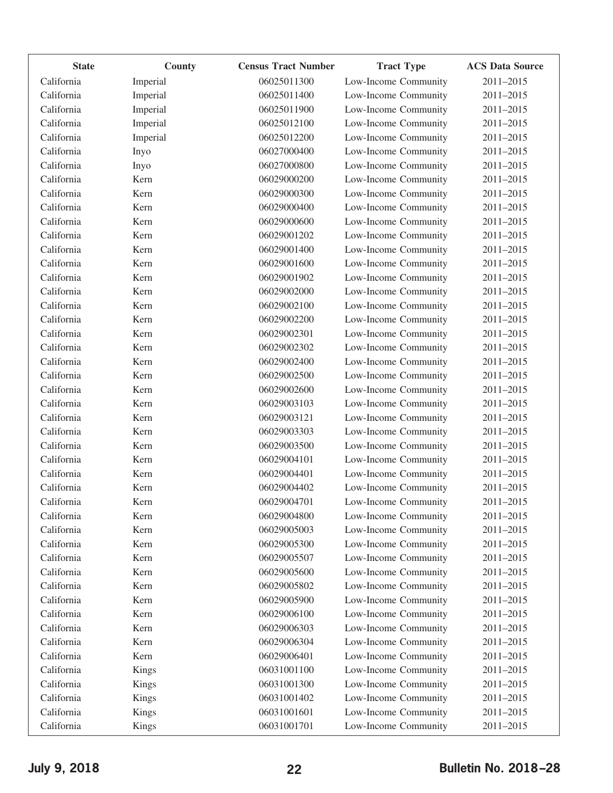| <b>State</b> | County       | <b>Census Tract Number</b> | <b>Tract Type</b>    | <b>ACS Data Source</b> |
|--------------|--------------|----------------------------|----------------------|------------------------|
| California   | Imperial     | 06025011300                | Low-Income Community | 2011-2015              |
| California   | Imperial     | 06025011400                | Low-Income Community | 2011-2015              |
| California   | Imperial     | 06025011900                | Low-Income Community | 2011-2015              |
| California   | Imperial     | 06025012100                | Low-Income Community | 2011-2015              |
| California   | Imperial     | 06025012200                | Low-Income Community | 2011-2015              |
| California   | Inyo         | 06027000400                | Low-Income Community | 2011-2015              |
| California   | Inyo         | 06027000800                | Low-Income Community | 2011-2015              |
| California   | Kern         | 06029000200                | Low-Income Community | 2011-2015              |
| California   | Kern         | 06029000300                | Low-Income Community | 2011-2015              |
| California   | Kern         | 06029000400                | Low-Income Community | 2011-2015              |
| California   | Kern         | 06029000600                | Low-Income Community | 2011-2015              |
| California   | Kern         | 06029001202                | Low-Income Community | 2011-2015              |
| California   | Kern         | 06029001400                | Low-Income Community | 2011-2015              |
| California   | Kern         | 06029001600                | Low-Income Community | 2011-2015              |
| California   | Kern         | 06029001902                | Low-Income Community | 2011-2015              |
| California   | Kern         | 06029002000                | Low-Income Community | 2011-2015              |
| California   | Kern         | 06029002100                | Low-Income Community | 2011-2015              |
| California   | Kern         | 06029002200                | Low-Income Community | 2011-2015              |
| California   | Kern         | 06029002301                | Low-Income Community | 2011-2015              |
| California   | Kern         | 06029002302                | Low-Income Community | 2011-2015              |
| California   | Kern         | 06029002400                | Low-Income Community | 2011-2015              |
| California   | Kern         | 06029002500                | Low-Income Community | 2011-2015              |
| California   | Kern         | 06029002600                | Low-Income Community | 2011-2015              |
| California   | Kern         | 06029003103                | Low-Income Community | 2011-2015              |
| California   | Kern         | 06029003121                | Low-Income Community | 2011-2015              |
| California   | Kern         | 06029003303                | Low-Income Community | 2011-2015              |
| California   | Kern         | 06029003500                | Low-Income Community | 2011-2015              |
| California   | Kern         | 06029004101                | Low-Income Community | 2011-2015              |
| California   | Kern         | 06029004401                | Low-Income Community | 2011-2015              |
| California   | Kern         | 06029004402                | Low-Income Community | 2011-2015              |
| California   | Kern         | 06029004701                | Low-Income Community | 2011-2015              |
| California   | Kern         | 06029004800                | Low-Income Community | 2011-2015              |
| California   | Kern         | 06029005003                | Low-Income Community | 2011-2015              |
| California   | Kern         | 06029005300                | Low-Income Community | 2011-2015              |
| California   | Kern         | 06029005507                | Low-Income Community | 2011-2015              |
| California   | Kern         | 06029005600                | Low-Income Community | 2011-2015              |
| California   | Kern         | 06029005802                | Low-Income Community | 2011-2015              |
| California   | Kern         | 06029005900                | Low-Income Community | 2011-2015              |
| California   | Kern         | 06029006100                | Low-Income Community | 2011-2015              |
| California   | Kern         | 06029006303                | Low-Income Community | 2011-2015              |
| California   | Kern         | 06029006304                | Low-Income Community | 2011-2015              |
| California   | Kern         | 06029006401                | Low-Income Community | 2011-2015              |
| California   | Kings        | 06031001100                | Low-Income Community | 2011-2015              |
| California   | Kings        | 06031001300                | Low-Income Community | 2011-2015              |
| California   | <b>Kings</b> | 06031001402                | Low-Income Community | 2011-2015              |
| California   | <b>Kings</b> | 06031001601                | Low-Income Community | 2011-2015              |
| California   | <b>Kings</b> | 06031001701                | Low-Income Community | 2011-2015              |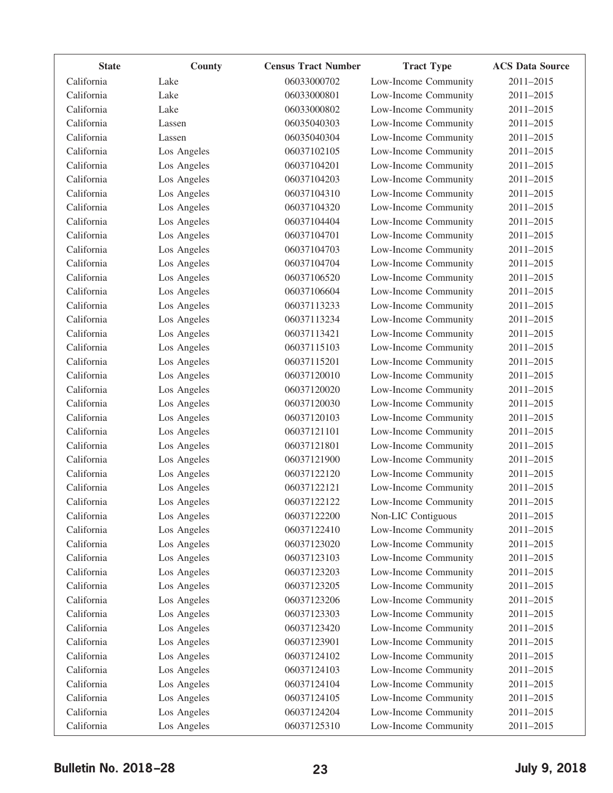| <b>State</b> | County      | <b>Census Tract Number</b> | <b>Tract Type</b>    | <b>ACS Data Source</b> |
|--------------|-------------|----------------------------|----------------------|------------------------|
| California   | Lake        | 06033000702                | Low-Income Community | 2011-2015              |
| California   | Lake        | 06033000801                | Low-Income Community | 2011-2015              |
| California   | Lake        | 06033000802                | Low-Income Community | 2011-2015              |
| California   | Lassen      | 06035040303                | Low-Income Community | 2011-2015              |
| California   | Lassen      | 06035040304                | Low-Income Community | 2011-2015              |
| California   | Los Angeles | 06037102105                | Low-Income Community | 2011-2015              |
| California   | Los Angeles | 06037104201                | Low-Income Community | 2011-2015              |
| California   | Los Angeles | 06037104203                | Low-Income Community | 2011-2015              |
| California   | Los Angeles | 06037104310                | Low-Income Community | 2011-2015              |
| California   | Los Angeles | 06037104320                | Low-Income Community | 2011-2015              |
| California   | Los Angeles | 06037104404                | Low-Income Community | 2011-2015              |
| California   | Los Angeles | 06037104701                | Low-Income Community | 2011-2015              |
| California   | Los Angeles | 06037104703                | Low-Income Community | 2011-2015              |
| California   | Los Angeles | 06037104704                | Low-Income Community | 2011-2015              |
| California   | Los Angeles | 06037106520                | Low-Income Community | 2011-2015              |
| California   | Los Angeles | 06037106604                | Low-Income Community | 2011-2015              |
| California   | Los Angeles | 06037113233                | Low-Income Community | 2011-2015              |
| California   | Los Angeles | 06037113234                | Low-Income Community | 2011-2015              |
| California   | Los Angeles | 06037113421                | Low-Income Community | 2011-2015              |
| California   | Los Angeles | 06037115103                | Low-Income Community | 2011-2015              |
| California   | Los Angeles | 06037115201                | Low-Income Community | 2011-2015              |
| California   | Los Angeles | 06037120010                | Low-Income Community | 2011-2015              |
| California   | Los Angeles | 06037120020                | Low-Income Community | 2011-2015              |
| California   | Los Angeles | 06037120030                | Low-Income Community | 2011-2015              |
| California   | Los Angeles | 06037120103                | Low-Income Community | 2011-2015              |
| California   | Los Angeles | 06037121101                | Low-Income Community | 2011-2015              |
| California   | Los Angeles | 06037121801                | Low-Income Community | 2011-2015              |
| California   | Los Angeles | 06037121900                | Low-Income Community | 2011-2015              |
| California   | Los Angeles | 06037122120                | Low-Income Community | 2011-2015              |
| California   | Los Angeles | 06037122121                | Low-Income Community | 2011-2015              |
| California   | Los Angeles | 06037122122                | Low-Income Community | 2011-2015              |
| California   | Los Angeles | 06037122200                | Non-LIC Contiguous   | 2011-2015              |
| California   | Los Angeles | 06037122410                | Low-Income Community | 2011-2015              |
| California   | Los Angeles | 06037123020                | Low-Income Community | 2011-2015              |
| California   | Los Angeles | 06037123103                | Low-Income Community | 2011-2015              |
| California   | Los Angeles | 06037123203                | Low-Income Community | 2011-2015              |
| California   | Los Angeles | 06037123205                | Low-Income Community | 2011-2015              |
| California   | Los Angeles | 06037123206                | Low-Income Community | 2011-2015              |
| California   | Los Angeles | 06037123303                | Low-Income Community | 2011-2015              |
| California   | Los Angeles | 06037123420                | Low-Income Community | 2011-2015              |
| California   | Los Angeles | 06037123901                | Low-Income Community | 2011-2015              |
| California   | Los Angeles | 06037124102                | Low-Income Community | 2011-2015              |
| California   | Los Angeles | 06037124103                | Low-Income Community | 2011-2015              |
| California   | Los Angeles | 06037124104                | Low-Income Community | 2011-2015              |
| California   | Los Angeles | 06037124105                | Low-Income Community | 2011-2015              |
| California   | Los Angeles | 06037124204                | Low-Income Community | 2011-2015              |
| California   | Los Angeles | 06037125310                | Low-Income Community | 2011-2015              |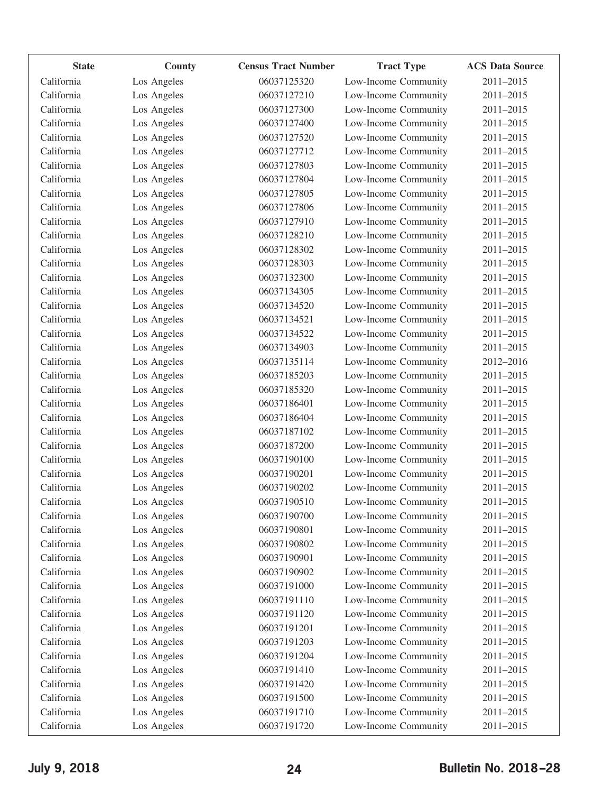| <b>State</b> | County      | <b>Census Tract Number</b> | <b>Tract Type</b>    | <b>ACS Data Source</b> |
|--------------|-------------|----------------------------|----------------------|------------------------|
| California   | Los Angeles | 06037125320                | Low-Income Community | 2011-2015              |
| California   | Los Angeles | 06037127210                | Low-Income Community | 2011-2015              |
| California   | Los Angeles | 06037127300                | Low-Income Community | 2011-2015              |
| California   | Los Angeles | 06037127400                | Low-Income Community | 2011-2015              |
| California   | Los Angeles | 06037127520                | Low-Income Community | 2011-2015              |
| California   | Los Angeles | 06037127712                | Low-Income Community | 2011-2015              |
| California   | Los Angeles | 06037127803                | Low-Income Community | 2011-2015              |
| California   | Los Angeles | 06037127804                | Low-Income Community | 2011-2015              |
| California   | Los Angeles | 06037127805                | Low-Income Community | 2011-2015              |
| California   | Los Angeles | 06037127806                | Low-Income Community | 2011-2015              |
| California   | Los Angeles | 06037127910                | Low-Income Community | 2011-2015              |
| California   | Los Angeles | 06037128210                | Low-Income Community | 2011-2015              |
| California   | Los Angeles | 06037128302                | Low-Income Community | 2011-2015              |
| California   | Los Angeles | 06037128303                | Low-Income Community | 2011-2015              |
| California   | Los Angeles | 06037132300                | Low-Income Community | 2011-2015              |
| California   | Los Angeles | 06037134305                | Low-Income Community | 2011-2015              |
| California   | Los Angeles | 06037134520                | Low-Income Community | 2011-2015              |
| California   | Los Angeles | 06037134521                | Low-Income Community | 2011-2015              |
| California   | Los Angeles | 06037134522                | Low-Income Community | 2011-2015              |
| California   | Los Angeles | 06037134903                | Low-Income Community | 2011-2015              |
| California   | Los Angeles | 06037135114                | Low-Income Community | 2012-2016              |
| California   | Los Angeles | 06037185203                | Low-Income Community | 2011-2015              |
| California   | Los Angeles | 06037185320                | Low-Income Community | 2011-2015              |
| California   | Los Angeles | 06037186401                | Low-Income Community | 2011-2015              |
| California   | Los Angeles | 06037186404                | Low-Income Community | 2011-2015              |
| California   | Los Angeles | 06037187102                | Low-Income Community | 2011-2015              |
| California   | Los Angeles | 06037187200                | Low-Income Community | 2011-2015              |
| California   | Los Angeles | 06037190100                | Low-Income Community | 2011-2015              |
| California   | Los Angeles | 06037190201                | Low-Income Community | 2011-2015              |
| California   | Los Angeles | 06037190202                | Low-Income Community | 2011-2015              |
| California   | Los Angeles | 06037190510                | Low-Income Community | 2011-2015              |
| California   | Los Angeles | 06037190700                | Low-Income Community | 2011-2015              |
| California   | Los Angeles | 06037190801                | Low-Income Community | $2011 - 2015$          |
| California   | Los Angeles | 06037190802                | Low-Income Community | 2011-2015              |
| California   | Los Angeles | 06037190901                | Low-Income Community | 2011-2015              |
| California   | Los Angeles | 06037190902                | Low-Income Community | 2011-2015              |
| California   | Los Angeles | 06037191000                | Low-Income Community | 2011-2015              |
| California   | Los Angeles | 06037191110                | Low-Income Community | 2011-2015              |
| California   | Los Angeles | 06037191120                | Low-Income Community | 2011-2015              |
| California   | Los Angeles | 06037191201                | Low-Income Community | 2011-2015              |
| California   | Los Angeles | 06037191203                | Low-Income Community | 2011-2015              |
| California   | Los Angeles | 06037191204                | Low-Income Community | 2011-2015              |
| California   | Los Angeles | 06037191410                | Low-Income Community | 2011-2015              |
| California   | Los Angeles | 06037191420                | Low-Income Community | 2011-2015              |
| California   | Los Angeles | 06037191500                | Low-Income Community | 2011-2015              |
| California   | Los Angeles | 06037191710                | Low-Income Community | 2011-2015              |
| California   |             | 06037191720                | Low-Income Community | 2011-2015              |
|              | Los Angeles |                            |                      |                        |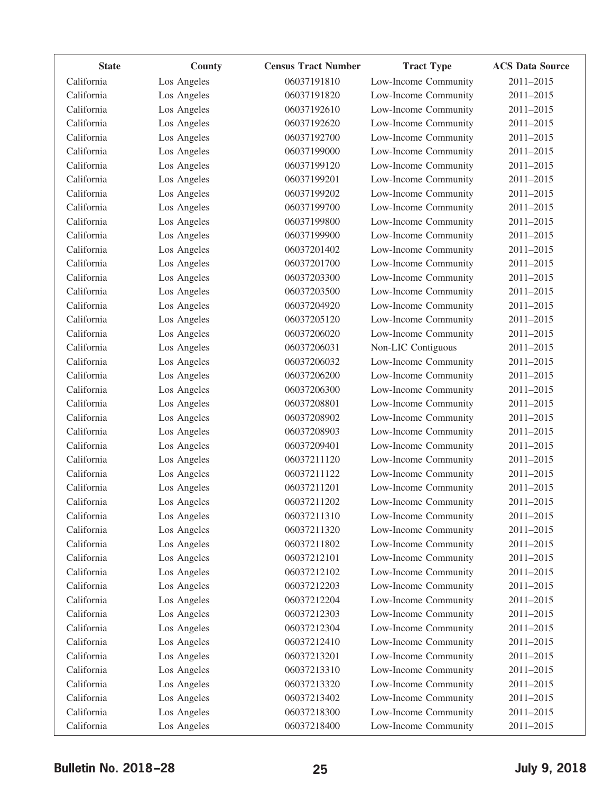| <b>State</b> | County      | <b>Census Tract Number</b> | <b>Tract Type</b>    | <b>ACS Data Source</b> |
|--------------|-------------|----------------------------|----------------------|------------------------|
| California   | Los Angeles | 06037191810                | Low-Income Community | 2011-2015              |
| California   | Los Angeles | 06037191820                | Low-Income Community | 2011-2015              |
| California   | Los Angeles | 06037192610                | Low-Income Community | 2011-2015              |
| California   | Los Angeles | 06037192620                | Low-Income Community | 2011-2015              |
| California   | Los Angeles | 06037192700                | Low-Income Community | 2011-2015              |
| California   | Los Angeles | 06037199000                | Low-Income Community | 2011-2015              |
| California   | Los Angeles | 06037199120                | Low-Income Community | 2011-2015              |
| California   | Los Angeles | 06037199201                | Low-Income Community | 2011-2015              |
| California   | Los Angeles | 06037199202                | Low-Income Community | 2011-2015              |
| California   | Los Angeles | 06037199700                | Low-Income Community | 2011-2015              |
| California   | Los Angeles | 06037199800                | Low-Income Community | 2011-2015              |
| California   | Los Angeles | 06037199900                | Low-Income Community | 2011-2015              |
| California   | Los Angeles | 06037201402                | Low-Income Community | 2011-2015              |
| California   | Los Angeles | 06037201700                | Low-Income Community | 2011-2015              |
| California   | Los Angeles | 06037203300                | Low-Income Community | 2011-2015              |
| California   | Los Angeles | 06037203500                | Low-Income Community | 2011-2015              |
| California   | Los Angeles | 06037204920                | Low-Income Community | 2011-2015              |
| California   | Los Angeles | 06037205120                | Low-Income Community | 2011-2015              |
| California   | Los Angeles | 06037206020                | Low-Income Community | 2011-2015              |
| California   | Los Angeles | 06037206031                | Non-LIC Contiguous   | 2011-2015              |
| California   | Los Angeles | 06037206032                | Low-Income Community | 2011-2015              |
| California   | Los Angeles | 06037206200                | Low-Income Community | 2011-2015              |
| California   | Los Angeles | 06037206300                | Low-Income Community | 2011-2015              |
| California   | Los Angeles | 06037208801                | Low-Income Community | 2011-2015              |
| California   | Los Angeles | 06037208902                | Low-Income Community | 2011-2015              |
| California   | Los Angeles | 06037208903                | Low-Income Community | 2011-2015              |
| California   | Los Angeles | 06037209401                | Low-Income Community | 2011-2015              |
| California   | Los Angeles | 06037211120                | Low-Income Community | 2011-2015              |
| California   | Los Angeles | 06037211122                | Low-Income Community | 2011-2015              |
| California   | Los Angeles | 06037211201                | Low-Income Community | 2011-2015              |
| California   | Los Angeles | 06037211202                | Low-Income Community | 2011-2015              |
| California   | Los Angeles | 06037211310                | Low-Income Community | 2011-2015              |
| California   | Los Angeles | 06037211320                | Low-Income Community | 2011-2015              |
| California   | Los Angeles | 06037211802                | Low-Income Community | 2011-2015              |
| California   | Los Angeles | 06037212101                | Low-Income Community | 2011-2015              |
| California   | Los Angeles | 06037212102                | Low-Income Community | 2011-2015              |
| California   | Los Angeles | 06037212203                | Low-Income Community | 2011-2015              |
| California   | Los Angeles | 06037212204                | Low-Income Community | 2011-2015              |
| California   | Los Angeles | 06037212303                | Low-Income Community | 2011-2015              |
| California   | Los Angeles | 06037212304                | Low-Income Community | 2011-2015              |
| California   | Los Angeles | 06037212410                | Low-Income Community | 2011-2015              |
| California   | Los Angeles | 06037213201                | Low-Income Community | 2011-2015              |
| California   | Los Angeles | 06037213310                | Low-Income Community | 2011-2015              |
| California   | Los Angeles | 06037213320                | Low-Income Community | 2011-2015              |
| California   | Los Angeles | 06037213402                | Low-Income Community | 2011-2015              |
| California   | Los Angeles | 06037218300                | Low-Income Community | 2011-2015              |
| California   | Los Angeles | 06037218400                | Low-Income Community | 2011-2015              |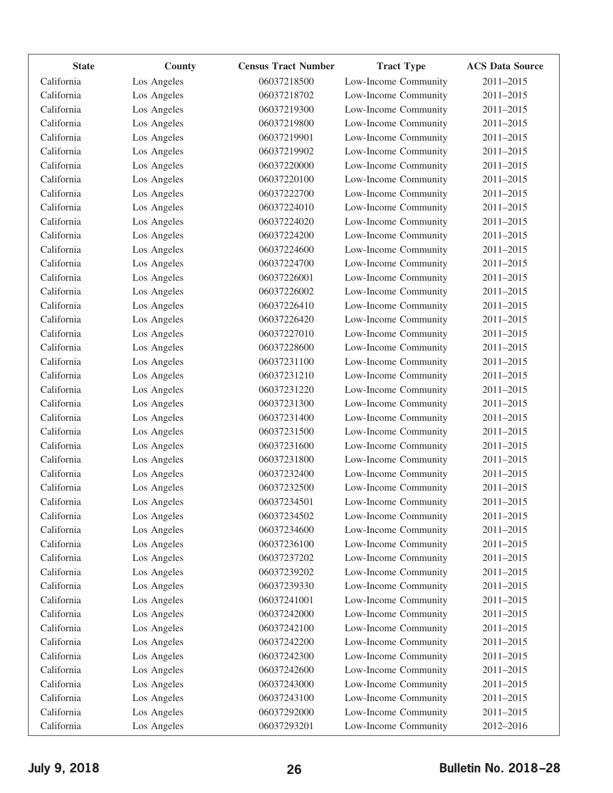| <b>State</b> | County      | <b>Census Tract Number</b> | <b>Tract Type</b>    | <b>ACS Data Source</b> |
|--------------|-------------|----------------------------|----------------------|------------------------|
| California   | Los Angeles | 06037218500                | Low-Income Community | 2011-2015              |
| California   | Los Angeles | 06037218702                | Low-Income Community | 2011-2015              |
| California   | Los Angeles | 06037219300                | Low-Income Community | 2011-2015              |
| California   | Los Angeles | 06037219800                | Low-Income Community | 2011-2015              |
| California   | Los Angeles | 06037219901                | Low-Income Community | 2011-2015              |
| California   | Los Angeles | 06037219902                | Low-Income Community | 2011-2015              |
| California   | Los Angeles | 06037220000                | Low-Income Community | 2011-2015              |
| California   | Los Angeles | 06037220100                | Low-Income Community | 2011-2015              |
| California   | Los Angeles | 06037222700                | Low-Income Community | 2011-2015              |
| California   | Los Angeles | 06037224010                | Low-Income Community | 2011-2015              |
| California   | Los Angeles | 06037224020                | Low-Income Community | 2011-2015              |
| California   | Los Angeles | 06037224200                | Low-Income Community | 2011-2015              |
| California   | Los Angeles | 06037224600                | Low-Income Community | 2011-2015              |
| California   | Los Angeles | 06037224700                | Low-Income Community | 2011-2015              |
| California   | Los Angeles | 06037226001                | Low-Income Community | 2011-2015              |
| California   | Los Angeles | 06037226002                | Low-Income Community | 2011-2015              |
| California   | Los Angeles | 06037226410                | Low-Income Community | 2011-2015              |
| California   | Los Angeles | 06037226420                | Low-Income Community | 2011-2015              |
| California   | Los Angeles | 06037227010                | Low-Income Community | 2011-2015              |
| California   | Los Angeles | 06037228600                | Low-Income Community | 2011-2015              |
| California   | Los Angeles | 06037231100                | Low-Income Community | 2011-2015              |
| California   | Los Angeles | 06037231210                | Low-Income Community | 2011-2015              |
| California   | Los Angeles | 06037231220                | Low-Income Community | 2011-2015              |
| California   | Los Angeles | 06037231300                | Low-Income Community | 2011-2015              |
| California   | Los Angeles | 06037231400                | Low-Income Community | 2011-2015              |
| California   | Los Angeles | 06037231500                | Low-Income Community | 2011-2015              |
| California   | Los Angeles | 06037231600                | Low-Income Community | 2011-2015              |
| California   | Los Angeles | 06037231800                | Low-Income Community | 2011-2015              |
| California   | Los Angeles | 06037232400                | Low-Income Community | 2011-2015              |
| California   | Los Angeles | 06037232500                | Low-Income Community | 2011-2015              |
| California   | Los Angeles | 06037234501                | Low-Income Community | 2011-2015              |
| California   | Los Angeles | 06037234502                | Low-Income Community | 2011-2015              |
| California   | Los Angeles | 06037234600                | Low-Income Community | 2011-2015              |
| California   | Los Angeles | 06037236100                | Low-Income Community | 2011-2015              |
| California   | Los Angeles | 06037237202                | Low-Income Community | 2011-2015              |
| California   | Los Angeles | 06037239202                | Low-Income Community | 2011-2015              |
| California   | Los Angeles | 06037239330                | Low-Income Community | 2011-2015              |
| California   | Los Angeles | 06037241001                | Low-Income Community | 2011-2015              |
| California   | Los Angeles | 06037242000                | Low-Income Community | 2011-2015              |
| California   | Los Angeles | 06037242100                | Low-Income Community | 2011-2015              |
| California   | Los Angeles | 06037242200                | Low-Income Community | 2011-2015              |
| California   | Los Angeles | 06037242300                | Low-Income Community | 2011-2015              |
| California   | Los Angeles | 06037242600                | Low-Income Community | 2011-2015              |
| California   | Los Angeles | 06037243000                | Low-Income Community | 2011-2015              |
| California   | Los Angeles | 06037243100                | Low-Income Community | 2011-2015              |
| California   | Los Angeles | 06037292000                | Low-Income Community | 2011-2015              |
| California   | Los Angeles | 06037293201                | Low-Income Community | 2012-2016              |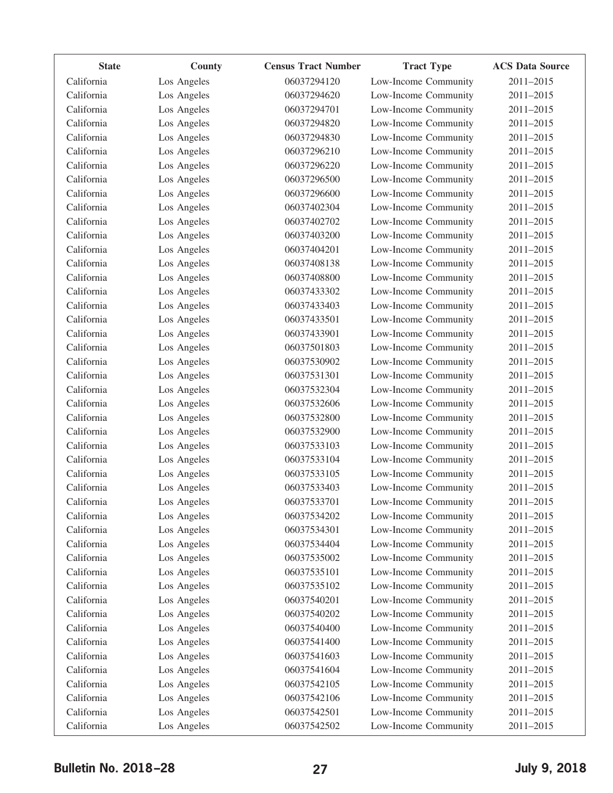| <b>State</b> | County      | <b>Census Tract Number</b> | <b>Tract Type</b>    | <b>ACS Data Source</b> |
|--------------|-------------|----------------------------|----------------------|------------------------|
| California   | Los Angeles | 06037294120                | Low-Income Community | 2011-2015              |
| California   | Los Angeles | 06037294620                | Low-Income Community | 2011-2015              |
| California   | Los Angeles | 06037294701                | Low-Income Community | 2011-2015              |
| California   | Los Angeles | 06037294820                | Low-Income Community | 2011-2015              |
| California   | Los Angeles | 06037294830                | Low-Income Community | 2011-2015              |
| California   | Los Angeles | 06037296210                | Low-Income Community | 2011-2015              |
| California   | Los Angeles | 06037296220                | Low-Income Community | 2011-2015              |
| California   | Los Angeles | 06037296500                | Low-Income Community | 2011-2015              |
| California   | Los Angeles | 06037296600                | Low-Income Community | 2011-2015              |
| California   | Los Angeles | 06037402304                | Low-Income Community | 2011-2015              |
| California   | Los Angeles | 06037402702                | Low-Income Community | 2011-2015              |
| California   | Los Angeles | 06037403200                | Low-Income Community | 2011-2015              |
| California   | Los Angeles | 06037404201                | Low-Income Community | 2011-2015              |
| California   | Los Angeles | 06037408138                | Low-Income Community | 2011-2015              |
| California   | Los Angeles | 06037408800                | Low-Income Community | 2011-2015              |
| California   | Los Angeles | 06037433302                | Low-Income Community | 2011-2015              |
| California   | Los Angeles | 06037433403                | Low-Income Community | 2011-2015              |
| California   | Los Angeles | 06037433501                | Low-Income Community | 2011-2015              |
| California   | Los Angeles | 06037433901                | Low-Income Community | 2011-2015              |
| California   | Los Angeles | 06037501803                | Low-Income Community | 2011-2015              |
| California   | Los Angeles | 06037530902                | Low-Income Community | 2011-2015              |
| California   | Los Angeles | 06037531301                | Low-Income Community | 2011-2015              |
| California   | Los Angeles | 06037532304                | Low-Income Community | 2011-2015              |
| California   | Los Angeles | 06037532606                | Low-Income Community | 2011-2015              |
| California   | Los Angeles | 06037532800                | Low-Income Community | 2011-2015              |
| California   | Los Angeles | 06037532900                | Low-Income Community | 2011-2015              |
| California   | Los Angeles | 06037533103                | Low-Income Community | 2011-2015              |
| California   | Los Angeles | 06037533104                | Low-Income Community | 2011-2015              |
| California   | Los Angeles | 06037533105                | Low-Income Community | 2011-2015              |
| California   | Los Angeles | 06037533403                | Low-Income Community | 2011-2015              |
| California   | Los Angeles | 06037533701                | Low-Income Community | 2011-2015              |
| California   | Los Angeles | 06037534202                | Low-Income Community | 2011-2015              |
| California   | Los Angeles | 06037534301                | Low-Income Community | 2011-2015              |
| California   | Los Angeles | 06037534404                | Low-Income Community | 2011-2015              |
| California   | Los Angeles | 06037535002                | Low-Income Community | 2011-2015              |
| California   | Los Angeles | 06037535101                | Low-Income Community | 2011-2015              |
| California   | Los Angeles | 06037535102                | Low-Income Community | 2011-2015              |
| California   | Los Angeles | 06037540201                | Low-Income Community | 2011-2015              |
| California   | Los Angeles | 06037540202                | Low-Income Community | 2011-2015              |
| California   | Los Angeles | 06037540400                | Low-Income Community | 2011-2015              |
| California   | Los Angeles | 06037541400                | Low-Income Community | 2011-2015              |
| California   | Los Angeles | 06037541603                | Low-Income Community | 2011-2015              |
| California   | Los Angeles | 06037541604                | Low-Income Community | 2011-2015              |
| California   | Los Angeles | 06037542105                | Low-Income Community | 2011-2015              |
| California   | Los Angeles | 06037542106                | Low-Income Community | 2011-2015              |
| California   | Los Angeles | 06037542501                | Low-Income Community | 2011-2015              |
| California   | Los Angeles | 06037542502                | Low-Income Community | 2011-2015              |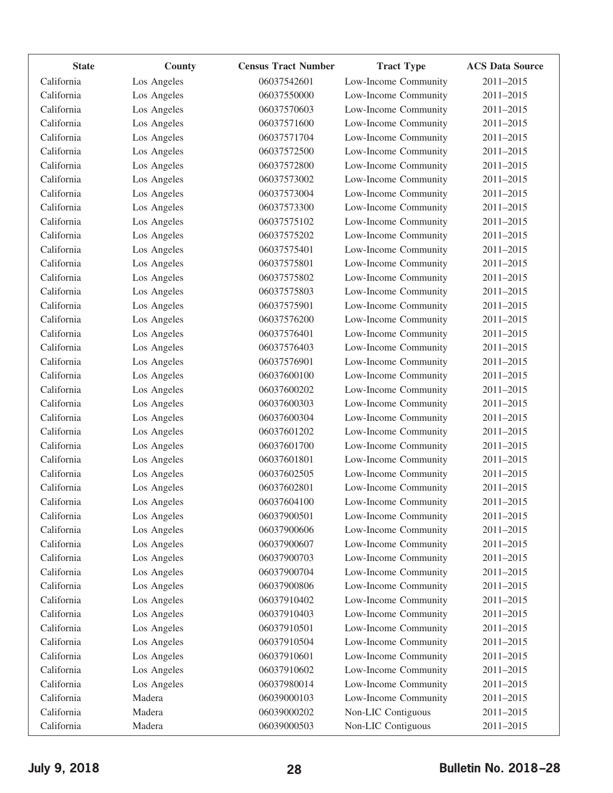| <b>State</b> | County      | <b>Census Tract Number</b> | <b>Tract Type</b>    | <b>ACS Data Source</b> |
|--------------|-------------|----------------------------|----------------------|------------------------|
| California   | Los Angeles | 06037542601                | Low-Income Community | 2011-2015              |
| California   | Los Angeles | 06037550000                | Low-Income Community | 2011-2015              |
| California   | Los Angeles | 06037570603                | Low-Income Community | 2011-2015              |
| California   | Los Angeles | 06037571600                | Low-Income Community | 2011-2015              |
| California   | Los Angeles | 06037571704                | Low-Income Community | 2011-2015              |
| California   | Los Angeles | 06037572500                | Low-Income Community | 2011-2015              |
| California   | Los Angeles | 06037572800                | Low-Income Community | 2011-2015              |
| California   | Los Angeles | 06037573002                | Low-Income Community | 2011-2015              |
| California   | Los Angeles | 06037573004                | Low-Income Community | 2011-2015              |
| California   | Los Angeles | 06037573300                | Low-Income Community | 2011-2015              |
| California   | Los Angeles | 06037575102                | Low-Income Community | 2011-2015              |
| California   | Los Angeles | 06037575202                | Low-Income Community | 2011-2015              |
| California   | Los Angeles | 06037575401                | Low-Income Community | 2011-2015              |
| California   | Los Angeles | 06037575801                | Low-Income Community | 2011-2015              |
| California   | Los Angeles | 06037575802                | Low-Income Community | 2011-2015              |
| California   | Los Angeles | 06037575803                | Low-Income Community | 2011-2015              |
| California   | Los Angeles | 06037575901                | Low-Income Community | 2011-2015              |
| California   | Los Angeles | 06037576200                | Low-Income Community | 2011-2015              |
| California   | Los Angeles | 06037576401                | Low-Income Community | 2011-2015              |
| California   | Los Angeles | 06037576403                | Low-Income Community | 2011-2015              |
| California   | Los Angeles | 06037576901                | Low-Income Community | 2011-2015              |
| California   | Los Angeles | 06037600100                | Low-Income Community | 2011-2015              |
| California   | Los Angeles | 06037600202                | Low-Income Community | 2011-2015              |
| California   | Los Angeles | 06037600303                | Low-Income Community | 2011-2015              |
| California   | Los Angeles | 06037600304                | Low-Income Community | 2011-2015              |
| California   | Los Angeles | 06037601202                | Low-Income Community | 2011-2015              |
| California   | Los Angeles | 06037601700                | Low-Income Community | 2011-2015              |
| California   | Los Angeles | 06037601801                | Low-Income Community | 2011-2015              |
| California   | Los Angeles | 06037602505                | Low-Income Community | 2011-2015              |
| California   | Los Angeles | 06037602801                | Low-Income Community | 2011-2015              |
| California   | Los Angeles | 06037604100                | Low-Income Community | 2011-2015              |
| California   | Los Angeles | 06037900501                | Low-Income Community | 2011-2015              |
| California   | Los Angeles | 06037900606                | Low-Income Community | 2011-2015              |
| California   | Los Angeles | 06037900607                | Low-Income Community | 2011-2015              |
| California   | Los Angeles | 06037900703                | Low-Income Community | 2011-2015              |
| California   | Los Angeles | 06037900704                | Low-Income Community | 2011-2015              |
| California   | Los Angeles | 06037900806                | Low-Income Community | 2011-2015              |
| California   | Los Angeles | 06037910402                | Low-Income Community | 2011-2015              |
| California   | Los Angeles | 06037910403                | Low-Income Community | 2011-2015              |
| California   | Los Angeles | 06037910501                | Low-Income Community | 2011-2015              |
| California   | Los Angeles | 06037910504                | Low-Income Community | 2011-2015              |
| California   | Los Angeles | 06037910601                | Low-Income Community | 2011-2015              |
| California   | Los Angeles | 06037910602                | Low-Income Community | 2011-2015              |
| California   | Los Angeles | 06037980014                | Low-Income Community | 2011-2015              |
| California   | Madera      | 06039000103                | Low-Income Community | 2011-2015              |
| California   | Madera      | 06039000202                | Non-LIC Contiguous   | 2011-2015              |
| California   | Madera      | 06039000503                | Non-LIC Contiguous   | 2011-2015              |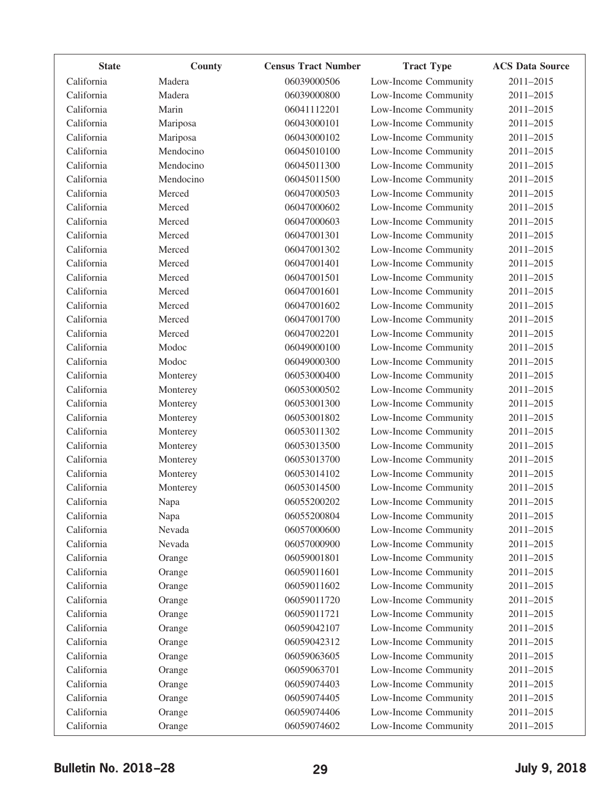| <b>State</b> | County    | <b>Census Tract Number</b> | <b>Tract Type</b>    | <b>ACS Data Source</b> |
|--------------|-----------|----------------------------|----------------------|------------------------|
| California   | Madera    | 06039000506                | Low-Income Community | 2011-2015              |
| California   | Madera    | 06039000800                | Low-Income Community | 2011-2015              |
| California   | Marin     | 06041112201                | Low-Income Community | 2011-2015              |
| California   | Mariposa  | 06043000101                | Low-Income Community | 2011-2015              |
| California   | Mariposa  | 06043000102                | Low-Income Community | 2011-2015              |
| California   | Mendocino | 06045010100                | Low-Income Community | 2011-2015              |
| California   | Mendocino | 06045011300                | Low-Income Community | 2011-2015              |
| California   | Mendocino | 06045011500                | Low-Income Community | 2011-2015              |
| California   | Merced    | 06047000503                | Low-Income Community | 2011-2015              |
| California   | Merced    | 06047000602                | Low-Income Community | 2011-2015              |
| California   | Merced    | 06047000603                | Low-Income Community | 2011-2015              |
| California   | Merced    | 06047001301                | Low-Income Community | 2011-2015              |
| California   | Merced    | 06047001302                | Low-Income Community | 2011-2015              |
| California   | Merced    | 06047001401                | Low-Income Community | 2011-2015              |
| California   | Merced    | 06047001501                | Low-Income Community | 2011-2015              |
| California   | Merced    | 06047001601                | Low-Income Community | 2011-2015              |
| California   | Merced    | 06047001602                | Low-Income Community | 2011-2015              |
| California   | Merced    | 06047001700                | Low-Income Community | 2011-2015              |
| California   | Merced    | 06047002201                | Low-Income Community | 2011-2015              |
| California   | Modoc     | 06049000100                | Low-Income Community | 2011-2015              |
| California   | Modoc     | 06049000300                | Low-Income Community | 2011-2015              |
| California   | Monterey  | 06053000400                | Low-Income Community | 2011-2015              |
| California   | Monterey  | 06053000502                | Low-Income Community | 2011-2015              |
| California   | Monterey  | 06053001300                | Low-Income Community | 2011-2015              |
| California   | Monterey  | 06053001802                | Low-Income Community | 2011-2015              |
| California   | Monterey  | 06053011302                | Low-Income Community | 2011-2015              |
| California   | Monterey  | 06053013500                | Low-Income Community | 2011-2015              |
| California   | Monterey  | 06053013700                | Low-Income Community | 2011-2015              |
| California   | Monterey  | 06053014102                | Low-Income Community | 2011-2015              |
| California   | Monterey  | 06053014500                | Low-Income Community | 2011-2015              |
| California   | Napa      | 06055200202                | Low-Income Community | 2011-2015              |
| California   | Napa      | 06055200804                | Low-Income Community | 2011-2015              |
| California   | Nevada    | 06057000600                | Low-Income Community | 2011-2015              |
| California   | Nevada    | 06057000900                | Low-Income Community | 2011-2015              |
| California   | Orange    | 06059001801                | Low-Income Community | 2011-2015              |
| California   | Orange    | 06059011601                | Low-Income Community | 2011-2015              |
| California   | Orange    | 06059011602                | Low-Income Community | 2011-2015              |
| California   | Orange    | 06059011720                | Low-Income Community | 2011-2015              |
| California   | Orange    | 06059011721                | Low-Income Community | 2011-2015              |
| California   | Orange    | 06059042107                | Low-Income Community | 2011-2015              |
| California   | Orange    | 06059042312                | Low-Income Community | 2011-2015              |
| California   | Orange    | 06059063605                | Low-Income Community | 2011-2015              |
| California   | Orange    | 06059063701                | Low-Income Community | 2011-2015              |
| California   | Orange    | 06059074403                | Low-Income Community | 2011-2015              |
| California   | Orange    | 06059074405                | Low-Income Community | 2011-2015              |
| California   | Orange    | 06059074406                | Low-Income Community | 2011-2015              |
| California   | Orange    | 06059074602                | Low-Income Community | 2011-2015              |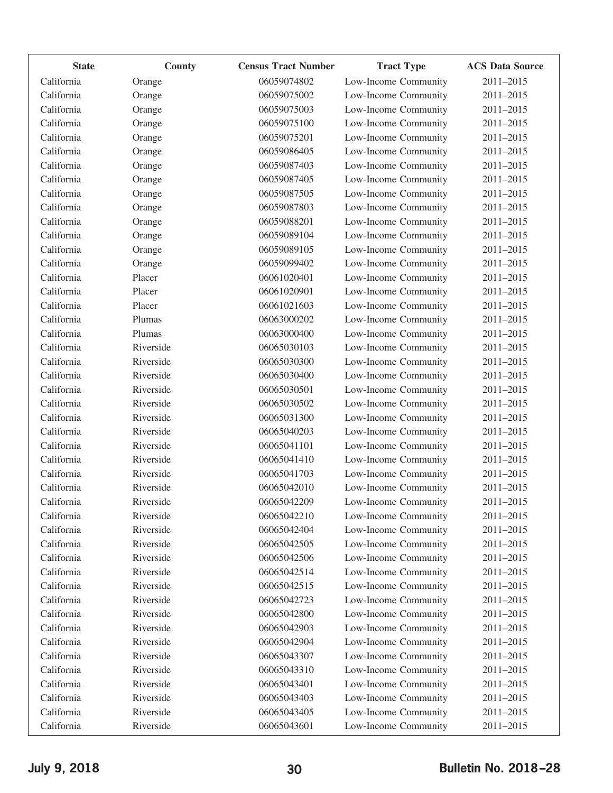| <b>State</b> | County    | <b>Census Tract Number</b> | <b>Tract Type</b>    | <b>ACS Data Source</b> |
|--------------|-----------|----------------------------|----------------------|------------------------|
| California   | Orange    | 06059074802                | Low-Income Community | 2011-2015              |
| California   | Orange    | 06059075002                | Low-Income Community | 2011-2015              |
| California   | Orange    | 06059075003                | Low-Income Community | 2011-2015              |
| California   | Orange    | 06059075100                | Low-Income Community | 2011-2015              |
| California   | Orange    | 06059075201                | Low-Income Community | 2011-2015              |
| California   | Orange    | 06059086405                | Low-Income Community | 2011-2015              |
| California   | Orange    | 06059087403                | Low-Income Community | 2011-2015              |
| California   | Orange    | 06059087405                | Low-Income Community | 2011-2015              |
| California   | Orange    | 06059087505                | Low-Income Community | 2011-2015              |
| California   | Orange    | 06059087803                | Low-Income Community | 2011-2015              |
| California   | Orange    | 06059088201                | Low-Income Community | 2011-2015              |
| California   | Orange    | 06059089104                | Low-Income Community | 2011-2015              |
| California   | Orange    | 06059089105                | Low-Income Community | 2011-2015              |
| California   | Orange    | 06059099402                | Low-Income Community | 2011-2015              |
| California   | Placer    | 06061020401                | Low-Income Community | 2011-2015              |
| California   | Placer    | 06061020901                | Low-Income Community | 2011-2015              |
| California   | Placer    | 06061021603                | Low-Income Community | 2011-2015              |
| California   | Plumas    | 06063000202                | Low-Income Community | 2011-2015              |
| California   | Plumas    | 06063000400                | Low-Income Community | 2011-2015              |
| California   | Riverside | 06065030103                | Low-Income Community | 2011-2015              |
| California   | Riverside | 06065030300                | Low-Income Community | 2011-2015              |
| California   | Riverside | 06065030400                | Low-Income Community | 2011-2015              |
| California   | Riverside | 06065030501                | Low-Income Community | 2011-2015              |
| California   | Riverside | 06065030502                | Low-Income Community | 2011-2015              |
| California   | Riverside | 06065031300                | Low-Income Community | 2011-2015              |
| California   | Riverside | 06065040203                | Low-Income Community | 2011-2015              |
| California   | Riverside | 06065041101                | Low-Income Community | 2011-2015              |
| California   | Riverside | 06065041410                | Low-Income Community | 2011-2015              |
| California   | Riverside | 06065041703                | Low-Income Community | 2011-2015              |
| California   | Riverside | 06065042010                | Low-Income Community | 2011-2015              |
| California   | Riverside | 06065042209                | Low-Income Community | 2011-2015              |
| California   | Riverside | 06065042210                | Low-Income Community | 2011-2015              |
| California   | Riverside | 06065042404                | Low-Income Community | 2011-2015              |
| California   | Riverside | 06065042505                | Low-Income Community | 2011-2015              |
| California   | Riverside | 06065042506                | Low-Income Community | 2011-2015              |
| California   | Riverside | 06065042514                | Low-Income Community | 2011-2015              |
| California   | Riverside | 06065042515                | Low-Income Community | 2011-2015              |
| California   | Riverside | 06065042723                | Low-Income Community | 2011-2015              |
| California   | Riverside | 06065042800                | Low-Income Community | 2011-2015              |
| California   | Riverside | 06065042903                | Low-Income Community | 2011-2015              |
| California   | Riverside | 06065042904                | Low-Income Community | 2011-2015              |
| California   | Riverside | 06065043307                | Low-Income Community | 2011-2015              |
| California   | Riverside | 06065043310                | Low-Income Community | 2011-2015              |
| California   | Riverside | 06065043401                | Low-Income Community | 2011-2015              |
| California   | Riverside | 06065043403                | Low-Income Community | 2011-2015              |
| California   | Riverside | 06065043405                | Low-Income Community | 2011-2015              |
| California   | Riverside | 06065043601                | Low-Income Community | 2011-2015              |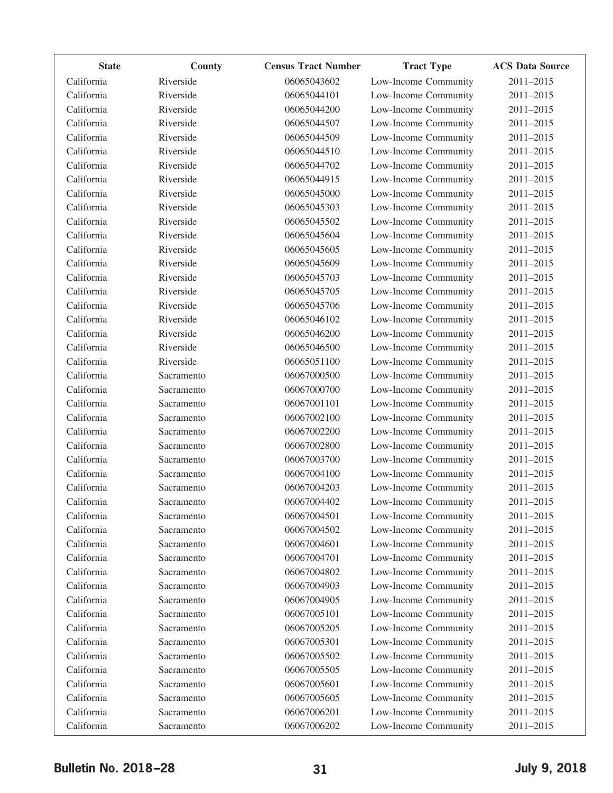| <b>State</b> | County     | <b>Census Tract Number</b> | <b>Tract Type</b>    | <b>ACS Data Source</b> |
|--------------|------------|----------------------------|----------------------|------------------------|
| California   | Riverside  | 06065043602                | Low-Income Community | 2011-2015              |
| California   | Riverside  | 06065044101                | Low-Income Community | 2011-2015              |
| California   | Riverside  | 06065044200                | Low-Income Community | 2011-2015              |
| California   | Riverside  | 06065044507                | Low-Income Community | 2011-2015              |
| California   | Riverside  | 06065044509                | Low-Income Community | 2011-2015              |
| California   | Riverside  | 06065044510                | Low-Income Community | 2011-2015              |
| California   | Riverside  | 06065044702                | Low-Income Community | 2011-2015              |
| California   | Riverside  | 06065044915                | Low-Income Community | 2011-2015              |
| California   | Riverside  | 06065045000                | Low-Income Community | 2011-2015              |
| California   | Riverside  | 06065045303                | Low-Income Community | 2011-2015              |
| California   | Riverside  | 06065045502                | Low-Income Community | 2011-2015              |
| California   | Riverside  | 06065045604                | Low-Income Community | 2011-2015              |
| California   | Riverside  | 06065045605                | Low-Income Community | 2011-2015              |
| California   | Riverside  | 06065045609                | Low-Income Community | 2011-2015              |
| California   | Riverside  | 06065045703                | Low-Income Community | 2011-2015              |
| California   | Riverside  | 06065045705                | Low-Income Community | 2011-2015              |
| California   | Riverside  | 06065045706                | Low-Income Community | 2011-2015              |
| California   | Riverside  | 06065046102                | Low-Income Community | 2011-2015              |
| California   | Riverside  | 06065046200                | Low-Income Community | 2011-2015              |
| California   | Riverside  | 06065046500                | Low-Income Community | 2011-2015              |
| California   | Riverside  | 06065051100                | Low-Income Community | 2011-2015              |
| California   | Sacramento | 06067000500                | Low-Income Community | 2011-2015              |
| California   | Sacramento | 06067000700                | Low-Income Community | 2011-2015              |
| California   | Sacramento | 06067001101                | Low-Income Community | 2011-2015              |
| California   | Sacramento | 06067002100                | Low-Income Community | 2011-2015              |
| California   | Sacramento | 06067002200                | Low-Income Community | 2011-2015              |
| California   | Sacramento | 06067002800                | Low-Income Community | 2011-2015              |
| California   | Sacramento | 06067003700                | Low-Income Community | 2011-2015              |
| California   | Sacramento | 06067004100                | Low-Income Community | 2011-2015              |
| California   | Sacramento | 06067004203                | Low-Income Community | 2011-2015              |
| California   | Sacramento | 06067004402                | Low-Income Community | 2011-2015              |
| California   | Sacramento | 06067004501                | Low-Income Community | 2011-2015              |
| California   | Sacramento | 06067004502                | Low-Income Community | 2011-2015              |
| California   | Sacramento | 06067004601                | Low-Income Community | 2011-2015              |
| California   | Sacramento | 06067004701                | Low-Income Community | 2011-2015              |
| California   | Sacramento | 06067004802                | Low-Income Community | 2011-2015              |
| California   | Sacramento | 06067004903                | Low-Income Community | 2011-2015              |
| California   | Sacramento | 06067004905                | Low-Income Community | 2011-2015              |
| California   | Sacramento | 06067005101                | Low-Income Community | 2011-2015              |
| California   | Sacramento | 06067005205                | Low-Income Community | 2011-2015              |
| California   | Sacramento | 06067005301                | Low-Income Community | 2011-2015              |
| California   | Sacramento | 06067005502                | Low-Income Community | 2011-2015              |
| California   | Sacramento | 06067005505                | Low-Income Community | 2011-2015              |
| California   | Sacramento | 06067005601                | Low-Income Community | 2011-2015              |
| California   | Sacramento | 06067005605                | Low-Income Community | 2011-2015              |
| California   | Sacramento | 06067006201                | Low-Income Community | 2011-2015              |
| California   | Sacramento | 06067006202                | Low-Income Community | 2011-2015              |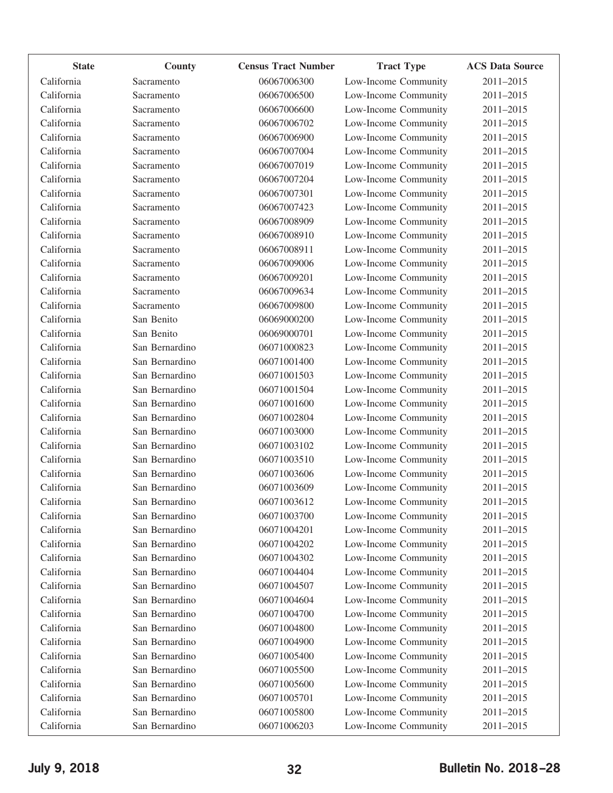| <b>State</b> | County         | <b>Census Tract Number</b> | <b>Tract Type</b>    | <b>ACS Data Source</b> |
|--------------|----------------|----------------------------|----------------------|------------------------|
| California   | Sacramento     | 06067006300                | Low-Income Community | 2011-2015              |
| California   | Sacramento     | 06067006500                | Low-Income Community | 2011-2015              |
| California   | Sacramento     | 06067006600                | Low-Income Community | 2011-2015              |
| California   | Sacramento     | 06067006702                | Low-Income Community | 2011-2015              |
| California   | Sacramento     | 06067006900                | Low-Income Community | 2011-2015              |
| California   | Sacramento     | 06067007004                | Low-Income Community | 2011-2015              |
| California   | Sacramento     | 06067007019                | Low-Income Community | 2011-2015              |
| California   | Sacramento     | 06067007204                | Low-Income Community | 2011-2015              |
| California   | Sacramento     | 06067007301                | Low-Income Community | 2011-2015              |
| California   | Sacramento     | 06067007423                | Low-Income Community | 2011-2015              |
| California   | Sacramento     | 06067008909                | Low-Income Community | 2011-2015              |
| California   | Sacramento     | 06067008910                | Low-Income Community | 2011-2015              |
| California   | Sacramento     | 06067008911                | Low-Income Community | 2011-2015              |
| California   | Sacramento     | 06067009006                | Low-Income Community | 2011-2015              |
| California   | Sacramento     | 06067009201                | Low-Income Community | 2011-2015              |
| California   | Sacramento     | 06067009634                | Low-Income Community | 2011-2015              |
| California   | Sacramento     | 06067009800                | Low-Income Community | 2011-2015              |
| California   | San Benito     | 06069000200                | Low-Income Community | 2011-2015              |
| California   | San Benito     | 06069000701                | Low-Income Community | 2011-2015              |
| California   | San Bernardino | 06071000823                | Low-Income Community | 2011-2015              |
| California   | San Bernardino | 06071001400                | Low-Income Community | 2011-2015              |
| California   | San Bernardino | 06071001503                | Low-Income Community | 2011-2015              |
| California   | San Bernardino | 06071001504                | Low-Income Community | 2011-2015              |
| California   | San Bernardino | 06071001600                | Low-Income Community | 2011-2015              |
| California   | San Bernardino | 06071002804                | Low-Income Community | 2011-2015              |
| California   | San Bernardino | 06071003000                | Low-Income Community | 2011-2015              |
| California   | San Bernardino | 06071003102                | Low-Income Community | 2011-2015              |
| California   | San Bernardino | 06071003510                | Low-Income Community | 2011-2015              |
| California   | San Bernardino | 06071003606                | Low-Income Community | 2011-2015              |
| California   | San Bernardino | 06071003609                | Low-Income Community | 2011-2015              |
| California   | San Bernardino | 06071003612                | Low-Income Community | 2011-2015              |
| California   | San Bernardino | 06071003700                | Low-Income Community | 2011-2015              |
| California   | San Bernardino | 06071004201                | Low-Income Community | 2011-2015              |
| California   | San Bernardino | 06071004202                | Low-Income Community | 2011-2015              |
| California   | San Bernardino | 06071004302                | Low-Income Community | 2011-2015              |
| California   | San Bernardino | 06071004404                | Low-Income Community | 2011-2015              |
| California   | San Bernardino | 06071004507                | Low-Income Community | 2011-2015              |
| California   | San Bernardino | 06071004604                | Low-Income Community | 2011-2015              |
| California   | San Bernardino | 06071004700                | Low-Income Community | 2011-2015              |
| California   | San Bernardino | 06071004800                | Low-Income Community | 2011-2015              |
| California   | San Bernardino | 06071004900                | Low-Income Community | 2011-2015              |
| California   | San Bernardino | 06071005400                | Low-Income Community | 2011-2015              |
| California   | San Bernardino | 06071005500                | Low-Income Community | 2011-2015              |
| California   | San Bernardino | 06071005600                | Low-Income Community | 2011-2015              |
| California   | San Bernardino | 06071005701                | Low-Income Community | 2011-2015              |
| California   | San Bernardino | 06071005800                | Low-Income Community | 2011-2015              |
| California   | San Bernardino | 06071006203                | Low-Income Community | 2011-2015              |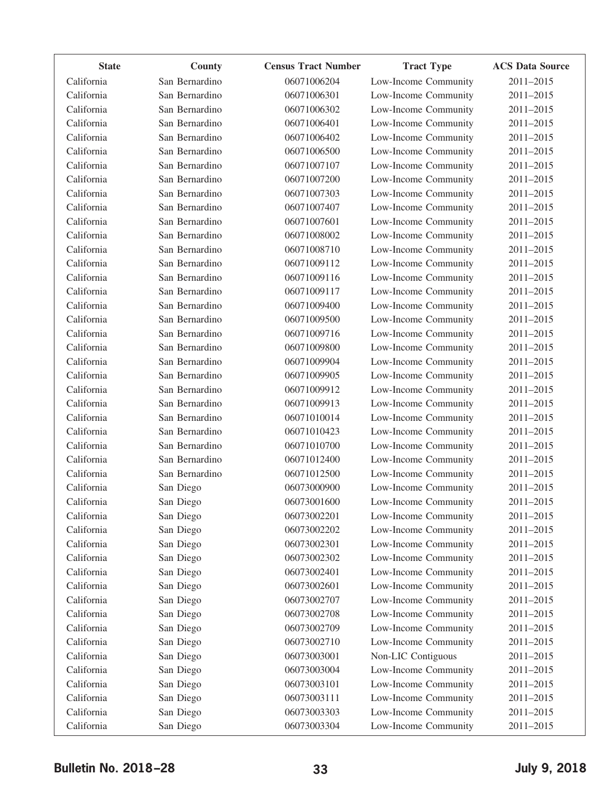| <b>State</b> | County         | <b>Census Tract Number</b> | <b>Tract Type</b>    | <b>ACS Data Source</b> |
|--------------|----------------|----------------------------|----------------------|------------------------|
| California   | San Bernardino | 06071006204                | Low-Income Community | 2011-2015              |
| California   | San Bernardino | 06071006301                | Low-Income Community | 2011-2015              |
| California   | San Bernardino | 06071006302                | Low-Income Community | 2011-2015              |
| California   | San Bernardino | 06071006401                | Low-Income Community | 2011-2015              |
| California   | San Bernardino | 06071006402                | Low-Income Community | 2011-2015              |
| California   | San Bernardino | 06071006500                | Low-Income Community | 2011-2015              |
| California   | San Bernardino | 06071007107                | Low-Income Community | 2011-2015              |
| California   | San Bernardino | 06071007200                | Low-Income Community | 2011-2015              |
| California   | San Bernardino | 06071007303                | Low-Income Community | 2011-2015              |
| California   | San Bernardino | 06071007407                | Low-Income Community | 2011-2015              |
| California   | San Bernardino | 06071007601                | Low-Income Community | 2011-2015              |
| California   | San Bernardino | 06071008002                | Low-Income Community | 2011-2015              |
| California   | San Bernardino | 06071008710                | Low-Income Community | 2011-2015              |
| California   | San Bernardino | 06071009112                | Low-Income Community | 2011-2015              |
| California   | San Bernardino | 06071009116                | Low-Income Community | 2011-2015              |
| California   | San Bernardino | 06071009117                | Low-Income Community | 2011-2015              |
| California   | San Bernardino | 06071009400                | Low-Income Community | 2011-2015              |
| California   | San Bernardino | 06071009500                | Low-Income Community | 2011-2015              |
| California   | San Bernardino | 06071009716                | Low-Income Community | 2011-2015              |
| California   | San Bernardino | 06071009800                | Low-Income Community | 2011-2015              |
| California   | San Bernardino | 06071009904                | Low-Income Community | 2011-2015              |
| California   | San Bernardino | 06071009905                | Low-Income Community | 2011-2015              |
| California   | San Bernardino | 06071009912                | Low-Income Community | 2011-2015              |
| California   | San Bernardino | 06071009913                | Low-Income Community | 2011-2015              |
| California   | San Bernardino | 06071010014                | Low-Income Community | 2011-2015              |
| California   | San Bernardino | 06071010423                | Low-Income Community | 2011-2015              |
| California   | San Bernardino | 06071010700                | Low-Income Community | 2011-2015              |
| California   | San Bernardino | 06071012400                | Low-Income Community | 2011-2015              |
| California   | San Bernardino | 06071012500                | Low-Income Community | 2011-2015              |
| California   | San Diego      | 06073000900                | Low-Income Community | 2011-2015              |
| California   | San Diego      | 06073001600                | Low-Income Community | 2011-2015              |
| California   | San Diego      | 06073002201                | Low-Income Community | 2011-2015              |
| California   | San Diego      | 06073002202                | Low-Income Community | 2011-2015              |
| California   | San Diego      | 06073002301                | Low-Income Community | 2011-2015              |
| California   | San Diego      | 06073002302                | Low-Income Community | 2011-2015              |
| California   | San Diego      | 06073002401                | Low-Income Community | 2011-2015              |
| California   | San Diego      | 06073002601                | Low-Income Community | 2011-2015              |
| California   | San Diego      | 06073002707                | Low-Income Community | 2011-2015              |
| California   | San Diego      | 06073002708                | Low-Income Community | 2011-2015              |
| California   | San Diego      | 06073002709                | Low-Income Community | 2011-2015              |
| California   | San Diego      | 06073002710                | Low-Income Community | 2011-2015              |
| California   | San Diego      | 06073003001                | Non-LIC Contiguous   | 2011-2015              |
| California   | San Diego      | 06073003004                | Low-Income Community | 2011-2015              |
| California   | San Diego      | 06073003101                | Low-Income Community | 2011-2015              |
| California   | San Diego      | 06073003111                | Low-Income Community | 2011-2015              |
| California   | San Diego      | 06073003303                | Low-Income Community | 2011-2015              |
| California   | San Diego      | 06073003304                | Low-Income Community | 2011-2015              |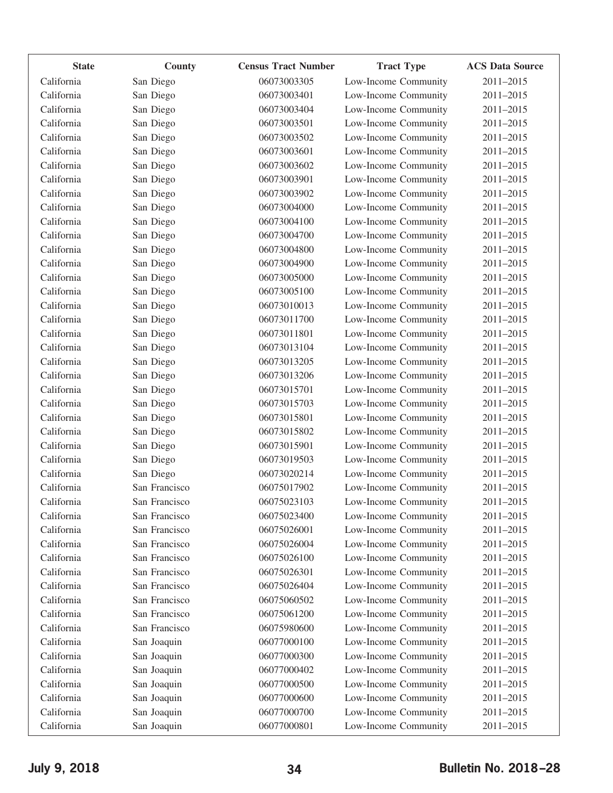| <b>State</b> | County        | <b>Census Tract Number</b> | <b>Tract Type</b>    | <b>ACS Data Source</b> |
|--------------|---------------|----------------------------|----------------------|------------------------|
| California   | San Diego     | 06073003305                | Low-Income Community | 2011-2015              |
| California   | San Diego     | 06073003401                | Low-Income Community | 2011-2015              |
| California   | San Diego     | 06073003404                | Low-Income Community | 2011-2015              |
| California   | San Diego     | 06073003501                | Low-Income Community | 2011-2015              |
| California   | San Diego     | 06073003502                | Low-Income Community | 2011-2015              |
| California   | San Diego     | 06073003601                | Low-Income Community | 2011-2015              |
| California   | San Diego     | 06073003602                | Low-Income Community | 2011-2015              |
| California   | San Diego     | 06073003901                | Low-Income Community | 2011-2015              |
| California   | San Diego     | 06073003902                | Low-Income Community | 2011-2015              |
| California   | San Diego     | 06073004000                | Low-Income Community | 2011-2015              |
| California   | San Diego     | 06073004100                | Low-Income Community | 2011-2015              |
| California   | San Diego     | 06073004700                | Low-Income Community | 2011-2015              |
| California   | San Diego     | 06073004800                | Low-Income Community | 2011-2015              |
| California   | San Diego     | 06073004900                | Low-Income Community | 2011-2015              |
| California   | San Diego     | 06073005000                | Low-Income Community | 2011-2015              |
| California   | San Diego     | 06073005100                | Low-Income Community | 2011-2015              |
| California   | San Diego     | 06073010013                | Low-Income Community | 2011-2015              |
| California   | San Diego     | 06073011700                | Low-Income Community | 2011-2015              |
| California   | San Diego     | 06073011801                | Low-Income Community | 2011-2015              |
| California   | San Diego     | 06073013104                | Low-Income Community | 2011-2015              |
| California   | San Diego     | 06073013205                | Low-Income Community | 2011-2015              |
| California   | San Diego     | 06073013206                | Low-Income Community | 2011-2015              |
| California   | San Diego     | 06073015701                | Low-Income Community | 2011-2015              |
| California   | San Diego     | 06073015703                | Low-Income Community | 2011-2015              |
| California   | San Diego     | 06073015801                | Low-Income Community | 2011-2015              |
| California   | San Diego     | 06073015802                | Low-Income Community | 2011-2015              |
| California   | San Diego     | 06073015901                | Low-Income Community | 2011-2015              |
| California   | San Diego     | 06073019503                | Low-Income Community | 2011-2015              |
| California   | San Diego     | 06073020214                | Low-Income Community | 2011-2015              |
| California   | San Francisco | 06075017902                | Low-Income Community | 2011-2015              |
| California   | San Francisco | 06075023103                | Low-Income Community | 2011-2015              |
| California   | San Francisco | 06075023400                | Low-Income Community | 2011-2015              |
| California   | San Francisco | 06075026001                | Low-Income Community | 2011-2015              |
| California   | San Francisco | 06075026004                | Low-Income Community | 2011-2015              |
| California   | San Francisco | 06075026100                | Low-Income Community | 2011-2015              |
| California   | San Francisco | 06075026301                | Low-Income Community | 2011-2015              |
| California   | San Francisco | 06075026404                | Low-Income Community | 2011-2015              |
| California   | San Francisco | 06075060502                | Low-Income Community | 2011-2015              |
| California   | San Francisco | 06075061200                | Low-Income Community | 2011-2015              |
| California   | San Francisco | 06075980600                | Low-Income Community | 2011-2015              |
| California   | San Joaquin   | 06077000100                | Low-Income Community | 2011-2015              |
| California   | San Joaquin   | 06077000300                | Low-Income Community | 2011-2015              |
| California   | San Joaquin   | 06077000402                | Low-Income Community | 2011-2015              |
| California   | San Joaquin   | 06077000500                | Low-Income Community | 2011-2015              |
| California   | San Joaquin   | 06077000600                | Low-Income Community | 2011-2015              |
| California   | San Joaquin   | 06077000700                | Low-Income Community | 2011-2015              |
| California   | San Joaquin   | 06077000801                | Low-Income Community | 2011-2015              |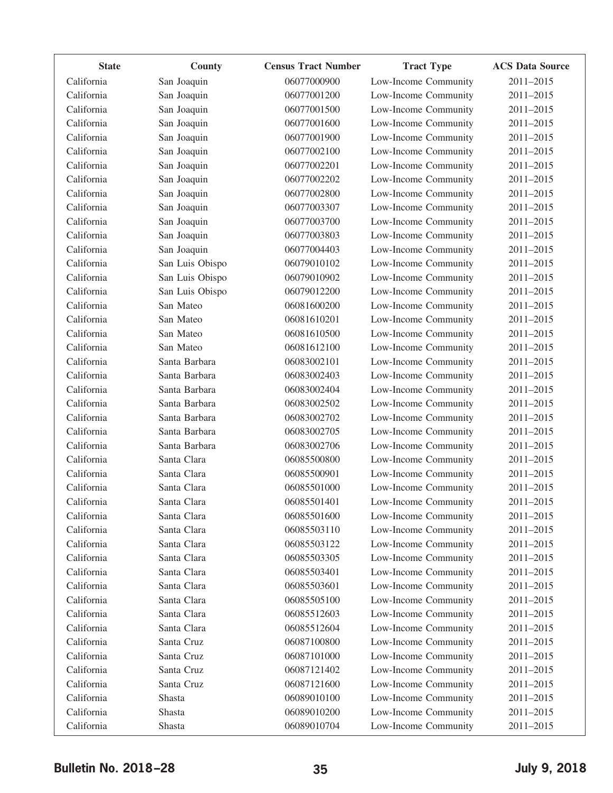| <b>State</b> | County          | <b>Census Tract Number</b> | <b>Tract Type</b>    | <b>ACS Data Source</b> |
|--------------|-----------------|----------------------------|----------------------|------------------------|
| California   | San Joaquin     | 06077000900                | Low-Income Community | 2011-2015              |
| California   | San Joaquin     | 06077001200                | Low-Income Community | 2011-2015              |
| California   | San Joaquin     | 06077001500                | Low-Income Community | 2011-2015              |
| California   | San Joaquin     | 06077001600                | Low-Income Community | 2011-2015              |
| California   | San Joaquin     | 06077001900                | Low-Income Community | 2011-2015              |
| California   | San Joaquin     | 06077002100                | Low-Income Community | 2011-2015              |
| California   | San Joaquin     | 06077002201                | Low-Income Community | 2011-2015              |
| California   | San Joaquin     | 06077002202                | Low-Income Community | 2011-2015              |
| California   | San Joaquin     | 06077002800                | Low-Income Community | 2011-2015              |
| California   | San Joaquin     | 06077003307                | Low-Income Community | 2011-2015              |
| California   | San Joaquin     | 06077003700                | Low-Income Community | 2011-2015              |
| California   | San Joaquin     | 06077003803                | Low-Income Community | 2011-2015              |
| California   | San Joaquin     | 06077004403                | Low-Income Community | 2011-2015              |
| California   | San Luis Obispo | 06079010102                | Low-Income Community | 2011-2015              |
| California   | San Luis Obispo | 06079010902                | Low-Income Community | 2011-2015              |
| California   | San Luis Obispo | 06079012200                | Low-Income Community | 2011-2015              |
| California   | San Mateo       | 06081600200                | Low-Income Community | 2011-2015              |
| California   | San Mateo       | 06081610201                | Low-Income Community | 2011-2015              |
| California   | San Mateo       | 06081610500                | Low-Income Community | 2011-2015              |
| California   | San Mateo       | 06081612100                | Low-Income Community | 2011-2015              |
| California   | Santa Barbara   | 06083002101                | Low-Income Community | 2011-2015              |
| California   | Santa Barbara   | 06083002403                | Low-Income Community | 2011-2015              |
| California   | Santa Barbara   | 06083002404                | Low-Income Community | 2011-2015              |
| California   | Santa Barbara   | 06083002502                | Low-Income Community | 2011-2015              |
| California   | Santa Barbara   | 06083002702                | Low-Income Community | 2011-2015              |
| California   | Santa Barbara   | 06083002705                | Low-Income Community | 2011-2015              |
| California   | Santa Barbara   | 06083002706                | Low-Income Community | 2011-2015              |
| California   | Santa Clara     | 06085500800                | Low-Income Community | 2011-2015              |
| California   | Santa Clara     | 06085500901                | Low-Income Community | 2011-2015              |
| California   | Santa Clara     | 06085501000                | Low-Income Community | 2011-2015              |
| California   | Santa Clara     | 06085501401                | Low-Income Community | 2011-2015              |
| California   | Santa Clara     | 06085501600                | Low-Income Community | 2011-2015              |
| California   | Santa Clara     | 06085503110                | Low-Income Community | 2011-2015              |
| California   | Santa Clara     | 06085503122                | Low-Income Community | 2011-2015              |
| California   | Santa Clara     | 06085503305                | Low-Income Community | 2011-2015              |
| California   | Santa Clara     | 06085503401                | Low-Income Community | 2011-2015              |
| California   | Santa Clara     | 06085503601                | Low-Income Community | 2011-2015              |
| California   | Santa Clara     | 06085505100                | Low-Income Community | 2011-2015              |
| California   | Santa Clara     | 06085512603                | Low-Income Community | 2011-2015              |
| California   | Santa Clara     | 06085512604                | Low-Income Community | 2011-2015              |
| California   | Santa Cruz      | 06087100800                | Low-Income Community | 2011-2015              |
| California   | Santa Cruz      | 06087101000                | Low-Income Community | 2011-2015              |
| California   | Santa Cruz      | 06087121402                | Low-Income Community | 2011-2015              |
| California   | Santa Cruz      | 06087121600                | Low-Income Community | 2011-2015              |
| California   | Shasta          | 06089010100                | Low-Income Community | 2011-2015              |
| California   | Shasta          | 06089010200                | Low-Income Community | 2011-2015              |
| California   | Shasta          | 06089010704                | Low-Income Community | 2011-2015              |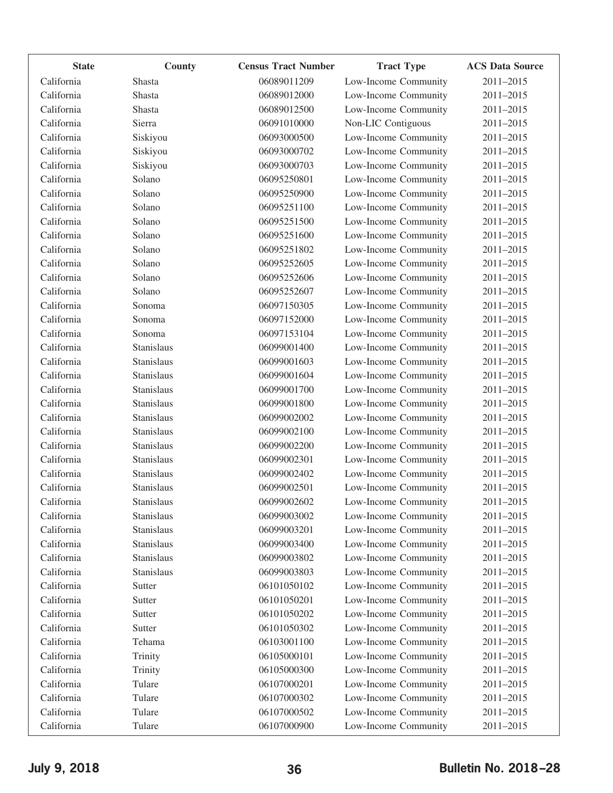| <b>State</b> | County     | <b>Census Tract Number</b> | <b>Tract Type</b>    | <b>ACS Data Source</b> |
|--------------|------------|----------------------------|----------------------|------------------------|
| California   | Shasta     | 06089011209                | Low-Income Community | 2011-2015              |
| California   | Shasta     | 06089012000                | Low-Income Community | 2011-2015              |
| California   | Shasta     | 06089012500                | Low-Income Community | 2011-2015              |
| California   | Sierra     | 06091010000                | Non-LIC Contiguous   | 2011-2015              |
| California   | Siskiyou   | 06093000500                | Low-Income Community | 2011-2015              |
| California   | Siskiyou   | 06093000702                | Low-Income Community | 2011-2015              |
| California   | Siskiyou   | 06093000703                | Low-Income Community | 2011-2015              |
| California   | Solano     | 06095250801                | Low-Income Community | 2011-2015              |
| California   | Solano     | 06095250900                | Low-Income Community | 2011-2015              |
| California   | Solano     | 06095251100                | Low-Income Community | 2011-2015              |
| California   | Solano     | 06095251500                | Low-Income Community | 2011-2015              |
| California   | Solano     | 06095251600                | Low-Income Community | 2011-2015              |
| California   | Solano     | 06095251802                | Low-Income Community | 2011-2015              |
| California   | Solano     | 06095252605                | Low-Income Community | 2011-2015              |
| California   | Solano     | 06095252606                | Low-Income Community | 2011-2015              |
| California   | Solano     | 06095252607                | Low-Income Community | 2011-2015              |
| California   | Sonoma     | 06097150305                | Low-Income Community | 2011-2015              |
| California   | Sonoma     | 06097152000                | Low-Income Community | 2011-2015              |
| California   | Sonoma     | 06097153104                | Low-Income Community | 2011-2015              |
| California   | Stanislaus | 06099001400                | Low-Income Community | 2011-2015              |
| California   | Stanislaus | 06099001603                | Low-Income Community | 2011-2015              |
| California   | Stanislaus | 06099001604                | Low-Income Community | 2011-2015              |
| California   | Stanislaus | 06099001700                | Low-Income Community | 2011-2015              |
| California   | Stanislaus | 06099001800                | Low-Income Community | 2011-2015              |
| California   | Stanislaus | 06099002002                | Low-Income Community | 2011-2015              |
| California   | Stanislaus | 06099002100                | Low-Income Community | 2011-2015              |
| California   | Stanislaus | 06099002200                | Low-Income Community | 2011-2015              |
| California   | Stanislaus | 06099002301                | Low-Income Community | 2011-2015              |
| California   | Stanislaus | 06099002402                | Low-Income Community | 2011-2015              |
| California   | Stanislaus | 06099002501                | Low-Income Community | 2011-2015              |
| California   | Stanislaus | 06099002602                | Low-Income Community | $2011 - 2015$          |
| California   | Stanislaus | 06099003002                | Low-Income Community | 2011-2015              |
| California   | Stanislaus | 06099003201                | Low-Income Community | 2011-2015              |
| California   | Stanislaus | 06099003400                | Low-Income Community | 2011-2015              |
| California   | Stanislaus | 06099003802                | Low-Income Community | 2011-2015              |
| California   | Stanislaus | 06099003803                | Low-Income Community | 2011-2015              |
| California   | Sutter     | 06101050102                | Low-Income Community | 2011-2015              |
| California   | Sutter     | 06101050201                | Low-Income Community | 2011-2015              |
| California   | Sutter     | 06101050202                | Low-Income Community | 2011-2015              |
| California   | Sutter     | 06101050302                | Low-Income Community | 2011-2015              |
| California   | Tehama     | 06103001100                | Low-Income Community | 2011-2015              |
| California   | Trinity    | 06105000101                | Low-Income Community | 2011-2015              |
| California   | Trinity    | 06105000300                | Low-Income Community | 2011-2015              |
| California   | Tulare     | 06107000201                | Low-Income Community | 2011-2015              |
| California   | Tulare     | 06107000302                | Low-Income Community | 2011-2015              |
| California   | Tulare     | 06107000502                | Low-Income Community | $2011 - 2015$          |
| California   | Tulare     | 06107000900                | Low-Income Community | 2011-2015              |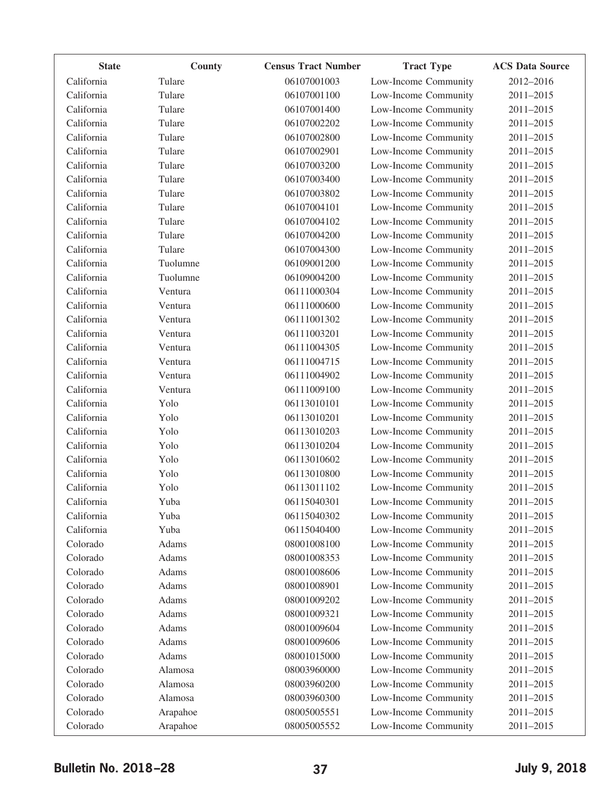| <b>State</b> | County   | <b>Census Tract Number</b> | <b>Tract Type</b>    | <b>ACS Data Source</b> |
|--------------|----------|----------------------------|----------------------|------------------------|
| California   | Tulare   | 06107001003                | Low-Income Community | 2012-2016              |
| California   | Tulare   | 06107001100                | Low-Income Community | 2011-2015              |
| California   | Tulare   | 06107001400                | Low-Income Community | 2011-2015              |
| California   | Tulare   | 06107002202                | Low-Income Community | 2011-2015              |
| California   | Tulare   | 06107002800                | Low-Income Community | 2011-2015              |
| California   | Tulare   | 06107002901                | Low-Income Community | 2011-2015              |
| California   | Tulare   | 06107003200                | Low-Income Community | 2011-2015              |
| California   | Tulare   | 06107003400                | Low-Income Community | 2011-2015              |
| California   | Tulare   | 06107003802                | Low-Income Community | 2011-2015              |
| California   | Tulare   | 06107004101                | Low-Income Community | 2011-2015              |
| California   | Tulare   | 06107004102                | Low-Income Community | 2011-2015              |
| California   | Tulare   | 06107004200                | Low-Income Community | 2011-2015              |
| California   | Tulare   | 06107004300                | Low-Income Community | 2011-2015              |
| California   | Tuolumne | 06109001200                | Low-Income Community | 2011-2015              |
| California   | Tuolumne | 06109004200                | Low-Income Community | 2011-2015              |
| California   | Ventura  | 06111000304                | Low-Income Community | 2011-2015              |
| California   | Ventura  | 06111000600                | Low-Income Community | 2011-2015              |
| California   | Ventura  | 06111001302                | Low-Income Community | 2011-2015              |
| California   | Ventura  | 06111003201                | Low-Income Community | 2011-2015              |
| California   | Ventura  | 06111004305                | Low-Income Community | 2011-2015              |
| California   | Ventura  | 06111004715                | Low-Income Community | 2011-2015              |
| California   | Ventura  | 06111004902                | Low-Income Community | 2011-2015              |
| California   | Ventura  | 06111009100                | Low-Income Community | 2011-2015              |
| California   | Yolo     | 06113010101                | Low-Income Community | 2011-2015              |
| California   | Yolo     | 06113010201                | Low-Income Community | 2011-2015              |
| California   | Yolo     | 06113010203                | Low-Income Community | 2011-2015              |
| California   | Yolo     | 06113010204                | Low-Income Community | 2011-2015              |
| California   | Yolo     | 06113010602                | Low-Income Community | 2011-2015              |
| California   | Yolo     | 06113010800                | Low-Income Community | 2011-2015              |
| California   | Yolo     | 06113011102                | Low-Income Community | 2011-2015              |
| California   | Yuba     | 06115040301                | Low-Income Community | 2011-2015              |
| California   | Yuba     | 06115040302                | Low-Income Community | 2011-2015              |
| California   | Yuba     | 06115040400                | Low-Income Community | 2011-2015              |
| Colorado     | Adams    | 08001008100                | Low-Income Community | 2011-2015              |
| Colorado     | Adams    | 08001008353                | Low-Income Community | 2011-2015              |
| Colorado     | Adams    | 08001008606                | Low-Income Community | 2011-2015              |
| Colorado     | Adams    | 08001008901                | Low-Income Community | 2011-2015              |
| Colorado     | Adams    | 08001009202                | Low-Income Community | 2011-2015              |
| Colorado     | Adams    | 08001009321                | Low-Income Community | 2011-2015              |
| Colorado     | Adams    | 08001009604                | Low-Income Community | 2011-2015              |
| Colorado     | Adams    | 08001009606                | Low-Income Community | 2011-2015              |
| Colorado     | Adams    | 08001015000                | Low-Income Community | 2011-2015              |
| Colorado     | Alamosa  | 08003960000                | Low-Income Community | 2011-2015              |
| Colorado     | Alamosa  | 08003960200                | Low-Income Community | 2011-2015              |
| Colorado     | Alamosa  | 08003960300                | Low-Income Community | 2011-2015              |
| Colorado     | Arapahoe | 08005005551                | Low-Income Community | 2011-2015              |
| Colorado     | Arapahoe | 08005005552                | Low-Income Community | 2011-2015              |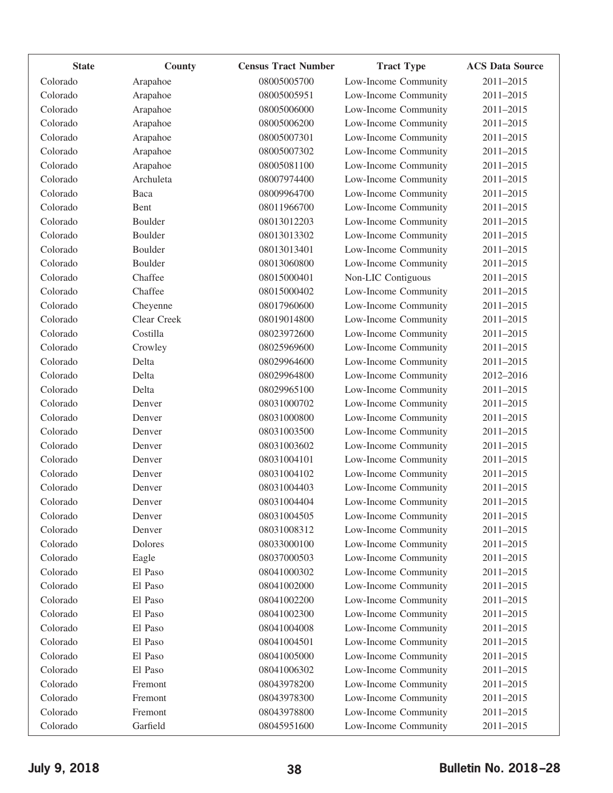| <b>State</b> | County      | <b>Census Tract Number</b> | <b>Tract Type</b>    | <b>ACS Data Source</b> |
|--------------|-------------|----------------------------|----------------------|------------------------|
| Colorado     | Arapahoe    | 08005005700                | Low-Income Community | 2011-2015              |
| Colorado     | Arapahoe    | 08005005951                | Low-Income Community | 2011-2015              |
| Colorado     | Arapahoe    | 08005006000                | Low-Income Community | 2011-2015              |
| Colorado     | Arapahoe    | 08005006200                | Low-Income Community | 2011-2015              |
| Colorado     | Arapahoe    | 08005007301                | Low-Income Community | 2011-2015              |
| Colorado     | Arapahoe    | 08005007302                | Low-Income Community | 2011-2015              |
| Colorado     | Arapahoe    | 08005081100                | Low-Income Community | 2011-2015              |
| Colorado     | Archuleta   | 08007974400                | Low-Income Community | 2011-2015              |
| Colorado     | Baca        | 08009964700                | Low-Income Community | 2011-2015              |
| Colorado     | Bent        | 08011966700                | Low-Income Community | 2011-2015              |
| Colorado     | Boulder     | 08013012203                | Low-Income Community | 2011-2015              |
| Colorado     | Boulder     | 08013013302                | Low-Income Community | 2011-2015              |
| Colorado     | Boulder     | 08013013401                | Low-Income Community | 2011-2015              |
| Colorado     | Boulder     | 08013060800                | Low-Income Community | 2011-2015              |
| Colorado     | Chaffee     | 08015000401                | Non-LIC Contiguous   | 2011-2015              |
| Colorado     | Chaffee     | 08015000402                | Low-Income Community | 2011-2015              |
| Colorado     | Cheyenne    | 08017960600                | Low-Income Community | 2011-2015              |
| Colorado     | Clear Creek | 08019014800                | Low-Income Community | 2011-2015              |
| Colorado     | Costilla    | 08023972600                | Low-Income Community | 2011-2015              |
| Colorado     | Crowley     | 08025969600                | Low-Income Community | 2011-2015              |
| Colorado     | Delta       | 08029964600                | Low-Income Community | 2011-2015              |
| Colorado     | Delta       | 08029964800                | Low-Income Community | 2012-2016              |
| Colorado     | Delta       | 08029965100                | Low-Income Community | 2011-2015              |
| Colorado     | Denver      | 08031000702                | Low-Income Community | 2011-2015              |
| Colorado     | Denver      | 08031000800                | Low-Income Community | 2011-2015              |
| Colorado     | Denver      | 08031003500                | Low-Income Community | 2011-2015              |
| Colorado     | Denver      | 08031003602                | Low-Income Community | 2011-2015              |
| Colorado     | Denver      | 08031004101                | Low-Income Community | 2011-2015              |
| Colorado     | Denver      | 08031004102                | Low-Income Community | 2011-2015              |
| Colorado     | Denver      | 08031004403                | Low-Income Community | 2011-2015              |
| Colorado     | Denver      | 08031004404                | Low-Income Community | 2011-2015              |
| Colorado     | Denver      | 08031004505                | Low-Income Community | 2011-2015              |
| Colorado     | Denver      | 08031008312                | Low-Income Community | 2011-2015              |
| Colorado     | Dolores     | 08033000100                | Low-Income Community | 2011-2015              |
| Colorado     | Eagle       | 08037000503                | Low-Income Community | 2011-2015              |
| Colorado     | El Paso     | 08041000302                | Low-Income Community | 2011-2015              |
| Colorado     | El Paso     | 08041002000                | Low-Income Community | 2011-2015              |
| Colorado     | El Paso     | 08041002200                | Low-Income Community | 2011-2015              |
| Colorado     | El Paso     | 08041002300                | Low-Income Community | 2011-2015              |
| Colorado     | El Paso     | 08041004008                | Low-Income Community | 2011-2015              |
| Colorado     | El Paso     | 08041004501                | Low-Income Community | 2011-2015              |
| Colorado     | El Paso     | 08041005000                | Low-Income Community | 2011-2015              |
| Colorado     | El Paso     | 08041006302                | Low-Income Community | 2011-2015              |
| Colorado     | Fremont     | 08043978200                | Low-Income Community | 2011-2015              |
| Colorado     | Fremont     | 08043978300                | Low-Income Community | 2011-2015              |
| Colorado     | Fremont     | 08043978800                | Low-Income Community | 2011-2015              |
| Colorado     | Garfield    | 08045951600                | Low-Income Community | 2011-2015              |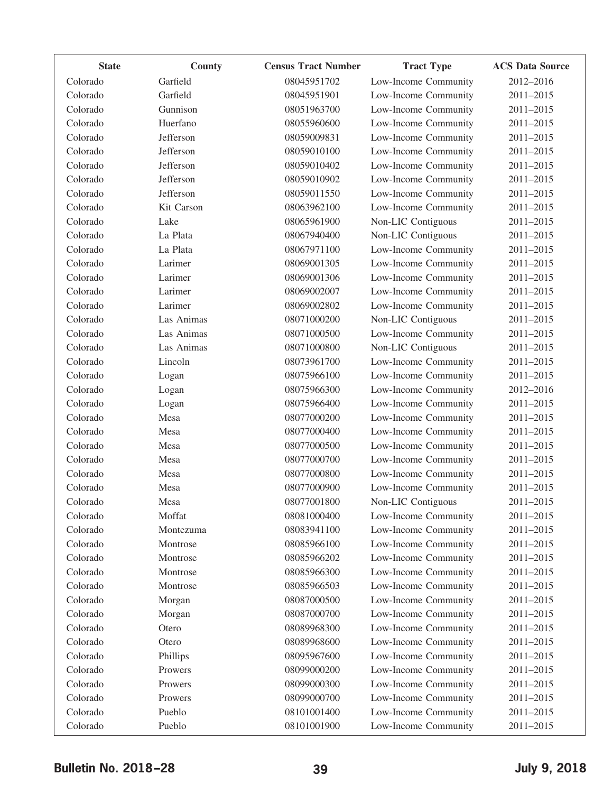| <b>State</b> | County     | <b>Census Tract Number</b> | <b>Tract Type</b>    | <b>ACS Data Source</b> |
|--------------|------------|----------------------------|----------------------|------------------------|
| Colorado     | Garfield   | 08045951702                | Low-Income Community | 2012-2016              |
| Colorado     | Garfield   | 08045951901                | Low-Income Community | 2011-2015              |
| Colorado     | Gunnison   | 08051963700                | Low-Income Community | 2011-2015              |
| Colorado     | Huerfano   | 08055960600                | Low-Income Community | 2011-2015              |
| Colorado     | Jefferson  | 08059009831                | Low-Income Community | 2011-2015              |
| Colorado     | Jefferson  | 08059010100                | Low-Income Community | 2011-2015              |
| Colorado     | Jefferson  | 08059010402                | Low-Income Community | 2011-2015              |
| Colorado     | Jefferson  | 08059010902                | Low-Income Community | 2011-2015              |
| Colorado     | Jefferson  | 08059011550                | Low-Income Community | 2011-2015              |
| Colorado     | Kit Carson | 08063962100                | Low-Income Community | 2011-2015              |
| Colorado     | Lake       | 08065961900                | Non-LIC Contiguous   | 2011-2015              |
| Colorado     | La Plata   | 08067940400                | Non-LIC Contiguous   | 2011-2015              |
| Colorado     | La Plata   | 08067971100                | Low-Income Community | 2011-2015              |
| Colorado     | Larimer    | 08069001305                | Low-Income Community | 2011-2015              |
| Colorado     | Larimer    | 08069001306                | Low-Income Community | 2011-2015              |
| Colorado     | Larimer    | 08069002007                | Low-Income Community | 2011-2015              |
| Colorado     | Larimer    | 08069002802                | Low-Income Community | 2011-2015              |
| Colorado     | Las Animas | 08071000200                | Non-LIC Contiguous   | 2011-2015              |
| Colorado     | Las Animas | 08071000500                | Low-Income Community | 2011-2015              |
| Colorado     | Las Animas | 08071000800                | Non-LIC Contiguous   | 2011-2015              |
| Colorado     | Lincoln    | 08073961700                | Low-Income Community | 2011-2015              |
| Colorado     | Logan      | 08075966100                | Low-Income Community | 2011-2015              |
| Colorado     | Logan      | 08075966300                | Low-Income Community | 2012-2016              |
| Colorado     | Logan      | 08075966400                | Low-Income Community | 2011-2015              |
| Colorado     | Mesa       | 08077000200                | Low-Income Community | 2011-2015              |
| Colorado     | Mesa       | 08077000400                | Low-Income Community | 2011-2015              |
| Colorado     | Mesa       | 08077000500                | Low-Income Community | 2011-2015              |
| Colorado     | Mesa       | 08077000700                | Low-Income Community | 2011-2015              |
| Colorado     | Mesa       | 08077000800                | Low-Income Community | 2011-2015              |
| Colorado     | Mesa       | 08077000900                | Low-Income Community | 2011-2015              |
| Colorado     | Mesa       | 08077001800                | Non-LIC Contiguous   | 2011-2015              |
| Colorado     | Moffat     | 08081000400                | Low-Income Community | 2011-2015              |
| Colorado     | Montezuma  | 08083941100                | Low-Income Community | 2011-2015              |
| Colorado     | Montrose   | 08085966100                | Low-Income Community | 2011-2015              |
| Colorado     | Montrose   | 08085966202                | Low-Income Community | 2011-2015              |
| Colorado     | Montrose   | 08085966300                | Low-Income Community | 2011-2015              |
| Colorado     | Montrose   | 08085966503                | Low-Income Community | 2011-2015              |
| Colorado     | Morgan     | 08087000500                | Low-Income Community | 2011-2015              |
| Colorado     | Morgan     | 08087000700                | Low-Income Community | 2011-2015              |
| Colorado     | Otero      | 08089968300                | Low-Income Community | 2011-2015              |
| Colorado     | Otero      | 08089968600                | Low-Income Community | 2011-2015              |
| Colorado     | Phillips   | 08095967600                | Low-Income Community | 2011-2015              |
| Colorado     | Prowers    | 08099000200                | Low-Income Community | 2011-2015              |
| Colorado     | Prowers    | 08099000300                | Low-Income Community | 2011-2015              |
| Colorado     | Prowers    | 08099000700                | Low-Income Community | 2011-2015              |
| Colorado     | Pueblo     | 08101001400                | Low-Income Community | 2011-2015              |
| Colorado     | Pueblo     | 08101001900                | Low-Income Community | 2011-2015              |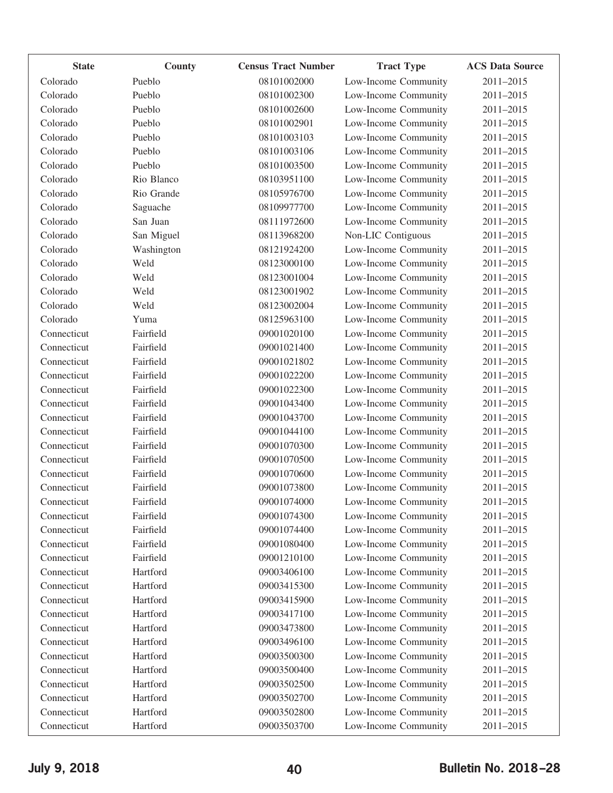| <b>State</b> | County     | <b>Census Tract Number</b> | <b>Tract Type</b>    | <b>ACS Data Source</b> |
|--------------|------------|----------------------------|----------------------|------------------------|
| Colorado     | Pueblo     | 08101002000                | Low-Income Community | 2011-2015              |
| Colorado     | Pueblo     | 08101002300                | Low-Income Community | $2011 - 2015$          |
| Colorado     | Pueblo     | 08101002600                | Low-Income Community | 2011-2015              |
| Colorado     | Pueblo     | 08101002901                | Low-Income Community | 2011-2015              |
| Colorado     | Pueblo     | 08101003103                | Low-Income Community | 2011-2015              |
| Colorado     | Pueblo     | 08101003106                | Low-Income Community | 2011-2015              |
| Colorado     | Pueblo     | 08101003500                | Low-Income Community | 2011-2015              |
| Colorado     | Rio Blanco | 08103951100                | Low-Income Community | $2011 - 2015$          |
| Colorado     | Rio Grande | 08105976700                | Low-Income Community | 2011-2015              |
| Colorado     | Saguache   | 08109977700                | Low-Income Community | 2011-2015              |
| Colorado     | San Juan   | 08111972600                | Low-Income Community | 2011-2015              |
| Colorado     | San Miguel | 08113968200                | Non-LIC Contiguous   | 2011-2015              |
| Colorado     | Washington | 08121924200                | Low-Income Community | 2011-2015              |
| Colorado     | Weld       | 08123000100                | Low-Income Community | 2011-2015              |
| Colorado     | Weld       | 08123001004                | Low-Income Community | 2011-2015              |
| Colorado     | Weld       | 08123001902                | Low-Income Community | 2011-2015              |
| Colorado     | Weld       | 08123002004                | Low-Income Community | 2011-2015              |
| Colorado     | Yuma       | 08125963100                | Low-Income Community | 2011-2015              |
| Connecticut  | Fairfield  | 09001020100                | Low-Income Community | 2011-2015              |
| Connecticut  | Fairfield  | 09001021400                | Low-Income Community | $2011 - 2015$          |
| Connecticut  | Fairfield  | 09001021802                | Low-Income Community | 2011-2015              |
| Connecticut  | Fairfield  | 09001022200                | Low-Income Community | 2011-2015              |
| Connecticut  | Fairfield  | 09001022300                | Low-Income Community | 2011-2015              |
| Connecticut  | Fairfield  | 09001043400                | Low-Income Community | 2011-2015              |
| Connecticut  | Fairfield  | 09001043700                | Low-Income Community | 2011-2015              |
| Connecticut  | Fairfield  | 09001044100                | Low-Income Community | 2011-2015              |
| Connecticut  | Fairfield  | 09001070300                | Low-Income Community | 2011-2015              |
| Connecticut  | Fairfield  | 09001070500                | Low-Income Community | 2011-2015              |
| Connecticut  | Fairfield  | 09001070600                | Low-Income Community | 2011-2015              |
| Connecticut  | Fairfield  | 09001073800                | Low-Income Community | 2011-2015              |
| Connecticut  | Fairfield  | 09001074000                | Low-Income Community | 2011-2015              |
| Connecticut  | Fairfield  | 09001074300                | Low-Income Community | 2011-2015              |
| Connecticut  | Fairfield  | 09001074400                | Low-Income Community | 2011-2015              |
| Connecticut  | Fairfield  | 09001080400                | Low-Income Community | 2011-2015              |
| Connecticut  | Fairfield  | 09001210100                | Low-Income Community | 2011-2015              |
| Connecticut  | Hartford   | 09003406100                | Low-Income Community | 2011-2015              |
| Connecticut  | Hartford   | 09003415300                | Low-Income Community | 2011-2015              |
| Connecticut  | Hartford   | 09003415900                | Low-Income Community | 2011-2015              |
| Connecticut  | Hartford   | 09003417100                | Low-Income Community | 2011-2015              |
| Connecticut  | Hartford   | 09003473800                | Low-Income Community | 2011-2015              |
| Connecticut  | Hartford   | 09003496100                | Low-Income Community | 2011-2015              |
| Connecticut  | Hartford   | 09003500300                | Low-Income Community | 2011-2015              |
| Connecticut  | Hartford   | 09003500400                | Low-Income Community | 2011-2015              |
| Connecticut  | Hartford   | 09003502500                | Low-Income Community | 2011-2015              |
| Connecticut  | Hartford   | 09003502700                | Low-Income Community | 2011-2015              |
| Connecticut  | Hartford   | 09003502800                | Low-Income Community | 2011-2015              |
| Connecticut  | Hartford   | 09003503700                | Low-Income Community | 2011-2015              |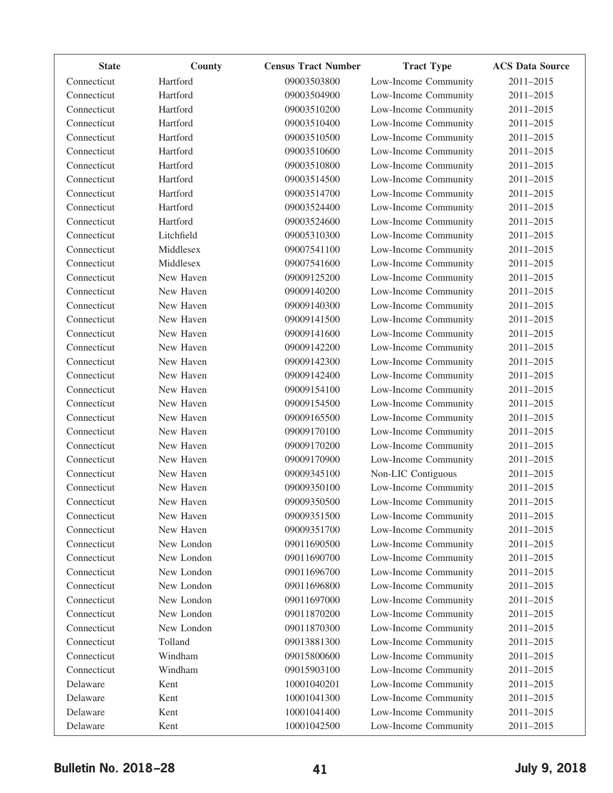| <b>State</b> | County     | <b>Census Tract Number</b> | <b>Tract Type</b>    | <b>ACS Data Source</b> |
|--------------|------------|----------------------------|----------------------|------------------------|
| Connecticut  | Hartford   | 09003503800                | Low-Income Community | 2011-2015              |
| Connecticut  | Hartford   | 09003504900                | Low-Income Community | 2011-2015              |
| Connecticut  | Hartford   | 09003510200                | Low-Income Community | 2011-2015              |
| Connecticut  | Hartford   | 09003510400                | Low-Income Community | 2011-2015              |
| Connecticut  | Hartford   | 09003510500                | Low-Income Community | 2011-2015              |
| Connecticut  | Hartford   | 09003510600                | Low-Income Community | 2011-2015              |
| Connecticut  | Hartford   | 09003510800                | Low-Income Community | 2011-2015              |
| Connecticut  | Hartford   | 09003514500                | Low-Income Community | 2011-2015              |
| Connecticut  | Hartford   | 09003514700                | Low-Income Community | 2011-2015              |
| Connecticut  | Hartford   | 09003524400                | Low-Income Community | 2011-2015              |
| Connecticut  | Hartford   | 09003524600                | Low-Income Community | 2011-2015              |
| Connecticut  | Litchfield | 09005310300                | Low-Income Community | 2011-2015              |
| Connecticut  | Middlesex  | 09007541100                | Low-Income Community | 2011-2015              |
| Connecticut  | Middlesex  | 09007541600                | Low-Income Community | 2011-2015              |
| Connecticut  | New Haven  | 09009125200                | Low-Income Community | 2011-2015              |
| Connecticut  | New Haven  | 09009140200                | Low-Income Community | 2011-2015              |
| Connecticut  | New Haven  | 09009140300                | Low-Income Community | 2011-2015              |
| Connecticut  | New Haven  | 09009141500                | Low-Income Community | 2011-2015              |
| Connecticut  | New Haven  | 09009141600                | Low-Income Community | 2011-2015              |
| Connecticut  | New Haven  | 09009142200                | Low-Income Community | 2011-2015              |
| Connecticut  | New Haven  | 09009142300                | Low-Income Community | 2011-2015              |
| Connecticut  | New Haven  | 09009142400                | Low-Income Community | 2011-2015              |
| Connecticut  | New Haven  | 09009154100                | Low-Income Community | 2011-2015              |
| Connecticut  | New Haven  | 09009154500                | Low-Income Community | 2011-2015              |
| Connecticut  | New Haven  | 09009165500                | Low-Income Community | 2011-2015              |
| Connecticut  | New Haven  | 09009170100                | Low-Income Community | 2011-2015              |
| Connecticut  | New Haven  | 09009170200                | Low-Income Community | 2011-2015              |
| Connecticut  | New Haven  | 09009170900                | Low-Income Community | 2011-2015              |
| Connecticut  | New Haven  | 09009345100                | Non-LIC Contiguous   | 2011-2015              |
| Connecticut  | New Haven  | 09009350100                | Low-Income Community | 2011-2015              |
| Connecticut  | New Haven  | 09009350500                | Low-Income Community | 2011-2015              |
| Connecticut  | New Haven  | 09009351500                | Low-Income Community | 2011-2015              |
| Connecticut  | New Haven  | 09009351700                | Low-Income Community | 2011-2015              |
| Connecticut  | New London | 09011690500                | Low-Income Community | 2011-2015              |
| Connecticut  | New London | 09011690700                | Low-Income Community | 2011-2015              |
| Connecticut  | New London | 09011696700                | Low-Income Community | 2011-2015              |
| Connecticut  | New London | 09011696800                | Low-Income Community | 2011-2015              |
| Connecticut  | New London | 09011697000                | Low-Income Community | 2011-2015              |
| Connecticut  | New London | 09011870200                | Low-Income Community | 2011-2015              |
| Connecticut  | New London | 09011870300                | Low-Income Community | 2011-2015              |
| Connecticut  | Tolland    | 09013881300                | Low-Income Community | 2011-2015              |
| Connecticut  | Windham    | 09015800600                | Low-Income Community | 2011-2015              |
| Connecticut  | Windham    | 09015903100                | Low-Income Community | 2011-2015              |
| Delaware     | Kent       | 10001040201                | Low-Income Community | 2011-2015              |
| Delaware     | Kent       | 10001041300                | Low-Income Community | 2011-2015              |
| Delaware     | Kent       | 10001041400                | Low-Income Community | 2011-2015              |
| Delaware     | Kent       | 10001042500                | Low-Income Community | 2011-2015              |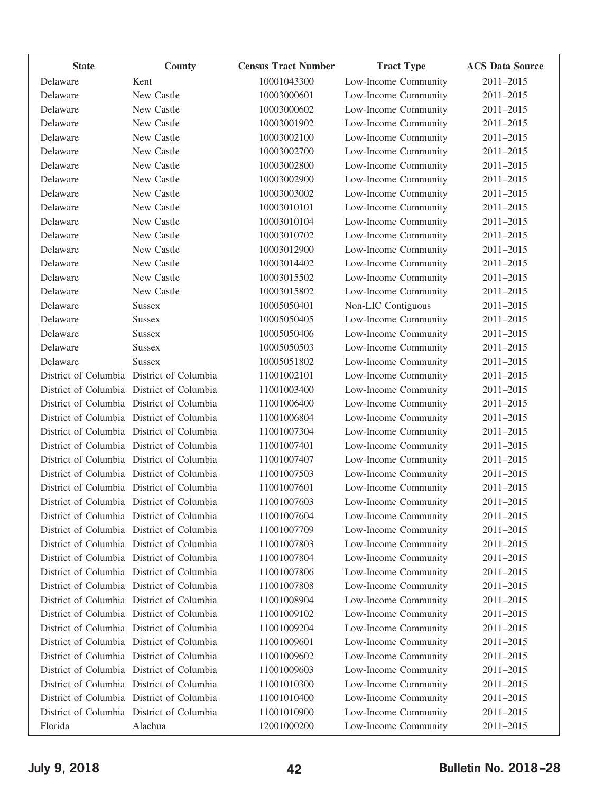| <b>State</b> | County                                    | <b>Census Tract Number</b> | <b>Tract Type</b>    | <b>ACS Data Source</b> |
|--------------|-------------------------------------------|----------------------------|----------------------|------------------------|
| Delaware     | Kent                                      | 10001043300                | Low-Income Community | 2011-2015              |
| Delaware     | New Castle                                | 10003000601                | Low-Income Community | 2011-2015              |
| Delaware     | New Castle                                | 10003000602                | Low-Income Community | 2011-2015              |
| Delaware     | New Castle                                | 10003001902                | Low-Income Community | 2011-2015              |
| Delaware     | New Castle                                | 10003002100                | Low-Income Community | 2011-2015              |
| Delaware     | New Castle                                | 10003002700                | Low-Income Community | 2011-2015              |
| Delaware     | New Castle                                | 10003002800                | Low-Income Community | 2011-2015              |
| Delaware     | New Castle                                | 10003002900                | Low-Income Community | 2011-2015              |
| Delaware     | New Castle                                | 10003003002                | Low-Income Community | 2011-2015              |
| Delaware     | New Castle                                | 10003010101                | Low-Income Community | 2011-2015              |
| Delaware     | New Castle                                | 10003010104                | Low-Income Community | 2011-2015              |
| Delaware     | New Castle                                | 10003010702                | Low-Income Community | 2011-2015              |
| Delaware     | New Castle                                | 10003012900                | Low-Income Community | 2011-2015              |
| Delaware     | New Castle                                | 10003014402                | Low-Income Community | 2011-2015              |
| Delaware     | New Castle                                | 10003015502                | Low-Income Community | 2011-2015              |
| Delaware     | New Castle                                | 10003015802                | Low-Income Community | 2011-2015              |
| Delaware     | <b>Sussex</b>                             | 10005050401                | Non-LIC Contiguous   | 2011-2015              |
| Delaware     | <b>Sussex</b>                             | 10005050405                | Low-Income Community | 2011-2015              |
| Delaware     | <b>Sussex</b>                             | 10005050406                | Low-Income Community | 2011-2015              |
| Delaware     | <b>Sussex</b>                             | 10005050503                | Low-Income Community | 2011-2015              |
| Delaware     | <b>Sussex</b>                             | 10005051802                | Low-Income Community | 2011-2015              |
|              | District of Columbia District of Columbia | 11001002101                | Low-Income Community | 2011-2015              |
|              | District of Columbia District of Columbia | 11001003400                | Low-Income Community | 2011-2015              |
|              | District of Columbia District of Columbia | 11001006400                | Low-Income Community | 2011-2015              |
|              | District of Columbia District of Columbia | 11001006804                | Low-Income Community | 2011-2015              |
|              | District of Columbia District of Columbia | 11001007304                | Low-Income Community | 2011-2015              |
|              | District of Columbia District of Columbia | 11001007401                | Low-Income Community | 2011-2015              |
|              | District of Columbia District of Columbia | 11001007407                | Low-Income Community | 2011-2015              |
|              | District of Columbia District of Columbia | 11001007503                | Low-Income Community | 2011-2015              |
|              | District of Columbia District of Columbia | 11001007601                | Low-Income Community | 2011-2015              |
|              | District of Columbia District of Columbia | 11001007603                | Low-Income Community | 2011-2015              |
|              | District of Columbia District of Columbia | 11001007604                | Low-Income Community | 2011-2015              |
|              | District of Columbia District of Columbia | 11001007709                | Low-Income Community | 2011-2015              |
|              | District of Columbia District of Columbia | 11001007803                | Low-Income Community | 2011-2015              |
|              | District of Columbia District of Columbia | 11001007804                | Low-Income Community | 2011-2015              |
|              | District of Columbia District of Columbia | 11001007806                | Low-Income Community | 2011-2015              |
|              | District of Columbia District of Columbia | 11001007808                | Low-Income Community | 2011-2015              |
|              | District of Columbia District of Columbia | 11001008904                | Low-Income Community | 2011-2015              |
|              | District of Columbia District of Columbia | 11001009102                | Low-Income Community | 2011-2015              |
|              | District of Columbia District of Columbia | 11001009204                | Low-Income Community | 2011-2015              |
|              | District of Columbia District of Columbia | 11001009601                | Low-Income Community | 2011-2015              |
|              | District of Columbia District of Columbia | 11001009602                | Low-Income Community | 2011-2015              |
|              | District of Columbia District of Columbia | 11001009603                | Low-Income Community | 2011-2015              |
|              | District of Columbia District of Columbia | 11001010300                | Low-Income Community | 2011-2015              |
|              | District of Columbia District of Columbia | 11001010400                | Low-Income Community | 2011-2015              |
|              | District of Columbia District of Columbia | 11001010900                | Low-Income Community | 2011-2015              |
| Florida      | Alachua                                   | 12001000200                | Low-Income Community | 2011-2015              |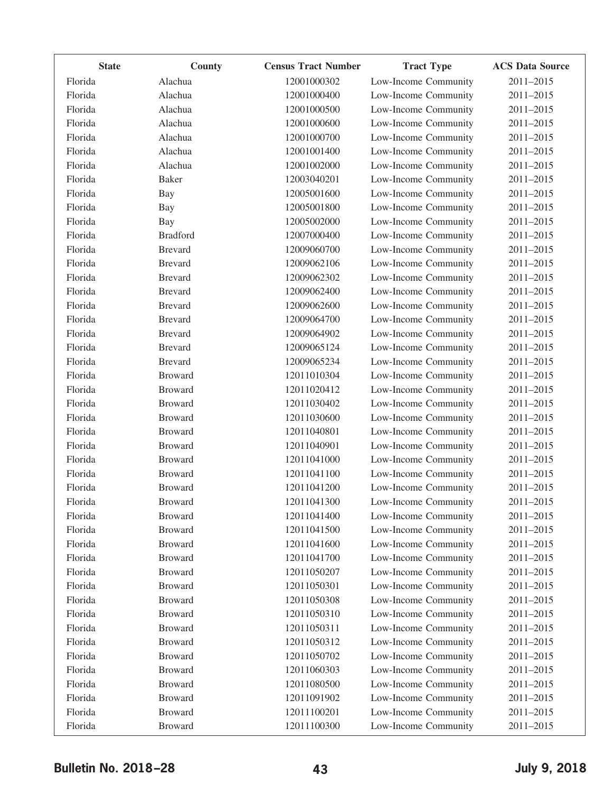| <b>State</b> | County          | <b>Census Tract Number</b> | <b>Tract Type</b>    | <b>ACS Data Source</b> |
|--------------|-----------------|----------------------------|----------------------|------------------------|
| Florida      | Alachua         | 12001000302                | Low-Income Community | 2011-2015              |
| Florida      | Alachua         | 12001000400                | Low-Income Community | 2011-2015              |
| Florida      | Alachua         | 12001000500                | Low-Income Community | 2011-2015              |
| Florida      | Alachua         | 12001000600                | Low-Income Community | 2011-2015              |
| Florida      | Alachua         | 12001000700                | Low-Income Community | 2011-2015              |
| Florida      | Alachua         | 12001001400                | Low-Income Community | 2011-2015              |
| Florida      | Alachua         | 12001002000                | Low-Income Community | 2011-2015              |
| Florida      | <b>Baker</b>    | 12003040201                | Low-Income Community | 2011-2015              |
| Florida      | <b>Bay</b>      | 12005001600                | Low-Income Community | 2011-2015              |
| Florida      | <b>Bay</b>      | 12005001800                | Low-Income Community | 2011-2015              |
| Florida      | Bay             | 12005002000                | Low-Income Community | 2011-2015              |
| Florida      | <b>Bradford</b> | 12007000400                | Low-Income Community | 2011-2015              |
| Florida      | <b>Brevard</b>  | 12009060700                | Low-Income Community | 2011-2015              |
| Florida      | <b>Brevard</b>  | 12009062106                | Low-Income Community | 2011-2015              |
| Florida      | <b>Brevard</b>  | 12009062302                | Low-Income Community | 2011-2015              |
| Florida      | <b>Brevard</b>  | 12009062400                | Low-Income Community | 2011-2015              |
| Florida      | <b>Brevard</b>  | 12009062600                | Low-Income Community | 2011-2015              |
| Florida      | <b>Brevard</b>  | 12009064700                | Low-Income Community | 2011-2015              |
| Florida      | <b>Brevard</b>  | 12009064902                | Low-Income Community | 2011-2015              |
| Florida      | <b>Brevard</b>  | 12009065124                | Low-Income Community | 2011-2015              |
| Florida      | <b>Brevard</b>  | 12009065234                | Low-Income Community | 2011-2015              |
| Florida      | <b>Broward</b>  | 12011010304                | Low-Income Community | 2011-2015              |
| Florida      | <b>Broward</b>  | 12011020412                | Low-Income Community | 2011-2015              |
| Florida      | <b>Broward</b>  | 12011030402                | Low-Income Community | 2011-2015              |
| Florida      | <b>Broward</b>  | 12011030600                | Low-Income Community | 2011-2015              |
| Florida      | <b>Broward</b>  | 12011040801                | Low-Income Community | 2011-2015              |
| Florida      | <b>Broward</b>  | 12011040901                | Low-Income Community | 2011-2015              |
| Florida      | <b>Broward</b>  | 12011041000                | Low-Income Community | 2011-2015              |
| Florida      | <b>Broward</b>  | 12011041100                | Low-Income Community | 2011-2015              |
| Florida      | <b>Broward</b>  | 12011041200                | Low-Income Community | 2011-2015              |
| Florida      | <b>Broward</b>  | 12011041300                | Low-Income Community | 2011-2015              |
| Florida      | <b>Broward</b>  | 12011041400                | Low-Income Community | 2011-2015              |
| Florida      | <b>Broward</b>  | 12011041500                | Low-Income Community | 2011-2015              |
| Florida      | <b>Broward</b>  | 12011041600                | Low-Income Community | 2011-2015              |
| Florida      | <b>Broward</b>  | 12011041700                | Low-Income Community | 2011-2015              |
| Florida      | <b>Broward</b>  | 12011050207                | Low-Income Community | 2011-2015              |
| Florida      | <b>Broward</b>  | 12011050301                | Low-Income Community | 2011-2015              |
| Florida      | <b>Broward</b>  | 12011050308                | Low-Income Community | 2011-2015              |
| Florida      | <b>Broward</b>  | 12011050310                | Low-Income Community | 2011-2015              |
| Florida      | <b>Broward</b>  | 12011050311                | Low-Income Community | 2011-2015              |
| Florida      | <b>Broward</b>  | 12011050312                | Low-Income Community | 2011-2015              |
| Florida      | <b>Broward</b>  | 12011050702                | Low-Income Community | 2011-2015              |
| Florida      | <b>Broward</b>  | 12011060303                | Low-Income Community | 2011-2015              |
| Florida      | <b>Broward</b>  | 12011080500                | Low-Income Community | 2011-2015              |
| Florida      | <b>Broward</b>  | 12011091902                | Low-Income Community | 2011-2015              |
| Florida      | <b>Broward</b>  | 12011100201                | Low-Income Community | 2011-2015              |
| Florida      | <b>Broward</b>  | 12011100300                | Low-Income Community | 2011-2015              |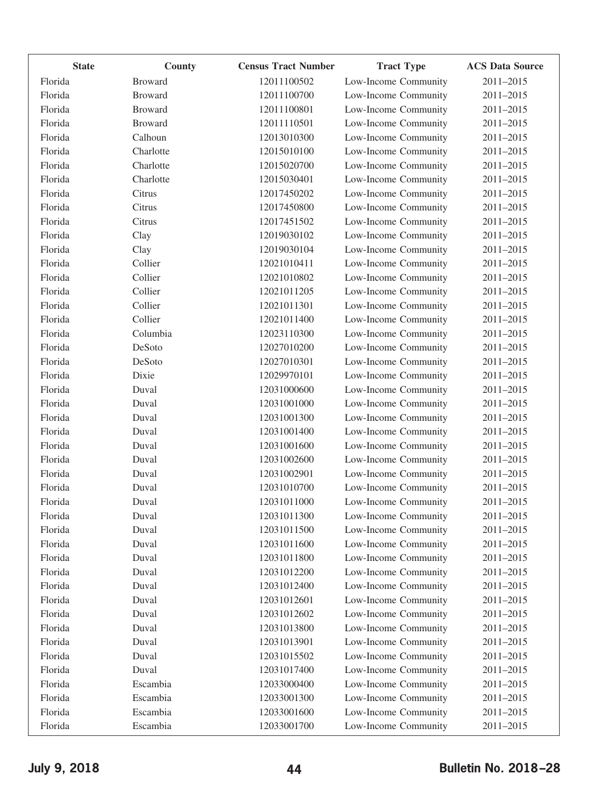| <b>State</b> | County         | <b>Census Tract Number</b> | <b>Tract Type</b>    | <b>ACS Data Source</b> |
|--------------|----------------|----------------------------|----------------------|------------------------|
| Florida      | <b>Broward</b> | 12011100502                | Low-Income Community | 2011-2015              |
| Florida      | <b>Broward</b> | 12011100700                | Low-Income Community | 2011-2015              |
| Florida      | <b>Broward</b> | 12011100801                | Low-Income Community | 2011-2015              |
| Florida      | <b>Broward</b> | 12011110501                | Low-Income Community | 2011-2015              |
| Florida      | Calhoun        | 12013010300                | Low-Income Community | 2011-2015              |
| Florida      | Charlotte      | 12015010100                | Low-Income Community | 2011-2015              |
| Florida      | Charlotte      | 12015020700                | Low-Income Community | 2011-2015              |
| Florida      | Charlotte      | 12015030401                | Low-Income Community | 2011-2015              |
| Florida      | Citrus         | 12017450202                | Low-Income Community | 2011-2015              |
| Florida      | Citrus         | 12017450800                | Low-Income Community | 2011-2015              |
| Florida      | Citrus         | 12017451502                | Low-Income Community | 2011-2015              |
| Florida      | Clay           | 12019030102                | Low-Income Community | 2011-2015              |
| Florida      | Clay           | 12019030104                | Low-Income Community | 2011-2015              |
| Florida      | Collier        | 12021010411                | Low-Income Community | 2011-2015              |
| Florida      | Collier        | 12021010802                | Low-Income Community | 2011-2015              |
| Florida      | Collier        | 12021011205                | Low-Income Community | 2011-2015              |
| Florida      | Collier        | 12021011301                | Low-Income Community | 2011-2015              |
| Florida      | Collier        | 12021011400                | Low-Income Community | 2011-2015              |
| Florida      | Columbia       | 12023110300                | Low-Income Community | 2011-2015              |
| Florida      | DeSoto         | 12027010200                | Low-Income Community | 2011-2015              |
| Florida      | DeSoto         | 12027010301                | Low-Income Community | 2011-2015              |
| Florida      | Dixie          | 12029970101                | Low-Income Community | 2011-2015              |
| Florida      | Duval          | 12031000600                | Low-Income Community | 2011-2015              |
| Florida      | Duval          | 12031001000                | Low-Income Community | 2011-2015              |
| Florida      | Duval          | 12031001300                | Low-Income Community | 2011-2015              |
| Florida      | Duval          | 12031001400                | Low-Income Community | 2011-2015              |
| Florida      | Duval          | 12031001600                | Low-Income Community | 2011-2015              |
| Florida      | Duval          | 12031002600                | Low-Income Community | 2011-2015              |
| Florida      | Duval          | 12031002901                | Low-Income Community | 2011-2015              |
| Florida      | Duval          | 12031010700                | Low-Income Community | 2011-2015              |
| Florida      | Duval          | 12031011000                | Low-Income Community | 2011-2015              |
| Florida      | Duval          | 12031011300                | Low-Income Community | 2011-2015              |
| Florida      | Duval          | 12031011500                | Low-Income Community | 2011-2015              |
| Florida      | Duval          | 12031011600                | Low-Income Community | 2011-2015              |
| Florida      | Duval          | 12031011800                | Low-Income Community | 2011-2015              |
| Florida      | Duval          | 12031012200                | Low-Income Community | 2011-2015              |
| Florida      | Duval          | 12031012400                | Low-Income Community | 2011-2015              |
| Florida      | Duval          | 12031012601                | Low-Income Community | 2011-2015              |
| Florida      | Duval          | 12031012602                | Low-Income Community | 2011-2015              |
| Florida      | Duval          | 12031013800                | Low-Income Community | 2011-2015              |
| Florida      | Duval          | 12031013901                | Low-Income Community | 2011-2015              |
| Florida      | Duval          | 12031015502                | Low-Income Community | 2011-2015              |
| Florida      | Duval          | 12031017400                | Low-Income Community | 2011-2015              |
| Florida      | Escambia       | 12033000400                | Low-Income Community | 2011-2015              |
| Florida      | Escambia       | 12033001300                | Low-Income Community | 2011-2015              |
| Florida      | Escambia       | 12033001600                | Low-Income Community | 2011-2015              |
| Florida      | Escambia       | 12033001700                | Low-Income Community | 2011-2015              |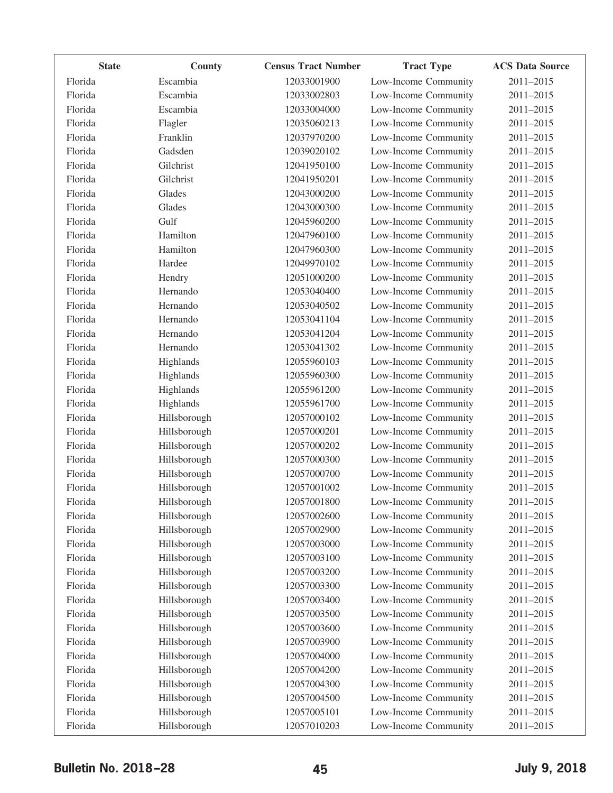| <b>State</b> | County       | <b>Census Tract Number</b> | <b>Tract Type</b>    | <b>ACS Data Source</b> |
|--------------|--------------|----------------------------|----------------------|------------------------|
| Florida      | Escambia     | 12033001900                | Low-Income Community | 2011-2015              |
| Florida      | Escambia     | 12033002803                | Low-Income Community | 2011-2015              |
| Florida      | Escambia     | 12033004000                | Low-Income Community | 2011-2015              |
| Florida      | Flagler      | 12035060213                | Low-Income Community | 2011-2015              |
| Florida      | Franklin     | 12037970200                | Low-Income Community | 2011-2015              |
| Florida      | Gadsden      | 12039020102                | Low-Income Community | 2011-2015              |
| Florida      | Gilchrist    | 12041950100                | Low-Income Community | 2011-2015              |
| Florida      | Gilchrist    | 12041950201                | Low-Income Community | 2011-2015              |
| Florida      | Glades       | 12043000200                | Low-Income Community | 2011-2015              |
| Florida      | Glades       | 12043000300                | Low-Income Community | 2011-2015              |
| Florida      | Gulf         | 12045960200                | Low-Income Community | 2011-2015              |
| Florida      | Hamilton     | 12047960100                | Low-Income Community | 2011-2015              |
| Florida      | Hamilton     | 12047960300                | Low-Income Community | 2011-2015              |
| Florida      | Hardee       | 12049970102                | Low-Income Community | 2011-2015              |
| Florida      | Hendry       | 12051000200                | Low-Income Community | 2011-2015              |
| Florida      | Hernando     | 12053040400                | Low-Income Community | 2011-2015              |
| Florida      | Hernando     | 12053040502                | Low-Income Community | 2011-2015              |
| Florida      | Hernando     | 12053041104                | Low-Income Community | 2011-2015              |
| Florida      | Hernando     | 12053041204                | Low-Income Community | 2011-2015              |
| Florida      | Hernando     | 12053041302                | Low-Income Community | 2011-2015              |
| Florida      | Highlands    | 12055960103                | Low-Income Community | 2011-2015              |
| Florida      | Highlands    | 12055960300                | Low-Income Community | 2011-2015              |
| Florida      | Highlands    | 12055961200                | Low-Income Community | 2011-2015              |
| Florida      | Highlands    | 12055961700                | Low-Income Community | 2011-2015              |
| Florida      | Hillsborough | 12057000102                | Low-Income Community | 2011-2015              |
| Florida      | Hillsborough | 12057000201                | Low-Income Community | 2011-2015              |
| Florida      | Hillsborough | 12057000202                | Low-Income Community | 2011-2015              |
| Florida      | Hillsborough | 12057000300                | Low-Income Community | 2011-2015              |
| Florida      | Hillsborough | 12057000700                | Low-Income Community | 2011-2015              |
| Florida      | Hillsborough | 12057001002                | Low-Income Community | 2011-2015              |
| Florida      | Hillsborough | 12057001800                | Low-Income Community | 2011-2015              |
| Florida      | Hillsborough | 12057002600                | Low-Income Community | 2011-2015              |
| Florida      | Hillsborough | 12057002900                | Low-Income Community | 2011-2015              |
| Florida      | Hillsborough | 12057003000                | Low-Income Community | 2011-2015              |
| Florida      | Hillsborough | 12057003100                | Low-Income Community | 2011-2015              |
| Florida      | Hillsborough | 12057003200                | Low-Income Community | 2011-2015              |
| Florida      | Hillsborough | 12057003300                | Low-Income Community | 2011-2015              |
| Florida      | Hillsborough | 12057003400                | Low-Income Community | 2011-2015              |
| Florida      | Hillsborough | 12057003500                | Low-Income Community | 2011-2015              |
| Florida      | Hillsborough | 12057003600                | Low-Income Community | 2011-2015              |
| Florida      | Hillsborough | 12057003900                | Low-Income Community | 2011-2015              |
| Florida      | Hillsborough | 12057004000                | Low-Income Community | 2011-2015              |
| Florida      | Hillsborough | 12057004200                | Low-Income Community | 2011-2015              |
| Florida      | Hillsborough | 12057004300                | Low-Income Community | 2011-2015              |
| Florida      | Hillsborough | 12057004500                | Low-Income Community | 2011-2015              |
| Florida      | Hillsborough | 12057005101                | Low-Income Community | 2011-2015              |
| Florida      | Hillsborough | 12057010203                | Low-Income Community | 2011-2015              |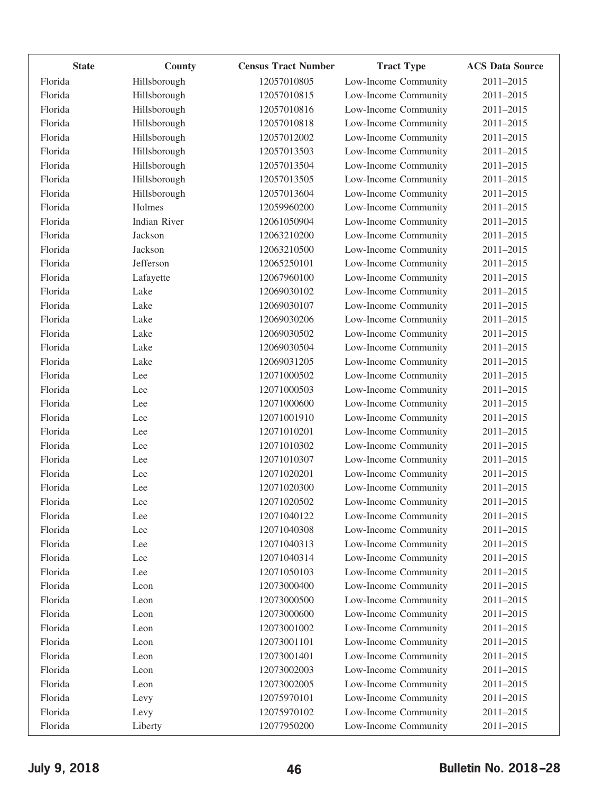| <b>State</b> | County       | <b>Census Tract Number</b> | <b>Tract Type</b>    | <b>ACS Data Source</b> |
|--------------|--------------|----------------------------|----------------------|------------------------|
| Florida      | Hillsborough | 12057010805                | Low-Income Community | 2011-2015              |
| Florida      | Hillsborough | 12057010815                | Low-Income Community | 2011-2015              |
| Florida      | Hillsborough | 12057010816                | Low-Income Community | 2011-2015              |
| Florida      | Hillsborough | 12057010818                | Low-Income Community | 2011-2015              |
| Florida      | Hillsborough | 12057012002                | Low-Income Community | 2011-2015              |
| Florida      | Hillsborough | 12057013503                | Low-Income Community | 2011-2015              |
| Florida      | Hillsborough | 12057013504                | Low-Income Community | 2011-2015              |
| Florida      | Hillsborough | 12057013505                | Low-Income Community | 2011-2015              |
| Florida      | Hillsborough | 12057013604                | Low-Income Community | 2011-2015              |
| Florida      | Holmes       | 12059960200                | Low-Income Community | 2011-2015              |
| Florida      | Indian River | 12061050904                | Low-Income Community | 2011-2015              |
| Florida      | Jackson      | 12063210200                | Low-Income Community | 2011-2015              |
| Florida      | Jackson      | 12063210500                | Low-Income Community | 2011-2015              |
| Florida      | Jefferson    | 12065250101                | Low-Income Community | 2011-2015              |
| Florida      | Lafayette    | 12067960100                | Low-Income Community | 2011-2015              |
| Florida      | Lake         | 12069030102                | Low-Income Community | 2011-2015              |
| Florida      | Lake         | 12069030107                | Low-Income Community | 2011-2015              |
| Florida      | Lake         | 12069030206                | Low-Income Community | 2011-2015              |
| Florida      | Lake         | 12069030502                | Low-Income Community | 2011-2015              |
| Florida      | Lake         | 12069030504                | Low-Income Community | $2011 - 2015$          |
| Florida      | Lake         | 12069031205                | Low-Income Community | 2011-2015              |
| Florida      | Lee          | 12071000502                | Low-Income Community | 2011-2015              |
| Florida      | Lee          | 12071000503                | Low-Income Community | 2011-2015              |
| Florida      | Lee          | 12071000600                | Low-Income Community | 2011-2015              |
| Florida      | Lee          | 12071001910                | Low-Income Community | 2011-2015              |
| Florida      | Lee          | 12071010201                | Low-Income Community | $2011 - 2015$          |
| Florida      | Lee          | 12071010302                | Low-Income Community | 2011-2015              |
| Florida      | Lee          | 12071010307                | Low-Income Community | 2011-2015              |
| Florida      | Lee          | 12071020201                | Low-Income Community | 2011-2015              |
| Florida      | Lee          | 12071020300                | Low-Income Community | 2011-2015              |
| Florida      | Lee          | 12071020502                | Low-Income Community | 2011-2015              |
| Florida      | Lee          | 12071040122                | Low-Income Community | 2011-2015              |
| Florida      | Lee          | 12071040308                | Low-Income Community | 2011-2015              |
| Florida      | Lee          | 12071040313                | Low-Income Community | 2011-2015              |
| Florida      | Lee          | 12071040314                | Low-Income Community | 2011-2015              |
| Florida      | Lee          | 12071050103                | Low-Income Community | 2011-2015              |
| Florida      | Leon         | 12073000400                | Low-Income Community | 2011-2015              |
| Florida      | Leon         | 12073000500                | Low-Income Community | 2011-2015              |
| Florida      | Leon         | 12073000600                | Low-Income Community | 2011-2015              |
| Florida      | Leon         | 12073001002                | Low-Income Community | 2011-2015              |
| Florida      | Leon         | 12073001101                | Low-Income Community | 2011-2015              |
| Florida      | Leon         | 12073001401                | Low-Income Community | 2011-2015              |
| Florida      | Leon         | 12073002003                | Low-Income Community | 2011-2015              |
| Florida      | Leon         | 12073002005                | Low-Income Community | 2011-2015              |
| Florida      | Levy         | 12075970101                | Low-Income Community | 2011-2015              |
| Florida      | Levy         | 12075970102                | Low-Income Community | 2011-2015              |
| Florida      | Liberty      | 12077950200                | Low-Income Community | 2011-2015              |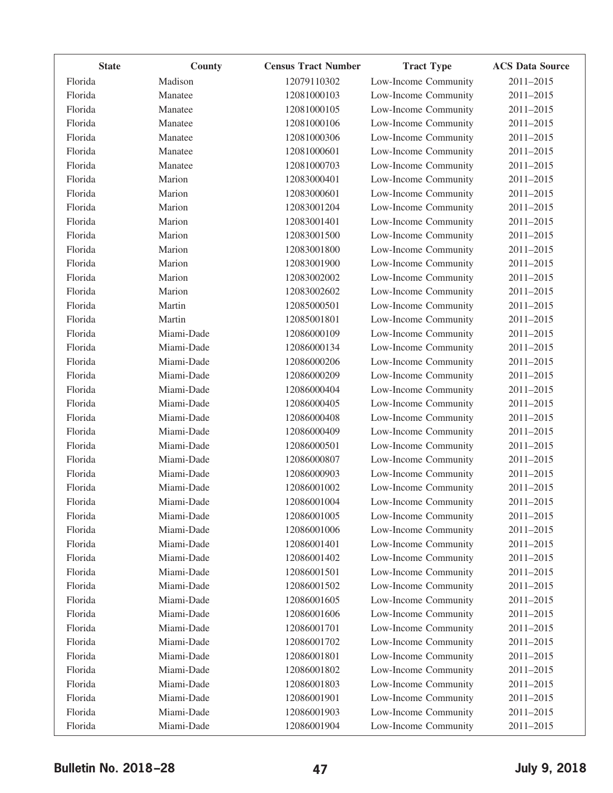| <b>State</b> | County     | <b>Census Tract Number</b> | <b>Tract Type</b>    | <b>ACS Data Source</b> |
|--------------|------------|----------------------------|----------------------|------------------------|
| Florida      | Madison    | 12079110302                | Low-Income Community | 2011-2015              |
| Florida      | Manatee    | 12081000103                | Low-Income Community | 2011-2015              |
| Florida      | Manatee    | 12081000105                | Low-Income Community | 2011-2015              |
| Florida      | Manatee    | 12081000106                | Low-Income Community | 2011-2015              |
| Florida      | Manatee    | 12081000306                | Low-Income Community | 2011-2015              |
| Florida      | Manatee    | 12081000601                | Low-Income Community | 2011-2015              |
| Florida      | Manatee    | 12081000703                | Low-Income Community | 2011-2015              |
| Florida      | Marion     | 12083000401                | Low-Income Community | 2011-2015              |
| Florida      | Marion     | 12083000601                | Low-Income Community | 2011-2015              |
| Florida      | Marion     | 12083001204                | Low-Income Community | 2011-2015              |
| Florida      | Marion     | 12083001401                | Low-Income Community | 2011-2015              |
| Florida      | Marion     | 12083001500                | Low-Income Community | 2011-2015              |
| Florida      | Marion     | 12083001800                | Low-Income Community | 2011-2015              |
| Florida      | Marion     | 12083001900                | Low-Income Community | 2011-2015              |
| Florida      | Marion     | 12083002002                | Low-Income Community | 2011-2015              |
| Florida      | Marion     | 12083002602                | Low-Income Community | 2011-2015              |
| Florida      | Martin     | 12085000501                | Low-Income Community | 2011-2015              |
| Florida      | Martin     | 12085001801                | Low-Income Community | 2011-2015              |
| Florida      | Miami-Dade | 12086000109                | Low-Income Community | 2011-2015              |
| Florida      | Miami-Dade | 12086000134                | Low-Income Community | 2011-2015              |
| Florida      | Miami-Dade | 12086000206                | Low-Income Community | 2011-2015              |
| Florida      | Miami-Dade | 12086000209                | Low-Income Community | 2011-2015              |
| Florida      | Miami-Dade | 12086000404                | Low-Income Community | 2011-2015              |
| Florida      | Miami-Dade | 12086000405                | Low-Income Community | 2011-2015              |
| Florida      | Miami-Dade | 12086000408                | Low-Income Community | 2011-2015              |
| Florida      | Miami-Dade | 12086000409                | Low-Income Community | 2011-2015              |
| Florida      | Miami-Dade | 12086000501                | Low-Income Community | 2011-2015              |
| Florida      | Miami-Dade | 12086000807                | Low-Income Community | $2011 - 2015$          |
| Florida      | Miami-Dade | 12086000903                | Low-Income Community | 2011-2015              |
| Florida      | Miami-Dade | 12086001002                | Low-Income Community | 2011-2015              |
| Florida      | Miami-Dade | 12086001004                | Low-Income Community | 2011-2015              |
| Florida      | Miami-Dade | 12086001005                | Low-Income Community | 2011-2015              |
| Florida      | Miami-Dade | 12086001006                | Low-Income Community | 2011-2015              |
| Florida      | Miami-Dade | 12086001401                | Low-Income Community | 2011-2015              |
| Florida      | Miami-Dade | 12086001402                | Low-Income Community | 2011-2015              |
| Florida      | Miami-Dade | 12086001501                | Low-Income Community | 2011-2015              |
| Florida      | Miami-Dade | 12086001502                | Low-Income Community | 2011-2015              |
| Florida      | Miami-Dade | 12086001605                | Low-Income Community | 2011-2015              |
| Florida      | Miami-Dade | 12086001606                | Low-Income Community | 2011-2015              |
| Florida      | Miami-Dade | 12086001701                | Low-Income Community | 2011-2015              |
| Florida      | Miami-Dade | 12086001702                | Low-Income Community | 2011-2015              |
| Florida      | Miami-Dade | 12086001801                | Low-Income Community | 2011-2015              |
| Florida      | Miami-Dade | 12086001802                | Low-Income Community | 2011-2015              |
| Florida      | Miami-Dade | 12086001803                | Low-Income Community | 2011-2015              |
| Florida      | Miami-Dade | 12086001901                | Low-Income Community | 2011-2015              |
| Florida      | Miami-Dade | 12086001903                | Low-Income Community | 2011-2015              |
| Florida      | Miami-Dade | 12086001904                | Low-Income Community | 2011-2015              |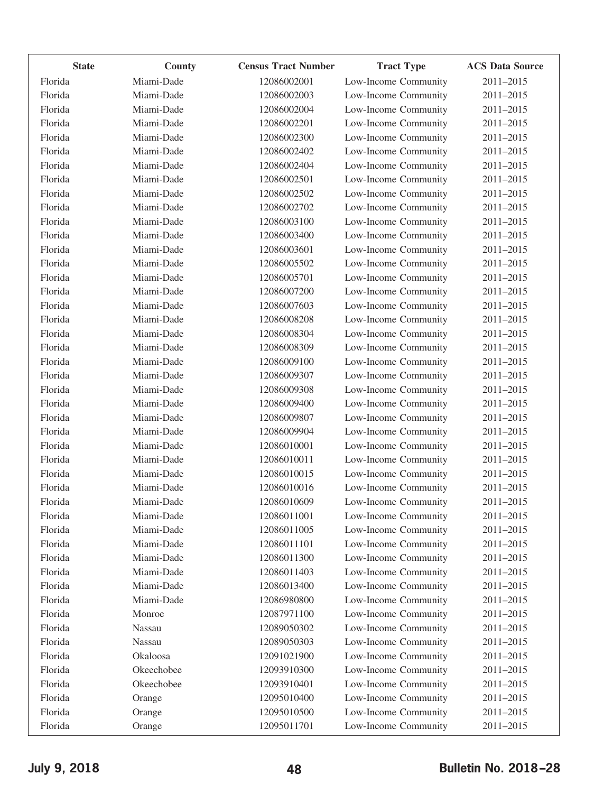| <b>State</b> | County     | <b>Census Tract Number</b> | <b>Tract Type</b>    | <b>ACS Data Source</b> |
|--------------|------------|----------------------------|----------------------|------------------------|
| Florida      | Miami-Dade | 12086002001                | Low-Income Community | 2011-2015              |
| Florida      | Miami-Dade | 12086002003                | Low-Income Community | 2011-2015              |
| Florida      | Miami-Dade | 12086002004                | Low-Income Community | 2011-2015              |
| Florida      | Miami-Dade | 12086002201                | Low-Income Community | 2011-2015              |
| Florida      | Miami-Dade | 12086002300                | Low-Income Community | 2011-2015              |
| Florida      | Miami-Dade | 12086002402                | Low-Income Community | 2011-2015              |
| Florida      | Miami-Dade | 12086002404                | Low-Income Community | 2011-2015              |
| Florida      | Miami-Dade | 12086002501                | Low-Income Community | 2011-2015              |
| Florida      | Miami-Dade | 12086002502                | Low-Income Community | 2011-2015              |
| Florida      | Miami-Dade | 12086002702                | Low-Income Community | 2011-2015              |
| Florida      | Miami-Dade | 12086003100                | Low-Income Community | 2011-2015              |
| Florida      | Miami-Dade | 12086003400                | Low-Income Community | 2011-2015              |
| Florida      | Miami-Dade | 12086003601                | Low-Income Community | 2011-2015              |
| Florida      | Miami-Dade | 12086005502                | Low-Income Community | 2011-2015              |
| Florida      | Miami-Dade | 12086005701                | Low-Income Community | 2011-2015              |
| Florida      | Miami-Dade | 12086007200                | Low-Income Community | 2011-2015              |
| Florida      | Miami-Dade | 12086007603                | Low-Income Community | 2011-2015              |
| Florida      | Miami-Dade | 12086008208                | Low-Income Community | 2011-2015              |
| Florida      | Miami-Dade | 12086008304                | Low-Income Community | 2011-2015              |
| Florida      | Miami-Dade | 12086008309                | Low-Income Community | 2011-2015              |
| Florida      | Miami-Dade | 12086009100                | Low-Income Community | 2011-2015              |
| Florida      | Miami-Dade | 12086009307                | Low-Income Community | 2011-2015              |
| Florida      | Miami-Dade | 12086009308                | Low-Income Community | 2011-2015              |
| Florida      | Miami-Dade | 12086009400                | Low-Income Community | 2011-2015              |
| Florida      | Miami-Dade | 12086009807                | Low-Income Community | 2011-2015              |
| Florida      | Miami-Dade | 12086009904                | Low-Income Community | 2011-2015              |
| Florida      | Miami-Dade | 12086010001                | Low-Income Community | 2011-2015              |
| Florida      | Miami-Dade | 12086010011                | Low-Income Community | 2011-2015              |
| Florida      | Miami-Dade | 12086010015                | Low-Income Community | 2011-2015              |
| Florida      | Miami-Dade | 12086010016                | Low-Income Community | 2011-2015              |
| Florida      | Miami-Dade | 12086010609                | Low-Income Community | 2011-2015              |
| Florida      | Miami-Dade | 12086011001                | Low-Income Community | 2011-2015              |
| Florida      | Miami-Dade | 12086011005                | Low-Income Community | 2011-2015              |
| Florida      | Miami-Dade | 12086011101                | Low-Income Community | 2011-2015              |
| Florida      | Miami-Dade | 12086011300                | Low-Income Community | 2011-2015              |
| Florida      | Miami-Dade | 12086011403                | Low-Income Community | 2011-2015              |
| Florida      | Miami-Dade | 12086013400                | Low-Income Community | 2011-2015              |
| Florida      | Miami-Dade | 12086980800                | Low-Income Community | 2011-2015              |
| Florida      | Monroe     | 12087971100                | Low-Income Community | 2011-2015              |
| Florida      | Nassau     | 12089050302                | Low-Income Community | 2011-2015              |
| Florida      | Nassau     | 12089050303                | Low-Income Community | 2011-2015              |
| Florida      | Okaloosa   | 12091021900                | Low-Income Community | 2011-2015              |
| Florida      | Okeechobee | 12093910300                | Low-Income Community | 2011-2015              |
| Florida      | Okeechobee | 12093910401                | Low-Income Community | 2011-2015              |
| Florida      | Orange     | 12095010400                | Low-Income Community | 2011-2015              |
| Florida      | Orange     | 12095010500                | Low-Income Community | 2011-2015              |
| Florida      | Orange     | 12095011701                | Low-Income Community | 2011-2015              |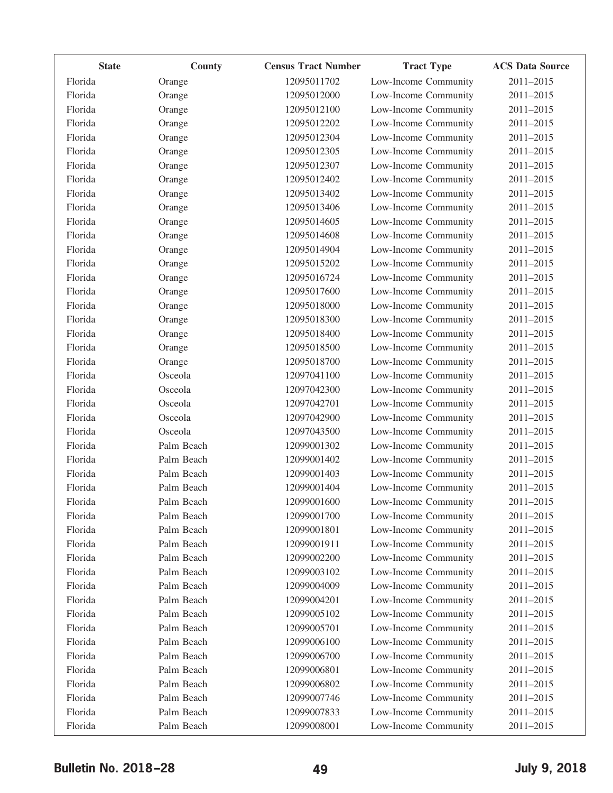| <b>State</b> | County     | <b>Census Tract Number</b> | <b>Tract Type</b>    | <b>ACS Data Source</b> |
|--------------|------------|----------------------------|----------------------|------------------------|
| Florida      | Orange     | 12095011702                | Low-Income Community | 2011-2015              |
| Florida      | Orange     | 12095012000                | Low-Income Community | 2011-2015              |
| Florida      | Orange     | 12095012100                | Low-Income Community | 2011-2015              |
| Florida      | Orange     | 12095012202                | Low-Income Community | 2011-2015              |
| Florida      | Orange     | 12095012304                | Low-Income Community | 2011-2015              |
| Florida      | Orange     | 12095012305                | Low-Income Community | 2011-2015              |
| Florida      | Orange     | 12095012307                | Low-Income Community | 2011-2015              |
| Florida      | Orange     | 12095012402                | Low-Income Community | 2011-2015              |
| Florida      | Orange     | 12095013402                | Low-Income Community | 2011-2015              |
| Florida      | Orange     | 12095013406                | Low-Income Community | 2011-2015              |
| Florida      | Orange     | 12095014605                | Low-Income Community | 2011-2015              |
| Florida      | Orange     | 12095014608                | Low-Income Community | 2011-2015              |
| Florida      | Orange     | 12095014904                | Low-Income Community | 2011-2015              |
| Florida      | Orange     | 12095015202                | Low-Income Community | 2011-2015              |
| Florida      | Orange     | 12095016724                | Low-Income Community | 2011-2015              |
| Florida      | Orange     | 12095017600                | Low-Income Community | 2011-2015              |
| Florida      | Orange     | 12095018000                | Low-Income Community | 2011-2015              |
| Florida      | Orange     | 12095018300                | Low-Income Community | 2011-2015              |
| Florida      | Orange     | 12095018400                | Low-Income Community | 2011-2015              |
| Florida      | Orange     | 12095018500                | Low-Income Community | 2011-2015              |
| Florida      | Orange     | 12095018700                | Low-Income Community | 2011-2015              |
| Florida      | Osceola    | 12097041100                | Low-Income Community | 2011-2015              |
| Florida      | Osceola    | 12097042300                | Low-Income Community | 2011-2015              |
| Florida      | Osceola    | 12097042701                | Low-Income Community | 2011-2015              |
| Florida      | Osceola    | 12097042900                | Low-Income Community | 2011-2015              |
| Florida      | Osceola    | 12097043500                | Low-Income Community | 2011-2015              |
| Florida      | Palm Beach | 12099001302                | Low-Income Community | 2011-2015              |
| Florida      | Palm Beach | 12099001402                | Low-Income Community | 2011-2015              |
| Florida      | Palm Beach | 12099001403                | Low-Income Community | 2011-2015              |
| Florida      | Palm Beach | 12099001404                | Low-Income Community | 2011-2015              |
| Florida      | Palm Beach | 12099001600                | Low-Income Community | 2011-2015              |
| Florida      | Palm Beach | 12099001700                | Low-Income Community | 2011-2015              |
| Florida      | Palm Beach | 12099001801                | Low-Income Community | 2011-2015              |
| Florida      | Palm Beach | 12099001911                | Low-Income Community | 2011-2015              |
| Florida      | Palm Beach | 12099002200                | Low-Income Community | 2011-2015              |
| Florida      | Palm Beach | 12099003102                | Low-Income Community | 2011-2015              |
| Florida      | Palm Beach | 12099004009                | Low-Income Community | 2011-2015              |
| Florida      | Palm Beach | 12099004201                | Low-Income Community | 2011-2015              |
| Florida      | Palm Beach | 12099005102                | Low-Income Community | 2011-2015              |
| Florida      | Palm Beach | 12099005701                | Low-Income Community | 2011-2015              |
| Florida      | Palm Beach | 12099006100                | Low-Income Community | 2011-2015              |
| Florida      | Palm Beach | 12099006700                | Low-Income Community | 2011-2015              |
| Florida      | Palm Beach | 12099006801                | Low-Income Community | 2011-2015              |
| Florida      | Palm Beach | 12099006802                | Low-Income Community | 2011-2015              |
| Florida      | Palm Beach | 12099007746                | Low-Income Community | 2011-2015              |
| Florida      | Palm Beach | 12099007833                | Low-Income Community | 2011-2015              |
| Florida      | Palm Beach | 12099008001                | Low-Income Community | 2011-2015              |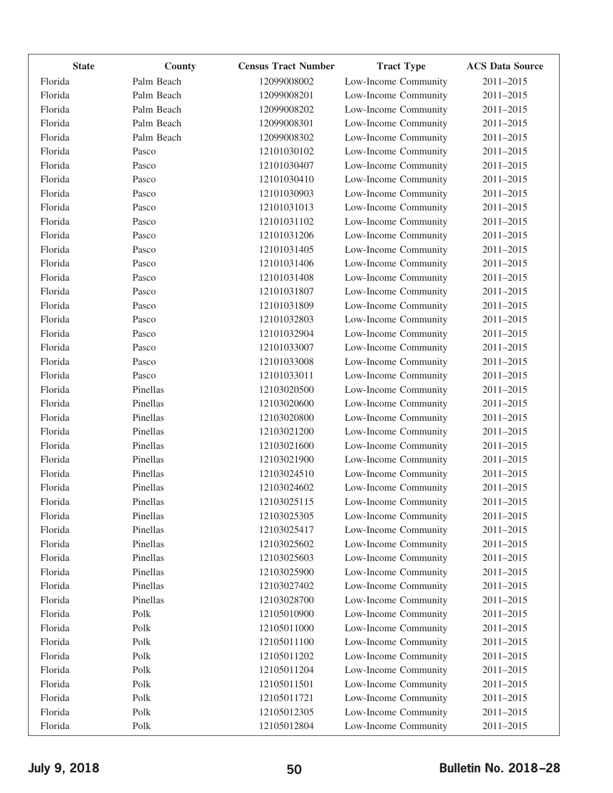| Florida<br>Palm Beach<br>12099008002<br>Low-Income Community<br>2011-2015<br>Palm Beach<br>Florida<br>12099008201<br>Low-Income Community<br>2011-2015<br>Florida<br>Palm Beach<br>12099008202<br>Low-Income Community<br>2011-2015<br>Florida<br>Palm Beach<br>12099008301<br>Low-Income Community<br>2011-2015<br>Florida<br>Palm Beach<br>Low-Income Community<br>12099008302<br>2011-2015<br>Florida<br>Pasco<br>12101030102<br>Low-Income Community<br>2011-2015<br>Florida<br>Pasco<br>12101030407<br>Low-Income Community<br>2011-2015<br>Florida<br>Low-Income Community<br>Pasco<br>12101030410<br>2011-2015<br>Florida<br>Pasco<br>12101030903<br>Low-Income Community<br>2011-2015<br>Florida<br>Pasco<br>12101031013<br>Low-Income Community<br>2011-2015<br>Florida<br>Low-Income Community<br>Pasco<br>12101031102<br>2011-2015<br>Florida<br>Pasco<br>12101031206<br>Low-Income Community<br>2011-2015<br>Florida<br>Pasco<br>12101031405<br>Low-Income Community<br>2011-2015<br>Florida<br>Low-Income Community<br>Pasco<br>12101031406<br>2011-2015<br>Florida<br>Pasco<br>12101031408<br>Low-Income Community<br>2011-2015<br>Florida<br>Pasco<br>12101031807<br>Low-Income Community<br>2011-2015<br>Florida<br>Low-Income Community<br>Pasco<br>12101031809<br>2011-2015<br>Florida<br>Pasco<br>12101032803<br>Low-Income Community<br>2011-2015<br>Florida<br>Pasco<br>12101032904<br>Low-Income Community<br>2011-2015<br>Florida<br>Low-Income Community<br>Pasco<br>12101033007<br>2011-2015<br>Florida<br>Pasco<br>12101033008<br>Low-Income Community<br>2011-2015<br>Florida<br>Pasco<br>12101033011<br>Low-Income Community<br>2011-2015<br>Florida<br>Pinellas<br>Low-Income Community<br>12103020500<br>2011-2015<br>Florida<br>Pinellas<br>12103020600<br>Low-Income Community<br>2011-2015<br>Pinellas<br>Florida<br>12103020800<br>Low-Income Community<br>2011-2015<br>Florida<br>Pinellas<br>Low-Income Community<br>12103021200<br>2011-2015<br>Pinellas<br>Florida<br>12103021600<br>Low-Income Community<br>2011-2015<br>Pinellas<br>Florida<br>12103021900<br>Low-Income Community<br>2011-2015<br>Florida<br>Pinellas<br>Low-Income Community<br>12103024510<br>2011-2015<br>Florida<br>Pinellas<br>12103024602<br>Low-Income Community<br>2011-2015<br>12103025115<br>Pinellas<br>Low-Income Community<br>2011-2015<br>Florida<br>Florida<br>Pinellas<br>12103025305<br>Low-Income Community<br>2011-2015<br>Florida<br>Pinellas<br>Low-Income Community<br>2011-2015<br>12103025417<br>Florida<br>Pinellas<br>Low-Income Community<br>2011-2015<br>12103025602<br>Pinellas<br>Low-Income Community<br>Florida<br>12103025603<br>2011-2015<br>Low-Income Community<br>Florida<br>Pinellas<br>12103025900<br>2011-2015<br>Low-Income Community<br>Florida<br>Pinellas<br>2011-2015<br>12103027402<br>Florida<br>Pinellas<br>Low-Income Community<br>12103028700<br>2011-2015<br>Florida<br>Polk<br>12105010900<br>Low-Income Community<br>2011-2015<br>Florida<br>Polk<br>12105011000<br>Low-Income Community<br>2011-2015<br>Low-Income Community<br>Florida<br>Polk<br>12105011100<br>2011-2015<br>Low-Income Community<br>Florida<br>Polk<br>12105011202<br>2011-2015<br>Low-Income Community<br>Florida<br>Polk<br>2011-2015<br>12105011204<br>Florida<br>Low-Income Community<br>Polk<br>12105011501<br>2011-2015<br>Florida<br>Polk<br>12105011721<br>Low-Income Community<br>2011-2015<br>Florida<br>Polk<br>12105012305<br>Low-Income Community<br>2011-2015 | <b>State</b> | County | <b>Census Tract Number</b> | <b>Tract Type</b>    | <b>ACS Data Source</b> |
|---------------------------------------------------------------------------------------------------------------------------------------------------------------------------------------------------------------------------------------------------------------------------------------------------------------------------------------------------------------------------------------------------------------------------------------------------------------------------------------------------------------------------------------------------------------------------------------------------------------------------------------------------------------------------------------------------------------------------------------------------------------------------------------------------------------------------------------------------------------------------------------------------------------------------------------------------------------------------------------------------------------------------------------------------------------------------------------------------------------------------------------------------------------------------------------------------------------------------------------------------------------------------------------------------------------------------------------------------------------------------------------------------------------------------------------------------------------------------------------------------------------------------------------------------------------------------------------------------------------------------------------------------------------------------------------------------------------------------------------------------------------------------------------------------------------------------------------------------------------------------------------------------------------------------------------------------------------------------------------------------------------------------------------------------------------------------------------------------------------------------------------------------------------------------------------------------------------------------------------------------------------------------------------------------------------------------------------------------------------------------------------------------------------------------------------------------------------------------------------------------------------------------------------------------------------------------------------------------------------------------------------------------------------------------------------------------------------------------------------------------------------------------------------------------------------------------------------------------------------------------------------------------------------------------------------------------------------------------------------------------------------------------------------------------------------------------------------------------------------------------------------------------------------------------------------------------------------------------------------------------------------------------------------------------------------------------------------------------------------------------------------------------------------------------------------------------------------------------------------------------------------|--------------|--------|----------------------------|----------------------|------------------------|
|                                                                                                                                                                                                                                                                                                                                                                                                                                                                                                                                                                                                                                                                                                                                                                                                                                                                                                                                                                                                                                                                                                                                                                                                                                                                                                                                                                                                                                                                                                                                                                                                                                                                                                                                                                                                                                                                                                                                                                                                                                                                                                                                                                                                                                                                                                                                                                                                                                                                                                                                                                                                                                                                                                                                                                                                                                                                                                                                                                                                                                                                                                                                                                                                                                                                                                                                                                                                                                                                                                               |              |        |                            |                      |                        |
|                                                                                                                                                                                                                                                                                                                                                                                                                                                                                                                                                                                                                                                                                                                                                                                                                                                                                                                                                                                                                                                                                                                                                                                                                                                                                                                                                                                                                                                                                                                                                                                                                                                                                                                                                                                                                                                                                                                                                                                                                                                                                                                                                                                                                                                                                                                                                                                                                                                                                                                                                                                                                                                                                                                                                                                                                                                                                                                                                                                                                                                                                                                                                                                                                                                                                                                                                                                                                                                                                                               |              |        |                            |                      |                        |
|                                                                                                                                                                                                                                                                                                                                                                                                                                                                                                                                                                                                                                                                                                                                                                                                                                                                                                                                                                                                                                                                                                                                                                                                                                                                                                                                                                                                                                                                                                                                                                                                                                                                                                                                                                                                                                                                                                                                                                                                                                                                                                                                                                                                                                                                                                                                                                                                                                                                                                                                                                                                                                                                                                                                                                                                                                                                                                                                                                                                                                                                                                                                                                                                                                                                                                                                                                                                                                                                                                               |              |        |                            |                      |                        |
|                                                                                                                                                                                                                                                                                                                                                                                                                                                                                                                                                                                                                                                                                                                                                                                                                                                                                                                                                                                                                                                                                                                                                                                                                                                                                                                                                                                                                                                                                                                                                                                                                                                                                                                                                                                                                                                                                                                                                                                                                                                                                                                                                                                                                                                                                                                                                                                                                                                                                                                                                                                                                                                                                                                                                                                                                                                                                                                                                                                                                                                                                                                                                                                                                                                                                                                                                                                                                                                                                                               |              |        |                            |                      |                        |
|                                                                                                                                                                                                                                                                                                                                                                                                                                                                                                                                                                                                                                                                                                                                                                                                                                                                                                                                                                                                                                                                                                                                                                                                                                                                                                                                                                                                                                                                                                                                                                                                                                                                                                                                                                                                                                                                                                                                                                                                                                                                                                                                                                                                                                                                                                                                                                                                                                                                                                                                                                                                                                                                                                                                                                                                                                                                                                                                                                                                                                                                                                                                                                                                                                                                                                                                                                                                                                                                                                               |              |        |                            |                      |                        |
|                                                                                                                                                                                                                                                                                                                                                                                                                                                                                                                                                                                                                                                                                                                                                                                                                                                                                                                                                                                                                                                                                                                                                                                                                                                                                                                                                                                                                                                                                                                                                                                                                                                                                                                                                                                                                                                                                                                                                                                                                                                                                                                                                                                                                                                                                                                                                                                                                                                                                                                                                                                                                                                                                                                                                                                                                                                                                                                                                                                                                                                                                                                                                                                                                                                                                                                                                                                                                                                                                                               |              |        |                            |                      |                        |
|                                                                                                                                                                                                                                                                                                                                                                                                                                                                                                                                                                                                                                                                                                                                                                                                                                                                                                                                                                                                                                                                                                                                                                                                                                                                                                                                                                                                                                                                                                                                                                                                                                                                                                                                                                                                                                                                                                                                                                                                                                                                                                                                                                                                                                                                                                                                                                                                                                                                                                                                                                                                                                                                                                                                                                                                                                                                                                                                                                                                                                                                                                                                                                                                                                                                                                                                                                                                                                                                                                               |              |        |                            |                      |                        |
|                                                                                                                                                                                                                                                                                                                                                                                                                                                                                                                                                                                                                                                                                                                                                                                                                                                                                                                                                                                                                                                                                                                                                                                                                                                                                                                                                                                                                                                                                                                                                                                                                                                                                                                                                                                                                                                                                                                                                                                                                                                                                                                                                                                                                                                                                                                                                                                                                                                                                                                                                                                                                                                                                                                                                                                                                                                                                                                                                                                                                                                                                                                                                                                                                                                                                                                                                                                                                                                                                                               |              |        |                            |                      |                        |
|                                                                                                                                                                                                                                                                                                                                                                                                                                                                                                                                                                                                                                                                                                                                                                                                                                                                                                                                                                                                                                                                                                                                                                                                                                                                                                                                                                                                                                                                                                                                                                                                                                                                                                                                                                                                                                                                                                                                                                                                                                                                                                                                                                                                                                                                                                                                                                                                                                                                                                                                                                                                                                                                                                                                                                                                                                                                                                                                                                                                                                                                                                                                                                                                                                                                                                                                                                                                                                                                                                               |              |        |                            |                      |                        |
|                                                                                                                                                                                                                                                                                                                                                                                                                                                                                                                                                                                                                                                                                                                                                                                                                                                                                                                                                                                                                                                                                                                                                                                                                                                                                                                                                                                                                                                                                                                                                                                                                                                                                                                                                                                                                                                                                                                                                                                                                                                                                                                                                                                                                                                                                                                                                                                                                                                                                                                                                                                                                                                                                                                                                                                                                                                                                                                                                                                                                                                                                                                                                                                                                                                                                                                                                                                                                                                                                                               |              |        |                            |                      |                        |
|                                                                                                                                                                                                                                                                                                                                                                                                                                                                                                                                                                                                                                                                                                                                                                                                                                                                                                                                                                                                                                                                                                                                                                                                                                                                                                                                                                                                                                                                                                                                                                                                                                                                                                                                                                                                                                                                                                                                                                                                                                                                                                                                                                                                                                                                                                                                                                                                                                                                                                                                                                                                                                                                                                                                                                                                                                                                                                                                                                                                                                                                                                                                                                                                                                                                                                                                                                                                                                                                                                               |              |        |                            |                      |                        |
|                                                                                                                                                                                                                                                                                                                                                                                                                                                                                                                                                                                                                                                                                                                                                                                                                                                                                                                                                                                                                                                                                                                                                                                                                                                                                                                                                                                                                                                                                                                                                                                                                                                                                                                                                                                                                                                                                                                                                                                                                                                                                                                                                                                                                                                                                                                                                                                                                                                                                                                                                                                                                                                                                                                                                                                                                                                                                                                                                                                                                                                                                                                                                                                                                                                                                                                                                                                                                                                                                                               |              |        |                            |                      |                        |
|                                                                                                                                                                                                                                                                                                                                                                                                                                                                                                                                                                                                                                                                                                                                                                                                                                                                                                                                                                                                                                                                                                                                                                                                                                                                                                                                                                                                                                                                                                                                                                                                                                                                                                                                                                                                                                                                                                                                                                                                                                                                                                                                                                                                                                                                                                                                                                                                                                                                                                                                                                                                                                                                                                                                                                                                                                                                                                                                                                                                                                                                                                                                                                                                                                                                                                                                                                                                                                                                                                               |              |        |                            |                      |                        |
|                                                                                                                                                                                                                                                                                                                                                                                                                                                                                                                                                                                                                                                                                                                                                                                                                                                                                                                                                                                                                                                                                                                                                                                                                                                                                                                                                                                                                                                                                                                                                                                                                                                                                                                                                                                                                                                                                                                                                                                                                                                                                                                                                                                                                                                                                                                                                                                                                                                                                                                                                                                                                                                                                                                                                                                                                                                                                                                                                                                                                                                                                                                                                                                                                                                                                                                                                                                                                                                                                                               |              |        |                            |                      |                        |
|                                                                                                                                                                                                                                                                                                                                                                                                                                                                                                                                                                                                                                                                                                                                                                                                                                                                                                                                                                                                                                                                                                                                                                                                                                                                                                                                                                                                                                                                                                                                                                                                                                                                                                                                                                                                                                                                                                                                                                                                                                                                                                                                                                                                                                                                                                                                                                                                                                                                                                                                                                                                                                                                                                                                                                                                                                                                                                                                                                                                                                                                                                                                                                                                                                                                                                                                                                                                                                                                                                               |              |        |                            |                      |                        |
|                                                                                                                                                                                                                                                                                                                                                                                                                                                                                                                                                                                                                                                                                                                                                                                                                                                                                                                                                                                                                                                                                                                                                                                                                                                                                                                                                                                                                                                                                                                                                                                                                                                                                                                                                                                                                                                                                                                                                                                                                                                                                                                                                                                                                                                                                                                                                                                                                                                                                                                                                                                                                                                                                                                                                                                                                                                                                                                                                                                                                                                                                                                                                                                                                                                                                                                                                                                                                                                                                                               |              |        |                            |                      |                        |
|                                                                                                                                                                                                                                                                                                                                                                                                                                                                                                                                                                                                                                                                                                                                                                                                                                                                                                                                                                                                                                                                                                                                                                                                                                                                                                                                                                                                                                                                                                                                                                                                                                                                                                                                                                                                                                                                                                                                                                                                                                                                                                                                                                                                                                                                                                                                                                                                                                                                                                                                                                                                                                                                                                                                                                                                                                                                                                                                                                                                                                                                                                                                                                                                                                                                                                                                                                                                                                                                                                               |              |        |                            |                      |                        |
|                                                                                                                                                                                                                                                                                                                                                                                                                                                                                                                                                                                                                                                                                                                                                                                                                                                                                                                                                                                                                                                                                                                                                                                                                                                                                                                                                                                                                                                                                                                                                                                                                                                                                                                                                                                                                                                                                                                                                                                                                                                                                                                                                                                                                                                                                                                                                                                                                                                                                                                                                                                                                                                                                                                                                                                                                                                                                                                                                                                                                                                                                                                                                                                                                                                                                                                                                                                                                                                                                                               |              |        |                            |                      |                        |
|                                                                                                                                                                                                                                                                                                                                                                                                                                                                                                                                                                                                                                                                                                                                                                                                                                                                                                                                                                                                                                                                                                                                                                                                                                                                                                                                                                                                                                                                                                                                                                                                                                                                                                                                                                                                                                                                                                                                                                                                                                                                                                                                                                                                                                                                                                                                                                                                                                                                                                                                                                                                                                                                                                                                                                                                                                                                                                                                                                                                                                                                                                                                                                                                                                                                                                                                                                                                                                                                                                               |              |        |                            |                      |                        |
|                                                                                                                                                                                                                                                                                                                                                                                                                                                                                                                                                                                                                                                                                                                                                                                                                                                                                                                                                                                                                                                                                                                                                                                                                                                                                                                                                                                                                                                                                                                                                                                                                                                                                                                                                                                                                                                                                                                                                                                                                                                                                                                                                                                                                                                                                                                                                                                                                                                                                                                                                                                                                                                                                                                                                                                                                                                                                                                                                                                                                                                                                                                                                                                                                                                                                                                                                                                                                                                                                                               |              |        |                            |                      |                        |
|                                                                                                                                                                                                                                                                                                                                                                                                                                                                                                                                                                                                                                                                                                                                                                                                                                                                                                                                                                                                                                                                                                                                                                                                                                                                                                                                                                                                                                                                                                                                                                                                                                                                                                                                                                                                                                                                                                                                                                                                                                                                                                                                                                                                                                                                                                                                                                                                                                                                                                                                                                                                                                                                                                                                                                                                                                                                                                                                                                                                                                                                                                                                                                                                                                                                                                                                                                                                                                                                                                               |              |        |                            |                      |                        |
|                                                                                                                                                                                                                                                                                                                                                                                                                                                                                                                                                                                                                                                                                                                                                                                                                                                                                                                                                                                                                                                                                                                                                                                                                                                                                                                                                                                                                                                                                                                                                                                                                                                                                                                                                                                                                                                                                                                                                                                                                                                                                                                                                                                                                                                                                                                                                                                                                                                                                                                                                                                                                                                                                                                                                                                                                                                                                                                                                                                                                                                                                                                                                                                                                                                                                                                                                                                                                                                                                                               |              |        |                            |                      |                        |
|                                                                                                                                                                                                                                                                                                                                                                                                                                                                                                                                                                                                                                                                                                                                                                                                                                                                                                                                                                                                                                                                                                                                                                                                                                                                                                                                                                                                                                                                                                                                                                                                                                                                                                                                                                                                                                                                                                                                                                                                                                                                                                                                                                                                                                                                                                                                                                                                                                                                                                                                                                                                                                                                                                                                                                                                                                                                                                                                                                                                                                                                                                                                                                                                                                                                                                                                                                                                                                                                                                               |              |        |                            |                      |                        |
|                                                                                                                                                                                                                                                                                                                                                                                                                                                                                                                                                                                                                                                                                                                                                                                                                                                                                                                                                                                                                                                                                                                                                                                                                                                                                                                                                                                                                                                                                                                                                                                                                                                                                                                                                                                                                                                                                                                                                                                                                                                                                                                                                                                                                                                                                                                                                                                                                                                                                                                                                                                                                                                                                                                                                                                                                                                                                                                                                                                                                                                                                                                                                                                                                                                                                                                                                                                                                                                                                                               |              |        |                            |                      |                        |
|                                                                                                                                                                                                                                                                                                                                                                                                                                                                                                                                                                                                                                                                                                                                                                                                                                                                                                                                                                                                                                                                                                                                                                                                                                                                                                                                                                                                                                                                                                                                                                                                                                                                                                                                                                                                                                                                                                                                                                                                                                                                                                                                                                                                                                                                                                                                                                                                                                                                                                                                                                                                                                                                                                                                                                                                                                                                                                                                                                                                                                                                                                                                                                                                                                                                                                                                                                                                                                                                                                               |              |        |                            |                      |                        |
|                                                                                                                                                                                                                                                                                                                                                                                                                                                                                                                                                                                                                                                                                                                                                                                                                                                                                                                                                                                                                                                                                                                                                                                                                                                                                                                                                                                                                                                                                                                                                                                                                                                                                                                                                                                                                                                                                                                                                                                                                                                                                                                                                                                                                                                                                                                                                                                                                                                                                                                                                                                                                                                                                                                                                                                                                                                                                                                                                                                                                                                                                                                                                                                                                                                                                                                                                                                                                                                                                                               |              |        |                            |                      |                        |
|                                                                                                                                                                                                                                                                                                                                                                                                                                                                                                                                                                                                                                                                                                                                                                                                                                                                                                                                                                                                                                                                                                                                                                                                                                                                                                                                                                                                                                                                                                                                                                                                                                                                                                                                                                                                                                                                                                                                                                                                                                                                                                                                                                                                                                                                                                                                                                                                                                                                                                                                                                                                                                                                                                                                                                                                                                                                                                                                                                                                                                                                                                                                                                                                                                                                                                                                                                                                                                                                                                               |              |        |                            |                      |                        |
|                                                                                                                                                                                                                                                                                                                                                                                                                                                                                                                                                                                                                                                                                                                                                                                                                                                                                                                                                                                                                                                                                                                                                                                                                                                                                                                                                                                                                                                                                                                                                                                                                                                                                                                                                                                                                                                                                                                                                                                                                                                                                                                                                                                                                                                                                                                                                                                                                                                                                                                                                                                                                                                                                                                                                                                                                                                                                                                                                                                                                                                                                                                                                                                                                                                                                                                                                                                                                                                                                                               |              |        |                            |                      |                        |
|                                                                                                                                                                                                                                                                                                                                                                                                                                                                                                                                                                                                                                                                                                                                                                                                                                                                                                                                                                                                                                                                                                                                                                                                                                                                                                                                                                                                                                                                                                                                                                                                                                                                                                                                                                                                                                                                                                                                                                                                                                                                                                                                                                                                                                                                                                                                                                                                                                                                                                                                                                                                                                                                                                                                                                                                                                                                                                                                                                                                                                                                                                                                                                                                                                                                                                                                                                                                                                                                                                               |              |        |                            |                      |                        |
|                                                                                                                                                                                                                                                                                                                                                                                                                                                                                                                                                                                                                                                                                                                                                                                                                                                                                                                                                                                                                                                                                                                                                                                                                                                                                                                                                                                                                                                                                                                                                                                                                                                                                                                                                                                                                                                                                                                                                                                                                                                                                                                                                                                                                                                                                                                                                                                                                                                                                                                                                                                                                                                                                                                                                                                                                                                                                                                                                                                                                                                                                                                                                                                                                                                                                                                                                                                                                                                                                                               |              |        |                            |                      |                        |
|                                                                                                                                                                                                                                                                                                                                                                                                                                                                                                                                                                                                                                                                                                                                                                                                                                                                                                                                                                                                                                                                                                                                                                                                                                                                                                                                                                                                                                                                                                                                                                                                                                                                                                                                                                                                                                                                                                                                                                                                                                                                                                                                                                                                                                                                                                                                                                                                                                                                                                                                                                                                                                                                                                                                                                                                                                                                                                                                                                                                                                                                                                                                                                                                                                                                                                                                                                                                                                                                                                               |              |        |                            |                      |                        |
|                                                                                                                                                                                                                                                                                                                                                                                                                                                                                                                                                                                                                                                                                                                                                                                                                                                                                                                                                                                                                                                                                                                                                                                                                                                                                                                                                                                                                                                                                                                                                                                                                                                                                                                                                                                                                                                                                                                                                                                                                                                                                                                                                                                                                                                                                                                                                                                                                                                                                                                                                                                                                                                                                                                                                                                                                                                                                                                                                                                                                                                                                                                                                                                                                                                                                                                                                                                                                                                                                                               |              |        |                            |                      |                        |
|                                                                                                                                                                                                                                                                                                                                                                                                                                                                                                                                                                                                                                                                                                                                                                                                                                                                                                                                                                                                                                                                                                                                                                                                                                                                                                                                                                                                                                                                                                                                                                                                                                                                                                                                                                                                                                                                                                                                                                                                                                                                                                                                                                                                                                                                                                                                                                                                                                                                                                                                                                                                                                                                                                                                                                                                                                                                                                                                                                                                                                                                                                                                                                                                                                                                                                                                                                                                                                                                                                               |              |        |                            |                      |                        |
|                                                                                                                                                                                                                                                                                                                                                                                                                                                                                                                                                                                                                                                                                                                                                                                                                                                                                                                                                                                                                                                                                                                                                                                                                                                                                                                                                                                                                                                                                                                                                                                                                                                                                                                                                                                                                                                                                                                                                                                                                                                                                                                                                                                                                                                                                                                                                                                                                                                                                                                                                                                                                                                                                                                                                                                                                                                                                                                                                                                                                                                                                                                                                                                                                                                                                                                                                                                                                                                                                                               |              |        |                            |                      |                        |
|                                                                                                                                                                                                                                                                                                                                                                                                                                                                                                                                                                                                                                                                                                                                                                                                                                                                                                                                                                                                                                                                                                                                                                                                                                                                                                                                                                                                                                                                                                                                                                                                                                                                                                                                                                                                                                                                                                                                                                                                                                                                                                                                                                                                                                                                                                                                                                                                                                                                                                                                                                                                                                                                                                                                                                                                                                                                                                                                                                                                                                                                                                                                                                                                                                                                                                                                                                                                                                                                                                               |              |        |                            |                      |                        |
|                                                                                                                                                                                                                                                                                                                                                                                                                                                                                                                                                                                                                                                                                                                                                                                                                                                                                                                                                                                                                                                                                                                                                                                                                                                                                                                                                                                                                                                                                                                                                                                                                                                                                                                                                                                                                                                                                                                                                                                                                                                                                                                                                                                                                                                                                                                                                                                                                                                                                                                                                                                                                                                                                                                                                                                                                                                                                                                                                                                                                                                                                                                                                                                                                                                                                                                                                                                                                                                                                                               |              |        |                            |                      |                        |
|                                                                                                                                                                                                                                                                                                                                                                                                                                                                                                                                                                                                                                                                                                                                                                                                                                                                                                                                                                                                                                                                                                                                                                                                                                                                                                                                                                                                                                                                                                                                                                                                                                                                                                                                                                                                                                                                                                                                                                                                                                                                                                                                                                                                                                                                                                                                                                                                                                                                                                                                                                                                                                                                                                                                                                                                                                                                                                                                                                                                                                                                                                                                                                                                                                                                                                                                                                                                                                                                                                               |              |        |                            |                      |                        |
|                                                                                                                                                                                                                                                                                                                                                                                                                                                                                                                                                                                                                                                                                                                                                                                                                                                                                                                                                                                                                                                                                                                                                                                                                                                                                                                                                                                                                                                                                                                                                                                                                                                                                                                                                                                                                                                                                                                                                                                                                                                                                                                                                                                                                                                                                                                                                                                                                                                                                                                                                                                                                                                                                                                                                                                                                                                                                                                                                                                                                                                                                                                                                                                                                                                                                                                                                                                                                                                                                                               |              |        |                            |                      |                        |
|                                                                                                                                                                                                                                                                                                                                                                                                                                                                                                                                                                                                                                                                                                                                                                                                                                                                                                                                                                                                                                                                                                                                                                                                                                                                                                                                                                                                                                                                                                                                                                                                                                                                                                                                                                                                                                                                                                                                                                                                                                                                                                                                                                                                                                                                                                                                                                                                                                                                                                                                                                                                                                                                                                                                                                                                                                                                                                                                                                                                                                                                                                                                                                                                                                                                                                                                                                                                                                                                                                               |              |        |                            |                      |                        |
|                                                                                                                                                                                                                                                                                                                                                                                                                                                                                                                                                                                                                                                                                                                                                                                                                                                                                                                                                                                                                                                                                                                                                                                                                                                                                                                                                                                                                                                                                                                                                                                                                                                                                                                                                                                                                                                                                                                                                                                                                                                                                                                                                                                                                                                                                                                                                                                                                                                                                                                                                                                                                                                                                                                                                                                                                                                                                                                                                                                                                                                                                                                                                                                                                                                                                                                                                                                                                                                                                                               |              |        |                            |                      |                        |
|                                                                                                                                                                                                                                                                                                                                                                                                                                                                                                                                                                                                                                                                                                                                                                                                                                                                                                                                                                                                                                                                                                                                                                                                                                                                                                                                                                                                                                                                                                                                                                                                                                                                                                                                                                                                                                                                                                                                                                                                                                                                                                                                                                                                                                                                                                                                                                                                                                                                                                                                                                                                                                                                                                                                                                                                                                                                                                                                                                                                                                                                                                                                                                                                                                                                                                                                                                                                                                                                                                               |              |        |                            |                      |                        |
|                                                                                                                                                                                                                                                                                                                                                                                                                                                                                                                                                                                                                                                                                                                                                                                                                                                                                                                                                                                                                                                                                                                                                                                                                                                                                                                                                                                                                                                                                                                                                                                                                                                                                                                                                                                                                                                                                                                                                                                                                                                                                                                                                                                                                                                                                                                                                                                                                                                                                                                                                                                                                                                                                                                                                                                                                                                                                                                                                                                                                                                                                                                                                                                                                                                                                                                                                                                                                                                                                                               |              |        |                            |                      |                        |
|                                                                                                                                                                                                                                                                                                                                                                                                                                                                                                                                                                                                                                                                                                                                                                                                                                                                                                                                                                                                                                                                                                                                                                                                                                                                                                                                                                                                                                                                                                                                                                                                                                                                                                                                                                                                                                                                                                                                                                                                                                                                                                                                                                                                                                                                                                                                                                                                                                                                                                                                                                                                                                                                                                                                                                                                                                                                                                                                                                                                                                                                                                                                                                                                                                                                                                                                                                                                                                                                                                               |              |        |                            |                      |                        |
|                                                                                                                                                                                                                                                                                                                                                                                                                                                                                                                                                                                                                                                                                                                                                                                                                                                                                                                                                                                                                                                                                                                                                                                                                                                                                                                                                                                                                                                                                                                                                                                                                                                                                                                                                                                                                                                                                                                                                                                                                                                                                                                                                                                                                                                                                                                                                                                                                                                                                                                                                                                                                                                                                                                                                                                                                                                                                                                                                                                                                                                                                                                                                                                                                                                                                                                                                                                                                                                                                                               |              |        |                            |                      |                        |
|                                                                                                                                                                                                                                                                                                                                                                                                                                                                                                                                                                                                                                                                                                                                                                                                                                                                                                                                                                                                                                                                                                                                                                                                                                                                                                                                                                                                                                                                                                                                                                                                                                                                                                                                                                                                                                                                                                                                                                                                                                                                                                                                                                                                                                                                                                                                                                                                                                                                                                                                                                                                                                                                                                                                                                                                                                                                                                                                                                                                                                                                                                                                                                                                                                                                                                                                                                                                                                                                                                               |              |        |                            |                      |                        |
|                                                                                                                                                                                                                                                                                                                                                                                                                                                                                                                                                                                                                                                                                                                                                                                                                                                                                                                                                                                                                                                                                                                                                                                                                                                                                                                                                                                                                                                                                                                                                                                                                                                                                                                                                                                                                                                                                                                                                                                                                                                                                                                                                                                                                                                                                                                                                                                                                                                                                                                                                                                                                                                                                                                                                                                                                                                                                                                                                                                                                                                                                                                                                                                                                                                                                                                                                                                                                                                                                                               |              |        |                            |                      |                        |
|                                                                                                                                                                                                                                                                                                                                                                                                                                                                                                                                                                                                                                                                                                                                                                                                                                                                                                                                                                                                                                                                                                                                                                                                                                                                                                                                                                                                                                                                                                                                                                                                                                                                                                                                                                                                                                                                                                                                                                                                                                                                                                                                                                                                                                                                                                                                                                                                                                                                                                                                                                                                                                                                                                                                                                                                                                                                                                                                                                                                                                                                                                                                                                                                                                                                                                                                                                                                                                                                                                               | Florida      | Polk   | 12105012804                | Low-Income Community | 2011-2015              |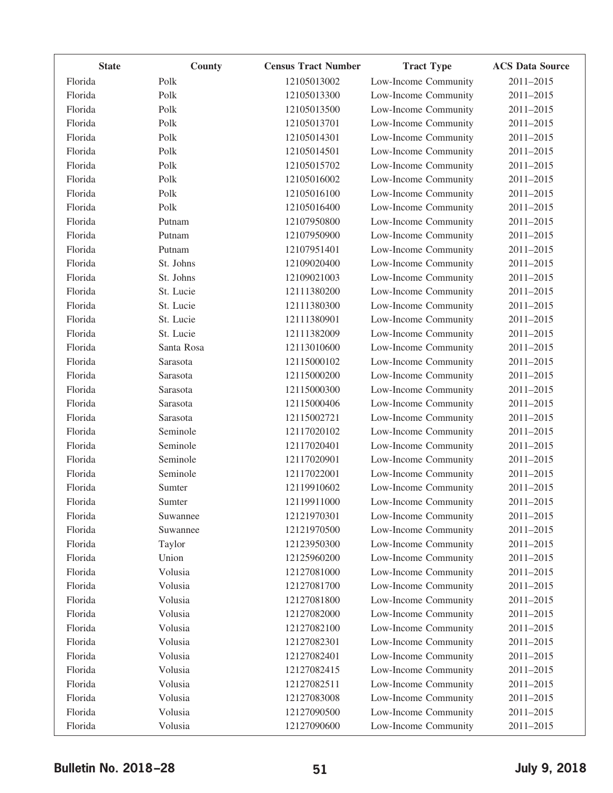| <b>State</b> | County     | <b>Census Tract Number</b> | <b>Tract Type</b>    | <b>ACS Data Source</b> |
|--------------|------------|----------------------------|----------------------|------------------------|
| Florida      | Polk       | 12105013002                | Low-Income Community | 2011-2015              |
| Florida      | Polk       | 12105013300                | Low-Income Community | 2011-2015              |
| Florida      | Polk       | 12105013500                | Low-Income Community | 2011-2015              |
| Florida      | Polk       | 12105013701                | Low-Income Community | 2011-2015              |
| Florida      | Polk       | 12105014301                | Low-Income Community | 2011-2015              |
| Florida      | Polk       | 12105014501                | Low-Income Community | 2011-2015              |
| Florida      | Polk       | 12105015702                | Low-Income Community | 2011-2015              |
| Florida      | Polk       | 12105016002                | Low-Income Community | $2011 - 2015$          |
| Florida      | Polk       | 12105016100                | Low-Income Community | 2011-2015              |
| Florida      | Polk       | 12105016400                | Low-Income Community | 2011-2015              |
| Florida      | Putnam     | 12107950800                | Low-Income Community | 2011-2015              |
| Florida      | Putnam     | 12107950900                | Low-Income Community | 2011-2015              |
| Florida      | Putnam     | 12107951401                | Low-Income Community | 2011-2015              |
| Florida      | St. Johns  | 12109020400                | Low-Income Community | $2011 - 2015$          |
| Florida      | St. Johns  | 12109021003                | Low-Income Community | 2011-2015              |
| Florida      | St. Lucie  | 12111380200                | Low-Income Community | 2011-2015              |
| Florida      | St. Lucie  | 12111380300                | Low-Income Community | 2011-2015              |
| Florida      | St. Lucie  | 12111380901                | Low-Income Community | 2011-2015              |
| Florida      | St. Lucie  | 12111382009                | Low-Income Community | 2011-2015              |
| Florida      | Santa Rosa | 12113010600                | Low-Income Community | $2011 - 2015$          |
| Florida      | Sarasota   | 12115000102                | Low-Income Community | 2011-2015              |
| Florida      | Sarasota   | 12115000200                | Low-Income Community | 2011-2015              |
| Florida      | Sarasota   | 12115000300                | Low-Income Community | 2011-2015              |
| Florida      | Sarasota   | 12115000406                | Low-Income Community | 2011-2015              |
| Florida      | Sarasota   | 12115002721                | Low-Income Community | 2011-2015              |
| Florida      | Seminole   | 12117020102                | Low-Income Community | 2011-2015              |
| Florida      | Seminole   | 12117020401                | Low-Income Community | 2011-2015              |
| Florida      | Seminole   | 12117020901                | Low-Income Community | 2011-2015              |
| Florida      | Seminole   | 12117022001                | Low-Income Community | 2011-2015              |
| Florida      | Sumter     | 12119910602                | Low-Income Community | 2011-2015              |
| Florida      | Sumter     | 12119911000                | Low-Income Community | 2011-2015              |
| Florida      | Suwannee   | 12121970301                | Low-Income Community | 2011-2015              |
| Florida      | Suwannee   | 12121970500                | Low-Income Community | 2011-2015              |
| Florida      | Taylor     | 12123950300                | Low-Income Community | 2011-2015              |
| Florida      | Union      | 12125960200                | Low-Income Community | 2011-2015              |
| Florida      | Volusia    | 12127081000                | Low-Income Community | 2011-2015              |
| Florida      | Volusia    | 12127081700                | Low-Income Community | 2011-2015              |
| Florida      | Volusia    | 12127081800                | Low-Income Community | 2011-2015              |
| Florida      | Volusia    | 12127082000                | Low-Income Community | 2011-2015              |
| Florida      | Volusia    | 12127082100                | Low-Income Community | 2011-2015              |
| Florida      | Volusia    | 12127082301                | Low-Income Community | 2011-2015              |
| Florida      | Volusia    | 12127082401                | Low-Income Community | 2011-2015              |
| Florida      | Volusia    | 12127082415                | Low-Income Community | 2011-2015              |
| Florida      | Volusia    | 12127082511                | Low-Income Community | 2011-2015              |
| Florida      | Volusia    | 12127083008                | Low-Income Community | 2011-2015              |
| Florida      | Volusia    | 12127090500                | Low-Income Community | 2011-2015              |
| Florida      | Volusia    | 12127090600                | Low-Income Community | 2011-2015              |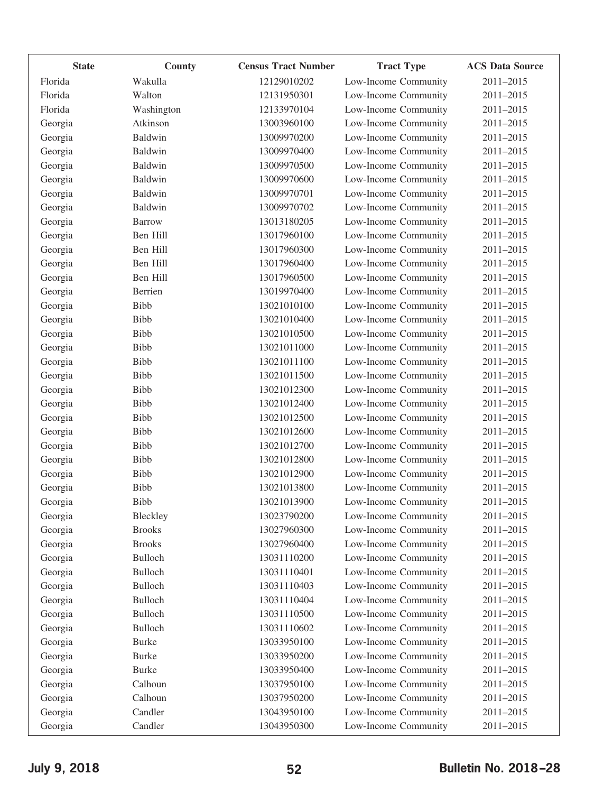| <b>State</b> | County        | <b>Census Tract Number</b> | <b>Tract Type</b>    | <b>ACS Data Source</b> |
|--------------|---------------|----------------------------|----------------------|------------------------|
| Florida      | Wakulla       | 12129010202                | Low-Income Community | 2011-2015              |
| Florida      | Walton        | 12131950301                | Low-Income Community | 2011-2015              |
| Florida      | Washington    | 12133970104                | Low-Income Community | 2011-2015              |
| Georgia      | Atkinson      | 13003960100                | Low-Income Community | 2011-2015              |
| Georgia      | Baldwin       | 13009970200                | Low-Income Community | 2011-2015              |
| Georgia      | Baldwin       | 13009970400                | Low-Income Community | 2011-2015              |
| Georgia      | Baldwin       | 13009970500                | Low-Income Community | 2011-2015              |
| Georgia      | Baldwin       | 13009970600                | Low-Income Community | 2011-2015              |
| Georgia      | Baldwin       | 13009970701                | Low-Income Community | 2011-2015              |
| Georgia      | Baldwin       | 13009970702                | Low-Income Community | 2011-2015              |
| Georgia      | Barrow        | 13013180205                | Low-Income Community | 2011-2015              |
| Georgia      | Ben Hill      | 13017960100                | Low-Income Community | 2011-2015              |
| Georgia      | Ben Hill      | 13017960300                | Low-Income Community | 2011-2015              |
| Georgia      | Ben Hill      | 13017960400                | Low-Income Community | 2011-2015              |
| Georgia      | Ben Hill      | 13017960500                | Low-Income Community | 2011-2015              |
| Georgia      | Berrien       | 13019970400                | Low-Income Community | 2011-2015              |
| Georgia      | Bibb          | 13021010100                | Low-Income Community | 2011-2015              |
| Georgia      | Bibb          | 13021010400                | Low-Income Community | 2011-2015              |
| Georgia      | <b>Bibb</b>   | 13021010500                | Low-Income Community | 2011-2015              |
| Georgia      | <b>Bibb</b>   | 13021011000                | Low-Income Community | 2011-2015              |
| Georgia      | Bibb          | 13021011100                | Low-Income Community | 2011-2015              |
| Georgia      | Bibb          | 13021011500                | Low-Income Community | 2011-2015              |
| Georgia      | Bibb          | 13021012300                | Low-Income Community | 2011-2015              |
| Georgia      | Bibb          | 13021012400                | Low-Income Community | 2011-2015              |
| Georgia      | <b>Bibb</b>   | 13021012500                | Low-Income Community | 2011-2015              |
| Georgia      | Bibb          | 13021012600                | Low-Income Community | 2011-2015              |
| Georgia      | Bibb          | 13021012700                | Low-Income Community | 2011-2015              |
| Georgia      | <b>Bibb</b>   | 13021012800                | Low-Income Community | 2011-2015              |
| Georgia      | <b>Bibb</b>   | 13021012900                | Low-Income Community | 2011-2015              |
| Georgia      | Bibb          | 13021013800                | Low-Income Community | 2011-2015              |
| Georgia      | <b>Bibb</b>   | 13021013900                | Low-Income Community | 2011-2015              |
| Georgia      | Bleckley      | 13023790200                | Low-Income Community | 2011-2015              |
| Georgia      | <b>Brooks</b> | 13027960300                | Low-Income Community | 2011-2015              |
| Georgia      | <b>Brooks</b> | 13027960400                | Low-Income Community | 2011-2015              |
| Georgia      | Bulloch       | 13031110200                | Low-Income Community | 2011-2015              |
| Georgia      | Bulloch       | 13031110401                | Low-Income Community | 2011-2015              |
| Georgia      | Bulloch       | 13031110403                | Low-Income Community | 2011-2015              |
| Georgia      | Bulloch       | 13031110404                | Low-Income Community | 2011-2015              |
| Georgia      | Bulloch       | 13031110500                | Low-Income Community | 2011-2015              |
| Georgia      | Bulloch       | 13031110602                | Low-Income Community | 2011-2015              |
| Georgia      | <b>Burke</b>  | 13033950100                | Low-Income Community | 2011-2015              |
| Georgia      | <b>Burke</b>  | 13033950200                | Low-Income Community | 2011-2015              |
| Georgia      | <b>Burke</b>  | 13033950400                | Low-Income Community | 2011-2015              |
| Georgia      | Calhoun       | 13037950100                | Low-Income Community | 2011-2015              |
| Georgia      | Calhoun       | 13037950200                | Low-Income Community | 2011-2015              |
| Georgia      | Candler       | 13043950100                | Low-Income Community | 2011-2015              |
| Georgia      | Candler       | 13043950300                | Low-Income Community | 2011-2015              |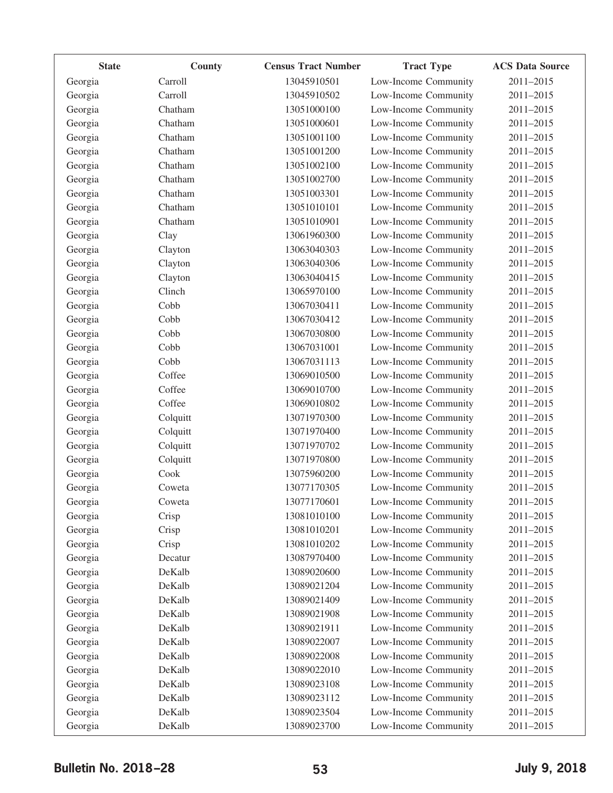| <b>State</b> | County   | <b>Census Tract Number</b> | <b>Tract Type</b>    | <b>ACS Data Source</b> |
|--------------|----------|----------------------------|----------------------|------------------------|
| Georgia      | Carroll  | 13045910501                | Low-Income Community | 2011-2015              |
| Georgia      | Carroll  | 13045910502                | Low-Income Community | 2011-2015              |
| Georgia      | Chatham  | 13051000100                | Low-Income Community | 2011-2015              |
| Georgia      | Chatham  | 13051000601                | Low-Income Community | 2011-2015              |
| Georgia      | Chatham  | 13051001100                | Low-Income Community | 2011-2015              |
| Georgia      | Chatham  | 13051001200                | Low-Income Community | 2011-2015              |
| Georgia      | Chatham  | 13051002100                | Low-Income Community | 2011-2015              |
| Georgia      | Chatham  | 13051002700                | Low-Income Community | 2011-2015              |
| Georgia      | Chatham  | 13051003301                | Low-Income Community | 2011-2015              |
| Georgia      | Chatham  | 13051010101                | Low-Income Community | 2011-2015              |
| Georgia      | Chatham  | 13051010901                | Low-Income Community | 2011-2015              |
| Georgia      | Clay     | 13061960300                | Low-Income Community | 2011-2015              |
| Georgia      | Clayton  | 13063040303                | Low-Income Community | 2011-2015              |
| Georgia      | Clayton  | 13063040306                | Low-Income Community | 2011-2015              |
| Georgia      | Clayton  | 13063040415                | Low-Income Community | 2011-2015              |
| Georgia      | Clinch   | 13065970100                | Low-Income Community | 2011-2015              |
| Georgia      | Cobb     | 13067030411                | Low-Income Community | 2011-2015              |
| Georgia      | Cobb     | 13067030412                | Low-Income Community | 2011-2015              |
| Georgia      | Cobb     | 13067030800                | Low-Income Community | 2011-2015              |
| Georgia      | Cobb     | 13067031001                | Low-Income Community | 2011-2015              |
| Georgia      | Cobb     | 13067031113                | Low-Income Community | 2011-2015              |
| Georgia      | Coffee   | 13069010500                | Low-Income Community | 2011-2015              |
| Georgia      | Coffee   | 13069010700                | Low-Income Community | 2011-2015              |
| Georgia      | Coffee   | 13069010802                | Low-Income Community | 2011-2015              |
| Georgia      | Colquitt | 13071970300                | Low-Income Community | 2011-2015              |
| Georgia      | Colquitt | 13071970400                | Low-Income Community | 2011-2015              |
| Georgia      | Colquitt | 13071970702                | Low-Income Community | 2011-2015              |
| Georgia      | Colquitt | 13071970800                | Low-Income Community | 2011-2015              |
| Georgia      | Cook     | 13075960200                | Low-Income Community | 2011-2015              |
| Georgia      | Coweta   | 13077170305                | Low-Income Community | 2011-2015              |
| Georgia      | Coweta   | 13077170601                | Low-Income Community | 2011-2015              |
| Georgia      | Crisp    | 13081010100                | Low-Income Community | 2011-2015              |
| Georgia      | Crisp    | 13081010201                | Low-Income Community | 2011-2015              |
| Georgia      | Crisp    | 13081010202                | Low-Income Community | 2011-2015              |
| Georgia      | Decatur  | 13087970400                | Low-Income Community | 2011-2015              |
| Georgia      | DeKalb   | 13089020600                | Low-Income Community | 2011-2015              |
| Georgia      | DeKalb   | 13089021204                | Low-Income Community | 2011-2015              |
| Georgia      | DeKalb   | 13089021409                | Low-Income Community | 2011-2015              |
| Georgia      | DeKalb   | 13089021908                | Low-Income Community | 2011-2015              |
| Georgia      | DeKalb   | 13089021911                | Low-Income Community | 2011-2015              |
| Georgia      | DeKalb   | 13089022007                | Low-Income Community | 2011-2015              |
| Georgia      | DeKalb   | 13089022008                | Low-Income Community | 2011-2015              |
| Georgia      | DeKalb   | 13089022010                | Low-Income Community | 2011-2015              |
| Georgia      | DeKalb   | 13089023108                | Low-Income Community | 2011-2015              |
| Georgia      | DeKalb   | 13089023112                | Low-Income Community | 2011-2015              |
| Georgia      | DeKalb   | 13089023504                | Low-Income Community | 2011-2015              |
| Georgia      | DeKalb   | 13089023700                | Low-Income Community | 2011-2015              |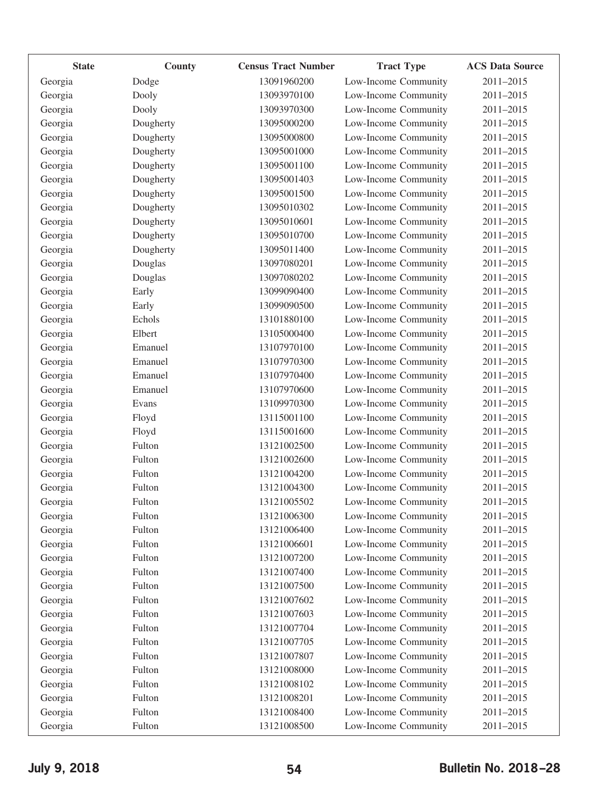| <b>State</b> | County    | <b>Census Tract Number</b> | <b>Tract Type</b>    | <b>ACS Data Source</b> |
|--------------|-----------|----------------------------|----------------------|------------------------|
| Georgia      | Dodge     | 13091960200                | Low-Income Community | 2011-2015              |
| Georgia      | Dooly     | 13093970100                | Low-Income Community | 2011-2015              |
| Georgia      | Dooly     | 13093970300                | Low-Income Community | 2011-2015              |
| Georgia      | Dougherty | 13095000200                | Low-Income Community | 2011-2015              |
| Georgia      | Dougherty | 13095000800                | Low-Income Community | 2011-2015              |
| Georgia      | Dougherty | 13095001000                | Low-Income Community | 2011-2015              |
| Georgia      | Dougherty | 13095001100                | Low-Income Community | 2011-2015              |
| Georgia      | Dougherty | 13095001403                | Low-Income Community | 2011-2015              |
| Georgia      | Dougherty | 13095001500                | Low-Income Community | 2011-2015              |
| Georgia      | Dougherty | 13095010302                | Low-Income Community | 2011-2015              |
| Georgia      | Dougherty | 13095010601                | Low-Income Community | 2011-2015              |
| Georgia      | Dougherty | 13095010700                | Low-Income Community | 2011-2015              |
| Georgia      | Dougherty | 13095011400                | Low-Income Community | 2011-2015              |
| Georgia      | Douglas   | 13097080201                | Low-Income Community | 2011-2015              |
| Georgia      | Douglas   | 13097080202                | Low-Income Community | 2011-2015              |
| Georgia      | Early     | 13099090400                | Low-Income Community | 2011-2015              |
| Georgia      | Early     | 13099090500                | Low-Income Community | 2011-2015              |
| Georgia      | Echols    | 13101880100                | Low-Income Community | 2011-2015              |
| Georgia      | Elbert    | 13105000400                | Low-Income Community | 2011-2015              |
| Georgia      | Emanuel   | 13107970100                | Low-Income Community | 2011-2015              |
| Georgia      | Emanuel   | 13107970300                | Low-Income Community | 2011-2015              |
| Georgia      | Emanuel   | 13107970400                | Low-Income Community | 2011-2015              |
| Georgia      | Emanuel   | 13107970600                | Low-Income Community | 2011-2015              |
| Georgia      | Evans     | 13109970300                | Low-Income Community | 2011-2015              |
| Georgia      | Floyd     | 13115001100                | Low-Income Community | 2011-2015              |
| Georgia      | Floyd     | 13115001600                | Low-Income Community | 2011-2015              |
| Georgia      | Fulton    | 13121002500                | Low-Income Community | 2011-2015              |
| Georgia      | Fulton    | 13121002600                | Low-Income Community | 2011-2015              |
| Georgia      | Fulton    | 13121004200                | Low-Income Community | 2011-2015              |
| Georgia      | Fulton    | 13121004300                | Low-Income Community | 2011-2015              |
| Georgia      | Fulton    | 13121005502                | Low-Income Community | 2011-2015              |
| Georgia      | Fulton    | 13121006300                | Low-Income Community | 2011-2015              |
| Georgia      | Fulton    | 13121006400                | Low-Income Community | 2011-2015              |
| Georgia      | Fulton    | 13121006601                | Low-Income Community | 2011-2015              |
| Georgia      | Fulton    | 13121007200                | Low-Income Community | 2011-2015              |
| Georgia      | Fulton    | 13121007400                | Low-Income Community | 2011-2015              |
| Georgia      | Fulton    | 13121007500                | Low-Income Community | 2011-2015              |
| Georgia      | Fulton    | 13121007602                | Low-Income Community | 2011-2015              |
| Georgia      | Fulton    | 13121007603                | Low-Income Community | 2011-2015              |
| Georgia      | Fulton    | 13121007704                | Low-Income Community | 2011-2015              |
| Georgia      | Fulton    | 13121007705                | Low-Income Community | 2011-2015              |
| Georgia      | Fulton    | 13121007807                | Low-Income Community | 2011-2015              |
| Georgia      | Fulton    | 13121008000                | Low-Income Community | 2011-2015              |
| Georgia      | Fulton    | 13121008102                | Low-Income Community | 2011-2015              |
| Georgia      | Fulton    | 13121008201                | Low-Income Community | 2011-2015              |
| Georgia      | Fulton    | 13121008400                | Low-Income Community | 2011-2015              |
| Georgia      | Fulton    | 13121008500                | Low-Income Community | 2011-2015              |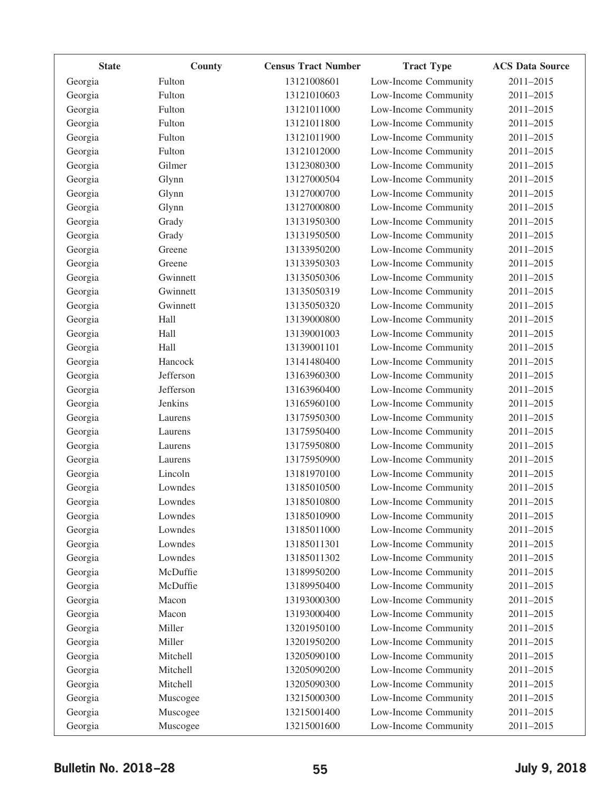| <b>State</b> | County    | <b>Census Tract Number</b> | <b>Tract Type</b>    | <b>ACS Data Source</b> |
|--------------|-----------|----------------------------|----------------------|------------------------|
| Georgia      | Fulton    | 13121008601                | Low-Income Community | 2011-2015              |
| Georgia      | Fulton    | 13121010603                | Low-Income Community | 2011-2015              |
| Georgia      | Fulton    | 13121011000                | Low-Income Community | 2011-2015              |
| Georgia      | Fulton    | 13121011800                | Low-Income Community | 2011-2015              |
| Georgia      | Fulton    | 13121011900                | Low-Income Community | 2011-2015              |
| Georgia      | Fulton    | 13121012000                | Low-Income Community | 2011-2015              |
| Georgia      | Gilmer    | 13123080300                | Low-Income Community | 2011-2015              |
| Georgia      | Glynn     | 13127000504                | Low-Income Community | 2011-2015              |
| Georgia      | Glynn     | 13127000700                | Low-Income Community | 2011-2015              |
| Georgia      | Glynn     | 13127000800                | Low-Income Community | 2011-2015              |
| Georgia      | Grady     | 13131950300                | Low-Income Community | 2011-2015              |
| Georgia      | Grady     | 13131950500                | Low-Income Community | 2011-2015              |
| Georgia      | Greene    | 13133950200                | Low-Income Community | 2011-2015              |
| Georgia      | Greene    | 13133950303                | Low-Income Community | 2011-2015              |
| Georgia      | Gwinnett  | 13135050306                | Low-Income Community | 2011-2015              |
| Georgia      | Gwinnett  | 13135050319                | Low-Income Community | 2011-2015              |
| Georgia      | Gwinnett  | 13135050320                | Low-Income Community | 2011-2015              |
| Georgia      | Hall      | 13139000800                | Low-Income Community | 2011-2015              |
| Georgia      | Hall      | 13139001003                | Low-Income Community | 2011-2015              |
| Georgia      | Hall      | 13139001101                | Low-Income Community | 2011-2015              |
| Georgia      | Hancock   | 13141480400                | Low-Income Community | 2011-2015              |
| Georgia      | Jefferson | 13163960300                | Low-Income Community | 2011-2015              |
| Georgia      | Jefferson | 13163960400                | Low-Income Community | 2011-2015              |
| Georgia      | Jenkins   | 13165960100                | Low-Income Community | 2011-2015              |
| Georgia      | Laurens   | 13175950300                | Low-Income Community | 2011-2015              |
| Georgia      | Laurens   | 13175950400                | Low-Income Community | 2011-2015              |
| Georgia      | Laurens   | 13175950800                | Low-Income Community | 2011-2015              |
| Georgia      | Laurens   | 13175950900                | Low-Income Community | 2011-2015              |
| Georgia      | Lincoln   | 13181970100                | Low-Income Community | 2011-2015              |
| Georgia      | Lowndes   | 13185010500                | Low-Income Community | 2011-2015              |
| Georgia      | Lowndes   | 13185010800                | Low-Income Community | 2011-2015              |
| Georgia      | Lowndes   | 13185010900                | Low-Income Community | 2011-2015              |
| Georgia      | Lowndes   | 13185011000                | Low-Income Community | 2011-2015              |
| Georgia      | Lowndes   | 13185011301                | Low-Income Community | 2011-2015              |
| Georgia      | Lowndes   | 13185011302                | Low-Income Community | 2011-2015              |
| Georgia      | McDuffie  | 13189950200                | Low-Income Community | 2011-2015              |
| Georgia      | McDuffie  | 13189950400                | Low-Income Community | 2011-2015              |
| Georgia      | Macon     | 13193000300                | Low-Income Community | 2011-2015              |
| Georgia      | Macon     | 13193000400                | Low-Income Community | 2011-2015              |
| Georgia      | Miller    | 13201950100                | Low-Income Community | 2011-2015              |
| Georgia      | Miller    | 13201950200                | Low-Income Community | 2011-2015              |
| Georgia      | Mitchell  | 13205090100                | Low-Income Community | 2011-2015              |
| Georgia      | Mitchell  | 13205090200                | Low-Income Community | 2011-2015              |
| Georgia      | Mitchell  | 13205090300                | Low-Income Community | 2011-2015              |
| Georgia      | Muscogee  | 13215000300                | Low-Income Community | 2011-2015              |
| Georgia      | Muscogee  | 13215001400                | Low-Income Community | 2011-2015              |
| Georgia      | Muscogee  | 13215001600                | Low-Income Community | 2011-2015              |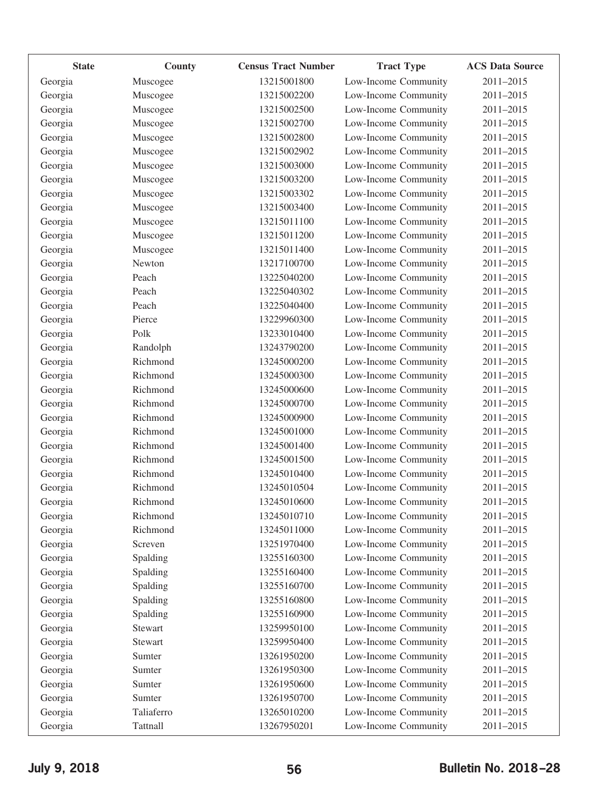| <b>State</b> | County         | <b>Census Tract Number</b> | <b>Tract Type</b>    | <b>ACS Data Source</b> |
|--------------|----------------|----------------------------|----------------------|------------------------|
| Georgia      | Muscogee       | 13215001800                | Low-Income Community | 2011-2015              |
| Georgia      | Muscogee       | 13215002200                | Low-Income Community | 2011-2015              |
| Georgia      | Muscogee       | 13215002500                | Low-Income Community | 2011-2015              |
| Georgia      | Muscogee       | 13215002700                | Low-Income Community | 2011-2015              |
| Georgia      | Muscogee       | 13215002800                | Low-Income Community | 2011-2015              |
| Georgia      | Muscogee       | 13215002902                | Low-Income Community | 2011-2015              |
| Georgia      | Muscogee       | 13215003000                | Low-Income Community | 2011-2015              |
| Georgia      | Muscogee       | 13215003200                | Low-Income Community | 2011-2015              |
| Georgia      | Muscogee       | 13215003302                | Low-Income Community | 2011-2015              |
| Georgia      | Muscogee       | 13215003400                | Low-Income Community | 2011-2015              |
| Georgia      | Muscogee       | 13215011100                | Low-Income Community | 2011-2015              |
| Georgia      | Muscogee       | 13215011200                | Low-Income Community | 2011-2015              |
| Georgia      | Muscogee       | 13215011400                | Low-Income Community | 2011-2015              |
| Georgia      | Newton         | 13217100700                | Low-Income Community | 2011-2015              |
| Georgia      | Peach          | 13225040200                | Low-Income Community | 2011-2015              |
| Georgia      | Peach          | 13225040302                | Low-Income Community | 2011-2015              |
| Georgia      | Peach          | 13225040400                | Low-Income Community | 2011-2015              |
| Georgia      | Pierce         | 13229960300                | Low-Income Community | 2011-2015              |
| Georgia      | Polk           | 13233010400                | Low-Income Community | 2011-2015              |
| Georgia      | Randolph       | 13243790200                | Low-Income Community | 2011-2015              |
| Georgia      | Richmond       | 13245000200                | Low-Income Community | 2011-2015              |
| Georgia      | Richmond       | 13245000300                | Low-Income Community | 2011-2015              |
| Georgia      | Richmond       | 13245000600                | Low-Income Community | 2011-2015              |
| Georgia      | Richmond       | 13245000700                | Low-Income Community | 2011-2015              |
| Georgia      | Richmond       | 13245000900                | Low-Income Community | 2011-2015              |
| Georgia      | Richmond       | 13245001000                | Low-Income Community | 2011-2015              |
| Georgia      | Richmond       | 13245001400                | Low-Income Community | 2011-2015              |
| Georgia      | Richmond       | 13245001500                | Low-Income Community | 2011-2015              |
| Georgia      | Richmond       | 13245010400                | Low-Income Community | 2011-2015              |
| Georgia      | Richmond       | 13245010504                | Low-Income Community | 2011-2015              |
| Georgia      | Richmond       | 13245010600                | Low-Income Community | 2011-2015              |
| Georgia      | Richmond       | 13245010710                | Low-Income Community | 2011-2015              |
| Georgia      | Richmond       | 13245011000                | Low-Income Community | 2011-2015              |
| Georgia      | Screven        | 13251970400                | Low-Income Community | 2011-2015              |
| Georgia      | Spalding       | 13255160300                | Low-Income Community | 2011-2015              |
| Georgia      | Spalding       | 13255160400                | Low-Income Community | 2011-2015              |
| Georgia      | Spalding       | 13255160700                | Low-Income Community | 2011-2015              |
| Georgia      | Spalding       | 13255160800                | Low-Income Community | 2011-2015              |
| Georgia      | Spalding       | 13255160900                | Low-Income Community | 2011-2015              |
| Georgia      | Stewart        | 13259950100                | Low-Income Community | 2011-2015              |
| Georgia      | <b>Stewart</b> | 13259950400                | Low-Income Community | 2011-2015              |
| Georgia      | Sumter         | 13261950200                | Low-Income Community | 2011-2015              |
| Georgia      | Sumter         | 13261950300                | Low-Income Community | 2011-2015              |
| Georgia      | Sumter         | 13261950600                | Low-Income Community | 2011-2015              |
| Georgia      | Sumter         | 13261950700                | Low-Income Community | 2011-2015              |
| Georgia      | Taliaferro     | 13265010200                | Low-Income Community | 2011-2015              |
| Georgia      | Tattnall       | 13267950201                | Low-Income Community | 2011-2015              |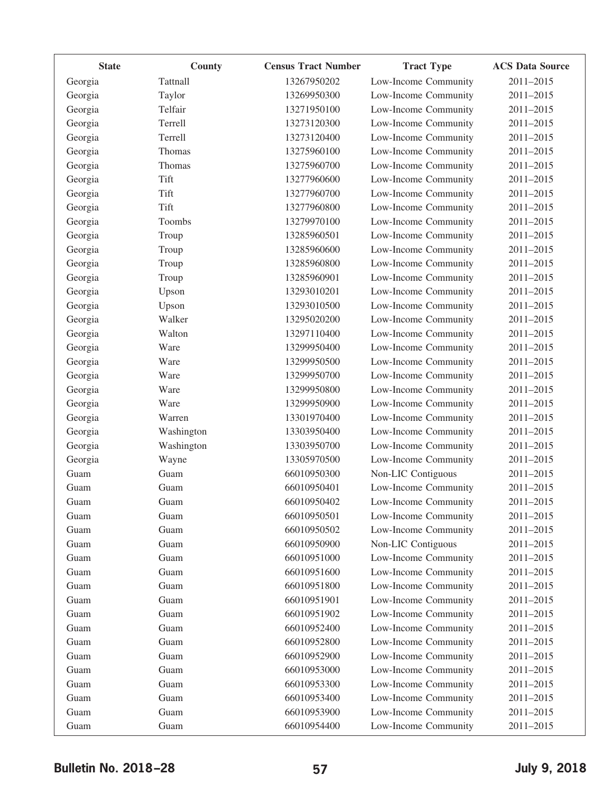| <b>State</b> | County     | <b>Census Tract Number</b> | <b>Tract Type</b>    | <b>ACS Data Source</b> |
|--------------|------------|----------------------------|----------------------|------------------------|
| Georgia      | Tattnall   | 13267950202                | Low-Income Community | 2011-2015              |
| Georgia      | Taylor     | 13269950300                | Low-Income Community | 2011-2015              |
| Georgia      | Telfair    | 13271950100                | Low-Income Community | 2011-2015              |
| Georgia      | Terrell    | 13273120300                | Low-Income Community | 2011-2015              |
| Georgia      | Terrell    | 13273120400                | Low-Income Community | 2011-2015              |
| Georgia      | Thomas     | 13275960100                | Low-Income Community | 2011-2015              |
| Georgia      | Thomas     | 13275960700                | Low-Income Community | 2011-2015              |
| Georgia      | Tift       | 13277960600                | Low-Income Community | 2011-2015              |
| Georgia      | Tift       | 13277960700                | Low-Income Community | 2011-2015              |
| Georgia      | Tift       | 13277960800                | Low-Income Community | 2011-2015              |
| Georgia      | Toombs     | 13279970100                | Low-Income Community | 2011-2015              |
| Georgia      | Troup      | 13285960501                | Low-Income Community | 2011-2015              |
| Georgia      | Troup      | 13285960600                | Low-Income Community | 2011-2015              |
| Georgia      | Troup      | 13285960800                | Low-Income Community | 2011-2015              |
| Georgia      | Troup      | 13285960901                | Low-Income Community | 2011-2015              |
| Georgia      | Upson      | 13293010201                | Low-Income Community | 2011-2015              |
| Georgia      | Upson      | 13293010500                | Low-Income Community | 2011-2015              |
| Georgia      | Walker     | 13295020200                | Low-Income Community | 2011-2015              |
| Georgia      | Walton     | 13297110400                | Low-Income Community | 2011-2015              |
| Georgia      | Ware       | 13299950400                | Low-Income Community | 2011-2015              |
| Georgia      | Ware       | 13299950500                | Low-Income Community | 2011-2015              |
| Georgia      | Ware       | 13299950700                | Low-Income Community | 2011-2015              |
| Georgia      | Ware       | 13299950800                | Low-Income Community | 2011-2015              |
| Georgia      | Ware       | 13299950900                | Low-Income Community | 2011-2015              |
| Georgia      | Warren     | 13301970400                | Low-Income Community | 2011-2015              |
| Georgia      | Washington | 13303950400                | Low-Income Community | 2011-2015              |
| Georgia      | Washington | 13303950700                | Low-Income Community | 2011-2015              |
| Georgia      | Wayne      | 13305970500                | Low-Income Community | 2011-2015              |
| Guam         | Guam       | 66010950300                | Non-LIC Contiguous   | 2011-2015              |
| Guam         | Guam       | 66010950401                | Low-Income Community | 2011-2015              |
| Guam         | Guam       | 66010950402                | Low-Income Community | 2011-2015              |
| Guam         | Guam       | 66010950501                | Low-Income Community | 2011-2015              |
| Guam         | Guam       | 66010950502                | Low-Income Community | 2011-2015              |
| Guam         | Guam       | 66010950900                | Non-LIC Contiguous   | 2011-2015              |
| Guam         | Guam       | 66010951000                | Low-Income Community | 2011-2015              |
| Guam         | Guam       | 66010951600                | Low-Income Community | 2011-2015              |
| Guam         | Guam       | 66010951800                | Low-Income Community | 2011-2015              |
| Guam         | Guam       | 66010951901                | Low-Income Community | 2011-2015              |
| Guam         | Guam       | 66010951902                | Low-Income Community | 2011-2015              |
| Guam         | Guam       | 66010952400                | Low-Income Community | 2011-2015              |
| Guam         | Guam       | 66010952800                | Low-Income Community | 2011-2015              |
| Guam         | Guam       | 66010952900                | Low-Income Community | 2011-2015              |
| Guam         | Guam       | 66010953000                | Low-Income Community | 2011-2015              |
| Guam         | Guam       | 66010953300                | Low-Income Community | 2011-2015              |
| Guam         | Guam       | 66010953400                | Low-Income Community | 2011-2015              |
| Guam         | Guam       | 66010953900                | Low-Income Community | 2011-2015              |
| Guam         | Guam       | 66010954400                | Low-Income Community | 2011-2015              |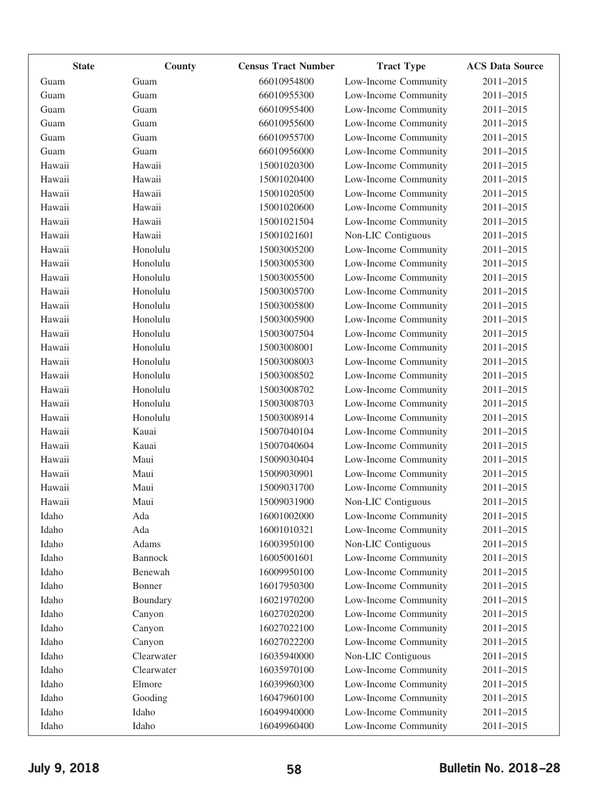| <b>State</b> | County         | <b>Census Tract Number</b> | <b>Tract Type</b>    | <b>ACS Data Source</b> |
|--------------|----------------|----------------------------|----------------------|------------------------|
| Guam         | Guam           | 66010954800                | Low-Income Community | 2011-2015              |
| Guam         | Guam           | 66010955300                | Low-Income Community | 2011-2015              |
| Guam         | Guam           | 66010955400                | Low-Income Community | 2011-2015              |
| Guam         | Guam           | 66010955600                | Low-Income Community | 2011-2015              |
| Guam         | Guam           | 66010955700                | Low-Income Community | 2011-2015              |
| Guam         | Guam           | 66010956000                | Low-Income Community | 2011-2015              |
| Hawaii       | Hawaii         | 15001020300                | Low-Income Community | 2011-2015              |
| Hawaii       | Hawaii         | 15001020400                | Low-Income Community | 2011-2015              |
| Hawaii       | Hawaii         | 15001020500                | Low-Income Community | 2011-2015              |
| Hawaii       | Hawaii         | 15001020600                | Low-Income Community | 2011-2015              |
| Hawaii       | Hawaii         | 15001021504                | Low-Income Community | 2011-2015              |
| Hawaii       | Hawaii         | 15001021601                | Non-LIC Contiguous   | 2011-2015              |
| Hawaii       | Honolulu       | 15003005200                | Low-Income Community | 2011-2015              |
| Hawaii       | Honolulu       | 15003005300                | Low-Income Community | 2011-2015              |
| Hawaii       | Honolulu       | 15003005500                | Low-Income Community | 2011-2015              |
| Hawaii       | Honolulu       | 15003005700                | Low-Income Community | 2011-2015              |
| Hawaii       | Honolulu       | 15003005800                | Low-Income Community | 2011-2015              |
| Hawaii       | Honolulu       | 15003005900                | Low-Income Community | 2011-2015              |
| Hawaii       | Honolulu       | 15003007504                | Low-Income Community | 2011-2015              |
| Hawaii       | Honolulu       | 15003008001                | Low-Income Community | 2011-2015              |
| Hawaii       | Honolulu       | 15003008003                | Low-Income Community | 2011-2015              |
| Hawaii       | Honolulu       | 15003008502                | Low-Income Community | 2011-2015              |
| Hawaii       | Honolulu       | 15003008702                | Low-Income Community | 2011-2015              |
| Hawaii       | Honolulu       | 15003008703                | Low-Income Community | 2011-2015              |
| Hawaii       | Honolulu       | 15003008914                | Low-Income Community | 2011-2015              |
| Hawaii       | Kauai          | 15007040104                | Low-Income Community | 2011-2015              |
| Hawaii       | Kauai          | 15007040604                | Low-Income Community | 2011-2015              |
| Hawaii       | Maui           | 15009030404                | Low-Income Community | 2011-2015              |
| Hawaii       | Maui           | 15009030901                | Low-Income Community | 2011-2015              |
| Hawaii       | Maui           | 15009031700                | Low-Income Community | 2011-2015              |
| Hawaii       | Maui           | 15009031900                | Non-LIC Contiguous   | 2011-2015              |
| Idaho        | Ada            | 16001002000                | Low-Income Community | 2011-2015              |
| Idaho        | Ada            | 16001010321                | Low-Income Community | 2011-2015              |
| Idaho        | Adams          | 16003950100                | Non-LIC Contiguous   | 2011-2015              |
| Idaho        | <b>Bannock</b> | 16005001601                | Low-Income Community | 2011-2015              |
| Idaho        | Benewah        | 16009950100                | Low-Income Community | 2011-2015              |
| Idaho        | Bonner         | 16017950300                | Low-Income Community | 2011-2015              |
| Idaho        | Boundary       | 16021970200                | Low-Income Community | 2011-2015              |
| Idaho        | Canyon         | 16027020200                | Low-Income Community | 2011-2015              |
| Idaho        | Canyon         | 16027022100                | Low-Income Community | 2011-2015              |
| Idaho        | Canyon         | 16027022200                | Low-Income Community | 2011-2015              |
| Idaho        | Clearwater     | 16035940000                | Non-LIC Contiguous   | 2011-2015              |
| Idaho        | Clearwater     | 16035970100                | Low-Income Community | 2011-2015              |
| Idaho        | Elmore         | 16039960300                | Low-Income Community | 2011-2015              |
| Idaho        | Gooding        | 16047960100                | Low-Income Community | 2011-2015              |
| Idaho        | Idaho          | 16049940000                | Low-Income Community | $2011 - 2015$          |
| Idaho        | Idaho          | 16049960400                | Low-Income Community | 2011-2015              |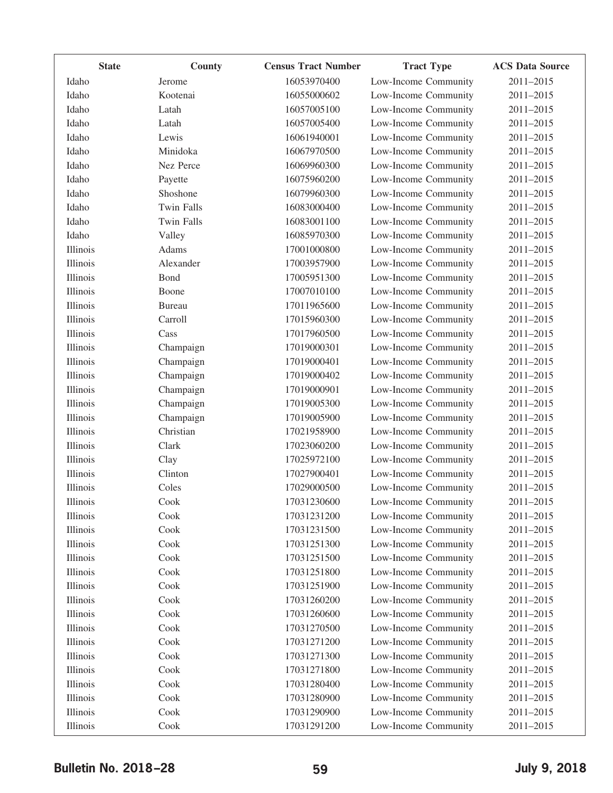| <b>State</b> | County            | <b>Census Tract Number</b> | <b>Tract Type</b>    | <b>ACS Data Source</b> |
|--------------|-------------------|----------------------------|----------------------|------------------------|
| Idaho        | Jerome            | 16053970400                | Low-Income Community | 2011-2015              |
| Idaho        | Kootenai          | 16055000602                | Low-Income Community | 2011-2015              |
| Idaho        | Latah             | 16057005100                | Low-Income Community | 2011-2015              |
| Idaho        | Latah             | 16057005400                | Low-Income Community | 2011-2015              |
| Idaho        | Lewis             | 16061940001                | Low-Income Community | 2011-2015              |
| Idaho        | Minidoka          | 16067970500                | Low-Income Community | 2011-2015              |
| Idaho        | Nez Perce         | 16069960300                | Low-Income Community | 2011-2015              |
| Idaho        | Payette           | 16075960200                | Low-Income Community | 2011-2015              |
| Idaho        | Shoshone          | 16079960300                | Low-Income Community | 2011-2015              |
| Idaho        | <b>Twin Falls</b> | 16083000400                | Low-Income Community | 2011-2015              |
| Idaho        | <b>Twin Falls</b> | 16083001100                | Low-Income Community | 2011-2015              |
| Idaho        | Valley            | 16085970300                | Low-Income Community | 2011-2015              |
| Illinois     | Adams             | 17001000800                | Low-Income Community | 2011-2015              |
| Illinois     | Alexander         | 17003957900                | Low-Income Community | 2011-2015              |
| Illinois     | Bond              | 17005951300                | Low-Income Community | 2011-2015              |
| Illinois     | Boone             | 17007010100                | Low-Income Community | 2011-2015              |
| Illinois     | <b>Bureau</b>     | 17011965600                | Low-Income Community | 2011-2015              |
| Illinois     | Carroll           | 17015960300                | Low-Income Community | 2011-2015              |
| Illinois     | Cass              | 17017960500                | Low-Income Community | 2011-2015              |
| Illinois     | Champaign         | 17019000301                | Low-Income Community | 2011-2015              |
| Illinois     | Champaign         | 17019000401                | Low-Income Community | 2011-2015              |
| Illinois     | Champaign         | 17019000402                | Low-Income Community | 2011-2015              |
| Illinois     | Champaign         | 17019000901                | Low-Income Community | 2011-2015              |
| Illinois     | Champaign         | 17019005300                | Low-Income Community | 2011-2015              |
| Illinois     | Champaign         | 17019005900                | Low-Income Community | 2011-2015              |
| Illinois     | Christian         | 17021958900                | Low-Income Community | 2011-2015              |
| Illinois     | Clark             | 17023060200                | Low-Income Community | 2011-2015              |
| Illinois     | Clay              | 17025972100                | Low-Income Community | 2011-2015              |
| Illinois     | Clinton           | 17027900401                | Low-Income Community | 2011-2015              |
| Illinois     | Coles             | 17029000500                | Low-Income Community | 2011-2015              |
| Illinois     | Cook              | 17031230600                | Low-Income Community | 2011-2015              |
| Illinois     | Cook              | 17031231200                | Low-Income Community | 2011-2015              |
| Illinois     | Cook              | 17031231500                | Low-Income Community | 2011-2015              |
| Illinois     | Cook              | 17031251300                | Low-Income Community | 2011-2015              |
| Illinois     | Cook              | 17031251500                | Low-Income Community | 2011-2015              |
| Illinois     | Cook              | 17031251800                | Low-Income Community | 2011-2015              |
| Illinois     | Cook              | 17031251900                | Low-Income Community | 2011-2015              |
| Illinois     | Cook              | 17031260200                | Low-Income Community | 2011-2015              |
| Illinois     | Cook              | 17031260600                | Low-Income Community | 2011-2015              |
| Illinois     | Cook              | 17031270500                | Low-Income Community | 2011-2015              |
| Illinois     | Cook              | 17031271200                | Low-Income Community | 2011-2015              |
| Illinois     | Cook              | 17031271300                | Low-Income Community | 2011-2015              |
| Illinois     | Cook              | 17031271800                | Low-Income Community | 2011-2015              |
| Illinois     | Cook              | 17031280400                | Low-Income Community | 2011-2015              |
| Illinois     | Cook              | 17031280900                | Low-Income Community | 2011-2015              |
| Illinois     | Cook              | 17031290900                | Low-Income Community | 2011-2015              |
| Illinois     | Cook              | 17031291200                | Low-Income Community | 2011-2015              |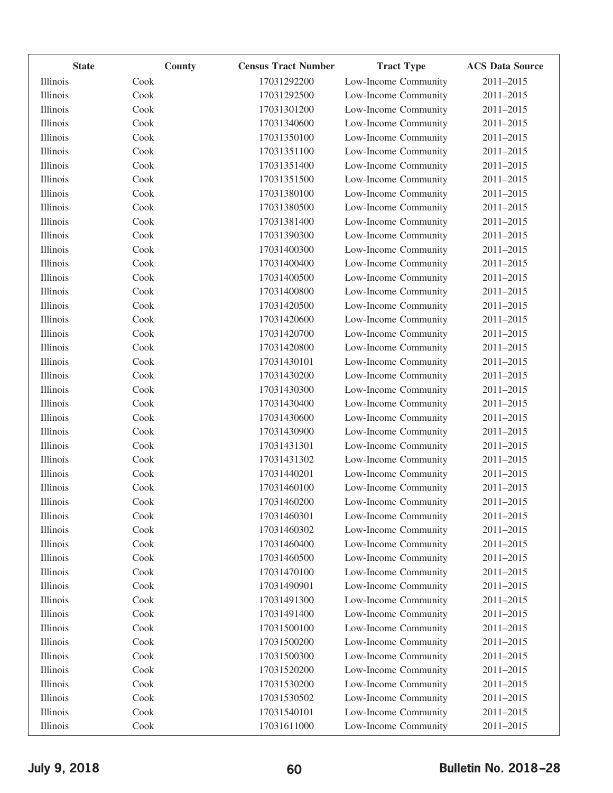| <b>State</b> | County | <b>Census Tract Number</b> | <b>Tract Type</b>    | <b>ACS Data Source</b> |
|--------------|--------|----------------------------|----------------------|------------------------|
| Illinois     | Cook   | 17031292200                | Low-Income Community | 2011-2015              |
| Illinois     | Cook   | 17031292500                | Low-Income Community | 2011-2015              |
| Illinois     | Cook   | 17031301200                | Low-Income Community | 2011-2015              |
| Illinois     | Cook   | 17031340600                | Low-Income Community | 2011-2015              |
| Illinois     | Cook   | 17031350100                | Low-Income Community | 2011-2015              |
| Illinois     | Cook   | 17031351100                | Low-Income Community | 2011-2015              |
| Illinois     | Cook   | 17031351400                | Low-Income Community | 2011-2015              |
| Illinois     | Cook   | 17031351500                | Low-Income Community | 2011-2015              |
| Illinois     | Cook   | 17031380100                | Low-Income Community | 2011-2015              |
| Illinois     | Cook   | 17031380500                | Low-Income Community | 2011-2015              |
| Illinois     | Cook   | 17031381400                | Low-Income Community | 2011-2015              |
| Illinois     | Cook   | 17031390300                | Low-Income Community | 2011-2015              |
| Illinois     | Cook   | 17031400300                | Low-Income Community | 2011-2015              |
| Illinois     | Cook   | 17031400400                | Low-Income Community | 2011-2015              |
| Illinois     | Cook   | 17031400500                | Low-Income Community | 2011-2015              |
| Illinois     | Cook   | 17031400800                | Low-Income Community | 2011-2015              |
| Illinois     | Cook   | 17031420500                | Low-Income Community | 2011-2015              |
| Illinois     | Cook   | 17031420600                | Low-Income Community | 2011-2015              |
| Illinois     | Cook   | 17031420700                | Low-Income Community | 2011-2015              |
| Illinois     | Cook   | 17031420800                | Low-Income Community | 2011-2015              |
| Illinois     | Cook   | 17031430101                | Low-Income Community | 2011-2015              |
| Illinois     | Cook   | 17031430200                | Low-Income Community | 2011-2015              |
| Illinois     | Cook   | 17031430300                | Low-Income Community | 2011-2015              |
| Illinois     | Cook   | 17031430400                | Low-Income Community | 2011-2015              |
| Illinois     | Cook   | 17031430600                | Low-Income Community | 2011-2015              |
| Illinois     | Cook   | 17031430900                | Low-Income Community | 2011-2015              |
| Illinois     | Cook   | 17031431301                | Low-Income Community | 2011-2015              |
| Illinois     | Cook   | 17031431302                | Low-Income Community | 2011-2015              |
| Illinois     | Cook   | 17031440201                | Low-Income Community | 2011-2015              |
| Illinois     | Cook   | 17031460100                | Low-Income Community | 2011-2015              |
| Illinois     | Cook   | 17031460200                | Low-Income Community | 2011-2015              |
| Illinois     | Cook   | 17031460301                | Low-Income Community | 2011-2015              |
| Illinois     | Cook   | 17031460302                | Low-Income Community | 2011-2015              |
| Illinois     | Cook   | 17031460400                | Low-Income Community | 2011-2015              |
| Illinois     | Cook   | 17031460500                | Low-Income Community | 2011-2015              |
| Illinois     | Cook   | 17031470100                | Low-Income Community | 2011-2015              |
| Illinois     | Cook   | 17031490901                | Low-Income Community | 2011-2015              |
| Illinois     | Cook   | 17031491300                | Low-Income Community | 2011-2015              |
| Illinois     | Cook   | 17031491400                | Low-Income Community | 2011-2015              |
| Illinois     | Cook   | 17031500100                | Low-Income Community | 2011-2015              |
| Illinois     | Cook   | 17031500200                | Low-Income Community | 2011-2015              |
| Illinois     | Cook   | 17031500300                | Low-Income Community | 2011-2015              |
| Illinois     | Cook   | 17031520200                | Low-Income Community | 2011-2015              |
| Illinois     | Cook   | 17031530200                | Low-Income Community | 2011-2015              |
| Illinois     | Cook   | 17031530502                | Low-Income Community | 2011-2015              |
| Illinois     | Cook   | 17031540101                | Low-Income Community | 2011-2015              |
| Illinois     | Cook   | 17031611000                | Low-Income Community | 2011-2015              |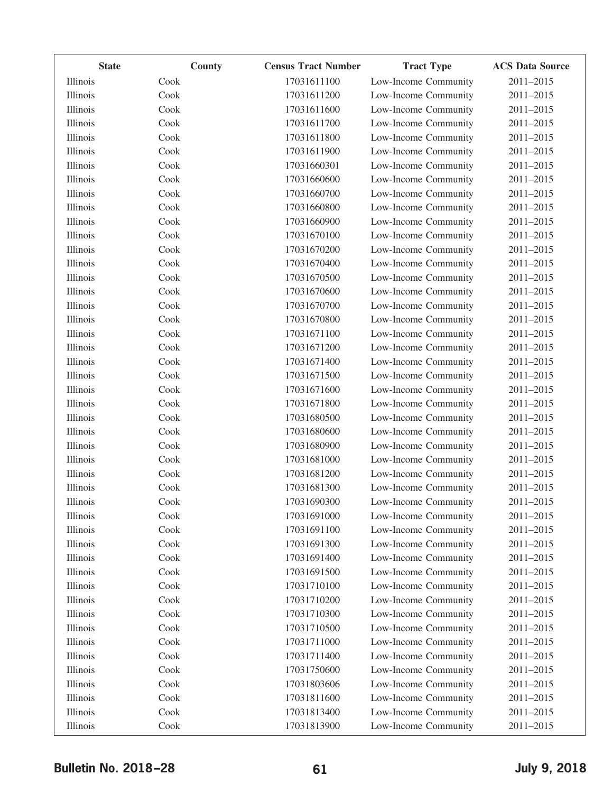| <b>State</b> | <b>County</b> | <b>Census Tract Number</b> | <b>Tract Type</b>    | <b>ACS Data Source</b> |
|--------------|---------------|----------------------------|----------------------|------------------------|
| Illinois     | Cook          | 17031611100                | Low-Income Community | 2011-2015              |
| Illinois     | Cook          | 17031611200                | Low-Income Community | 2011-2015              |
| Illinois     | Cook          | 17031611600                | Low-Income Community | 2011-2015              |
| Illinois     | Cook          | 17031611700                | Low-Income Community | 2011-2015              |
| Illinois     | Cook          | 17031611800                | Low-Income Community | 2011-2015              |
| Illinois     | Cook          | 17031611900                | Low-Income Community | 2011-2015              |
| Illinois     | Cook          | 17031660301                | Low-Income Community | 2011-2015              |
| Illinois     | Cook          | 17031660600                | Low-Income Community | 2011-2015              |
| Illinois     | Cook          | 17031660700                | Low-Income Community | 2011-2015              |
| Illinois     | Cook          | 17031660800                | Low-Income Community | 2011-2015              |
| Illinois     | Cook          | 17031660900                | Low-Income Community | 2011-2015              |
| Illinois     | Cook          | 17031670100                | Low-Income Community | 2011-2015              |
| Illinois     | Cook          | 17031670200                | Low-Income Community | 2011-2015              |
| Illinois     | Cook          | 17031670400                | Low-Income Community | 2011-2015              |
| Illinois     | Cook          | 17031670500                | Low-Income Community | 2011-2015              |
| Illinois     | Cook          | 17031670600                | Low-Income Community | 2011-2015              |
| Illinois     | Cook          | 17031670700                | Low-Income Community | 2011-2015              |
| Illinois     | Cook          | 17031670800                | Low-Income Community | 2011-2015              |
| Illinois     | Cook          | 17031671100                | Low-Income Community | 2011-2015              |
| Illinois     | Cook          | 17031671200                | Low-Income Community | 2011-2015              |
| Illinois     | Cook          | 17031671400                | Low-Income Community | 2011-2015              |
| Illinois     | Cook          | 17031671500                | Low-Income Community | 2011-2015              |
| Illinois     | Cook          | 17031671600                | Low-Income Community | 2011-2015              |
| Illinois     | Cook          | 17031671800                | Low-Income Community | 2011-2015              |
| Illinois     | Cook          | 17031680500                | Low-Income Community | 2011-2015              |
| Illinois     | Cook          | 17031680600                | Low-Income Community | 2011-2015              |
| Illinois     | Cook          | 17031680900                | Low-Income Community | 2011-2015              |
| Illinois     | Cook          | 17031681000                | Low-Income Community | 2011-2015              |
| Illinois     | Cook          | 17031681200                | Low-Income Community | 2011-2015              |
| Illinois     | Cook          | 17031681300                | Low-Income Community | 2011-2015              |
| Illinois     | Cook          | 17031690300                | Low-Income Community | 2011-2015              |
| Illinois     | Cook          | 17031691000                | Low-Income Community | 2011-2015              |
| Illinois     | Cook          | 17031691100                | Low-Income Community | 2011-2015              |
| Illinois     | Cook          | 17031691300                | Low-Income Community | 2011-2015              |
| Illinois     | Cook          | 17031691400                | Low-Income Community | 2011-2015              |
| Illinois     | Cook          | 17031691500                | Low-Income Community | 2011-2015              |
| Illinois     | Cook          | 17031710100                | Low-Income Community | 2011-2015              |
| Illinois     | Cook          | 17031710200                | Low-Income Community | 2011-2015              |
| Illinois     | Cook          | 17031710300                | Low-Income Community | 2011-2015              |
| Illinois     | Cook          | 17031710500                | Low-Income Community | 2011-2015              |
| Illinois     | Cook          | 17031711000                | Low-Income Community | 2011-2015              |
| Illinois     | Cook          | 17031711400                | Low-Income Community | 2011-2015              |
| Illinois     | Cook          | 17031750600                | Low-Income Community | 2011-2015              |
| Illinois     | Cook          | 17031803606                | Low-Income Community | 2011-2015              |
| Illinois     | Cook          | 17031811600                | Low-Income Community | 2011-2015              |
| Illinois     | Cook          | 17031813400                | Low-Income Community | 2011-2015              |
| Illinois     | Cook          | 17031813900                | Low-Income Community | 2011-2015              |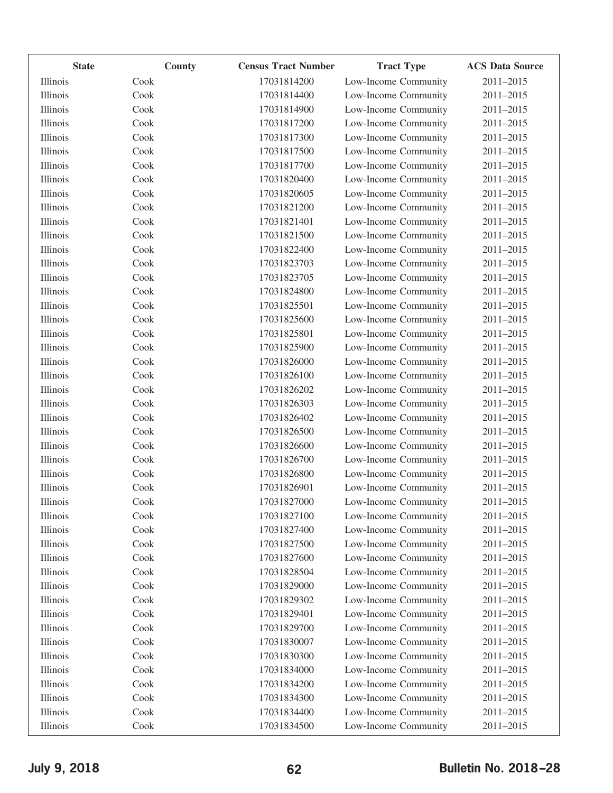| <b>State</b> | County | <b>Census Tract Number</b> | <b>Tract Type</b>    | <b>ACS Data Source</b> |
|--------------|--------|----------------------------|----------------------|------------------------|
| Illinois     | Cook   | 17031814200                | Low-Income Community | 2011-2015              |
| Illinois     | Cook   | 17031814400                | Low-Income Community | 2011-2015              |
| Illinois     | Cook   | 17031814900                | Low-Income Community | 2011-2015              |
| Illinois     | Cook   | 17031817200                | Low-Income Community | 2011-2015              |
| Illinois     | Cook   | 17031817300                | Low-Income Community | 2011-2015              |
| Illinois     | Cook   | 17031817500                | Low-Income Community | 2011-2015              |
| Illinois     | Cook   | 17031817700                | Low-Income Community | 2011-2015              |
| Illinois     | Cook   | 17031820400                | Low-Income Community | 2011-2015              |
| Illinois     | Cook   | 17031820605                | Low-Income Community | 2011-2015              |
| Illinois     | Cook   | 17031821200                | Low-Income Community | 2011-2015              |
| Illinois     | Cook   | 17031821401                | Low-Income Community | 2011-2015              |
| Illinois     | Cook   | 17031821500                | Low-Income Community | 2011-2015              |
| Illinois     | Cook   | 17031822400                | Low-Income Community | 2011-2015              |
| Illinois     | Cook   | 17031823703                | Low-Income Community | 2011-2015              |
| Illinois     | Cook   | 17031823705                | Low-Income Community | 2011-2015              |
| Illinois     | Cook   | 17031824800                | Low-Income Community | 2011-2015              |
| Illinois     | Cook   | 17031825501                | Low-Income Community | 2011-2015              |
| Illinois     | Cook   | 17031825600                | Low-Income Community | 2011-2015              |
| Illinois     | Cook   | 17031825801                | Low-Income Community | 2011-2015              |
| Illinois     | Cook   | 17031825900                | Low-Income Community | 2011-2015              |
| Illinois     | Cook   | 17031826000                | Low-Income Community | 2011-2015              |
| Illinois     | Cook   | 17031826100                | Low-Income Community | 2011-2015              |
| Illinois     | Cook   | 17031826202                | Low-Income Community | 2011-2015              |
| Illinois     | Cook   | 17031826303                | Low-Income Community | 2011-2015              |
| Illinois     | Cook   | 17031826402                | Low-Income Community | 2011-2015              |
| Illinois     | Cook   | 17031826500                | Low-Income Community | 2011-2015              |
| Illinois     | Cook   | 17031826600                | Low-Income Community | 2011-2015              |
| Illinois     | Cook   | 17031826700                | Low-Income Community | 2011-2015              |
| Illinois     | Cook   | 17031826800                | Low-Income Community | 2011-2015              |
| Illinois     | Cook   | 17031826901                | Low-Income Community | 2011-2015              |
| Illinois     | Cook   | 17031827000                | Low-Income Community | 2011-2015              |
| Illinois     | Cook   | 17031827100                | Low-Income Community | 2011-2015              |
| Illinois     | Cook   | 17031827400                | Low-Income Community | 2011-2015              |
| Illinois     | Cook   | 17031827500                | Low-Income Community | 2011-2015              |
| Illinois     | Cook   | 17031827600                | Low-Income Community | 2011-2015              |
| Illinois     | Cook   | 17031828504                | Low-Income Community | 2011-2015              |
| Illinois     | Cook   | 17031829000                | Low-Income Community | 2011-2015              |
| Illinois     | Cook   | 17031829302                | Low-Income Community | 2011-2015              |
| Illinois     | Cook   | 17031829401                | Low-Income Community | 2011-2015              |
| Illinois     | Cook   | 17031829700                | Low-Income Community | $2011 - 2015$          |
| Illinois     | Cook   | 17031830007                | Low-Income Community | 2011-2015              |
| Illinois     | Cook   | 17031830300                | Low-Income Community | 2011-2015              |
| Illinois     | Cook   | 17031834000                | Low-Income Community | 2011-2015              |
| Illinois     | Cook   | 17031834200                | Low-Income Community | 2011-2015              |
| Illinois     | Cook   | 17031834300                | Low-Income Community | 2011-2015              |
| Illinois     | Cook   | 17031834400                | Low-Income Community | 2011-2015              |
| Illinois     | Cook   | 17031834500                | Low-Income Community | 2011-2015              |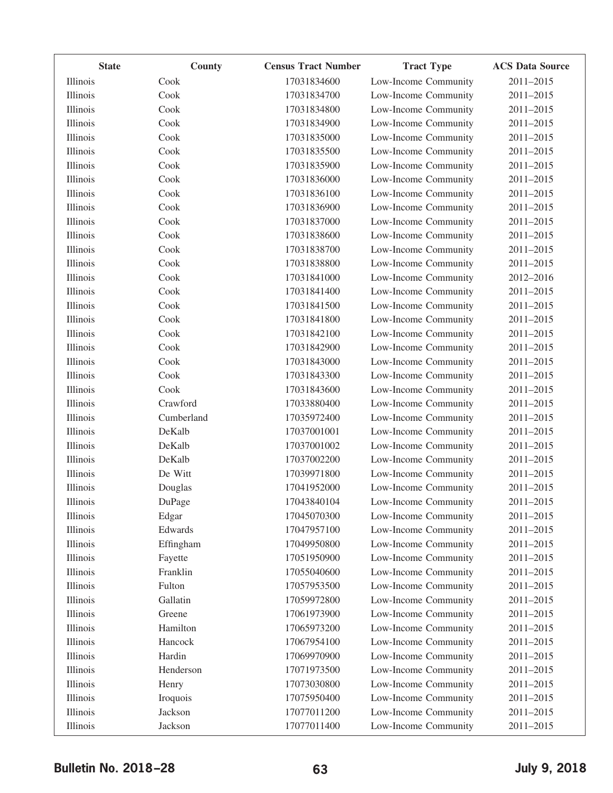| <b>State</b> | <b>County</b> | <b>Census Tract Number</b> | <b>Tract Type</b>    | <b>ACS Data Source</b> |
|--------------|---------------|----------------------------|----------------------|------------------------|
| Illinois     | Cook          | 17031834600                | Low-Income Community | 2011-2015              |
| Illinois     | Cook          | 17031834700                | Low-Income Community | 2011-2015              |
| Illinois     | Cook          | 17031834800                | Low-Income Community | 2011-2015              |
| Illinois     | Cook          | 17031834900                | Low-Income Community | 2011-2015              |
| Illinois     | Cook          | 17031835000                | Low-Income Community | 2011-2015              |
| Illinois     | Cook          | 17031835500                | Low-Income Community | 2011-2015              |
| Illinois     | Cook          | 17031835900                | Low-Income Community | 2011-2015              |
| Illinois     | Cook          | 17031836000                | Low-Income Community | 2011-2015              |
| Illinois     | Cook          | 17031836100                | Low-Income Community | 2011-2015              |
| Illinois     | Cook          | 17031836900                | Low-Income Community | 2011-2015              |
| Illinois     | Cook          | 17031837000                | Low-Income Community | 2011-2015              |
| Illinois     | Cook          | 17031838600                | Low-Income Community | 2011-2015              |
| Illinois     | Cook          | 17031838700                | Low-Income Community | 2011-2015              |
| Illinois     | Cook          | 17031838800                | Low-Income Community | 2011-2015              |
| Illinois     | Cook          | 17031841000                | Low-Income Community | 2012-2016              |
| Illinois     | Cook          | 17031841400                | Low-Income Community | 2011-2015              |
| Illinois     | Cook          | 17031841500                | Low-Income Community | 2011-2015              |
| Illinois     | Cook          | 17031841800                | Low-Income Community | 2011-2015              |
| Illinois     | Cook          | 17031842100                | Low-Income Community | 2011-2015              |
| Illinois     | Cook          | 17031842900                | Low-Income Community | 2011-2015              |
| Illinois     | Cook          | 17031843000                | Low-Income Community | 2011-2015              |
| Illinois     | Cook          | 17031843300                | Low-Income Community | 2011-2015              |
| Illinois     | Cook          | 17031843600                | Low-Income Community | 2011-2015              |
| Illinois     | Crawford      | 17033880400                | Low-Income Community | 2011-2015              |
| Illinois     | Cumberland    | 17035972400                | Low-Income Community | 2011-2015              |
| Illinois     | DeKalb        | 17037001001                | Low-Income Community | 2011-2015              |
| Illinois     | DeKalb        | 17037001002                | Low-Income Community | 2011-2015              |
| Illinois     | DeKalb        | 17037002200                | Low-Income Community | 2011-2015              |
| Illinois     | De Witt       | 17039971800                | Low-Income Community | 2011-2015              |
| Illinois     | Douglas       | 17041952000                | Low-Income Community | 2011-2015              |
| Illinois     | DuPage        | 17043840104                | Low-Income Community | 2011-2015              |
| Illinois     | Edgar         | 17045070300                | Low-Income Community | 2011-2015              |
| Illinois     | Edwards       | 17047957100                | Low-Income Community | 2011-2015              |
| Illinois     | Effingham     | 17049950800                | Low-Income Community | 2011-2015              |
| Illinois     | Fayette       | 17051950900                | Low-Income Community | 2011-2015              |
| Illinois     | Franklin      | 17055040600                | Low-Income Community | 2011-2015              |
| Illinois     | Fulton        | 17057953500                | Low-Income Community | 2011-2015              |
| Illinois     | Gallatin      | 17059972800                | Low-Income Community | 2011-2015              |
| Illinois     | Greene        | 17061973900                | Low-Income Community | 2011-2015              |
| Illinois     | Hamilton      | 17065973200                | Low-Income Community | 2011-2015              |
| Illinois     | Hancock       | 17067954100                | Low-Income Community | 2011-2015              |
| Illinois     | Hardin        | 17069970900                | Low-Income Community | 2011-2015              |
| Illinois     | Henderson     | 17071973500                | Low-Income Community | 2011-2015              |
| Illinois     | Henry         | 17073030800                | Low-Income Community | 2011-2015              |
| Illinois     | Iroquois      | 17075950400                | Low-Income Community | 2011-2015              |
| Illinois     | Jackson       | 17077011200                | Low-Income Community | 2011-2015              |
| Illinois     | Jackson       | 17077011400                | Low-Income Community | 2011-2015              |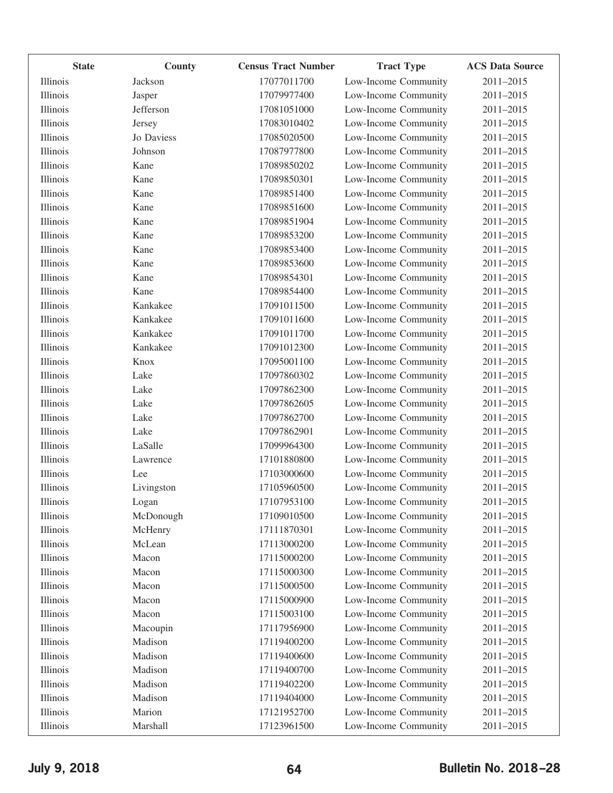| <b>State</b> | <b>County</b> | <b>Census Tract Number</b> | <b>Tract Type</b>    | <b>ACS Data Source</b> |
|--------------|---------------|----------------------------|----------------------|------------------------|
| Illinois     | Jackson       | 17077011700                | Low-Income Community | 2011-2015              |
| Illinois     | Jasper        | 17079977400                | Low-Income Community | 2011-2015              |
| Illinois     | Jefferson     | 17081051000                | Low-Income Community | 2011-2015              |
| Illinois     | Jersey        | 17083010402                | Low-Income Community | 2011-2015              |
| Illinois     | Jo Daviess    | 17085020500                | Low-Income Community | 2011-2015              |
| Illinois     | Johnson       | 17087977800                | Low-Income Community | 2011-2015              |
| Illinois     | Kane          | 17089850202                | Low-Income Community | 2011-2015              |
| Illinois     | Kane          | 17089850301                | Low-Income Community | 2011-2015              |
| Illinois     | Kane          | 17089851400                | Low-Income Community | 2011-2015              |
| Illinois     | Kane          | 17089851600                | Low-Income Community | 2011-2015              |
| Illinois     | Kane          | 17089851904                | Low-Income Community | 2011-2015              |
| Illinois     | Kane          | 17089853200                | Low-Income Community | 2011-2015              |
| Illinois     | Kane          | 17089853400                | Low-Income Community | 2011-2015              |
| Illinois     | Kane          | 17089853600                | Low-Income Community | 2011-2015              |
| Illinois     | Kane          | 17089854301                | Low-Income Community | 2011-2015              |
| Illinois     | Kane          | 17089854400                | Low-Income Community | 2011-2015              |
| Illinois     | Kankakee      | 17091011500                | Low-Income Community | 2011-2015              |
| Illinois     | Kankakee      | 17091011600                | Low-Income Community | 2011-2015              |
| Illinois     | Kankakee      | 17091011700                | Low-Income Community | 2011-2015              |
| Illinois     | Kankakee      | 17091012300                | Low-Income Community | 2011-2015              |
| Illinois     | Knox          | 17095001100                | Low-Income Community | 2011-2015              |
| Illinois     | Lake          | 17097860302                | Low-Income Community | 2011-2015              |
| Illinois     | Lake          | 17097862300                | Low-Income Community | 2011-2015              |
| Illinois     | Lake          | 17097862605                | Low-Income Community | 2011-2015              |
| Illinois     | Lake          | 17097862700                | Low-Income Community | 2011-2015              |
| Illinois     | Lake          | 17097862901                | Low-Income Community | 2011-2015              |
| Illinois     | LaSalle       | 17099964300                | Low-Income Community | 2011-2015              |
| Illinois     | Lawrence      | 17101880800                | Low-Income Community | 2011-2015              |
| Illinois     | Lee           | 17103000600                | Low-Income Community | 2011-2015              |
| Illinois     | Livingston    | 17105960500                | Low-Income Community | 2011-2015              |
| Illinois     | Logan         | 17107953100                | Low-Income Community | 2011-2015              |
| Illinois     | McDonough     | 17109010500                | Low-Income Community | 2011-2015              |
| Illinois     | McHenry       | 17111870301                | Low-Income Community | 2011-2015              |
| Illinois     | McLean        | 17113000200                | Low-Income Community | 2011-2015              |
| Illinois     | Macon         | 17115000200                | Low-Income Community | 2011-2015              |
| Illinois     | Macon         | 17115000300                | Low-Income Community | 2011-2015              |
| Illinois     | Macon         | 17115000500                | Low-Income Community | 2011-2015              |
| Illinois     | Macon         | 17115000900                | Low-Income Community | 2011-2015              |
| Illinois     | Macon         | 17115003100                | Low-Income Community | 2011-2015              |
| Illinois     | Macoupin      | 17117956900                | Low-Income Community | 2011-2015              |
| Illinois     | Madison       | 17119400200                | Low-Income Community | 2011-2015              |
| Illinois     | Madison       | 17119400600                | Low-Income Community | 2011-2015              |
| Illinois     | Madison       | 17119400700                | Low-Income Community | 2011-2015              |
| Illinois     | Madison       | 17119402200                | Low-Income Community | 2011-2015              |
| Illinois     | Madison       | 17119404000                | Low-Income Community | 2011-2015              |
| Illinois     | Marion        | 17121952700                | Low-Income Community | 2011-2015              |
| Illinois     | Marshall      | 17123961500                | Low-Income Community | 2011-2015              |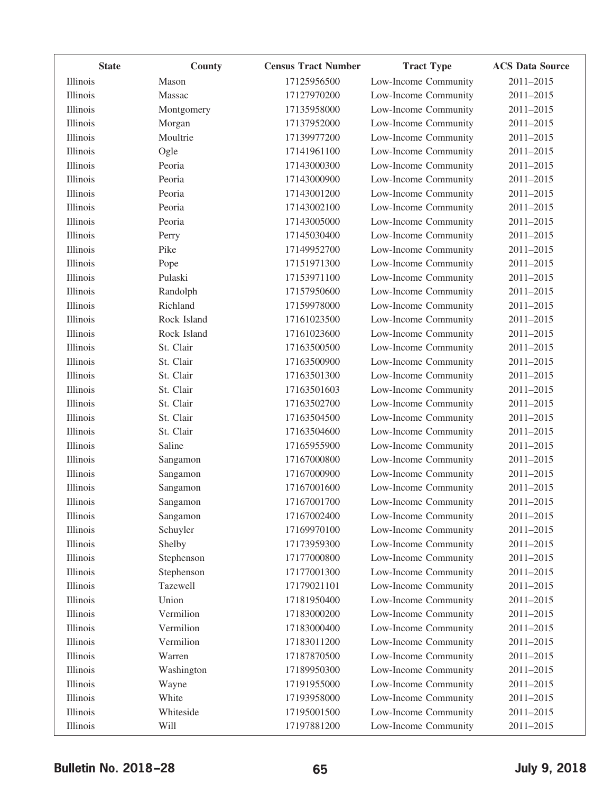| <b>State</b> | County      | <b>Census Tract Number</b> | <b>Tract Type</b>    | <b>ACS Data Source</b> |
|--------------|-------------|----------------------------|----------------------|------------------------|
| Illinois     | Mason       | 17125956500                | Low-Income Community | 2011-2015              |
| Illinois     | Massac      | 17127970200                | Low-Income Community | 2011-2015              |
| Illinois     | Montgomery  | 17135958000                | Low-Income Community | 2011-2015              |
| Illinois     | Morgan      | 17137952000                | Low-Income Community | 2011-2015              |
| Illinois     | Moultrie    | 17139977200                | Low-Income Community | 2011-2015              |
| Illinois     | Ogle        | 17141961100                | Low-Income Community | 2011-2015              |
| Illinois     | Peoria      | 17143000300                | Low-Income Community | 2011-2015              |
| Illinois     | Peoria      | 17143000900                | Low-Income Community | 2011-2015              |
| Illinois     | Peoria      | 17143001200                | Low-Income Community | 2011-2015              |
| Illinois     | Peoria      | 17143002100                | Low-Income Community | 2011-2015              |
| Illinois     | Peoria      | 17143005000                | Low-Income Community | 2011-2015              |
| Illinois     | Perry       | 17145030400                | Low-Income Community | 2011-2015              |
| Illinois     | Pike        | 17149952700                | Low-Income Community | 2011-2015              |
| Illinois     | Pope        | 17151971300                | Low-Income Community | 2011-2015              |
| Illinois     | Pulaski     | 17153971100                | Low-Income Community | 2011-2015              |
| Illinois     | Randolph    | 17157950600                | Low-Income Community | 2011-2015              |
| Illinois     | Richland    | 17159978000                | Low-Income Community | 2011-2015              |
| Illinois     | Rock Island | 17161023500                | Low-Income Community | 2011-2015              |
| Illinois     | Rock Island | 17161023600                | Low-Income Community | 2011-2015              |
| Illinois     | St. Clair   | 17163500500                | Low-Income Community | 2011-2015              |
| Illinois     | St. Clair   | 17163500900                | Low-Income Community | 2011-2015              |
| Illinois     | St. Clair   | 17163501300                | Low-Income Community | 2011-2015              |
| Illinois     | St. Clair   | 17163501603                | Low-Income Community | 2011-2015              |
| Illinois     | St. Clair   | 17163502700                | Low-Income Community | 2011-2015              |
| Illinois     | St. Clair   | 17163504500                | Low-Income Community | 2011-2015              |
| Illinois     | St. Clair   | 17163504600                | Low-Income Community | 2011-2015              |
| Illinois     | Saline      | 17165955900                | Low-Income Community | 2011-2015              |
| Illinois     | Sangamon    | 17167000800                | Low-Income Community | 2011-2015              |
| Illinois     | Sangamon    | 17167000900                | Low-Income Community | 2011-2015              |
| Illinois     | Sangamon    | 17167001600                | Low-Income Community | 2011-2015              |
| Illinois     | Sangamon    | 17167001700                | Low-Income Community | 2011-2015              |
| Illinois     | Sangamon    | 17167002400                | Low-Income Community | 2011-2015              |
| Illinois     | Schuyler    | 17169970100                | Low-Income Community | 2011-2015              |
| Illinois     | Shelby      | 17173959300                | Low-Income Community | 2011-2015              |
| Illinois     | Stephenson  | 17177000800                | Low-Income Community | 2011-2015              |
| Illinois     | Stephenson  | 17177001300                | Low-Income Community | 2011-2015              |
| Illinois     | Tazewell    | 17179021101                | Low-Income Community | 2011-2015              |
| Illinois     | Union       | 17181950400                | Low-Income Community | 2011-2015              |
| Illinois     | Vermilion   | 17183000200                | Low-Income Community | 2011-2015              |
| Illinois     | Vermilion   | 17183000400                | Low-Income Community | 2011-2015              |
| Illinois     | Vermilion   | 17183011200                | Low-Income Community | 2011-2015              |
| Illinois     | Warren      | 17187870500                | Low-Income Community | 2011-2015              |
| Illinois     | Washington  | 17189950300                | Low-Income Community | 2011-2015              |
| Illinois     | Wayne       | 17191955000                | Low-Income Community | 2011-2015              |
| Illinois     | White       | 17193958000                | Low-Income Community | 2011-2015              |
| Illinois     | Whiteside   | 17195001500                | Low-Income Community | 2011-2015              |
| Illinois     | Will        | 17197881200                | Low-Income Community | 2011-2015              |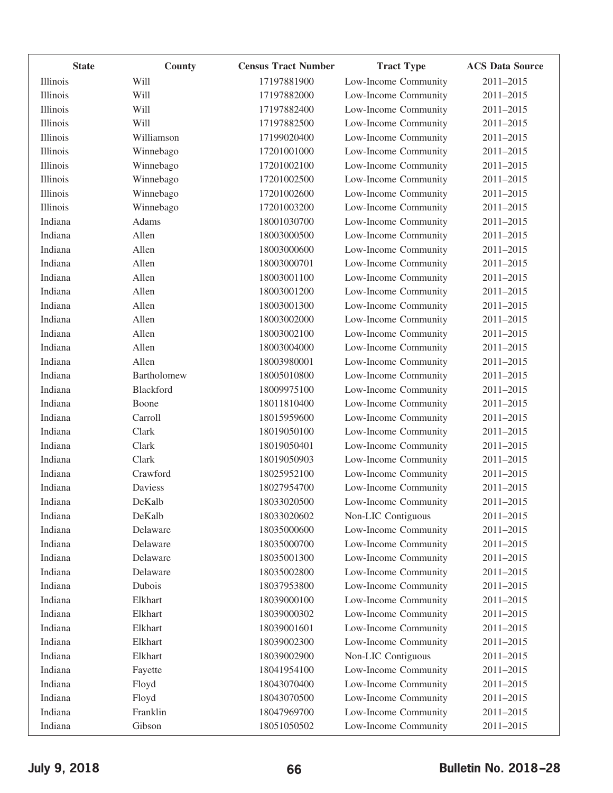| <b>State</b> | County      | <b>Census Tract Number</b> | <b>Tract Type</b>    | <b>ACS Data Source</b> |
|--------------|-------------|----------------------------|----------------------|------------------------|
| Illinois     | Will        | 17197881900                | Low-Income Community | 2011-2015              |
| Illinois     | Will        | 17197882000                | Low-Income Community | 2011-2015              |
| Illinois     | Will        | 17197882400                | Low-Income Community | 2011-2015              |
| Illinois     | Will        | 17197882500                | Low-Income Community | 2011-2015              |
| Illinois     | Williamson  | 17199020400                | Low-Income Community | 2011-2015              |
| Illinois     | Winnebago   | 17201001000                | Low-Income Community | 2011-2015              |
| Illinois     | Winnebago   | 17201002100                | Low-Income Community | 2011-2015              |
| Illinois     | Winnebago   | 17201002500                | Low-Income Community | 2011-2015              |
| Illinois     | Winnebago   | 17201002600                | Low-Income Community | 2011-2015              |
| Illinois     | Winnebago   | 17201003200                | Low-Income Community | 2011-2015              |
| Indiana      | Adams       | 18001030700                | Low-Income Community | 2011-2015              |
| Indiana      | Allen       | 18003000500                | Low-Income Community | 2011-2015              |
| Indiana      | Allen       | 18003000600                | Low-Income Community | 2011-2015              |
| Indiana      | Allen       | 18003000701                | Low-Income Community | 2011-2015              |
| Indiana      | Allen       | 18003001100                | Low-Income Community | 2011-2015              |
| Indiana      | Allen       | 18003001200                | Low-Income Community | 2011-2015              |
| Indiana      | Allen       | 18003001300                | Low-Income Community | 2011-2015              |
| Indiana      | Allen       | 18003002000                | Low-Income Community | 2011-2015              |
| Indiana      | Allen       | 18003002100                | Low-Income Community | 2011-2015              |
| Indiana      | Allen       | 18003004000                | Low-Income Community | 2011-2015              |
| Indiana      | Allen       | 18003980001                | Low-Income Community | 2011-2015              |
| Indiana      | Bartholomew | 18005010800                | Low-Income Community | 2011-2015              |
| Indiana      | Blackford   | 18009975100                | Low-Income Community | 2011-2015              |
| Indiana      | Boone       | 18011810400                | Low-Income Community | 2011-2015              |
| Indiana      | Carroll     | 18015959600                | Low-Income Community | 2011-2015              |
| Indiana      | Clark       | 18019050100                | Low-Income Community | 2011-2015              |
| Indiana      | Clark       | 18019050401                | Low-Income Community | 2011-2015              |
| Indiana      | Clark       | 18019050903                | Low-Income Community | 2011-2015              |
| Indiana      | Crawford    | 18025952100                | Low-Income Community | 2011-2015              |
| Indiana      | Daviess     | 18027954700                | Low-Income Community | 2011-2015              |
| Indiana      | DeKalb      | 18033020500                | Low-Income Community | 2011-2015              |
| Indiana      | DeKalb      | 18033020602                | Non-LIC Contiguous   | 2011-2015              |
| Indiana      | Delaware    | 18035000600                | Low-Income Community | 2011-2015              |
| Indiana      | Delaware    | 18035000700                | Low-Income Community | 2011-2015              |
| Indiana      | Delaware    | 18035001300                | Low-Income Community | 2011-2015              |
| Indiana      | Delaware    | 18035002800                | Low-Income Community | 2011-2015              |
| Indiana      | Dubois      | 18037953800                | Low-Income Community | 2011-2015              |
| Indiana      | Elkhart     | 18039000100                | Low-Income Community | 2011-2015              |
| Indiana      | Elkhart     | 18039000302                | Low-Income Community | 2011-2015              |
| Indiana      | Elkhart     | 18039001601                | Low-Income Community | 2011-2015              |
| Indiana      | Elkhart     | 18039002300                | Low-Income Community | 2011-2015              |
| Indiana      | Elkhart     | 18039002900                | Non-LIC Contiguous   | 2011-2015              |
| Indiana      | Fayette     | 18041954100                | Low-Income Community | 2011-2015              |
| Indiana      | Floyd       | 18043070400                | Low-Income Community | 2011-2015              |
| Indiana      | Floyd       | 18043070500                | Low-Income Community | 2011-2015              |
| Indiana      | Franklin    | 18047969700                | Low-Income Community | 2011-2015              |
| Indiana      | Gibson      | 18051050502                | Low-Income Community | 2011-2015              |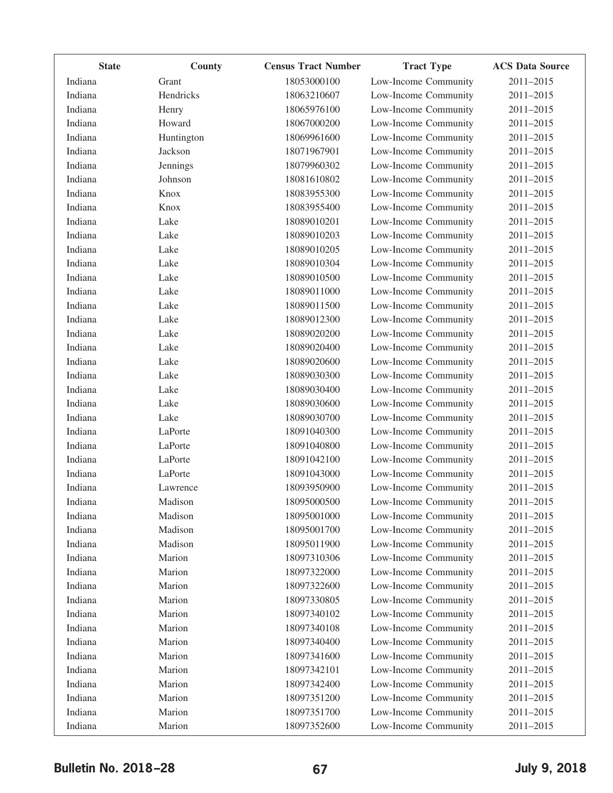| <b>State</b> | County     | <b>Census Tract Number</b> | <b>Tract Type</b>    | <b>ACS Data Source</b> |
|--------------|------------|----------------------------|----------------------|------------------------|
| Indiana      | Grant      | 18053000100                | Low-Income Community | 2011-2015              |
| Indiana      | Hendricks  | 18063210607                | Low-Income Community | 2011-2015              |
| Indiana      | Henry      | 18065976100                | Low-Income Community | 2011-2015              |
| Indiana      | Howard     | 18067000200                | Low-Income Community | 2011-2015              |
| Indiana      | Huntington | 18069961600                | Low-Income Community | 2011-2015              |
| Indiana      | Jackson    | 18071967901                | Low-Income Community | 2011-2015              |
| Indiana      | Jennings   | 18079960302                | Low-Income Community | 2011-2015              |
| Indiana      | Johnson    | 18081610802                | Low-Income Community | 2011-2015              |
| Indiana      | Knox       | 18083955300                | Low-Income Community | 2011-2015              |
| Indiana      | Knox       | 18083955400                | Low-Income Community | 2011-2015              |
| Indiana      | Lake       | 18089010201                | Low-Income Community | 2011-2015              |
| Indiana      | Lake       | 18089010203                | Low-Income Community | 2011-2015              |
| Indiana      | Lake       | 18089010205                | Low-Income Community | 2011-2015              |
| Indiana      | Lake       | 18089010304                | Low-Income Community | 2011-2015              |
| Indiana      | Lake       | 18089010500                | Low-Income Community | 2011-2015              |
| Indiana      | Lake       | 18089011000                | Low-Income Community | 2011-2015              |
| Indiana      | Lake       | 18089011500                | Low-Income Community | 2011-2015              |
| Indiana      | Lake       | 18089012300                | Low-Income Community | 2011-2015              |
| Indiana      | Lake       | 18089020200                | Low-Income Community | 2011-2015              |
| Indiana      | Lake       | 18089020400                | Low-Income Community | 2011-2015              |
| Indiana      | Lake       | 18089020600                | Low-Income Community | 2011-2015              |
| Indiana      | Lake       | 18089030300                | Low-Income Community | 2011-2015              |
| Indiana      | Lake       | 18089030400                | Low-Income Community | 2011-2015              |
| Indiana      | Lake       | 18089030600                | Low-Income Community | 2011-2015              |
| Indiana      | Lake       | 18089030700                | Low-Income Community | 2011-2015              |
| Indiana      | LaPorte    | 18091040300                | Low-Income Community | 2011-2015              |
| Indiana      | LaPorte    | 18091040800                | Low-Income Community | 2011-2015              |
| Indiana      | LaPorte    | 18091042100                | Low-Income Community | 2011-2015              |
| Indiana      | LaPorte    | 18091043000                | Low-Income Community | 2011-2015              |
| Indiana      | Lawrence   | 18093950900                | Low-Income Community | 2011-2015              |
| Indiana      | Madison    | 18095000500                | Low-Income Community | 2011-2015              |
| Indiana      | Madison    | 18095001000                | Low-Income Community | 2011-2015              |
| Indiana      | Madison    | 18095001700                | Low-Income Community | 2011-2015              |
| Indiana      | Madison    | 18095011900                | Low-Income Community | 2011-2015              |
| Indiana      | Marion     | 18097310306                | Low-Income Community | 2011-2015              |
| Indiana      | Marion     | 18097322000                | Low-Income Community | 2011-2015              |
| Indiana      | Marion     | 18097322600                | Low-Income Community | 2011-2015              |
| Indiana      | Marion     | 18097330805                | Low-Income Community | 2011-2015              |
| Indiana      | Marion     | 18097340102                | Low-Income Community | 2011-2015              |
| Indiana      | Marion     | 18097340108                | Low-Income Community | 2011-2015              |
| Indiana      | Marion     | 18097340400                | Low-Income Community | 2011-2015              |
| Indiana      | Marion     | 18097341600                | Low-Income Community | 2011-2015              |
| Indiana      | Marion     | 18097342101                | Low-Income Community | 2011-2015              |
| Indiana      | Marion     | 18097342400                | Low-Income Community | 2011-2015              |
| Indiana      | Marion     | 18097351200                | Low-Income Community | 2011-2015              |
| Indiana      | Marion     | 18097351700                | Low-Income Community | 2011-2015              |
| Indiana      | Marion     | 18097352600                | Low-Income Community | 2011-2015              |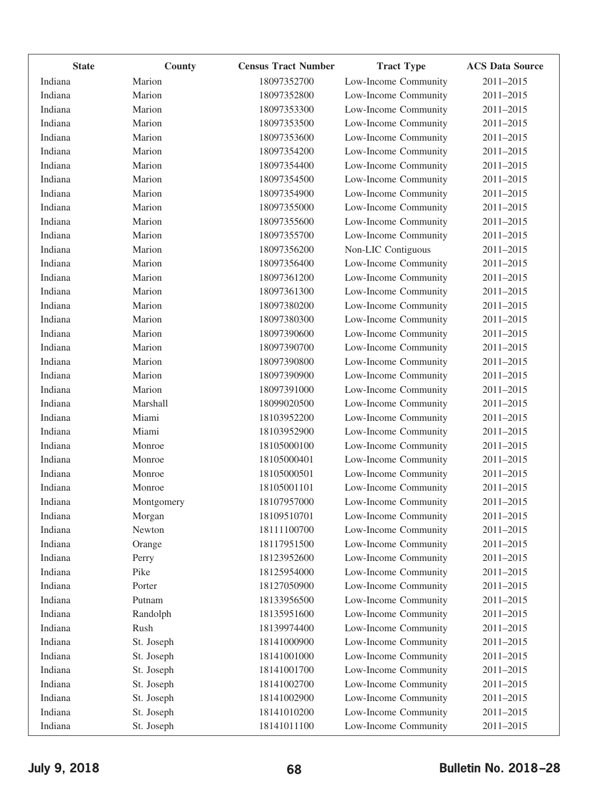| <b>State</b> | <b>County</b> | <b>Census Tract Number</b> | <b>Tract Type</b>    | <b>ACS Data Source</b> |
|--------------|---------------|----------------------------|----------------------|------------------------|
| Indiana      | Marion        | 18097352700                | Low-Income Community | 2011-2015              |
| Indiana      | Marion        | 18097352800                | Low-Income Community | 2011-2015              |
| Indiana      | Marion        | 18097353300                | Low-Income Community | 2011-2015              |
| Indiana      | Marion        | 18097353500                | Low-Income Community | 2011-2015              |
| Indiana      | Marion        | 18097353600                | Low-Income Community | 2011-2015              |
| Indiana      | Marion        | 18097354200                | Low-Income Community | 2011-2015              |
| Indiana      | Marion        | 18097354400                | Low-Income Community | 2011-2015              |
| Indiana      | Marion        | 18097354500                | Low-Income Community | $2011 - 2015$          |
| Indiana      | Marion        | 18097354900                | Low-Income Community | 2011-2015              |
| Indiana      | Marion        | 18097355000                | Low-Income Community | 2011-2015              |
| Indiana      | Marion        | 18097355600                | Low-Income Community | 2011-2015              |
| Indiana      | Marion        | 18097355700                | Low-Income Community | 2011-2015              |
| Indiana      | Marion        | 18097356200                | Non-LIC Contiguous   | 2011-2015              |
| Indiana      | Marion        | 18097356400                | Low-Income Community | $2011 - 2015$          |
| Indiana      | Marion        | 18097361200                | Low-Income Community | 2011-2015              |
| Indiana      | Marion        | 18097361300                | Low-Income Community | 2011-2015              |
| Indiana      | Marion        | 18097380200                | Low-Income Community | 2011-2015              |
| Indiana      | Marion        | 18097380300                | Low-Income Community | 2011-2015              |
| Indiana      | Marion        | 18097390600                | Low-Income Community | 2011-2015              |
| Indiana      | Marion        | 18097390700                | Low-Income Community | 2011-2015              |
| Indiana      | Marion        | 18097390800                | Low-Income Community | 2011-2015              |
| Indiana      | Marion        | 18097390900                | Low-Income Community | 2011-2015              |
| Indiana      | Marion        | 18097391000                | Low-Income Community | 2011-2015              |
| Indiana      | Marshall      | 18099020500                | Low-Income Community | 2011-2015              |
| Indiana      | Miami         | 18103952200                | Low-Income Community | 2011-2015              |
| Indiana      | Miami         | 18103952900                | Low-Income Community | 2011-2015              |
| Indiana      | Monroe        | 18105000100                | Low-Income Community | 2011-2015              |
| Indiana      | Monroe        | 18105000401                | Low-Income Community | 2011-2015              |
| Indiana      | Monroe        | 18105000501                | Low-Income Community | 2011-2015              |
| Indiana      | Monroe        | 18105001101                | Low-Income Community | 2011-2015              |
| Indiana      | Montgomery    | 18107957000                | Low-Income Community | 2011-2015              |
| Indiana      | Morgan        | 18109510701                | Low-Income Community | 2011-2015              |
| Indiana      | Newton        | 18111100700                | Low-Income Community | 2011-2015              |
| Indiana      | Orange        | 18117951500                | Low-Income Community | 2011-2015              |
| Indiana      | Perry         | 18123952600                | Low-Income Community | 2011-2015              |
| Indiana      | Pike          | 18125954000                | Low-Income Community | 2011-2015              |
| Indiana      | Porter        | 18127050900                | Low-Income Community | 2011-2015              |
| Indiana      | Putnam        | 18133956500                | Low-Income Community | 2011-2015              |
| Indiana      | Randolph      | 18135951600                | Low-Income Community | 2011-2015              |
| Indiana      | Rush          | 18139974400                | Low-Income Community | 2011-2015              |
| Indiana      | St. Joseph    | 18141000900                | Low-Income Community | 2011-2015              |
| Indiana      | St. Joseph    | 18141001000                | Low-Income Community | 2011-2015              |
| Indiana      | St. Joseph    | 18141001700                | Low-Income Community | 2011-2015              |
| Indiana      | St. Joseph    | 18141002700                | Low-Income Community | 2011-2015              |
| Indiana      | St. Joseph    | 18141002900                | Low-Income Community | 2011-2015              |
| Indiana      | St. Joseph    | 18141010200                | Low-Income Community | 2011-2015              |
| Indiana      | St. Joseph    | 18141011100                | Low-Income Community | 2011-2015              |
|              |               |                            |                      |                        |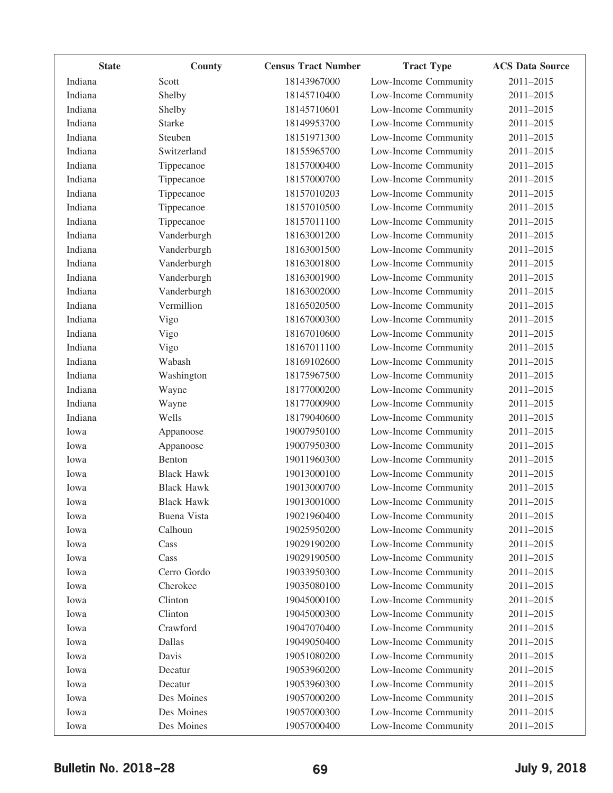| <b>State</b> | County            | <b>Census Tract Number</b> | <b>Tract Type</b>    | <b>ACS Data Source</b> |
|--------------|-------------------|----------------------------|----------------------|------------------------|
| Indiana      | Scott             | 18143967000                | Low-Income Community | 2011-2015              |
| Indiana      | Shelby            | 18145710400                | Low-Income Community | 2011-2015              |
| Indiana      | Shelby            | 18145710601                | Low-Income Community | 2011-2015              |
| Indiana      | <b>Starke</b>     | 18149953700                | Low-Income Community | 2011-2015              |
| Indiana      | Steuben           | 18151971300                | Low-Income Community | 2011-2015              |
| Indiana      | Switzerland       | 18155965700                | Low-Income Community | 2011-2015              |
| Indiana      | Tippecanoe        | 18157000400                | Low-Income Community | 2011-2015              |
| Indiana      | Tippecanoe        | 18157000700                | Low-Income Community | 2011-2015              |
| Indiana      | Tippecanoe        | 18157010203                | Low-Income Community | 2011-2015              |
| Indiana      | Tippecanoe        | 18157010500                | Low-Income Community | 2011-2015              |
| Indiana      | Tippecanoe        | 18157011100                | Low-Income Community | 2011-2015              |
| Indiana      | Vanderburgh       | 18163001200                | Low-Income Community | 2011-2015              |
| Indiana      | Vanderburgh       | 18163001500                | Low-Income Community | 2011-2015              |
| Indiana      | Vanderburgh       | 18163001800                | Low-Income Community | 2011-2015              |
| Indiana      | Vanderburgh       | 18163001900                | Low-Income Community | 2011-2015              |
| Indiana      | Vanderburgh       | 18163002000                | Low-Income Community | 2011-2015              |
| Indiana      | Vermillion        | 18165020500                | Low-Income Community | 2011-2015              |
| Indiana      | Vigo              | 18167000300                | Low-Income Community | 2011-2015              |
| Indiana      | Vigo              | 18167010600                | Low-Income Community | 2011-2015              |
| Indiana      | Vigo              | 18167011100                | Low-Income Community | 2011-2015              |
| Indiana      | Wabash            | 18169102600                | Low-Income Community | 2011-2015              |
| Indiana      | Washington        | 18175967500                | Low-Income Community | 2011-2015              |
| Indiana      | Wayne             | 18177000200                | Low-Income Community | 2011-2015              |
| Indiana      | Wayne             | 18177000900                | Low-Income Community | 2011-2015              |
| Indiana      | Wells             | 18179040600                | Low-Income Community | 2011-2015              |
| Iowa         | Appanoose         | 19007950100                | Low-Income Community | 2011-2015              |
| Iowa         | Appanoose         | 19007950300                | Low-Income Community | $2011 - 2015$          |
| Iowa         | Benton            | 19011960300                | Low-Income Community | 2011-2015              |
| Iowa         | <b>Black Hawk</b> | 19013000100                | Low-Income Community | 2011-2015              |
| Iowa         | <b>Black Hawk</b> | 19013000700                | Low-Income Community | 2011-2015              |
| Iowa         | <b>Black Hawk</b> | 19013001000                | Low-Income Community | 2011-2015              |
| Iowa         | Buena Vista       | 19021960400                | Low-Income Community | 2011-2015              |
| Iowa         | Calhoun           | 19025950200                | Low-Income Community | 2011-2015              |
| Iowa         | Cass              | 19029190200                | Low-Income Community | 2011-2015              |
| Iowa         | Cass              | 19029190500                | Low-Income Community | 2011-2015              |
| Iowa         | Cerro Gordo       | 19033950300                | Low-Income Community | 2011-2015              |
| Iowa         | Cherokee          | 19035080100                | Low-Income Community | 2011-2015              |
| Iowa         | Clinton           | 19045000100                | Low-Income Community | 2011-2015              |
| Iowa         | Clinton           | 19045000300                | Low-Income Community | 2011-2015              |
| Iowa         | Crawford          | 19047070400                | Low-Income Community | 2011-2015              |
| Iowa         | Dallas            | 19049050400                | Low-Income Community | 2011-2015              |
| Iowa         | Davis             | 19051080200                | Low-Income Community | 2011-2015              |
| Iowa         | Decatur           | 19053960200                | Low-Income Community | 2011-2015              |
| Iowa         | Decatur           | 19053960300                | Low-Income Community | 2011-2015              |
| Iowa         | Des Moines        | 19057000200                | Low-Income Community | 2011-2015              |
| Iowa         | Des Moines        | 19057000300                | Low-Income Community | 2011-2015              |
| Iowa         | Des Moines        | 19057000400                | Low-Income Community | 2011-2015              |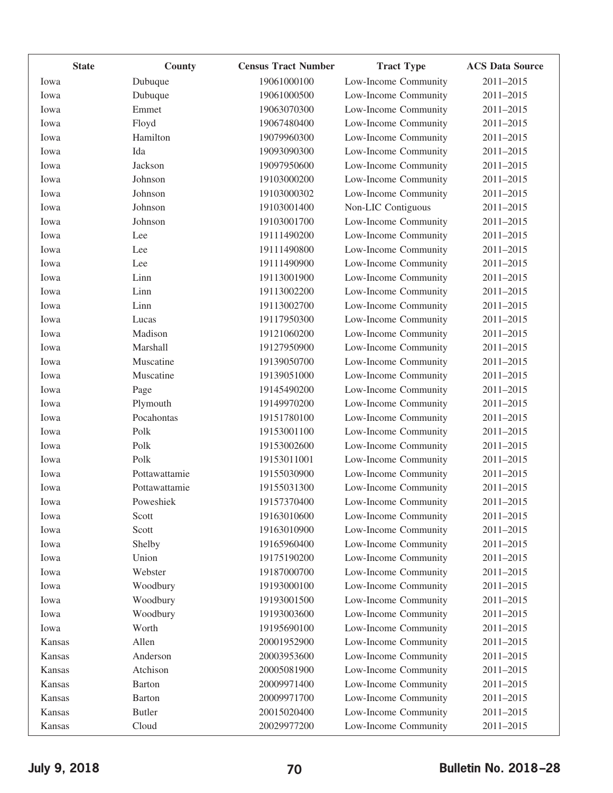| <b>State</b> | County        | <b>Census Tract Number</b> | <b>Tract Type</b>    | <b>ACS Data Source</b> |
|--------------|---------------|----------------------------|----------------------|------------------------|
| Iowa         | Dubuque       | 19061000100                | Low-Income Community | 2011-2015              |
| Iowa         | Dubuque       | 19061000500                | Low-Income Community | 2011-2015              |
| Iowa         | Emmet         | 19063070300                | Low-Income Community | 2011-2015              |
| Iowa         | Floyd         | 19067480400                | Low-Income Community | 2011-2015              |
| Iowa         | Hamilton      | 19079960300                | Low-Income Community | 2011-2015              |
| Iowa         | Ida           | 19093090300                | Low-Income Community | 2011-2015              |
| Iowa         | Jackson       | 19097950600                | Low-Income Community | 2011-2015              |
| Iowa         | Johnson       | 19103000200                | Low-Income Community | 2011-2015              |
| Iowa         | Johnson       | 19103000302                | Low-Income Community | 2011-2015              |
| Iowa         | Johnson       | 19103001400                | Non-LIC Contiguous   | 2011-2015              |
| Iowa         | Johnson       | 19103001700                | Low-Income Community | 2011-2015              |
| Iowa         | Lee           | 19111490200                | Low-Income Community | 2011-2015              |
| Iowa         | Lee           | 19111490800                | Low-Income Community | 2011-2015              |
| Iowa         | Lee           | 19111490900                | Low-Income Community | 2011-2015              |
| Iowa         | Linn          | 19113001900                | Low-Income Community | 2011-2015              |
| Iowa         | Linn          | 19113002200                | Low-Income Community | 2011-2015              |
| Iowa         | Linn          | 19113002700                | Low-Income Community | 2011-2015              |
| Iowa         | Lucas         | 19117950300                | Low-Income Community | 2011-2015              |
| Iowa         | Madison       | 19121060200                | Low-Income Community | 2011-2015              |
| Iowa         | Marshall      | 19127950900                | Low-Income Community | 2011-2015              |
| Iowa         | Muscatine     | 19139050700                | Low-Income Community | 2011-2015              |
| Iowa         | Muscatine     | 19139051000                | Low-Income Community | 2011-2015              |
| Iowa         | Page          | 19145490200                | Low-Income Community | 2011-2015              |
| Iowa         | Plymouth      | 19149970200                | Low-Income Community | 2011-2015              |
| Iowa         | Pocahontas    | 19151780100                | Low-Income Community | 2011-2015              |
| Iowa         | Polk          | 19153001100                | Low-Income Community | 2011-2015              |
| Iowa         | Polk          | 19153002600                | Low-Income Community | 2011-2015              |
| Iowa         | Polk          | 19153011001                | Low-Income Community | 2011-2015              |
| Iowa         | Pottawattamie | 19155030900                | Low-Income Community | 2011-2015              |
| Iowa         | Pottawattamie | 19155031300                | Low-Income Community | 2011-2015              |
| Iowa         | Poweshiek     | 19157370400                | Low-Income Community | 2011-2015              |
| Iowa         | Scott         | 19163010600                | Low-Income Community | 2011-2015              |
| Iowa         | Scott         | 19163010900                | Low-Income Community | 2011-2015              |
| Iowa         | Shelby        | 19165960400                | Low-Income Community | 2011-2015              |
| Iowa         | Union         | 19175190200                | Low-Income Community | 2011-2015              |
| Iowa         | Webster       | 19187000700                | Low-Income Community | 2011-2015              |
| Iowa         | Woodbury      | 19193000100                | Low-Income Community | 2011-2015              |
| Iowa         | Woodbury      | 19193001500                | Low-Income Community | 2011-2015              |
| Iowa         | Woodbury      | 19193003600                | Low-Income Community | 2011-2015              |
| Iowa         | Worth         | 19195690100                | Low-Income Community | 2011-2015              |
| Kansas       | Allen         | 20001952900                | Low-Income Community | 2011-2015              |
| Kansas       | Anderson      | 20003953600                | Low-Income Community | 2011-2015              |
| Kansas       | Atchison      | 20005081900                | Low-Income Community | 2011-2015              |
| Kansas       | <b>Barton</b> | 20009971400                | Low-Income Community | 2011-2015              |
| Kansas       | <b>Barton</b> | 20009971700                | Low-Income Community | 2011-2015              |
| Kansas       | <b>Butler</b> | 20015020400                | Low-Income Community | 2011-2015              |
| Kansas       | Cloud         | 20029977200                | Low-Income Community | 2011-2015              |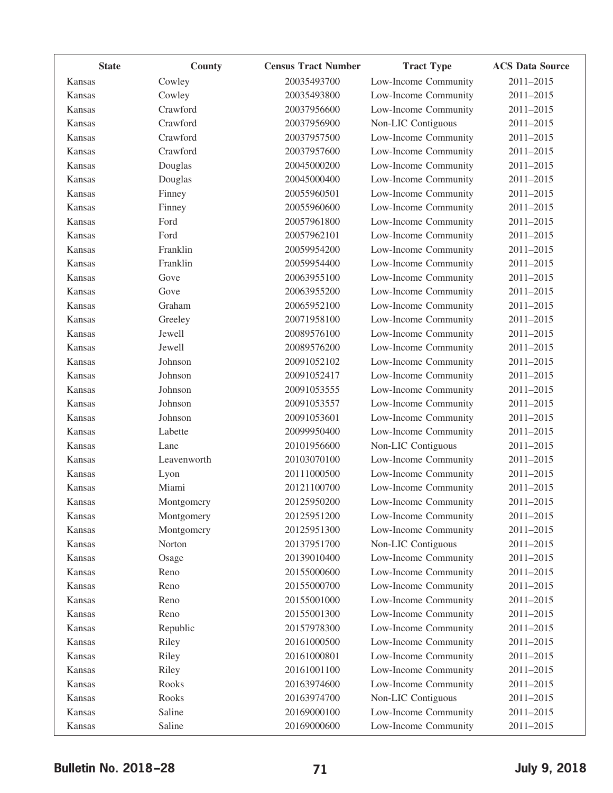| <b>State</b> | County      | <b>Census Tract Number</b> | <b>Tract Type</b>    | <b>ACS Data Source</b> |
|--------------|-------------|----------------------------|----------------------|------------------------|
| Kansas       | Cowley      | 20035493700                | Low-Income Community | 2011-2015              |
| Kansas       | Cowley      | 20035493800                | Low-Income Community | 2011-2015              |
| Kansas       | Crawford    | 20037956600                | Low-Income Community | 2011-2015              |
| Kansas       | Crawford    | 20037956900                | Non-LIC Contiguous   | 2011-2015              |
| Kansas       | Crawford    | 20037957500                | Low-Income Community | 2011-2015              |
| Kansas       | Crawford    | 20037957600                | Low-Income Community | 2011-2015              |
| Kansas       | Douglas     | 20045000200                | Low-Income Community | 2011-2015              |
| Kansas       | Douglas     | 20045000400                | Low-Income Community | 2011-2015              |
| Kansas       | Finney      | 20055960501                | Low-Income Community | 2011-2015              |
| Kansas       | Finney      | 20055960600                | Low-Income Community | 2011-2015              |
| Kansas       | Ford        | 20057961800                | Low-Income Community | 2011-2015              |
| Kansas       | Ford        | 20057962101                | Low-Income Community | 2011-2015              |
| Kansas       | Franklin    | 20059954200                | Low-Income Community | 2011-2015              |
| Kansas       | Franklin    | 20059954400                | Low-Income Community | 2011-2015              |
| Kansas       | Gove        | 20063955100                | Low-Income Community | 2011-2015              |
| Kansas       | Gove        | 20063955200                | Low-Income Community | 2011-2015              |
| Kansas       | Graham      | 20065952100                | Low-Income Community | 2011-2015              |
| Kansas       | Greeley     | 20071958100                | Low-Income Community | 2011-2015              |
| Kansas       | Jewell      | 20089576100                | Low-Income Community | 2011-2015              |
| Kansas       | Jewell      | 20089576200                | Low-Income Community | 2011-2015              |
| Kansas       | Johnson     | 20091052102                | Low-Income Community | 2011-2015              |
| Kansas       | Johnson     | 20091052417                | Low-Income Community | 2011-2015              |
| Kansas       | Johnson     | 20091053555                | Low-Income Community | 2011-2015              |
| Kansas       | Johnson     | 20091053557                | Low-Income Community | 2011-2015              |
| Kansas       | Johnson     | 20091053601                | Low-Income Community | 2011-2015              |
| Kansas       | Labette     | 20099950400                | Low-Income Community | 2011-2015              |
| Kansas       | Lane        | 20101956600                | Non-LIC Contiguous   | 2011-2015              |
| Kansas       | Leavenworth | 20103070100                | Low-Income Community | 2011-2015              |
| Kansas       | Lyon        | 20111000500                | Low-Income Community | 2011-2015              |
| Kansas       | Miami       | 20121100700                | Low-Income Community | 2011-2015              |
| Kansas       | Montgomery  | 20125950200                | Low-Income Community | 2011-2015              |
| Kansas       | Montgomery  | 20125951200                | Low-Income Community | 2011-2015              |
| Kansas       | Montgomery  | 20125951300                | Low-Income Community | 2011-2015              |
| Kansas       | Norton      | 20137951700                | Non-LIC Contiguous   | 2011-2015              |
| Kansas       | Osage       | 20139010400                | Low-Income Community | 2011-2015              |
| Kansas       | Reno        | 20155000600                | Low-Income Community | 2011-2015              |
| Kansas       | Reno        | 20155000700                | Low-Income Community | 2011-2015              |
| Kansas       | Reno        | 20155001000                | Low-Income Community | 2011-2015              |
| Kansas       | Reno        | 20155001300                | Low-Income Community | 2011-2015              |
| Kansas       | Republic    | 20157978300                | Low-Income Community | 2011-2015              |
| Kansas       | Riley       | 20161000500                | Low-Income Community | 2011-2015              |
| Kansas       | Riley       | 20161000801                | Low-Income Community | 2011-2015              |
| Kansas       | Riley       | 20161001100                | Low-Income Community | 2011-2015              |
| Kansas       | Rooks       | 20163974600                | Low-Income Community | 2011-2015              |
| Kansas       | Rooks       | 20163974700                | Non-LIC Contiguous   | 2011-2015              |
| Kansas       | Saline      | 20169000100                | Low-Income Community | 2011-2015              |
| Kansas       | Saline      | 20169000600                | Low-Income Community | 2011-2015              |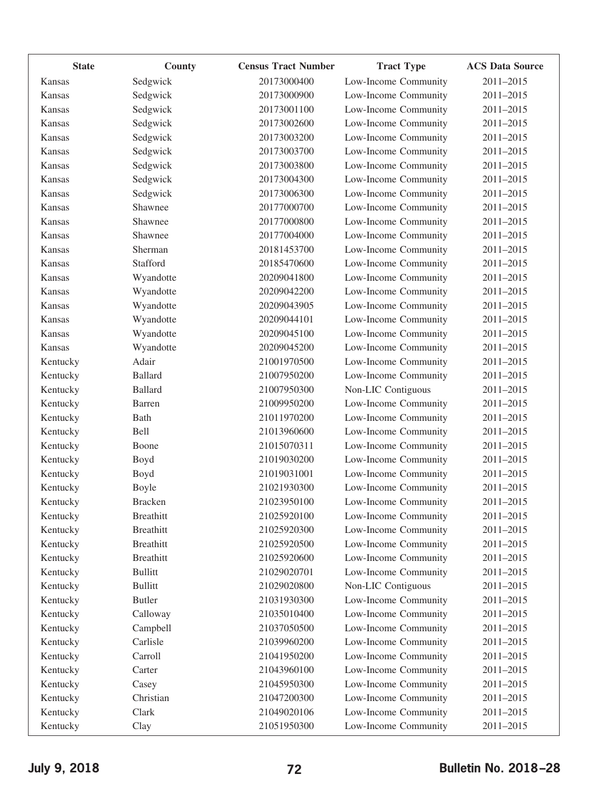| <b>State</b>  | County           | <b>Census Tract Number</b> | <b>Tract Type</b>    | <b>ACS Data Source</b> |
|---------------|------------------|----------------------------|----------------------|------------------------|
| Kansas        | Sedgwick         | 20173000400                | Low-Income Community | 2011-2015              |
| Kansas        | Sedgwick         | 20173000900                | Low-Income Community | 2011-2015              |
| Kansas        | Sedgwick         | 20173001100                | Low-Income Community | 2011-2015              |
| Kansas        | Sedgwick         | 20173002600                | Low-Income Community | 2011-2015              |
| Kansas        | Sedgwick         | 20173003200                | Low-Income Community | 2011-2015              |
| Kansas        | Sedgwick         | 20173003700                | Low-Income Community | 2011-2015              |
| <b>Kansas</b> | Sedgwick         | 20173003800                | Low-Income Community | 2011-2015              |
| <b>Kansas</b> | Sedgwick         | 20173004300                | Low-Income Community | 2011-2015              |
| Kansas        | Sedgwick         | 20173006300                | Low-Income Community | 2011-2015              |
| Kansas        | Shawnee          | 20177000700                | Low-Income Community | 2011-2015              |
| Kansas        | Shawnee          | 20177000800                | Low-Income Community | 2011-2015              |
| Kansas        | Shawnee          | 20177004000                | Low-Income Community | 2011-2015              |
| Kansas        | Sherman          | 20181453700                | Low-Income Community | 2011-2015              |
| Kansas        | Stafford         | 20185470600                | Low-Income Community | 2011-2015              |
| Kansas        | Wyandotte        | 20209041800                | Low-Income Community | 2011-2015              |
| Kansas        | Wyandotte        | 20209042200                | Low-Income Community | 2011-2015              |
| Kansas        | Wyandotte        | 20209043905                | Low-Income Community | 2011-2015              |
| Kansas        | Wyandotte        | 20209044101                | Low-Income Community | 2011-2015              |
| <b>Kansas</b> | Wyandotte        | 20209045100                | Low-Income Community | 2011-2015              |
| Kansas        | Wyandotte        | 20209045200                | Low-Income Community | 2011-2015              |
| Kentucky      | Adair            | 21001970500                | Low-Income Community | 2011-2015              |
| Kentucky      | <b>Ballard</b>   | 21007950200                | Low-Income Community | 2011-2015              |
| Kentucky      | <b>Ballard</b>   | 21007950300                | Non-LIC Contiguous   | 2011-2015              |
| Kentucky      | Barren           | 21009950200                | Low-Income Community | 2011-2015              |
| Kentucky      | Bath             | 21011970200                | Low-Income Community | 2011-2015              |
| Kentucky      | Bell             | 21013960600                | Low-Income Community | 2011-2015              |
| Kentucky      | Boone            | 21015070311                | Low-Income Community | 2011-2015              |
| Kentucky      | Boyd             | 21019030200                | Low-Income Community | 2011-2015              |
| Kentucky      | Boyd             | 21019031001                | Low-Income Community | 2011-2015              |
| Kentucky      | Boyle            | 21021930300                | Low-Income Community | 2011-2015              |
| Kentucky      | <b>Bracken</b>   | 21023950100                | Low-Income Community | 2011-2015              |
| Kentucky      | <b>Breathitt</b> | 21025920100                | Low-Income Community | 2011-2015              |
| Kentucky      | <b>Breathitt</b> | 21025920300                | Low-Income Community | 2011-2015              |
| Kentucky      | <b>Breathitt</b> | 21025920500                | Low-Income Community | 2011-2015              |
| Kentucky      | <b>Breathitt</b> | 21025920600                | Low-Income Community | 2011-2015              |
| Kentucky      | <b>Bullitt</b>   | 21029020701                | Low-Income Community | 2011-2015              |
| Kentucky      | <b>Bullitt</b>   | 21029020800                | Non-LIC Contiguous   | 2011-2015              |
| Kentucky      | <b>Butler</b>    | 21031930300                | Low-Income Community | 2011-2015              |
| Kentucky      | Calloway         | 21035010400                | Low-Income Community | 2011-2015              |
| Kentucky      | Campbell         | 21037050500                | Low-Income Community | 2011-2015              |
| Kentucky      | Carlisle         | 21039960200                | Low-Income Community | 2011-2015              |
| Kentucky      | Carroll          | 21041950200                | Low-Income Community | 2011-2015              |
| Kentucky      | Carter           | 21043960100                | Low-Income Community | 2011-2015              |
| Kentucky      | Casey            | 21045950300                | Low-Income Community | 2011-2015              |
| Kentucky      | Christian        | 21047200300                | Low-Income Community | 2011-2015              |
| Kentucky      | Clark            | 21049020106                | Low-Income Community | 2011-2015              |
| Kentucky      | Clay             | 21051950300                | Low-Income Community | 2011-2015              |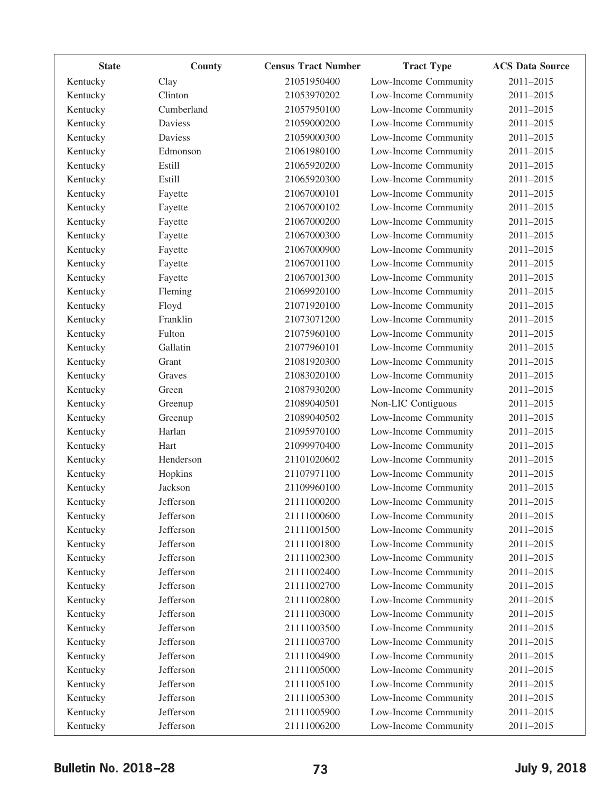| <b>State</b> | County         | <b>Census Tract Number</b> | <b>Tract Type</b>    | <b>ACS Data Source</b> |
|--------------|----------------|----------------------------|----------------------|------------------------|
| Kentucky     | Clay           | 21051950400                | Low-Income Community | 2011-2015              |
| Kentucky     | Clinton        | 21053970202                | Low-Income Community | 2011-2015              |
| Kentucky     | Cumberland     | 21057950100                | Low-Income Community | 2011-2015              |
| Kentucky     | Daviess        | 21059000200                | Low-Income Community | 2011-2015              |
| Kentucky     | <b>Daviess</b> | 21059000300                | Low-Income Community | 2011-2015              |
| Kentucky     | Edmonson       | 21061980100                | Low-Income Community | 2011-2015              |
| Kentucky     | <b>Estill</b>  | 21065920200                | Low-Income Community | 2011-2015              |
| Kentucky     | <b>Estill</b>  | 21065920300                | Low-Income Community | 2011-2015              |
| Kentucky     | Fayette        | 21067000101                | Low-Income Community | 2011-2015              |
| Kentucky     | Fayette        | 21067000102                | Low-Income Community | 2011-2015              |
| Kentucky     | Fayette        | 21067000200                | Low-Income Community | 2011-2015              |
| Kentucky     | Fayette        | 21067000300                | Low-Income Community | 2011-2015              |
| Kentucky     | Fayette        | 21067000900                | Low-Income Community | 2011-2015              |
| Kentucky     | Fayette        | 21067001100                | Low-Income Community | 2011-2015              |
| Kentucky     | Fayette        | 21067001300                | Low-Income Community | 2011-2015              |
| Kentucky     | Fleming        | 21069920100                | Low-Income Community | 2011-2015              |
| Kentucky     | Floyd          | 21071920100                | Low-Income Community | 2011-2015              |
| Kentucky     | Franklin       | 21073071200                | Low-Income Community | 2011-2015              |
| Kentucky     | Fulton         | 21075960100                | Low-Income Community | 2011-2015              |
| Kentucky     | Gallatin       | 21077960101                | Low-Income Community | 2011-2015              |
| Kentucky     | Grant          | 21081920300                | Low-Income Community | 2011-2015              |
| Kentucky     | Graves         | 21083020100                | Low-Income Community | 2011-2015              |
| Kentucky     | Green          | 21087930200                | Low-Income Community | 2011-2015              |
| Kentucky     | Greenup        | 21089040501                | Non-LIC Contiguous   | 2011-2015              |
| Kentucky     | Greenup        | 21089040502                | Low-Income Community | 2011-2015              |
| Kentucky     | Harlan         | 21095970100                | Low-Income Community | 2011-2015              |
| Kentucky     | Hart           | 21099970400                | Low-Income Community | 2011-2015              |
| Kentucky     | Henderson      | 21101020602                | Low-Income Community | 2011-2015              |
| Kentucky     | Hopkins        | 21107971100                | Low-Income Community | 2011-2015              |
| Kentucky     | Jackson        | 21109960100                | Low-Income Community | 2011-2015              |
| Kentucky     | Jefferson      | 21111000200                | Low-Income Community | 2011-2015              |
| Kentucky     | Jefferson      | 21111000600                | Low-Income Community | 2011-2015              |
| Kentucky     | Jefferson      | 21111001500                | Low-Income Community | 2011-2015              |
| Kentucky     | Jefferson      | 21111001800                | Low-Income Community | 2011-2015              |
| Kentucky     | Jefferson      | 21111002300                | Low-Income Community | 2011-2015              |
| Kentucky     | Jefferson      | 21111002400                | Low-Income Community | 2011-2015              |
| Kentucky     | Jefferson      | 21111002700                | Low-Income Community | 2011-2015              |
| Kentucky     | Jefferson      | 21111002800                | Low-Income Community | 2011-2015              |
| Kentucky     | Jefferson      | 21111003000                | Low-Income Community | 2011-2015              |
| Kentucky     | Jefferson      | 21111003500                | Low-Income Community | 2011-2015              |
| Kentucky     | Jefferson      | 21111003700                | Low-Income Community | 2011-2015              |
| Kentucky     | Jefferson      | 21111004900                | Low-Income Community | 2011-2015              |
| Kentucky     | Jefferson      | 21111005000                | Low-Income Community | 2011-2015              |
| Kentucky     | Jefferson      | 21111005100                | Low-Income Community | 2011-2015              |
| Kentucky     | Jefferson      | 21111005300                | Low-Income Community | 2011-2015              |
| Kentucky     | Jefferson      | 21111005900                | Low-Income Community | 2011-2015              |
| Kentucky     | Jefferson      | 21111006200                | Low-Income Community | 2011-2015              |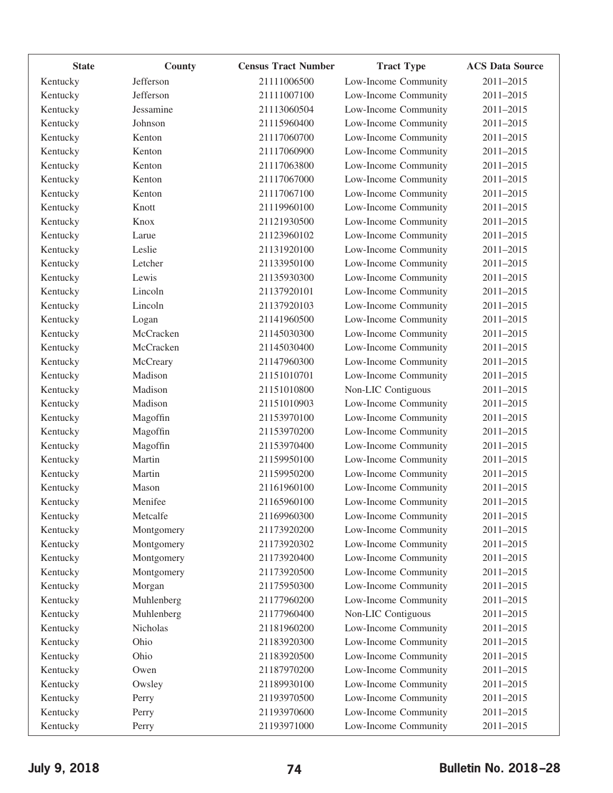| <b>State</b> | County     | <b>Census Tract Number</b> | <b>Tract Type</b>    | <b>ACS Data Source</b> |
|--------------|------------|----------------------------|----------------------|------------------------|
| Kentucky     | Jefferson  | 21111006500                | Low-Income Community | 2011-2015              |
| Kentucky     | Jefferson  | 21111007100                | Low-Income Community | 2011-2015              |
| Kentucky     | Jessamine  | 21113060504                | Low-Income Community | 2011-2015              |
| Kentucky     | Johnson    | 21115960400                | Low-Income Community | 2011-2015              |
| Kentucky     | Kenton     | 21117060700                | Low-Income Community | 2011-2015              |
| Kentucky     | Kenton     | 21117060900                | Low-Income Community | 2011-2015              |
| Kentucky     | Kenton     | 21117063800                | Low-Income Community | 2011-2015              |
| Kentucky     | Kenton     | 21117067000                | Low-Income Community | 2011-2015              |
| Kentucky     | Kenton     | 21117067100                | Low-Income Community | 2011-2015              |
| Kentucky     | Knott      | 21119960100                | Low-Income Community | 2011-2015              |
| Kentucky     | Knox       | 21121930500                | Low-Income Community | 2011-2015              |
| Kentucky     | Larue      | 21123960102                | Low-Income Community | 2011-2015              |
| Kentucky     | Leslie     | 21131920100                | Low-Income Community | 2011-2015              |
| Kentucky     | Letcher    | 21133950100                | Low-Income Community | 2011-2015              |
| Kentucky     | Lewis      | 21135930300                | Low-Income Community | 2011-2015              |
| Kentucky     | Lincoln    | 21137920101                | Low-Income Community | 2011-2015              |
| Kentucky     | Lincoln    | 21137920103                | Low-Income Community | 2011-2015              |
| Kentucky     | Logan      | 21141960500                | Low-Income Community | 2011-2015              |
| Kentucky     | McCracken  | 21145030300                | Low-Income Community | 2011-2015              |
| Kentucky     | McCracken  | 21145030400                | Low-Income Community | 2011-2015              |
| Kentucky     | McCreary   | 21147960300                | Low-Income Community | 2011-2015              |
| Kentucky     | Madison    | 21151010701                | Low-Income Community | 2011-2015              |
| Kentucky     | Madison    | 21151010800                | Non-LIC Contiguous   | 2011-2015              |
| Kentucky     | Madison    | 21151010903                | Low-Income Community | 2011-2015              |
| Kentucky     | Magoffin   | 21153970100                | Low-Income Community | 2011-2015              |
| Kentucky     | Magoffin   | 21153970200                | Low-Income Community | 2011-2015              |
| Kentucky     | Magoffin   | 21153970400                | Low-Income Community | 2011-2015              |
| Kentucky     | Martin     | 21159950100                | Low-Income Community | 2011-2015              |
| Kentucky     | Martin     | 21159950200                | Low-Income Community | 2011-2015              |
| Kentucky     | Mason      | 21161960100                | Low-Income Community | 2011-2015              |
| Kentucky     | Menifee    | 21165960100                | Low-Income Community | 2011-2015              |
| Kentucky     | Metcalfe   | 21169960300                | Low-Income Community | 2011-2015              |
| Kentucky     | Montgomery | 21173920200                | Low-Income Community | 2011-2015              |
| Kentucky     | Montgomery | 21173920302                | Low-Income Community | 2011-2015              |
| Kentucky     | Montgomery | 21173920400                | Low-Income Community | 2011-2015              |
| Kentucky     | Montgomery | 21173920500                | Low-Income Community | 2011-2015              |
| Kentucky     | Morgan     | 21175950300                | Low-Income Community | 2011-2015              |
| Kentucky     | Muhlenberg | 21177960200                | Low-Income Community | 2011-2015              |
| Kentucky     | Muhlenberg | 21177960400                | Non-LIC Contiguous   | 2011-2015              |
| Kentucky     | Nicholas   | 21181960200                | Low-Income Community | 2011-2015              |
| Kentucky     | Ohio       | 21183920300                | Low-Income Community | 2011-2015              |
| Kentucky     | Ohio       | 21183920500                | Low-Income Community | 2011-2015              |
| Kentucky     | Owen       | 21187970200                | Low-Income Community | 2011-2015              |
| Kentucky     | Owsley     | 21189930100                | Low-Income Community | 2011-2015              |
| Kentucky     | Perry      | 21193970500                | Low-Income Community | 2011-2015              |
| Kentucky     | Perry      | 21193970600                | Low-Income Community | 2011-2015              |
| Kentucky     | Perry      | 21193971000                | Low-Income Community | 2011-2015              |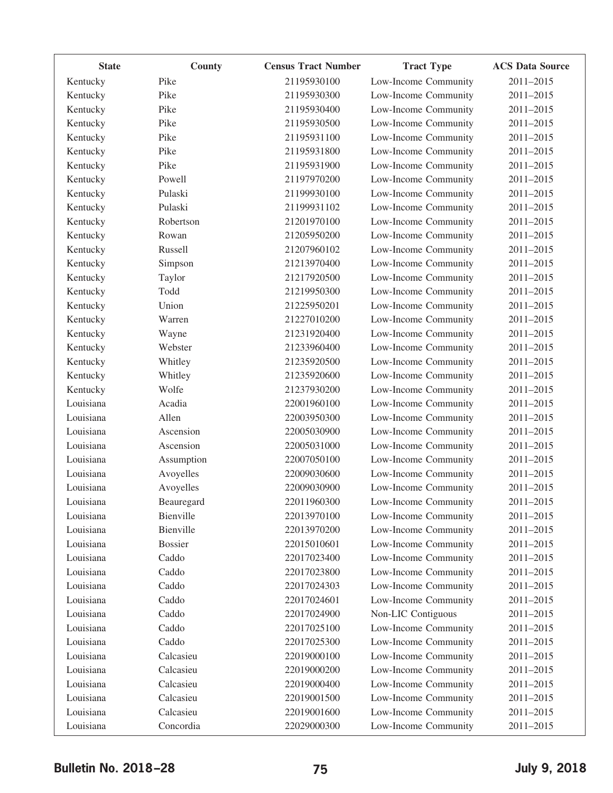| <b>State</b> | County         | <b>Census Tract Number</b> | <b>Tract Type</b>    | <b>ACS Data Source</b> |
|--------------|----------------|----------------------------|----------------------|------------------------|
| Kentucky     | Pike           | 21195930100                | Low-Income Community | 2011-2015              |
| Kentucky     | Pike           | 21195930300                | Low-Income Community | 2011-2015              |
| Kentucky     | Pike           | 21195930400                | Low-Income Community | 2011-2015              |
| Kentucky     | Pike           | 21195930500                | Low-Income Community | 2011-2015              |
| Kentucky     | Pike           | 21195931100                | Low-Income Community | 2011-2015              |
| Kentucky     | Pike           | 21195931800                | Low-Income Community | 2011-2015              |
| Kentucky     | Pike           | 21195931900                | Low-Income Community | 2011-2015              |
| Kentucky     | Powell         | 21197970200                | Low-Income Community | 2011-2015              |
| Kentucky     | Pulaski        | 21199930100                | Low-Income Community | 2011-2015              |
| Kentucky     | Pulaski        | 21199931102                | Low-Income Community | 2011-2015              |
| Kentucky     | Robertson      | 21201970100                | Low-Income Community | 2011-2015              |
| Kentucky     | Rowan          | 21205950200                | Low-Income Community | 2011-2015              |
| Kentucky     | Russell        | 21207960102                | Low-Income Community | 2011-2015              |
| Kentucky     | Simpson        | 21213970400                | Low-Income Community | 2011-2015              |
| Kentucky     | Taylor         | 21217920500                | Low-Income Community | 2011-2015              |
| Kentucky     | Todd           | 21219950300                | Low-Income Community | 2011-2015              |
| Kentucky     | Union          | 21225950201                | Low-Income Community | $2011 - 2015$          |
| Kentucky     | Warren         | 21227010200                | Low-Income Community | 2011-2015              |
| Kentucky     | Wayne          | 21231920400                | Low-Income Community | 2011-2015              |
| Kentucky     | Webster        | 21233960400                | Low-Income Community | 2011-2015              |
| Kentucky     | Whitley        | 21235920500                | Low-Income Community | 2011-2015              |
| Kentucky     | Whitley        | 21235920600                | Low-Income Community | 2011-2015              |
| Kentucky     | Wolfe          | 21237930200                | Low-Income Community | 2011-2015              |
| Louisiana    | Acadia         | 22001960100                | Low-Income Community | 2011-2015              |
| Louisiana    | Allen          | 22003950300                | Low-Income Community | 2011-2015              |
| Louisiana    | Ascension      | 22005030900                | Low-Income Community | 2011-2015              |
| Louisiana    | Ascension      | 22005031000                | Low-Income Community | $2011 - 2015$          |
| Louisiana    | Assumption     | 22007050100                | Low-Income Community | 2011-2015              |
| Louisiana    | Avoyelles      | 22009030600                | Low-Income Community | 2011-2015              |
| Louisiana    | Avoyelles      | 22009030900                | Low-Income Community | 2011-2015              |
| Louisiana    | Beauregard     | 22011960300                | Low-Income Community | 2011-2015              |
| Louisiana    | Bienville      | 22013970100                | Low-Income Community | 2011-2015              |
| Louisiana    | Bienville      | 22013970200                | Low-Income Community | 2011-2015              |
| Louisiana    | <b>Bossier</b> | 22015010601                | Low-Income Community | 2011-2015              |
| Louisiana    | Caddo          | 22017023400                | Low-Income Community | 2011-2015              |
| Louisiana    | Caddo          | 22017023800                | Low-Income Community | 2011-2015              |
| Louisiana    | Caddo          | 22017024303                | Low-Income Community | 2011-2015              |
| Louisiana    | Caddo          | 22017024601                | Low-Income Community | 2011-2015              |
| Louisiana    | Caddo          | 22017024900                | Non-LIC Contiguous   | 2011-2015              |
| Louisiana    | Caddo          | 22017025100                | Low-Income Community | 2011-2015              |
| Louisiana    | Caddo          | 22017025300                | Low-Income Community | 2011-2015              |
| Louisiana    | Calcasieu      | 22019000100                | Low-Income Community | 2011-2015              |
| Louisiana    | Calcasieu      | 22019000200                | Low-Income Community | 2011-2015              |
| Louisiana    | Calcasieu      | 22019000400                | Low-Income Community | 2011-2015              |
| Louisiana    | Calcasieu      | 22019001500                | Low-Income Community | 2011-2015              |
| Louisiana    | Calcasieu      | 22019001600                | Low-Income Community | 2011-2015              |
| Louisiana    | Concordia      | 22029000300                | Low-Income Community | 2011-2015              |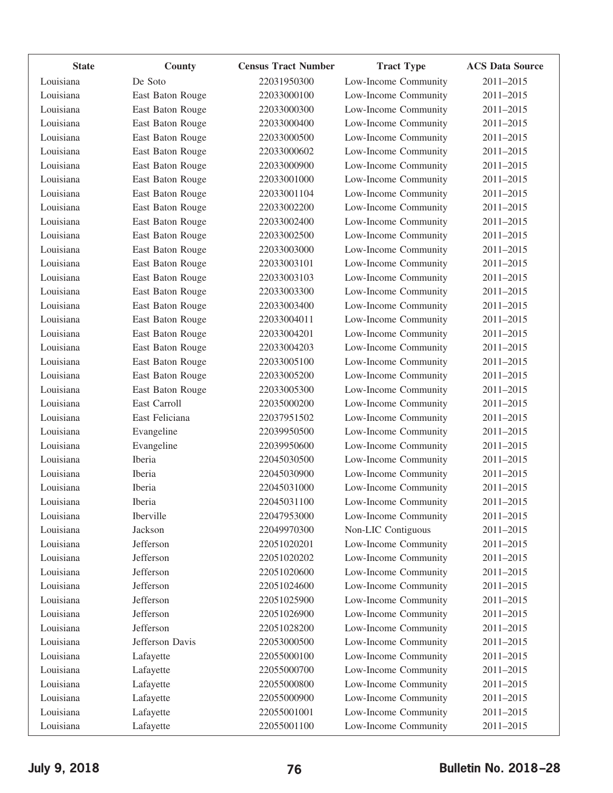| <b>State</b> | <b>County</b>    | <b>Census Tract Number</b> | <b>Tract Type</b>    | <b>ACS Data Source</b> |
|--------------|------------------|----------------------------|----------------------|------------------------|
| Louisiana    | De Soto          | 22031950300                | Low-Income Community | 2011-2015              |
| Louisiana    | East Baton Rouge | 22033000100                | Low-Income Community | 2011-2015              |
| Louisiana    | East Baton Rouge | 22033000300                | Low-Income Community | 2011-2015              |
| Louisiana    | East Baton Rouge | 22033000400                | Low-Income Community | 2011-2015              |
| Louisiana    | East Baton Rouge | 22033000500                | Low-Income Community | 2011-2015              |
| Louisiana    | East Baton Rouge | 22033000602                | Low-Income Community | 2011-2015              |
| Louisiana    | East Baton Rouge | 22033000900                | Low-Income Community | 2011-2015              |
| Louisiana    | East Baton Rouge | 22033001000                | Low-Income Community | 2011-2015              |
| Louisiana    | East Baton Rouge | 22033001104                | Low-Income Community | 2011-2015              |
| Louisiana    | East Baton Rouge | 22033002200                | Low-Income Community | 2011-2015              |
| Louisiana    | East Baton Rouge | 22033002400                | Low-Income Community | 2011-2015              |
| Louisiana    | East Baton Rouge | 22033002500                | Low-Income Community | 2011-2015              |
| Louisiana    | East Baton Rouge | 22033003000                | Low-Income Community | 2011-2015              |
| Louisiana    | East Baton Rouge | 22033003101                | Low-Income Community | 2011-2015              |
| Louisiana    | East Baton Rouge | 22033003103                | Low-Income Community | 2011-2015              |
| Louisiana    | East Baton Rouge | 22033003300                | Low-Income Community | 2011-2015              |
| Louisiana    | East Baton Rouge | 22033003400                | Low-Income Community | 2011-2015              |
| Louisiana    | East Baton Rouge | 22033004011                | Low-Income Community | 2011-2015              |
| Louisiana    | East Baton Rouge | 22033004201                | Low-Income Community | 2011-2015              |
| Louisiana    | East Baton Rouge | 22033004203                | Low-Income Community | 2011-2015              |
| Louisiana    | East Baton Rouge | 22033005100                | Low-Income Community | 2011-2015              |
| Louisiana    | East Baton Rouge | 22033005200                | Low-Income Community | 2011-2015              |
| Louisiana    | East Baton Rouge | 22033005300                | Low-Income Community | 2011-2015              |
| Louisiana    | East Carroll     | 22035000200                | Low-Income Community | 2011-2015              |
| Louisiana    | East Feliciana   | 22037951502                | Low-Income Community | 2011-2015              |
| Louisiana    | Evangeline       | 22039950500                | Low-Income Community | 2011-2015              |
| Louisiana    | Evangeline       | 22039950600                | Low-Income Community | 2011-2015              |
| Louisiana    | Iberia           | 22045030500                | Low-Income Community | 2011-2015              |
| Louisiana    | Iberia           | 22045030900                | Low-Income Community | 2011-2015              |
| Louisiana    | Iberia           | 22045031000                | Low-Income Community | 2011-2015              |
| Louisiana    | Iberia           | 22045031100                | Low-Income Community | 2011-2015              |
| Louisiana    | Iberville        | 22047953000                | Low-Income Community | 2011-2015              |
| Louisiana    | Jackson          | 22049970300                | Non-LIC Contiguous   | 2011-2015              |
| Louisiana    | Jefferson        | 22051020201                | Low-Income Community | 2011-2015              |
| Louisiana    | Jefferson        | 22051020202                | Low-Income Community | 2011-2015              |
| Louisiana    | Jefferson        | 22051020600                | Low-Income Community | 2011-2015              |
| Louisiana    | Jefferson        | 22051024600                | Low-Income Community | 2011-2015              |
| Louisiana    | Jefferson        | 22051025900                | Low-Income Community | 2011-2015              |
| Louisiana    | Jefferson        | 22051026900                | Low-Income Community | 2011-2015              |
| Louisiana    | Jefferson        | 22051028200                | Low-Income Community | 2011-2015              |
| Louisiana    | Jefferson Davis  | 22053000500                | Low-Income Community | 2011-2015              |
| Louisiana    | Lafayette        | 22055000100                | Low-Income Community | 2011-2015              |
| Louisiana    | Lafayette        | 22055000700                | Low-Income Community | 2011-2015              |
| Louisiana    | Lafayette        | 22055000800                | Low-Income Community | 2011-2015              |
| Louisiana    | Lafayette        | 22055000900                | Low-Income Community | 2011-2015              |
| Louisiana    | Lafayette        | 22055001001                | Low-Income Community | 2011-2015              |
| Louisiana    | Lafayette        | 22055001100                | Low-Income Community | 2011-2015              |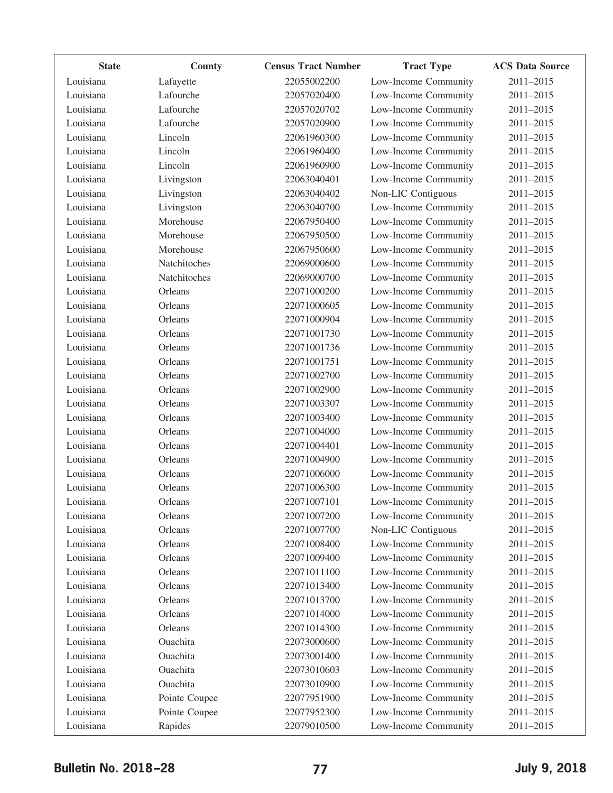| <b>State</b> | County        | <b>Census Tract Number</b> | <b>Tract Type</b>    | <b>ACS Data Source</b> |
|--------------|---------------|----------------------------|----------------------|------------------------|
| Louisiana    | Lafayette     | 22055002200                | Low-Income Community | 2011-2015              |
| Louisiana    | Lafourche     | 22057020400                | Low-Income Community | 2011-2015              |
| Louisiana    | Lafourche     | 22057020702                | Low-Income Community | 2011-2015              |
| Louisiana    | Lafourche     | 22057020900                | Low-Income Community | 2011-2015              |
| Louisiana    | Lincoln       | 22061960300                | Low-Income Community | 2011-2015              |
| Louisiana    | Lincoln       | 22061960400                | Low-Income Community | 2011-2015              |
| Louisiana    | Lincoln       | 22061960900                | Low-Income Community | 2011-2015              |
| Louisiana    | Livingston    | 22063040401                | Low-Income Community | 2011-2015              |
| Louisiana    | Livingston    | 22063040402                | Non-LIC Contiguous   | 2011-2015              |
| Louisiana    | Livingston    | 22063040700                | Low-Income Community | 2011-2015              |
| Louisiana    | Morehouse     | 22067950400                | Low-Income Community | 2011-2015              |
| Louisiana    | Morehouse     | 22067950500                | Low-Income Community | 2011-2015              |
| Louisiana    | Morehouse     | 22067950600                | Low-Income Community | 2011-2015              |
| Louisiana    | Natchitoches  | 22069000600                | Low-Income Community | 2011-2015              |
| Louisiana    | Natchitoches  | 22069000700                | Low-Income Community | 2011-2015              |
| Louisiana    | Orleans       | 22071000200                | Low-Income Community | 2011-2015              |
| Louisiana    | Orleans       | 22071000605                | Low-Income Community | 2011-2015              |
| Louisiana    | Orleans       | 22071000904                | Low-Income Community | 2011-2015              |
| Louisiana    | Orleans       | 22071001730                | Low-Income Community | 2011-2015              |
| Louisiana    | Orleans       | 22071001736                | Low-Income Community | 2011-2015              |
| Louisiana    | Orleans       | 22071001751                | Low-Income Community | 2011-2015              |
| Louisiana    | Orleans       | 22071002700                | Low-Income Community | 2011-2015              |
| Louisiana    | Orleans       | 22071002900                | Low-Income Community | 2011-2015              |
| Louisiana    | Orleans       | 22071003307                | Low-Income Community | 2011-2015              |
| Louisiana    | Orleans       | 22071003400                | Low-Income Community | 2011-2015              |
| Louisiana    | Orleans       | 22071004000                | Low-Income Community | 2011-2015              |
| Louisiana    | Orleans       | 22071004401                | Low-Income Community | 2011-2015              |
| Louisiana    | Orleans       | 22071004900                | Low-Income Community | 2011-2015              |
| Louisiana    | Orleans       | 22071006000                | Low-Income Community | 2011-2015              |
| Louisiana    | Orleans       | 22071006300                | Low-Income Community | 2011-2015              |
| Louisiana    | Orleans       | 22071007101                | Low-Income Community | 2011-2015              |
| Louisiana    | Orleans       | 22071007200                | Low-Income Community | 2011-2015              |
| Louisiana    | Orleans       | 22071007700                | Non-LIC Contiguous   | 2011-2015              |
| Louisiana    | Orleans       | 22071008400                | Low-Income Community | 2011-2015              |
| Louisiana    | Orleans       | 22071009400                | Low-Income Community | 2011-2015              |
| Louisiana    | Orleans       | 22071011100                | Low-Income Community | 2011-2015              |
| Louisiana    | Orleans       | 22071013400                | Low-Income Community | 2011-2015              |
| Louisiana    | Orleans       | 22071013700                | Low-Income Community | 2011-2015              |
| Louisiana    | Orleans       | 22071014000                | Low-Income Community | 2011-2015              |
| Louisiana    | Orleans       | 22071014300                | Low-Income Community | 2011-2015              |
| Louisiana    | Ouachita      | 22073000600                | Low-Income Community | 2011-2015              |
| Louisiana    | Ouachita      | 22073001400                | Low-Income Community | 2011-2015              |
| Louisiana    | Ouachita      | 22073010603                | Low-Income Community | 2011-2015              |
| Louisiana    | Ouachita      | 22073010900                | Low-Income Community | 2011-2015              |
| Louisiana    | Pointe Coupee | 22077951900                | Low-Income Community | 2011-2015              |
| Louisiana    | Pointe Coupee | 22077952300                | Low-Income Community | 2011-2015              |
| Louisiana    | Rapides       | 22079010500                | Low-Income Community | 2011-2015              |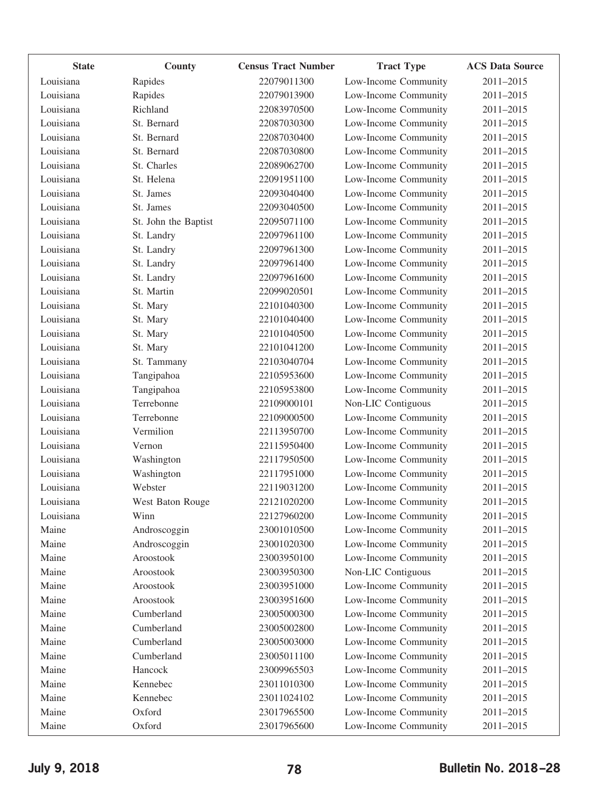| <b>State</b> | County               | <b>Census Tract Number</b> | <b>Tract Type</b>    | <b>ACS Data Source</b> |
|--------------|----------------------|----------------------------|----------------------|------------------------|
| Louisiana    | Rapides              | 22079011300                | Low-Income Community | 2011-2015              |
| Louisiana    | Rapides              | 22079013900                | Low-Income Community | 2011-2015              |
| Louisiana    | Richland             | 22083970500                | Low-Income Community | 2011-2015              |
| Louisiana    | St. Bernard          | 22087030300                | Low-Income Community | 2011-2015              |
| Louisiana    | St. Bernard          | 22087030400                | Low-Income Community | 2011-2015              |
| Louisiana    | St. Bernard          | 22087030800                | Low-Income Community | 2011-2015              |
| Louisiana    | St. Charles          | 22089062700                | Low-Income Community | 2011-2015              |
| Louisiana    | St. Helena           | 22091951100                | Low-Income Community | 2011-2015              |
| Louisiana    | St. James            | 22093040400                | Low-Income Community | 2011-2015              |
| Louisiana    | St. James            | 22093040500                | Low-Income Community | 2011-2015              |
| Louisiana    | St. John the Baptist | 22095071100                | Low-Income Community | 2011-2015              |
| Louisiana    | St. Landry           | 22097961100                | Low-Income Community | 2011-2015              |
| Louisiana    | St. Landry           | 22097961300                | Low-Income Community | 2011-2015              |
| Louisiana    | St. Landry           | 22097961400                | Low-Income Community | 2011-2015              |
| Louisiana    | St. Landry           | 22097961600                | Low-Income Community | 2011-2015              |
| Louisiana    | St. Martin           | 22099020501                | Low-Income Community | 2011-2015              |
| Louisiana    | St. Mary             | 22101040300                | Low-Income Community | 2011-2015              |
| Louisiana    | St. Mary             | 22101040400                | Low-Income Community | 2011-2015              |
| Louisiana    | St. Mary             | 22101040500                | Low-Income Community | 2011-2015              |
| Louisiana    | St. Mary             | 22101041200                | Low-Income Community | 2011-2015              |
| Louisiana    | St. Tammany          | 22103040704                | Low-Income Community | 2011-2015              |
| Louisiana    | Tangipahoa           | 22105953600                | Low-Income Community | 2011-2015              |
| Louisiana    | Tangipahoa           | 22105953800                | Low-Income Community | 2011-2015              |
| Louisiana    | Terrebonne           | 22109000101                | Non-LIC Contiguous   | 2011-2015              |
| Louisiana    | Terrebonne           | 22109000500                | Low-Income Community | 2011-2015              |
| Louisiana    | Vermilion            | 22113950700                | Low-Income Community | 2011-2015              |
| Louisiana    | Vernon               | 22115950400                | Low-Income Community | 2011-2015              |
| Louisiana    | Washington           | 22117950500                | Low-Income Community | 2011-2015              |
| Louisiana    | Washington           | 22117951000                | Low-Income Community | 2011-2015              |
| Louisiana    | Webster              | 22119031200                | Low-Income Community | 2011-2015              |
| Louisiana    | West Baton Rouge     | 22121020200                | Low-Income Community | 2011-2015              |
| Louisiana    | Winn                 | 22127960200                | Low-Income Community | 2011-2015              |
| Maine        | Androscoggin         | 23001010500                | Low-Income Community | 2011-2015              |
| Maine        | Androscoggin         | 23001020300                | Low-Income Community | 2011-2015              |
| Maine        | Aroostook            | 23003950100                | Low-Income Community | 2011-2015              |
| Maine        | Aroostook            | 23003950300                | Non-LIC Contiguous   | 2011-2015              |
| Maine        | Aroostook            | 23003951000                | Low-Income Community | 2011-2015              |
| Maine        | Aroostook            | 23003951600                | Low-Income Community | 2011-2015              |
| Maine        | Cumberland           | 23005000300                | Low-Income Community | 2011-2015              |
| Maine        | Cumberland           | 23005002800                | Low-Income Community | 2011-2015              |
| Maine        | Cumberland           | 23005003000                | Low-Income Community | 2011-2015              |
| Maine        | Cumberland           | 23005011100                | Low-Income Community | 2011-2015              |
| Maine        | Hancock              | 23009965503                | Low-Income Community | 2011-2015              |
| Maine        | Kennebec             | 23011010300                | Low-Income Community | 2011-2015              |
| Maine        | Kennebec             | 23011024102                | Low-Income Community | 2011-2015              |
| Maine        | Oxford               | 23017965500                | Low-Income Community | 2011-2015              |
| Maine        | Oxford               | 23017965600                | Low-Income Community | 2011-2015              |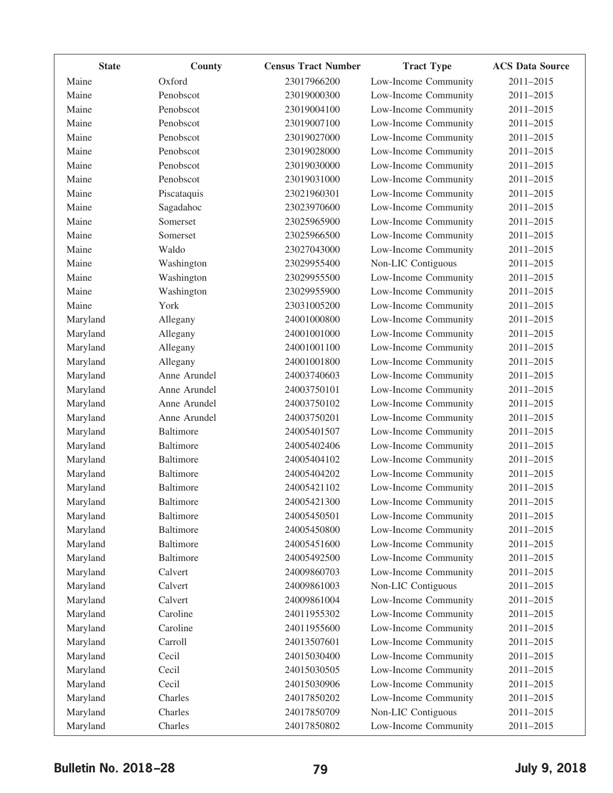| <b>State</b> | County           | <b>Census Tract Number</b> | <b>Tract Type</b>    | <b>ACS Data Source</b> |
|--------------|------------------|----------------------------|----------------------|------------------------|
| Maine        | Oxford           | 23017966200                | Low-Income Community | 2011-2015              |
| Maine        | Penobscot        | 23019000300                | Low-Income Community | 2011-2015              |
| Maine        | Penobscot        | 23019004100                | Low-Income Community | 2011-2015              |
| Maine        | Penobscot        | 23019007100                | Low-Income Community | 2011-2015              |
| Maine        | Penobscot        | 23019027000                | Low-Income Community | 2011-2015              |
| Maine        | Penobscot        | 23019028000                | Low-Income Community | 2011-2015              |
| Maine        | Penobscot        | 23019030000                | Low-Income Community | 2011-2015              |
| Maine        | Penobscot        | 23019031000                | Low-Income Community | 2011-2015              |
| Maine        | Piscataquis      | 23021960301                | Low-Income Community | 2011-2015              |
| Maine        | Sagadahoc        | 23023970600                | Low-Income Community | 2011-2015              |
| Maine        | Somerset         | 23025965900                | Low-Income Community | 2011-2015              |
| Maine        | Somerset         | 23025966500                | Low-Income Community | 2011-2015              |
| Maine        | Waldo            | 23027043000                | Low-Income Community | 2011-2015              |
| Maine        | Washington       | 23029955400                | Non-LIC Contiguous   | 2011-2015              |
| Maine        | Washington       | 23029955500                | Low-Income Community | 2011-2015              |
| Maine        | Washington       | 23029955900                | Low-Income Community | 2011-2015              |
| Maine        | York             | 23031005200                | Low-Income Community | 2011-2015              |
| Maryland     | Allegany         | 24001000800                | Low-Income Community | 2011-2015              |
| Maryland     | Allegany         | 24001001000                | Low-Income Community | 2011-2015              |
| Maryland     | Allegany         | 24001001100                | Low-Income Community | 2011-2015              |
| Maryland     | Allegany         | 24001001800                | Low-Income Community | 2011-2015              |
| Maryland     | Anne Arundel     | 24003740603                | Low-Income Community | 2011-2015              |
| Maryland     | Anne Arundel     | 24003750101                | Low-Income Community | 2011-2015              |
| Maryland     | Anne Arundel     | 24003750102                | Low-Income Community | 2011-2015              |
| Maryland     | Anne Arundel     | 24003750201                | Low-Income Community | 2011-2015              |
| Maryland     | <b>Baltimore</b> | 24005401507                | Low-Income Community | 2011-2015              |
| Maryland     | Baltimore        | 24005402406                | Low-Income Community | 2011-2015              |
| Maryland     | Baltimore        | 24005404102                | Low-Income Community | 2011-2015              |
| Maryland     | Baltimore        | 24005404202                | Low-Income Community | 2011-2015              |
| Maryland     | <b>Baltimore</b> | 24005421102                | Low-Income Community | 2011-2015              |
| Maryland     | Baltimore        | 24005421300                | Low-Income Community | 2011-2015              |
| Maryland     | Baltimore        | 24005450501                | Low-Income Community | 2011-2015              |
| Maryland     | Baltimore        | 24005450800                | Low-Income Community | 2011-2015              |
| Maryland     | Baltimore        | 24005451600                | Low-Income Community | 2011-2015              |
| Maryland     | Baltimore        | 24005492500                | Low-Income Community | 2011-2015              |
| Maryland     | Calvert          | 24009860703                | Low-Income Community | 2011-2015              |
| Maryland     | Calvert          | 24009861003                | Non-LIC Contiguous   | 2011-2015              |
| Maryland     | Calvert          | 24009861004                | Low-Income Community | 2011-2015              |
| Maryland     | Caroline         | 24011955302                | Low-Income Community | 2011-2015              |
| Maryland     | Caroline         | 24011955600                | Low-Income Community | 2011-2015              |
| Maryland     | Carroll          | 24013507601                | Low-Income Community | 2011-2015              |
| Maryland     | Cecil            | 24015030400                | Low-Income Community | 2011-2015              |
| Maryland     | Cecil            | 24015030505                | Low-Income Community | 2011-2015              |
| Maryland     | Cecil            | 24015030906                | Low-Income Community | 2011-2015              |
| Maryland     | Charles          | 24017850202                | Low-Income Community | 2011-2015              |
| Maryland     | Charles          | 24017850709                | Non-LIC Contiguous   | 2011-2015              |
| Maryland     | Charles          | 24017850802                | Low-Income Community | 2011-2015              |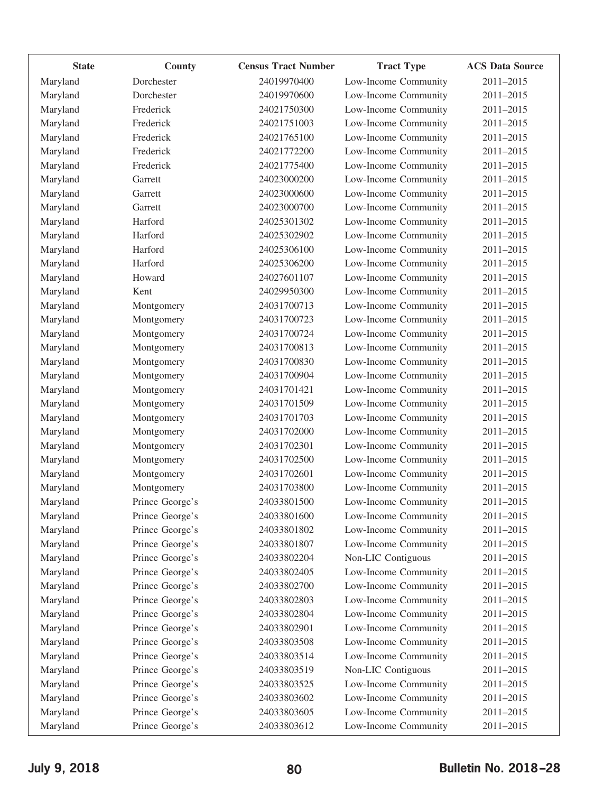| <b>State</b>         | County                             | <b>Census Tract Number</b> | <b>Tract Type</b>                          | <b>ACS Data Source</b> |
|----------------------|------------------------------------|----------------------------|--------------------------------------------|------------------------|
| Maryland             | Dorchester                         | 24019970400                | Low-Income Community                       | 2011-2015              |
| Maryland             | Dorchester                         | 24019970600                | Low-Income Community                       | 2011-2015              |
| Maryland             | Frederick                          | 24021750300                | Low-Income Community                       | 2011-2015              |
| Maryland             | Frederick                          | 24021751003                | Low-Income Community                       | 2011-2015              |
| Maryland             | Frederick                          | 24021765100                | Low-Income Community                       | 2011-2015              |
| Maryland             | Frederick                          | 24021772200                | Low-Income Community                       | 2011-2015              |
| Maryland             | Frederick                          | 24021775400                | Low-Income Community                       | 2011-2015              |
| Maryland             | Garrett                            | 24023000200                | Low-Income Community                       | 2011-2015              |
| Maryland             | Garrett                            | 24023000600                | Low-Income Community                       | 2011-2015              |
| Maryland             | Garrett                            | 24023000700                | Low-Income Community                       | 2011-2015              |
| Maryland             | Harford                            | 24025301302                | Low-Income Community                       | 2011-2015              |
| Maryland             | Harford                            | 24025302902                | Low-Income Community                       | 2011-2015              |
| Maryland             | Harford                            | 24025306100                | Low-Income Community                       | 2011-2015              |
| Maryland             | Harford                            | 24025306200                | Low-Income Community                       | 2011-2015              |
| Maryland             | Howard                             | 24027601107                | Low-Income Community                       | 2011-2015              |
| Maryland             | Kent                               | 24029950300                | Low-Income Community                       | 2011-2015              |
| Maryland             | Montgomery                         | 24031700713                | Low-Income Community                       | 2011-2015              |
| Maryland             | Montgomery                         | 24031700723                | Low-Income Community                       | 2011-2015              |
| Maryland             | Montgomery                         | 24031700724                | Low-Income Community                       | 2011-2015              |
| Maryland             | Montgomery                         | 24031700813                | Low-Income Community                       | 2011-2015              |
| Maryland             | Montgomery                         | 24031700830                | Low-Income Community                       | 2011-2015              |
| Maryland             | Montgomery                         | 24031700904                | Low-Income Community                       | 2011-2015              |
| Maryland             | Montgomery                         | 24031701421                | Low-Income Community                       | 2011-2015              |
| Maryland             | Montgomery                         | 24031701509                | Low-Income Community                       | 2011-2015              |
| Maryland             | Montgomery                         | 24031701703                | Low-Income Community                       | 2011-2015              |
| Maryland             | Montgomery                         | 24031702000                | Low-Income Community                       | 2011-2015              |
| Maryland             | Montgomery                         | 24031702301                | Low-Income Community                       | 2011-2015              |
| Maryland             | Montgomery                         | 24031702500                | Low-Income Community                       | 2011-2015              |
| Maryland             | Montgomery                         | 24031702601                | Low-Income Community                       | 2011-2015              |
| Maryland             | Montgomery                         | 24031703800                | Low-Income Community                       | 2011-2015              |
| Marvland             | Prince George's                    | 24033801500                | Low-Income Community                       | 2011-2015              |
| Maryland             | Prince George's                    | 24033801600                | Low-Income Community                       | 2011-2015              |
| Maryland             | Prince George's                    | 24033801802                | Low-Income Community                       | 2011-2015              |
| Maryland             | Prince George's                    | 24033801807                | Low-Income Community                       | 2011-2015              |
| Maryland             | Prince George's                    | 24033802204                | Non-LIC Contiguous                         | 2011-2015              |
| Maryland             | Prince George's                    | 24033802405                | Low-Income Community                       | 2011-2015              |
| Maryland             | Prince George's                    | 24033802700                | Low-Income Community                       | 2011-2015              |
|                      | Prince George's                    | 24033802803                | Low-Income Community                       | 2011-2015              |
| Maryland             | Prince George's                    | 24033802804                | Low-Income Community                       | 2011-2015              |
| Maryland<br>Maryland | Prince George's                    | 24033802901                | Low-Income Community                       | 2011-2015              |
|                      | Prince George's                    | 24033803508                | Low-Income Community                       | 2011-2015              |
| Maryland             |                                    | 24033803514                |                                            |                        |
| Maryland             | Prince George's                    |                            | Low-Income Community                       | 2011-2015              |
| Maryland             | Prince George's<br>Prince George's | 24033803519                | Non-LIC Contiguous<br>Low-Income Community | 2011-2015<br>2011-2015 |
| Maryland             |                                    | 24033803525                |                                            |                        |
| Maryland             | Prince George's                    | 24033803602                | Low-Income Community                       | 2011-2015              |
| Maryland             | Prince George's                    | 24033803605                | Low-Income Community                       | 2011-2015              |
| Maryland             | Prince George's                    | 24033803612                | Low-Income Community                       | 2011-2015              |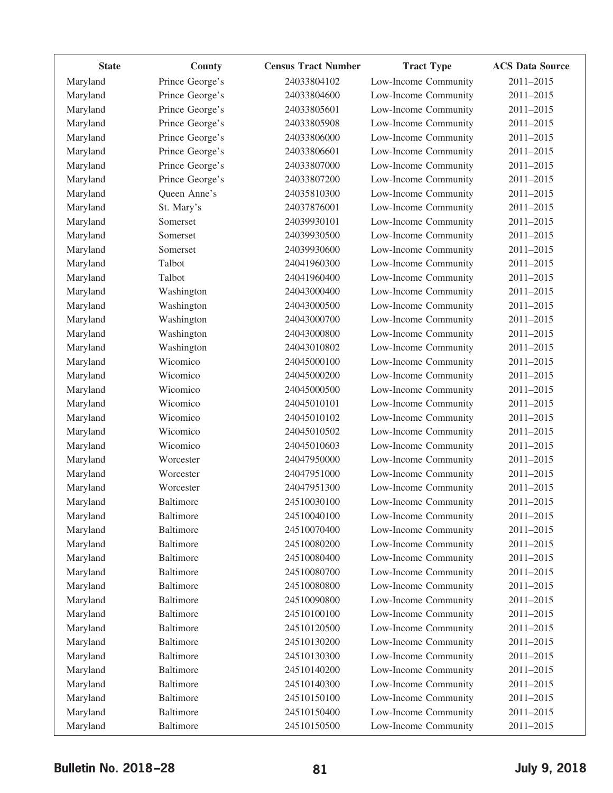| <b>State</b> | County           | <b>Census Tract Number</b> | <b>Tract Type</b>    | <b>ACS Data Source</b> |
|--------------|------------------|----------------------------|----------------------|------------------------|
| Maryland     | Prince George's  | 24033804102                | Low-Income Community | 2011-2015              |
| Maryland     | Prince George's  | 24033804600                | Low-Income Community | 2011-2015              |
| Maryland     | Prince George's  | 24033805601                | Low-Income Community | 2011-2015              |
| Maryland     | Prince George's  | 24033805908                | Low-Income Community | 2011-2015              |
| Maryland     | Prince George's  | 24033806000                | Low-Income Community | 2011-2015              |
| Maryland     | Prince George's  | 24033806601                | Low-Income Community | 2011-2015              |
| Maryland     | Prince George's  | 24033807000                | Low-Income Community | 2011-2015              |
| Maryland     | Prince George's  | 24033807200                | Low-Income Community | 2011-2015              |
| Maryland     | Queen Anne's     | 24035810300                | Low-Income Community | 2011-2015              |
| Maryland     | St. Mary's       | 24037876001                | Low-Income Community | 2011-2015              |
| Maryland     | Somerset         | 24039930101                | Low-Income Community | 2011-2015              |
| Maryland     | Somerset         | 24039930500                | Low-Income Community | 2011-2015              |
| Maryland     | Somerset         | 24039930600                | Low-Income Community | 2011-2015              |
| Maryland     | Talbot           | 24041960300                | Low-Income Community | 2011-2015              |
| Maryland     | Talbot           | 24041960400                | Low-Income Community | 2011-2015              |
| Maryland     | Washington       | 24043000400                | Low-Income Community | 2011-2015              |
| Maryland     | Washington       | 24043000500                | Low-Income Community | 2011-2015              |
| Maryland     | Washington       | 24043000700                | Low-Income Community | 2011-2015              |
| Maryland     | Washington       | 24043000800                | Low-Income Community | 2011-2015              |
| Maryland     | Washington       | 24043010802                | Low-Income Community | 2011-2015              |
| Maryland     | Wicomico         | 24045000100                | Low-Income Community | 2011-2015              |
| Maryland     | Wicomico         | 24045000200                | Low-Income Community | 2011-2015              |
| Maryland     | Wicomico         | 24045000500                | Low-Income Community | 2011-2015              |
| Maryland     | Wicomico         | 24045010101                | Low-Income Community | 2011-2015              |
| Maryland     | Wicomico         | 24045010102                | Low-Income Community | 2011-2015              |
| Maryland     | Wicomico         | 24045010502                | Low-Income Community | 2011-2015              |
| Maryland     | Wicomico         | 24045010603                | Low-Income Community | 2011-2015              |
| Maryland     | Worcester        | 24047950000                | Low-Income Community | 2011-2015              |
| Maryland     | Worcester        | 24047951000                | Low-Income Community | 2011-2015              |
| Maryland     | Worcester        | 24047951300                | Low-Income Community | 2011-2015              |
| Maryland     | <b>Baltimore</b> | 24510030100                | Low-Income Community | 2011-2015              |
| Maryland     | <b>Baltimore</b> | 24510040100                | Low-Income Community | 2011-2015              |
| Maryland     | <b>Baltimore</b> | 24510070400                | Low-Income Community | 2011-2015              |
| Maryland     | <b>Baltimore</b> | 24510080200                | Low-Income Community | 2011-2015              |
| Maryland     | <b>Baltimore</b> | 24510080400                | Low-Income Community | 2011-2015              |
| Maryland     | <b>Baltimore</b> | 24510080700                | Low-Income Community | 2011-2015              |
| Maryland     | <b>Baltimore</b> | 24510080800                | Low-Income Community | 2011-2015              |
| Maryland     | <b>Baltimore</b> | 24510090800                | Low-Income Community | 2011-2015              |
| Maryland     | <b>Baltimore</b> | 24510100100                | Low-Income Community | 2011-2015              |
| Maryland     | <b>Baltimore</b> | 24510120500                | Low-Income Community | 2011-2015              |
| Maryland     | <b>Baltimore</b> | 24510130200                | Low-Income Community | 2011-2015              |
| Maryland     | <b>Baltimore</b> | 24510130300                | Low-Income Community | 2011-2015              |
| Maryland     | <b>Baltimore</b> | 24510140200                | Low-Income Community | 2011-2015              |
| Maryland     | <b>Baltimore</b> | 24510140300                | Low-Income Community | 2011-2015              |
| Maryland     | <b>Baltimore</b> | 24510150100                | Low-Income Community | 2011-2015              |
| Maryland     | <b>Baltimore</b> | 24510150400                | Low-Income Community | 2011-2015              |
| Maryland     | <b>Baltimore</b> | 24510150500                | Low-Income Community | 2011-2015              |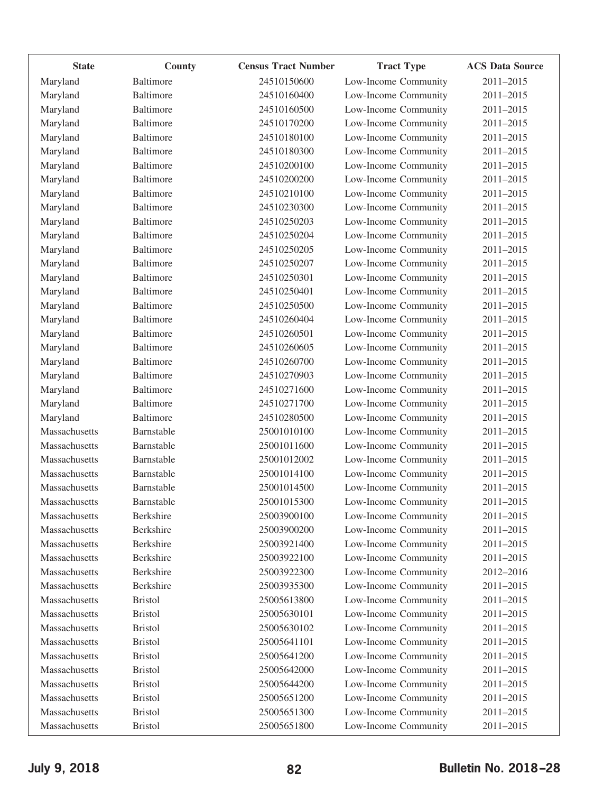| <b>State</b>  | County           | <b>Census Tract Number</b> | <b>Tract Type</b>    | <b>ACS Data Source</b> |
|---------------|------------------|----------------------------|----------------------|------------------------|
| Maryland      | <b>Baltimore</b> | 24510150600                | Low-Income Community | 2011-2015              |
| Maryland      | Baltimore        | 24510160400                | Low-Income Community | 2011-2015              |
| Maryland      | <b>Baltimore</b> | 24510160500                | Low-Income Community | 2011-2015              |
| Maryland      | <b>Baltimore</b> | 24510170200                | Low-Income Community | 2011-2015              |
| Maryland      | Baltimore        | 24510180100                | Low-Income Community | 2011-2015              |
| Maryland      | Baltimore        | 24510180300                | Low-Income Community | 2011-2015              |
| Maryland      | <b>Baltimore</b> | 24510200100                | Low-Income Community | 2011-2015              |
| Maryland      | <b>Baltimore</b> | 24510200200                | Low-Income Community | 2011-2015              |
| Maryland      | <b>Baltimore</b> | 24510210100                | Low-Income Community | 2011-2015              |
| Maryland      | <b>Baltimore</b> | 24510230300                | Low-Income Community | 2011-2015              |
| Maryland      | Baltimore        | 24510250203                | Low-Income Community | 2011-2015              |
| Maryland      | <b>Baltimore</b> | 24510250204                | Low-Income Community | 2011-2015              |
| Maryland      | <b>Baltimore</b> | 24510250205                | Low-Income Community | 2011-2015              |
| Maryland      | Baltimore        | 24510250207                | Low-Income Community | 2011-2015              |
| Maryland      | <b>Baltimore</b> | 24510250301                | Low-Income Community | 2011-2015              |
| Maryland      | <b>Baltimore</b> | 24510250401                | Low-Income Community | 2011-2015              |
| Maryland      | Baltimore        | 24510250500                | Low-Income Community | 2011-2015              |
| Maryland      | <b>Baltimore</b> | 24510260404                | Low-Income Community | 2011-2015              |
| Maryland      | <b>Baltimore</b> | 24510260501                | Low-Income Community | 2011-2015              |
| Maryland      | Baltimore        | 24510260605                | Low-Income Community | 2011-2015              |
| Maryland      | <b>Baltimore</b> | 24510260700                | Low-Income Community | 2011-2015              |
| Maryland      | <b>Baltimore</b> | 24510270903                | Low-Income Community | 2011-2015              |
| Maryland      | Baltimore        | 24510271600                | Low-Income Community | 2011-2015              |
| Maryland      | Baltimore        | 24510271700                | Low-Income Community | 2011-2015              |
| Maryland      | <b>Baltimore</b> | 24510280500                | Low-Income Community | 2011-2015              |
| Massachusetts | Barnstable       | 25001010100                | Low-Income Community | 2011-2015              |
| Massachusetts | Barnstable       | 25001011600                | Low-Income Community | 2011-2015              |
| Massachusetts | Barnstable       | 25001012002                | Low-Income Community | 2011-2015              |
| Massachusetts | Barnstable       | 25001014100                | Low-Income Community | 2011-2015              |
| Massachusetts | Barnstable       | 25001014500                | Low-Income Community | 2011-2015              |
| Massachusetts | Barnstable       | 25001015300                | Low-Income Community | 2011-2015              |
| Massachusetts | Berkshire        | 25003900100                | Low-Income Community | 2011-2015              |
| Massachusetts | <b>Berkshire</b> | 25003900200                | Low-Income Community | 2011-2015              |
| Massachusetts | Berkshire        | 25003921400                | Low-Income Community | 2011-2015              |
| Massachusetts | Berkshire        | 25003922100                | Low-Income Community | 2011-2015              |
| Massachusetts | Berkshire        | 25003922300                | Low-Income Community | 2012-2016              |
| Massachusetts | Berkshire        | 25003935300                | Low-Income Community | 2011-2015              |
| Massachusetts | <b>Bristol</b>   | 25005613800                | Low-Income Community | 2011-2015              |
| Massachusetts | <b>Bristol</b>   | 25005630101                | Low-Income Community | 2011-2015              |
| Massachusetts | <b>Bristol</b>   | 25005630102                | Low-Income Community | 2011-2015              |
| Massachusetts | <b>Bristol</b>   | 25005641101                | Low-Income Community | 2011-2015              |
| Massachusetts | <b>Bristol</b>   | 25005641200                | Low-Income Community | 2011-2015              |
| Massachusetts | <b>Bristol</b>   | 25005642000                | Low-Income Community | 2011-2015              |
| Massachusetts | <b>Bristol</b>   | 25005644200                | Low-Income Community | 2011-2015              |
| Massachusetts | <b>Bristol</b>   | 25005651200                | Low-Income Community | 2011-2015              |
| Massachusetts | <b>Bristol</b>   | 25005651300                | Low-Income Community | 2011-2015              |
| Massachusetts | <b>Bristol</b>   | 25005651800                | Low-Income Community | 2011-2015              |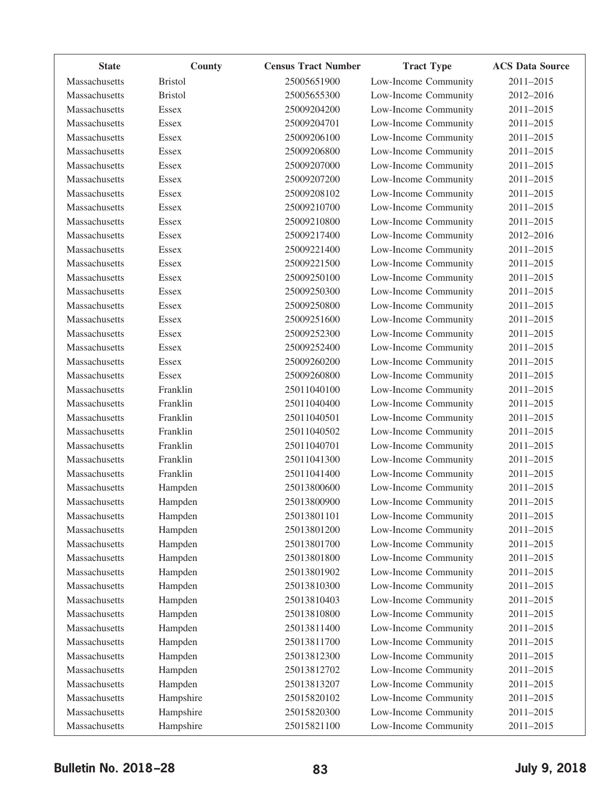| <b>State</b>  | County         | <b>Census Tract Number</b> | <b>Tract Type</b>    | <b>ACS Data Source</b> |
|---------------|----------------|----------------------------|----------------------|------------------------|
| Massachusetts | <b>Bristol</b> | 25005651900                | Low-Income Community | 2011-2015              |
| Massachusetts | <b>Bristol</b> | 25005655300                | Low-Income Community | 2012-2016              |
| Massachusetts | <b>Essex</b>   | 25009204200                | Low-Income Community | 2011-2015              |
| Massachusetts | <b>Essex</b>   | 25009204701                | Low-Income Community | 2011-2015              |
| Massachusetts | Essex          | 25009206100                | Low-Income Community | 2011-2015              |
| Massachusetts | Essex          | 25009206800                | Low-Income Community | 2011-2015              |
| Massachusetts | Essex          | 25009207000                | Low-Income Community | 2011-2015              |
| Massachusetts | Essex          | 25009207200                | Low-Income Community | 2011-2015              |
| Massachusetts | Essex          | 25009208102                | Low-Income Community | 2011-2015              |
| Massachusetts | <b>Essex</b>   | 25009210700                | Low-Income Community | 2011-2015              |
| Massachusetts | Essex          | 25009210800                | Low-Income Community | 2011-2015              |
| Massachusetts | Essex          | 25009217400                | Low-Income Community | 2012-2016              |
| Massachusetts | <b>Essex</b>   | 25009221400                | Low-Income Community | 2011-2015              |
| Massachusetts | Essex          | 25009221500                | Low-Income Community | 2011-2015              |
| Massachusetts | Essex          | 25009250100                | Low-Income Community | 2011-2015              |
| Massachusetts | <b>Essex</b>   | 25009250300                | Low-Income Community | 2011-2015              |
| Massachusetts | Essex          | 25009250800                | Low-Income Community | 2011-2015              |
| Massachusetts | Essex          | 25009251600                | Low-Income Community | 2011-2015              |
| Massachusetts | <b>Essex</b>   | 25009252300                | Low-Income Community | 2011-2015              |
| Massachusetts | Essex          | 25009252400                | Low-Income Community | 2011-2015              |
| Massachusetts | Essex          | 25009260200                | Low-Income Community | 2011-2015              |
| Massachusetts | <b>Essex</b>   | 25009260800                | Low-Income Community | 2011-2015              |
| Massachusetts | Franklin       | 25011040100                | Low-Income Community | 2011-2015              |
| Massachusetts | Franklin       | 25011040400                | Low-Income Community | 2011-2015              |
| Massachusetts | Franklin       | 25011040501                | Low-Income Community | 2011-2015              |
| Massachusetts | Franklin       | 25011040502                | Low-Income Community | 2011-2015              |
| Massachusetts | Franklin       | 25011040701                | Low-Income Community | 2011-2015              |
| Massachusetts | Franklin       | 25011041300                | Low-Income Community | 2011-2015              |
| Massachusetts | Franklin       | 25011041400                | Low-Income Community | 2011-2015              |
| Massachusetts | Hampden        | 25013800600                | Low-Income Community | 2011-2015              |
| Massachusetts | Hampden        | 25013800900                | Low-Income Community | 2011-2015              |
| Massachusetts | Hampden        | 25013801101                | Low-Income Community | 2011-2015              |
| Massachusetts | Hampden        | 25013801200                | Low-Income Community | 2011-2015              |
| Massachusetts | Hampden        | 25013801700                | Low-Income Community | 2011-2015              |
| Massachusetts | Hampden        | 25013801800                | Low-Income Community | 2011-2015              |
| Massachusetts | Hampden        | 25013801902                | Low-Income Community | 2011-2015              |
| Massachusetts | Hampden        | 25013810300                | Low-Income Community | 2011-2015              |
| Massachusetts | Hampden        | 25013810403                | Low-Income Community | 2011-2015              |
| Massachusetts | Hampden        | 25013810800                | Low-Income Community | 2011-2015              |
| Massachusetts | Hampden        | 25013811400                | Low-Income Community | 2011-2015              |
| Massachusetts | Hampden        | 25013811700                | Low-Income Community | 2011-2015              |
| Massachusetts | Hampden        | 25013812300                | Low-Income Community | 2011-2015              |
| Massachusetts | Hampden        | 25013812702                | Low-Income Community | 2011-2015              |
| Massachusetts | Hampden        | 25013813207                | Low-Income Community | 2011-2015              |
| Massachusetts | Hampshire      | 25015820102                | Low-Income Community | 2011-2015              |
| Massachusetts | Hampshire      | 25015820300                | Low-Income Community | 2011-2015              |
| Massachusetts | Hampshire      | 25015821100                | Low-Income Community | $2011 - 2015$          |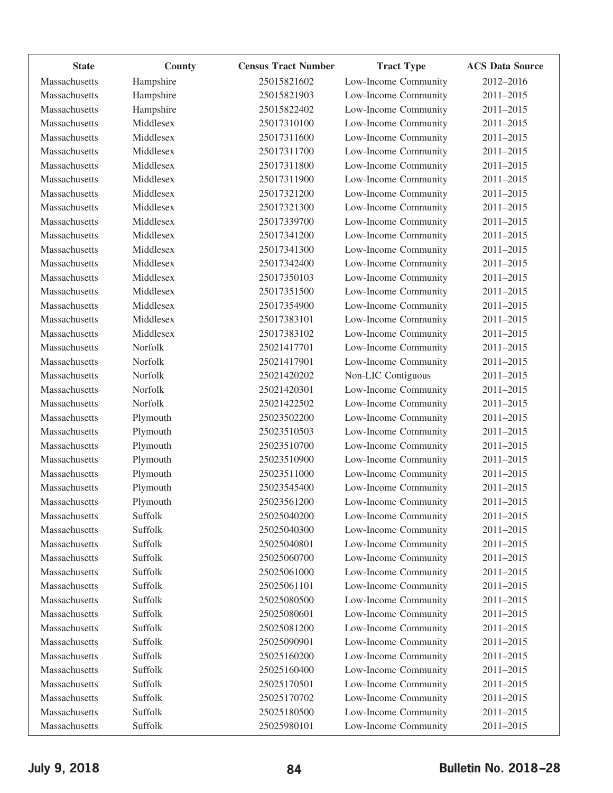| <b>State</b>  | County    | <b>Census Tract Number</b> | <b>Tract Type</b>    | <b>ACS Data Source</b> |
|---------------|-----------|----------------------------|----------------------|------------------------|
| Massachusetts | Hampshire | 25015821602                | Low-Income Community | 2012-2016              |
| Massachusetts | Hampshire | 25015821903                | Low-Income Community | 2011-2015              |
| Massachusetts | Hampshire | 25015822402                | Low-Income Community | 2011-2015              |
| Massachusetts | Middlesex | 25017310100                | Low-Income Community | 2011-2015              |
| Massachusetts | Middlesex | 25017311600                | Low-Income Community | 2011-2015              |
| Massachusetts | Middlesex | 25017311700                | Low-Income Community | 2011-2015              |
| Massachusetts | Middlesex | 25017311800                | Low-Income Community | 2011-2015              |
| Massachusetts | Middlesex | 25017311900                | Low-Income Community | 2011-2015              |
| Massachusetts | Middlesex | 25017321200                | Low-Income Community | 2011-2015              |
| Massachusetts | Middlesex | 25017321300                | Low-Income Community | 2011-2015              |
| Massachusetts | Middlesex | 25017339700                | Low-Income Community | 2011-2015              |
| Massachusetts | Middlesex | 25017341200                | Low-Income Community | 2011-2015              |
| Massachusetts | Middlesex | 25017341300                | Low-Income Community | 2011-2015              |
| Massachusetts | Middlesex | 25017342400                | Low-Income Community | 2011-2015              |
| Massachusetts | Middlesex | 25017350103                | Low-Income Community | 2011-2015              |
| Massachusetts | Middlesex | 25017351500                | Low-Income Community | 2011-2015              |
| Massachusetts | Middlesex | 25017354900                | Low-Income Community | 2011-2015              |
| Massachusetts | Middlesex | 25017383101                | Low-Income Community | 2011-2015              |
| Massachusetts | Middlesex | 25017383102                | Low-Income Community | 2011-2015              |
| Massachusetts | Norfolk   | 25021417701                | Low-Income Community | 2011-2015              |
| Massachusetts | Norfolk   | 25021417901                | Low-Income Community | 2011-2015              |
| Massachusetts | Norfolk   | 25021420202                | Non-LIC Contiguous   | 2011-2015              |
| Massachusetts | Norfolk   | 25021420301                | Low-Income Community | 2011-2015              |
| Massachusetts | Norfolk   | 25021422502                | Low-Income Community | 2011-2015              |
| Massachusetts | Plymouth  | 25023502200                | Low-Income Community | 2011-2015              |
| Massachusetts | Plymouth  | 25023510503                | Low-Income Community | 2011-2015              |
| Massachusetts | Plymouth  | 25023510700                | Low-Income Community | 2011-2015              |
| Massachusetts | Plymouth  | 25023510900                | Low-Income Community | 2011-2015              |
| Massachusetts | Plymouth  | 25023511000                | Low-Income Community | 2011-2015              |
| Massachusetts | Plymouth  | 25023545400                | Low-Income Community | 2011-2015              |
| Massachusetts | Plymouth  | 25023561200                | Low-Income Community | 2011-2015              |
| Massachusetts | Suffolk   | 25025040200                | Low-Income Community | 2011-2015              |
| Massachusetts | Suffolk   | 25025040300                | Low-Income Community | 2011-2015              |
| Massachusetts | Suffolk   | 25025040801                | Low-Income Community | 2011-2015              |
| Massachusetts | Suffolk   | 25025060700                | Low-Income Community | 2011-2015              |
| Massachusetts | Suffolk   | 25025061000                | Low-Income Community | 2011-2015              |
| Massachusetts | Suffolk   | 25025061101                | Low-Income Community | 2011-2015              |
| Massachusetts | Suffolk   | 25025080500                | Low-Income Community | 2011-2015              |
| Massachusetts | Suffolk   | 25025080601                | Low-Income Community | 2011-2015              |
| Massachusetts | Suffolk   | 25025081200                | Low-Income Community | 2011-2015              |
| Massachusetts | Suffolk   | 25025090901                | Low-Income Community | 2011-2015              |
| Massachusetts | Suffolk   | 25025160200                | Low-Income Community | 2011-2015              |
| Massachusetts | Suffolk   | 25025160400                | Low-Income Community | 2011-2015              |
| Massachusetts | Suffolk   | 25025170501                | Low-Income Community | 2011-2015              |
| Massachusetts | Suffolk   | 25025170702                | Low-Income Community | 2011-2015              |
| Massachusetts | Suffolk   | 25025180500                | Low-Income Community | 2011-2015              |
| Massachusetts | Suffolk   | 25025980101                | Low-Income Community | 2011-2015              |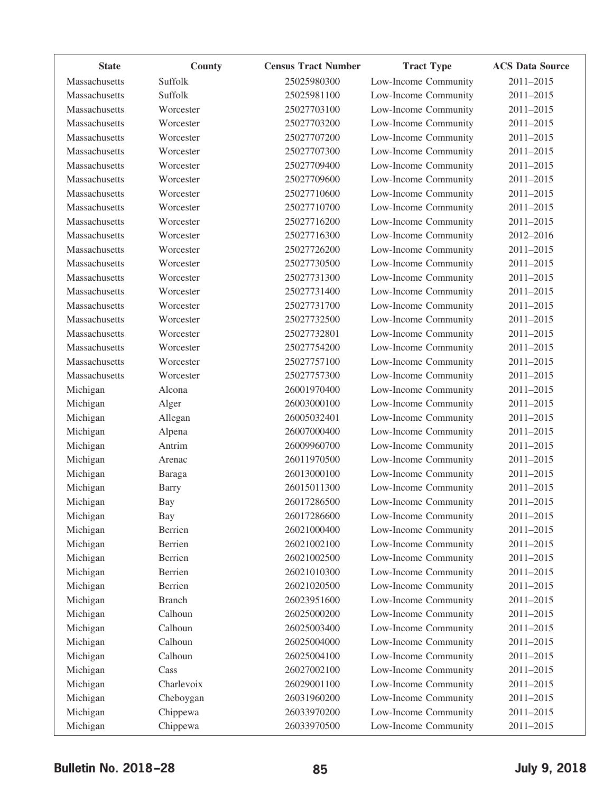| <b>State</b>  | County        | <b>Census Tract Number</b> | <b>Tract Type</b>    | <b>ACS Data Source</b> |
|---------------|---------------|----------------------------|----------------------|------------------------|
| Massachusetts | Suffolk       | 25025980300                | Low-Income Community | 2011-2015              |
| Massachusetts | Suffolk       | 25025981100                | Low-Income Community | 2011-2015              |
| Massachusetts | Worcester     | 25027703100                | Low-Income Community | 2011-2015              |
| Massachusetts | Worcester     | 25027703200                | Low-Income Community | 2011-2015              |
| Massachusetts | Worcester     | 25027707200                | Low-Income Community | 2011-2015              |
| Massachusetts | Worcester     | 25027707300                | Low-Income Community | 2011-2015              |
| Massachusetts | Worcester     | 25027709400                | Low-Income Community | 2011-2015              |
| Massachusetts | Worcester     | 25027709600                | Low-Income Community | 2011-2015              |
| Massachusetts | Worcester     | 25027710600                | Low-Income Community | 2011-2015              |
| Massachusetts | Worcester     | 25027710700                | Low-Income Community | 2011-2015              |
| Massachusetts | Worcester     | 25027716200                | Low-Income Community | 2011-2015              |
| Massachusetts | Worcester     | 25027716300                | Low-Income Community | 2012-2016              |
| Massachusetts | Worcester     | 25027726200                | Low-Income Community | 2011-2015              |
| Massachusetts | Worcester     | 25027730500                | Low-Income Community | 2011-2015              |
| Massachusetts | Worcester     | 25027731300                | Low-Income Community | 2011-2015              |
| Massachusetts | Worcester     | 25027731400                | Low-Income Community | 2011-2015              |
| Massachusetts | Worcester     | 25027731700                | Low-Income Community | 2011-2015              |
| Massachusetts | Worcester     | 25027732500                | Low-Income Community | 2011-2015              |
| Massachusetts | Worcester     | 25027732801                | Low-Income Community | 2011-2015              |
| Massachusetts | Worcester     | 25027754200                | Low-Income Community | 2011-2015              |
| Massachusetts | Worcester     | 25027757100                | Low-Income Community | 2011-2015              |
| Massachusetts | Worcester     | 25027757300                | Low-Income Community | 2011-2015              |
| Michigan      | Alcona        | 26001970400                | Low-Income Community | 2011-2015              |
| Michigan      | Alger         | 26003000100                | Low-Income Community | 2011-2015              |
| Michigan      | Allegan       | 26005032401                | Low-Income Community | 2011-2015              |
| Michigan      | Alpena        | 26007000400                | Low-Income Community | 2011-2015              |
| Michigan      | Antrim        | 26009960700                | Low-Income Community | 2011-2015              |
| Michigan      | Arenac        | 26011970500                | Low-Income Community | 2011-2015              |
| Michigan      | Baraga        | 26013000100                | Low-Income Community | 2011-2015              |
| Michigan      | <b>Barry</b>  | 26015011300                | Low-Income Community | 2011-2015              |
| Michigan      | Bay           | 26017286500                | Low-Income Community | 2011-2015              |
| Michigan      | Bay           | 26017286600                | Low-Income Community | 2011-2015              |
| Michigan      | Berrien       | 26021000400                | Low-Income Community | 2011-2015              |
| Michigan      | Berrien       | 26021002100                | Low-Income Community | 2011-2015              |
| Michigan      | Berrien       | 26021002500                | Low-Income Community | 2011-2015              |
| Michigan      | Berrien       | 26021010300                | Low-Income Community | 2011-2015              |
| Michigan      | Berrien       | 26021020500                | Low-Income Community | 2011-2015              |
| Michigan      | <b>Branch</b> | 26023951600                | Low-Income Community | 2011-2015              |
| Michigan      | Calhoun       | 26025000200                | Low-Income Community | 2011-2015              |
| Michigan      | Calhoun       | 26025003400                | Low-Income Community | 2011-2015              |
| Michigan      | Calhoun       | 26025004000                | Low-Income Community | 2011-2015              |
| Michigan      | Calhoun       | 26025004100                | Low-Income Community | 2011-2015              |
| Michigan      | Cass          | 26027002100                | Low-Income Community | 2011-2015              |
| Michigan      | Charlevoix    | 26029001100                | Low-Income Community | 2011-2015              |
| Michigan      | Cheboygan     | 26031960200                | Low-Income Community | 2011-2015              |
| Michigan      | Chippewa      | 26033970200                | Low-Income Community | 2011-2015              |
| Michigan      | Chippewa      | 26033970500                | Low-Income Community | $2011 - 2015$          |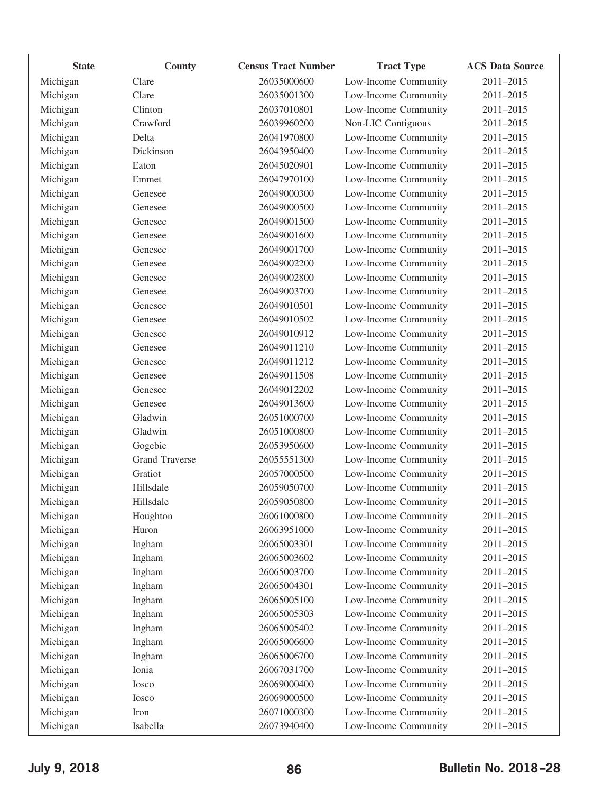| <b>State</b> | County                | <b>Census Tract Number</b> | <b>Tract Type</b>    | <b>ACS Data Source</b> |
|--------------|-----------------------|----------------------------|----------------------|------------------------|
| Michigan     | Clare                 | 26035000600                | Low-Income Community | 2011-2015              |
| Michigan     | Clare                 | 26035001300                | Low-Income Community | 2011-2015              |
| Michigan     | Clinton               | 26037010801                | Low-Income Community | 2011-2015              |
| Michigan     | Crawford              | 26039960200                | Non-LIC Contiguous   | 2011-2015              |
| Michigan     | Delta                 | 26041970800                | Low-Income Community | 2011-2015              |
| Michigan     | Dickinson             | 26043950400                | Low-Income Community | 2011-2015              |
| Michigan     | Eaton                 | 26045020901                | Low-Income Community | 2011-2015              |
| Michigan     | Emmet                 | 26047970100                | Low-Income Community | 2011-2015              |
| Michigan     | Genesee               | 26049000300                | Low-Income Community | 2011-2015              |
| Michigan     | Genesee               | 26049000500                | Low-Income Community | 2011-2015              |
| Michigan     | Genesee               | 26049001500                | Low-Income Community | 2011-2015              |
| Michigan     | Genesee               | 26049001600                | Low-Income Community | 2011-2015              |
| Michigan     | Genesee               | 26049001700                | Low-Income Community | 2011-2015              |
| Michigan     | Genesee               | 26049002200                | Low-Income Community | 2011-2015              |
| Michigan     | Genesee               | 26049002800                | Low-Income Community | 2011-2015              |
| Michigan     | Genesee               | 26049003700                | Low-Income Community | 2011-2015              |
| Michigan     | Genesee               | 26049010501                | Low-Income Community | 2011-2015              |
| Michigan     | Genesee               | 26049010502                | Low-Income Community | 2011-2015              |
| Michigan     | Genesee               | 26049010912                | Low-Income Community | 2011-2015              |
| Michigan     | Genesee               | 26049011210                | Low-Income Community | 2011-2015              |
| Michigan     | Genesee               | 26049011212                | Low-Income Community | 2011-2015              |
| Michigan     | Genesee               | 26049011508                | Low-Income Community | 2011-2015              |
| Michigan     | Genesee               | 26049012202                | Low-Income Community | 2011-2015              |
| Michigan     | Genesee               | 26049013600                | Low-Income Community | 2011-2015              |
| Michigan     | Gladwin               | 26051000700                | Low-Income Community | 2011-2015              |
| Michigan     | Gladwin               | 26051000800                | Low-Income Community | 2011-2015              |
| Michigan     | Gogebic               | 26053950600                | Low-Income Community | 2011-2015              |
| Michigan     | <b>Grand Traverse</b> | 26055551300                | Low-Income Community | 2011-2015              |
| Michigan     | Gratiot               | 26057000500                | Low-Income Community | 2011-2015              |
| Michigan     | Hillsdale             | 26059050700                | Low-Income Community | 2011-2015              |
| Michigan     | Hillsdale             | 26059050800                | Low-Income Community | 2011-2015              |
| Michigan     | Houghton              | 26061000800                | Low-Income Community | 2011-2015              |
| Michigan     | Huron                 | 26063951000                | Low-Income Community | 2011-2015              |
| Michigan     | Ingham                | 26065003301                | Low-Income Community | 2011-2015              |
| Michigan     | Ingham                | 26065003602                | Low-Income Community | 2011-2015              |
| Michigan     | Ingham                | 26065003700                | Low-Income Community | 2011-2015              |
| Michigan     | Ingham                | 26065004301                | Low-Income Community | 2011-2015              |
| Michigan     | Ingham                | 26065005100                | Low-Income Community | 2011-2015              |
| Michigan     | Ingham                | 26065005303                | Low-Income Community | 2011-2015              |
| Michigan     | Ingham                | 26065005402                | Low-Income Community | 2011-2015              |
| Michigan     | Ingham                | 26065006600                | Low-Income Community | 2011-2015              |
| Michigan     | Ingham                | 26065006700                | Low-Income Community | 2011-2015              |
| Michigan     | Ionia                 | 26067031700                | Low-Income Community | 2011-2015              |
| Michigan     | Iosco                 | 26069000400                | Low-Income Community | 2011-2015              |
| Michigan     | Iosco                 | 26069000500                | Low-Income Community | 2011-2015              |
| Michigan     | Iron                  | 26071000300                | Low-Income Community | 2011-2015              |
| Michigan     | Isabella              | 26073940400                | Low-Income Community | 2011-2015              |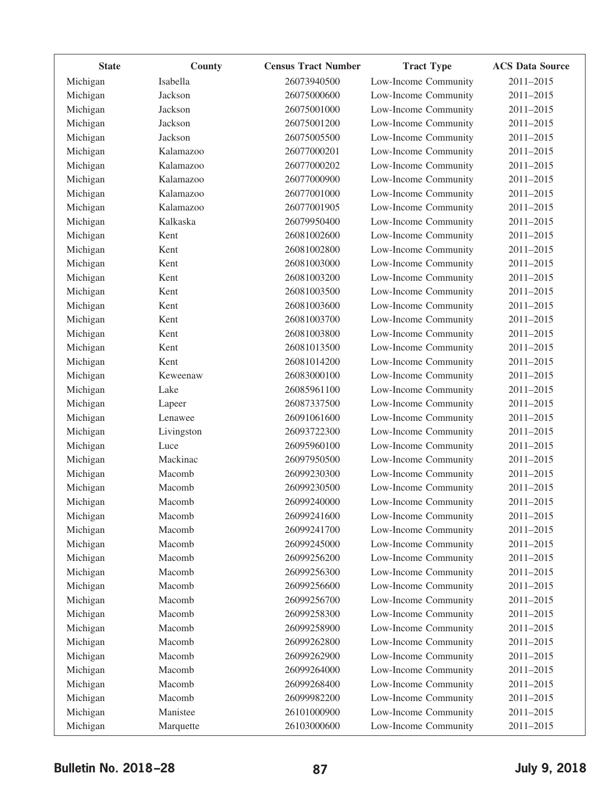| <b>State</b> | County     | <b>Census Tract Number</b> | <b>Tract Type</b>    | <b>ACS Data Source</b> |
|--------------|------------|----------------------------|----------------------|------------------------|
| Michigan     | Isabella   | 26073940500                | Low-Income Community | 2011-2015              |
| Michigan     | Jackson    | 26075000600                | Low-Income Community | 2011-2015              |
| Michigan     | Jackson    | 26075001000                | Low-Income Community | 2011-2015              |
| Michigan     | Jackson    | 26075001200                | Low-Income Community | 2011-2015              |
| Michigan     | Jackson    | 26075005500                | Low-Income Community | 2011-2015              |
| Michigan     | Kalamazoo  | 26077000201                | Low-Income Community | 2011-2015              |
| Michigan     | Kalamazoo  | 26077000202                | Low-Income Community | 2011-2015              |
| Michigan     | Kalamazoo  | 26077000900                | Low-Income Community | 2011-2015              |
| Michigan     | Kalamazoo  | 26077001000                | Low-Income Community | 2011-2015              |
| Michigan     | Kalamazoo  | 26077001905                | Low-Income Community | 2011-2015              |
| Michigan     | Kalkaska   | 26079950400                | Low-Income Community | 2011-2015              |
| Michigan     | Kent       | 26081002600                | Low-Income Community | 2011-2015              |
| Michigan     | Kent       | 26081002800                | Low-Income Community | 2011-2015              |
| Michigan     | Kent       | 26081003000                | Low-Income Community | 2011-2015              |
| Michigan     | Kent       | 26081003200                | Low-Income Community | 2011-2015              |
| Michigan     | Kent       | 26081003500                | Low-Income Community | 2011-2015              |
| Michigan     | Kent       | 26081003600                | Low-Income Community | 2011-2015              |
| Michigan     | Kent       | 26081003700                | Low-Income Community | 2011-2015              |
| Michigan     | Kent       | 26081003800                | Low-Income Community | 2011-2015              |
| Michigan     | Kent       | 26081013500                | Low-Income Community | 2011-2015              |
| Michigan     | Kent       | 26081014200                | Low-Income Community | 2011-2015              |
| Michigan     | Keweenaw   | 26083000100                | Low-Income Community | 2011-2015              |
| Michigan     | Lake       | 26085961100                | Low-Income Community | 2011-2015              |
| Michigan     | Lapeer     | 26087337500                | Low-Income Community | 2011-2015              |
| Michigan     | Lenawee    | 26091061600                | Low-Income Community | 2011-2015              |
| Michigan     | Livingston | 26093722300                | Low-Income Community | 2011-2015              |
| Michigan     | Luce       | 26095960100                | Low-Income Community | 2011-2015              |
| Michigan     | Mackinac   | 26097950500                | Low-Income Community | 2011-2015              |
| Michigan     | Macomb     | 26099230300                | Low-Income Community | 2011-2015              |
| Michigan     | Macomb     | 26099230500                | Low-Income Community | 2011-2015              |
| Michigan     | Macomb     | 26099240000                | Low-Income Community | 2011-2015              |
| Michigan     | Macomb     | 26099241600                | Low-Income Community | 2011-2015              |
| Michigan     | Macomb     | 26099241700                | Low-Income Community | 2011-2015              |
| Michigan     | Macomb     | 26099245000                | Low-Income Community | 2011-2015              |
| Michigan     | Macomb     | 26099256200                | Low-Income Community | 2011-2015              |
| Michigan     | Macomb     | 26099256300                | Low-Income Community | 2011-2015              |
| Michigan     | Macomb     | 26099256600                | Low-Income Community | 2011-2015              |
| Michigan     | Macomb     | 26099256700                | Low-Income Community | 2011-2015              |
| Michigan     | Macomb     | 26099258300                | Low-Income Community | 2011-2015              |
| Michigan     | Macomb     | 26099258900                | Low-Income Community | 2011-2015              |
| Michigan     | Macomb     | 26099262800                | Low-Income Community | 2011-2015              |
| Michigan     | Macomb     | 26099262900                | Low-Income Community | 2011-2015              |
| Michigan     | Macomb     | 26099264000                | Low-Income Community | 2011-2015              |
| Michigan     | Macomb     | 26099268400                | Low-Income Community | 2011-2015              |
| Michigan     | Macomb     | 26099982200                | Low-Income Community | 2011-2015              |
| Michigan     | Manistee   | 26101000900                | Low-Income Community | 2011-2015              |
| Michigan     | Marquette  | 26103000600                | Low-Income Community | 2011-2015              |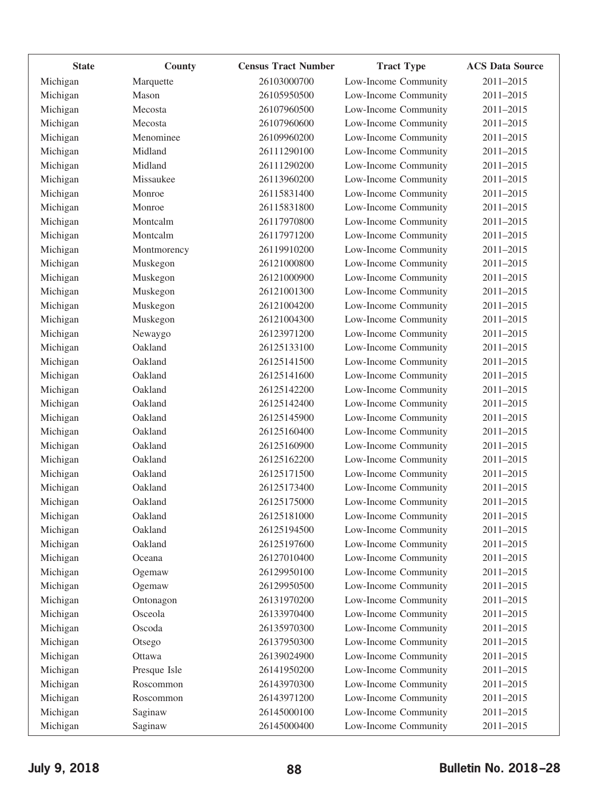| <b>State</b> | County       | <b>Census Tract Number</b> | <b>Tract Type</b>    | <b>ACS Data Source</b> |
|--------------|--------------|----------------------------|----------------------|------------------------|
| Michigan     | Marquette    | 26103000700                | Low-Income Community | 2011-2015              |
| Michigan     | Mason        | 26105950500                | Low-Income Community | 2011-2015              |
| Michigan     | Mecosta      | 26107960500                | Low-Income Community | 2011-2015              |
| Michigan     | Mecosta      | 26107960600                | Low-Income Community | 2011-2015              |
| Michigan     | Menominee    | 26109960200                | Low-Income Community | 2011-2015              |
| Michigan     | Midland      | 26111290100                | Low-Income Community | 2011-2015              |
| Michigan     | Midland      | 26111290200                | Low-Income Community | 2011-2015              |
| Michigan     | Missaukee    | 26113960200                | Low-Income Community | 2011-2015              |
| Michigan     | Monroe       | 26115831400                | Low-Income Community | 2011-2015              |
| Michigan     | Monroe       | 26115831800                | Low-Income Community | 2011-2015              |
| Michigan     | Montcalm     | 26117970800                | Low-Income Community | 2011-2015              |
| Michigan     | Montcalm     | 26117971200                | Low-Income Community | 2011-2015              |
| Michigan     | Montmorency  | 26119910200                | Low-Income Community | 2011-2015              |
| Michigan     | Muskegon     | 26121000800                | Low-Income Community | 2011-2015              |
| Michigan     | Muskegon     | 26121000900                | Low-Income Community | 2011-2015              |
| Michigan     | Muskegon     | 26121001300                | Low-Income Community | 2011-2015              |
| Michigan     | Muskegon     | 26121004200                | Low-Income Community | 2011-2015              |
| Michigan     | Muskegon     | 26121004300                | Low-Income Community | 2011-2015              |
| Michigan     | Newaygo      | 26123971200                | Low-Income Community | 2011-2015              |
| Michigan     | Oakland      | 26125133100                | Low-Income Community | 2011-2015              |
| Michigan     | Oakland      | 26125141500                | Low-Income Community | 2011-2015              |
| Michigan     | Oakland      | 26125141600                | Low-Income Community | 2011-2015              |
| Michigan     | Oakland      | 26125142200                | Low-Income Community | 2011-2015              |
| Michigan     | Oakland      | 26125142400                | Low-Income Community | 2011-2015              |
| Michigan     | Oakland      | 26125145900                | Low-Income Community | 2011-2015              |
| Michigan     | Oakland      | 26125160400                | Low-Income Community | 2011-2015              |
| Michigan     | Oakland      | 26125160900                | Low-Income Community | 2011-2015              |
| Michigan     | Oakland      | 26125162200                | Low-Income Community | 2011-2015              |
| Michigan     | Oakland      | 26125171500                | Low-Income Community | 2011-2015              |
| Michigan     | Oakland      | 26125173400                | Low-Income Community | 2011-2015              |
| Michigan     | Oakland      | 26125175000                | Low-Income Community | 2011-2015              |
| Michigan     | Oakland      | 26125181000                | Low-Income Community | 2011-2015              |
| Michigan     | Oakland      | 26125194500                | Low-Income Community | 2011-2015              |
| Michigan     | Oakland      | 26125197600                | Low-Income Community | 2011-2015              |
| Michigan     | Oceana       | 26127010400                | Low-Income Community | 2011-2015              |
| Michigan     | Ogemaw       | 26129950100                | Low-Income Community | 2011-2015              |
| Michigan     | Ogemaw       | 26129950500                | Low-Income Community | 2011-2015              |
| Michigan     | Ontonagon    | 26131970200                | Low-Income Community | 2011-2015              |
| Michigan     | Osceola      | 26133970400                | Low-Income Community | 2011-2015              |
| Michigan     | Oscoda       | 26135970300                | Low-Income Community | 2011-2015              |
| Michigan     | Otsego       | 26137950300                | Low-Income Community | 2011-2015              |
| Michigan     | Ottawa       | 26139024900                | Low-Income Community | 2011-2015              |
| Michigan     | Presque Isle | 26141950200                | Low-Income Community | 2011-2015              |
| Michigan     | Roscommon    | 26143970300                | Low-Income Community | 2011-2015              |
| Michigan     | Roscommon    | 26143971200                | Low-Income Community | 2011-2015              |
| Michigan     | Saginaw      | 26145000100                | Low-Income Community | 2011-2015              |
|              |              | 26145000400                | Low-Income Community | 2011-2015              |
| Michigan     | Saginaw      |                            |                      |                        |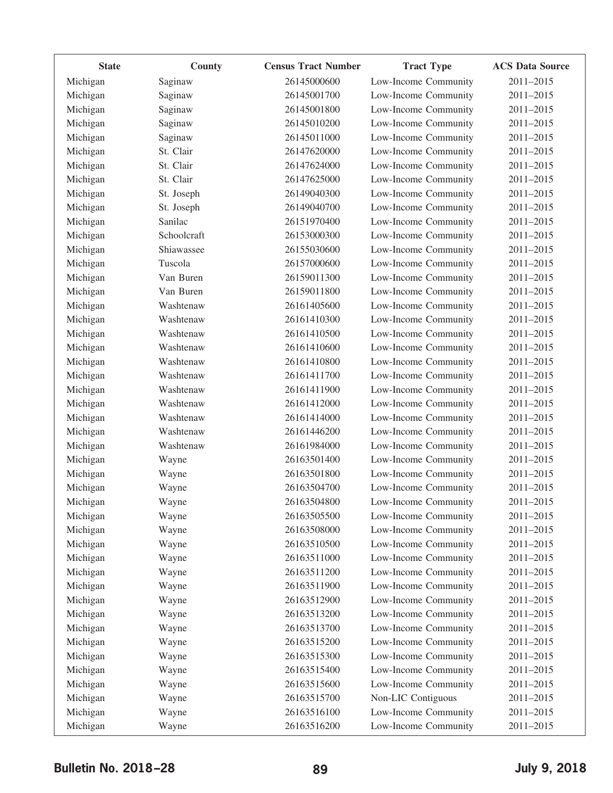| <b>State</b> | County      | <b>Census Tract Number</b> | <b>Tract Type</b>    | <b>ACS Data Source</b> |
|--------------|-------------|----------------------------|----------------------|------------------------|
| Michigan     | Saginaw     | 26145000600                | Low-Income Community | 2011-2015              |
| Michigan     | Saginaw     | 26145001700                | Low-Income Community | 2011-2015              |
| Michigan     | Saginaw     | 26145001800                | Low-Income Community | 2011-2015              |
| Michigan     | Saginaw     | 26145010200                | Low-Income Community | 2011-2015              |
| Michigan     | Saginaw     | 26145011000                | Low-Income Community | 2011-2015              |
| Michigan     | St. Clair   | 26147620000                | Low-Income Community | 2011-2015              |
| Michigan     | St. Clair   | 26147624000                | Low-Income Community | 2011-2015              |
| Michigan     | St. Clair   | 26147625000                | Low-Income Community | 2011-2015              |
| Michigan     | St. Joseph  | 26149040300                | Low-Income Community | 2011-2015              |
| Michigan     | St. Joseph  | 26149040700                | Low-Income Community | 2011-2015              |
| Michigan     | Sanilac     | 26151970400                | Low-Income Community | 2011-2015              |
| Michigan     | Schoolcraft | 26153000300                | Low-Income Community | 2011-2015              |
| Michigan     | Shiawassee  | 26155030600                | Low-Income Community | 2011-2015              |
| Michigan     | Tuscola     | 26157000600                | Low-Income Community | 2011-2015              |
| Michigan     | Van Buren   | 26159011300                | Low-Income Community | 2011-2015              |
| Michigan     | Van Buren   | 26159011800                | Low-Income Community | 2011-2015              |
| Michigan     | Washtenaw   | 26161405600                | Low-Income Community | 2011-2015              |
| Michigan     | Washtenaw   | 26161410300                | Low-Income Community | 2011-2015              |
| Michigan     | Washtenaw   | 26161410500                | Low-Income Community | 2011-2015              |
| Michigan     | Washtenaw   | 26161410600                | Low-Income Community | 2011-2015              |
| Michigan     | Washtenaw   | 26161410800                | Low-Income Community | 2011-2015              |
| Michigan     | Washtenaw   | 26161411700                | Low-Income Community | 2011-2015              |
| Michigan     | Washtenaw   | 26161411900                | Low-Income Community | 2011-2015              |
| Michigan     | Washtenaw   | 26161412000                | Low-Income Community | 2011-2015              |
| Michigan     | Washtenaw   | 26161414000                | Low-Income Community | 2011-2015              |
| Michigan     | Washtenaw   | 26161446200                | Low-Income Community | 2011-2015              |
| Michigan     | Washtenaw   | 26161984000                | Low-Income Community | 2011-2015              |
| Michigan     | Wayne       | 26163501400                | Low-Income Community | 2011-2015              |
| Michigan     | Wayne       | 26163501800                | Low-Income Community | 2011-2015              |
| Michigan     | Wayne       | 26163504700                | Low-Income Community | 2011-2015              |
| Michigan     | Wayne       | 26163504800                | Low-Income Community | 2011-2015              |
| Michigan     | Wayne       | 26163505500                | Low-Income Community | 2011-2015              |
| Michigan     | Wayne       | 26163508000                | Low-Income Community | 2011-2015              |
| Michigan     | Wayne       | 26163510500                | Low-Income Community | 2011-2015              |
| Michigan     | Wayne       | 26163511000                | Low-Income Community | 2011-2015              |
| Michigan     | Wayne       | 26163511200                | Low-Income Community | 2011-2015              |
| Michigan     | Wayne       | 26163511900                | Low-Income Community | 2011-2015              |
| Michigan     | Wayne       | 26163512900                | Low-Income Community | 2011-2015              |
| Michigan     | Wayne       | 26163513200                | Low-Income Community | 2011-2015              |
| Michigan     | Wayne       | 26163513700                | Low-Income Community | 2011-2015              |
| Michigan     | Wayne       | 26163515200                | Low-Income Community | 2011-2015              |
| Michigan     | Wayne       | 26163515300                | Low-Income Community | 2011-2015              |
| Michigan     | Wayne       | 26163515400                | Low-Income Community | 2011-2015              |
| Michigan     | Wayne       | 26163515600                | Low-Income Community | 2011-2015              |
| Michigan     | Wayne       | 26163515700                | Non-LIC Contiguous   | 2011-2015              |
| Michigan     | Wayne       | 26163516100                | Low-Income Community | 2011-2015              |
| Michigan     | Wayne       | 26163516200                | Low-Income Community | 2011-2015              |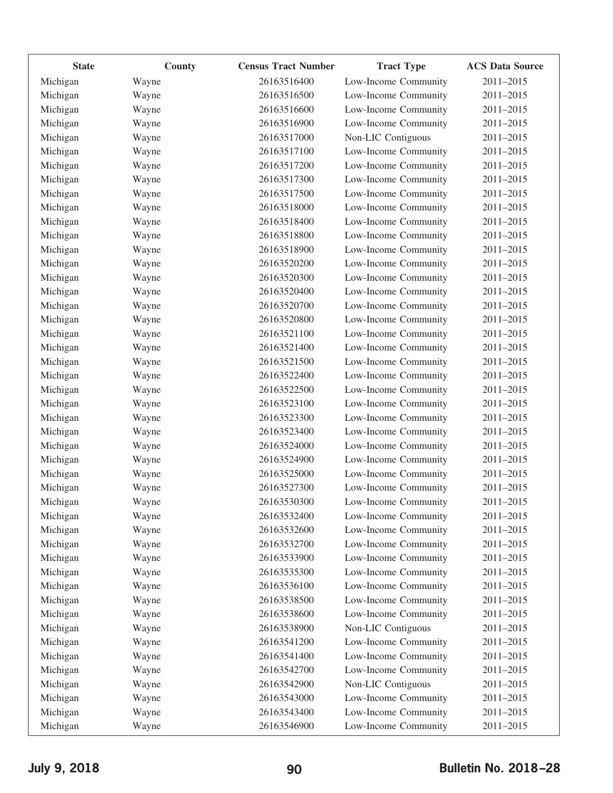| <b>State</b> | County | <b>Census Tract Number</b> | <b>Tract Type</b>    | <b>ACS Data Source</b> |
|--------------|--------|----------------------------|----------------------|------------------------|
| Michigan     | Wayne  | 26163516400                | Low-Income Community | 2011-2015              |
| Michigan     | Wayne  | 26163516500                | Low-Income Community | 2011-2015              |
| Michigan     | Wayne  | 26163516600                | Low-Income Community | 2011-2015              |
| Michigan     | Wayne  | 26163516900                | Low-Income Community | 2011-2015              |
| Michigan     | Wayne  | 26163517000                | Non-LIC Contiguous   | 2011-2015              |
| Michigan     | Wayne  | 26163517100                | Low-Income Community | 2011-2015              |
| Michigan     | Wayne  | 26163517200                | Low-Income Community | 2011-2015              |
| Michigan     | Wayne  | 26163517300                | Low-Income Community | 2011-2015              |
| Michigan     | Wayne  | 26163517500                | Low-Income Community | 2011-2015              |
| Michigan     | Wayne  | 26163518000                | Low-Income Community | 2011-2015              |
| Michigan     | Wayne  | 26163518400                | Low-Income Community | 2011-2015              |
| Michigan     | Wayne  | 26163518800                | Low-Income Community | 2011-2015              |
| Michigan     | Wayne  | 26163518900                | Low-Income Community | 2011-2015              |
| Michigan     | Wayne  | 26163520200                | Low-Income Community | 2011-2015              |
| Michigan     | Wayne  | 26163520300                | Low-Income Community | 2011-2015              |
| Michigan     | Wayne  | 26163520400                | Low-Income Community | 2011-2015              |
| Michigan     | Wayne  | 26163520700                | Low-Income Community | 2011-2015              |
| Michigan     | Wayne  | 26163520800                | Low-Income Community | 2011-2015              |
| Michigan     | Wayne  | 26163521100                | Low-Income Community | 2011-2015              |
| Michigan     | Wayne  | 26163521400                | Low-Income Community | 2011-2015              |
| Michigan     | Wayne  | 26163521500                | Low-Income Community | 2011-2015              |
| Michigan     | Wayne  | 26163522400                | Low-Income Community | 2011-2015              |
| Michigan     | Wayne  | 26163522500                | Low-Income Community | 2011-2015              |
| Michigan     | Wayne  | 26163523100                | Low-Income Community | 2011-2015              |
| Michigan     | Wayne  | 26163523300                | Low-Income Community | 2011-2015              |
| Michigan     | Wayne  | 26163523400                | Low-Income Community | 2011-2015              |
| Michigan     | Wayne  | 26163524000                | Low-Income Community | 2011-2015              |
| Michigan     | Wayne  | 26163524900                | Low-Income Community | 2011-2015              |
| Michigan     | Wayne  | 26163525000                | Low-Income Community | 2011-2015              |
| Michigan     | Wayne  | 26163527300                | Low-Income Community | 2011-2015              |
| Michigan     | Wayne  | 26163530300                | Low-Income Community | 2011-2015              |
| Michigan     | Wayne  | 26163532400                | Low-Income Community | 2011-2015              |
| Michigan     | Wayne  | 26163532600                | Low-Income Community | 2011-2015              |
| Michigan     | Wayne  | 26163532700                | Low-Income Community | 2011-2015              |
| Michigan     | Wayne  | 26163533900                | Low-Income Community | 2011-2015              |
| Michigan     | Wayne  | 26163535300                | Low-Income Community | 2011-2015              |
| Michigan     | Wayne  | 26163536100                | Low-Income Community | 2011-2015              |
| Michigan     | Wayne  | 26163538500                | Low-Income Community | 2011-2015              |
| Michigan     | Wayne  | 26163538600                | Low-Income Community | 2011-2015              |
| Michigan     | Wayne  | 26163538900                | Non-LIC Contiguous   | 2011-2015              |
| Michigan     | Wayne  | 26163541200                | Low-Income Community | 2011-2015              |
| Michigan     | Wayne  | 26163541400                | Low-Income Community | 2011-2015              |
| Michigan     | Wayne  | 26163542700                | Low-Income Community | 2011-2015              |
| Michigan     | Wayne  | 26163542900                | Non-LIC Contiguous   | 2011-2015              |
| Michigan     | Wayne  | 26163543000                | Low-Income Community | 2011-2015              |
| Michigan     | Wayne  | 26163543400                | Low-Income Community | 2011-2015              |
| Michigan     | Wayne  | 26163546900                | Low-Income Community | 2011-2015              |
|              |        |                            |                      |                        |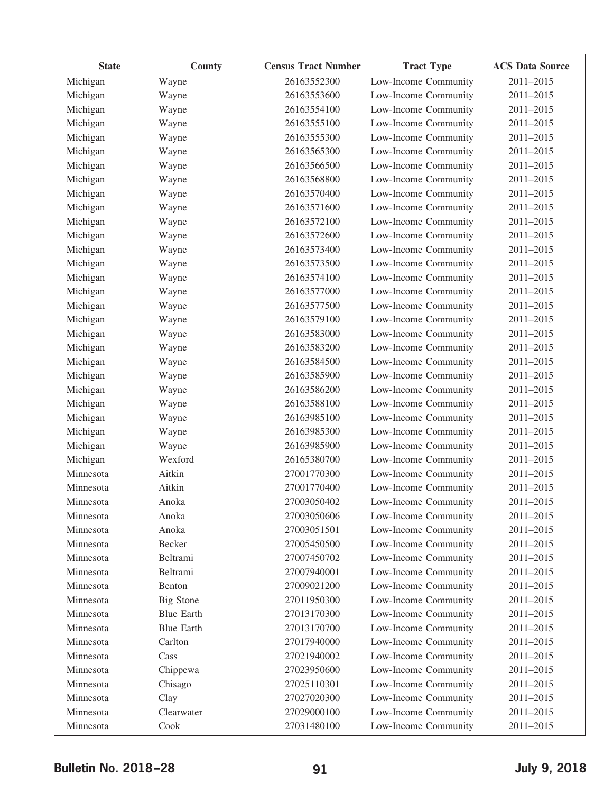| <b>State</b> | County            | <b>Census Tract Number</b> | <b>Tract Type</b>    | <b>ACS Data Source</b> |
|--------------|-------------------|----------------------------|----------------------|------------------------|
| Michigan     | Wayne             | 26163552300                | Low-Income Community | 2011-2015              |
| Michigan     | Wayne             | 26163553600                | Low-Income Community | 2011-2015              |
| Michigan     | Wayne             | 26163554100                | Low-Income Community | 2011-2015              |
| Michigan     | Wayne             | 26163555100                | Low-Income Community | 2011-2015              |
| Michigan     | Wayne             | 26163555300                | Low-Income Community | 2011-2015              |
| Michigan     | Wayne             | 26163565300                | Low-Income Community | 2011-2015              |
| Michigan     | Wayne             | 26163566500                | Low-Income Community | 2011-2015              |
| Michigan     | Wayne             | 26163568800                | Low-Income Community | 2011-2015              |
| Michigan     | Wayne             | 26163570400                | Low-Income Community | 2011-2015              |
| Michigan     | Wayne             | 26163571600                | Low-Income Community | 2011-2015              |
| Michigan     | Wayne             | 26163572100                | Low-Income Community | 2011-2015              |
| Michigan     | Wayne             | 26163572600                | Low-Income Community | 2011-2015              |
| Michigan     | Wayne             | 26163573400                | Low-Income Community | 2011-2015              |
| Michigan     | Wayne             | 26163573500                | Low-Income Community | 2011-2015              |
| Michigan     | Wayne             | 26163574100                | Low-Income Community | 2011-2015              |
| Michigan     | Wayne             | 26163577000                | Low-Income Community | 2011-2015              |
| Michigan     | Wayne             | 26163577500                | Low-Income Community | 2011-2015              |
| Michigan     | Wayne             | 26163579100                | Low-Income Community | 2011-2015              |
| Michigan     | Wayne             | 26163583000                | Low-Income Community | 2011-2015              |
| Michigan     | Wayne             | 26163583200                | Low-Income Community | 2011-2015              |
| Michigan     | Wayne             | 26163584500                | Low-Income Community | 2011-2015              |
| Michigan     | Wayne             | 26163585900                | Low-Income Community | 2011-2015              |
| Michigan     | Wayne             | 26163586200                | Low-Income Community | 2011-2015              |
| Michigan     | Wayne             | 26163588100                | Low-Income Community | 2011-2015              |
| Michigan     | Wayne             | 26163985100                | Low-Income Community | 2011-2015              |
| Michigan     | Wayne             | 26163985300                | Low-Income Community | 2011-2015              |
| Michigan     | Wayne             | 26163985900                | Low-Income Community | 2011-2015              |
| Michigan     | Wexford           | 26165380700                | Low-Income Community | 2011-2015              |
| Minnesota    | Aitkin            | 27001770300                | Low-Income Community | 2011-2015              |
| Minnesota    | Aitkin            | 27001770400                | Low-Income Community | 2011-2015              |
| Minnesota    | Anoka             | 27003050402                | Low-Income Community | 2011-2015              |
| Minnesota    | Anoka             | 27003050606                | Low-Income Community | 2011-2015              |
| Minnesota    | Anoka             | 27003051501                | Low-Income Community | 2011-2015              |
| Minnesota    | Becker            | 27005450500                | Low-Income Community | 2011-2015              |
| Minnesota    | Beltrami          | 27007450702                | Low-Income Community | 2011-2015              |
| Minnesota    | Beltrami          | 27007940001                | Low-Income Community | 2011-2015              |
| Minnesota    | Benton            | 27009021200                | Low-Income Community | 2011-2015              |
| Minnesota    | <b>Big Stone</b>  | 27011950300                | Low-Income Community | 2011-2015              |
| Minnesota    | <b>Blue Earth</b> | 27013170300                | Low-Income Community | 2011-2015              |
| Minnesota    | <b>Blue Earth</b> | 27013170700                | Low-Income Community | 2011-2015              |
| Minnesota    | Carlton           | 27017940000                | Low-Income Community | 2011-2015              |
| Minnesota    | Cass              | 27021940002                | Low-Income Community | 2011-2015              |
| Minnesota    | Chippewa          | 27023950600                | Low-Income Community | 2011-2015              |
| Minnesota    | Chisago           | 27025110301                | Low-Income Community | 2011-2015              |
| Minnesota    | Clay              | 27027020300                | Low-Income Community | 2011-2015              |
| Minnesota    | Clearwater        | 27029000100                | Low-Income Community | 2011-2015              |
| Minnesota    | Cook              | 27031480100                | Low-Income Community | 2011-2015              |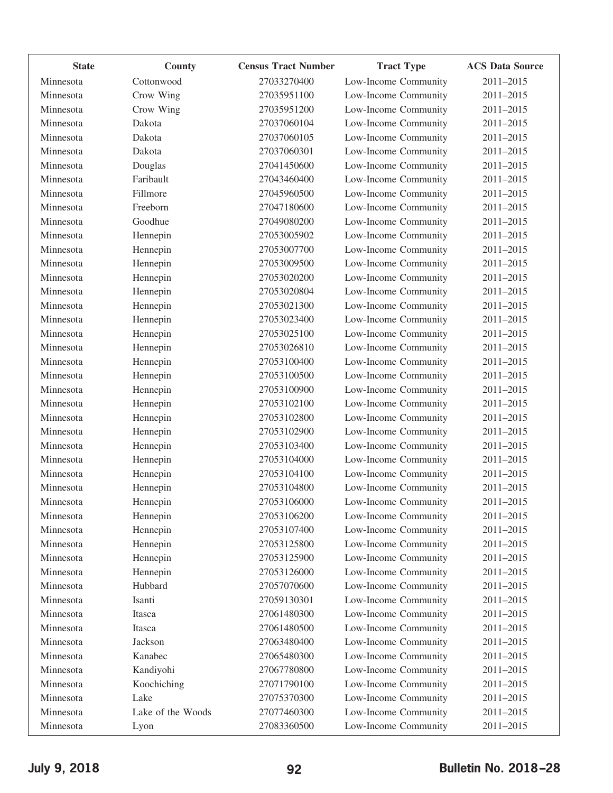| <b>State</b> | County            | <b>Census Tract Number</b> | <b>Tract Type</b>    | <b>ACS Data Source</b> |
|--------------|-------------------|----------------------------|----------------------|------------------------|
| Minnesota    | Cottonwood        | 27033270400                | Low-Income Community | 2011-2015              |
| Minnesota    | Crow Wing         | 27035951100                | Low-Income Community | 2011-2015              |
| Minnesota    | Crow Wing         | 27035951200                | Low-Income Community | 2011-2015              |
| Minnesota    | Dakota            | 27037060104                | Low-Income Community | 2011-2015              |
| Minnesota    | Dakota            | 27037060105                | Low-Income Community | 2011-2015              |
| Minnesota    | Dakota            | 27037060301                | Low-Income Community | 2011-2015              |
| Minnesota    | Douglas           | 27041450600                | Low-Income Community | 2011-2015              |
| Minnesota    | Faribault         | 27043460400                | Low-Income Community | 2011-2015              |
| Minnesota    | Fillmore          | 27045960500                | Low-Income Community | 2011-2015              |
| Minnesota    | Freeborn          | 27047180600                | Low-Income Community | 2011-2015              |
| Minnesota    | Goodhue           | 27049080200                | Low-Income Community | 2011-2015              |
| Minnesota    | Hennepin          | 27053005902                | Low-Income Community | 2011-2015              |
| Minnesota    | Hennepin          | 27053007700                | Low-Income Community | 2011-2015              |
| Minnesota    | Hennepin          | 27053009500                | Low-Income Community | 2011-2015              |
| Minnesota    | Hennepin          | 27053020200                | Low-Income Community | 2011-2015              |
| Minnesota    | Hennepin          | 27053020804                | Low-Income Community | 2011-2015              |
| Minnesota    | Hennepin          | 27053021300                | Low-Income Community | 2011-2015              |
| Minnesota    | Hennepin          | 27053023400                | Low-Income Community | 2011-2015              |
| Minnesota    | Hennepin          | 27053025100                | Low-Income Community | 2011-2015              |
| Minnesota    | Hennepin          | 27053026810                | Low-Income Community | 2011-2015              |
| Minnesota    | Hennepin          | 27053100400                | Low-Income Community | 2011-2015              |
| Minnesota    | Hennepin          | 27053100500                | Low-Income Community | 2011-2015              |
| Minnesota    | Hennepin          | 27053100900                | Low-Income Community | 2011-2015              |
| Minnesota    | Hennepin          | 27053102100                | Low-Income Community | 2011-2015              |
| Minnesota    | Hennepin          | 27053102800                | Low-Income Community | 2011-2015              |
| Minnesota    | Hennepin          | 27053102900                | Low-Income Community | 2011-2015              |
| Minnesota    | Hennepin          | 27053103400                | Low-Income Community | 2011-2015              |
| Minnesota    | Hennepin          | 27053104000                | Low-Income Community | 2011-2015              |
| Minnesota    | Hennepin          | 27053104100                | Low-Income Community | 2011-2015              |
| Minnesota    | Hennepin          | 27053104800                | Low-Income Community | 2011-2015              |
| Minnesota    | Hennepin          | 27053106000                | Low-Income Community | 2011-2015              |
| Minnesota    | Hennepin          | 27053106200                | Low-Income Community | 2011-2015              |
| Minnesota    | Hennepin          | 27053107400                | Low-Income Community | 2011-2015              |
| Minnesota    | Hennepin          | 27053125800                | Low-Income Community | 2011-2015              |
| Minnesota    | Hennepin          | 27053125900                | Low-Income Community | 2011-2015              |
| Minnesota    | Hennepin          | 27053126000                | Low-Income Community | 2011-2015              |
| Minnesota    | Hubbard           | 27057070600                | Low-Income Community | 2011-2015              |
| Minnesota    | Isanti            | 27059130301                | Low-Income Community | 2011-2015              |
| Minnesota    | Itasca            | 27061480300                | Low-Income Community | 2011-2015              |
| Minnesota    | Itasca            | 27061480500                | Low-Income Community | 2011-2015              |
| Minnesota    | Jackson           | 27063480400                | Low-Income Community | 2011-2015              |
| Minnesota    | Kanabec           | 27065480300                | Low-Income Community | 2011-2015              |
| Minnesota    | Kandiyohi         | 27067780800                | Low-Income Community | 2011-2015              |
| Minnesota    | Koochiching       | 27071790100                | Low-Income Community | 2011-2015              |
| Minnesota    | Lake              | 27075370300                | Low-Income Community | 2011-2015              |
| Minnesota    | Lake of the Woods | 27077460300                | Low-Income Community | 2011-2015              |
| Minnesota    | Lyon              | 27083360500                | Low-Income Community | 2011-2015              |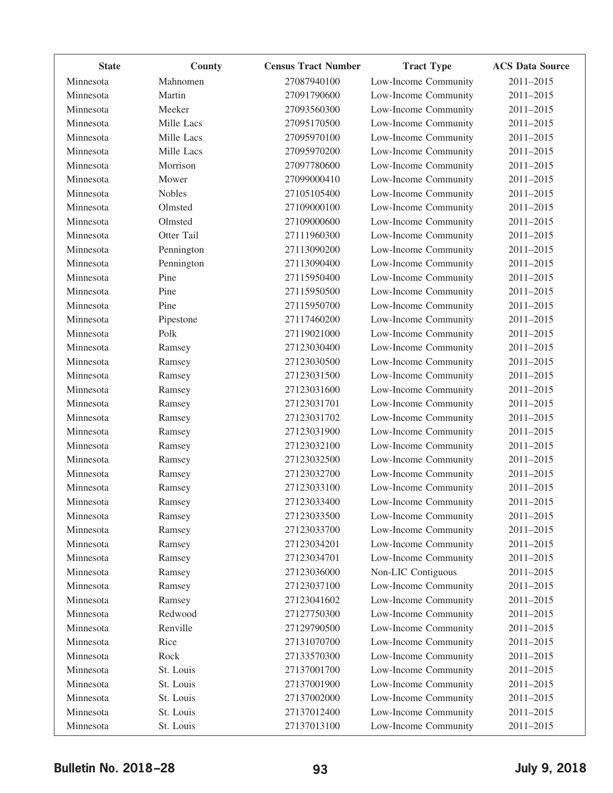| <b>State</b> | County        | <b>Census Tract Number</b> | <b>Tract Type</b>    | <b>ACS Data Source</b> |
|--------------|---------------|----------------------------|----------------------|------------------------|
| Minnesota    | Mahnomen      | 27087940100                | Low-Income Community | 2011-2015              |
| Minnesota    | Martin        | 27091790600                | Low-Income Community | 2011-2015              |
| Minnesota    | Meeker        | 27093560300                | Low-Income Community | 2011-2015              |
| Minnesota    | Mille Lacs    | 27095170500                | Low-Income Community | 2011-2015              |
| Minnesota    | Mille Lacs    | 27095970100                | Low-Income Community | 2011-2015              |
| Minnesota    | Mille Lacs    | 27095970200                | Low-Income Community | 2011-2015              |
| Minnesota    | Morrison      | 27097780600                | Low-Income Community | 2011-2015              |
| Minnesota    | Mower         | 27099000410                | Low-Income Community | 2011-2015              |
| Minnesota    | <b>Nobles</b> | 27105105400                | Low-Income Community | 2011-2015              |
| Minnesota    | Olmsted       | 27109000100                | Low-Income Community | 2011-2015              |
| Minnesota    | Olmsted       | 27109000600                | Low-Income Community | 2011-2015              |
| Minnesota    | Otter Tail    | 27111960300                | Low-Income Community | 2011-2015              |
| Minnesota    | Pennington    | 27113090200                | Low-Income Community | 2011-2015              |
| Minnesota    | Pennington    | 27113090400                | Low-Income Community | 2011-2015              |
| Minnesota    | Pine          | 27115950400                | Low-Income Community | 2011-2015              |
| Minnesota    | Pine          | 27115950500                | Low-Income Community | 2011-2015              |
| Minnesota    | Pine          | 27115950700                | Low-Income Community | 2011-2015              |
| Minnesota    | Pipestone     | 27117460200                | Low-Income Community | 2011-2015              |
| Minnesota    | Polk          | 27119021000                | Low-Income Community | 2011-2015              |
| Minnesota    | Ramsey        | 27123030400                | Low-Income Community | 2011-2015              |
| Minnesota    | Ramsey        | 27123030500                | Low-Income Community | 2011-2015              |
| Minnesota    | Ramsey        | 27123031500                | Low-Income Community | 2011-2015              |
| Minnesota    | Ramsey        | 27123031600                | Low-Income Community | 2011-2015              |
| Minnesota    | Ramsey        | 27123031701                | Low-Income Community | 2011-2015              |
| Minnesota    | Ramsey        | 27123031702                | Low-Income Community | 2011-2015              |
| Minnesota    | Ramsey        | 27123031900                | Low-Income Community | 2011-2015              |
| Minnesota    | Ramsey        | 27123032100                | Low-Income Community | 2011-2015              |
| Minnesota    | Ramsey        | 27123032500                | Low-Income Community | 2011-2015              |
| Minnesota    | Ramsey        | 27123032700                | Low-Income Community | 2011-2015              |
| Minnesota    | Ramsey        | 27123033100                | Low-Income Community | 2011-2015              |
| Minnesota    | Ramsey        | 27123033400                | Low-Income Community | 2011-2015              |
| Minnesota    | Ramsey        | 27123033500                | Low-Income Community | 2011-2015              |
| Minnesota    | Ramsey        | 27123033700                | Low-Income Community | 2011-2015              |
| Minnesota    | Ramsey        | 27123034201                | Low-Income Community | 2011-2015              |
| Minnesota    | Ramsey        | 27123034701                | Low-Income Community | 2011-2015              |
| Minnesota    | Ramsey        | 27123036000                | Non-LIC Contiguous   | 2011-2015              |
| Minnesota    | Ramsey        | 27123037100                | Low-Income Community | 2011-2015              |
| Minnesota    | Ramsey        | 27123041602                | Low-Income Community | 2011-2015              |
| Minnesota    | Redwood       | 27127750300                | Low-Income Community | 2011-2015              |
| Minnesota    | Renville      | 27129790500                | Low-Income Community | 2011-2015              |
| Minnesota    | Rice          | 27131070700                | Low-Income Community | 2011-2015              |
| Minnesota    | Rock          | 27133570300                | Low-Income Community | 2011-2015              |
| Minnesota    | St. Louis     | 27137001700                | Low-Income Community | 2011-2015              |
| Minnesota    | St. Louis     | 27137001900                | Low-Income Community | 2011-2015              |
| Minnesota    | St. Louis     | 27137002000                | Low-Income Community | 2011-2015              |
| Minnesota    | St. Louis     | 27137012400                | Low-Income Community | 2011-2015              |
| Minnesota    | St. Louis     | 27137013100                | Low-Income Community | 2011-2015              |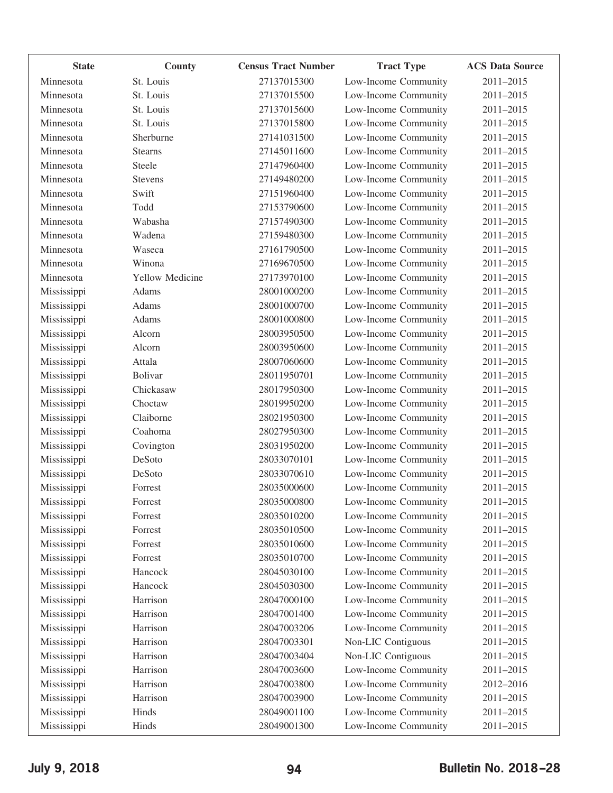| <b>State</b> | County                 | <b>Census Tract Number</b> | <b>Tract Type</b>    | <b>ACS Data Source</b> |
|--------------|------------------------|----------------------------|----------------------|------------------------|
| Minnesota    | St. Louis              | 27137015300                | Low-Income Community | 2011-2015              |
| Minnesota    | St. Louis              | 27137015500                | Low-Income Community | 2011-2015              |
| Minnesota    | St. Louis              | 27137015600                | Low-Income Community | 2011-2015              |
| Minnesota    | St. Louis              | 27137015800                | Low-Income Community | 2011-2015              |
| Minnesota    | Sherburne              | 27141031500                | Low-Income Community | 2011-2015              |
| Minnesota    | <b>Stearns</b>         | 27145011600                | Low-Income Community | 2011-2015              |
| Minnesota    | Steele                 | 27147960400                | Low-Income Community | 2011-2015              |
| Minnesota    | <b>Stevens</b>         | 27149480200                | Low-Income Community | 2011-2015              |
| Minnesota    | Swift                  | 27151960400                | Low-Income Community | 2011-2015              |
| Minnesota    | Todd                   | 27153790600                | Low-Income Community | 2011-2015              |
| Minnesota    | Wabasha                | 27157490300                | Low-Income Community | 2011-2015              |
| Minnesota    | Wadena                 | 27159480300                | Low-Income Community | 2011-2015              |
| Minnesota    | Waseca                 | 27161790500                | Low-Income Community | 2011-2015              |
| Minnesota    | Winona                 | 27169670500                | Low-Income Community | 2011-2015              |
| Minnesota    | <b>Yellow Medicine</b> | 27173970100                | Low-Income Community | 2011-2015              |
| Mississippi  | Adams                  | 28001000200                | Low-Income Community | 2011-2015              |
| Mississippi  | Adams                  | 28001000700                | Low-Income Community | 2011-2015              |
| Mississippi  | Adams                  | 28001000800                | Low-Income Community | 2011-2015              |
| Mississippi  | Alcorn                 | 28003950500                | Low-Income Community | 2011-2015              |
| Mississippi  | Alcorn                 | 28003950600                | Low-Income Community | 2011-2015              |
| Mississippi  | Attala                 | 28007060600                | Low-Income Community | 2011-2015              |
| Mississippi  | <b>Bolivar</b>         | 28011950701                | Low-Income Community | 2011-2015              |
| Mississippi  | Chickasaw              | 28017950300                | Low-Income Community | 2011-2015              |
| Mississippi  | Choctaw                | 28019950200                | Low-Income Community | 2011-2015              |
| Mississippi  | Claiborne              | 28021950300                | Low-Income Community | 2011-2015              |
| Mississippi  | Coahoma                | 28027950300                | Low-Income Community | 2011-2015              |
| Mississippi  | Covington              | 28031950200                | Low-Income Community | 2011-2015              |
| Mississippi  | DeSoto                 | 28033070101                | Low-Income Community | 2011-2015              |
| Mississippi  | DeSoto                 | 28033070610                | Low-Income Community | 2011-2015              |
| Mississippi  | Forrest                | 28035000600                | Low-Income Community | 2011-2015              |
| Mississippi  | Forrest                | 28035000800                | Low-Income Community | 2011-2015              |
| Mississippi  | Forrest                | 28035010200                | Low-Income Community | 2011-2015              |
| Mississippi  | Forrest                | 28035010500                | Low-Income Community | 2011-2015              |
| Mississippi  | Forrest                | 28035010600                | Low-Income Community | 2011-2015              |
| Mississippi  | Forrest                | 28035010700                | Low-Income Community | 2011-2015              |
| Mississippi  | Hancock                | 28045030100                | Low-Income Community | 2011-2015              |
| Mississippi  | Hancock                | 28045030300                | Low-Income Community | 2011-2015              |
| Mississippi  | Harrison               | 28047000100                | Low-Income Community | 2011-2015              |
| Mississippi  | Harrison               | 28047001400                | Low-Income Community | 2011-2015              |
| Mississippi  | Harrison               | 28047003206                | Low-Income Community | 2011-2015              |
| Mississippi  | Harrison               | 28047003301                | Non-LIC Contiguous   | 2011-2015              |
| Mississippi  | Harrison               | 28047003404                | Non-LIC Contiguous   | 2011-2015              |
| Mississippi  | Harrison               | 28047003600                | Low-Income Community | 2011-2015              |
| Mississippi  | Harrison               | 28047003800                | Low-Income Community | 2012-2016              |
| Mississippi  | Harrison               | 28047003900                | Low-Income Community | 2011-2015              |
| Mississippi  | Hinds                  | 28049001100                | Low-Income Community | 2011-2015              |
|              | Hinds                  | 28049001300                | Low-Income Community | 2011-2015              |
| Mississippi  |                        |                            |                      |                        |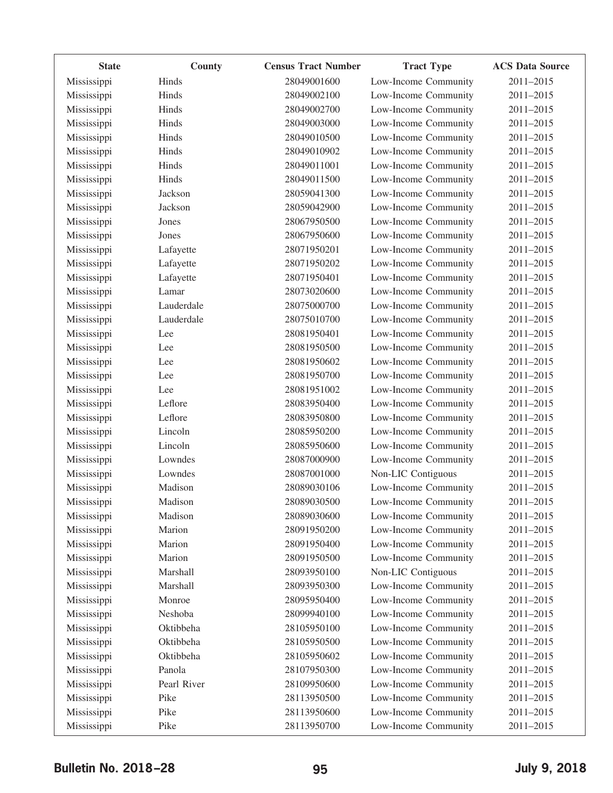| <b>State</b> | County      | <b>Census Tract Number</b> | <b>Tract Type</b>    | <b>ACS Data Source</b> |
|--------------|-------------|----------------------------|----------------------|------------------------|
| Mississippi  | Hinds       | 28049001600                | Low-Income Community | 2011-2015              |
| Mississippi  | Hinds       | 28049002100                | Low-Income Community | 2011-2015              |
| Mississippi  | Hinds       | 28049002700                | Low-Income Community | 2011-2015              |
| Mississippi  | Hinds       | 28049003000                | Low-Income Community | 2011-2015              |
| Mississippi  | Hinds       | 28049010500                | Low-Income Community | 2011-2015              |
| Mississippi  | Hinds       | 28049010902                | Low-Income Community | 2011-2015              |
| Mississippi  | Hinds       | 28049011001                | Low-Income Community | 2011-2015              |
| Mississippi  | Hinds       | 28049011500                | Low-Income Community | 2011-2015              |
| Mississippi  | Jackson     | 28059041300                | Low-Income Community | 2011-2015              |
| Mississippi  | Jackson     | 28059042900                | Low-Income Community | 2011-2015              |
| Mississippi  | Jones       | 28067950500                | Low-Income Community | 2011-2015              |
| Mississippi  | Jones       | 28067950600                | Low-Income Community | 2011-2015              |
| Mississippi  | Lafayette   | 28071950201                | Low-Income Community | 2011-2015              |
| Mississippi  | Lafayette   | 28071950202                | Low-Income Community | 2011-2015              |
| Mississippi  | Lafayette   | 28071950401                | Low-Income Community | 2011-2015              |
| Mississippi  | Lamar       | 28073020600                | Low-Income Community | 2011-2015              |
| Mississippi  | Lauderdale  | 28075000700                | Low-Income Community | 2011-2015              |
| Mississippi  | Lauderdale  | 28075010700                | Low-Income Community | 2011-2015              |
| Mississippi  | Lee         | 28081950401                | Low-Income Community | 2011-2015              |
| Mississippi  | Lee         | 28081950500                | Low-Income Community | 2011-2015              |
| Mississippi  | Lee         | 28081950602                | Low-Income Community | 2011-2015              |
| Mississippi  | Lee         | 28081950700                | Low-Income Community | 2011-2015              |
| Mississippi  | Lee         | 28081951002                | Low-Income Community | 2011-2015              |
| Mississippi  | Leflore     | 28083950400                | Low-Income Community | 2011-2015              |
| Mississippi  | Leflore     | 28083950800                | Low-Income Community | 2011-2015              |
| Mississippi  | Lincoln     | 28085950200                | Low-Income Community | 2011-2015              |
| Mississippi  | Lincoln     | 28085950600                | Low-Income Community | 2011-2015              |
| Mississippi  | Lowndes     | 28087000900                | Low-Income Community | 2011-2015              |
| Mississippi  | Lowndes     | 28087001000                | Non-LIC Contiguous   | 2011-2015              |
| Mississippi  | Madison     | 28089030106                | Low-Income Community | 2011-2015              |
| Mississippi  | Madison     | 28089030500                | Low-Income Community | 2011-2015              |
| Mississippi  | Madison     | 28089030600                | Low-Income Community | 2011-2015              |
| Mississippi  | Marion      | 28091950200                | Low-Income Community | 2011-2015              |
| Mississippi  | Marion      | 28091950400                | Low-Income Community | 2011-2015              |
| Mississippi  | Marion      | 28091950500                | Low-Income Community | 2011-2015              |
| Mississippi  | Marshall    | 28093950100                | Non-LIC Contiguous   | 2011-2015              |
| Mississippi  | Marshall    | 28093950300                | Low-Income Community | 2011-2015              |
| Mississippi  | Monroe      | 28095950400                | Low-Income Community | 2011-2015              |
| Mississippi  | Neshoba     | 28099940100                | Low-Income Community | 2011-2015              |
| Mississippi  | Oktibbeha   | 28105950100                | Low-Income Community | 2011-2015              |
| Mississippi  | Oktibbeha   | 28105950500                | Low-Income Community | 2011-2015              |
| Mississippi  | Oktibbeha   | 28105950602                | Low-Income Community | 2011-2015              |
| Mississippi  | Panola      | 28107950300                | Low-Income Community | 2011-2015              |
| Mississippi  | Pearl River | 28109950600                | Low-Income Community | 2011-2015              |
| Mississippi  | Pike        | 28113950500                | Low-Income Community | 2011-2015              |
| Mississippi  | Pike        | 28113950600                | Low-Income Community | 2011-2015              |
| Mississippi  | Pike        | 28113950700                | Low-Income Community | 2011-2015              |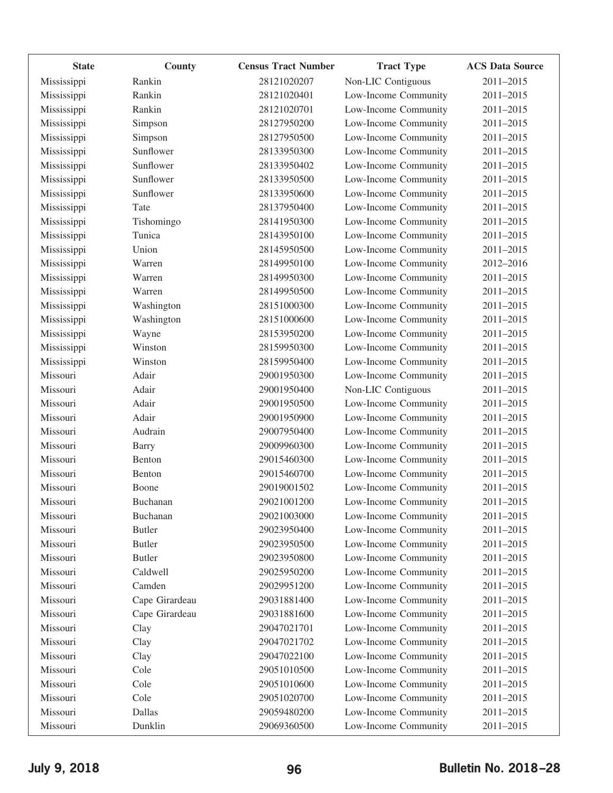| <b>State</b> | County         | <b>Census Tract Number</b> | <b>Tract Type</b>    | <b>ACS Data Source</b> |
|--------------|----------------|----------------------------|----------------------|------------------------|
| Mississippi  | Rankin         | 28121020207                | Non-LIC Contiguous   | 2011-2015              |
| Mississippi  | Rankin         | 28121020401                | Low-Income Community | 2011-2015              |
| Mississippi  | Rankin         | 28121020701                | Low-Income Community | 2011-2015              |
| Mississippi  | Simpson        | 28127950200                | Low-Income Community | 2011-2015              |
| Mississippi  | Simpson        | 28127950500                | Low-Income Community | 2011-2015              |
| Mississippi  | Sunflower      | 28133950300                | Low-Income Community | 2011-2015              |
| Mississippi  | Sunflower      | 28133950402                | Low-Income Community | 2011-2015              |
| Mississippi  | Sunflower      | 28133950500                | Low-Income Community | 2011-2015              |
| Mississippi  | Sunflower      | 28133950600                | Low-Income Community | 2011-2015              |
| Mississippi  | Tate           | 28137950400                | Low-Income Community | 2011-2015              |
| Mississippi  | Tishomingo     | 28141950300                | Low-Income Community | 2011-2015              |
| Mississippi  | Tunica         | 28143950100                | Low-Income Community | 2011-2015              |
| Mississippi  | Union          | 28145950500                | Low-Income Community | 2011-2015              |
| Mississippi  | Warren         | 28149950100                | Low-Income Community | 2012-2016              |
| Mississippi  | Warren         | 28149950300                | Low-Income Community | 2011-2015              |
| Mississippi  | Warren         | 28149950500                | Low-Income Community | 2011-2015              |
| Mississippi  | Washington     | 28151000300                | Low-Income Community | 2011-2015              |
| Mississippi  | Washington     | 28151000600                | Low-Income Community | 2011-2015              |
| Mississippi  | Wayne          | 28153950200                | Low-Income Community | 2011-2015              |
| Mississippi  | Winston        | 28159950300                | Low-Income Community | 2011-2015              |
| Mississippi  | Winston        | 28159950400                | Low-Income Community | 2011-2015              |
| Missouri     | Adair          | 29001950300                | Low-Income Community | 2011-2015              |
| Missouri     | Adair          | 29001950400                | Non-LIC Contiguous   | 2011-2015              |
| Missouri     | Adair          | 29001950500                | Low-Income Community | 2011-2015              |
| Missouri     | Adair          | 29001950900                | Low-Income Community | 2011-2015              |
| Missouri     | Audrain        | 29007950400                | Low-Income Community | 2011-2015              |
| Missouri     | <b>Barry</b>   | 29009960300                | Low-Income Community | 2011-2015              |
| Missouri     | Benton         | 29015460300                | Low-Income Community | 2011-2015              |
| Missouri     | Benton         | 29015460700                | Low-Income Community | 2011-2015              |
| Missouri     | Boone          | 29019001502                | Low-Income Community | 2011-2015              |
| Missouri     | Buchanan       | 29021001200                | Low-Income Community | 2011-2015              |
| Missouri     | Buchanan       | 29021003000                | Low-Income Community | 2011-2015              |
| Missouri     | <b>Butler</b>  | 29023950400                | Low-Income Community | 2011-2015              |
| Missouri     | <b>Butler</b>  | 29023950500                | Low-Income Community | 2011-2015              |
| Missouri     | <b>Butler</b>  | 29023950800                | Low-Income Community | 2011-2015              |
| Missouri     | Caldwell       | 29025950200                | Low-Income Community | 2011-2015              |
| Missouri     | Camden         | 29029951200                | Low-Income Community | 2011-2015              |
| Missouri     | Cape Girardeau | 29031881400                | Low-Income Community | 2011-2015              |
| Missouri     | Cape Girardeau | 29031881600                | Low-Income Community | 2011-2015              |
| Missouri     | Clay           | 29047021701                | Low-Income Community | 2011-2015              |
| Missouri     | Clay           | 29047021702                | Low-Income Community | 2011-2015              |
| Missouri     | Clay           | 29047022100                | Low-Income Community | 2011-2015              |
| Missouri     | Cole           | 29051010500                | Low-Income Community | 2011-2015              |
| Missouri     | Cole           | 29051010600                | Low-Income Community | 2011-2015              |
| Missouri     | Cole           | 29051020700                | Low-Income Community | 2011-2015              |
| Missouri     | Dallas         | 29059480200                | Low-Income Community | 2011-2015              |
| Missouri     | Dunklin        | 29069360500                | Low-Income Community | 2011-2015              |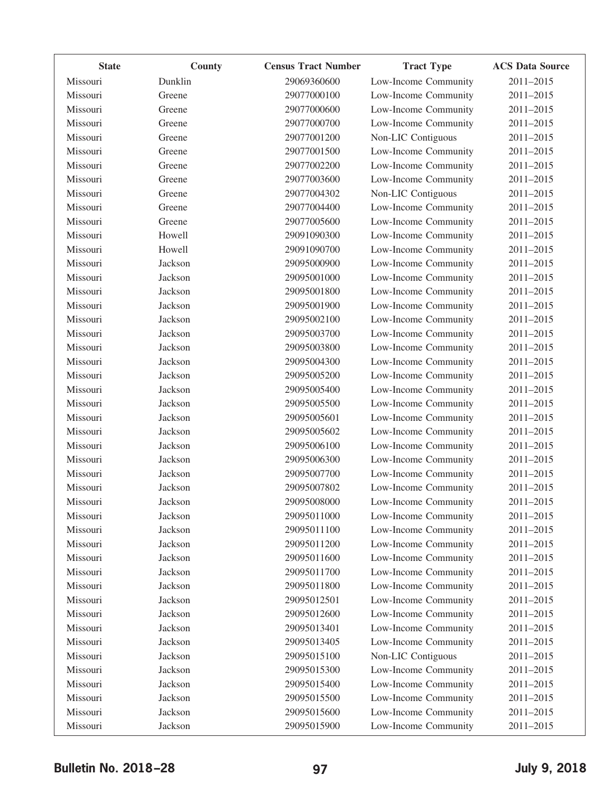| <b>State</b> | County  | <b>Census Tract Number</b> | <b>Tract Type</b>    | <b>ACS Data Source</b> |
|--------------|---------|----------------------------|----------------------|------------------------|
| Missouri     | Dunklin | 29069360600                | Low-Income Community | 2011-2015              |
| Missouri     | Greene  | 29077000100                | Low-Income Community | 2011-2015              |
| Missouri     | Greene  | 29077000600                | Low-Income Community | 2011-2015              |
| Missouri     | Greene  | 29077000700                | Low-Income Community | 2011-2015              |
| Missouri     | Greene  | 29077001200                | Non-LIC Contiguous   | 2011-2015              |
| Missouri     | Greene  | 29077001500                | Low-Income Community | 2011-2015              |
| Missouri     | Greene  | 29077002200                | Low-Income Community | 2011-2015              |
| Missouri     | Greene  | 29077003600                | Low-Income Community | 2011-2015              |
| Missouri     | Greene  | 29077004302                | Non-LIC Contiguous   | 2011-2015              |
| Missouri     | Greene  | 29077004400                | Low-Income Community | 2011-2015              |
| Missouri     | Greene  | 29077005600                | Low-Income Community | 2011-2015              |
| Missouri     | Howell  | 29091090300                | Low-Income Community | 2011-2015              |
| Missouri     | Howell  | 29091090700                | Low-Income Community | 2011-2015              |
| Missouri     | Jackson | 29095000900                | Low-Income Community | 2011-2015              |
| Missouri     | Jackson | 29095001000                | Low-Income Community | 2011-2015              |
| Missouri     | Jackson | 29095001800                | Low-Income Community | 2011-2015              |
| Missouri     | Jackson | 29095001900                | Low-Income Community | 2011-2015              |
| Missouri     | Jackson | 29095002100                | Low-Income Community | 2011-2015              |
| Missouri     | Jackson | 29095003700                | Low-Income Community | 2011-2015              |
| Missouri     | Jackson | 29095003800                | Low-Income Community | 2011-2015              |
| Missouri     | Jackson | 29095004300                | Low-Income Community | 2011-2015              |
| Missouri     | Jackson | 29095005200                | Low-Income Community | 2011-2015              |
| Missouri     | Jackson | 29095005400                | Low-Income Community | 2011-2015              |
| Missouri     | Jackson | 29095005500                | Low-Income Community | 2011-2015              |
| Missouri     | Jackson | 29095005601                | Low-Income Community | 2011-2015              |
| Missouri     | Jackson | 29095005602                | Low-Income Community | 2011-2015              |
| Missouri     | Jackson | 29095006100                | Low-Income Community | 2011-2015              |
| Missouri     | Jackson | 29095006300                | Low-Income Community | 2011-2015              |
| Missouri     | Jackson | 29095007700                | Low-Income Community | 2011-2015              |
| Missouri     | Jackson | 29095007802                | Low-Income Community | 2011-2015              |
| Missouri     | Jackson | 29095008000                | Low-Income Community | 2011-2015              |
| Missouri     | Jackson | 29095011000                | Low-Income Community | 2011-2015              |
| Missouri     | Jackson | 29095011100                | Low-Income Community | 2011-2015              |
| Missouri     | Jackson | 29095011200                | Low-Income Community | 2011-2015              |
| Missouri     | Jackson | 29095011600                | Low-Income Community | 2011-2015              |
| Missouri     | Jackson | 29095011700                | Low-Income Community | 2011-2015              |
| Missouri     | Jackson | 29095011800                | Low-Income Community | 2011-2015              |
| Missouri     | Jackson | 29095012501                | Low-Income Community | 2011-2015              |
| Missouri     | Jackson | 29095012600                | Low-Income Community | 2011-2015              |
| Missouri     | Jackson | 29095013401                | Low-Income Community | 2011-2015              |
| Missouri     | Jackson | 29095013405                | Low-Income Community | 2011-2015              |
| Missouri     | Jackson | 29095015100                | Non-LIC Contiguous   | 2011-2015              |
| Missouri     | Jackson | 29095015300                | Low-Income Community | 2011-2015              |
| Missouri     | Jackson | 29095015400                | Low-Income Community | 2011-2015              |
| Missouri     | Jackson | 29095015500                | Low-Income Community | 2011-2015              |
| Missouri     | Jackson | 29095015600                | Low-Income Community | 2011-2015              |
| Missouri     | Jackson | 29095015900                | Low-Income Community | 2011-2015              |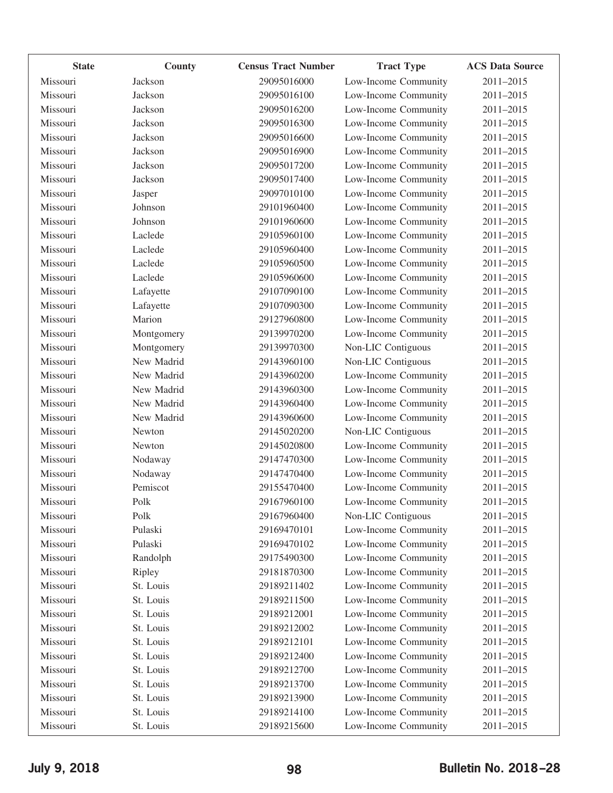| <b>State</b> | County     | <b>Census Tract Number</b> | <b>Tract Type</b>    | <b>ACS Data Source</b> |
|--------------|------------|----------------------------|----------------------|------------------------|
| Missouri     | Jackson    | 29095016000                | Low-Income Community | 2011-2015              |
| Missouri     | Jackson    | 29095016100                | Low-Income Community | 2011-2015              |
| Missouri     | Jackson    | 29095016200                | Low-Income Community | 2011-2015              |
| Missouri     | Jackson    | 29095016300                | Low-Income Community | 2011-2015              |
| Missouri     | Jackson    | 29095016600                | Low-Income Community | 2011-2015              |
| Missouri     | Jackson    | 29095016900                | Low-Income Community | 2011-2015              |
| Missouri     | Jackson    | 29095017200                | Low-Income Community | 2011-2015              |
| Missouri     | Jackson    | 29095017400                | Low-Income Community | 2011-2015              |
| Missouri     | Jasper     | 29097010100                | Low-Income Community | 2011-2015              |
| Missouri     | Johnson    | 29101960400                | Low-Income Community | 2011-2015              |
| Missouri     | Johnson    | 29101960600                | Low-Income Community | 2011-2015              |
| Missouri     | Laclede    | 29105960100                | Low-Income Community | 2011-2015              |
| Missouri     | Laclede    | 29105960400                | Low-Income Community | 2011-2015              |
| Missouri     | Laclede    | 29105960500                | Low-Income Community | 2011-2015              |
| Missouri     | Laclede    | 29105960600                | Low-Income Community | 2011-2015              |
| Missouri     | Lafayette  | 29107090100                | Low-Income Community | 2011-2015              |
| Missouri     | Lafayette  | 29107090300                | Low-Income Community | 2011-2015              |
| Missouri     | Marion     | 29127960800                | Low-Income Community | 2011-2015              |
| Missouri     | Montgomery | 29139970200                | Low-Income Community | 2011-2015              |
| Missouri     | Montgomery | 29139970300                | Non-LIC Contiguous   | 2011-2015              |
| Missouri     | New Madrid | 29143960100                | Non-LIC Contiguous   | 2011-2015              |
| Missouri     | New Madrid | 29143960200                | Low-Income Community | 2011-2015              |
| Missouri     | New Madrid | 29143960300                | Low-Income Community | 2011-2015              |
| Missouri     | New Madrid | 29143960400                | Low-Income Community | 2011-2015              |
| Missouri     | New Madrid | 29143960600                | Low-Income Community | 2011-2015              |
| Missouri     | Newton     | 29145020200                | Non-LIC Contiguous   | 2011-2015              |
| Missouri     | Newton     | 29145020800                | Low-Income Community | 2011-2015              |
| Missouri     | Nodaway    | 29147470300                | Low-Income Community | 2011-2015              |
| Missouri     | Nodaway    | 29147470400                | Low-Income Community | 2011-2015              |
| Missouri     | Pemiscot   | 29155470400                | Low-Income Community | 2011-2015              |
| Missouri     | Polk       | 29167960100                | Low-Income Community | 2011-2015              |
| Missouri     | Polk       | 29167960400                | Non-LIC Contiguous   | 2011-2015              |
| Missouri     | Pulaski    | 29169470101                | Low-Income Community | 2011-2015              |
| Missouri     | Pulaski    | 29169470102                | Low-Income Community | 2011-2015              |
| Missouri     | Randolph   | 29175490300                | Low-Income Community | 2011-2015              |
| Missouri     | Ripley     | 29181870300                | Low-Income Community | 2011-2015              |
| Missouri     | St. Louis  | 29189211402                | Low-Income Community | 2011-2015              |
| Missouri     | St. Louis  | 29189211500                | Low-Income Community | 2011-2015              |
| Missouri     | St. Louis  | 29189212001                | Low-Income Community | 2011-2015              |
| Missouri     | St. Louis  | 29189212002                | Low-Income Community | 2011-2015              |
| Missouri     | St. Louis  | 29189212101                | Low-Income Community | 2011-2015              |
| Missouri     | St. Louis  | 29189212400                | Low-Income Community | 2011-2015              |
| Missouri     | St. Louis  | 29189212700                | Low-Income Community | 2011-2015              |
| Missouri     | St. Louis  | 29189213700                | Low-Income Community | 2011-2015              |
| Missouri     | St. Louis  | 29189213900                | Low-Income Community | 2011-2015              |
| Missouri     | St. Louis  | 29189214100                | Low-Income Community | 2011-2015              |
| Missouri     | St. Louis  | 29189215600                | Low-Income Community | 2011-2015              |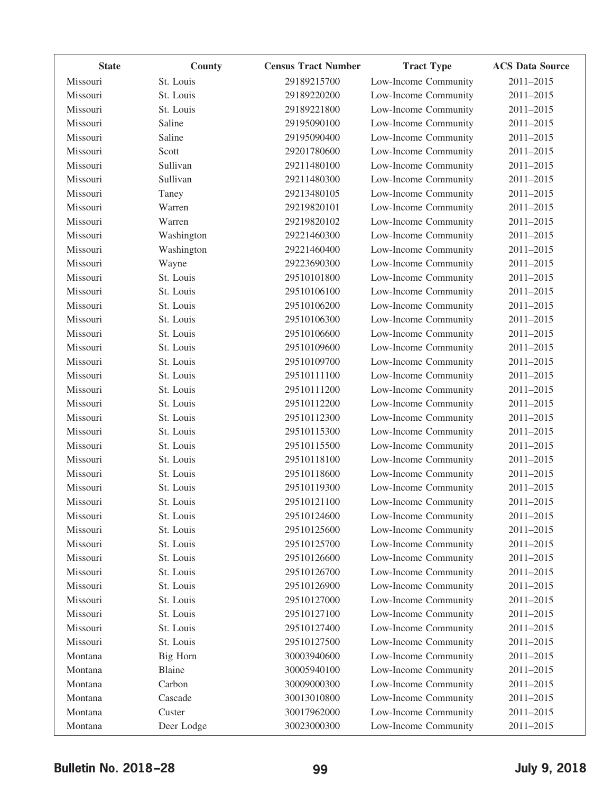| <b>State</b> | County     | <b>Census Tract Number</b> | <b>Tract Type</b>    | <b>ACS Data Source</b> |
|--------------|------------|----------------------------|----------------------|------------------------|
| Missouri     | St. Louis  | 29189215700                | Low-Income Community | 2011-2015              |
| Missouri     | St. Louis  | 29189220200                | Low-Income Community | 2011-2015              |
| Missouri     | St. Louis  | 29189221800                | Low-Income Community | 2011-2015              |
| Missouri     | Saline     | 29195090100                | Low-Income Community | 2011-2015              |
| Missouri     | Saline     | 29195090400                | Low-Income Community | 2011-2015              |
| Missouri     | Scott      | 29201780600                | Low-Income Community | 2011-2015              |
| Missouri     | Sullivan   | 29211480100                | Low-Income Community | 2011-2015              |
| Missouri     | Sullivan   | 29211480300                | Low-Income Community | 2011-2015              |
| Missouri     | Taney      | 29213480105                | Low-Income Community | 2011-2015              |
| Missouri     | Warren     | 29219820101                | Low-Income Community | 2011-2015              |
| Missouri     | Warren     | 29219820102                | Low-Income Community | 2011-2015              |
| Missouri     | Washington | 29221460300                | Low-Income Community | 2011-2015              |
| Missouri     | Washington | 29221460400                | Low-Income Community | 2011-2015              |
| Missouri     | Wayne      | 29223690300                | Low-Income Community | 2011-2015              |
| Missouri     | St. Louis  | 29510101800                | Low-Income Community | 2011-2015              |
| Missouri     | St. Louis  | 29510106100                | Low-Income Community | 2011-2015              |
| Missouri     | St. Louis  | 29510106200                | Low-Income Community | 2011-2015              |
| Missouri     | St. Louis  | 29510106300                | Low-Income Community | 2011-2015              |
| Missouri     | St. Louis  | 29510106600                | Low-Income Community | 2011-2015              |
| Missouri     | St. Louis  | 29510109600                | Low-Income Community | 2011-2015              |
| Missouri     | St. Louis  | 29510109700                | Low-Income Community | 2011-2015              |
| Missouri     | St. Louis  | 29510111100                | Low-Income Community | 2011-2015              |
| Missouri     | St. Louis  | 29510111200                | Low-Income Community | 2011-2015              |
| Missouri     | St. Louis  | 29510112200                | Low-Income Community | 2011-2015              |
| Missouri     | St. Louis  | 29510112300                | Low-Income Community | 2011-2015              |
| Missouri     | St. Louis  | 29510115300                | Low-Income Community | 2011-2015              |
| Missouri     | St. Louis  | 29510115500                | Low-Income Community | 2011-2015              |
| Missouri     | St. Louis  | 29510118100                | Low-Income Community | 2011-2015              |
| Missouri     | St. Louis  | 29510118600                | Low-Income Community | 2011-2015              |
| Missouri     | St. Louis  | 29510119300                | Low-Income Community | 2011-2015              |
| Missouri     | St. Louis  | 29510121100                | Low-Income Community | 2011-2015              |
| Missouri     | St. Louis  | 29510124600                | Low-Income Community | 2011-2015              |
| Missouri     | St. Louis  | 29510125600                | Low-Income Community | 2011-2015              |
| Missouri     | St. Louis  | 29510125700                | Low-Income Community | 2011-2015              |
| Missouri     | St. Louis  | 29510126600                | Low-Income Community | 2011-2015              |
| Missouri     | St. Louis  | 29510126700                | Low-Income Community | 2011-2015              |
| Missouri     | St. Louis  | 29510126900                | Low-Income Community | 2011-2015              |
| Missouri     | St. Louis  | 29510127000                | Low-Income Community | 2011-2015              |
| Missouri     | St. Louis  | 29510127100                | Low-Income Community | 2011-2015              |
| Missouri     | St. Louis  | 29510127400                | Low-Income Community | 2011-2015              |
| Missouri     | St. Louis  | 29510127500                | Low-Income Community | 2011-2015              |
| Montana      | Big Horn   | 30003940600                | Low-Income Community | 2011-2015              |
| Montana      | Blaine     | 30005940100                | Low-Income Community | 2011-2015              |
| Montana      | Carbon     | 30009000300                | Low-Income Community | 2011-2015              |
| Montana      | Cascade    | 30013010800                | Low-Income Community | 2011-2015              |
| Montana      | Custer     | 30017962000                | Low-Income Community | 2011-2015              |
| Montana      | Deer Lodge | 30023000300                | Low-Income Community | 2011-2015              |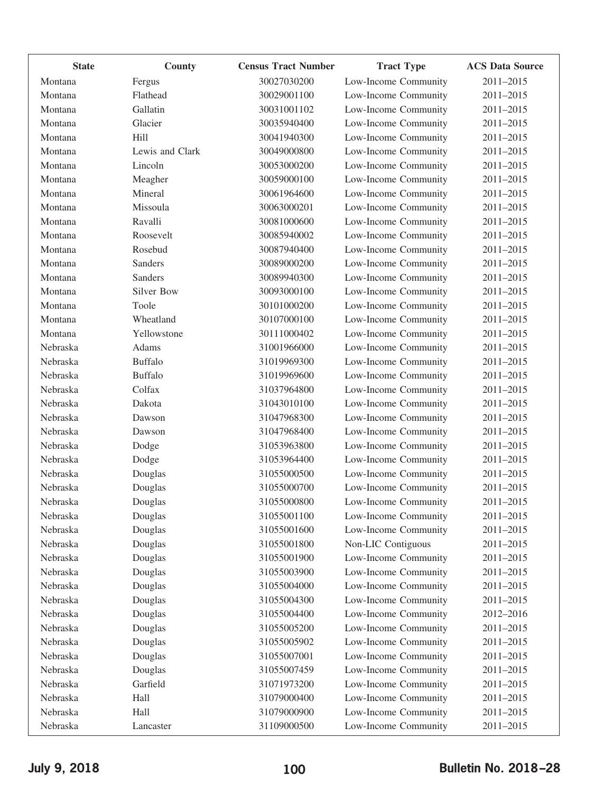| <b>State</b> | County            | <b>Census Tract Number</b> | <b>Tract Type</b>    | <b>ACS Data Source</b> |
|--------------|-------------------|----------------------------|----------------------|------------------------|
| Montana      | Fergus            | 30027030200                | Low-Income Community | 2011-2015              |
| Montana      | Flathead          | 30029001100                | Low-Income Community | 2011-2015              |
| Montana      | Gallatin          | 30031001102                | Low-Income Community | 2011-2015              |
| Montana      | Glacier           | 30035940400                | Low-Income Community | 2011-2015              |
| Montana      | Hill              | 30041940300                | Low-Income Community | 2011-2015              |
| Montana      | Lewis and Clark   | 30049000800                | Low-Income Community | 2011-2015              |
| Montana      | Lincoln           | 30053000200                | Low-Income Community | 2011-2015              |
| Montana      | Meagher           | 30059000100                | Low-Income Community | 2011-2015              |
| Montana      | Mineral           | 30061964600                | Low-Income Community | 2011-2015              |
| Montana      | Missoula          | 30063000201                | Low-Income Community | 2011-2015              |
| Montana      | Ravalli           | 30081000600                | Low-Income Community | 2011-2015              |
| Montana      | Roosevelt         | 30085940002                | Low-Income Community | 2011-2015              |
| Montana      | Rosebud           | 30087940400                | Low-Income Community | 2011-2015              |
| Montana      | <b>Sanders</b>    | 30089000200                | Low-Income Community | 2011-2015              |
| Montana      | <b>Sanders</b>    | 30089940300                | Low-Income Community | 2011-2015              |
| Montana      | <b>Silver Bow</b> | 30093000100                | Low-Income Community | 2011-2015              |
| Montana      | Toole             | 30101000200                | Low-Income Community | 2011-2015              |
| Montana      | Wheatland         | 30107000100                | Low-Income Community | 2011-2015              |
| Montana      | Yellowstone       | 30111000402                | Low-Income Community | 2011-2015              |
| Nebraska     | Adams             | 31001966000                | Low-Income Community | 2011-2015              |
| Nebraska     | <b>Buffalo</b>    | 31019969300                | Low-Income Community | 2011-2015              |
| Nebraska     | <b>Buffalo</b>    | 31019969600                | Low-Income Community | 2011-2015              |
| Nebraska     | Colfax            | 31037964800                | Low-Income Community | 2011-2015              |
| Nebraska     | Dakota            | 31043010100                | Low-Income Community | 2011-2015              |
| Nebraska     | Dawson            | 31047968300                | Low-Income Community | 2011-2015              |
| Nebraska     | Dawson            | 31047968400                | Low-Income Community | 2011-2015              |
| Nebraska     | Dodge             | 31053963800                | Low-Income Community | 2011-2015              |
| Nebraska     | Dodge             | 31053964400                | Low-Income Community | 2011-2015              |
| Nebraska     | Douglas           | 31055000500                | Low-Income Community | 2011-2015              |
| Nebraska     | Douglas           | 31055000700                | Low-Income Community | 2011-2015              |
| Nebraska     | Douglas           | 31055000800                | Low-Income Community | 2011-2015              |
| Nebraska     | Douglas           | 31055001100                | Low-Income Community | 2011-2015              |
| Nebraska     | Douglas           | 31055001600                | Low-Income Community | 2011-2015              |
| Nebraska     | Douglas           | 31055001800                | Non-LIC Contiguous   | 2011-2015              |
| Nebraska     | Douglas           | 31055001900                | Low-Income Community | 2011-2015              |
| Nebraska     | Douglas           | 31055003900                | Low-Income Community | 2011-2015              |
| Nebraska     | Douglas           | 31055004000                | Low-Income Community | 2011-2015              |
| Nebraska     | Douglas           | 31055004300                | Low-Income Community | 2011-2015              |
| Nebraska     | Douglas           | 31055004400                | Low-Income Community | 2012-2016              |
| Nebraska     | Douglas           | 31055005200                | Low-Income Community | 2011-2015              |
| Nebraska     | Douglas           | 31055005902                | Low-Income Community | 2011-2015              |
| Nebraska     | Douglas           | 31055007001                | Low-Income Community | 2011-2015              |
| Nebraska     | Douglas           | 31055007459                | Low-Income Community | 2011-2015              |
| Nebraska     | Garfield          | 31071973200                | Low-Income Community | 2011-2015              |
| Nebraska     | Hall              | 31079000400                | Low-Income Community | 2011-2015              |
| Nebraska     | Hall              | 31079000900                | Low-Income Community | 2011-2015              |
| Nebraska     | Lancaster         | 31109000500                | Low-Income Community | 2011-2015              |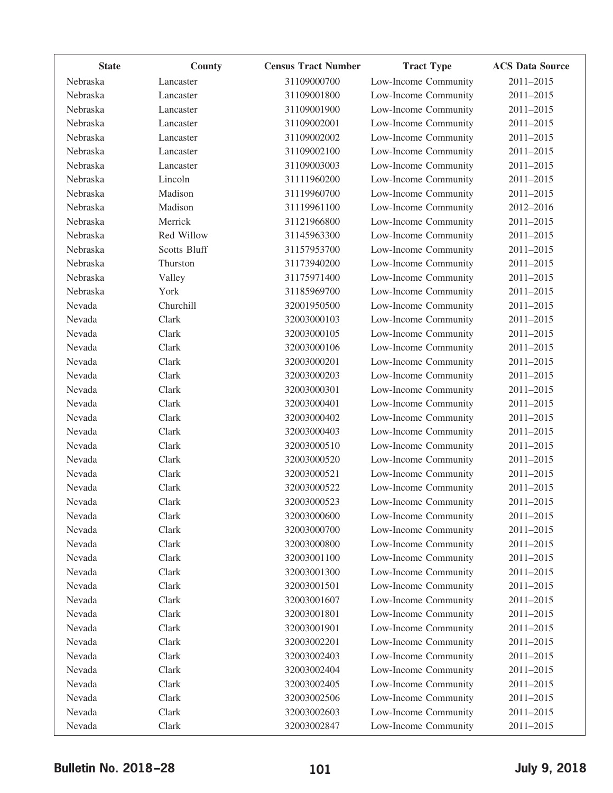| <b>State</b> | County              | <b>Census Tract Number</b> | <b>Tract Type</b>    | <b>ACS Data Source</b> |
|--------------|---------------------|----------------------------|----------------------|------------------------|
| Nebraska     | Lancaster           | 31109000700                | Low-Income Community | 2011-2015              |
| Nebraska     | Lancaster           | 31109001800                | Low-Income Community | 2011-2015              |
| Nebraska     | Lancaster           | 31109001900                | Low-Income Community | 2011-2015              |
| Nebraska     | Lancaster           | 31109002001                | Low-Income Community | 2011-2015              |
| Nebraska     | Lancaster           | 31109002002                | Low-Income Community | 2011-2015              |
| Nebraska     | Lancaster           | 31109002100                | Low-Income Community | 2011-2015              |
| Nebraska     | Lancaster           | 31109003003                | Low-Income Community | 2011-2015              |
| Nebraska     | Lincoln             | 31111960200                | Low-Income Community | 2011-2015              |
| Nebraska     | Madison             | 31119960700                | Low-Income Community | 2011-2015              |
| Nebraska     | Madison             | 31119961100                | Low-Income Community | 2012-2016              |
| Nebraska     | Merrick             | 31121966800                | Low-Income Community | 2011-2015              |
| Nebraska     | Red Willow          | 31145963300                | Low-Income Community | 2011-2015              |
| Nebraska     | <b>Scotts Bluff</b> | 31157953700                | Low-Income Community | 2011-2015              |
| Nebraska     | Thurston            | 31173940200                | Low-Income Community | 2011-2015              |
| Nebraska     | Valley              | 31175971400                | Low-Income Community | 2011-2015              |
| Nebraska     | York                | 31185969700                | Low-Income Community | 2011-2015              |
| Nevada       | Churchill           | 32001950500                | Low-Income Community | 2011-2015              |
| Nevada       | Clark               | 32003000103                | Low-Income Community | 2011-2015              |
| Nevada       | Clark               | 32003000105                | Low-Income Community | 2011-2015              |
| Nevada       | Clark               | 32003000106                | Low-Income Community | 2011-2015              |
| Nevada       | Clark               | 32003000201                | Low-Income Community | 2011-2015              |
| Nevada       | Clark               | 32003000203                | Low-Income Community | 2011-2015              |
| Nevada       | Clark               | 32003000301                | Low-Income Community | 2011-2015              |
| Nevada       | Clark               | 32003000401                | Low-Income Community | 2011-2015              |
| Nevada       | Clark               | 32003000402                | Low-Income Community | 2011-2015              |
| Nevada       | Clark               | 32003000403                | Low-Income Community | 2011-2015              |
| Nevada       | Clark               | 32003000510                | Low-Income Community | 2011-2015              |
| Nevada       | Clark               | 32003000520                | Low-Income Community | 2011-2015              |
| Nevada       | Clark               | 32003000521                | Low-Income Community | 2011-2015              |
| Nevada       | Clark               | 32003000522                | Low-Income Community | 2011-2015              |
| Nevada       | Clark               | 32003000523                | Low-Income Community | 2011-2015              |
| Nevada       | Clark               | 32003000600                | Low-Income Community | 2011-2015              |
| Nevada       | Clark               | 32003000700                | Low-Income Community | 2011-2015              |
| Nevada       | Clark               | 32003000800                | Low-Income Community | 2011-2015              |
| Nevada       | Clark               | 32003001100                | Low-Income Community | 2011-2015              |
| Nevada       | Clark               | 32003001300                | Low-Income Community | 2011-2015              |
| Nevada       | Clark               | 32003001501                | Low-Income Community | 2011-2015              |
| Nevada       | Clark               | 32003001607                | Low-Income Community | 2011-2015              |
| Nevada       | Clark               | 32003001801                | Low-Income Community | 2011-2015              |
| Nevada       | Clark               | 32003001901                | Low-Income Community | 2011-2015              |
| Nevada       | Clark               | 32003002201                | Low-Income Community | 2011-2015              |
| Nevada       | Clark               | 32003002403                | Low-Income Community | 2011-2015              |
| Nevada       | Clark               | 32003002404                | Low-Income Community | 2011-2015              |
| Nevada       | Clark               | 32003002405                | Low-Income Community | 2011-2015              |
| Nevada       | Clark               | 32003002506                | Low-Income Community | 2011-2015              |
| Nevada       | Clark               | 32003002603                | Low-Income Community | 2011-2015              |
| Nevada       | Clark               | 32003002847                | Low-Income Community | 2011-2015              |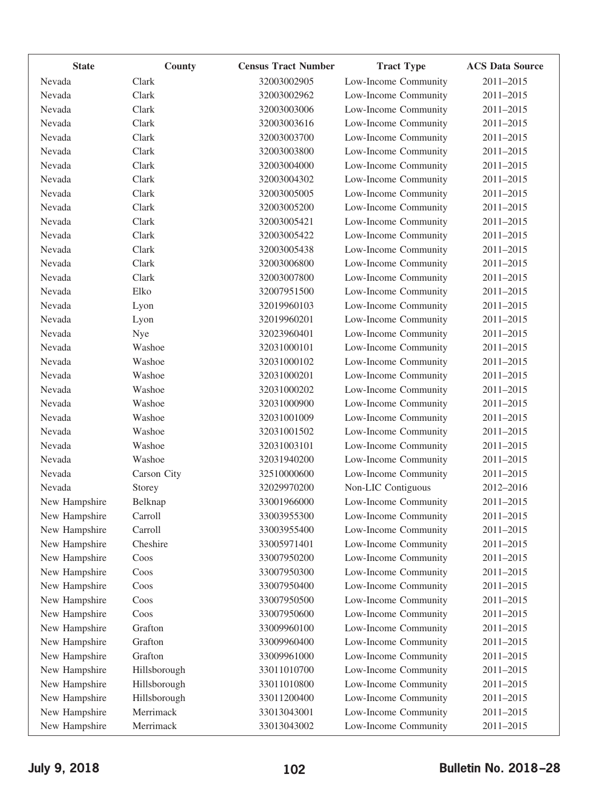| <b>State</b>  | County       | <b>Census Tract Number</b> | <b>Tract Type</b>    | <b>ACS Data Source</b> |
|---------------|--------------|----------------------------|----------------------|------------------------|
| Nevada        | Clark        | 32003002905                | Low-Income Community | 2011-2015              |
| Nevada        | Clark        | 32003002962                | Low-Income Community | 2011-2015              |
| Nevada        | Clark        | 32003003006                | Low-Income Community | 2011-2015              |
| Nevada        | Clark        | 32003003616                | Low-Income Community | 2011-2015              |
| Nevada        | Clark        | 32003003700                | Low-Income Community | 2011-2015              |
| Nevada        | Clark        | 32003003800                | Low-Income Community | 2011-2015              |
| Nevada        | Clark        | 32003004000                | Low-Income Community | 2011-2015              |
| Nevada        | Clark        | 32003004302                | Low-Income Community | 2011-2015              |
| Nevada        | Clark        | 32003005005                | Low-Income Community | 2011-2015              |
| Nevada        | Clark        | 32003005200                | Low-Income Community | 2011-2015              |
| Nevada        | Clark        | 32003005421                | Low-Income Community | 2011-2015              |
| Nevada        | Clark        | 32003005422                | Low-Income Community | 2011-2015              |
| Nevada        | Clark        | 32003005438                | Low-Income Community | 2011-2015              |
| Nevada        | Clark        | 32003006800                | Low-Income Community | 2011-2015              |
| Nevada        | Clark        | 32003007800                | Low-Income Community | 2011-2015              |
| Nevada        | Elko         | 32007951500                | Low-Income Community | 2011-2015              |
| Nevada        | Lyon         | 32019960103                | Low-Income Community | 2011-2015              |
| Nevada        | Lyon         | 32019960201                | Low-Income Community | 2011-2015              |
| Nevada        | Nye          | 32023960401                | Low-Income Community | 2011-2015              |
| Nevada        | Washoe       | 32031000101                | Low-Income Community | 2011-2015              |
| Nevada        | Washoe       | 32031000102                | Low-Income Community | 2011-2015              |
| Nevada        | Washoe       | 32031000201                | Low-Income Community | 2011-2015              |
| Nevada        | Washoe       | 32031000202                | Low-Income Community | 2011-2015              |
| Nevada        | Washoe       | 32031000900                | Low-Income Community | 2011-2015              |
| Nevada        | Washoe       | 32031001009                | Low-Income Community | 2011-2015              |
| Nevada        | Washoe       | 32031001502                | Low-Income Community | 2011-2015              |
| Nevada        | Washoe       | 32031003101                | Low-Income Community | 2011-2015              |
| Nevada        | Washoe       | 32031940200                | Low-Income Community | 2011-2015              |
| Nevada        | Carson City  | 32510000600                | Low-Income Community | 2011-2015              |
| Nevada        | Storey       | 32029970200                | Non-LIC Contiguous   | 2012-2016              |
| New Hampshire | Belknap      | 33001966000                | Low-Income Community | 2011-2015              |
| New Hampshire | Carroll      | 33003955300                | Low-Income Community | 2011-2015              |
| New Hampshire | Carroll      | 33003955400                | Low-Income Community | 2011-2015              |
| New Hampshire | Cheshire     | 33005971401                | Low-Income Community | 2011-2015              |
| New Hampshire | Coos         | 33007950200                | Low-Income Community | 2011-2015              |
| New Hampshire | Coos         | 33007950300                | Low-Income Community | 2011-2015              |
| New Hampshire | Coos         | 33007950400                | Low-Income Community | 2011-2015              |
| New Hampshire | Coos         | 33007950500                | Low-Income Community | 2011-2015              |
| New Hampshire | Coos         | 33007950600                | Low-Income Community | 2011-2015              |
| New Hampshire | Grafton      | 33009960100                | Low-Income Community | 2011-2015              |
| New Hampshire | Grafton      | 33009960400                | Low-Income Community | 2011-2015              |
| New Hampshire | Grafton      | 33009961000                | Low-Income Community | 2011-2015              |
| New Hampshire | Hillsborough | 33011010700                | Low-Income Community | 2011-2015              |
| New Hampshire | Hillsborough | 33011010800                | Low-Income Community | 2011-2015              |
| New Hampshire | Hillsborough | 33011200400                | Low-Income Community | 2011-2015              |
| New Hampshire | Merrimack    | 33013043001                | Low-Income Community | 2011-2015              |
| New Hampshire | Merrimack    | 33013043002                | Low-Income Community | 2011-2015              |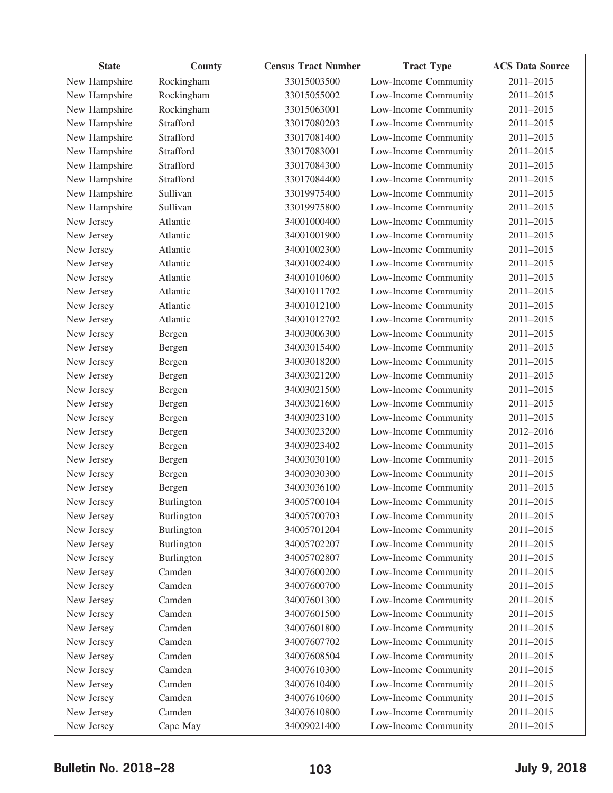| <b>State</b>  | County            | <b>Census Tract Number</b> | <b>Tract Type</b>    | <b>ACS Data Source</b> |
|---------------|-------------------|----------------------------|----------------------|------------------------|
| New Hampshire | Rockingham        | 33015003500                | Low-Income Community | 2011-2015              |
| New Hampshire | Rockingham        | 33015055002                | Low-Income Community | 2011-2015              |
| New Hampshire | Rockingham        | 33015063001                | Low-Income Community | 2011-2015              |
| New Hampshire | Strafford         | 33017080203                | Low-Income Community | 2011-2015              |
| New Hampshire | Strafford         | 33017081400                | Low-Income Community | 2011-2015              |
| New Hampshire | Strafford         | 33017083001                | Low-Income Community | 2011-2015              |
| New Hampshire | Strafford         | 33017084300                | Low-Income Community | 2011-2015              |
| New Hampshire | Strafford         | 33017084400                | Low-Income Community | 2011-2015              |
| New Hampshire | Sullivan          | 33019975400                | Low-Income Community | 2011-2015              |
| New Hampshire | Sullivan          | 33019975800                | Low-Income Community | 2011-2015              |
| New Jersey    | Atlantic          | 34001000400                | Low-Income Community | 2011-2015              |
| New Jersey    | Atlantic          | 34001001900                | Low-Income Community | 2011-2015              |
| New Jersey    | Atlantic          | 34001002300                | Low-Income Community | 2011-2015              |
| New Jersey    | Atlantic          | 34001002400                | Low-Income Community | 2011-2015              |
| New Jersey    | Atlantic          | 34001010600                | Low-Income Community | 2011-2015              |
| New Jersey    | Atlantic          | 34001011702                | Low-Income Community | 2011-2015              |
| New Jersey    | Atlantic          | 34001012100                | Low-Income Community | 2011-2015              |
| New Jersey    | Atlantic          | 34001012702                | Low-Income Community | 2011-2015              |
| New Jersey    | Bergen            | 34003006300                | Low-Income Community | 2011-2015              |
| New Jersey    | Bergen            | 34003015400                | Low-Income Community | 2011-2015              |
| New Jersey    | Bergen            | 34003018200                | Low-Income Community | 2011-2015              |
| New Jersey    | Bergen            | 34003021200                | Low-Income Community | 2011-2015              |
| New Jersey    | Bergen            | 34003021500                | Low-Income Community | 2011-2015              |
| New Jersey    | Bergen            | 34003021600                | Low-Income Community | 2011-2015              |
| New Jersey    | Bergen            | 34003023100                | Low-Income Community | 2011-2015              |
| New Jersey    | Bergen            | 34003023200                | Low-Income Community | 2012-2016              |
| New Jersey    | Bergen            | 34003023402                | Low-Income Community | 2011-2015              |
| New Jersey    | Bergen            | 34003030100                | Low-Income Community | 2011-2015              |
| New Jersey    | Bergen            | 34003030300                | Low-Income Community | 2011-2015              |
| New Jersey    | Bergen            | 34003036100                | Low-Income Community | 2011-2015              |
| New Jersey    | <b>Burlington</b> | 34005700104                | Low-Income Community | 2011-2015              |
| New Jersey    | Burlington        | 34005700703                | Low-Income Community | 2011-2015              |
| New Jersey    | Burlington        | 34005701204                | Low-Income Community | 2011-2015              |
| New Jersey    | Burlington        | 34005702207                | Low-Income Community | 2011-2015              |
| New Jersey    | Burlington        | 34005702807                | Low-Income Community | 2011-2015              |
| New Jersey    | Camden            | 34007600200                | Low-Income Community | 2011-2015              |
| New Jersey    | Camden            | 34007600700                | Low-Income Community | 2011-2015              |
| New Jersey    | Camden            | 34007601300                | Low-Income Community | 2011-2015              |
| New Jersey    | Camden            | 34007601500                | Low-Income Community | 2011-2015              |
| New Jersey    | Camden            | 34007601800                | Low-Income Community | 2011-2015              |
| New Jersey    | Camden            | 34007607702                | Low-Income Community | 2011-2015              |
| New Jersey    | Camden            | 34007608504                | Low-Income Community | 2011-2015              |
| New Jersey    | Camden            | 34007610300                | Low-Income Community | 2011-2015              |
| New Jersey    | Camden            | 34007610400                | Low-Income Community | 2011-2015              |
| New Jersey    | Camden            | 34007610600                | Low-Income Community | 2011-2015              |
| New Jersey    | Camden            | 34007610800                | Low-Income Community | 2011-2015              |
| New Jersey    | Cape May          | 34009021400                | Low-Income Community | 2011-2015              |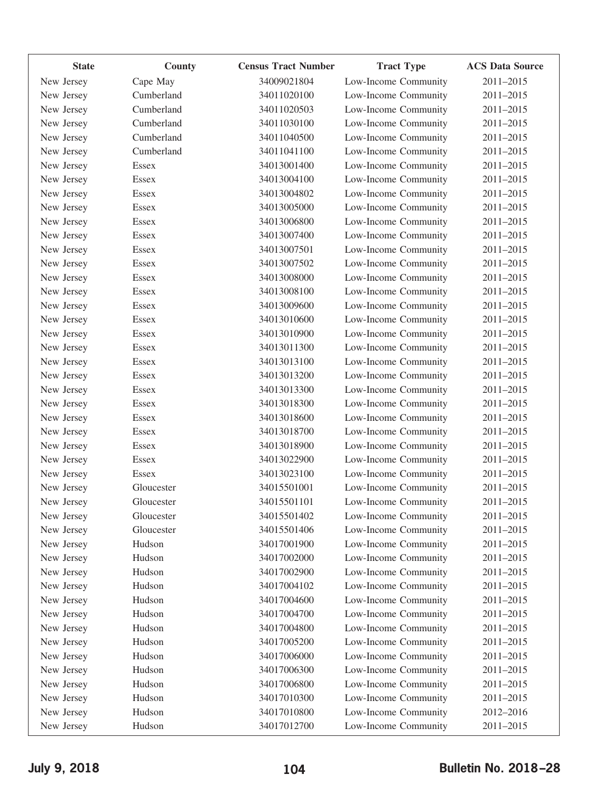| <b>State</b> | County       | <b>Census Tract Number</b> | <b>Tract Type</b>    | <b>ACS Data Source</b> |
|--------------|--------------|----------------------------|----------------------|------------------------|
| New Jersey   | Cape May     | 34009021804                | Low-Income Community | 2011-2015              |
| New Jersey   | Cumberland   | 34011020100                | Low-Income Community | 2011-2015              |
| New Jersey   | Cumberland   | 34011020503                | Low-Income Community | 2011-2015              |
| New Jersey   | Cumberland   | 34011030100                | Low-Income Community | 2011-2015              |
| New Jersey   | Cumberland   | 34011040500                | Low-Income Community | 2011-2015              |
| New Jersey   | Cumberland   | 34011041100                | Low-Income Community | 2011-2015              |
| New Jersey   | Essex        | 34013001400                | Low-Income Community | 2011-2015              |
| New Jersey   | <b>Essex</b> | 34013004100                | Low-Income Community | 2011-2015              |
| New Jersey   | Essex        | 34013004802                | Low-Income Community | 2011-2015              |
| New Jersey   | Essex        | 34013005000                | Low-Income Community | 2011-2015              |
| New Jersey   | <b>Essex</b> | 34013006800                | Low-Income Community | 2011-2015              |
| New Jersey   | Essex        | 34013007400                | Low-Income Community | 2011-2015              |
| New Jersey   | <b>Essex</b> | 34013007501                | Low-Income Community | 2011-2015              |
| New Jersey   | Essex        | 34013007502                | Low-Income Community | 2011-2015              |
| New Jersey   | Essex        | 34013008000                | Low-Income Community | 2011-2015              |
| New Jersey   | Essex        | 34013008100                | Low-Income Community | 2011-2015              |
| New Jersey   | Essex        | 34013009600                | Low-Income Community | 2011-2015              |
| New Jersey   | Essex        | 34013010600                | Low-Income Community | 2011-2015              |
| New Jersey   | <b>Essex</b> | 34013010900                | Low-Income Community | 2011-2015              |
| New Jersey   | Essex        | 34013011300                | Low-Income Community | 2011-2015              |
| New Jersey   | <b>Essex</b> | 34013013100                | Low-Income Community | 2011-2015              |
| New Jersey   | Essex        | 34013013200                | Low-Income Community | 2011-2015              |
| New Jersey   | Essex        | 34013013300                | Low-Income Community | 2011-2015              |
| New Jersey   | Essex        | 34013018300                | Low-Income Community | 2011-2015              |
| New Jersey   | Essex        | 34013018600                | Low-Income Community | 2011-2015              |
| New Jersey   | Essex        | 34013018700                | Low-Income Community | 2011-2015              |
| New Jersey   | <b>Essex</b> | 34013018900                | Low-Income Community | 2011-2015              |
| New Jersey   | Essex        | 34013022900                | Low-Income Community | 2011-2015              |
| New Jersey   | Essex        | 34013023100                | Low-Income Community | 2011-2015              |
| New Jersey   | Gloucester   | 34015501001                | Low-Income Community | 2011-2015              |
| New Jersey   | Gloucester   | 34015501101                | Low-Income Community | 2011-2015              |
| New Jersey   | Gloucester   | 34015501402                | Low-Income Community | 2011-2015              |
| New Jersey   | Gloucester   | 34015501406                | Low-Income Community | 2011-2015              |
| New Jersey   | Hudson       | 34017001900                | Low-Income Community | 2011-2015              |
| New Jersey   | Hudson       | 34017002000                | Low-Income Community | 2011-2015              |
| New Jersey   | Hudson       | 34017002900                | Low-Income Community | 2011-2015              |
| New Jersey   | Hudson       | 34017004102                | Low-Income Community | 2011-2015              |
| New Jersey   | Hudson       | 34017004600                | Low-Income Community | 2011-2015              |
| New Jersey   | Hudson       | 34017004700                | Low-Income Community | 2011-2015              |
| New Jersey   | Hudson       | 34017004800                | Low-Income Community | 2011-2015              |
| New Jersey   | Hudson       | 34017005200                | Low-Income Community | 2011-2015              |
| New Jersey   | Hudson       | 34017006000                | Low-Income Community | 2011-2015              |
| New Jersey   | Hudson       | 34017006300                | Low-Income Community | 2011-2015              |
| New Jersey   | Hudson       | 34017006800                | Low-Income Community | 2011-2015              |
| New Jersey   | Hudson       | 34017010300                | Low-Income Community | 2011-2015              |
| New Jersey   | Hudson       | 34017010800                | Low-Income Community | 2012-2016              |
| New Jersey   | Hudson       | 34017012700                | Low-Income Community | 2011-2015              |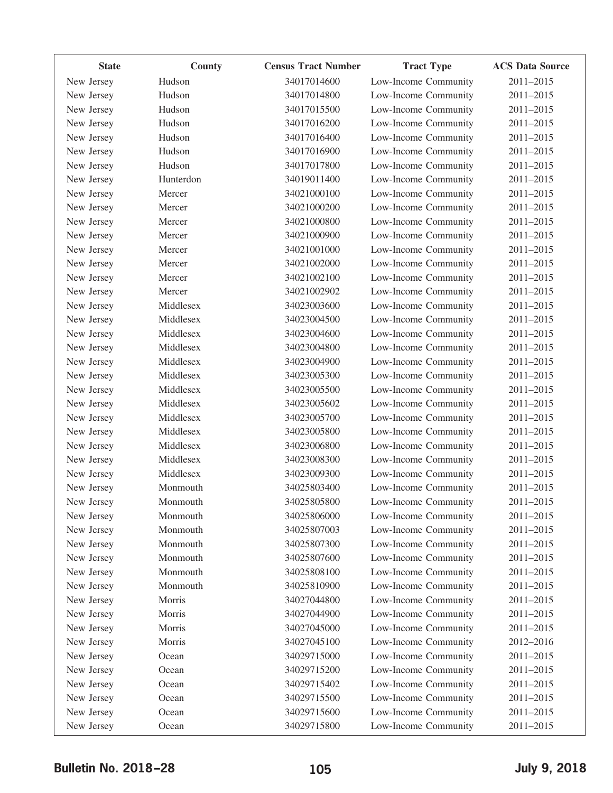| <b>State</b> | County    | <b>Census Tract Number</b> | <b>Tract Type</b>    | <b>ACS Data Source</b> |
|--------------|-----------|----------------------------|----------------------|------------------------|
| New Jersey   | Hudson    | 34017014600                | Low-Income Community | 2011-2015              |
| New Jersey   | Hudson    | 34017014800                | Low-Income Community | 2011-2015              |
| New Jersey   | Hudson    | 34017015500                | Low-Income Community | 2011-2015              |
| New Jersey   | Hudson    | 34017016200                | Low-Income Community | 2011-2015              |
| New Jersey   | Hudson    | 34017016400                | Low-Income Community | 2011-2015              |
| New Jersey   | Hudson    | 34017016900                | Low-Income Community | 2011-2015              |
| New Jersey   | Hudson    | 34017017800                | Low-Income Community | 2011-2015              |
| New Jersey   | Hunterdon | 34019011400                | Low-Income Community | 2011-2015              |
| New Jersey   | Mercer    | 34021000100                | Low-Income Community | 2011-2015              |
| New Jersey   | Mercer    | 34021000200                | Low-Income Community | 2011-2015              |
| New Jersey   | Mercer    | 34021000800                | Low-Income Community | 2011-2015              |
| New Jersey   | Mercer    | 34021000900                | Low-Income Community | 2011-2015              |
| New Jersey   | Mercer    | 34021001000                | Low-Income Community | 2011-2015              |
| New Jersey   | Mercer    | 34021002000                | Low-Income Community | 2011-2015              |
| New Jersey   | Mercer    | 34021002100                | Low-Income Community | 2011-2015              |
| New Jersey   | Mercer    | 34021002902                | Low-Income Community | 2011-2015              |
| New Jersey   | Middlesex | 34023003600                | Low-Income Community | 2011-2015              |
| New Jersey   | Middlesex | 34023004500                | Low-Income Community | 2011-2015              |
| New Jersey   | Middlesex | 34023004600                | Low-Income Community | 2011-2015              |
| New Jersey   | Middlesex | 34023004800                | Low-Income Community | 2011-2015              |
| New Jersey   | Middlesex | 34023004900                | Low-Income Community | 2011-2015              |
| New Jersey   | Middlesex | 34023005300                | Low-Income Community | 2011-2015              |
| New Jersey   | Middlesex | 34023005500                | Low-Income Community | 2011-2015              |
| New Jersey   | Middlesex | 34023005602                | Low-Income Community | 2011-2015              |
| New Jersey   | Middlesex | 34023005700                | Low-Income Community | 2011-2015              |
| New Jersey   | Middlesex | 34023005800                | Low-Income Community | 2011-2015              |
| New Jersey   | Middlesex | 34023006800                | Low-Income Community | 2011-2015              |
| New Jersey   | Middlesex | 34023008300                | Low-Income Community | 2011-2015              |
| New Jersey   | Middlesex | 34023009300                | Low-Income Community | 2011-2015              |
| New Jersey   | Monmouth  | 34025803400                | Low-Income Community | 2011-2015              |
| New Jersey   | Monmouth  | 34025805800                | Low-Income Community | 2011-2015              |
| New Jersey   | Monmouth  | 34025806000                | Low-Income Community | 2011-2015              |
| New Jersey   | Monmouth  | 34025807003                | Low-Income Community | 2011-2015              |
| New Jersey   | Monmouth  | 34025807300                | Low-Income Community | 2011-2015              |
| New Jersey   | Monmouth  | 34025807600                | Low-Income Community | 2011-2015              |
| New Jersey   | Monmouth  | 34025808100                | Low-Income Community | 2011-2015              |
| New Jersey   | Monmouth  | 34025810900                | Low-Income Community | 2011-2015              |
| New Jersey   | Morris    | 34027044800                | Low-Income Community | 2011-2015              |
| New Jersey   | Morris    | 34027044900                | Low-Income Community | 2011-2015              |
| New Jersey   | Morris    | 34027045000                | Low-Income Community | 2011-2015              |
| New Jersey   | Morris    | 34027045100                | Low-Income Community | 2012-2016              |
| New Jersey   | Ocean     | 34029715000                | Low-Income Community | 2011-2015              |
| New Jersey   | Ocean     | 34029715200                | Low-Income Community | 2011-2015              |
| New Jersey   | Ocean     | 34029715402                | Low-Income Community | 2011-2015              |
| New Jersey   | Ocean     | 34029715500                | Low-Income Community | 2011-2015              |
| New Jersey   | Ocean     | 34029715600                | Low-Income Community | 2011-2015              |
| New Jersey   | Ocean     | 34029715800                | Low-Income Community | 2011-2015              |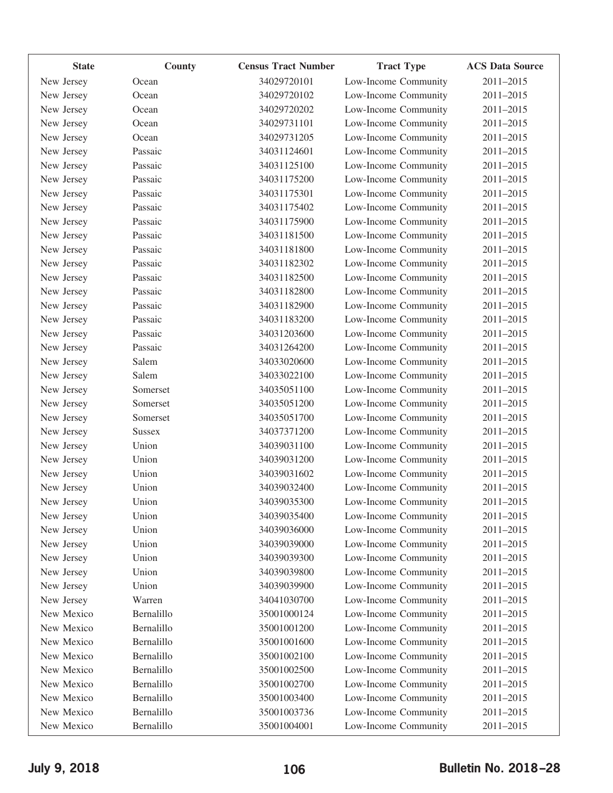| <b>State</b> | County        | <b>Census Tract Number</b> | <b>Tract Type</b>    | <b>ACS Data Source</b> |
|--------------|---------------|----------------------------|----------------------|------------------------|
| New Jersey   | Ocean         | 34029720101                | Low-Income Community | 2011-2015              |
| New Jersey   | Ocean         | 34029720102                | Low-Income Community | 2011-2015              |
| New Jersey   | Ocean         | 34029720202                | Low-Income Community | 2011-2015              |
| New Jersey   | Ocean         | 34029731101                | Low-Income Community | 2011-2015              |
| New Jersey   | Ocean         | 34029731205                | Low-Income Community | 2011-2015              |
| New Jersey   | Passaic       | 34031124601                | Low-Income Community | 2011-2015              |
| New Jersey   | Passaic       | 34031125100                | Low-Income Community | 2011-2015              |
| New Jersey   | Passaic       | 34031175200                | Low-Income Community | 2011-2015              |
| New Jersey   | Passaic       | 34031175301                | Low-Income Community | 2011-2015              |
| New Jersey   | Passaic       | 34031175402                | Low-Income Community | 2011-2015              |
| New Jersey   | Passaic       | 34031175900                | Low-Income Community | 2011-2015              |
| New Jersey   | Passaic       | 34031181500                | Low-Income Community | 2011-2015              |
| New Jersey   | Passaic       | 34031181800                | Low-Income Community | 2011-2015              |
| New Jersey   | Passaic       | 34031182302                | Low-Income Community | 2011-2015              |
| New Jersey   | Passaic       | 34031182500                | Low-Income Community | 2011-2015              |
| New Jersey   | Passaic       | 34031182800                | Low-Income Community | 2011-2015              |
| New Jersey   | Passaic       | 34031182900                | Low-Income Community | 2011-2015              |
| New Jersey   | Passaic       | 34031183200                | Low-Income Community | 2011-2015              |
| New Jersey   | Passaic       | 34031203600                | Low-Income Community | 2011-2015              |
| New Jersey   | Passaic       | 34031264200                | Low-Income Community | 2011-2015              |
| New Jersey   | Salem         | 34033020600                | Low-Income Community | 2011-2015              |
| New Jersey   | Salem         | 34033022100                | Low-Income Community | 2011-2015              |
| New Jersey   | Somerset      | 34035051100                | Low-Income Community | 2011-2015              |
| New Jersey   | Somerset      | 34035051200                | Low-Income Community | 2011-2015              |
| New Jersey   | Somerset      | 34035051700                | Low-Income Community | 2011-2015              |
| New Jersey   | <b>Sussex</b> | 34037371200                | Low-Income Community | 2011-2015              |
| New Jersey   | Union         | 34039031100                | Low-Income Community | 2011-2015              |
| New Jersey   | Union         | 34039031200                | Low-Income Community | 2011-2015              |
| New Jersey   | Union         | 34039031602                | Low-Income Community | 2011-2015              |
| New Jersey   | Union         | 34039032400                | Low-Income Community | 2011-2015              |
| New Jersey   | Union         | 34039035300                | Low-Income Community | 2011-2015              |
| New Jersey   | Union         | 34039035400                | Low-Income Community | 2011-2015              |
| New Jersey   | Union         | 34039036000                | Low-Income Community | 2011-2015              |
| New Jersey   | Union         | 34039039000                | Low-Income Community | 2011-2015              |
| New Jersey   | Union         | 34039039300                | Low-Income Community | 2011-2015              |
| New Jersey   | Union         | 34039039800                | Low-Income Community | 2011-2015              |
| New Jersey   | Union         | 34039039900                | Low-Income Community | 2011-2015              |
| New Jersey   | Warren        | 34041030700                | Low-Income Community | 2011-2015              |
| New Mexico   | Bernalillo    | 35001000124                | Low-Income Community | 2011-2015              |
| New Mexico   | Bernalillo    | 35001001200                | Low-Income Community | 2011-2015              |
| New Mexico   | Bernalillo    | 35001001600                | Low-Income Community | 2011-2015              |
| New Mexico   | Bernalillo    | 35001002100                | Low-Income Community | 2011-2015              |
| New Mexico   | Bernalillo    | 35001002500                | Low-Income Community | 2011-2015              |
| New Mexico   | Bernalillo    | 35001002700                | Low-Income Community | 2011-2015              |
| New Mexico   | Bernalillo    | 35001003400                | Low-Income Community | 2011-2015              |
| New Mexico   | Bernalillo    | 35001003736                | Low-Income Community | 2011-2015              |
| New Mexico   | Bernalillo    | 35001004001                | Low-Income Community | 2011-2015              |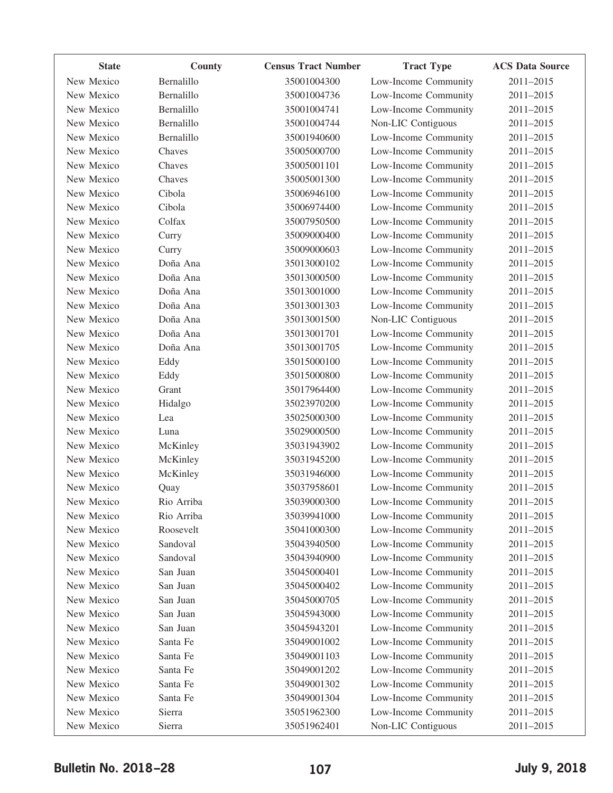| <b>State</b> | County     | <b>Census Tract Number</b> | <b>Tract Type</b>    | <b>ACS Data Source</b> |
|--------------|------------|----------------------------|----------------------|------------------------|
| New Mexico   | Bernalillo | 35001004300                | Low-Income Community | 2011-2015              |
| New Mexico   | Bernalillo | 35001004736                | Low-Income Community | 2011-2015              |
| New Mexico   | Bernalillo | 35001004741                | Low-Income Community | 2011-2015              |
| New Mexico   | Bernalillo | 35001004744                | Non-LIC Contiguous   | 2011-2015              |
| New Mexico   | Bernalillo | 35001940600                | Low-Income Community | 2011-2015              |
| New Mexico   | Chaves     | 35005000700                | Low-Income Community | 2011-2015              |
| New Mexico   | Chaves     | 35005001101                | Low-Income Community | 2011-2015              |
| New Mexico   | Chaves     | 35005001300                | Low-Income Community | 2011-2015              |
| New Mexico   | Cibola     | 35006946100                | Low-Income Community | 2011-2015              |
| New Mexico   | Cibola     | 35006974400                | Low-Income Community | 2011-2015              |
| New Mexico   | Colfax     | 35007950500                | Low-Income Community | 2011-2015              |
| New Mexico   | Curry      | 35009000400                | Low-Income Community | 2011-2015              |
| New Mexico   | Curry      | 35009000603                | Low-Income Community | 2011-2015              |
| New Mexico   | Doña Ana   | 35013000102                | Low-Income Community | 2011-2015              |
| New Mexico   | Doña Ana   | 35013000500                | Low-Income Community | 2011-2015              |
| New Mexico   | Doña Ana   | 35013001000                | Low-Income Community | 2011-2015              |
| New Mexico   | Doña Ana   | 35013001303                | Low-Income Community | 2011-2015              |
| New Mexico   | Doña Ana   | 35013001500                | Non-LIC Contiguous   | 2011-2015              |
| New Mexico   | Doña Ana   | 35013001701                | Low-Income Community | 2011-2015              |
| New Mexico   | Doña Ana   | 35013001705                | Low-Income Community | 2011-2015              |
| New Mexico   | Eddy       | 35015000100                | Low-Income Community | 2011-2015              |
| New Mexico   | Eddy       | 35015000800                | Low-Income Community | 2011-2015              |
| New Mexico   | Grant      | 35017964400                | Low-Income Community | 2011-2015              |
| New Mexico   | Hidalgo    | 35023970200                | Low-Income Community | 2011-2015              |
| New Mexico   | Lea        | 35025000300                | Low-Income Community | 2011-2015              |
| New Mexico   | Luna       | 35029000500                | Low-Income Community | 2011-2015              |
| New Mexico   | McKinley   | 35031943902                | Low-Income Community | 2011-2015              |
| New Mexico   | McKinley   | 35031945200                | Low-Income Community | 2011-2015              |
| New Mexico   | McKinley   | 35031946000                | Low-Income Community | 2011-2015              |
| New Mexico   | Quay       | 35037958601                | Low-Income Community | 2011-2015              |
| New Mexico   | Rio Arriba | 35039000300                | Low-Income Community | 2011-2015              |
| New Mexico   | Rio Arriba | 35039941000                | Low-Income Community | 2011-2015              |
| New Mexico   | Roosevelt  | 35041000300                | Low-Income Community | 2011-2015              |
| New Mexico   | Sandoval   | 35043940500                | Low-Income Community | 2011-2015              |
| New Mexico   | Sandoval   | 35043940900                | Low-Income Community | 2011-2015              |
| New Mexico   | San Juan   | 35045000401                | Low-Income Community | 2011-2015              |
| New Mexico   | San Juan   | 35045000402                | Low-Income Community | 2011-2015              |
| New Mexico   | San Juan   | 35045000705                | Low-Income Community | 2011-2015              |
| New Mexico   | San Juan   | 35045943000                | Low-Income Community | 2011-2015              |
| New Mexico   | San Juan   | 35045943201                | Low-Income Community | 2011-2015              |
| New Mexico   | Santa Fe   | 35049001002                | Low-Income Community | 2011-2015              |
| New Mexico   | Santa Fe   | 35049001103                | Low-Income Community | 2011-2015              |
| New Mexico   | Santa Fe   | 35049001202                | Low-Income Community | 2011-2015              |
| New Mexico   | Santa Fe   | 35049001302                | Low-Income Community | 2011-2015              |
| New Mexico   | Santa Fe   | 35049001304                | Low-Income Community | 2011-2015              |
| New Mexico   | Sierra     | 35051962300                | Low-Income Community | 2011-2015              |
| New Mexico   | Sierra     | 35051962401                | Non-LIC Contiguous   | 2011-2015              |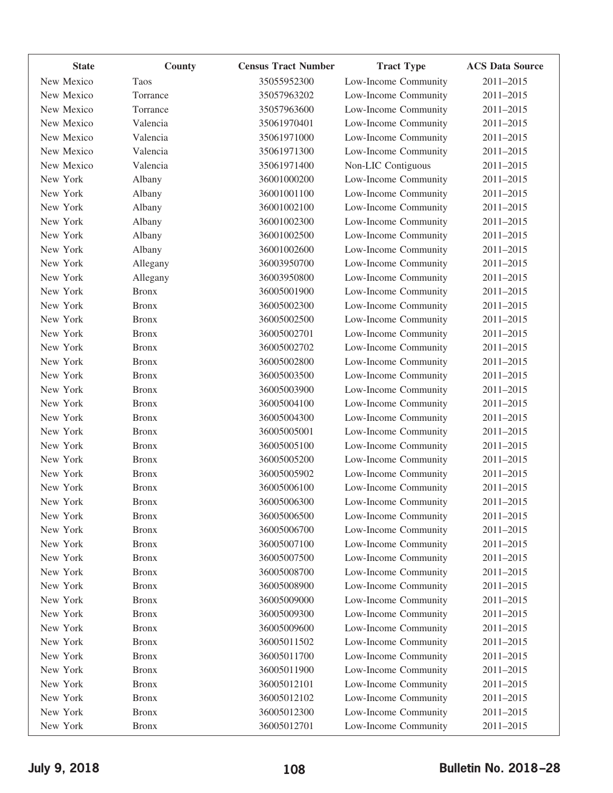| <b>State</b> | County       | <b>Census Tract Number</b> | <b>Tract Type</b>    | <b>ACS Data Source</b> |
|--------------|--------------|----------------------------|----------------------|------------------------|
| New Mexico   | Taos         | 35055952300                | Low-Income Community | 2011-2015              |
| New Mexico   | Torrance     | 35057963202                | Low-Income Community | 2011-2015              |
| New Mexico   | Torrance     | 35057963600                | Low-Income Community | 2011-2015              |
| New Mexico   | Valencia     | 35061970401                | Low-Income Community | 2011-2015              |
| New Mexico   | Valencia     | 35061971000                | Low-Income Community | 2011-2015              |
| New Mexico   | Valencia     | 35061971300                | Low-Income Community | 2011-2015              |
| New Mexico   | Valencia     | 35061971400                | Non-LIC Contiguous   | 2011-2015              |
| New York     | Albany       | 36001000200                | Low-Income Community | 2011-2015              |
| New York     | Albany       | 36001001100                | Low-Income Community | 2011-2015              |
| New York     | Albany       | 36001002100                | Low-Income Community | 2011-2015              |
| New York     | Albany       | 36001002300                | Low-Income Community | 2011-2015              |
| New York     | Albany       | 36001002500                | Low-Income Community | 2011-2015              |
| New York     | Albany       | 36001002600                | Low-Income Community | 2011-2015              |
| New York     | Allegany     | 36003950700                | Low-Income Community | 2011-2015              |
| New York     | Allegany     | 36003950800                | Low-Income Community | 2011-2015              |
| New York     | <b>Bronx</b> | 36005001900                | Low-Income Community | 2011-2015              |
| New York     | <b>Bronx</b> | 36005002300                | Low-Income Community | 2011-2015              |
| New York     | <b>Bronx</b> | 36005002500                | Low-Income Community | 2011-2015              |
| New York     | <b>Bronx</b> | 36005002701                | Low-Income Community | 2011-2015              |
| New York     | <b>Bronx</b> | 36005002702                | Low-Income Community | 2011-2015              |
| New York     | <b>Bronx</b> | 36005002800                | Low-Income Community | 2011-2015              |
| New York     | <b>Bronx</b> | 36005003500                | Low-Income Community | 2011-2015              |
| New York     | <b>Bronx</b> | 36005003900                | Low-Income Community | 2011-2015              |
| New York     | <b>Bronx</b> | 36005004100                | Low-Income Community | 2011-2015              |
| New York     | <b>Bronx</b> | 36005004300                | Low-Income Community | 2011-2015              |
| New York     | <b>Bronx</b> | 36005005001                | Low-Income Community | 2011-2015              |
| New York     | <b>Bronx</b> | 36005005100                | Low-Income Community | 2011-2015              |
| New York     | <b>Bronx</b> | 36005005200                | Low-Income Community | 2011-2015              |
| New York     | <b>Bronx</b> | 36005005902                | Low-Income Community | 2011-2015              |
| New York     | <b>Bronx</b> | 36005006100                | Low-Income Community | 2011-2015              |
| New York     | <b>Bronx</b> | 36005006300                | Low-Income Community | 2011-2015              |
| New York     | <b>Bronx</b> | 36005006500                | Low-Income Community | 2011-2015              |
| New York     | <b>Bronx</b> | 36005006700                | Low-Income Community | 2011-2015              |
| New York     | <b>Bronx</b> | 36005007100                | Low-Income Community | 2011-2015              |
| New York     | <b>Bronx</b> | 36005007500                | Low-Income Community | 2011-2015              |
| New York     | <b>Bronx</b> | 36005008700                | Low-Income Community | 2011-2015              |
| New York     | <b>Bronx</b> | 36005008900                | Low-Income Community | 2011-2015              |
| New York     | <b>Bronx</b> | 36005009000                | Low-Income Community | 2011-2015              |
| New York     | <b>Bronx</b> | 36005009300                | Low-Income Community | 2011-2015              |
| New York     | <b>Bronx</b> | 36005009600                | Low-Income Community | 2011-2015              |
| New York     | <b>Bronx</b> | 36005011502                | Low-Income Community | 2011-2015              |
| New York     | <b>Bronx</b> | 36005011700                | Low-Income Community | 2011-2015              |
| New York     | <b>Bronx</b> | 36005011900                | Low-Income Community | 2011-2015              |
| New York     | <b>Bronx</b> | 36005012101                | Low-Income Community | 2011-2015              |
| New York     | <b>Bronx</b> | 36005012102                | Low-Income Community | 2011-2015              |
| New York     | <b>Bronx</b> | 36005012300                | Low-Income Community | 2011-2015              |
| New York     | <b>Bronx</b> | 36005012701                | Low-Income Community | 2011-2015              |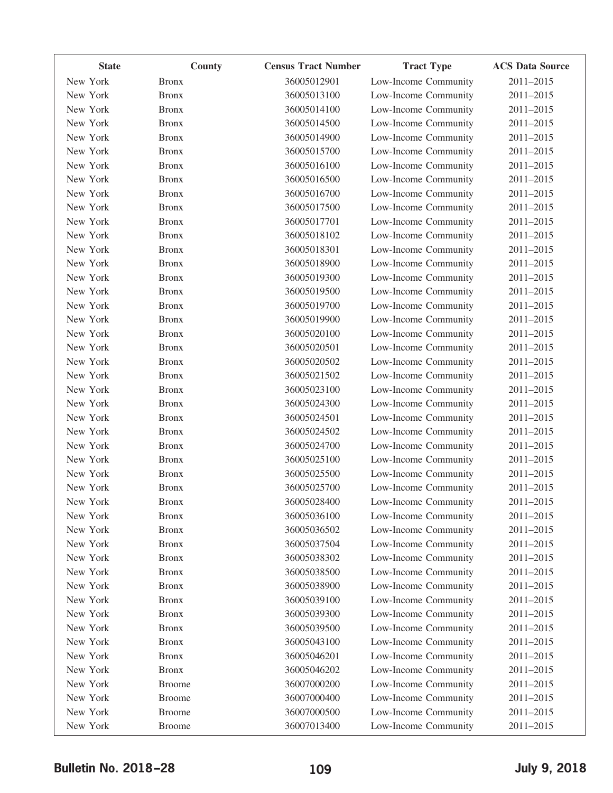| <b>State</b> | County        | <b>Census Tract Number</b> | <b>Tract Type</b>    | <b>ACS Data Source</b> |
|--------------|---------------|----------------------------|----------------------|------------------------|
| New York     | <b>Bronx</b>  | 36005012901                | Low-Income Community | 2011-2015              |
| New York     | <b>Bronx</b>  | 36005013100                | Low-Income Community | 2011-2015              |
| New York     | <b>Bronx</b>  | 36005014100                | Low-Income Community | 2011-2015              |
| New York     | <b>Bronx</b>  | 36005014500                | Low-Income Community | 2011-2015              |
| New York     | <b>Bronx</b>  | 36005014900                | Low-Income Community | 2011-2015              |
| New York     | <b>Bronx</b>  | 36005015700                | Low-Income Community | 2011-2015              |
| New York     | <b>Bronx</b>  | 36005016100                | Low-Income Community | 2011-2015              |
| New York     | <b>Bronx</b>  | 36005016500                | Low-Income Community | 2011-2015              |
| New York     | <b>Bronx</b>  | 36005016700                | Low-Income Community | 2011-2015              |
| New York     | <b>Bronx</b>  | 36005017500                | Low-Income Community | 2011-2015              |
| New York     | <b>Bronx</b>  | 36005017701                | Low-Income Community | 2011-2015              |
| New York     | <b>Bronx</b>  | 36005018102                | Low-Income Community | 2011-2015              |
| New York     | <b>Bronx</b>  | 36005018301                | Low-Income Community | 2011-2015              |
| New York     | <b>Bronx</b>  | 36005018900                | Low-Income Community | 2011-2015              |
| New York     | <b>Bronx</b>  | 36005019300                | Low-Income Community | 2011-2015              |
| New York     | <b>Bronx</b>  | 36005019500                | Low-Income Community | 2011-2015              |
| New York     | <b>Bronx</b>  | 36005019700                | Low-Income Community | 2011-2015              |
| New York     | <b>Bronx</b>  | 36005019900                | Low-Income Community | 2011-2015              |
| New York     | <b>Bronx</b>  | 36005020100                | Low-Income Community | 2011-2015              |
| New York     | <b>Bronx</b>  | 36005020501                | Low-Income Community | 2011-2015              |
| New York     | <b>Bronx</b>  | 36005020502                | Low-Income Community | 2011-2015              |
| New York     | <b>Bronx</b>  | 36005021502                | Low-Income Community | 2011-2015              |
| New York     | <b>Bronx</b>  | 36005023100                | Low-Income Community | 2011-2015              |
| New York     | <b>Bronx</b>  | 36005024300                | Low-Income Community | 2011-2015              |
| New York     | <b>Bronx</b>  | 36005024501                | Low-Income Community | 2011-2015              |
| New York     | <b>Bronx</b>  | 36005024502                | Low-Income Community | 2011-2015              |
| New York     | <b>Bronx</b>  | 36005024700                | Low-Income Community | 2011-2015              |
| New York     | <b>Bronx</b>  | 36005025100                | Low-Income Community | 2011-2015              |
| New York     | <b>Bronx</b>  | 36005025500                | Low-Income Community | 2011-2015              |
| New York     | <b>Bronx</b>  | 36005025700                | Low-Income Community | 2011-2015              |
| New York     | <b>Bronx</b>  | 36005028400                | Low-Income Community | 2011-2015              |
| New York     | <b>Bronx</b>  | 36005036100                | Low-Income Community | 2011-2015              |
| New York     | <b>Bronx</b>  | 36005036502                | Low-Income Community | 2011-2015              |
| New York     | <b>Bronx</b>  | 36005037504                | Low-Income Community | 2011-2015              |
| New York     | <b>Bronx</b>  | 36005038302                | Low-Income Community | 2011-2015              |
| New York     | <b>Bronx</b>  | 36005038500                | Low-Income Community | 2011-2015              |
| New York     | <b>Bronx</b>  | 36005038900                | Low-Income Community | 2011-2015              |
| New York     | <b>Bronx</b>  | 36005039100                | Low-Income Community | 2011-2015              |
| New York     | <b>Bronx</b>  | 36005039300                | Low-Income Community | 2011-2015              |
| New York     | <b>Bronx</b>  | 36005039500                | Low-Income Community | 2011-2015              |
| New York     | <b>Bronx</b>  | 36005043100                | Low-Income Community | 2011-2015              |
| New York     | <b>Bronx</b>  | 36005046201                | Low-Income Community | 2011-2015              |
| New York     | <b>Bronx</b>  | 36005046202                | Low-Income Community | 2011-2015              |
| New York     | <b>Broome</b> | 36007000200                | Low-Income Community | 2011-2015              |
| New York     | <b>Broome</b> | 36007000400                | Low-Income Community | 2011-2015              |
| New York     | <b>Broome</b> | 36007000500                | Low-Income Community | 2011-2015              |
| New York     | <b>Broome</b> | 36007013400                | Low-Income Community | 2011-2015              |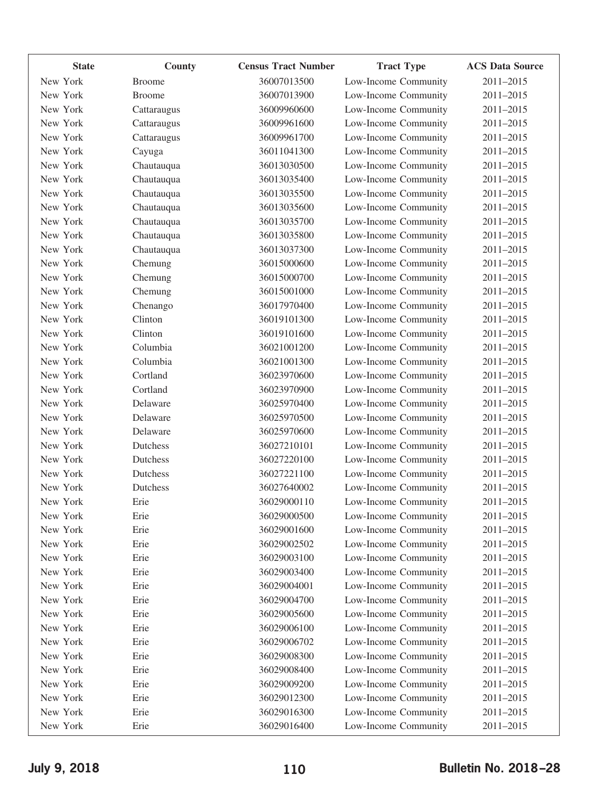| <b>State</b> | County        | <b>Census Tract Number</b> | <b>Tract Type</b>    | <b>ACS Data Source</b> |
|--------------|---------------|----------------------------|----------------------|------------------------|
| New York     | <b>Broome</b> | 36007013500                | Low-Income Community | 2011-2015              |
| New York     | <b>Broome</b> | 36007013900                | Low-Income Community | 2011-2015              |
| New York     | Cattaraugus   | 36009960600                | Low-Income Community | 2011-2015              |
| New York     | Cattaraugus   | 36009961600                | Low-Income Community | 2011-2015              |
| New York     | Cattaraugus   | 36009961700                | Low-Income Community | 2011-2015              |
| New York     | Cayuga        | 36011041300                | Low-Income Community | 2011-2015              |
| New York     | Chautauqua    | 36013030500                | Low-Income Community | 2011-2015              |
| New York     | Chautauqua    | 36013035400                | Low-Income Community | 2011-2015              |
| New York     | Chautauqua    | 36013035500                | Low-Income Community | 2011-2015              |
| New York     | Chautauqua    | 36013035600                | Low-Income Community | 2011-2015              |
| New York     | Chautauqua    | 36013035700                | Low-Income Community | 2011-2015              |
| New York     | Chautauqua    | 36013035800                | Low-Income Community | 2011-2015              |
| New York     | Chautauqua    | 36013037300                | Low-Income Community | 2011-2015              |
| New York     | Chemung       | 36015000600                | Low-Income Community | 2011-2015              |
| New York     | Chemung       | 36015000700                | Low-Income Community | 2011-2015              |
| New York     | Chemung       | 36015001000                | Low-Income Community | 2011-2015              |
| New York     | Chenango      | 36017970400                | Low-Income Community | 2011-2015              |
| New York     | Clinton       | 36019101300                | Low-Income Community | 2011-2015              |
| New York     | Clinton       | 36019101600                | Low-Income Community | 2011-2015              |
| New York     | Columbia      | 36021001200                | Low-Income Community | 2011-2015              |
| New York     | Columbia      | 36021001300                | Low-Income Community | 2011-2015              |
| New York     | Cortland      | 36023970600                | Low-Income Community | 2011-2015              |
| New York     | Cortland      | 36023970900                | Low-Income Community | 2011-2015              |
| New York     | Delaware      | 36025970400                | Low-Income Community | 2011-2015              |
| New York     | Delaware      | 36025970500                | Low-Income Community | 2011-2015              |
| New York     | Delaware      | 36025970600                | Low-Income Community | 2011-2015              |
| New York     | Dutchess      | 36027210101                | Low-Income Community | 2011-2015              |
| New York     | Dutchess      | 36027220100                | Low-Income Community | 2011-2015              |
| New York     | Dutchess      | 36027221100                | Low-Income Community | 2011-2015              |
| New York     | Dutchess      | 36027640002                | Low-Income Community | 2011-2015              |
| New York     | Erie          | 36029000110                | Low-Income Community | 2011-2015              |
| New York     | Erie          | 36029000500                | Low-Income Community | 2011-2015              |
| New York     | Erie          | 36029001600                | Low-Income Community | 2011-2015              |
| New York     | Erie          | 36029002502                | Low-Income Community | 2011-2015              |
| New York     | Erie          | 36029003100                | Low-Income Community | 2011-2015              |
| New York     | Erie          | 36029003400                | Low-Income Community | 2011-2015              |
| New York     | Erie          | 36029004001                | Low-Income Community | 2011-2015              |
| New York     | Erie          | 36029004700                | Low-Income Community | 2011-2015              |
| New York     | Erie          | 36029005600                | Low-Income Community | 2011-2015              |
| New York     | Erie          | 36029006100                | Low-Income Community | 2011-2015              |
| New York     | Erie          | 36029006702                | Low-Income Community | 2011-2015              |
| New York     | Erie          | 36029008300                | Low-Income Community | 2011-2015              |
| New York     | Erie          | 36029008400                | Low-Income Community | 2011-2015              |
| New York     | Erie          | 36029009200                | Low-Income Community | 2011-2015              |
| New York     | Erie          | 36029012300                | Low-Income Community | 2011-2015              |
| New York     | Erie          | 36029016300                | Low-Income Community | 2011-2015              |
| New York     | Erie          | 36029016400                | Low-Income Community | 2011-2015              |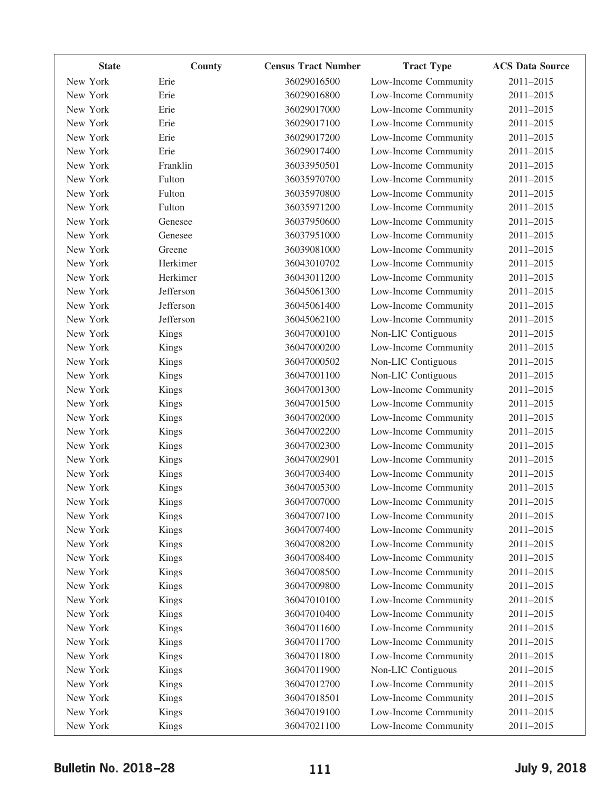| <b>State</b> | County       | <b>Census Tract Number</b> | <b>Tract Type</b>    | <b>ACS Data Source</b> |
|--------------|--------------|----------------------------|----------------------|------------------------|
| New York     | Erie         | 36029016500                | Low-Income Community | 2011-2015              |
| New York     | Erie         | 36029016800                | Low-Income Community | 2011-2015              |
| New York     | Erie         | 36029017000                | Low-Income Community | 2011-2015              |
| New York     | Erie         | 36029017100                | Low-Income Community | 2011-2015              |
| New York     | Erie         | 36029017200                | Low-Income Community | 2011-2015              |
| New York     | Erie         | 36029017400                | Low-Income Community | 2011-2015              |
| New York     | Franklin     | 36033950501                | Low-Income Community | 2011-2015              |
| New York     | Fulton       | 36035970700                | Low-Income Community | 2011-2015              |
| New York     | Fulton       | 36035970800                | Low-Income Community | 2011-2015              |
| New York     | Fulton       | 36035971200                | Low-Income Community | 2011-2015              |
| New York     | Genesee      | 36037950600                | Low-Income Community | 2011-2015              |
| New York     | Genesee      | 36037951000                | Low-Income Community | 2011-2015              |
| New York     | Greene       | 36039081000                | Low-Income Community | 2011-2015              |
| New York     | Herkimer     | 36043010702                | Low-Income Community | 2011-2015              |
| New York     | Herkimer     | 36043011200                | Low-Income Community | 2011-2015              |
| New York     | Jefferson    | 36045061300                | Low-Income Community | 2011-2015              |
| New York     | Jefferson    | 36045061400                | Low-Income Community | 2011-2015              |
| New York     | Jefferson    | 36045062100                | Low-Income Community | 2011-2015              |
| New York     | Kings        | 36047000100                | Non-LIC Contiguous   | 2011-2015              |
| New York     | Kings        | 36047000200                | Low-Income Community | 2011-2015              |
| New York     | Kings        | 36047000502                | Non-LIC Contiguous   | 2011-2015              |
| New York     | Kings        | 36047001100                | Non-LIC Contiguous   | 2011-2015              |
| New York     | Kings        | 36047001300                | Low-Income Community | 2011-2015              |
| New York     | Kings        | 36047001500                | Low-Income Community | 2011-2015              |
| New York     | <b>Kings</b> | 36047002000                | Low-Income Community | 2011-2015              |
| New York     | Kings        | 36047002200                | Low-Income Community | 2011-2015              |
| New York     | Kings        | 36047002300                | Low-Income Community | 2011-2015              |
| New York     | <b>Kings</b> | 36047002901                | Low-Income Community | 2011-2015              |
| New York     | Kings        | 36047003400                | Low-Income Community | 2011-2015              |
| New York     | Kings        | 36047005300                | Low-Income Community | 2011-2015              |
| New York     | Kings        | 36047007000                | Low-Income Community | 2011-2015              |
| New York     | <b>Kings</b> | 36047007100                | Low-Income Community | 2011-2015              |
| New York     | Kings        | 36047007400                | Low-Income Community | 2011-2015              |
| New York     | Kings        | 36047008200                | Low-Income Community | 2011-2015              |
| New York     | Kings        | 36047008400                | Low-Income Community | 2011-2015              |
| New York     | Kings        | 36047008500                | Low-Income Community | 2011-2015              |
| New York     | Kings        | 36047009800                | Low-Income Community | 2011-2015              |
| New York     | Kings        | 36047010100                | Low-Income Community | 2011-2015              |
| New York     | Kings        | 36047010400                | Low-Income Community | 2011-2015              |
| New York     | Kings        | 36047011600                | Low-Income Community | 2011-2015              |
| New York     | Kings        | 36047011700                | Low-Income Community | 2011-2015              |
| New York     | Kings        | 36047011800                | Low-Income Community | 2011-2015              |
| New York     | Kings        | 36047011900                | Non-LIC Contiguous   | 2011-2015              |
| New York     | Kings        | 36047012700                | Low-Income Community | 2011-2015              |
| New York     | Kings        | 36047018501                | Low-Income Community | 2011-2015              |
| New York     | Kings        | 36047019100                | Low-Income Community | 2011-2015              |
| New York     | Kings        | 36047021100                | Low-Income Community | 2011-2015              |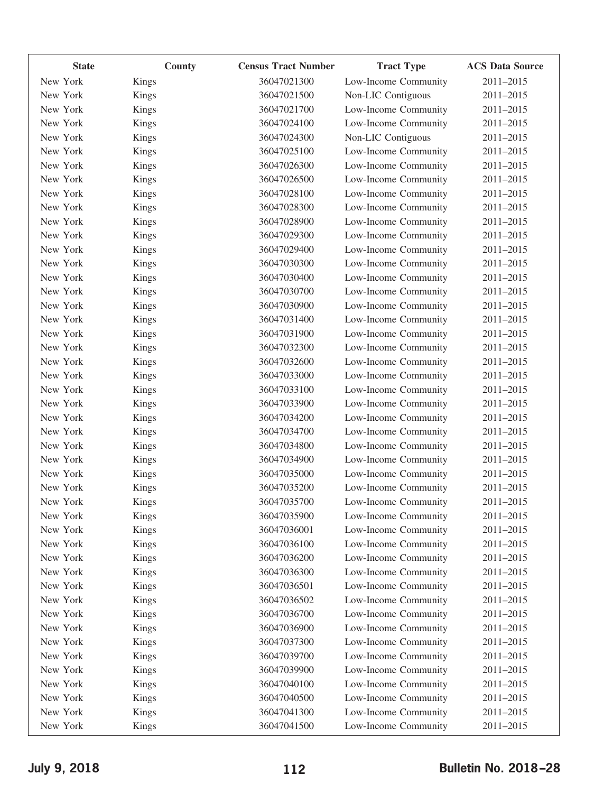| <b>State</b> | County       | <b>Census Tract Number</b> | <b>Tract Type</b>    | <b>ACS Data Source</b> |
|--------------|--------------|----------------------------|----------------------|------------------------|
| New York     | Kings        | 36047021300                | Low-Income Community | 2011-2015              |
| New York     | Kings        | 36047021500                | Non-LIC Contiguous   | 2011-2015              |
| New York     | Kings        | 36047021700                | Low-Income Community | 2011-2015              |
| New York     | Kings        | 36047024100                | Low-Income Community | 2011-2015              |
| New York     | Kings        | 36047024300                | Non-LIC Contiguous   | 2011-2015              |
| New York     | Kings        | 36047025100                | Low-Income Community | 2011-2015              |
| New York     | Kings        | 36047026300                | Low-Income Community | 2011-2015              |
| New York     | Kings        | 36047026500                | Low-Income Community | 2011-2015              |
| New York     | Kings        | 36047028100                | Low-Income Community | 2011-2015              |
| New York     | Kings        | 36047028300                | Low-Income Community | 2011-2015              |
| New York     | Kings        | 36047028900                | Low-Income Community | 2011-2015              |
| New York     | Kings        | 36047029300                | Low-Income Community | 2011-2015              |
| New York     | Kings        | 36047029400                | Low-Income Community | 2011-2015              |
| New York     | Kings        | 36047030300                | Low-Income Community | 2011-2015              |
| New York     | Kings        | 36047030400                | Low-Income Community | 2011-2015              |
| New York     | Kings        | 36047030700                | Low-Income Community | 2011-2015              |
| New York     | Kings        | 36047030900                | Low-Income Community | 2011-2015              |
| New York     | Kings        | 36047031400                | Low-Income Community | 2011-2015              |
| New York     | <b>Kings</b> | 36047031900                | Low-Income Community | 2011-2015              |
| New York     | Kings        | 36047032300                | Low-Income Community | 2011-2015              |
| New York     | Kings        | 36047032600                | Low-Income Community | 2011-2015              |
| New York     | Kings        | 36047033000                | Low-Income Community | 2011-2015              |
| New York     | Kings        | 36047033100                | Low-Income Community | 2011-2015              |
| New York     | Kings        | 36047033900                | Low-Income Community | 2011-2015              |
| New York     | <b>Kings</b> | 36047034200                | Low-Income Community | 2011-2015              |
| New York     | Kings        | 36047034700                | Low-Income Community | 2011-2015              |
| New York     | Kings        | 36047034800                | Low-Income Community | 2011-2015              |
| New York     | <b>Kings</b> | 36047034900                | Low-Income Community | 2011-2015              |
| New York     | Kings        | 36047035000                | Low-Income Community | 2011-2015              |
| New York     | Kings        | 36047035200                | Low-Income Community | 2011-2015              |
| New York     | Kings        | 36047035700                | Low-Income Community | 2011-2015              |
| New York     | Kings        | 36047035900                | Low-Income Community | 2011-2015              |
| New York     | <b>Kings</b> | 36047036001                | Low-Income Community | 2011-2015              |
| New York     | <b>Kings</b> | 36047036100                | Low-Income Community | 2011-2015              |
| New York     | Kings        | 36047036200                | Low-Income Community | 2011-2015              |
| New York     | Kings        | 36047036300                | Low-Income Community | 2011-2015              |
| New York     | <b>Kings</b> | 36047036501                | Low-Income Community | 2011-2015              |
| New York     | Kings        | 36047036502                | Low-Income Community | 2011-2015              |
| New York     | Kings        | 36047036700                | Low-Income Community | 2011-2015              |
| New York     | <b>Kings</b> | 36047036900                | Low-Income Community | 2011-2015              |
| New York     | Kings        | 36047037300                | Low-Income Community | 2011-2015              |
| New York     | Kings        | 36047039700                | Low-Income Community | 2011-2015              |
| New York     | <b>Kings</b> | 36047039900                | Low-Income Community | 2011-2015              |
| New York     | Kings        | 36047040100                | Low-Income Community | 2011-2015              |
| New York     | Kings        | 36047040500                | Low-Income Community | 2011-2015              |
| New York     | <b>Kings</b> | 36047041300                | Low-Income Community | 2011-2015              |
| New York     | Kings        | 36047041500                | Low-Income Community | 2011-2015              |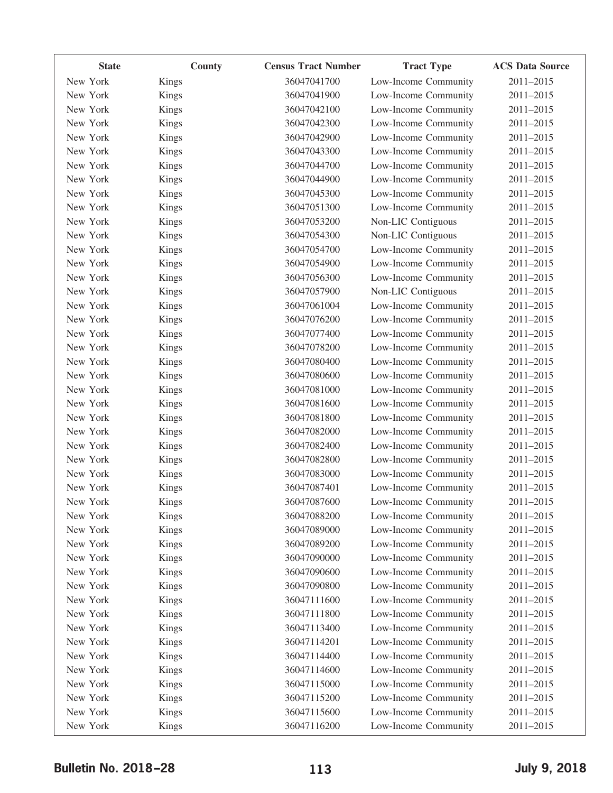| <b>State</b> | County       | <b>Census Tract Number</b> | <b>Tract Type</b>    | <b>ACS Data Source</b> |
|--------------|--------------|----------------------------|----------------------|------------------------|
| New York     | Kings        | 36047041700                | Low-Income Community | 2011-2015              |
| New York     | Kings        | 36047041900                | Low-Income Community | 2011-2015              |
| New York     | Kings        | 36047042100                | Low-Income Community | 2011-2015              |
| New York     | Kings        | 36047042300                | Low-Income Community | 2011-2015              |
| New York     | Kings        | 36047042900                | Low-Income Community | 2011-2015              |
| New York     | Kings        | 36047043300                | Low-Income Community | 2011-2015              |
| New York     | Kings        | 36047044700                | Low-Income Community | 2011-2015              |
| New York     | Kings        | 36047044900                | Low-Income Community | 2011-2015              |
| New York     | Kings        | 36047045300                | Low-Income Community | 2011-2015              |
| New York     | Kings        | 36047051300                | Low-Income Community | 2011-2015              |
| New York     | Kings        | 36047053200                | Non-LIC Contiguous   | 2011-2015              |
| New York     | Kings        | 36047054300                | Non-LIC Contiguous   | 2011-2015              |
| New York     | Kings        | 36047054700                | Low-Income Community | 2011-2015              |
| New York     | Kings        | 36047054900                | Low-Income Community | 2011-2015              |
| New York     | Kings        | 36047056300                | Low-Income Community | 2011-2015              |
| New York     | Kings        | 36047057900                | Non-LIC Contiguous   | 2011-2015              |
| New York     | Kings        | 36047061004                | Low-Income Community | 2011-2015              |
| New York     | Kings        | 36047076200                | Low-Income Community | 2011-2015              |
| New York     | Kings        | 36047077400                | Low-Income Community | 2011-2015              |
| New York     | Kings        | 36047078200                | Low-Income Community | 2011-2015              |
| New York     | Kings        | 36047080400                | Low-Income Community | 2011-2015              |
| New York     | Kings        | 36047080600                | Low-Income Community | 2011-2015              |
| New York     | Kings        | 36047081000                | Low-Income Community | 2011-2015              |
| New York     | Kings        | 36047081600                | Low-Income Community | 2011-2015              |
| New York     | <b>Kings</b> | 36047081800                | Low-Income Community | 2011-2015              |
| New York     | Kings        | 36047082000                | Low-Income Community | 2011-2015              |
| New York     | Kings        | 36047082400                | Low-Income Community | 2011-2015              |
| New York     | <b>Kings</b> | 36047082800                | Low-Income Community | 2011-2015              |
| New York     | Kings        | 36047083000                | Low-Income Community | 2011-2015              |
| New York     | Kings        | 36047087401                | Low-Income Community | 2011-2015              |
| New York     | Kings        | 36047087600                | Low-Income Community | 2011-2015              |
| New York     | <b>Kings</b> | 36047088200                | Low-Income Community | 2011-2015              |
| New York     | Kings        | 36047089000                | Low-Income Community | 2011-2015              |
| New York     | Kings        | 36047089200                | Low-Income Community | 2011-2015              |
| New York     | Kings        | 36047090000                | Low-Income Community | 2011-2015              |
| New York     | Kings        | 36047090600                | Low-Income Community | 2011-2015              |
| New York     | Kings        | 36047090800                | Low-Income Community | 2011-2015              |
| New York     | Kings        | 36047111600                | Low-Income Community | 2011-2015              |
| New York     | Kings        | 36047111800                | Low-Income Community | 2011-2015              |
| New York     | Kings        | 36047113400                | Low-Income Community | 2011-2015              |
| New York     | Kings        | 36047114201                | Low-Income Community | 2011-2015              |
| New York     | Kings        | 36047114400                | Low-Income Community | 2011-2015              |
| New York     | Kings        | 36047114600                | Low-Income Community | 2011-2015              |
| New York     | Kings        | 36047115000                | Low-Income Community | 2011-2015              |
| New York     | Kings        | 36047115200                | Low-Income Community | 2011-2015              |
| New York     | Kings        | 36047115600                | Low-Income Community | 2011-2015              |
| New York     | Kings        | 36047116200                | Low-Income Community | 2011-2015              |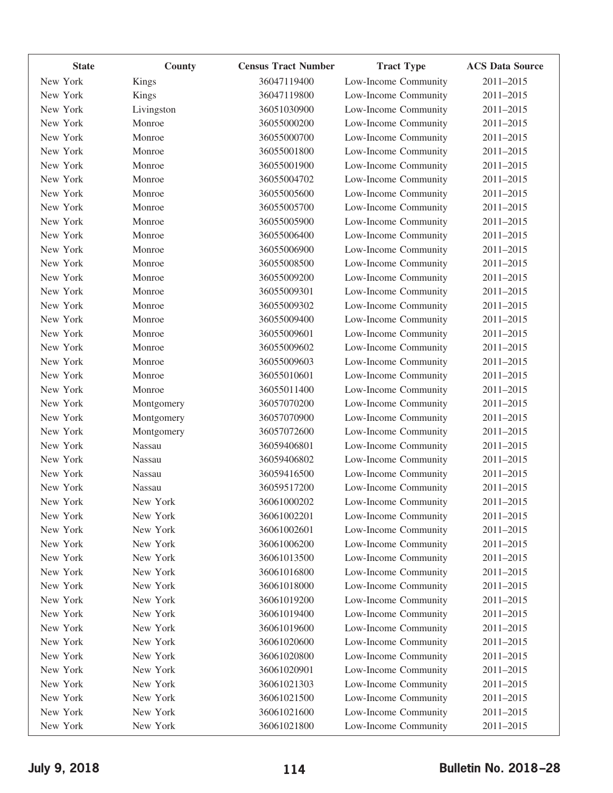| <b>State</b> | County       | <b>Census Tract Number</b> | <b>Tract Type</b>    | <b>ACS Data Source</b> |
|--------------|--------------|----------------------------|----------------------|------------------------|
| New York     | <b>Kings</b> | 36047119400                | Low-Income Community | 2011-2015              |
| New York     | <b>Kings</b> | 36047119800                | Low-Income Community | 2011-2015              |
| New York     | Livingston   | 36051030900                | Low-Income Community | 2011-2015              |
| New York     | Monroe       | 36055000200                | Low-Income Community | 2011-2015              |
| New York     | Monroe       | 36055000700                | Low-Income Community | 2011-2015              |
| New York     | Monroe       | 36055001800                | Low-Income Community | 2011-2015              |
| New York     | Monroe       | 36055001900                | Low-Income Community | 2011-2015              |
| New York     | Monroe       | 36055004702                | Low-Income Community | 2011-2015              |
| New York     | Monroe       | 36055005600                | Low-Income Community | 2011-2015              |
| New York     | Monroe       | 36055005700                | Low-Income Community | 2011-2015              |
| New York     | Monroe       | 36055005900                | Low-Income Community | 2011-2015              |
| New York     | Monroe       | 36055006400                | Low-Income Community | 2011-2015              |
| New York     | Monroe       | 36055006900                | Low-Income Community | 2011-2015              |
| New York     | Monroe       | 36055008500                | Low-Income Community | 2011-2015              |
| New York     | Monroe       | 36055009200                | Low-Income Community | 2011-2015              |
| New York     | Monroe       | 36055009301                | Low-Income Community | 2011-2015              |
| New York     | Monroe       | 36055009302                | Low-Income Community | 2011-2015              |
| New York     | Monroe       | 36055009400                | Low-Income Community | 2011-2015              |
| New York     | Monroe       | 36055009601                | Low-Income Community | 2011-2015              |
| New York     | Monroe       | 36055009602                | Low-Income Community | 2011-2015              |
| New York     | Monroe       | 36055009603                | Low-Income Community | 2011-2015              |
| New York     | Monroe       | 36055010601                | Low-Income Community | 2011-2015              |
| New York     | Monroe       | 36055011400                | Low-Income Community | 2011-2015              |
| New York     | Montgomery   | 36057070200                | Low-Income Community | 2011-2015              |
| New York     | Montgomery   | 36057070900                | Low-Income Community | 2011-2015              |
| New York     | Montgomery   | 36057072600                | Low-Income Community | 2011-2015              |
| New York     | Nassau       | 36059406801                | Low-Income Community | 2011-2015              |
| New York     | Nassau       | 36059406802                | Low-Income Community | 2011-2015              |
| New York     | Nassau       | 36059416500                | Low-Income Community | 2011-2015              |
| New York     | Nassau       | 36059517200                | Low-Income Community | 2011-2015              |
| New York     | New York     | 36061000202                | Low-Income Community | 2011-2015              |
| New York     | New York     | 36061002201                | Low-Income Community | 2011-2015              |
| New York     | New York     | 36061002601                | Low-Income Community | 2011-2015              |
| New York     | New York     | 36061006200                | Low-Income Community | 2011-2015              |
| New York     | New York     | 36061013500                | Low-Income Community | 2011-2015              |
| New York     | New York     | 36061016800                | Low-Income Community | 2011-2015              |
| New York     | New York     | 36061018000                | Low-Income Community | 2011-2015              |
| New York     | New York     | 36061019200                | Low-Income Community | 2011-2015              |
| New York     | New York     | 36061019400                | Low-Income Community | 2011-2015              |
| New York     | New York     | 36061019600                | Low-Income Community | 2011-2015              |
| New York     | New York     | 36061020600                | Low-Income Community | 2011-2015              |
| New York     | New York     | 36061020800                | Low-Income Community | 2011-2015              |
| New York     | New York     | 36061020901                | Low-Income Community | 2011-2015              |
| New York     | New York     | 36061021303                | Low-Income Community | 2011-2015              |
| New York     | New York     | 36061021500                | Low-Income Community | 2011-2015              |
| New York     | New York     | 36061021600                | Low-Income Community | 2011-2015              |
| New York     | New York     | 36061021800                | Low-Income Community | 2011-2015              |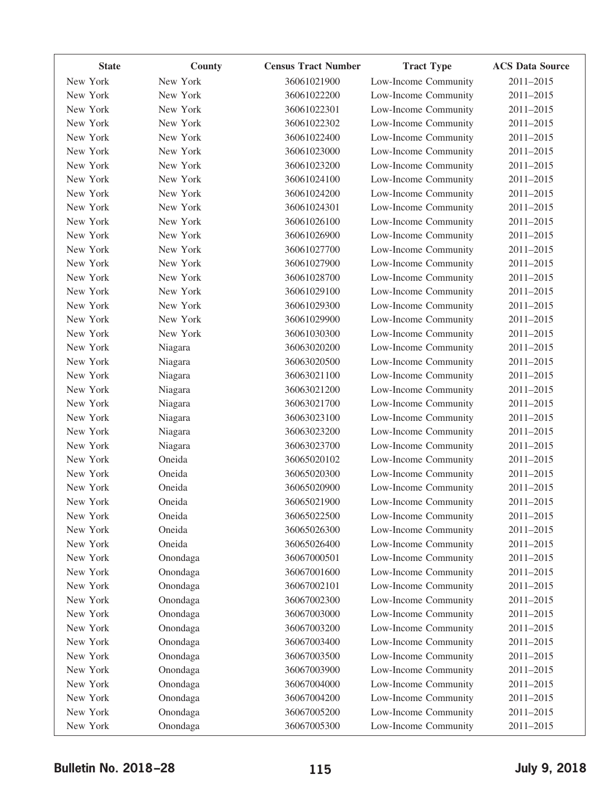| <b>State</b> | County   | <b>Census Tract Number</b> | <b>Tract Type</b>    | <b>ACS Data Source</b> |
|--------------|----------|----------------------------|----------------------|------------------------|
| New York     | New York | 36061021900                | Low-Income Community | 2011-2015              |
| New York     | New York | 36061022200                | Low-Income Community | 2011-2015              |
| New York     | New York | 36061022301                | Low-Income Community | 2011-2015              |
| New York     | New York | 36061022302                | Low-Income Community | 2011-2015              |
| New York     | New York | 36061022400                | Low-Income Community | 2011-2015              |
| New York     | New York | 36061023000                | Low-Income Community | 2011-2015              |
| New York     | New York | 36061023200                | Low-Income Community | 2011-2015              |
| New York     | New York | 36061024100                | Low-Income Community | 2011-2015              |
| New York     | New York | 36061024200                | Low-Income Community | 2011-2015              |
| New York     | New York | 36061024301                | Low-Income Community | 2011-2015              |
| New York     | New York | 36061026100                | Low-Income Community | 2011-2015              |
| New York     | New York | 36061026900                | Low-Income Community | 2011-2015              |
| New York     | New York | 36061027700                | Low-Income Community | 2011-2015              |
| New York     | New York | 36061027900                | Low-Income Community | 2011-2015              |
| New York     | New York | 36061028700                | Low-Income Community | 2011-2015              |
| New York     | New York | 36061029100                | Low-Income Community | 2011-2015              |
| New York     | New York | 36061029300                | Low-Income Community | 2011-2015              |
| New York     | New York | 36061029900                | Low-Income Community | 2011-2015              |
| New York     | New York | 36061030300                | Low-Income Community | 2011-2015              |
| New York     | Niagara  | 36063020200                | Low-Income Community | 2011-2015              |
| New York     | Niagara  | 36063020500                | Low-Income Community | 2011-2015              |
| New York     | Niagara  | 36063021100                | Low-Income Community | 2011-2015              |
| New York     | Niagara  | 36063021200                | Low-Income Community | 2011-2015              |
| New York     | Niagara  | 36063021700                | Low-Income Community | 2011-2015              |
| New York     | Niagara  | 36063023100                | Low-Income Community | 2011-2015              |
| New York     | Niagara  | 36063023200                | Low-Income Community | 2011-2015              |
| New York     | Niagara  | 36063023700                | Low-Income Community | 2011-2015              |
| New York     | Oneida   | 36065020102                | Low-Income Community | 2011-2015              |
| New York     | Oneida   | 36065020300                | Low-Income Community | 2011-2015              |
| New York     | Oneida   | 36065020900                | Low-Income Community | 2011-2015              |
| New York     | Oneida   | 36065021900                | Low-Income Community | 2011-2015              |
| New York     | Oneida   | 36065022500                | Low-Income Community | 2011-2015              |
| New York     | Oneida   | 36065026300                | Low-Income Community | 2011-2015              |
| New York     | Oneida   | 36065026400                | Low-Income Community | 2011-2015              |
| New York     | Onondaga | 36067000501                | Low-Income Community | 2011-2015              |
| New York     | Onondaga | 36067001600                | Low-Income Community | 2011-2015              |
| New York     | Onondaga | 36067002101                | Low-Income Community | 2011-2015              |
| New York     | Onondaga | 36067002300                | Low-Income Community | 2011-2015              |
| New York     | Onondaga | 36067003000                | Low-Income Community | 2011-2015              |
| New York     | Onondaga | 36067003200                | Low-Income Community | 2011-2015              |
| New York     | Onondaga | 36067003400                | Low-Income Community | 2011-2015              |
| New York     | Onondaga | 36067003500                | Low-Income Community | 2011-2015              |
| New York     | Onondaga | 36067003900                | Low-Income Community | 2011-2015              |
| New York     | Onondaga | 36067004000                | Low-Income Community | 2011-2015              |
| New York     | Onondaga | 36067004200                | Low-Income Community | 2011-2015              |
| New York     | Onondaga | 36067005200                | Low-Income Community | 2011-2015              |
| New York     | Onondaga | 36067005300                | Low-Income Community | 2011-2015              |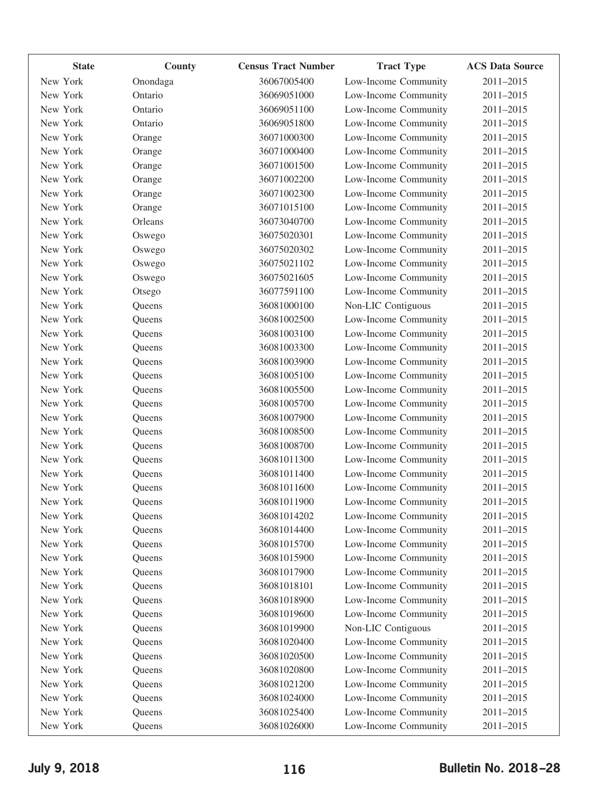| <b>State</b> | County   | <b>Census Tract Number</b> | <b>Tract Type</b>    | <b>ACS Data Source</b> |
|--------------|----------|----------------------------|----------------------|------------------------|
| New York     | Onondaga | 36067005400                | Low-Income Community | 2011-2015              |
| New York     | Ontario  | 36069051000                | Low-Income Community | 2011-2015              |
| New York     | Ontario  | 36069051100                | Low-Income Community | 2011-2015              |
| New York     | Ontario  | 36069051800                | Low-Income Community | 2011-2015              |
| New York     | Orange   | 36071000300                | Low-Income Community | 2011-2015              |
| New York     | Orange   | 36071000400                | Low-Income Community | 2011-2015              |
| New York     | Orange   | 36071001500                | Low-Income Community | 2011-2015              |
| New York     | Orange   | 36071002200                | Low-Income Community | 2011-2015              |
| New York     | Orange   | 36071002300                | Low-Income Community | 2011-2015              |
| New York     | Orange   | 36071015100                | Low-Income Community | 2011-2015              |
| New York     | Orleans  | 36073040700                | Low-Income Community | 2011-2015              |
| New York     | Oswego   | 36075020301                | Low-Income Community | 2011-2015              |
| New York     | Oswego   | 36075020302                | Low-Income Community | 2011-2015              |
| New York     | Oswego   | 36075021102                | Low-Income Community | 2011-2015              |
| New York     | Oswego   | 36075021605                | Low-Income Community | 2011-2015              |
| New York     | Otsego   | 36077591100                | Low-Income Community | 2011-2015              |
| New York     | Queens   | 36081000100                | Non-LIC Contiguous   | 2011-2015              |
| New York     | Queens   | 36081002500                | Low-Income Community | 2011-2015              |
| New York     | Queens   | 36081003100                | Low-Income Community | 2011-2015              |
| New York     | Queens   | 36081003300                | Low-Income Community | 2011-2015              |
| New York     | Queens   | 36081003900                | Low-Income Community | 2011-2015              |
| New York     | Queens   | 36081005100                | Low-Income Community | 2011-2015              |
| New York     | Queens   | 36081005500                | Low-Income Community | 2011-2015              |
| New York     | Queens   | 36081005700                | Low-Income Community | 2011-2015              |
| New York     | Queens   | 36081007900                | Low-Income Community | 2011-2015              |
| New York     | Queens   | 36081008500                | Low-Income Community | 2011-2015              |
| New York     | Queens   | 36081008700                | Low-Income Community | 2011-2015              |
| New York     | Queens   | 36081011300                | Low-Income Community | 2011-2015              |
| New York     | Queens   | 36081011400                | Low-Income Community | 2011-2015              |
| New York     | Queens   | 36081011600                | Low-Income Community | 2011-2015              |
| New York     | Queens   | 36081011900                | Low-Income Community | 2011-2015              |
| New York     | Queens   | 36081014202                | Low-Income Community | 2011-2015              |
| New York     | Queens   | 36081014400                | Low-Income Community | 2011-2015              |
| New York     | Queens   | 36081015700                | Low-Income Community | 2011-2015              |
| New York     | Queens   | 36081015900                | Low-Income Community | 2011-2015              |
| New York     | Queens   | 36081017900                | Low-Income Community | 2011-2015              |
| New York     | Queens   | 36081018101                | Low-Income Community | 2011-2015              |
| New York     | Queens   | 36081018900                | Low-Income Community | 2011-2015              |
| New York     | Queens   | 36081019600                | Low-Income Community | 2011-2015              |
| New York     | Queens   | 36081019900                | Non-LIC Contiguous   | 2011-2015              |
| New York     | Queens   | 36081020400                | Low-Income Community | 2011-2015              |
| New York     | Queens   | 36081020500                | Low-Income Community | 2011-2015              |
| New York     | Queens   | 36081020800                | Low-Income Community | 2011-2015              |
| New York     | Queens   | 36081021200                | Low-Income Community | 2011-2015              |
| New York     | Queens   | 36081024000                | Low-Income Community | 2011-2015              |
| New York     | Queens   | 36081025400                | Low-Income Community | 2011-2015              |
| New York     | Queens   | 36081026000                | Low-Income Community | 2011-2015              |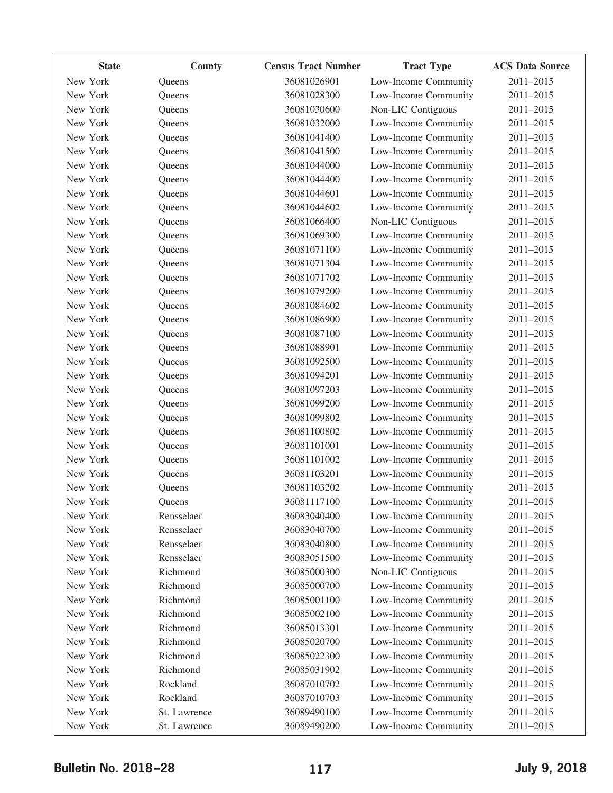| <b>State</b> | County       | <b>Census Tract Number</b> | <b>Tract Type</b>    | <b>ACS Data Source</b> |
|--------------|--------------|----------------------------|----------------------|------------------------|
| New York     | Queens       | 36081026901                | Low-Income Community | 2011-2015              |
| New York     | Queens       | 36081028300                | Low-Income Community | 2011-2015              |
| New York     | Queens       | 36081030600                | Non-LIC Contiguous   | 2011-2015              |
| New York     | Queens       | 36081032000                | Low-Income Community | 2011-2015              |
| New York     | Queens       | 36081041400                | Low-Income Community | 2011-2015              |
| New York     | Queens       | 36081041500                | Low-Income Community | 2011-2015              |
| New York     | Queens       | 36081044000                | Low-Income Community | 2011-2015              |
| New York     | Queens       | 36081044400                | Low-Income Community | 2011-2015              |
| New York     | Queens       | 36081044601                | Low-Income Community | 2011-2015              |
| New York     | Queens       | 36081044602                | Low-Income Community | 2011-2015              |
| New York     | Queens       | 36081066400                | Non-LIC Contiguous   | 2011-2015              |
| New York     | Queens       | 36081069300                | Low-Income Community | 2011-2015              |
| New York     | Queens       | 36081071100                | Low-Income Community | 2011-2015              |
| New York     | Queens       | 36081071304                | Low-Income Community | 2011-2015              |
| New York     | Queens       | 36081071702                | Low-Income Community | 2011-2015              |
| New York     | Queens       | 36081079200                | Low-Income Community | 2011-2015              |
| New York     | Queens       | 36081084602                | Low-Income Community | 2011-2015              |
| New York     | Queens       | 36081086900                | Low-Income Community | 2011-2015              |
| New York     | Queens       | 36081087100                | Low-Income Community | 2011-2015              |
| New York     | Queens       | 36081088901                | Low-Income Community | 2011-2015              |
| New York     | Queens       | 36081092500                | Low-Income Community | 2011-2015              |
| New York     | Queens       | 36081094201                | Low-Income Community | 2011-2015              |
| New York     | Queens       | 36081097203                | Low-Income Community | 2011-2015              |
| New York     | Queens       | 36081099200                | Low-Income Community | 2011-2015              |
| New York     | Queens       | 36081099802                | Low-Income Community | 2011-2015              |
| New York     | Queens       | 36081100802                | Low-Income Community | 2011-2015              |
| New York     | Queens       | 36081101001                | Low-Income Community | 2011-2015              |
| New York     | Queens       | 36081101002                | Low-Income Community | 2011-2015              |
| New York     | Queens       | 36081103201                | Low-Income Community | 2011-2015              |
| New York     | Queens       | 36081103202                | Low-Income Community | 2011-2015              |
| New York     | Queens       | 36081117100                | Low-Income Community | 2011-2015              |
| New York     | Rensselaer   | 36083040400                | Low-Income Community | 2011-2015              |
| New York     | Rensselaer   | 36083040700                | Low-Income Community | 2011-2015              |
| New York     | Rensselaer   | 36083040800                | Low-Income Community | 2011-2015              |
| New York     | Rensselaer   | 36083051500                | Low-Income Community | 2011-2015              |
| New York     | Richmond     | 36085000300                | Non-LIC Contiguous   | 2011-2015              |
| New York     | Richmond     | 36085000700                | Low-Income Community | 2011-2015              |
| New York     | Richmond     | 36085001100                | Low-Income Community | 2011-2015              |
| New York     | Richmond     | 36085002100                | Low-Income Community | 2011-2015              |
| New York     | Richmond     | 36085013301                | Low-Income Community | 2011-2015              |
| New York     | Richmond     | 36085020700                | Low-Income Community | 2011-2015              |
| New York     | Richmond     | 36085022300                | Low-Income Community | 2011-2015              |
| New York     | Richmond     | 36085031902                | Low-Income Community | 2011-2015              |
| New York     | Rockland     | 36087010702                | Low-Income Community | 2011-2015              |
| New York     | Rockland     | 36087010703                | Low-Income Community | 2011-2015              |
| New York     | St. Lawrence | 36089490100                | Low-Income Community | 2011-2015              |
| New York     | St. Lawrence | 36089490200                | Low-Income Community | 2011-2015              |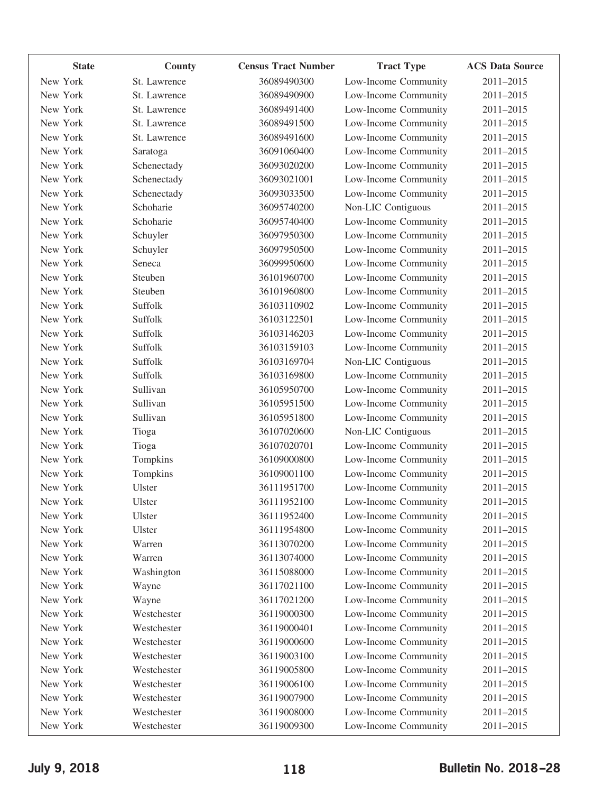| <b>State</b> | <b>County</b> | <b>Census Tract Number</b> | <b>Tract Type</b>    | <b>ACS Data Source</b> |
|--------------|---------------|----------------------------|----------------------|------------------------|
| New York     | St. Lawrence  | 36089490300                | Low-Income Community | 2011-2015              |
| New York     | St. Lawrence  | 36089490900                | Low-Income Community | 2011-2015              |
| New York     | St. Lawrence  | 36089491400                | Low-Income Community | 2011-2015              |
| New York     | St. Lawrence  | 36089491500                | Low-Income Community | 2011-2015              |
| New York     | St. Lawrence  | 36089491600                | Low-Income Community | 2011-2015              |
| New York     | Saratoga      | 36091060400                | Low-Income Community | 2011-2015              |
| New York     | Schenectady   | 36093020200                | Low-Income Community | 2011-2015              |
| New York     | Schenectady   | 36093021001                | Low-Income Community | 2011-2015              |
| New York     | Schenectady   | 36093033500                | Low-Income Community | 2011-2015              |
| New York     | Schoharie     | 36095740200                | Non-LIC Contiguous   | 2011-2015              |
| New York     | Schoharie     | 36095740400                | Low-Income Community | 2011-2015              |
| New York     | Schuyler      | 36097950300                | Low-Income Community | 2011-2015              |
| New York     | Schuyler      | 36097950500                | Low-Income Community | 2011-2015              |
| New York     | Seneca        | 36099950600                | Low-Income Community | 2011-2015              |
| New York     | Steuben       | 36101960700                | Low-Income Community | 2011-2015              |
| New York     | Steuben       | 36101960800                | Low-Income Community | 2011-2015              |
| New York     | Suffolk       | 36103110902                | Low-Income Community | 2011-2015              |
| New York     | Suffolk       | 36103122501                | Low-Income Community | 2011-2015              |
| New York     | Suffolk       | 36103146203                | Low-Income Community | 2011-2015              |
| New York     | Suffolk       | 36103159103                | Low-Income Community | 2011-2015              |
| New York     | Suffolk       | 36103169704                | Non-LIC Contiguous   | 2011-2015              |
| New York     | Suffolk       | 36103169800                | Low-Income Community | 2011-2015              |
| New York     | Sullivan      | 36105950700                | Low-Income Community | 2011-2015              |
| New York     | Sullivan      | 36105951500                | Low-Income Community | 2011-2015              |
| New York     | Sullivan      | 36105951800                | Low-Income Community | 2011-2015              |
| New York     | Tioga         | 36107020600                | Non-LIC Contiguous   | 2011-2015              |
| New York     | Tioga         | 36107020701                | Low-Income Community | 2011-2015              |
| New York     | Tompkins      | 36109000800                | Low-Income Community | 2011-2015              |
| New York     | Tompkins      | 36109001100                | Low-Income Community | 2011-2015              |
| New York     | Ulster        | 36111951700                | Low-Income Community | 2011-2015              |
| New York     | Ulster        | 36111952100                | Low-Income Community | 2011-2015              |
| New York     | <b>Ulster</b> | 36111952400                | Low-Income Community | 2011-2015              |
| New York     | Ulster        | 36111954800                | Low-Income Community | 2011-2015              |
| New York     | Warren        | 36113070200                | Low-Income Community | 2011-2015              |
| New York     | Warren        | 36113074000                | Low-Income Community | 2011-2015              |
| New York     | Washington    | 36115088000                | Low-Income Community | 2011-2015              |
| New York     | Wayne         | 36117021100                | Low-Income Community | 2011-2015              |
| New York     | Wayne         | 36117021200                | Low-Income Community | 2011-2015              |
| New York     | Westchester   | 36119000300                | Low-Income Community | 2011-2015              |
| New York     | Westchester   | 36119000401                | Low-Income Community | 2011-2015              |
| New York     | Westchester   | 36119000600                | Low-Income Community | 2011-2015              |
| New York     | Westchester   | 36119003100                | Low-Income Community | 2011-2015              |
| New York     | Westchester   | 36119005800                | Low-Income Community | 2011-2015              |
| New York     | Westchester   | 36119006100                | Low-Income Community | 2011-2015              |
| New York     | Westchester   | 36119007900                | Low-Income Community | 2011-2015              |
| New York     | Westchester   | 36119008000                | Low-Income Community | 2011-2015              |
| New York     | Westchester   | 36119009300                | Low-Income Community | 2011-2015              |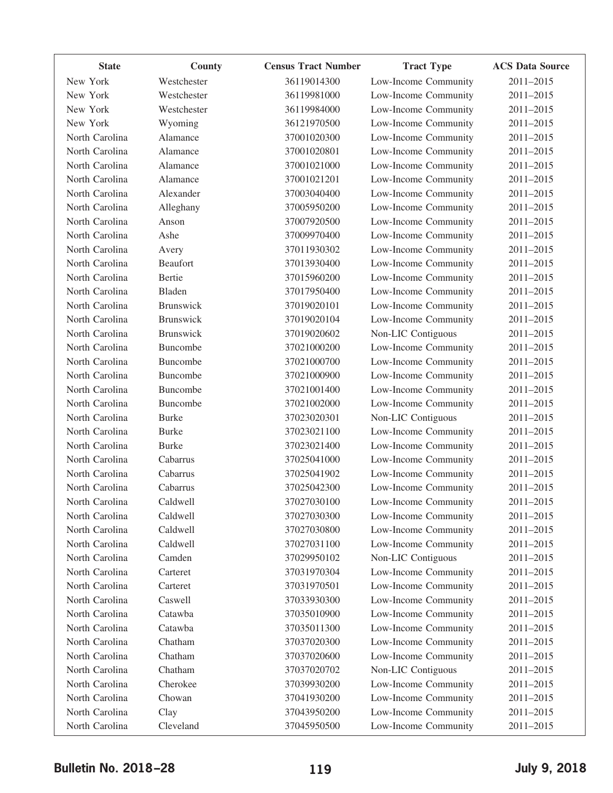| <b>State</b>   | County           | <b>Census Tract Number</b> | <b>Tract Type</b>    | <b>ACS Data Source</b> |
|----------------|------------------|----------------------------|----------------------|------------------------|
| New York       | Westchester      | 36119014300                | Low-Income Community | 2011-2015              |
| New York       | Westchester      | 36119981000                | Low-Income Community | 2011-2015              |
| New York       | Westchester      | 36119984000                | Low-Income Community | 2011-2015              |
| New York       | Wyoming          | 36121970500                | Low-Income Community | 2011-2015              |
| North Carolina | Alamance         | 37001020300                | Low-Income Community | 2011-2015              |
| North Carolina | Alamance         | 37001020801                | Low-Income Community | 2011-2015              |
| North Carolina | Alamance         | 37001021000                | Low-Income Community | 2011-2015              |
| North Carolina | Alamance         | 37001021201                | Low-Income Community | 2011-2015              |
| North Carolina | Alexander        | 37003040400                | Low-Income Community | 2011-2015              |
| North Carolina | Alleghany        | 37005950200                | Low-Income Community | 2011-2015              |
| North Carolina | Anson            | 37007920500                | Low-Income Community | 2011-2015              |
| North Carolina | Ashe             | 37009970400                | Low-Income Community | 2011-2015              |
| North Carolina | Avery            | 37011930302                | Low-Income Community | 2011-2015              |
| North Carolina | <b>Beaufort</b>  | 37013930400                | Low-Income Community | 2011-2015              |
| North Carolina | Bertie           | 37015960200                | Low-Income Community | 2011-2015              |
| North Carolina | Bladen           | 37017950400                | Low-Income Community | 2011-2015              |
| North Carolina | <b>Brunswick</b> | 37019020101                | Low-Income Community | 2011-2015              |
| North Carolina | <b>Brunswick</b> | 37019020104                | Low-Income Community | 2011-2015              |
| North Carolina | <b>Brunswick</b> | 37019020602                | Non-LIC Contiguous   | 2011-2015              |
| North Carolina | Buncombe         | 37021000200                | Low-Income Community | 2011-2015              |
| North Carolina | Buncombe         | 37021000700                | Low-Income Community | 2011-2015              |
| North Carolina | Buncombe         | 37021000900                | Low-Income Community | 2011-2015              |
| North Carolina | Buncombe         | 37021001400                | Low-Income Community | 2011-2015              |
| North Carolina | Buncombe         | 37021002000                | Low-Income Community | 2011-2015              |
| North Carolina | <b>Burke</b>     | 37023020301                | Non-LIC Contiguous   | 2011-2015              |
| North Carolina | <b>Burke</b>     | 37023021100                | Low-Income Community | 2011-2015              |
| North Carolina | <b>Burke</b>     | 37023021400                | Low-Income Community | 2011-2015              |
| North Carolina | Cabarrus         | 37025041000                | Low-Income Community | 2011-2015              |
| North Carolina | Cabarrus         | 37025041902                | Low-Income Community | 2011-2015              |
| North Carolina | Cabarrus         | 37025042300                | Low-Income Community | 2011-2015              |
| North Carolina | Caldwell         | 37027030100                | Low-Income Community | 2011-2015              |
| North Carolina | Caldwell         | 37027030300                | Low-Income Community | 2011-2015              |
| North Carolina | Caldwell         | 37027030800                | Low-Income Community | 2011-2015              |
| North Carolina | Caldwell         | 37027031100                | Low-Income Community | 2011-2015              |
| North Carolina | Camden           | 37029950102                | Non-LIC Contiguous   | 2011-2015              |
| North Carolina | Carteret         | 37031970304                | Low-Income Community | 2011-2015              |
| North Carolina | Carteret         | 37031970501                | Low-Income Community | 2011-2015              |
| North Carolina | Caswell          | 37033930300                | Low-Income Community | 2011-2015              |
| North Carolina | Catawba          | 37035010900                | Low-Income Community | 2011-2015              |
| North Carolina | Catawba          | 37035011300                | Low-Income Community | 2011-2015              |
| North Carolina | Chatham          | 37037020300                | Low-Income Community | 2011-2015              |
| North Carolina | Chatham          | 37037020600                | Low-Income Community | 2011-2015              |
| North Carolina | Chatham          | 37037020702                | Non-LIC Contiguous   | 2011-2015              |
| North Carolina | Cherokee         | 37039930200                | Low-Income Community | 2011-2015              |
| North Carolina | Chowan           | 37041930200                | Low-Income Community | 2011-2015              |
| North Carolina | Clay             | 37043950200                | Low-Income Community | 2011-2015              |
| North Carolina | Cleveland        | 37045950500                | Low-Income Community | 2011-2015              |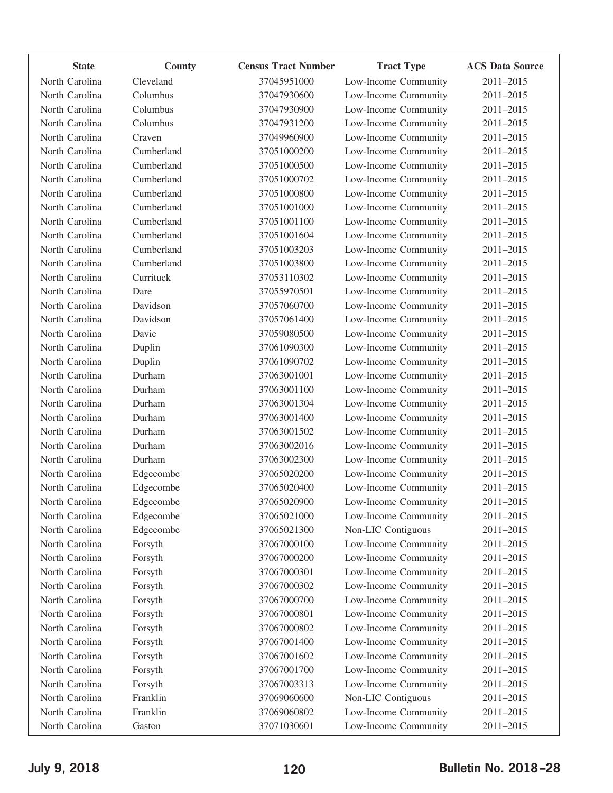| <b>State</b>   | <b>County</b> | <b>Census Tract Number</b> | <b>Tract Type</b>    | <b>ACS Data Source</b> |
|----------------|---------------|----------------------------|----------------------|------------------------|
| North Carolina | Cleveland     | 37045951000                | Low-Income Community | 2011-2015              |
| North Carolina | Columbus      | 37047930600                | Low-Income Community | 2011-2015              |
| North Carolina | Columbus      | 37047930900                | Low-Income Community | 2011-2015              |
| North Carolina | Columbus      | 37047931200                | Low-Income Community | 2011-2015              |
| North Carolina | Craven        | 37049960900                | Low-Income Community | 2011-2015              |
| North Carolina | Cumberland    | 37051000200                | Low-Income Community | 2011-2015              |
| North Carolina | Cumberland    | 37051000500                | Low-Income Community | 2011-2015              |
| North Carolina | Cumberland    | 37051000702                | Low-Income Community | 2011-2015              |
| North Carolina | Cumberland    | 37051000800                | Low-Income Community | 2011-2015              |
| North Carolina | Cumberland    | 37051001000                | Low-Income Community | 2011-2015              |
| North Carolina | Cumberland    | 37051001100                | Low-Income Community | 2011-2015              |
| North Carolina | Cumberland    | 37051001604                | Low-Income Community | 2011-2015              |
| North Carolina | Cumberland    | 37051003203                | Low-Income Community | 2011-2015              |
| North Carolina | Cumberland    | 37051003800                | Low-Income Community | 2011-2015              |
| North Carolina | Currituck     | 37053110302                | Low-Income Community | 2011-2015              |
| North Carolina | Dare          | 37055970501                | Low-Income Community | 2011-2015              |
| North Carolina | Davidson      | 37057060700                | Low-Income Community | 2011-2015              |
| North Carolina | Davidson      | 37057061400                | Low-Income Community | 2011-2015              |
| North Carolina | Davie         | 37059080500                | Low-Income Community | 2011-2015              |
| North Carolina | Duplin        | 37061090300                | Low-Income Community | 2011-2015              |
| North Carolina | Duplin        | 37061090702                | Low-Income Community | 2011-2015              |
| North Carolina | Durham        | 37063001001                | Low-Income Community | 2011-2015              |
| North Carolina | Durham        | 37063001100                | Low-Income Community | 2011-2015              |
| North Carolina | Durham        | 37063001304                | Low-Income Community | 2011-2015              |
| North Carolina | Durham        | 37063001400                | Low-Income Community | 2011-2015              |
| North Carolina | Durham        | 37063001502                | Low-Income Community | 2011-2015              |
| North Carolina | Durham        | 37063002016                | Low-Income Community | 2011-2015              |
| North Carolina | Durham        | 37063002300                | Low-Income Community | 2011-2015              |
| North Carolina | Edgecombe     | 37065020200                | Low-Income Community | 2011-2015              |
| North Carolina | Edgecombe     | 37065020400                | Low-Income Community | 2011-2015              |
| North Carolina | Edgecombe     | 37065020900                | Low-Income Community | 2011-2015              |
| North Carolina | Edgecombe     | 37065021000                | Low-Income Community | 2011-2015              |
| North Carolina | Edgecombe     | 37065021300                | Non-LIC Contiguous   | 2011-2015              |
| North Carolina | Forsyth       | 37067000100                | Low-Income Community | 2011-2015              |
| North Carolina | Forsyth       | 37067000200                | Low-Income Community | 2011-2015              |
| North Carolina | Forsyth       | 37067000301                | Low-Income Community | 2011-2015              |
| North Carolina | Forsyth       | 37067000302                | Low-Income Community | 2011-2015              |
| North Carolina | Forsyth       | 37067000700                | Low-Income Community | 2011-2015              |
| North Carolina | Forsyth       | 37067000801                | Low-Income Community | 2011-2015              |
| North Carolina | Forsyth       | 37067000802                | Low-Income Community | 2011-2015              |
| North Carolina | Forsyth       | 37067001400                | Low-Income Community | 2011-2015              |
| North Carolina | Forsyth       | 37067001602                | Low-Income Community | 2011-2015              |
| North Carolina | Forsyth       | 37067001700                | Low-Income Community | 2011-2015              |
| North Carolina | Forsyth       | 37067003313                | Low-Income Community | 2011-2015              |
| North Carolina | Franklin      | 37069060600                | Non-LIC Contiguous   | 2011-2015              |
| North Carolina | Franklin      | 37069060802                | Low-Income Community | 2011-2015              |
| North Carolina | Gaston        | 37071030601                | Low-Income Community | 2011-2015              |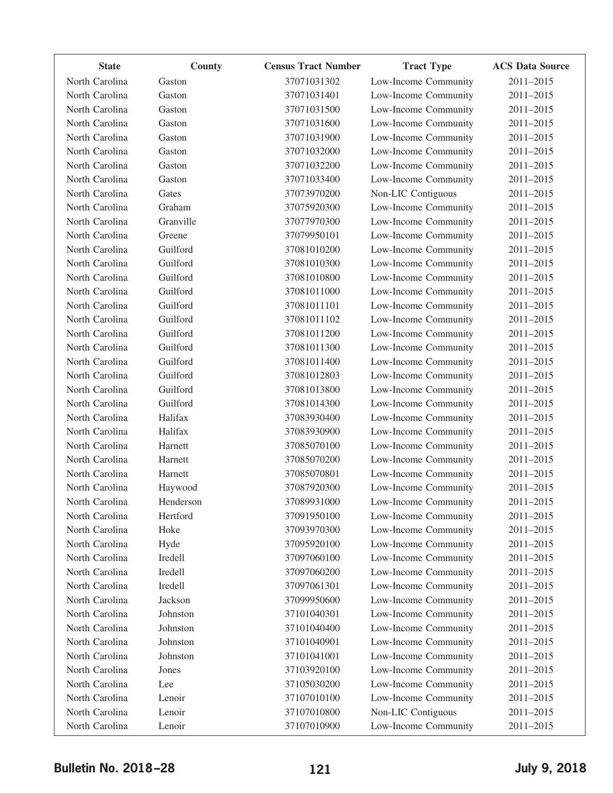| <b>State</b>   | County    | <b>Census Tract Number</b> | <b>Tract Type</b>    | <b>ACS Data Source</b> |
|----------------|-----------|----------------------------|----------------------|------------------------|
| North Carolina | Gaston    | 37071031302                | Low-Income Community | 2011-2015              |
| North Carolina | Gaston    | 37071031401                | Low-Income Community | 2011-2015              |
| North Carolina | Gaston    | 37071031500                | Low-Income Community | 2011-2015              |
| North Carolina | Gaston    | 37071031600                | Low-Income Community | 2011-2015              |
| North Carolina | Gaston    | 37071031900                | Low-Income Community | 2011-2015              |
| North Carolina | Gaston    | 37071032000                | Low-Income Community | 2011-2015              |
| North Carolina | Gaston    | 37071032200                | Low-Income Community | 2011-2015              |
| North Carolina | Gaston    | 37071033400                | Low-Income Community | 2011-2015              |
| North Carolina | Gates     | 37073970200                | Non-LIC Contiguous   | 2011-2015              |
| North Carolina | Graham    | 37075920300                | Low-Income Community | 2011-2015              |
| North Carolina | Granville | 37077970300                | Low-Income Community | 2011-2015              |
| North Carolina | Greene    | 37079950101                | Low-Income Community | 2011-2015              |
| North Carolina | Guilford  | 37081010200                | Low-Income Community | 2011-2015              |
| North Carolina | Guilford  | 37081010300                | Low-Income Community | 2011-2015              |
| North Carolina | Guilford  | 37081010800                | Low-Income Community | 2011-2015              |
| North Carolina | Guilford  | 37081011000                | Low-Income Community | 2011-2015              |
| North Carolina | Guilford  | 37081011101                | Low-Income Community | 2011-2015              |
| North Carolina | Guilford  | 37081011102                | Low-Income Community | 2011-2015              |
| North Carolina | Guilford  | 37081011200                | Low-Income Community | 2011-2015              |
| North Carolina | Guilford  | 37081011300                | Low-Income Community | 2011-2015              |
| North Carolina | Guilford  | 37081011400                | Low-Income Community | 2011-2015              |
| North Carolina | Guilford  | 37081012803                | Low-Income Community | 2011-2015              |
| North Carolina | Guilford  | 37081013800                | Low-Income Community | 2011-2015              |
| North Carolina | Guilford  | 37081014300                | Low-Income Community | 2011-2015              |
| North Carolina | Halifax   | 37083930400                | Low-Income Community | 2011-2015              |
| North Carolina | Halifax   | 37083930900                | Low-Income Community | 2011-2015              |
| North Carolina | Harnett   | 37085070100                | Low-Income Community | 2011-2015              |
| North Carolina | Harnett   | 37085070200                | Low-Income Community | 2011-2015              |
| North Carolina | Harnett   | 37085070801                | Low-Income Community | 2011-2015              |
| North Carolina | Haywood   | 37087920300                | Low-Income Community | 2011-2015              |
| North Carolina | Henderson | 37089931000                | Low-Income Community | 2011-2015              |
| North Carolina | Hertford  | 37091950100                | Low-Income Community | 2011-2015              |
| North Carolina | Hoke      | 37093970300                | Low-Income Community | 2011-2015              |
| North Carolina | Hyde      | 37095920100                | Low-Income Community | 2011-2015              |
| North Carolina | Iredell   | 37097060100                | Low-Income Community | 2011-2015              |
| North Carolina | Iredell   | 37097060200                | Low-Income Community | 2011-2015              |
| North Carolina | Iredell   | 37097061301                | Low-Income Community | 2011-2015              |
| North Carolina | Jackson   | 37099950600                | Low-Income Community | 2011-2015              |
| North Carolina | Johnston  | 37101040301                | Low-Income Community | 2011-2015              |
| North Carolina | Johnston  | 37101040400                | Low-Income Community | 2011-2015              |
| North Carolina | Johnston  | 37101040901                | Low-Income Community | 2011-2015              |
| North Carolina | Johnston  | 37101041001                | Low-Income Community | 2011-2015              |
| North Carolina | Jones     | 37103920100                | Low-Income Community | 2011-2015              |
| North Carolina | Lee       | 37105030200                | Low-Income Community | 2011-2015              |
| North Carolina | Lenoir    | 37107010100                | Low-Income Community | 2011-2015              |
| North Carolina | Lenoir    | 37107010800                | Non-LIC Contiguous   | 2011-2015              |
| North Carolina | Lenoir    | 37107010900                | Low-Income Community | $2011 - 2015$          |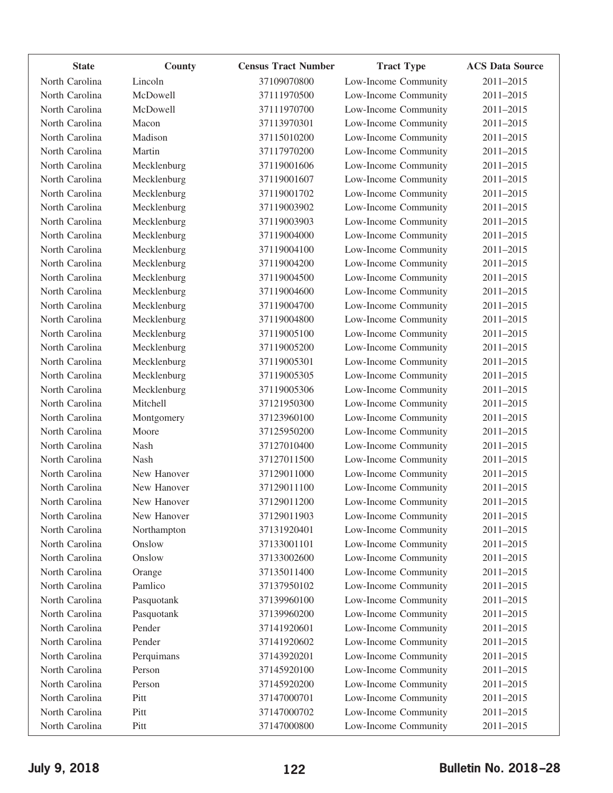| <b>State</b>   | County      | <b>Census Tract Number</b> | <b>Tract Type</b>    | <b>ACS Data Source</b> |
|----------------|-------------|----------------------------|----------------------|------------------------|
| North Carolina | Lincoln     | 37109070800                | Low-Income Community | 2011-2015              |
| North Carolina | McDowell    | 37111970500                | Low-Income Community | 2011-2015              |
| North Carolina | McDowell    | 37111970700                | Low-Income Community | 2011-2015              |
| North Carolina | Macon       | 37113970301                | Low-Income Community | 2011-2015              |
| North Carolina | Madison     | 37115010200                | Low-Income Community | 2011-2015              |
| North Carolina | Martin      | 37117970200                | Low-Income Community | 2011-2015              |
| North Carolina | Mecklenburg | 37119001606                | Low-Income Community | 2011-2015              |
| North Carolina | Mecklenburg | 37119001607                | Low-Income Community | 2011-2015              |
| North Carolina | Mecklenburg | 37119001702                | Low-Income Community | 2011-2015              |
| North Carolina | Mecklenburg | 37119003902                | Low-Income Community | 2011-2015              |
| North Carolina | Mecklenburg | 37119003903                | Low-Income Community | 2011-2015              |
| North Carolina | Mecklenburg | 37119004000                | Low-Income Community | 2011-2015              |
| North Carolina | Mecklenburg | 37119004100                | Low-Income Community | 2011-2015              |
| North Carolina | Mecklenburg | 37119004200                | Low-Income Community | 2011-2015              |
| North Carolina | Mecklenburg | 37119004500                | Low-Income Community | 2011-2015              |
| North Carolina | Mecklenburg | 37119004600                | Low-Income Community | 2011-2015              |
| North Carolina | Mecklenburg | 37119004700                | Low-Income Community | 2011-2015              |
| North Carolina | Mecklenburg | 37119004800                | Low-Income Community | 2011-2015              |
| North Carolina | Mecklenburg | 37119005100                | Low-Income Community | 2011-2015              |
| North Carolina | Mecklenburg | 37119005200                | Low-Income Community | 2011-2015              |
| North Carolina | Mecklenburg | 37119005301                | Low-Income Community | 2011-2015              |
| North Carolina | Mecklenburg | 37119005305                | Low-Income Community | 2011-2015              |
| North Carolina | Mecklenburg | 37119005306                | Low-Income Community | 2011-2015              |
| North Carolina | Mitchell    | 37121950300                | Low-Income Community | 2011-2015              |
| North Carolina | Montgomery  | 37123960100                | Low-Income Community | 2011-2015              |
| North Carolina | Moore       | 37125950200                | Low-Income Community | 2011-2015              |
| North Carolina | Nash        | 37127010400                | Low-Income Community | 2011-2015              |
| North Carolina | Nash        | 37127011500                | Low-Income Community | 2011-2015              |
| North Carolina | New Hanover | 37129011000                | Low-Income Community | 2011-2015              |
| North Carolina | New Hanover | 37129011100                | Low-Income Community | 2011-2015              |
| North Carolina | New Hanover | 37129011200                | Low-Income Community | 2011-2015              |
| North Carolina | New Hanover | 37129011903                | Low-Income Community | 2011-2015              |
| North Carolina | Northampton | 37131920401                | Low-Income Community | 2011-2015              |
| North Carolina | Onslow      | 37133001101                | Low-Income Community | 2011-2015              |
| North Carolina | Onslow      | 37133002600                | Low-Income Community | 2011-2015              |
| North Carolina | Orange      | 37135011400                | Low-Income Community | 2011-2015              |
| North Carolina | Pamlico     | 37137950102                | Low-Income Community | 2011-2015              |
| North Carolina | Pasquotank  | 37139960100                | Low-Income Community | 2011-2015              |
| North Carolina | Pasquotank  | 37139960200                | Low-Income Community | 2011-2015              |
| North Carolina | Pender      | 37141920601                | Low-Income Community | 2011-2015              |
| North Carolina | Pender      | 37141920602                | Low-Income Community | 2011-2015              |
| North Carolina | Perquimans  | 37143920201                | Low-Income Community | 2011-2015              |
| North Carolina | Person      | 37145920100                | Low-Income Community | 2011-2015              |
| North Carolina | Person      | 37145920200                | Low-Income Community | 2011-2015              |
| North Carolina | Pitt        | 37147000701                | Low-Income Community | 2011-2015              |
| North Carolina | Pitt        | 37147000702                | Low-Income Community | 2011-2015              |
| North Carolina | Pitt        | 37147000800                | Low-Income Community | 2011-2015              |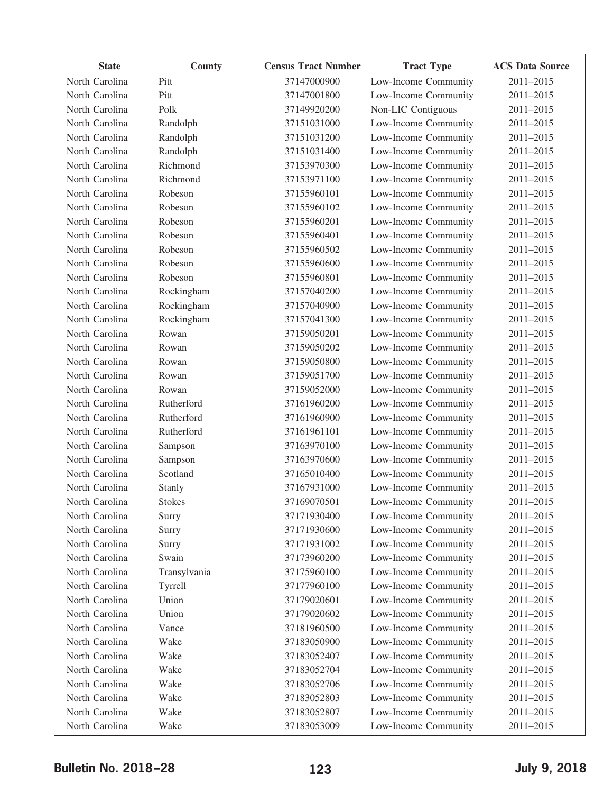| <b>State</b>   | County        | <b>Census Tract Number</b> | <b>Tract Type</b>    | <b>ACS Data Source</b> |
|----------------|---------------|----------------------------|----------------------|------------------------|
| North Carolina | Pitt          | 37147000900                | Low-Income Community | 2011-2015              |
| North Carolina | Pitt          | 37147001800                | Low-Income Community | 2011-2015              |
| North Carolina | Polk          | 37149920200                | Non-LIC Contiguous   | 2011-2015              |
| North Carolina | Randolph      | 37151031000                | Low-Income Community | 2011-2015              |
| North Carolina | Randolph      | 37151031200                | Low-Income Community | 2011-2015              |
| North Carolina | Randolph      | 37151031400                | Low-Income Community | 2011-2015              |
| North Carolina | Richmond      | 37153970300                | Low-Income Community | 2011-2015              |
| North Carolina | Richmond      | 37153971100                | Low-Income Community | 2011-2015              |
| North Carolina | Robeson       | 37155960101                | Low-Income Community | 2011-2015              |
| North Carolina | Robeson       | 37155960102                | Low-Income Community | 2011-2015              |
| North Carolina | Robeson       | 37155960201                | Low-Income Community | 2011-2015              |
| North Carolina | Robeson       | 37155960401                | Low-Income Community | 2011-2015              |
| North Carolina | Robeson       | 37155960502                | Low-Income Community | 2011-2015              |
| North Carolina | Robeson       | 37155960600                | Low-Income Community | 2011-2015              |
| North Carolina | Robeson       | 37155960801                | Low-Income Community | 2011-2015              |
| North Carolina | Rockingham    | 37157040200                | Low-Income Community | 2011-2015              |
| North Carolina | Rockingham    | 37157040900                | Low-Income Community | 2011-2015              |
| North Carolina | Rockingham    | 37157041300                | Low-Income Community | 2011-2015              |
| North Carolina | Rowan         | 37159050201                | Low-Income Community | 2011-2015              |
| North Carolina | Rowan         | 37159050202                | Low-Income Community | 2011-2015              |
| North Carolina | Rowan         | 37159050800                | Low-Income Community | 2011-2015              |
| North Carolina | Rowan         | 37159051700                | Low-Income Community | 2011-2015              |
| North Carolina | Rowan         | 37159052000                | Low-Income Community | 2011-2015              |
| North Carolina | Rutherford    | 37161960200                | Low-Income Community | 2011-2015              |
| North Carolina | Rutherford    | 37161960900                | Low-Income Community | 2011-2015              |
| North Carolina | Rutherford    | 37161961101                | Low-Income Community | 2011-2015              |
| North Carolina | Sampson       | 37163970100                | Low-Income Community | 2011-2015              |
| North Carolina | Sampson       | 37163970600                | Low-Income Community | 2011-2015              |
| North Carolina | Scotland      | 37165010400                | Low-Income Community | 2011-2015              |
| North Carolina | Stanly        | 37167931000                | Low-Income Community | 2011-2015              |
| North Carolina | <b>Stokes</b> | 37169070501                | Low-Income Community | 2011-2015              |
| North Carolina | Surry         | 37171930400                | Low-Income Community | 2011-2015              |
| North Carolina | Surry         | 37171930600                | Low-Income Community | 2011-2015              |
| North Carolina | Surry         | 37171931002                | Low-Income Community | 2011-2015              |
| North Carolina | Swain         | 37173960200                | Low-Income Community | 2011-2015              |
| North Carolina | Transylvania  | 37175960100                | Low-Income Community | 2011-2015              |
| North Carolina | Tyrrell       | 37177960100                | Low-Income Community | 2011-2015              |
| North Carolina | Union         | 37179020601                | Low-Income Community | 2011-2015              |
| North Carolina | Union         | 37179020602                | Low-Income Community | 2011-2015              |
| North Carolina | Vance         | 37181960500                | Low-Income Community | 2011-2015              |
| North Carolina | Wake          | 37183050900                | Low-Income Community | 2011-2015              |
| North Carolina | Wake          | 37183052407                | Low-Income Community | 2011-2015              |
| North Carolina | Wake          | 37183052704                | Low-Income Community | 2011-2015              |
| North Carolina | Wake          | 37183052706                | Low-Income Community | 2011-2015              |
| North Carolina | Wake          | 37183052803                | Low-Income Community | 2011-2015              |
| North Carolina | Wake          | 37183052807                | Low-Income Community | 2011-2015              |
| North Carolina | Wake          | 37183053009                | Low-Income Community | 2011-2015              |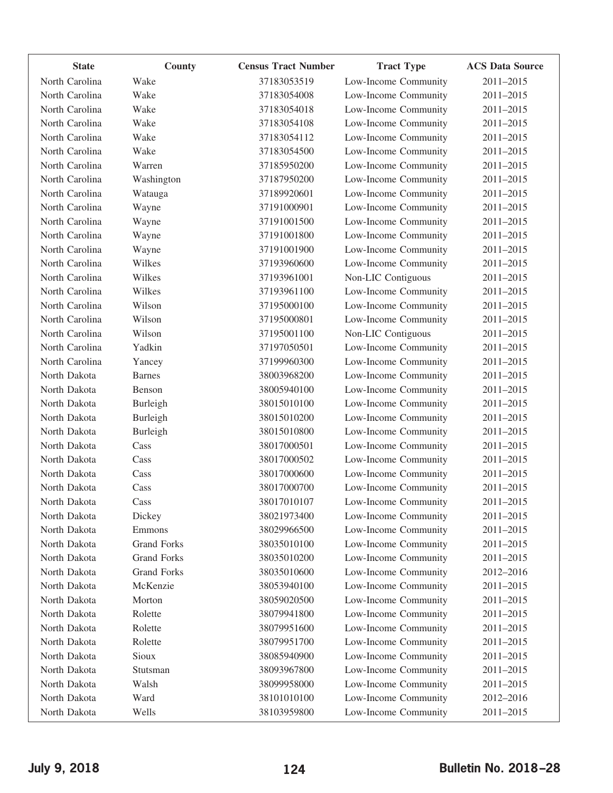| <b>State</b>   | County             | <b>Census Tract Number</b> | <b>Tract Type</b>    | <b>ACS Data Source</b> |
|----------------|--------------------|----------------------------|----------------------|------------------------|
| North Carolina | Wake               | 37183053519                | Low-Income Community | 2011-2015              |
| North Carolina | Wake               | 37183054008                | Low-Income Community | 2011-2015              |
| North Carolina | Wake               | 37183054018                | Low-Income Community | 2011-2015              |
| North Carolina | Wake               | 37183054108                | Low-Income Community | 2011-2015              |
| North Carolina | Wake               | 37183054112                | Low-Income Community | 2011-2015              |
| North Carolina | Wake               | 37183054500                | Low-Income Community | 2011-2015              |
| North Carolina | Warren             | 37185950200                | Low-Income Community | 2011-2015              |
| North Carolina | Washington         | 37187950200                | Low-Income Community | 2011-2015              |
| North Carolina | Watauga            | 37189920601                | Low-Income Community | 2011-2015              |
| North Carolina | Wayne              | 37191000901                | Low-Income Community | 2011-2015              |
| North Carolina | Wayne              | 37191001500                | Low-Income Community | 2011-2015              |
| North Carolina | Wayne              | 37191001800                | Low-Income Community | 2011-2015              |
| North Carolina | Wayne              | 37191001900                | Low-Income Community | 2011-2015              |
| North Carolina | Wilkes             | 37193960600                | Low-Income Community | 2011-2015              |
| North Carolina | Wilkes             | 37193961001                | Non-LIC Contiguous   | 2011-2015              |
| North Carolina | Wilkes             | 37193961100                | Low-Income Community | 2011-2015              |
| North Carolina | Wilson             | 37195000100                | Low-Income Community | 2011-2015              |
| North Carolina | Wilson             | 37195000801                | Low-Income Community | 2011-2015              |
| North Carolina | Wilson             | 37195001100                | Non-LIC Contiguous   | 2011-2015              |
| North Carolina | Yadkin             | 37197050501                | Low-Income Community | 2011-2015              |
| North Carolina | Yancey             | 37199960300                | Low-Income Community | 2011-2015              |
| North Dakota   | <b>Barnes</b>      | 38003968200                | Low-Income Community | 2011-2015              |
| North Dakota   | Benson             | 38005940100                | Low-Income Community | 2011-2015              |
| North Dakota   | Burleigh           | 38015010100                | Low-Income Community | 2011-2015              |
| North Dakota   | Burleigh           | 38015010200                | Low-Income Community | 2011-2015              |
| North Dakota   | Burleigh           | 38015010800                | Low-Income Community | 2011-2015              |
| North Dakota   | Cass               | 38017000501                | Low-Income Community | 2011-2015              |
| North Dakota   | Cass               | 38017000502                | Low-Income Community | 2011-2015              |
| North Dakota   | Cass               | 38017000600                | Low-Income Community | 2011-2015              |
| North Dakota   | Cass               | 38017000700                | Low-Income Community | 2011-2015              |
| North Dakota   | Cass               | 38017010107                | Low-Income Community | $2011 - 2015$          |
| North Dakota   | Dickey             | 38021973400                | Low-Income Community | 2011-2015              |
| North Dakota   | Emmons             | 38029966500                | Low-Income Community | 2011-2015              |
| North Dakota   | <b>Grand Forks</b> | 38035010100                | Low-Income Community | 2011-2015              |
| North Dakota   | <b>Grand Forks</b> | 38035010200                | Low-Income Community | 2011-2015              |
| North Dakota   | <b>Grand Forks</b> | 38035010600                | Low-Income Community | 2012-2016              |
| North Dakota   | McKenzie           | 38053940100                | Low-Income Community | 2011-2015              |
| North Dakota   | Morton             | 38059020500                | Low-Income Community | 2011-2015              |
| North Dakota   | Rolette            | 38079941800                | Low-Income Community | 2011-2015              |
| North Dakota   | Rolette            | 38079951600                | Low-Income Community | 2011-2015              |
| North Dakota   | Rolette            | 38079951700                | Low-Income Community | 2011-2015              |
| North Dakota   | Sioux              | 38085940900                | Low-Income Community | 2011-2015              |
| North Dakota   | Stutsman           | 38093967800                | Low-Income Community | 2011-2015              |
| North Dakota   | Walsh              | 38099958000                | Low-Income Community | 2011-2015              |
| North Dakota   | Ward               | 38101010100                | Low-Income Community | 2012-2016              |
| North Dakota   | Wells              | 38103959800                | Low-Income Community | 2011-2015              |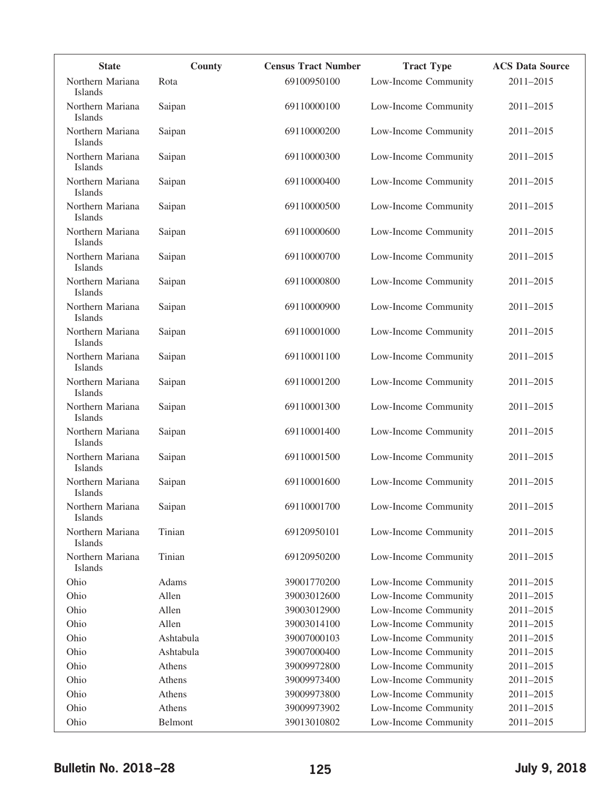| <b>State</b>                       | <b>County</b> | <b>Census Tract Number</b> | <b>Tract Type</b>    | <b>ACS Data Source</b> |
|------------------------------------|---------------|----------------------------|----------------------|------------------------|
| Northern Mariana                   | Rota          | 69100950100                | Low-Income Community | 2011-2015              |
| <b>Islands</b>                     |               |                            |                      |                        |
| Northern Mariana<br><b>Islands</b> | Saipan        | 69110000100                | Low-Income Community | 2011-2015              |
| Northern Mariana<br>Islands        | Saipan        | 69110000200                | Low-Income Community | 2011-2015              |
| Northern Mariana<br>Islands        | Saipan        | 69110000300                | Low-Income Community | 2011-2015              |
| Northern Mariana<br>Islands        | Saipan        | 69110000400                | Low-Income Community | 2011-2015              |
| Northern Mariana<br><b>Islands</b> | Saipan        | 69110000500                | Low-Income Community | 2011-2015              |
| Northern Mariana<br>Islands        | Saipan        | 69110000600                | Low-Income Community | 2011-2015              |
| Northern Mariana<br><b>Islands</b> | Saipan        | 69110000700                | Low-Income Community | 2011-2015              |
| Northern Mariana<br><b>Islands</b> | Saipan        | 69110000800                | Low-Income Community | 2011-2015              |
| Northern Mariana<br>Islands        | Saipan        | 69110000900                | Low-Income Community | 2011-2015              |
| Northern Mariana<br>Islands        | Saipan        | 69110001000                | Low-Income Community | 2011-2015              |
| Northern Mariana<br>Islands        | Saipan        | 69110001100                | Low-Income Community | 2011-2015              |
| Northern Mariana<br>Islands        | Saipan        | 69110001200                | Low-Income Community | 2011-2015              |
| Northern Mariana<br><b>Islands</b> | Saipan        | 69110001300                | Low-Income Community | 2011-2015              |
| Northern Mariana<br><b>Islands</b> | Saipan        | 69110001400                | Low-Income Community | 2011-2015              |
| Northern Mariana<br>Islands        | Saipan        | 69110001500                | Low-Income Community | 2011-2015              |
| Northern Mariana<br><b>Islands</b> | Saipan        | 69110001600                | Low-Income Community | 2011-2015              |
| Northern Mariana<br>Islands        | Saipan        | 69110001700                | Low-Income Community | $2011 - 2015$          |
| Northern Mariana<br>Islands        | Tinian        | 69120950101                | Low-Income Community | 2011-2015              |
| Northern Mariana<br>Islands        | Tinian        | 69120950200                | Low-Income Community | 2011-2015              |
| Ohio                               | Adams         | 39001770200                | Low-Income Community | 2011-2015              |
| Ohio                               | Allen         | 39003012600                | Low-Income Community | 2011-2015              |
| Ohio                               | Allen         | 39003012900                | Low-Income Community | 2011-2015              |
| Ohio                               | Allen         | 39003014100                | Low-Income Community | 2011-2015              |
| Ohio                               | Ashtabula     | 39007000103                | Low-Income Community | 2011-2015              |
| Ohio                               | Ashtabula     | 39007000400                | Low-Income Community | 2011-2015              |
| Ohio                               | Athens        | 39009972800                | Low-Income Community | 2011-2015              |
| Ohio                               | Athens        | 39009973400                | Low-Income Community | 2011-2015              |
| Ohio                               | Athens        | 39009973800                | Low-Income Community | 2011-2015              |
| Ohio                               | Athens        | 39009973902                | Low-Income Community | 2011-2015              |
| Ohio                               | Belmont       | 39013010802                | Low-Income Community | 2011-2015              |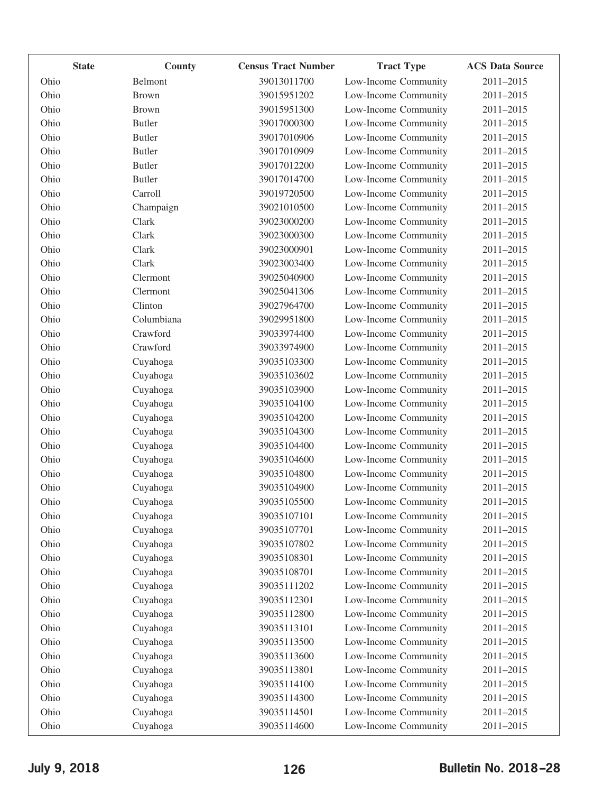| <b>State</b> | County        | <b>Census Tract Number</b> | <b>Tract Type</b>    | <b>ACS Data Source</b> |
|--------------|---------------|----------------------------|----------------------|------------------------|
| Ohio         | Belmont       | 39013011700                | Low-Income Community | 2011-2015              |
| Ohio         | <b>Brown</b>  | 39015951202                | Low-Income Community | 2011-2015              |
| Ohio         | <b>Brown</b>  | 39015951300                | Low-Income Community | 2011-2015              |
| Ohio         | <b>Butler</b> | 39017000300                | Low-Income Community | 2011-2015              |
| Ohio         | <b>Butler</b> | 39017010906                | Low-Income Community | 2011-2015              |
| Ohio         | <b>Butler</b> | 39017010909                | Low-Income Community | 2011-2015              |
| Ohio         | <b>Butler</b> | 39017012200                | Low-Income Community | 2011-2015              |
| Ohio         | <b>Butler</b> | 39017014700                | Low-Income Community | 2011-2015              |
| Ohio         | Carroll       | 39019720500                | Low-Income Community | 2011-2015              |
| Ohio         | Champaign     | 39021010500                | Low-Income Community | 2011-2015              |
| Ohio         | Clark         | 39023000200                | Low-Income Community | 2011-2015              |
| Ohio         | Clark         | 39023000300                | Low-Income Community | 2011-2015              |
| Ohio         | Clark         | 39023000901                | Low-Income Community | 2011-2015              |
| Ohio         | Clark         | 39023003400                | Low-Income Community | 2011-2015              |
| Ohio         | Clermont      | 39025040900                | Low-Income Community | 2011-2015              |
| Ohio         | Clermont      | 39025041306                | Low-Income Community | 2011-2015              |
| Ohio         | Clinton       | 39027964700                | Low-Income Community | 2011-2015              |
| Ohio         | Columbiana    | 39029951800                | Low-Income Community | 2011-2015              |
| Ohio         | Crawford      | 39033974400                | Low-Income Community | 2011-2015              |
| Ohio         | Crawford      | 39033974900                | Low-Income Community | 2011-2015              |
| Ohio         | Cuyahoga      | 39035103300                | Low-Income Community | 2011-2015              |
| Ohio         | Cuyahoga      | 39035103602                | Low-Income Community | 2011-2015              |
| Ohio         | Cuyahoga      | 39035103900                | Low-Income Community | 2011-2015              |
| Ohio         | Cuyahoga      | 39035104100                | Low-Income Community | 2011-2015              |
| Ohio         | Cuyahoga      | 39035104200                | Low-Income Community | 2011-2015              |
| Ohio         | Cuyahoga      | 39035104300                | Low-Income Community | 2011-2015              |
| Ohio         | Cuyahoga      | 39035104400                | Low-Income Community | 2011-2015              |
| Ohio         | Cuyahoga      | 39035104600                | Low-Income Community | 2011-2015              |
| Ohio         | Cuyahoga      | 39035104800                | Low-Income Community | 2011-2015              |
| Ohio         | Cuyahoga      | 39035104900                | Low-Income Community | 2011-2015              |
| Ohio         | Cuyahoga      | 39035105500                | Low-Income Community | 2011-2015              |
| Ohio         | Cuyahoga      | 39035107101                | Low-Income Community | 2011-2015              |
| Ohio         | Cuyahoga      | 39035107701                | Low-Income Community | 2011-2015              |
| Ohio         | Cuyahoga      | 39035107802                | Low-Income Community | 2011-2015              |
| Ohio         | Cuyahoga      | 39035108301                | Low-Income Community | 2011-2015              |
| Ohio         | Cuyahoga      | 39035108701                | Low-Income Community | 2011-2015              |
| Ohio         | Cuyahoga      | 39035111202                | Low-Income Community | 2011-2015              |
| Ohio         | Cuyahoga      | 39035112301                | Low-Income Community | 2011-2015              |
| Ohio         | Cuyahoga      | 39035112800                | Low-Income Community | 2011-2015              |
| Ohio         | Cuyahoga      | 39035113101                | Low-Income Community | 2011-2015              |
| Ohio         | Cuyahoga      | 39035113500                | Low-Income Community | 2011-2015              |
| Ohio         | Cuyahoga      | 39035113600                | Low-Income Community | 2011-2015              |
| Ohio         | Cuyahoga      | 39035113801                | Low-Income Community | 2011-2015              |
| Ohio         | Cuyahoga      | 39035114100                | Low-Income Community | 2011-2015              |
| Ohio         | Cuyahoga      | 39035114300                | Low-Income Community | 2011-2015              |
| Ohio         | Cuyahoga      | 39035114501                | Low-Income Community | 2011-2015              |
| Ohio         | Cuyahoga      | 39035114600                | Low-Income Community | 2011-2015              |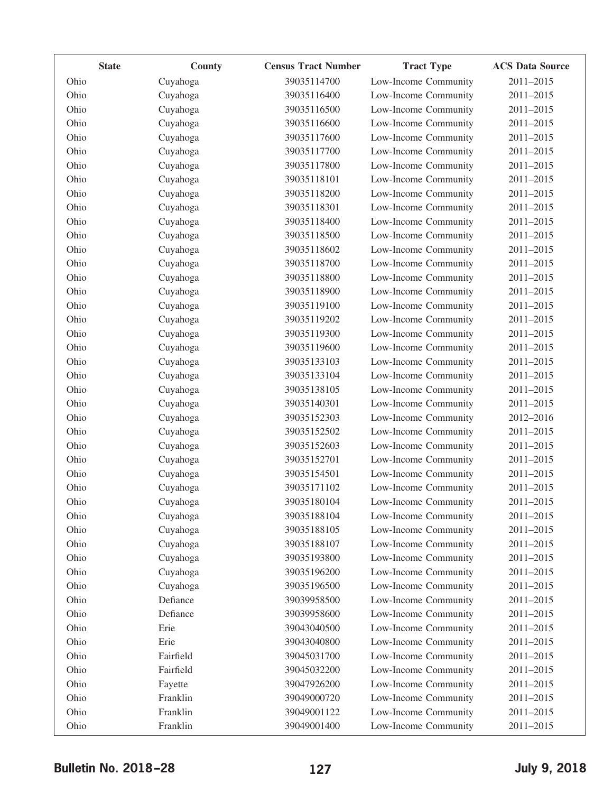|      | <b>State</b> | County    | <b>Census Tract Number</b> | <b>Tract Type</b>    | <b>ACS Data Source</b> |
|------|--------------|-----------|----------------------------|----------------------|------------------------|
| Ohio |              | Cuyahoga  | 39035114700                | Low-Income Community | 2011-2015              |
| Ohio |              | Cuyahoga  | 39035116400                | Low-Income Community | 2011-2015              |
| Ohio |              | Cuyahoga  | 39035116500                | Low-Income Community | 2011-2015              |
| Ohio |              | Cuyahoga  | 39035116600                | Low-Income Community | 2011-2015              |
| Ohio |              | Cuyahoga  | 39035117600                | Low-Income Community | 2011-2015              |
| Ohio |              | Cuyahoga  | 39035117700                | Low-Income Community | 2011-2015              |
| Ohio |              | Cuyahoga  | 39035117800                | Low-Income Community | 2011-2015              |
| Ohio |              | Cuyahoga  | 39035118101                | Low-Income Community | 2011-2015              |
| Ohio |              | Cuyahoga  | 39035118200                | Low-Income Community | 2011-2015              |
| Ohio |              | Cuyahoga  | 39035118301                | Low-Income Community | 2011-2015              |
| Ohio |              | Cuyahoga  | 39035118400                | Low-Income Community | 2011-2015              |
| Ohio |              | Cuyahoga  | 39035118500                | Low-Income Community | 2011-2015              |
| Ohio |              | Cuyahoga  | 39035118602                | Low-Income Community | 2011-2015              |
| Ohio |              | Cuyahoga  | 39035118700                | Low-Income Community | 2011-2015              |
| Ohio |              | Cuyahoga  | 39035118800                | Low-Income Community | 2011-2015              |
| Ohio |              | Cuyahoga  | 39035118900                | Low-Income Community | 2011-2015              |
| Ohio |              | Cuyahoga  | 39035119100                | Low-Income Community | 2011-2015              |
| Ohio |              | Cuyahoga  | 39035119202                | Low-Income Community | 2011-2015              |
| Ohio |              | Cuyahoga  | 39035119300                | Low-Income Community | 2011-2015              |
| Ohio |              | Cuyahoga  | 39035119600                | Low-Income Community | 2011-2015              |
| Ohio |              | Cuyahoga  | 39035133103                | Low-Income Community | 2011-2015              |
| Ohio |              | Cuyahoga  | 39035133104                | Low-Income Community | 2011-2015              |
| Ohio |              | Cuyahoga  | 39035138105                | Low-Income Community | 2011-2015              |
| Ohio |              | Cuyahoga  | 39035140301                | Low-Income Community | 2011-2015              |
| Ohio |              | Cuyahoga  | 39035152303                | Low-Income Community | 2012-2016              |
| Ohio |              | Cuyahoga  | 39035152502                | Low-Income Community | 2011-2015              |
| Ohio |              | Cuyahoga  | 39035152603                | Low-Income Community | 2011-2015              |
| Ohio |              | Cuyahoga  | 39035152701                | Low-Income Community | 2011-2015              |
| Ohio |              | Cuyahoga  | 39035154501                | Low-Income Community | 2011-2015              |
| Ohio |              | Cuyahoga  | 39035171102                | Low-Income Community | 2011-2015              |
| Ohio |              | Cuyahoga  | 39035180104                | Low-Income Community | 2011-2015              |
| Ohio |              | Cuyahoga  | 39035188104                | Low-Income Community | 2011-2015              |
| Ohio |              | Cuyahoga  | 39035188105                | Low-Income Community | 2011-2015              |
| Ohio |              | Cuyahoga  | 39035188107                | Low-Income Community | 2011-2015              |
| Ohio |              | Cuyahoga  | 39035193800                | Low-Income Community | 2011-2015              |
| Ohio |              | Cuyahoga  | 39035196200                | Low-Income Community | 2011-2015              |
| Ohio |              | Cuyahoga  | 39035196500                | Low-Income Community | 2011-2015              |
| Ohio |              | Defiance  | 39039958500                | Low-Income Community | 2011-2015              |
| Ohio |              | Defiance  | 39039958600                | Low-Income Community | 2011-2015              |
| Ohio |              | Erie      | 39043040500                | Low-Income Community | 2011-2015              |
| Ohio |              | Erie      | 39043040800                | Low-Income Community | 2011-2015              |
| Ohio |              | Fairfield | 39045031700                | Low-Income Community | 2011-2015              |
| Ohio |              | Fairfield | 39045032200                | Low-Income Community | 2011-2015              |
| Ohio |              | Fayette   | 39047926200                | Low-Income Community | 2011-2015              |
| Ohio |              | Franklin  | 39049000720                | Low-Income Community | 2011-2015              |
| Ohio |              | Franklin  | 39049001122                | Low-Income Community | 2011-2015              |
| Ohio |              | Franklin  | 39049001400                | Low-Income Community | 2011-2015              |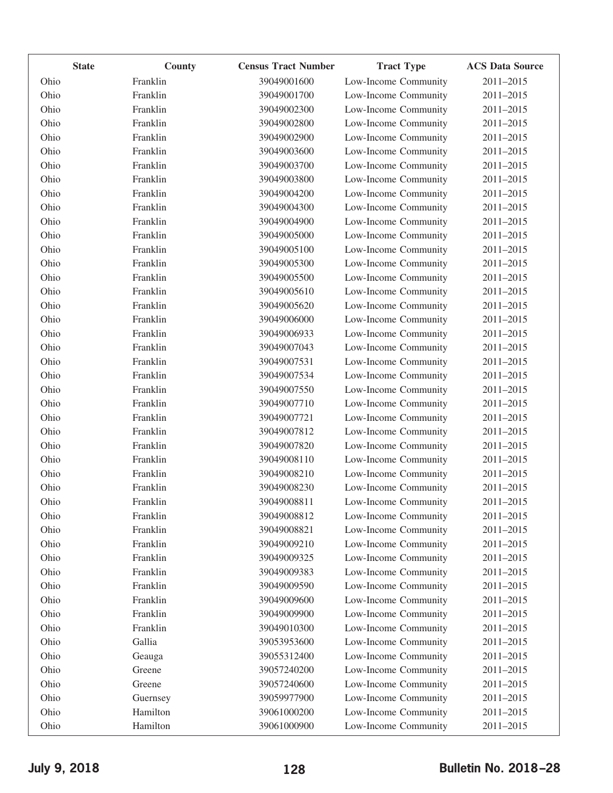| <b>State</b> | County   | <b>Census Tract Number</b> | <b>Tract Type</b>    | <b>ACS Data Source</b> |
|--------------|----------|----------------------------|----------------------|------------------------|
| Ohio         | Franklin | 39049001600                | Low-Income Community | 2011-2015              |
| Ohio         | Franklin | 39049001700                | Low-Income Community | 2011-2015              |
| Ohio         | Franklin | 39049002300                | Low-Income Community | 2011-2015              |
| Ohio         | Franklin | 39049002800                | Low-Income Community | 2011-2015              |
| Ohio         | Franklin | 39049002900                | Low-Income Community | 2011-2015              |
| Ohio         | Franklin | 39049003600                | Low-Income Community | 2011-2015              |
| Ohio         | Franklin | 39049003700                | Low-Income Community | 2011-2015              |
| Ohio         | Franklin | 39049003800                | Low-Income Community | 2011-2015              |
| Ohio         | Franklin | 39049004200                | Low-Income Community | 2011-2015              |
| Ohio         | Franklin | 39049004300                | Low-Income Community | 2011-2015              |
| Ohio         | Franklin | 39049004900                | Low-Income Community | 2011-2015              |
| Ohio         | Franklin | 39049005000                | Low-Income Community | 2011-2015              |
| Ohio         | Franklin | 39049005100                | Low-Income Community | 2011-2015              |
| Ohio         | Franklin | 39049005300                | Low-Income Community | 2011-2015              |
| Ohio         | Franklin | 39049005500                | Low-Income Community | 2011-2015              |
| Ohio         | Franklin | 39049005610                | Low-Income Community | 2011-2015              |
| Ohio         | Franklin | 39049005620                | Low-Income Community | 2011-2015              |
| Ohio         | Franklin | 39049006000                | Low-Income Community | 2011-2015              |
| Ohio         | Franklin | 39049006933                | Low-Income Community | 2011-2015              |
| Ohio         | Franklin | 39049007043                | Low-Income Community | 2011-2015              |
| Ohio         | Franklin | 39049007531                | Low-Income Community | 2011-2015              |
| Ohio         | Franklin | 39049007534                | Low-Income Community | 2011-2015              |
| Ohio         | Franklin | 39049007550                | Low-Income Community | 2011-2015              |
| Ohio         | Franklin | 39049007710                | Low-Income Community | 2011-2015              |
| Ohio         | Franklin | 39049007721                | Low-Income Community | 2011-2015              |
| Ohio         | Franklin | 39049007812                | Low-Income Community | 2011-2015              |
| Ohio         | Franklin | 39049007820                | Low-Income Community | 2011-2015              |
| Ohio         | Franklin | 39049008110                | Low-Income Community | 2011-2015              |
| Ohio         | Franklin | 39049008210                | Low-Income Community | 2011-2015              |
| Ohio         | Franklin | 39049008230                | Low-Income Community | 2011-2015              |
| Ohio         | Franklin | 39049008811                | Low-Income Community | 2011-2015              |
| Ohio         | Franklin | 39049008812                | Low-Income Community | 2011-2015              |
| Ohio         | Franklin | 39049008821                | Low-Income Community | 2011-2015              |
| Ohio         | Franklin | 39049009210                | Low-Income Community | 2011-2015              |
| Ohio         | Franklin | 39049009325                | Low-Income Community | 2011-2015              |
| Ohio         | Franklin | 39049009383                | Low-Income Community | 2011-2015              |
| Ohio         | Franklin | 39049009590                | Low-Income Community | 2011-2015              |
| Ohio         | Franklin | 39049009600                | Low-Income Community | 2011-2015              |
| Ohio         | Franklin | 39049009900                | Low-Income Community | 2011-2015              |
| Ohio         | Franklin | 39049010300                | Low-Income Community | 2011-2015              |
| Ohio         | Gallia   | 39053953600                | Low-Income Community | 2011-2015              |
| Ohio         | Geauga   | 39055312400                | Low-Income Community | 2011-2015              |
| Ohio         | Greene   | 39057240200                | Low-Income Community | 2011-2015              |
| Ohio         | Greene   | 39057240600                | Low-Income Community | 2011-2015              |
| Ohio         | Guernsey | 39059977900                | Low-Income Community | 2011-2015              |
| Ohio         | Hamilton | 39061000200                | Low-Income Community | 2011-2015              |
| Ohio         | Hamilton | 39061000900                | Low-Income Community | 2011-2015              |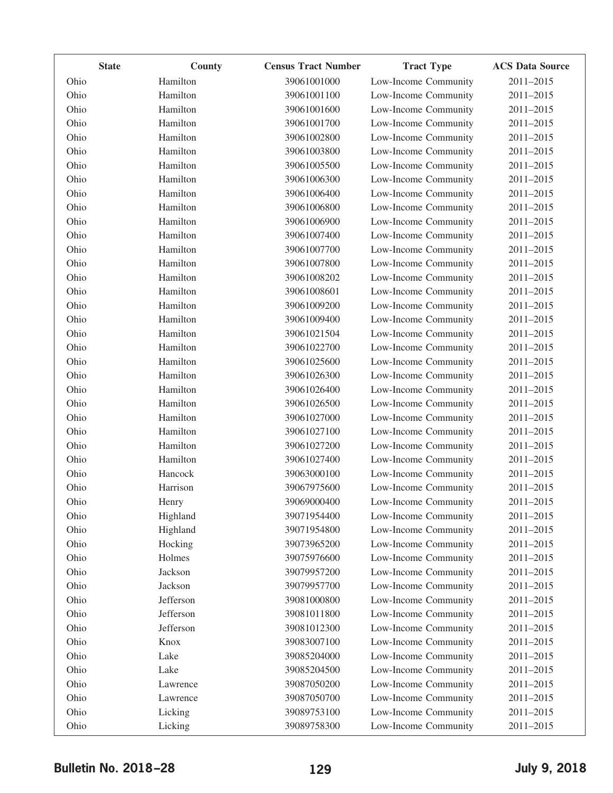| <b>State</b> | County    | <b>Census Tract Number</b> | <b>Tract Type</b>    | <b>ACS Data Source</b> |
|--------------|-----------|----------------------------|----------------------|------------------------|
| Ohio         | Hamilton  | 39061001000                | Low-Income Community | 2011-2015              |
| Ohio         | Hamilton  | 39061001100                | Low-Income Community | 2011-2015              |
| Ohio         | Hamilton  | 39061001600                | Low-Income Community | 2011-2015              |
| Ohio         | Hamilton  | 39061001700                | Low-Income Community | 2011-2015              |
| Ohio         | Hamilton  | 39061002800                | Low-Income Community | 2011-2015              |
| Ohio         | Hamilton  | 39061003800                | Low-Income Community | 2011-2015              |
| Ohio         | Hamilton  | 39061005500                | Low-Income Community | 2011-2015              |
| Ohio         | Hamilton  | 39061006300                | Low-Income Community | 2011-2015              |
| Ohio         | Hamilton  | 39061006400                | Low-Income Community | 2011-2015              |
| Ohio         | Hamilton  | 39061006800                | Low-Income Community | 2011-2015              |
| Ohio         | Hamilton  | 39061006900                | Low-Income Community | 2011-2015              |
| Ohio         | Hamilton  | 39061007400                | Low-Income Community | 2011-2015              |
| Ohio         | Hamilton  | 39061007700                | Low-Income Community | 2011-2015              |
| Ohio         | Hamilton  | 39061007800                | Low-Income Community | 2011-2015              |
| Ohio         | Hamilton  | 39061008202                | Low-Income Community | 2011-2015              |
| Ohio         | Hamilton  | 39061008601                | Low-Income Community | 2011-2015              |
| Ohio         | Hamilton  | 39061009200                | Low-Income Community | 2011-2015              |
| Ohio         | Hamilton  | 39061009400                | Low-Income Community | 2011-2015              |
| Ohio         | Hamilton  | 39061021504                | Low-Income Community | 2011-2015              |
| Ohio         | Hamilton  | 39061022700                | Low-Income Community | 2011-2015              |
| Ohio         | Hamilton  | 39061025600                | Low-Income Community | 2011-2015              |
| Ohio         | Hamilton  | 39061026300                | Low-Income Community | 2011-2015              |
| Ohio         | Hamilton  | 39061026400                | Low-Income Community | 2011-2015              |
| Ohio         | Hamilton  | 39061026500                | Low-Income Community | 2011-2015              |
| Ohio         | Hamilton  | 39061027000                | Low-Income Community | 2011-2015              |
| Ohio         | Hamilton  | 39061027100                | Low-Income Community | 2011-2015              |
| Ohio         | Hamilton  | 39061027200                | Low-Income Community | 2011-2015              |
| Ohio         | Hamilton  | 39061027400                | Low-Income Community | 2011-2015              |
| Ohio         | Hancock   | 39063000100                | Low-Income Community | 2011-2015              |
| Ohio         | Harrison  | 39067975600                | Low-Income Community | 2011-2015              |
| Ohio         | Henry     | 39069000400                | Low-Income Community | 2011-2015              |
| Ohio         | Highland  | 39071954400                | Low-Income Community | 2011-2015              |
| Ohio         | Highland  | 39071954800                | Low-Income Community | 2011-2015              |
| Ohio         | Hocking   | 39073965200                | Low-Income Community | 2011-2015              |
| Ohio         | Holmes    | 39075976600                | Low-Income Community | 2011-2015              |
| Ohio         | Jackson   | 39079957200                | Low-Income Community | 2011-2015              |
| Ohio         | Jackson   | 39079957700                | Low-Income Community | 2011-2015              |
| Ohio         | Jefferson | 39081000800                | Low-Income Community | 2011-2015              |
| Ohio         | Jefferson | 39081011800                | Low-Income Community | 2011-2015              |
| Ohio         | Jefferson | 39081012300                | Low-Income Community | 2011-2015              |
| Ohio         | Knox      | 39083007100                | Low-Income Community | 2011-2015              |
| Ohio         | Lake      | 39085204000                | Low-Income Community | 2011-2015              |
| Ohio         | Lake      | 39085204500                | Low-Income Community | 2011-2015              |
| Ohio         | Lawrence  | 39087050200                | Low-Income Community | 2011-2015              |
| Ohio         | Lawrence  | 39087050700                | Low-Income Community | 2011-2015              |
| Ohio         | Licking   | 39089753100                | Low-Income Community | 2011-2015              |
| Ohio         | Licking   | 39089758300                | Low-Income Community | 2011-2015              |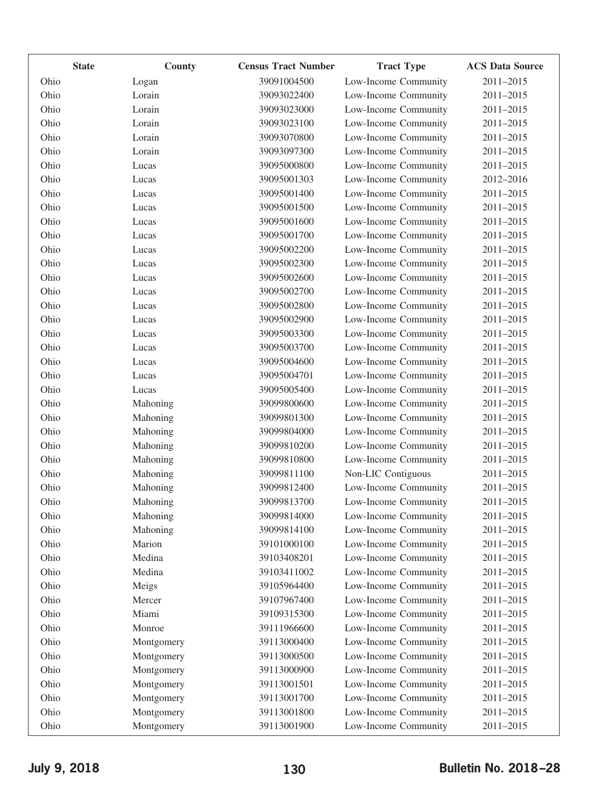| <b>State</b> | County     | <b>Census Tract Number</b> | <b>Tract Type</b>    | <b>ACS Data Source</b> |
|--------------|------------|----------------------------|----------------------|------------------------|
| Ohio         | Logan      | 39091004500                | Low-Income Community | 2011-2015              |
| Ohio         | Lorain     | 39093022400                | Low-Income Community | 2011-2015              |
| Ohio         | Lorain     | 39093023000                | Low-Income Community | 2011-2015              |
| Ohio         | Lorain     | 39093023100                | Low-Income Community | 2011-2015              |
| Ohio         | Lorain     | 39093070800                | Low-Income Community | 2011-2015              |
| Ohio         | Lorain     | 39093097300                | Low-Income Community | 2011-2015              |
| Ohio         | Lucas      | 39095000800                | Low-Income Community | 2011-2015              |
| Ohio         | Lucas      | 39095001303                | Low-Income Community | 2012-2016              |
| Ohio         | Lucas      | 39095001400                | Low-Income Community | 2011-2015              |
| Ohio         | Lucas      | 39095001500                | Low-Income Community | 2011-2015              |
| Ohio         | Lucas      | 39095001600                | Low-Income Community | 2011-2015              |
| Ohio         | Lucas      | 39095001700                | Low-Income Community | 2011-2015              |
| Ohio         | Lucas      | 39095002200                | Low-Income Community | 2011-2015              |
| Ohio         | Lucas      | 39095002300                | Low-Income Community | 2011-2015              |
| Ohio         | Lucas      | 39095002600                | Low-Income Community | 2011-2015              |
| Ohio         | Lucas      | 39095002700                | Low-Income Community | 2011-2015              |
| Ohio         | Lucas      | 39095002800                | Low-Income Community | 2011-2015              |
| Ohio         | Lucas      | 39095002900                | Low-Income Community | 2011-2015              |
| Ohio         | Lucas      | 39095003300                | Low-Income Community | 2011-2015              |
| Ohio         | Lucas      | 39095003700                | Low-Income Community | 2011-2015              |
| Ohio         | Lucas      | 39095004600                | Low-Income Community | 2011-2015              |
| Ohio         | Lucas      | 39095004701                | Low-Income Community | 2011-2015              |
| Ohio         | Lucas      | 39095005400                | Low-Income Community | 2011-2015              |
| Ohio         | Mahoning   | 39099800600                | Low-Income Community | 2011-2015              |
| Ohio         | Mahoning   | 39099801300                | Low-Income Community | 2011-2015              |
| Ohio         | Mahoning   | 39099804000                | Low-Income Community | 2011-2015              |
| Ohio         | Mahoning   | 39099810200                | Low-Income Community | 2011-2015              |
| Ohio         | Mahoning   | 39099810800                | Low-Income Community | 2011-2015              |
| Ohio         | Mahoning   | 39099811100                | Non-LIC Contiguous   | 2011-2015              |
| Ohio         | Mahoning   | 39099812400                | Low-Income Community | 2011-2015              |
| Ohio         | Mahoning   | 39099813700                | Low-Income Community | $2011 - 2015$          |
| Ohio         | Mahoning   | 39099814000                | Low-Income Community | 2011-2015              |
| Ohio         | Mahoning   | 39099814100                | Low-Income Community | 2011-2015              |
| Ohio         | Marion     | 39101000100                | Low-Income Community | 2011-2015              |
| Ohio         | Medina     | 39103408201                | Low-Income Community | 2011-2015              |
| Ohio         | Medina     | 39103411002                | Low-Income Community | 2011-2015              |
| Ohio         | Meigs      | 39105964400                | Low-Income Community | $2011 - 2015$          |
| Ohio         | Mercer     | 39107967400                | Low-Income Community | 2011-2015              |
| Ohio         | Miami      | 39109315300                | Low-Income Community | 2011-2015              |
| Ohio         | Monroe     | 39111966600                | Low-Income Community | 2011-2015              |
| Ohio         | Montgomery | 39113000400                | Low-Income Community | 2011-2015              |
| Ohio         | Montgomery | 39113000500                | Low-Income Community | 2011-2015              |
| Ohio         | Montgomery | 39113000900                | Low-Income Community | 2011-2015              |
| Ohio         | Montgomery | 39113001501                | Low-Income Community | 2011-2015              |
| Ohio         | Montgomery | 39113001700                | Low-Income Community | 2011-2015              |
| Ohio         | Montgomery | 39113001800                | Low-Income Community | 2011-2015              |
| Ohio         | Montgomery | 39113001900                | Low-Income Community | 2011-2015              |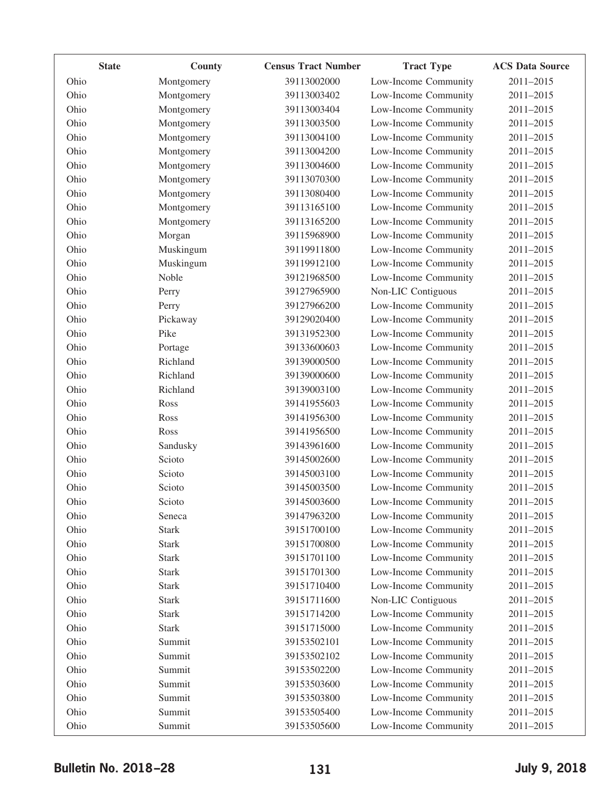| <b>State</b> | County       | <b>Census Tract Number</b> | <b>Tract Type</b>    | <b>ACS Data Source</b> |
|--------------|--------------|----------------------------|----------------------|------------------------|
| Ohio         | Montgomery   | 39113002000                | Low-Income Community | 2011-2015              |
| Ohio         | Montgomery   | 39113003402                | Low-Income Community | 2011-2015              |
| Ohio         | Montgomery   | 39113003404                | Low-Income Community | 2011-2015              |
| Ohio         | Montgomery   | 39113003500                | Low-Income Community | 2011-2015              |
| Ohio         | Montgomery   | 39113004100                | Low-Income Community | 2011-2015              |
| Ohio         | Montgomery   | 39113004200                | Low-Income Community | 2011-2015              |
| Ohio         | Montgomery   | 39113004600                | Low-Income Community | 2011-2015              |
| Ohio         | Montgomery   | 39113070300                | Low-Income Community | 2011-2015              |
| Ohio         | Montgomery   | 39113080400                | Low-Income Community | 2011-2015              |
| Ohio         | Montgomery   | 39113165100                | Low-Income Community | 2011-2015              |
| Ohio         | Montgomery   | 39113165200                | Low-Income Community | 2011-2015              |
| Ohio         | Morgan       | 39115968900                | Low-Income Community | 2011-2015              |
| Ohio         | Muskingum    | 39119911800                | Low-Income Community | 2011-2015              |
| Ohio         | Muskingum    | 39119912100                | Low-Income Community | 2011-2015              |
| Ohio         | Noble        | 39121968500                | Low-Income Community | 2011-2015              |
| Ohio         | Perry        | 39127965900                | Non-LIC Contiguous   | 2011-2015              |
| Ohio         | Perry        | 39127966200                | Low-Income Community | 2011-2015              |
| Ohio         | Pickaway     | 39129020400                | Low-Income Community | 2011-2015              |
| Ohio         | Pike         | 39131952300                | Low-Income Community | 2011-2015              |
| Ohio         | Portage      | 39133600603                | Low-Income Community | 2011-2015              |
| Ohio         | Richland     | 39139000500                | Low-Income Community | 2011-2015              |
| Ohio         | Richland     | 39139000600                | Low-Income Community | 2011-2015              |
| Ohio         | Richland     | 39139003100                | Low-Income Community | 2011-2015              |
| Ohio         | Ross         | 39141955603                | Low-Income Community | 2011-2015              |
| Ohio         | Ross         | 39141956300                | Low-Income Community | 2011-2015              |
| Ohio         | Ross         | 39141956500                | Low-Income Community | 2011-2015              |
| Ohio         | Sandusky     | 39143961600                | Low-Income Community | 2011-2015              |
| Ohio         | Scioto       | 39145002600                | Low-Income Community | 2011-2015              |
| Ohio         | Scioto       | 39145003100                | Low-Income Community | 2011-2015              |
| Ohio         | Scioto       | 39145003500                | Low-Income Community | 2011-2015              |
| Ohio         | Scioto       | 39145003600                | Low-Income Community | 2011-2015              |
| Ohio         | Seneca       | 39147963200                | Low-Income Community | 2011-2015              |
| Ohio         | <b>Stark</b> | 39151700100                | Low-Income Community | 2011-2015              |
| Ohio         | <b>Stark</b> | 39151700800                | Low-Income Community | 2011-2015              |
| Ohio         | <b>Stark</b> | 39151701100                | Low-Income Community | 2011-2015              |
| Ohio         | <b>Stark</b> | 39151701300                | Low-Income Community | 2011-2015              |
| Ohio         | <b>Stark</b> | 39151710400                | Low-Income Community | 2011-2015              |
| Ohio         | <b>Stark</b> | 39151711600                | Non-LIC Contiguous   | 2011-2015              |
| Ohio         | <b>Stark</b> | 39151714200                | Low-Income Community | 2011-2015              |
| Ohio         | <b>Stark</b> | 39151715000                | Low-Income Community | 2011-2015              |
| Ohio         | Summit       | 39153502101                | Low-Income Community | 2011-2015              |
| Ohio         | Summit       | 39153502102                | Low-Income Community | 2011-2015              |
| Ohio         | Summit       | 39153502200                | Low-Income Community | 2011-2015              |
| Ohio         | Summit       | 39153503600                | Low-Income Community | 2011-2015              |
| Ohio         | Summit       | 39153503800                | Low-Income Community | 2011-2015              |
| Ohio         | Summit       | 39153505400                | Low-Income Community | 2011-2015              |
| Ohio         | Summit       | 39153505600                | Low-Income Community | 2011-2015              |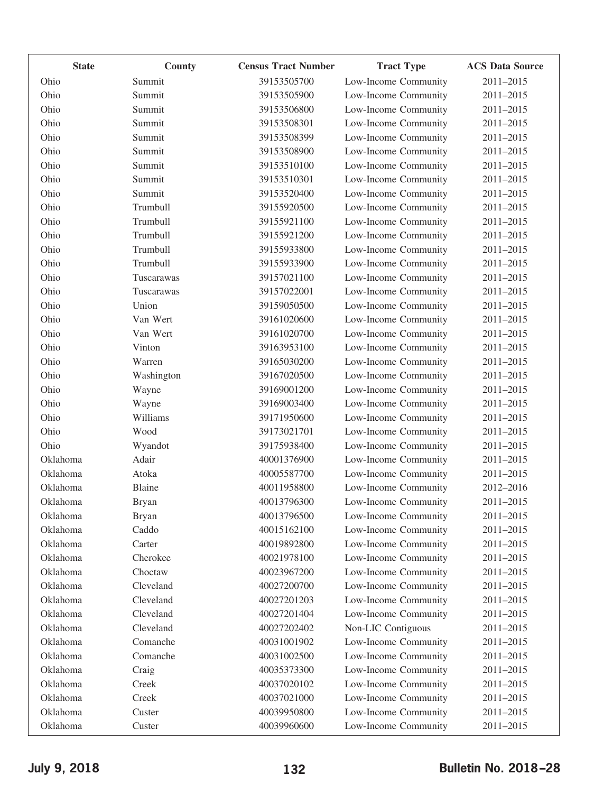| <b>State</b> | County        | <b>Census Tract Number</b> | <b>Tract Type</b>    | <b>ACS Data Source</b> |
|--------------|---------------|----------------------------|----------------------|------------------------|
| Ohio         | Summit        | 39153505700                | Low-Income Community | 2011-2015              |
| Ohio         | Summit        | 39153505900                | Low-Income Community | 2011-2015              |
| Ohio         | Summit        | 39153506800                | Low-Income Community | 2011-2015              |
| Ohio         | Summit        | 39153508301                | Low-Income Community | 2011-2015              |
| Ohio         | Summit        | 39153508399                | Low-Income Community | 2011-2015              |
| Ohio         | Summit        | 39153508900                | Low-Income Community | 2011-2015              |
| Ohio         | Summit        | 39153510100                | Low-Income Community | 2011-2015              |
| Ohio         | Summit        | 39153510301                | Low-Income Community | 2011-2015              |
| Ohio         | Summit        | 39153520400                | Low-Income Community | 2011-2015              |
| Ohio         | Trumbull      | 39155920500                | Low-Income Community | 2011-2015              |
| Ohio         | Trumbull      | 39155921100                | Low-Income Community | 2011-2015              |
| Ohio         | Trumbull      | 39155921200                | Low-Income Community | 2011-2015              |
| Ohio         | Trumbull      | 39155933800                | Low-Income Community | 2011-2015              |
| Ohio         | Trumbull      | 39155933900                | Low-Income Community | 2011-2015              |
| Ohio         | Tuscarawas    | 39157021100                | Low-Income Community | 2011-2015              |
| Ohio         | Tuscarawas    | 39157022001                | Low-Income Community | 2011-2015              |
| Ohio         | Union         | 39159050500                | Low-Income Community | 2011-2015              |
| Ohio         | Van Wert      | 39161020600                | Low-Income Community | 2011-2015              |
| Ohio         | Van Wert      | 39161020700                | Low-Income Community | 2011-2015              |
| Ohio         | Vinton        | 39163953100                | Low-Income Community | 2011-2015              |
| Ohio         | Warren        | 39165030200                | Low-Income Community | 2011-2015              |
| Ohio         | Washington    | 39167020500                | Low-Income Community | 2011-2015              |
| Ohio         | Wayne         | 39169001200                | Low-Income Community | 2011-2015              |
| Ohio         | Wayne         | 39169003400                | Low-Income Community | 2011-2015              |
| Ohio         | Williams      | 39171950600                | Low-Income Community | 2011-2015              |
| Ohio         | Wood          | 39173021701                | Low-Income Community | 2011-2015              |
| Ohio         | Wyandot       | 39175938400                | Low-Income Community | 2011-2015              |
| Oklahoma     | Adair         | 40001376900                | Low-Income Community | 2011-2015              |
| Oklahoma     | Atoka         | 40005587700                | Low-Income Community | 2011-2015              |
| Oklahoma     | <b>Blaine</b> | 40011958800                | Low-Income Community | 2012-2016              |
| Oklahoma     | <b>Bryan</b>  | 40013796300                | Low-Income Community | $2011 - 2015$          |
| Oklahoma     | <b>Bryan</b>  | 40013796500                | Low-Income Community | 2011-2015              |
| Oklahoma     | Caddo         | 40015162100                | Low-Income Community | 2011-2015              |
| Oklahoma     | Carter        | 40019892800                | Low-Income Community | 2011-2015              |
| Oklahoma     | Cherokee      | 40021978100                | Low-Income Community | 2011-2015              |
| Oklahoma     | Choctaw       | 40023967200                | Low-Income Community | 2011-2015              |
| Oklahoma     | Cleveland     | 40027200700                | Low-Income Community | 2011-2015              |
| Oklahoma     | Cleveland     | 40027201203                | Low-Income Community | 2011-2015              |
| Oklahoma     | Cleveland     | 40027201404                | Low-Income Community | 2011-2015              |
| Oklahoma     | Cleveland     | 40027202402                | Non-LIC Contiguous   | 2011-2015              |
| Oklahoma     | Comanche      | 40031001902                | Low-Income Community | 2011-2015              |
| Oklahoma     | Comanche      | 40031002500                | Low-Income Community | 2011-2015              |
| Oklahoma     | Craig         | 40035373300                | Low-Income Community | 2011-2015              |
| Oklahoma     | Creek         | 40037020102                | Low-Income Community | 2011-2015              |
| Oklahoma     | Creek         | 40037021000                | Low-Income Community | 2011-2015              |
| Oklahoma     | Custer        | 40039950800                | Low-Income Community | 2011-2015              |
| Oklahoma     | Custer        | 40039960600                | Low-Income Community | 2011-2015              |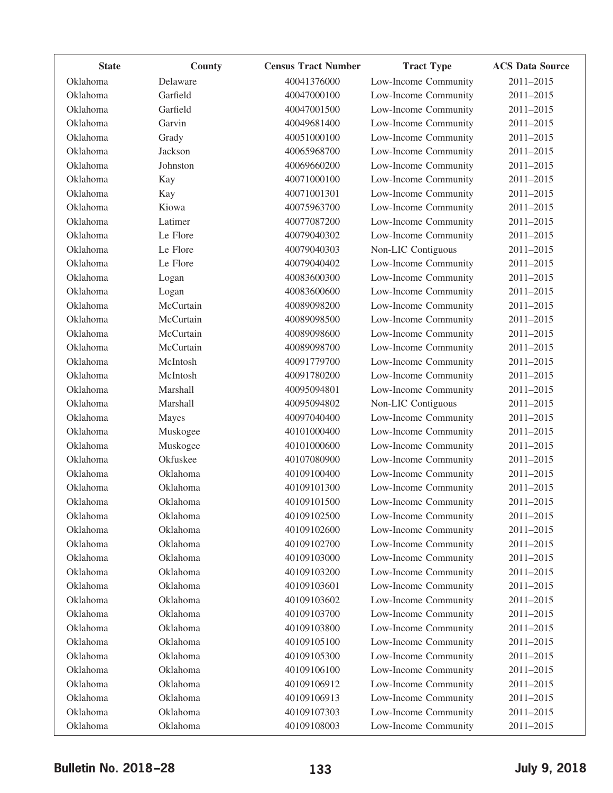| <b>State</b> | County    | <b>Census Tract Number</b> | <b>Tract Type</b>    | <b>ACS Data Source</b> |
|--------------|-----------|----------------------------|----------------------|------------------------|
| Oklahoma     | Delaware  | 40041376000                | Low-Income Community | 2011-2015              |
| Oklahoma     | Garfield  | 40047000100                | Low-Income Community | 2011-2015              |
| Oklahoma     | Garfield  | 40047001500                | Low-Income Community | 2011-2015              |
| Oklahoma     | Garvin    | 40049681400                | Low-Income Community | 2011-2015              |
| Oklahoma     | Grady     | 40051000100                | Low-Income Community | 2011-2015              |
| Oklahoma     | Jackson   | 40065968700                | Low-Income Community | 2011-2015              |
| Oklahoma     | Johnston  | 40069660200                | Low-Income Community | 2011-2015              |
| Oklahoma     | Kay       | 40071000100                | Low-Income Community | 2011-2015              |
| Oklahoma     | Kay       | 40071001301                | Low-Income Community | 2011-2015              |
| Oklahoma     | Kiowa     | 40075963700                | Low-Income Community | 2011-2015              |
| Oklahoma     | Latimer   | 40077087200                | Low-Income Community | 2011-2015              |
| Oklahoma     | Le Flore  | 40079040302                | Low-Income Community | 2011-2015              |
| Oklahoma     | Le Flore  | 40079040303                | Non-LIC Contiguous   | 2011-2015              |
| Oklahoma     | Le Flore  | 40079040402                | Low-Income Community | 2011-2015              |
| Oklahoma     | Logan     | 40083600300                | Low-Income Community | 2011-2015              |
| Oklahoma     | Logan     | 40083600600                | Low-Income Community | 2011-2015              |
| Oklahoma     | McCurtain | 40089098200                | Low-Income Community | 2011-2015              |
| Oklahoma     | McCurtain | 40089098500                | Low-Income Community | 2011-2015              |
| Oklahoma     | McCurtain | 40089098600                | Low-Income Community | 2011-2015              |
| Oklahoma     | McCurtain | 40089098700                | Low-Income Community | 2011-2015              |
| Oklahoma     | McIntosh  | 40091779700                | Low-Income Community | 2011-2015              |
| Oklahoma     | McIntosh  | 40091780200                | Low-Income Community | 2011-2015              |
| Oklahoma     | Marshall  | 40095094801                | Low-Income Community | 2011-2015              |
| Oklahoma     | Marshall  | 40095094802                | Non-LIC Contiguous   | 2011-2015              |
| Oklahoma     | Mayes     | 40097040400                | Low-Income Community | 2011-2015              |
| Oklahoma     | Muskogee  | 40101000400                | Low-Income Community | 2011-2015              |
| Oklahoma     | Muskogee  | 40101000600                | Low-Income Community | 2011-2015              |
| Oklahoma     | Okfuskee  | 40107080900                | Low-Income Community | 2011-2015              |
| Oklahoma     | Oklahoma  | 40109100400                | Low-Income Community | 2011-2015              |
| Oklahoma     | Oklahoma  | 40109101300                | Low-Income Community | 2011-2015              |
| Oklahoma     | Oklahoma  | 40109101500                | Low-Income Community | 2011-2015              |
| Oklahoma     | Oklahoma  | 40109102500                | Low-Income Community | 2011-2015              |
| Oklahoma     | Oklahoma  | 40109102600                | Low-Income Community | 2011-2015              |
| Oklahoma     | Oklahoma  | 40109102700                | Low-Income Community | 2011-2015              |
| Oklahoma     | Oklahoma  | 40109103000                | Low-Income Community | 2011-2015              |
| Oklahoma     | Oklahoma  | 40109103200                | Low-Income Community | 2011-2015              |
| Oklahoma     | Oklahoma  | 40109103601                | Low-Income Community | 2011-2015              |
| Oklahoma     | Oklahoma  | 40109103602                | Low-Income Community | 2011-2015              |
| Oklahoma     | Oklahoma  | 40109103700                | Low-Income Community | 2011-2015              |
| Oklahoma     | Oklahoma  | 40109103800                | Low-Income Community | 2011-2015              |
| Oklahoma     | Oklahoma  | 40109105100                | Low-Income Community | 2011-2015              |
| Oklahoma     | Oklahoma  | 40109105300                | Low-Income Community | 2011-2015              |
| Oklahoma     | Oklahoma  | 40109106100                | Low-Income Community | 2011-2015              |
| Oklahoma     | Oklahoma  | 40109106912                | Low-Income Community | 2011-2015              |
| Oklahoma     | Oklahoma  | 40109106913                | Low-Income Community | 2011-2015              |
| Oklahoma     | Oklahoma  | 40109107303                | Low-Income Community | 2011-2015              |
| Oklahoma     | Oklahoma  | 40109108003                | Low-Income Community | 2011-2015              |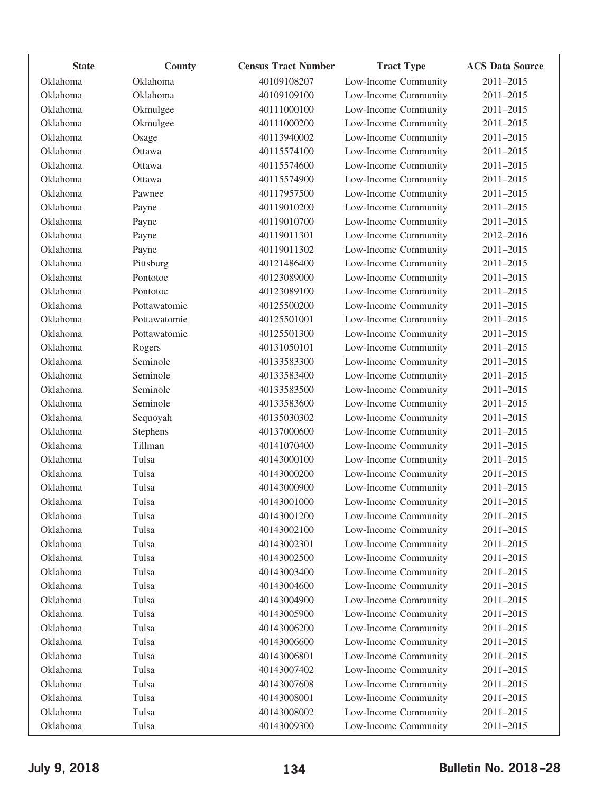| <b>State</b> | County       | <b>Census Tract Number</b> | <b>Tract Type</b>    | <b>ACS Data Source</b> |
|--------------|--------------|----------------------------|----------------------|------------------------|
| Oklahoma     | Oklahoma     | 40109108207                | Low-Income Community | 2011-2015              |
| Oklahoma     | Oklahoma     | 40109109100                | Low-Income Community | 2011-2015              |
| Oklahoma     | Okmulgee     | 40111000100                | Low-Income Community | 2011-2015              |
| Oklahoma     | Okmulgee     | 40111000200                | Low-Income Community | 2011-2015              |
| Oklahoma     | Osage        | 40113940002                | Low-Income Community | 2011-2015              |
| Oklahoma     | Ottawa       | 40115574100                | Low-Income Community | 2011-2015              |
| Oklahoma     | Ottawa       | 40115574600                | Low-Income Community | 2011-2015              |
| Oklahoma     | Ottawa       | 40115574900                | Low-Income Community | 2011-2015              |
| Oklahoma     | Pawnee       | 40117957500                | Low-Income Community | 2011-2015              |
| Oklahoma     | Payne        | 40119010200                | Low-Income Community | 2011-2015              |
| Oklahoma     | Payne        | 40119010700                | Low-Income Community | 2011-2015              |
| Oklahoma     | Payne        | 40119011301                | Low-Income Community | 2012-2016              |
| Oklahoma     | Payne        | 40119011302                | Low-Income Community | 2011-2015              |
| Oklahoma     | Pittsburg    | 40121486400                | Low-Income Community | 2011-2015              |
| Oklahoma     | Pontotoc     | 40123089000                | Low-Income Community | 2011-2015              |
| Oklahoma     | Pontotoc     | 40123089100                | Low-Income Community | 2011-2015              |
| Oklahoma     | Pottawatomie | 40125500200                | Low-Income Community | 2011-2015              |
| Oklahoma     | Pottawatomie | 40125501001                | Low-Income Community | 2011-2015              |
| Oklahoma     | Pottawatomie | 40125501300                | Low-Income Community | 2011-2015              |
| Oklahoma     | Rogers       | 40131050101                | Low-Income Community | 2011-2015              |
| Oklahoma     | Seminole     | 40133583300                | Low-Income Community | 2011-2015              |
| Oklahoma     | Seminole     | 40133583400                | Low-Income Community | 2011-2015              |
| Oklahoma     | Seminole     | 40133583500                | Low-Income Community | 2011-2015              |
| Oklahoma     | Seminole     | 40133583600                | Low-Income Community | 2011-2015              |
| Oklahoma     | Sequoyah     | 40135030302                | Low-Income Community | 2011-2015              |
| Oklahoma     | Stephens     | 40137000600                | Low-Income Community | 2011-2015              |
| Oklahoma     | Tillman      | 40141070400                | Low-Income Community | 2011-2015              |
| Oklahoma     | Tulsa        | 40143000100                | Low-Income Community | 2011-2015              |
| Oklahoma     | Tulsa        | 40143000200                | Low-Income Community | 2011-2015              |
| Oklahoma     | Tulsa        | 40143000900                | Low-Income Community | 2011-2015              |
| Oklahoma     | Tulsa        | 40143001000                | Low-Income Community | 2011-2015              |
| Oklahoma     | Tulsa        | 40143001200                | Low-Income Community | 2011-2015              |
| Oklahoma     | Tulsa        | 40143002100                | Low-Income Community | 2011-2015              |
| Oklahoma     | Tulsa        | 40143002301                | Low-Income Community | 2011-2015              |
| Oklahoma     | Tulsa        | 40143002500                | Low-Income Community | 2011-2015              |
| Oklahoma     | Tulsa        | 40143003400                | Low-Income Community | 2011-2015              |
| Oklahoma     | Tulsa        | 40143004600                | Low-Income Community | 2011-2015              |
| Oklahoma     | Tulsa        | 40143004900                | Low-Income Community | 2011-2015              |
| Oklahoma     | Tulsa        | 40143005900                | Low-Income Community | 2011-2015              |
| Oklahoma     | Tulsa        | 40143006200                | Low-Income Community | 2011-2015              |
| Oklahoma     | Tulsa        | 40143006600                | Low-Income Community | 2011-2015              |
| Oklahoma     | Tulsa        | 40143006801                | Low-Income Community | 2011-2015              |
| Oklahoma     | Tulsa        | 40143007402                | Low-Income Community | 2011-2015              |
| Oklahoma     | Tulsa        | 40143007608                | Low-Income Community | 2011-2015              |
| Oklahoma     | Tulsa        | 40143008001                | Low-Income Community | 2011-2015              |
| Oklahoma     | Tulsa        | 40143008002                | Low-Income Community | 2011-2015              |
| Oklahoma     | Tulsa        | 40143009300                | Low-Income Community | 2011-2015              |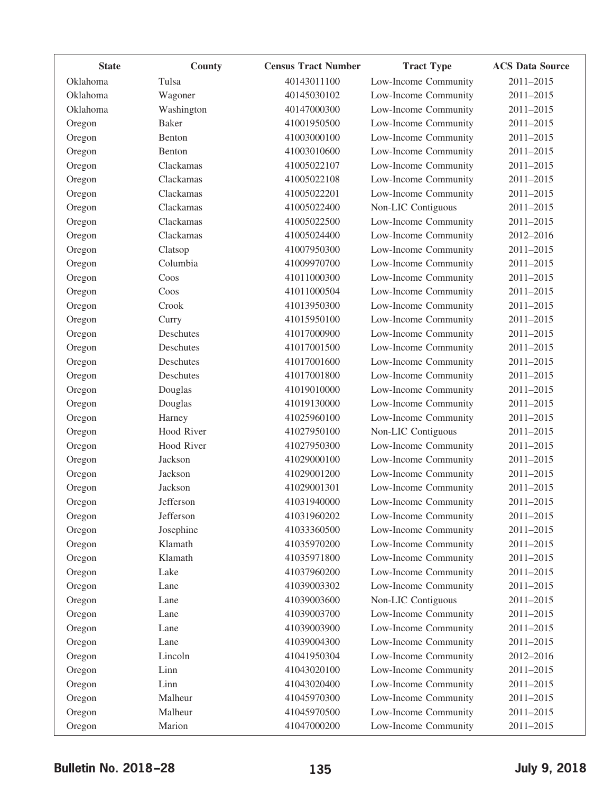| <b>State</b> | County            | <b>Census Tract Number</b> | <b>Tract Type</b>    | <b>ACS Data Source</b> |
|--------------|-------------------|----------------------------|----------------------|------------------------|
| Oklahoma     | Tulsa             | 40143011100                | Low-Income Community | 2011-2015              |
| Oklahoma     | Wagoner           | 40145030102                | Low-Income Community | 2011-2015              |
| Oklahoma     | Washington        | 40147000300                | Low-Income Community | 2011-2015              |
| Oregon       | <b>Baker</b>      | 41001950500                | Low-Income Community | 2011-2015              |
| Oregon       | Benton            | 41003000100                | Low-Income Community | 2011-2015              |
| Oregon       | Benton            | 41003010600                | Low-Income Community | 2011-2015              |
| Oregon       | Clackamas         | 41005022107                | Low-Income Community | 2011-2015              |
| Oregon       | Clackamas         | 41005022108                | Low-Income Community | 2011-2015              |
| Oregon       | Clackamas         | 41005022201                | Low-Income Community | 2011-2015              |
| Oregon       | Clackamas         | 41005022400                | Non-LIC Contiguous   | 2011-2015              |
| Oregon       | Clackamas         | 41005022500                | Low-Income Community | 2011-2015              |
| Oregon       | Clackamas         | 41005024400                | Low-Income Community | 2012-2016              |
| Oregon       | Clatsop           | 41007950300                | Low-Income Community | 2011-2015              |
| Oregon       | Columbia          | 41009970700                | Low-Income Community | 2011-2015              |
| Oregon       | Coos              | 41011000300                | Low-Income Community | 2011-2015              |
| Oregon       | Coos              | 41011000504                | Low-Income Community | 2011-2015              |
| Oregon       | Crook             | 41013950300                | Low-Income Community | 2011-2015              |
| Oregon       | Curry             | 41015950100                | Low-Income Community | 2011-2015              |
| Oregon       | Deschutes         | 41017000900                | Low-Income Community | 2011-2015              |
| Oregon       | Deschutes         | 41017001500                | Low-Income Community | 2011-2015              |
| Oregon       | Deschutes         | 41017001600                | Low-Income Community | 2011-2015              |
| Oregon       | Deschutes         | 41017001800                | Low-Income Community | 2011-2015              |
| Oregon       | Douglas           | 41019010000                | Low-Income Community | 2011-2015              |
| Oregon       | Douglas           | 41019130000                | Low-Income Community | 2011-2015              |
| Oregon       | Harney            | 41025960100                | Low-Income Community | 2011-2015              |
| Oregon       | <b>Hood River</b> | 41027950100                | Non-LIC Contiguous   | 2011-2015              |
| Oregon       | Hood River        | 41027950300                | Low-Income Community | 2011-2015              |
| Oregon       | Jackson           | 41029000100                | Low-Income Community | 2011-2015              |
| Oregon       | Jackson           | 41029001200                | Low-Income Community | 2011-2015              |
| Oregon       | Jackson           | 41029001301                | Low-Income Community | 2011-2015              |
| Oregon       | Jefferson         | 41031940000                | Low-Income Community | 2011-2015              |
| Oregon       | Jefferson         | 41031960202                | Low-Income Community | 2011-2015              |
| Oregon       | Josephine         | 41033360500                | Low-Income Community | 2011-2015              |
| Oregon       | Klamath           | 41035970200                | Low-Income Community | 2011-2015              |
| Oregon       | Klamath           | 41035971800                | Low-Income Community | 2011-2015              |
| Oregon       | Lake              | 41037960200                | Low-Income Community | 2011-2015              |
| Oregon       | Lane              | 41039003302                | Low-Income Community | 2011-2015              |
| Oregon       | Lane              | 41039003600                | Non-LIC Contiguous   | 2011-2015              |
| Oregon       | Lane              | 41039003700                | Low-Income Community | 2011-2015              |
| Oregon       | Lane              | 41039003900                | Low-Income Community | 2011-2015              |
| Oregon       | Lane              | 41039004300                | Low-Income Community | 2011-2015              |
| Oregon       | Lincoln           | 41041950304                | Low-Income Community | 2012-2016              |
| Oregon       | Linn              | 41043020100                | Low-Income Community | 2011-2015              |
| Oregon       | Linn              | 41043020400                | Low-Income Community | 2011-2015              |
| Oregon       | Malheur           | 41045970300                | Low-Income Community | 2011-2015              |
| Oregon       | Malheur           | 41045970500                | Low-Income Community | 2011-2015              |
| Oregon       | Marion            | 41047000200                | Low-Income Community | 2011-2015              |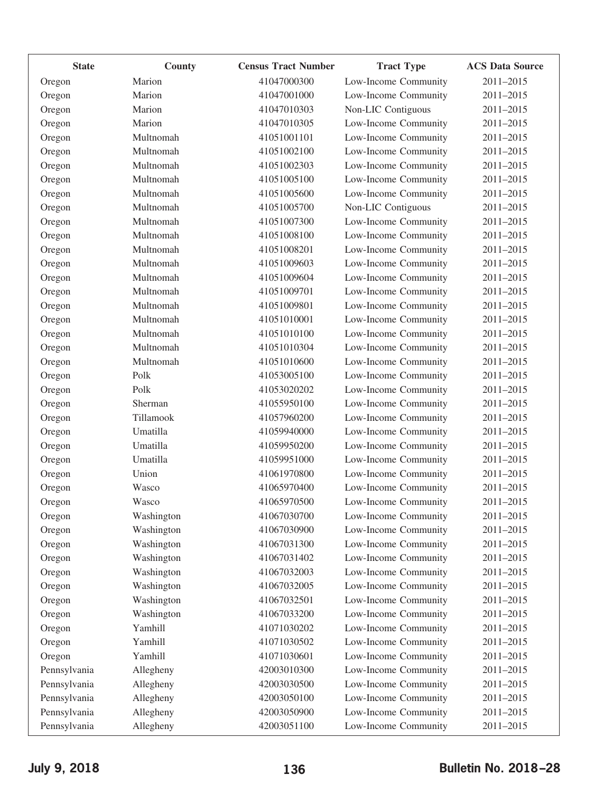| <b>State</b> | County     | <b>Census Tract Number</b> | <b>Tract Type</b>    | <b>ACS Data Source</b> |
|--------------|------------|----------------------------|----------------------|------------------------|
| Oregon       | Marion     | 41047000300                | Low-Income Community | 2011-2015              |
| Oregon       | Marion     | 41047001000                | Low-Income Community | 2011-2015              |
| Oregon       | Marion     | 41047010303                | Non-LIC Contiguous   | 2011-2015              |
| Oregon       | Marion     | 41047010305                | Low-Income Community | 2011-2015              |
| Oregon       | Multnomah  | 41051001101                | Low-Income Community | 2011-2015              |
| Oregon       | Multnomah  | 41051002100                | Low-Income Community | 2011-2015              |
| Oregon       | Multnomah  | 41051002303                | Low-Income Community | 2011-2015              |
| Oregon       | Multnomah  | 41051005100                | Low-Income Community | 2011-2015              |
| Oregon       | Multnomah  | 41051005600                | Low-Income Community | 2011-2015              |
| Oregon       | Multnomah  | 41051005700                | Non-LIC Contiguous   | 2011-2015              |
| Oregon       | Multnomah  | 41051007300                | Low-Income Community | 2011-2015              |
| Oregon       | Multnomah  | 41051008100                | Low-Income Community | 2011-2015              |
| Oregon       | Multnomah  | 41051008201                | Low-Income Community | 2011-2015              |
| Oregon       | Multnomah  | 41051009603                | Low-Income Community | 2011-2015              |
| Oregon       | Multnomah  | 41051009604                | Low-Income Community | 2011-2015              |
| Oregon       | Multnomah  | 41051009701                | Low-Income Community | 2011-2015              |
| Oregon       | Multnomah  | 41051009801                | Low-Income Community | 2011-2015              |
| Oregon       | Multnomah  | 41051010001                | Low-Income Community | 2011-2015              |
| Oregon       | Multnomah  | 41051010100                | Low-Income Community | 2011-2015              |
| Oregon       | Multnomah  | 41051010304                | Low-Income Community | 2011-2015              |
| Oregon       | Multnomah  | 41051010600                | Low-Income Community | 2011-2015              |
| Oregon       | Polk       | 41053005100                | Low-Income Community | 2011-2015              |
| Oregon       | Polk       | 41053020202                | Low-Income Community | 2011-2015              |
| Oregon       | Sherman    | 41055950100                | Low-Income Community | 2011-2015              |
| Oregon       | Tillamook  | 41057960200                | Low-Income Community | 2011-2015              |
| Oregon       | Umatilla   | 41059940000                | Low-Income Community | 2011-2015              |
| Oregon       | Umatilla   | 41059950200                | Low-Income Community | 2011-2015              |
| Oregon       | Umatilla   | 41059951000                | Low-Income Community | 2011-2015              |
| Oregon       | Union      | 41061970800                | Low-Income Community | 2011-2015              |
| Oregon       | Wasco      | 41065970400                | Low-Income Community | 2011-2015              |
| Oregon       | Wasco      | 41065970500                | Low-Income Community | 2011-2015              |
| Oregon       | Washington | 41067030700                | Low-Income Community | 2011-2015              |
| Oregon       | Washington | 41067030900                | Low-Income Community | 2011-2015              |
| Oregon       | Washington | 41067031300                | Low-Income Community | 2011-2015              |
| Oregon       | Washington | 41067031402                | Low-Income Community | 2011-2015              |
| Oregon       | Washington | 41067032003                | Low-Income Community | 2011-2015              |
| Oregon       | Washington | 41067032005                | Low-Income Community | 2011-2015              |
| Oregon       | Washington | 41067032501                | Low-Income Community | 2011-2015              |
| Oregon       | Washington | 41067033200                | Low-Income Community | 2011-2015              |
| Oregon       | Yamhill    | 41071030202                | Low-Income Community | 2011-2015              |
| Oregon       | Yamhill    | 41071030502                | Low-Income Community | 2011-2015              |
| Oregon       | Yamhill    | 41071030601                | Low-Income Community | 2011-2015              |
| Pennsylvania | Allegheny  | 42003010300                | Low-Income Community | 2011-2015              |
| Pennsylvania | Allegheny  | 42003030500                | Low-Income Community | 2011-2015              |
| Pennsylvania | Allegheny  | 42003050100                | Low-Income Community | 2011-2015              |
| Pennsylvania | Allegheny  | 42003050900                | Low-Income Community | 2011-2015              |
| Pennsylvania | Allegheny  | 42003051100                | Low-Income Community | 2011-2015              |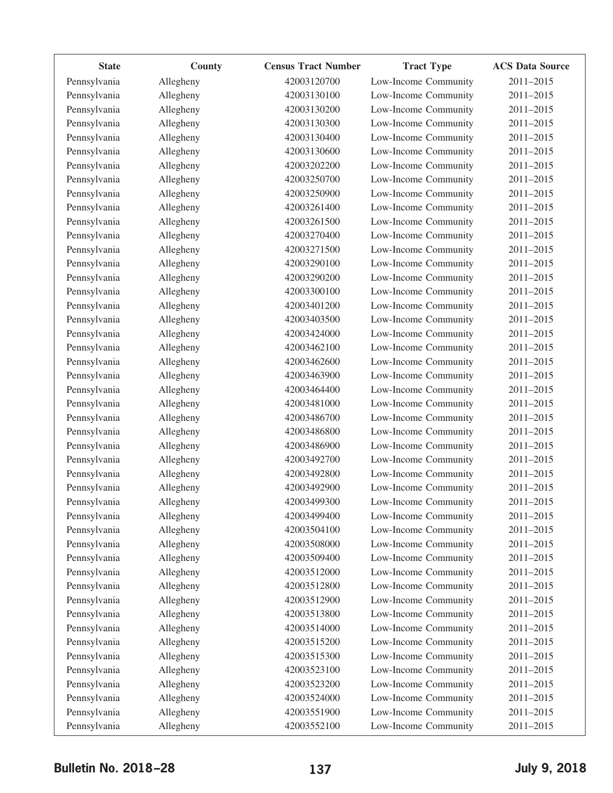| <b>State</b> | County    | <b>Census Tract Number</b> | <b>Tract Type</b>    | <b>ACS Data Source</b> |
|--------------|-----------|----------------------------|----------------------|------------------------|
| Pennsylvania | Allegheny | 42003120700                | Low-Income Community | 2011-2015              |
| Pennsylvania | Allegheny | 42003130100                | Low-Income Community | 2011-2015              |
| Pennsylvania | Allegheny | 42003130200                | Low-Income Community | 2011-2015              |
| Pennsylvania | Allegheny | 42003130300                | Low-Income Community | 2011-2015              |
| Pennsylvania | Allegheny | 42003130400                | Low-Income Community | 2011-2015              |
| Pennsylvania | Allegheny | 42003130600                | Low-Income Community | 2011-2015              |
| Pennsylvania | Allegheny | 42003202200                | Low-Income Community | 2011-2015              |
| Pennsylvania | Allegheny | 42003250700                | Low-Income Community | 2011-2015              |
| Pennsylvania | Allegheny | 42003250900                | Low-Income Community | 2011-2015              |
| Pennsylvania | Allegheny | 42003261400                | Low-Income Community | 2011-2015              |
| Pennsylvania | Allegheny | 42003261500                | Low-Income Community | 2011-2015              |
| Pennsylvania | Allegheny | 42003270400                | Low-Income Community | 2011-2015              |
| Pennsylvania | Allegheny | 42003271500                | Low-Income Community | 2011-2015              |
| Pennsylvania | Allegheny | 42003290100                | Low-Income Community | 2011-2015              |
| Pennsylvania | Allegheny | 42003290200                | Low-Income Community | 2011-2015              |
| Pennsylvania | Allegheny | 42003300100                | Low-Income Community | 2011-2015              |
| Pennsylvania | Allegheny | 42003401200                | Low-Income Community | 2011-2015              |
| Pennsylvania | Allegheny | 42003403500                | Low-Income Community | 2011-2015              |
| Pennsylvania | Allegheny | 42003424000                | Low-Income Community | 2011-2015              |
| Pennsylvania | Allegheny | 42003462100                | Low-Income Community | 2011-2015              |
| Pennsylvania | Allegheny | 42003462600                | Low-Income Community | $2011 - 2015$          |
| Pennsylvania | Allegheny | 42003463900                | Low-Income Community | 2011-2015              |
| Pennsylvania | Allegheny | 42003464400                | Low-Income Community | 2011-2015              |
| Pennsylvania | Allegheny | 42003481000                | Low-Income Community | 2011-2015              |
| Pennsylvania | Allegheny | 42003486700                | Low-Income Community | 2011-2015              |
| Pennsylvania | Allegheny | 42003486800                | Low-Income Community | 2011-2015              |
| Pennsylvania | Allegheny | 42003486900                | Low-Income Community | 2011-2015              |
| Pennsylvania | Allegheny | 42003492700                | Low-Income Community | 2011-2015              |
| Pennsylvania | Allegheny | 42003492800                | Low-Income Community | 2011-2015              |
| Pennsylvania | Allegheny | 42003492900                | Low-Income Community | 2011-2015              |
| Pennsylvania | Allegheny | 42003499300                | Low-Income Community | 2011-2015              |
| Pennsylvania | Allegheny | 42003499400                | Low-Income Community | 2011-2015              |
| Pennsylvania | Allegheny | 42003504100                | Low-Income Community | 2011-2015              |
| Pennsylvania | Allegheny | 42003508000                | Low-Income Community | 2011-2015              |
| Pennsylvania | Allegheny | 42003509400                | Low-Income Community | 2011-2015              |
| Pennsylvania | Allegheny | 42003512000                | Low-Income Community | 2011-2015              |
| Pennsylvania | Allegheny | 42003512800                | Low-Income Community | $2011 - 2015$          |
| Pennsylvania | Allegheny | 42003512900                | Low-Income Community | 2011-2015              |
| Pennsylvania | Allegheny | 42003513800                | Low-Income Community | 2011-2015              |
| Pennsylvania | Allegheny | 42003514000                | Low-Income Community | 2011-2015              |
| Pennsylvania | Allegheny | 42003515200                | Low-Income Community | 2011-2015              |
| Pennsylvania | Allegheny | 42003515300                | Low-Income Community | 2011-2015              |
| Pennsylvania | Allegheny | 42003523100                | Low-Income Community | 2011-2015              |
| Pennsylvania | Allegheny | 42003523200                | Low-Income Community | 2011-2015              |
| Pennsylvania | Allegheny | 42003524000                | Low-Income Community | 2011-2015              |
| Pennsylvania | Allegheny | 42003551900                | Low-Income Community | 2011-2015              |
| Pennsylvania | Allegheny | 42003552100                | Low-Income Community | 2011-2015              |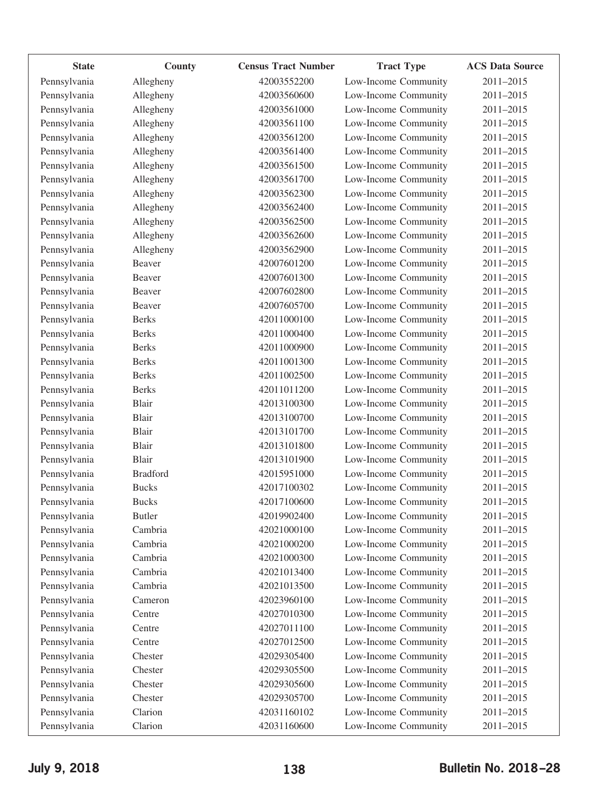| <b>State</b> | County          | <b>Census Tract Number</b> | <b>Tract Type</b>    | <b>ACS Data Source</b> |
|--------------|-----------------|----------------------------|----------------------|------------------------|
| Pennsylvania | Allegheny       | 42003552200                | Low-Income Community | 2011-2015              |
| Pennsylvania | Allegheny       | 42003560600                | Low-Income Community | 2011-2015              |
| Pennsylvania | Allegheny       | 42003561000                | Low-Income Community | 2011-2015              |
| Pennsylvania | Allegheny       | 42003561100                | Low-Income Community | 2011-2015              |
| Pennsylvania | Allegheny       | 42003561200                | Low-Income Community | 2011-2015              |
| Pennsylvania | Allegheny       | 42003561400                | Low-Income Community | 2011-2015              |
| Pennsylvania | Allegheny       | 42003561500                | Low-Income Community | 2011-2015              |
| Pennsylvania | Allegheny       | 42003561700                | Low-Income Community | 2011-2015              |
| Pennsylvania | Allegheny       | 42003562300                | Low-Income Community | 2011-2015              |
| Pennsylvania | Allegheny       | 42003562400                | Low-Income Community | 2011-2015              |
| Pennsylvania | Allegheny       | 42003562500                | Low-Income Community | 2011-2015              |
| Pennsylvania | Allegheny       | 42003562600                | Low-Income Community | 2011-2015              |
| Pennsylvania | Allegheny       | 42003562900                | Low-Income Community | 2011-2015              |
| Pennsylvania | Beaver          | 42007601200                | Low-Income Community | 2011-2015              |
| Pennsylvania | Beaver          | 42007601300                | Low-Income Community | 2011-2015              |
| Pennsylvania | Beaver          | 42007602800                | Low-Income Community | 2011-2015              |
| Pennsylvania | Beaver          | 42007605700                | Low-Income Community | 2011-2015              |
| Pennsylvania | <b>Berks</b>    | 42011000100                | Low-Income Community | 2011-2015              |
| Pennsylvania | <b>Berks</b>    | 42011000400                | Low-Income Community | 2011-2015              |
| Pennsylvania | <b>Berks</b>    | 42011000900                | Low-Income Community | 2011-2015              |
| Pennsylvania | <b>Berks</b>    | 42011001300                | Low-Income Community | 2011-2015              |
| Pennsylvania | <b>Berks</b>    | 42011002500                | Low-Income Community | 2011-2015              |
| Pennsylvania | <b>Berks</b>    | 42011011200                | Low-Income Community | 2011-2015              |
| Pennsylvania | Blair           | 42013100300                | Low-Income Community | 2011-2015              |
| Pennsylvania | Blair           | 42013100700                | Low-Income Community | 2011-2015              |
| Pennsylvania | Blair           | 42013101700                | Low-Income Community | 2011-2015              |
| Pennsylvania | Blair           | 42013101800                | Low-Income Community | 2011-2015              |
| Pennsylvania | Blair           | 42013101900                | Low-Income Community | 2011-2015              |
| Pennsylvania | <b>Bradford</b> | 42015951000                | Low-Income Community | 2011-2015              |
| Pennsylvania | <b>Bucks</b>    | 42017100302                | Low-Income Community | 2011-2015              |
| Pennsylvania | <b>Bucks</b>    | 42017100600                | Low-Income Community | 2011-2015              |
| Pennsylvania | <b>Butler</b>   | 42019902400                | Low-Income Community | 2011-2015              |
| Pennsylvania | Cambria         | 42021000100                | Low-Income Community | 2011-2015              |
| Pennsylvania | Cambria         | 42021000200                | Low-Income Community | 2011-2015              |
| Pennsylvania | Cambria         | 42021000300                | Low-Income Community | 2011-2015              |
| Pennsylvania | Cambria         | 42021013400                | Low-Income Community | 2011-2015              |
| Pennsylvania | Cambria         | 42021013500                | Low-Income Community | 2011-2015              |
| Pennsylvania | Cameron         | 42023960100                | Low-Income Community | 2011-2015              |
| Pennsylvania | Centre          | 42027010300                | Low-Income Community | 2011-2015              |
| Pennsylvania | Centre          | 42027011100                | Low-Income Community | 2011-2015              |
| Pennsylvania | Centre          | 42027012500                | Low-Income Community | 2011-2015              |
| Pennsylvania | Chester         | 42029305400                | Low-Income Community | 2011-2015              |
| Pennsylvania | Chester         | 42029305500                | Low-Income Community | 2011-2015              |
| Pennsylvania | Chester         | 42029305600                | Low-Income Community | 2011-2015              |
| Pennsylvania | Chester         | 42029305700                | Low-Income Community | 2011-2015              |
| Pennsylvania | Clarion         | 42031160102                | Low-Income Community | 2011-2015              |
| Pennsylvania | Clarion         | 42031160600                | Low-Income Community | 2011-2015              |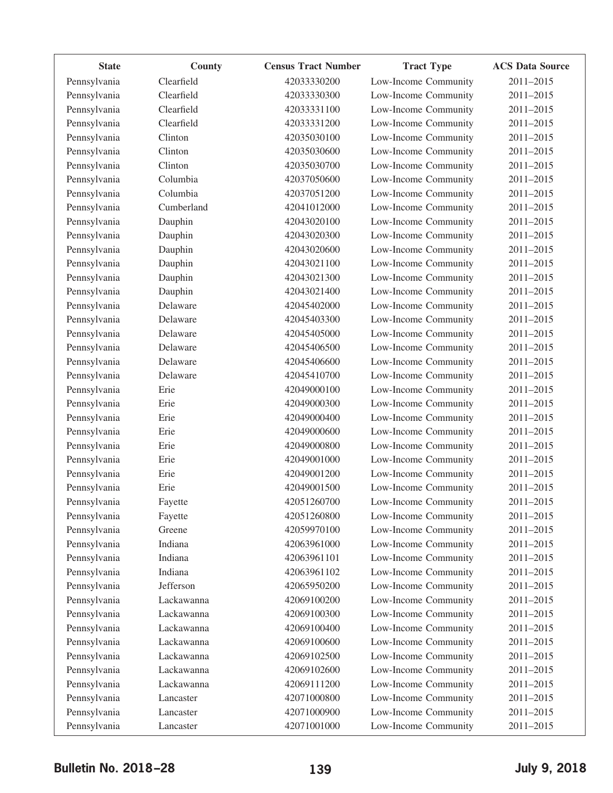| <b>State</b> | County     | <b>Census Tract Number</b> | <b>Tract Type</b>    | <b>ACS Data Source</b> |
|--------------|------------|----------------------------|----------------------|------------------------|
| Pennsylvania | Clearfield | 42033330200                | Low-Income Community | 2011-2015              |
| Pennsylvania | Clearfield | 42033330300                | Low-Income Community | 2011-2015              |
| Pennsylvania | Clearfield | 42033331100                | Low-Income Community | 2011-2015              |
| Pennsylvania | Clearfield | 42033331200                | Low-Income Community | 2011-2015              |
| Pennsylvania | Clinton    | 42035030100                | Low-Income Community | 2011-2015              |
| Pennsylvania | Clinton    | 42035030600                | Low-Income Community | 2011-2015              |
| Pennsylvania | Clinton    | 42035030700                | Low-Income Community | 2011-2015              |
| Pennsylvania | Columbia   | 42037050600                | Low-Income Community | 2011-2015              |
| Pennsylvania | Columbia   | 42037051200                | Low-Income Community | 2011-2015              |
| Pennsylvania | Cumberland | 42041012000                | Low-Income Community | 2011-2015              |
| Pennsylvania | Dauphin    | 42043020100                | Low-Income Community | 2011-2015              |
| Pennsylvania | Dauphin    | 42043020300                | Low-Income Community | 2011-2015              |
| Pennsylvania | Dauphin    | 42043020600                | Low-Income Community | 2011-2015              |
| Pennsylvania | Dauphin    | 42043021100                | Low-Income Community | 2011-2015              |
| Pennsylvania | Dauphin    | 42043021300                | Low-Income Community | 2011-2015              |
| Pennsylvania | Dauphin    | 42043021400                | Low-Income Community | 2011-2015              |
| Pennsylvania | Delaware   | 42045402000                | Low-Income Community | 2011-2015              |
| Pennsylvania | Delaware   | 42045403300                | Low-Income Community | 2011-2015              |
| Pennsylvania | Delaware   | 42045405000                | Low-Income Community | 2011-2015              |
| Pennsylvania | Delaware   | 42045406500                | Low-Income Community | 2011-2015              |
| Pennsylvania | Delaware   | 42045406600                | Low-Income Community | 2011-2015              |
| Pennsylvania | Delaware   | 42045410700                | Low-Income Community | 2011-2015              |
| Pennsylvania | Erie       | 42049000100                | Low-Income Community | 2011-2015              |
| Pennsylvania | Erie       | 42049000300                | Low-Income Community | 2011-2015              |
| Pennsylvania | Erie       | 42049000400                | Low-Income Community | 2011-2015              |
| Pennsylvania | Erie       | 42049000600                | Low-Income Community | 2011-2015              |
| Pennsylvania | Erie       | 42049000800                | Low-Income Community | 2011-2015              |
| Pennsylvania | Erie       | 42049001000                | Low-Income Community | 2011-2015              |
| Pennsylvania | Erie       | 42049001200                | Low-Income Community | 2011-2015              |
| Pennsylvania | Erie       | 42049001500                | Low-Income Community | 2011-2015              |
| Pennsylvania | Fayette    | 42051260700                | Low-Income Community | 2011-2015              |
| Pennsylvania | Fayette    | 42051260800                | Low-Income Community | 2011-2015              |
| Pennsylvania | Greene     | 42059970100                | Low-Income Community | 2011-2015              |
| Pennsylvania | Indiana    | 42063961000                | Low-Income Community | 2011-2015              |
| Pennsylvania | Indiana    | 42063961101                | Low-Income Community | 2011-2015              |
| Pennsylvania | Indiana    | 42063961102                | Low-Income Community | 2011-2015              |
| Pennsylvania | Jefferson  | 42065950200                | Low-Income Community | 2011-2015              |
| Pennsylvania | Lackawanna | 42069100200                | Low-Income Community | 2011-2015              |
| Pennsylvania | Lackawanna | 42069100300                | Low-Income Community | 2011-2015              |
| Pennsylvania | Lackawanna | 42069100400                | Low-Income Community | 2011-2015              |
| Pennsylvania | Lackawanna | 42069100600                | Low-Income Community | 2011-2015              |
| Pennsylvania | Lackawanna | 42069102500                | Low-Income Community | 2011-2015              |
| Pennsylvania | Lackawanna | 42069102600                | Low-Income Community | 2011-2015              |
| Pennsylvania | Lackawanna | 42069111200                | Low-Income Community | 2011-2015              |
| Pennsylvania | Lancaster  | 42071000800                | Low-Income Community | 2011-2015              |
| Pennsylvania | Lancaster  | 42071000900                | Low-Income Community | 2011-2015              |
| Pennsylvania | Lancaster  | 42071001000                | Low-Income Community | 2011-2015              |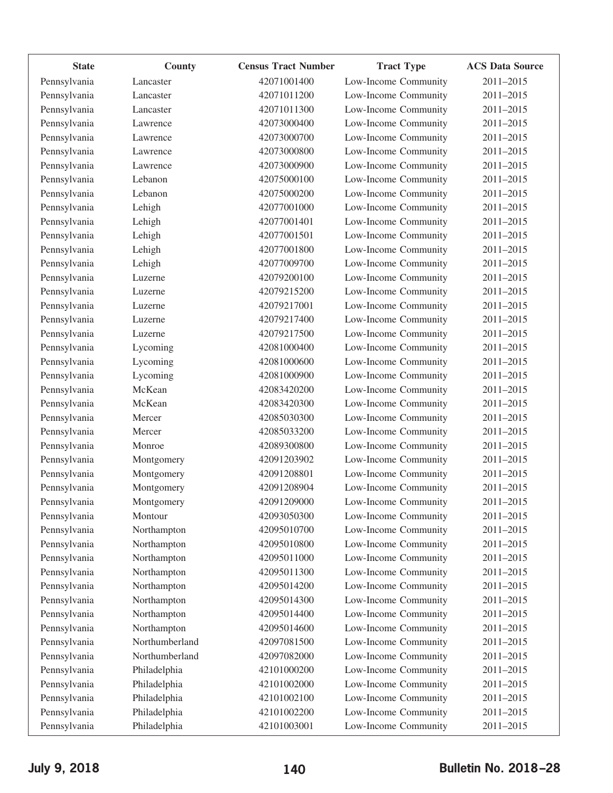| <b>State</b> | County         | <b>Census Tract Number</b> | <b>Tract Type</b>    | <b>ACS Data Source</b> |
|--------------|----------------|----------------------------|----------------------|------------------------|
| Pennsylvania | Lancaster      | 42071001400                | Low-Income Community | 2011-2015              |
| Pennsylvania | Lancaster      | 42071011200                | Low-Income Community | 2011-2015              |
| Pennsylvania | Lancaster      | 42071011300                | Low-Income Community | 2011-2015              |
| Pennsylvania | Lawrence       | 42073000400                | Low-Income Community | 2011-2015              |
| Pennsylvania | Lawrence       | 42073000700                | Low-Income Community | 2011-2015              |
| Pennsylvania | Lawrence       | 42073000800                | Low-Income Community | 2011-2015              |
| Pennsylvania | Lawrence       | 42073000900                | Low-Income Community | 2011-2015              |
| Pennsylvania | Lebanon        | 42075000100                | Low-Income Community | 2011-2015              |
| Pennsylvania | Lebanon        | 42075000200                | Low-Income Community | 2011-2015              |
| Pennsylvania | Lehigh         | 42077001000                | Low-Income Community | 2011-2015              |
| Pennsylvania | Lehigh         | 42077001401                | Low-Income Community | 2011-2015              |
| Pennsylvania | Lehigh         | 42077001501                | Low-Income Community | 2011-2015              |
| Pennsylvania | Lehigh         | 42077001800                | Low-Income Community | 2011-2015              |
| Pennsylvania | Lehigh         | 42077009700                | Low-Income Community | 2011-2015              |
| Pennsylvania | Luzerne        | 42079200100                | Low-Income Community | 2011-2015              |
| Pennsylvania | Luzerne        | 42079215200                | Low-Income Community | 2011-2015              |
| Pennsylvania | Luzerne        | 42079217001                | Low-Income Community | 2011-2015              |
| Pennsylvania | Luzerne        | 42079217400                | Low-Income Community | 2011-2015              |
| Pennsylvania | Luzerne        | 42079217500                | Low-Income Community | 2011-2015              |
| Pennsylvania | Lycoming       | 42081000400                | Low-Income Community | 2011-2015              |
| Pennsylvania | Lycoming       | 42081000600                | Low-Income Community | 2011-2015              |
| Pennsylvania | Lycoming       | 42081000900                | Low-Income Community | 2011-2015              |
| Pennsylvania | McKean         | 42083420200                | Low-Income Community | 2011-2015              |
| Pennsylvania | McKean         | 42083420300                | Low-Income Community | 2011-2015              |
| Pennsylvania | Mercer         | 42085030300                | Low-Income Community | 2011-2015              |
| Pennsylvania | Mercer         | 42085033200                | Low-Income Community | 2011-2015              |
| Pennsylvania | Monroe         | 42089300800                | Low-Income Community | 2011-2015              |
| Pennsylvania | Montgomery     | 42091203902                | Low-Income Community | 2011-2015              |
| Pennsylvania | Montgomery     | 42091208801                | Low-Income Community | 2011-2015              |
| Pennsylvania | Montgomery     | 42091208904                | Low-Income Community | 2011-2015              |
| Pennsylvania | Montgomery     | 42091209000                | Low-Income Community | 2011-2015              |
| Pennsylvania | Montour        | 42093050300                | Low-Income Community | 2011-2015              |
| Pennsylvania | Northampton    | 42095010700                | Low-Income Community | 2011-2015              |
| Pennsylvania | Northampton    | 42095010800                | Low-Income Community | 2011-2015              |
| Pennsylvania | Northampton    | 42095011000                | Low-Income Community | 2011-2015              |
| Pennsylvania | Northampton    | 42095011300                | Low-Income Community | 2011-2015              |
| Pennsylvania | Northampton    | 42095014200                | Low-Income Community | 2011-2015              |
| Pennsylvania | Northampton    | 42095014300                | Low-Income Community | 2011-2015              |
| Pennsylvania | Northampton    | 42095014400                | Low-Income Community | 2011-2015              |
| Pennsylvania | Northampton    | 42095014600                | Low-Income Community | 2011-2015              |
| Pennsylvania | Northumberland | 42097081500                | Low-Income Community | 2011-2015              |
| Pennsylvania | Northumberland | 42097082000                | Low-Income Community | 2011-2015              |
| Pennsylvania | Philadelphia   | 42101000200                | Low-Income Community | 2011-2015              |
| Pennsylvania | Philadelphia   | 42101002000                | Low-Income Community | 2011-2015              |
| Pennsylvania | Philadelphia   | 42101002100                | Low-Income Community | 2011-2015              |
| Pennsylvania | Philadelphia   | 42101002200                | Low-Income Community | 2011-2015              |
| Pennsylvania | Philadelphia   | 42101003001                | Low-Income Community | 2011-2015              |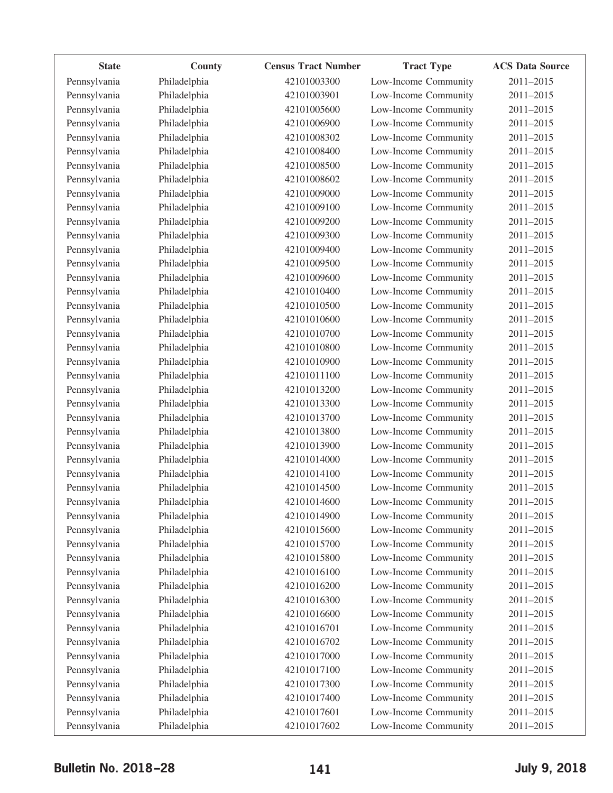| <b>State</b> | County       | <b>Census Tract Number</b> | <b>Tract Type</b>    | <b>ACS Data Source</b> |
|--------------|--------------|----------------------------|----------------------|------------------------|
| Pennsylvania | Philadelphia | 42101003300                | Low-Income Community | 2011-2015              |
| Pennsylvania | Philadelphia | 42101003901                | Low-Income Community | 2011-2015              |
| Pennsylvania | Philadelphia | 42101005600                | Low-Income Community | 2011-2015              |
| Pennsylvania | Philadelphia | 42101006900                | Low-Income Community | 2011-2015              |
| Pennsylvania | Philadelphia | 42101008302                | Low-Income Community | 2011-2015              |
| Pennsylvania | Philadelphia | 42101008400                | Low-Income Community | 2011-2015              |
| Pennsylvania | Philadelphia | 42101008500                | Low-Income Community | 2011-2015              |
| Pennsylvania | Philadelphia | 42101008602                | Low-Income Community | 2011-2015              |
| Pennsylvania | Philadelphia | 42101009000                | Low-Income Community | 2011-2015              |
| Pennsylvania | Philadelphia | 42101009100                | Low-Income Community | 2011-2015              |
| Pennsylvania | Philadelphia | 42101009200                | Low-Income Community | 2011-2015              |
| Pennsylvania | Philadelphia | 42101009300                | Low-Income Community | 2011-2015              |
| Pennsylvania | Philadelphia | 42101009400                | Low-Income Community | 2011-2015              |
| Pennsylvania | Philadelphia | 42101009500                | Low-Income Community | 2011-2015              |
| Pennsylvania | Philadelphia | 42101009600                | Low-Income Community | 2011-2015              |
| Pennsylvania | Philadelphia | 42101010400                | Low-Income Community | 2011-2015              |
| Pennsylvania | Philadelphia | 42101010500                | Low-Income Community | 2011-2015              |
| Pennsylvania | Philadelphia | 42101010600                | Low-Income Community | 2011-2015              |
| Pennsylvania | Philadelphia | 42101010700                | Low-Income Community | 2011-2015              |
| Pennsylvania | Philadelphia | 42101010800                | Low-Income Community | 2011-2015              |
| Pennsylvania | Philadelphia | 42101010900                | Low-Income Community | 2011-2015              |
| Pennsylvania | Philadelphia | 42101011100                | Low-Income Community | 2011-2015              |
| Pennsylvania | Philadelphia | 42101013200                | Low-Income Community | 2011-2015              |
| Pennsylvania | Philadelphia | 42101013300                | Low-Income Community | 2011-2015              |
| Pennsylvania | Philadelphia | 42101013700                | Low-Income Community | 2011-2015              |
| Pennsylvania | Philadelphia | 42101013800                | Low-Income Community | 2011-2015              |
| Pennsylvania | Philadelphia | 42101013900                | Low-Income Community | 2011-2015              |
| Pennsylvania | Philadelphia | 42101014000                | Low-Income Community | 2011-2015              |
| Pennsylvania | Philadelphia | 42101014100                | Low-Income Community | 2011-2015              |
| Pennsylvania | Philadelphia | 42101014500                | Low-Income Community | 2011-2015              |
| Pennsylvania | Philadelphia | 42101014600                | Low-Income Community | 2011-2015              |
| Pennsylvania | Philadelphia | 42101014900                | Low-Income Community | 2011-2015              |
| Pennsylvania | Philadelphia | 42101015600                | Low-Income Community | 2011-2015              |
| Pennsylvania | Philadelphia | 42101015700                | Low-Income Community | 2011-2015              |
| Pennsylvania | Philadelphia | 42101015800                | Low-Income Community | 2011-2015              |
| Pennsylvania | Philadelphia | 42101016100                | Low-Income Community | 2011-2015              |
| Pennsylvania | Philadelphia | 42101016200                | Low-Income Community | 2011-2015              |
| Pennsylvania | Philadelphia | 42101016300                | Low-Income Community | 2011-2015              |
| Pennsylvania | Philadelphia | 42101016600                | Low-Income Community | 2011-2015              |
| Pennsylvania | Philadelphia | 42101016701                | Low-Income Community | 2011-2015              |
| Pennsylvania | Philadelphia | 42101016702                | Low-Income Community | 2011-2015              |
| Pennsylvania | Philadelphia | 42101017000                | Low-Income Community | 2011-2015              |
| Pennsylvania | Philadelphia | 42101017100                | Low-Income Community | 2011-2015              |
| Pennsylvania | Philadelphia | 42101017300                | Low-Income Community | 2011-2015              |
| Pennsylvania | Philadelphia | 42101017400                | Low-Income Community | 2011-2015              |
| Pennsylvania | Philadelphia | 42101017601                | Low-Income Community | 2011-2015              |
| Pennsylvania | Philadelphia | 42101017602                | Low-Income Community | 2011-2015              |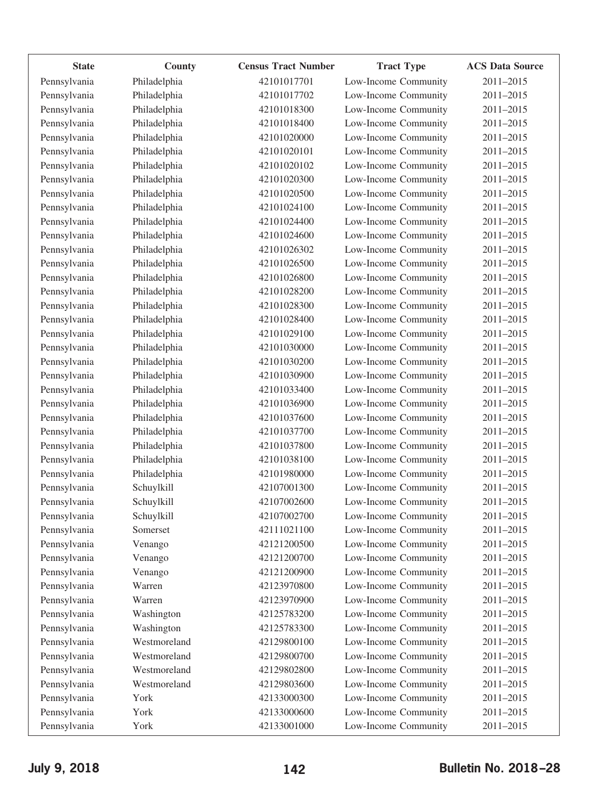| <b>State</b> | County       | <b>Census Tract Number</b> | <b>Tract Type</b>    | <b>ACS Data Source</b> |
|--------------|--------------|----------------------------|----------------------|------------------------|
| Pennsylvania | Philadelphia | 42101017701                | Low-Income Community | 2011-2015              |
| Pennsylvania | Philadelphia | 42101017702                | Low-Income Community | 2011-2015              |
| Pennsylvania | Philadelphia | 42101018300                | Low-Income Community | 2011-2015              |
| Pennsylvania | Philadelphia | 42101018400                | Low-Income Community | 2011-2015              |
| Pennsylvania | Philadelphia | 42101020000                | Low-Income Community | 2011-2015              |
| Pennsylvania | Philadelphia | 42101020101                | Low-Income Community | 2011-2015              |
| Pennsylvania | Philadelphia | 42101020102                | Low-Income Community | 2011-2015              |
| Pennsylvania | Philadelphia | 42101020300                | Low-Income Community | 2011-2015              |
| Pennsylvania | Philadelphia | 42101020500                | Low-Income Community | 2011-2015              |
| Pennsylvania | Philadelphia | 42101024100                | Low-Income Community | 2011-2015              |
| Pennsylvania | Philadelphia | 42101024400                | Low-Income Community | 2011-2015              |
| Pennsylvania | Philadelphia | 42101024600                | Low-Income Community | 2011-2015              |
| Pennsylvania | Philadelphia | 42101026302                | Low-Income Community | 2011-2015              |
| Pennsylvania | Philadelphia | 42101026500                | Low-Income Community | 2011-2015              |
| Pennsylvania | Philadelphia | 42101026800                | Low-Income Community | 2011-2015              |
| Pennsylvania | Philadelphia | 42101028200                | Low-Income Community | 2011-2015              |
| Pennsylvania | Philadelphia | 42101028300                | Low-Income Community | 2011-2015              |
| Pennsylvania | Philadelphia | 42101028400                | Low-Income Community | 2011-2015              |
| Pennsylvania | Philadelphia | 42101029100                | Low-Income Community | 2011-2015              |
| Pennsylvania | Philadelphia | 42101030000                | Low-Income Community | 2011-2015              |
| Pennsylvania | Philadelphia | 42101030200                | Low-Income Community | 2011-2015              |
| Pennsylvania | Philadelphia | 42101030900                | Low-Income Community | 2011-2015              |
| Pennsylvania | Philadelphia | 42101033400                | Low-Income Community | 2011-2015              |
| Pennsylvania | Philadelphia | 42101036900                | Low-Income Community | 2011-2015              |
| Pennsylvania | Philadelphia | 42101037600                | Low-Income Community | 2011-2015              |
| Pennsylvania | Philadelphia | 42101037700                | Low-Income Community | 2011-2015              |
| Pennsylvania | Philadelphia | 42101037800                | Low-Income Community | 2011-2015              |
| Pennsylvania | Philadelphia | 42101038100                | Low-Income Community | 2011-2015              |
| Pennsylvania | Philadelphia | 42101980000                | Low-Income Community | 2011-2015              |
| Pennsylvania | Schuylkill   | 42107001300                | Low-Income Community | 2011-2015              |
| Pennsylvania | Schuylkill   | 42107002600                | Low-Income Community | 2011-2015              |
| Pennsylvania | Schuylkill   | 42107002700                | Low-Income Community | 2011-2015              |
| Pennsylvania | Somerset     | 42111021100                | Low-Income Community | 2011-2015              |
| Pennsylvania | Venango      | 42121200500                | Low-Income Community | 2011-2015              |
| Pennsylvania | Venango      | 42121200700                | Low-Income Community | 2011-2015              |
| Pennsylvania | Venango      | 42121200900                | Low-Income Community | 2011-2015              |
| Pennsylvania | Warren       | 42123970800                | Low-Income Community | 2011-2015              |
| Pennsylvania | Warren       | 42123970900                | Low-Income Community | 2011-2015              |
| Pennsylvania | Washington   | 42125783200                | Low-Income Community | 2011-2015              |
| Pennsylvania | Washington   | 42125783300                | Low-Income Community | 2011-2015              |
| Pennsylvania | Westmoreland | 42129800100                | Low-Income Community | 2011-2015              |
| Pennsylvania | Westmoreland | 42129800700                | Low-Income Community | 2011-2015              |
| Pennsylvania | Westmoreland | 42129802800                | Low-Income Community | 2011-2015              |
| Pennsylvania | Westmoreland | 42129803600                | Low-Income Community | 2011-2015              |
| Pennsylvania | York         | 42133000300                | Low-Income Community | 2011-2015              |
| Pennsylvania | York         | 42133000600                | Low-Income Community | 2011-2015              |
| Pennsylvania | York         | 42133001000                | Low-Income Community | 2011-2015              |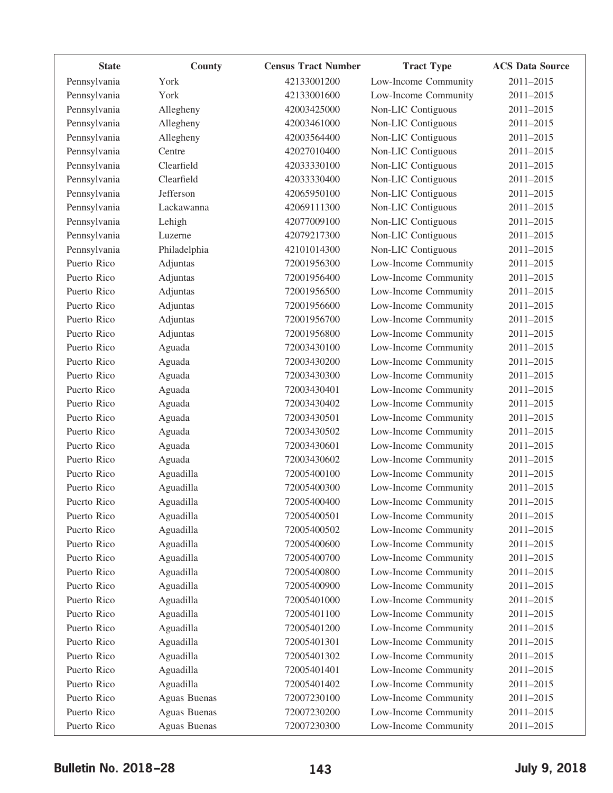| <b>State</b> | County       | <b>Census Tract Number</b> | <b>Tract Type</b>    | <b>ACS Data Source</b> |
|--------------|--------------|----------------------------|----------------------|------------------------|
| Pennsylvania | York         | 42133001200                | Low-Income Community | 2011-2015              |
| Pennsylvania | York         | 42133001600                | Low-Income Community | 2011-2015              |
| Pennsylvania | Allegheny    | 42003425000                | Non-LIC Contiguous   | 2011-2015              |
| Pennsylvania | Allegheny    | 42003461000                | Non-LIC Contiguous   | 2011-2015              |
| Pennsylvania | Allegheny    | 42003564400                | Non-LIC Contiguous   | 2011-2015              |
| Pennsylvania | Centre       | 42027010400                | Non-LIC Contiguous   | 2011-2015              |
| Pennsylvania | Clearfield   | 42033330100                | Non-LIC Contiguous   | 2011-2015              |
| Pennsylvania | Clearfield   | 42033330400                | Non-LIC Contiguous   | 2011-2015              |
| Pennsylvania | Jefferson    | 42065950100                | Non-LIC Contiguous   | 2011-2015              |
| Pennsylvania | Lackawanna   | 42069111300                | Non-LIC Contiguous   | 2011-2015              |
| Pennsylvania | Lehigh       | 42077009100                | Non-LIC Contiguous   | 2011-2015              |
| Pennsylvania | Luzerne      | 42079217300                | Non-LIC Contiguous   | 2011-2015              |
| Pennsylvania | Philadelphia | 42101014300                | Non-LIC Contiguous   | 2011-2015              |
| Puerto Rico  | Adjuntas     | 72001956300                | Low-Income Community | 2011-2015              |
| Puerto Rico  | Adjuntas     | 72001956400                | Low-Income Community | 2011-2015              |
| Puerto Rico  | Adjuntas     | 72001956500                | Low-Income Community | 2011-2015              |
| Puerto Rico  | Adjuntas     | 72001956600                | Low-Income Community | 2011-2015              |
| Puerto Rico  | Adjuntas     | 72001956700                | Low-Income Community | 2011-2015              |
| Puerto Rico  | Adjuntas     | 72001956800                | Low-Income Community | 2011-2015              |
| Puerto Rico  | Aguada       | 72003430100                | Low-Income Community | 2011-2015              |
| Puerto Rico  | Aguada       | 72003430200                | Low-Income Community | 2011-2015              |
| Puerto Rico  | Aguada       | 72003430300                | Low-Income Community | 2011-2015              |
| Puerto Rico  | Aguada       | 72003430401                | Low-Income Community | 2011-2015              |
| Puerto Rico  | Aguada       | 72003430402                | Low-Income Community | 2011-2015              |
| Puerto Rico  | Aguada       | 72003430501                | Low-Income Community | 2011-2015              |
| Puerto Rico  | Aguada       | 72003430502                | Low-Income Community | 2011-2015              |
| Puerto Rico  | Aguada       | 72003430601                | Low-Income Community | 2011-2015              |
| Puerto Rico  | Aguada       | 72003430602                | Low-Income Community | 2011-2015              |
| Puerto Rico  | Aguadilla    | 72005400100                | Low-Income Community | 2011-2015              |
| Puerto Rico  | Aguadilla    | 72005400300                | Low-Income Community | 2011-2015              |
| Puerto Rico  | Aguadilla    | 72005400400                | Low-Income Community | 2011-2015              |
| Puerto Rico  | Aguadilla    | 72005400501                | Low-Income Community | 2011-2015              |
| Puerto Rico  | Aguadilla    | 72005400502                | Low-Income Community | 2011-2015              |
| Puerto Rico  | Aguadilla    | 72005400600                | Low-Income Community | 2011-2015              |
| Puerto Rico  | Aguadilla    | 72005400700                | Low-Income Community | 2011-2015              |
| Puerto Rico  | Aguadilla    | 72005400800                | Low-Income Community | 2011-2015              |
| Puerto Rico  | Aguadilla    | 72005400900                | Low-Income Community | 2011-2015              |
| Puerto Rico  | Aguadilla    | 72005401000                | Low-Income Community | 2011-2015              |
| Puerto Rico  | Aguadilla    | 72005401100                | Low-Income Community | 2011-2015              |
| Puerto Rico  | Aguadilla    | 72005401200                | Low-Income Community | 2011-2015              |
| Puerto Rico  | Aguadilla    | 72005401301                | Low-Income Community | 2011-2015              |
| Puerto Rico  | Aguadilla    | 72005401302                | Low-Income Community | 2011-2015              |
| Puerto Rico  | Aguadilla    | 72005401401                | Low-Income Community | 2011-2015              |
| Puerto Rico  | Aguadilla    | 72005401402                | Low-Income Community | 2011-2015              |
| Puerto Rico  | Aguas Buenas | 72007230100                | Low-Income Community | 2011-2015              |
| Puerto Rico  | Aguas Buenas | 72007230200                | Low-Income Community | 2011-2015              |
| Puerto Rico  | Aguas Buenas | 72007230300                | Low-Income Community | 2011-2015              |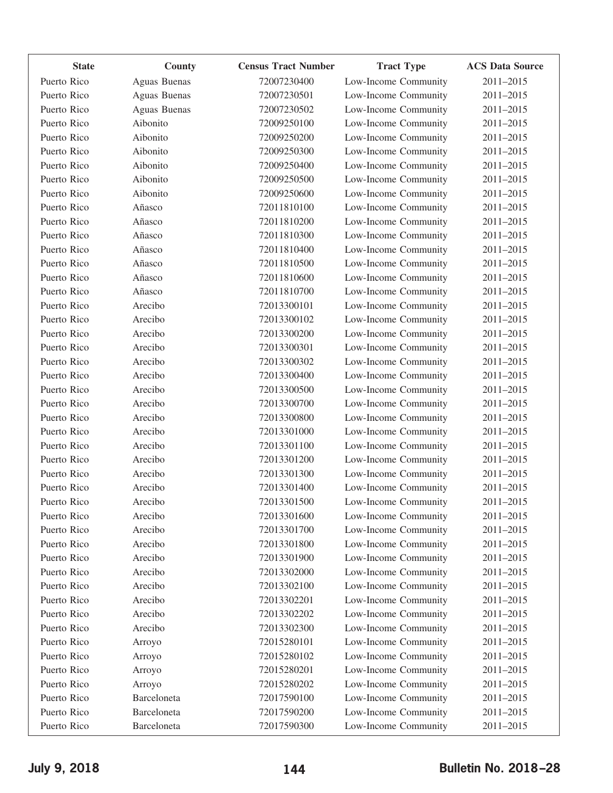| <b>State</b> | County       | <b>Census Tract Number</b> | <b>Tract Type</b>    | <b>ACS Data Source</b> |
|--------------|--------------|----------------------------|----------------------|------------------------|
| Puerto Rico  | Aguas Buenas | 72007230400                | Low-Income Community | 2011-2015              |
| Puerto Rico  | Aguas Buenas | 72007230501                | Low-Income Community | 2011-2015              |
| Puerto Rico  | Aguas Buenas | 72007230502                | Low-Income Community | 2011-2015              |
| Puerto Rico  | Aibonito     | 72009250100                | Low-Income Community | 2011-2015              |
| Puerto Rico  | Aibonito     | 72009250200                | Low-Income Community | 2011-2015              |
| Puerto Rico  | Aibonito     | 72009250300                | Low-Income Community | 2011-2015              |
| Puerto Rico  | Aibonito     | 72009250400                | Low-Income Community | 2011-2015              |
| Puerto Rico  | Aibonito     | 72009250500                | Low-Income Community | 2011-2015              |
| Puerto Rico  | Aibonito     | 72009250600                | Low-Income Community | 2011-2015              |
| Puerto Rico  | Añasco       | 72011810100                | Low-Income Community | 2011-2015              |
| Puerto Rico  | Añasco       | 72011810200                | Low-Income Community | 2011-2015              |
| Puerto Rico  | Añasco       | 72011810300                | Low-Income Community | 2011-2015              |
| Puerto Rico  | Añasco       | 72011810400                | Low-Income Community | 2011-2015              |
| Puerto Rico  | Añasco       | 72011810500                | Low-Income Community | 2011-2015              |
| Puerto Rico  | Añasco       | 72011810600                | Low-Income Community | 2011-2015              |
| Puerto Rico  | Añasco       | 72011810700                | Low-Income Community | 2011-2015              |
| Puerto Rico  | Arecibo      | 72013300101                | Low-Income Community | 2011-2015              |
| Puerto Rico  | Arecibo      | 72013300102                | Low-Income Community | 2011-2015              |
| Puerto Rico  | Arecibo      | 72013300200                | Low-Income Community | 2011-2015              |
| Puerto Rico  | Arecibo      | 72013300301                | Low-Income Community | 2011-2015              |
| Puerto Rico  | Arecibo      | 72013300302                | Low-Income Community | 2011-2015              |
| Puerto Rico  | Arecibo      | 72013300400                | Low-Income Community | 2011-2015              |
| Puerto Rico  | Arecibo      | 72013300500                | Low-Income Community | 2011-2015              |
| Puerto Rico  | Arecibo      | 72013300700                | Low-Income Community | 2011-2015              |
| Puerto Rico  | Arecibo      | 72013300800                | Low-Income Community | 2011-2015              |
| Puerto Rico  | Arecibo      | 72013301000                | Low-Income Community | 2011-2015              |
| Puerto Rico  | Arecibo      | 72013301100                | Low-Income Community | 2011-2015              |
| Puerto Rico  | Arecibo      | 72013301200                | Low-Income Community | 2011-2015              |
| Puerto Rico  | Arecibo      | 72013301300                | Low-Income Community | 2011-2015              |
| Puerto Rico  | Arecibo      | 72013301400                | Low-Income Community | 2011-2015              |
| Puerto Rico  | Arecibo      | 72013301500                | Low-Income Community | 2011-2015              |
| Puerto Rico  | Arecibo      | 72013301600                | Low-Income Community | 2011-2015              |
| Puerto Rico  | Arecibo      | 72013301700                | Low-Income Community | 2011-2015              |
| Puerto Rico  | Arecibo      | 72013301800                | Low-Income Community | 2011-2015              |
| Puerto Rico  | Arecibo      | 72013301900                | Low-Income Community | 2011-2015              |
| Puerto Rico  | Arecibo      | 72013302000                | Low-Income Community | 2011-2015              |
| Puerto Rico  | Arecibo      | 72013302100                | Low-Income Community | 2011-2015              |
| Puerto Rico  | Arecibo      | 72013302201                | Low-Income Community | 2011-2015              |
| Puerto Rico  | Arecibo      | 72013302202                | Low-Income Community | 2011-2015              |
| Puerto Rico  | Arecibo      | 72013302300                | Low-Income Community | 2011-2015              |
| Puerto Rico  | Arroyo       | 72015280101                | Low-Income Community | 2011-2015              |
| Puerto Rico  | Arroyo       | 72015280102                | Low-Income Community | 2011-2015              |
| Puerto Rico  | Arroyo       | 72015280201                | Low-Income Community | 2011-2015              |
| Puerto Rico  | Arroyo       | 72015280202                | Low-Income Community | 2011-2015              |
| Puerto Rico  | Barceloneta  | 72017590100                | Low-Income Community | 2011-2015              |
| Puerto Rico  | Barceloneta  | 72017590200                | Low-Income Community | 2011-2015              |
| Puerto Rico  | Barceloneta  | 72017590300                | Low-Income Community | 2011-2015              |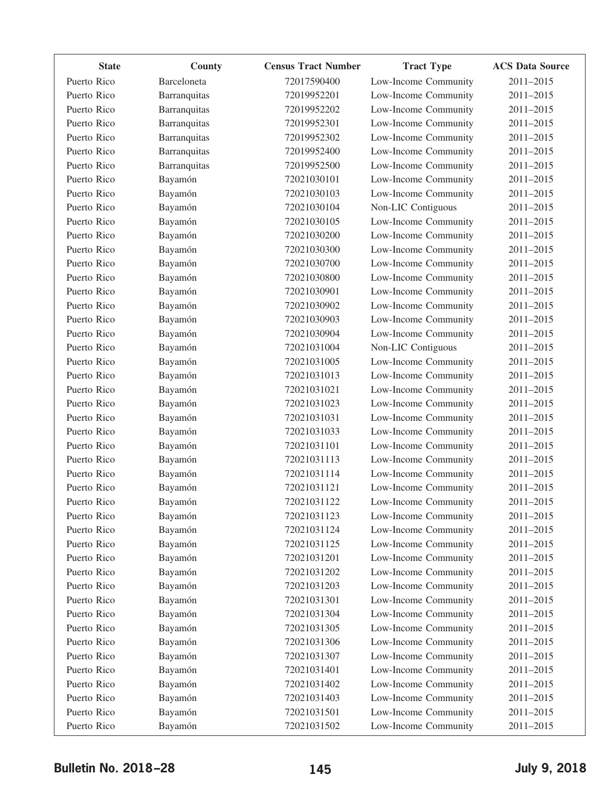| <b>State</b> | County       | <b>Census Tract Number</b> | <b>Tract Type</b>    | <b>ACS Data Source</b> |
|--------------|--------------|----------------------------|----------------------|------------------------|
| Puerto Rico  | Barceloneta  | 72017590400                | Low-Income Community | 2011-2015              |
| Puerto Rico  | Barranquitas | 72019952201                | Low-Income Community | 2011-2015              |
| Puerto Rico  | Barranquitas | 72019952202                | Low-Income Community | 2011-2015              |
| Puerto Rico  | Barranquitas | 72019952301                | Low-Income Community | 2011-2015              |
| Puerto Rico  | Barranquitas | 72019952302                | Low-Income Community | 2011-2015              |
| Puerto Rico  | Barranquitas | 72019952400                | Low-Income Community | 2011-2015              |
| Puerto Rico  | Barranquitas | 72019952500                | Low-Income Community | 2011-2015              |
| Puerto Rico  | Bayamón      | 72021030101                | Low-Income Community | 2011-2015              |
| Puerto Rico  | Bayamón      | 72021030103                | Low-Income Community | 2011-2015              |
| Puerto Rico  | Bayamón      | 72021030104                | Non-LIC Contiguous   | 2011-2015              |
| Puerto Rico  | Bayamón      | 72021030105                | Low-Income Community | 2011-2015              |
| Puerto Rico  | Bayamón      | 72021030200                | Low-Income Community | 2011-2015              |
| Puerto Rico  | Bayamón      | 72021030300                | Low-Income Community | 2011-2015              |
| Puerto Rico  | Bayamón      | 72021030700                | Low-Income Community | 2011-2015              |
| Puerto Rico  | Bayamón      | 72021030800                | Low-Income Community | 2011-2015              |
| Puerto Rico  | Bayamón      | 72021030901                | Low-Income Community | 2011-2015              |
| Puerto Rico  | Bayamón      | 72021030902                | Low-Income Community | 2011-2015              |
| Puerto Rico  | Bayamón      | 72021030903                | Low-Income Community | 2011-2015              |
| Puerto Rico  | Bayamón      | 72021030904                | Low-Income Community | 2011-2015              |
| Puerto Rico  | Bayamón      | 72021031004                | Non-LIC Contiguous   | 2011-2015              |
| Puerto Rico  | Bayamón      | 72021031005                | Low-Income Community | 2011-2015              |
| Puerto Rico  | Bayamón      | 72021031013                | Low-Income Community | 2011-2015              |
| Puerto Rico  | Bayamón      | 72021031021                | Low-Income Community | 2011-2015              |
| Puerto Rico  | Bayamón      | 72021031023                | Low-Income Community | 2011-2015              |
| Puerto Rico  | Bayamón      | 72021031031                | Low-Income Community | 2011-2015              |
| Puerto Rico  | Bayamón      | 72021031033                | Low-Income Community | 2011-2015              |
| Puerto Rico  | Bayamón      | 72021031101                | Low-Income Community | 2011-2015              |
| Puerto Rico  | Bayamón      | 72021031113                | Low-Income Community | 2011-2015              |
| Puerto Rico  | Bayamón      | 72021031114                | Low-Income Community | 2011-2015              |
| Puerto Rico  | Bayamón      | 72021031121                | Low-Income Community | 2011-2015              |
| Puerto Rico  | Bayamón      | 72021031122                | Low-Income Community | 2011-2015              |
| Puerto Rico  | Bayamón      | 72021031123                | Low-Income Community | 2011-2015              |
| Puerto Rico  | Bayamón      | 72021031124                | Low-Income Community | 2011-2015              |
| Puerto Rico  | Bayamón      | 72021031125                | Low-Income Community | 2011-2015              |
| Puerto Rico  | Bayamón      | 72021031201                | Low-Income Community | 2011-2015              |
| Puerto Rico  | Bayamón      | 72021031202                | Low-Income Community | 2011-2015              |
| Puerto Rico  | Bayamón      | 72021031203                | Low-Income Community | 2011-2015              |
| Puerto Rico  | Bayamón      | 72021031301                | Low-Income Community | 2011-2015              |
| Puerto Rico  | Bayamón      | 72021031304                | Low-Income Community | 2011-2015              |
| Puerto Rico  | Bayamón      | 72021031305                | Low-Income Community | 2011-2015              |
| Puerto Rico  | Bayamón      | 72021031306                | Low-Income Community | 2011-2015              |
| Puerto Rico  | Bayamón      | 72021031307                | Low-Income Community | 2011-2015              |
| Puerto Rico  | Bayamón      | 72021031401                | Low-Income Community | 2011-2015              |
| Puerto Rico  | Bayamón      | 72021031402                | Low-Income Community | 2011-2015              |
| Puerto Rico  | Bayamón      | 72021031403                | Low-Income Community | 2011-2015              |
| Puerto Rico  | Bayamón      | 72021031501                | Low-Income Community | 2011-2015              |
| Puerto Rico  | Bayamón      | 72021031502                | Low-Income Community | 2011-2015              |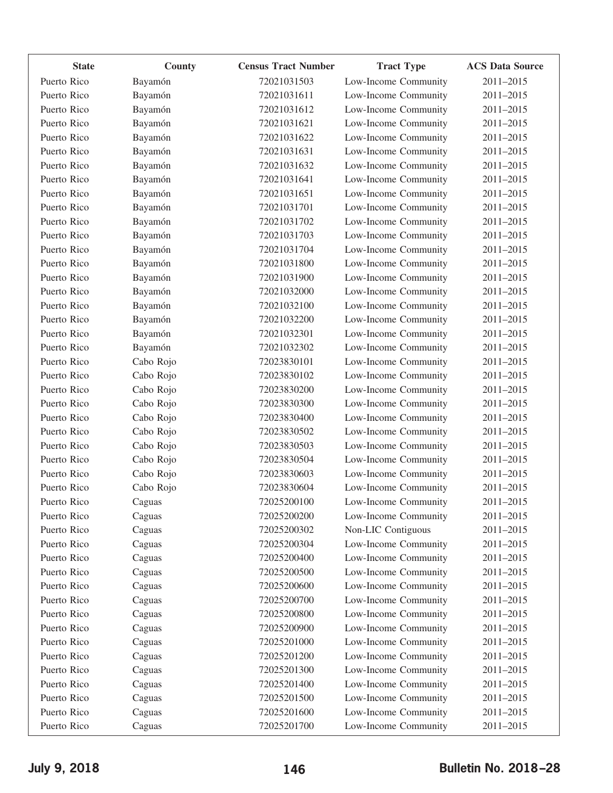| <b>State</b> | County    | <b>Census Tract Number</b> | <b>Tract Type</b>    | <b>ACS Data Source</b> |
|--------------|-----------|----------------------------|----------------------|------------------------|
| Puerto Rico  | Bayamón   | 72021031503                | Low-Income Community | 2011-2015              |
| Puerto Rico  | Bayamón   | 72021031611                | Low-Income Community | 2011-2015              |
| Puerto Rico  | Bayamón   | 72021031612                | Low-Income Community | 2011-2015              |
| Puerto Rico  | Bayamón   | 72021031621                | Low-Income Community | 2011-2015              |
| Puerto Rico  | Bayamón   | 72021031622                | Low-Income Community | 2011-2015              |
| Puerto Rico  | Bayamón   | 72021031631                | Low-Income Community | 2011-2015              |
| Puerto Rico  | Bayamón   | 72021031632                | Low-Income Community | 2011-2015              |
| Puerto Rico  | Bayamón   | 72021031641                | Low-Income Community | 2011-2015              |
| Puerto Rico  | Bayamón   | 72021031651                | Low-Income Community | 2011-2015              |
| Puerto Rico  | Bayamón   | 72021031701                | Low-Income Community | 2011-2015              |
| Puerto Rico  | Bayamón   | 72021031702                | Low-Income Community | 2011-2015              |
| Puerto Rico  | Bayamón   | 72021031703                | Low-Income Community | 2011-2015              |
| Puerto Rico  | Bayamón   | 72021031704                | Low-Income Community | 2011-2015              |
| Puerto Rico  | Bayamón   | 72021031800                | Low-Income Community | 2011-2015              |
| Puerto Rico  | Bayamón   | 72021031900                | Low-Income Community | 2011-2015              |
| Puerto Rico  | Bayamón   | 72021032000                | Low-Income Community | 2011-2015              |
| Puerto Rico  | Bayamón   | 72021032100                | Low-Income Community | 2011-2015              |
| Puerto Rico  | Bayamón   | 72021032200                | Low-Income Community | 2011-2015              |
| Puerto Rico  | Bayamón   | 72021032301                | Low-Income Community | 2011-2015              |
| Puerto Rico  | Bayamón   | 72021032302                | Low-Income Community | 2011-2015              |
| Puerto Rico  | Cabo Rojo | 72023830101                | Low-Income Community | 2011-2015              |
| Puerto Rico  | Cabo Rojo | 72023830102                | Low-Income Community | 2011-2015              |
| Puerto Rico  | Cabo Rojo | 72023830200                | Low-Income Community | 2011-2015              |
| Puerto Rico  | Cabo Rojo | 72023830300                | Low-Income Community | 2011-2015              |
| Puerto Rico  | Cabo Rojo | 72023830400                | Low-Income Community | 2011-2015              |
| Puerto Rico  | Cabo Rojo | 72023830502                | Low-Income Community | 2011-2015              |
| Puerto Rico  | Cabo Rojo | 72023830503                | Low-Income Community | 2011-2015              |
| Puerto Rico  | Cabo Rojo | 72023830504                | Low-Income Community | 2011-2015              |
| Puerto Rico  | Cabo Rojo | 72023830603                | Low-Income Community | 2011-2015              |
| Puerto Rico  | Cabo Rojo | 72023830604                | Low-Income Community | 2011-2015              |
| Puerto Rico  | Caguas    | 72025200100                | Low-Income Community | 2011-2015              |
| Puerto Rico  | Caguas    | 72025200200                | Low-Income Community | 2011-2015              |
| Puerto Rico  | Caguas    | 72025200302                | Non-LIC Contiguous   | 2011-2015              |
| Puerto Rico  | Caguas    | 72025200304                | Low-Income Community | 2011-2015              |
| Puerto Rico  | Caguas    | 72025200400                | Low-Income Community | 2011-2015              |
| Puerto Rico  | Caguas    | 72025200500                | Low-Income Community | 2011-2015              |
| Puerto Rico  | Caguas    | 72025200600                | Low-Income Community | 2011-2015              |
| Puerto Rico  | Caguas    | 72025200700                | Low-Income Community | 2011-2015              |
| Puerto Rico  | Caguas    | 72025200800                | Low-Income Community | 2011-2015              |
| Puerto Rico  | Caguas    | 72025200900                | Low-Income Community | 2011-2015              |
| Puerto Rico  | Caguas    | 72025201000                | Low-Income Community | 2011-2015              |
| Puerto Rico  | Caguas    | 72025201200                | Low-Income Community | 2011-2015              |
| Puerto Rico  | Caguas    | 72025201300                | Low-Income Community | 2011-2015              |
| Puerto Rico  | Caguas    | 72025201400                | Low-Income Community | 2011-2015              |
| Puerto Rico  | Caguas    | 72025201500                | Low-Income Community | 2011-2015              |
| Puerto Rico  | Caguas    | 72025201600                | Low-Income Community | 2011-2015              |
| Puerto Rico  | Caguas    | 72025201700                | Low-Income Community | 2011-2015              |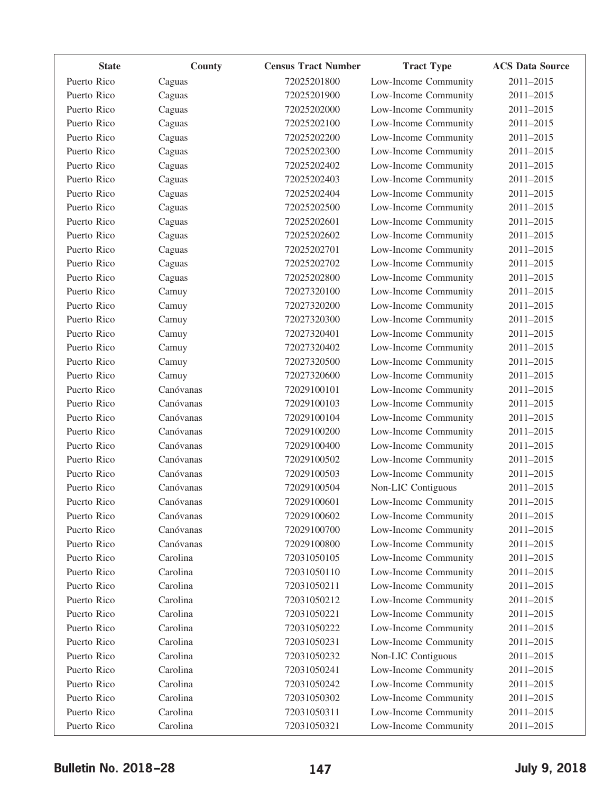| <b>State</b> | County    | <b>Census Tract Number</b> | <b>Tract Type</b>    | <b>ACS Data Source</b> |
|--------------|-----------|----------------------------|----------------------|------------------------|
| Puerto Rico  | Caguas    | 72025201800                | Low-Income Community | 2011-2015              |
| Puerto Rico  | Caguas    | 72025201900                | Low-Income Community | 2011-2015              |
| Puerto Rico  | Caguas    | 72025202000                | Low-Income Community | 2011-2015              |
| Puerto Rico  | Caguas    | 72025202100                | Low-Income Community | 2011-2015              |
| Puerto Rico  | Caguas    | 72025202200                | Low-Income Community | 2011-2015              |
| Puerto Rico  | Caguas    | 72025202300                | Low-Income Community | 2011-2015              |
| Puerto Rico  | Caguas    | 72025202402                | Low-Income Community | 2011-2015              |
| Puerto Rico  | Caguas    | 72025202403                | Low-Income Community | 2011-2015              |
| Puerto Rico  | Caguas    | 72025202404                | Low-Income Community | 2011-2015              |
| Puerto Rico  | Caguas    | 72025202500                | Low-Income Community | 2011-2015              |
| Puerto Rico  | Caguas    | 72025202601                | Low-Income Community | 2011-2015              |
| Puerto Rico  | Caguas    | 72025202602                | Low-Income Community | 2011-2015              |
| Puerto Rico  | Caguas    | 72025202701                | Low-Income Community | 2011-2015              |
| Puerto Rico  | Caguas    | 72025202702                | Low-Income Community | 2011-2015              |
| Puerto Rico  | Caguas    | 72025202800                | Low-Income Community | 2011-2015              |
| Puerto Rico  | Camuy     | 72027320100                | Low-Income Community | 2011-2015              |
| Puerto Rico  | Camuy     | 72027320200                | Low-Income Community | 2011-2015              |
| Puerto Rico  | Camuy     | 72027320300                | Low-Income Community | 2011-2015              |
| Puerto Rico  | Camuy     | 72027320401                | Low-Income Community | 2011-2015              |
| Puerto Rico  | Camuy     | 72027320402                | Low-Income Community | 2011-2015              |
| Puerto Rico  | Camuy     | 72027320500                | Low-Income Community | 2011-2015              |
| Puerto Rico  | Camuy     | 72027320600                | Low-Income Community | 2011-2015              |
| Puerto Rico  | Canóvanas | 72029100101                | Low-Income Community | 2011-2015              |
| Puerto Rico  | Canóvanas | 72029100103                | Low-Income Community | 2011-2015              |
| Puerto Rico  | Canóvanas | 72029100104                | Low-Income Community | 2011-2015              |
| Puerto Rico  | Canóvanas | 72029100200                | Low-Income Community | 2011-2015              |
| Puerto Rico  | Canóvanas | 72029100400                | Low-Income Community | 2011-2015              |
| Puerto Rico  | Canóvanas | 72029100502                | Low-Income Community | 2011-2015              |
| Puerto Rico  | Canóvanas | 72029100503                | Low-Income Community | 2011-2015              |
| Puerto Rico  | Canóvanas | 72029100504                | Non-LIC Contiguous   | 2011-2015              |
| Puerto Rico  | Canóvanas | 72029100601                | Low-Income Community | 2011-2015              |
| Puerto Rico  | Canóvanas | 72029100602                | Low-Income Community | 2011-2015              |
| Puerto Rico  | Canóvanas | 72029100700                | Low-Income Community | 2011-2015              |
| Puerto Rico  | Canóvanas | 72029100800                | Low-Income Community | 2011-2015              |
| Puerto Rico  | Carolina  | 72031050105                | Low-Income Community | 2011-2015              |
| Puerto Rico  | Carolina  | 72031050110                | Low-Income Community | 2011-2015              |
| Puerto Rico  | Carolina  | 72031050211                | Low-Income Community | 2011-2015              |
| Puerto Rico  | Carolina  | 72031050212                | Low-Income Community | 2011-2015              |
| Puerto Rico  | Carolina  | 72031050221                | Low-Income Community | 2011-2015              |
| Puerto Rico  | Carolina  | 72031050222                | Low-Income Community | 2011-2015              |
| Puerto Rico  | Carolina  | 72031050231                | Low-Income Community | 2011-2015              |
| Puerto Rico  | Carolina  | 72031050232                | Non-LIC Contiguous   | 2011-2015              |
| Puerto Rico  | Carolina  | 72031050241                | Low-Income Community | 2011-2015              |
| Puerto Rico  | Carolina  | 72031050242                | Low-Income Community | 2011-2015              |
| Puerto Rico  | Carolina  | 72031050302                | Low-Income Community | 2011-2015              |
| Puerto Rico  | Carolina  | 72031050311                | Low-Income Community | 2011-2015              |
| Puerto Rico  | Carolina  | 72031050321                | Low-Income Community | 2011-2015              |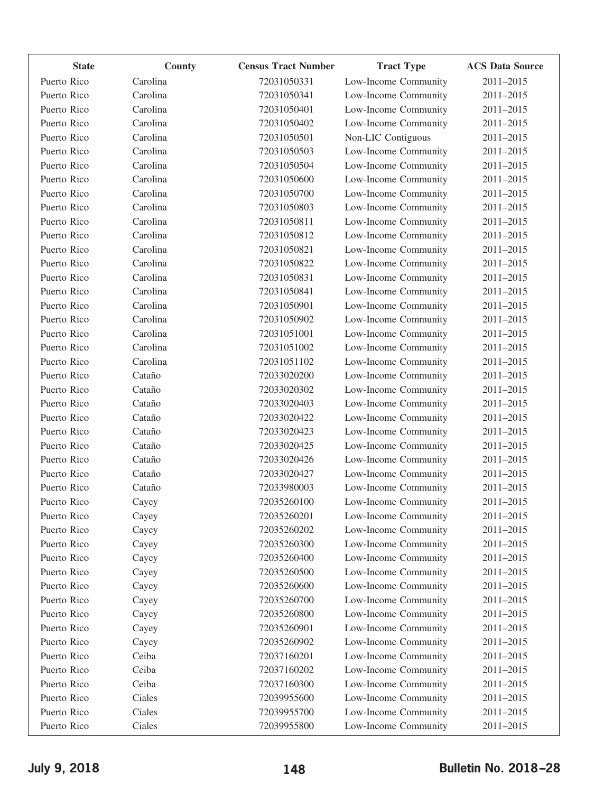| <b>State</b> | County   | <b>Census Tract Number</b> | <b>Tract Type</b>    | <b>ACS Data Source</b> |
|--------------|----------|----------------------------|----------------------|------------------------|
| Puerto Rico  | Carolina | 72031050331                | Low-Income Community | 2011-2015              |
| Puerto Rico  | Carolina | 72031050341                | Low-Income Community | 2011-2015              |
| Puerto Rico  | Carolina | 72031050401                | Low-Income Community | 2011-2015              |
| Puerto Rico  | Carolina | 72031050402                | Low-Income Community | 2011-2015              |
| Puerto Rico  | Carolina | 72031050501                | Non-LIC Contiguous   | 2011-2015              |
| Puerto Rico  | Carolina | 72031050503                | Low-Income Community | 2011-2015              |
| Puerto Rico  | Carolina | 72031050504                | Low-Income Community | 2011-2015              |
| Puerto Rico  | Carolina | 72031050600                | Low-Income Community | 2011-2015              |
| Puerto Rico  | Carolina | 72031050700                | Low-Income Community | 2011-2015              |
| Puerto Rico  | Carolina | 72031050803                | Low-Income Community | 2011-2015              |
| Puerto Rico  | Carolina | 72031050811                | Low-Income Community | 2011-2015              |
| Puerto Rico  | Carolina | 72031050812                | Low-Income Community | 2011-2015              |
| Puerto Rico  | Carolina | 72031050821                | Low-Income Community | 2011-2015              |
| Puerto Rico  | Carolina | 72031050822                | Low-Income Community | 2011-2015              |
| Puerto Rico  | Carolina | 72031050831                | Low-Income Community | 2011-2015              |
| Puerto Rico  | Carolina | 72031050841                | Low-Income Community | 2011-2015              |
| Puerto Rico  | Carolina | 72031050901                | Low-Income Community | 2011-2015              |
| Puerto Rico  | Carolina | 72031050902                | Low-Income Community | 2011-2015              |
| Puerto Rico  | Carolina | 72031051001                | Low-Income Community | 2011-2015              |
| Puerto Rico  | Carolina | 72031051002                | Low-Income Community | 2011-2015              |
| Puerto Rico  | Carolina | 72031051102                | Low-Income Community | 2011-2015              |
| Puerto Rico  | Cataño   | 72033020200                | Low-Income Community | 2011-2015              |
| Puerto Rico  | Cataño   | 72033020302                | Low-Income Community | 2011-2015              |
| Puerto Rico  | Cataño   | 72033020403                | Low-Income Community | 2011-2015              |
| Puerto Rico  | Cataño   | 72033020422                | Low-Income Community | 2011-2015              |
| Puerto Rico  | Cataño   | 72033020423                | Low-Income Community | 2011-2015              |
| Puerto Rico  | Cataño   | 72033020425                | Low-Income Community | 2011-2015              |
| Puerto Rico  | Cataño   | 72033020426                | Low-Income Community | 2011-2015              |
| Puerto Rico  | Cataño   | 72033020427                | Low-Income Community | 2011-2015              |
| Puerto Rico  | Cataño   | 72033980003                | Low-Income Community | 2011-2015              |
| Puerto Rico  | Cayey    | 72035260100                | Low-Income Community | 2011-2015              |
| Puerto Rico  | Cayey    | 72035260201                | Low-Income Community | 2011-2015              |
| Puerto Rico  | Cayey    | 72035260202                | Low-Income Community | 2011-2015              |
| Puerto Rico  | Cayey    | 72035260300                | Low-Income Community | 2011-2015              |
| Puerto Rico  | Cayey    | 72035260400                | Low-Income Community | 2011-2015              |
| Puerto Rico  | Cayey    | 72035260500                | Low-Income Community | 2011-2015              |
| Puerto Rico  | Cayey    | 72035260600                | Low-Income Community | 2011-2015              |
| Puerto Rico  | Cayey    | 72035260700                | Low-Income Community | 2011-2015              |
| Puerto Rico  | Cayey    | 72035260800                | Low-Income Community | 2011-2015              |
| Puerto Rico  | Cayey    | 72035260901                | Low-Income Community | 2011-2015              |
| Puerto Rico  | Cayey    | 72035260902                | Low-Income Community | 2011-2015              |
| Puerto Rico  | Ceiba    | 72037160201                | Low-Income Community | 2011-2015              |
| Puerto Rico  | Ceiba    | 72037160202                | Low-Income Community | 2011-2015              |
| Puerto Rico  | Ceiba    | 72037160300                | Low-Income Community | 2011-2015              |
| Puerto Rico  | Ciales   | 72039955600                | Low-Income Community | 2011-2015              |
| Puerto Rico  | Ciales   | 72039955700                | Low-Income Community | 2011-2015              |
| Puerto Rico  | Ciales   | 72039955800                | Low-Income Community | 2011-2015              |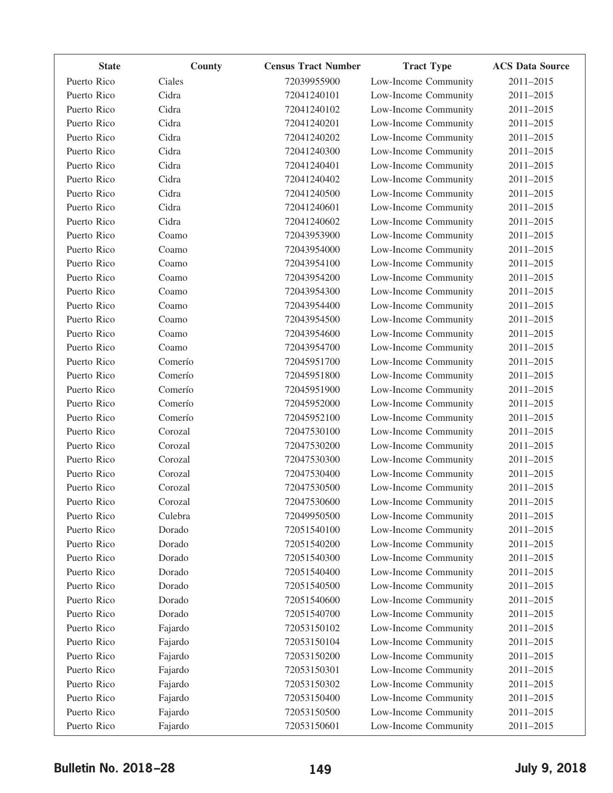| <b>State</b> | County  | <b>Census Tract Number</b> | <b>Tract Type</b>    | <b>ACS Data Source</b> |
|--------------|---------|----------------------------|----------------------|------------------------|
| Puerto Rico  | Ciales  | 72039955900                | Low-Income Community | 2011-2015              |
| Puerto Rico  | Cidra   | 72041240101                | Low-Income Community | 2011-2015              |
| Puerto Rico  | Cidra   | 72041240102                | Low-Income Community | 2011-2015              |
| Puerto Rico  | Cidra   | 72041240201                | Low-Income Community | 2011-2015              |
| Puerto Rico  | Cidra   | 72041240202                | Low-Income Community | 2011-2015              |
| Puerto Rico  | Cidra   | 72041240300                | Low-Income Community | 2011-2015              |
| Puerto Rico  | Cidra   | 72041240401                | Low-Income Community | 2011-2015              |
| Puerto Rico  | Cidra   | 72041240402                | Low-Income Community | 2011-2015              |
| Puerto Rico  | Cidra   | 72041240500                | Low-Income Community | 2011-2015              |
| Puerto Rico  | Cidra   | 72041240601                | Low-Income Community | 2011-2015              |
| Puerto Rico  | Cidra   | 72041240602                | Low-Income Community | 2011-2015              |
| Puerto Rico  | Coamo   | 72043953900                | Low-Income Community | 2011-2015              |
| Puerto Rico  | Coamo   | 72043954000                | Low-Income Community | 2011-2015              |
| Puerto Rico  | Coamo   | 72043954100                | Low-Income Community | 2011-2015              |
| Puerto Rico  | Coamo   | 72043954200                | Low-Income Community | 2011-2015              |
| Puerto Rico  | Coamo   | 72043954300                | Low-Income Community | 2011-2015              |
| Puerto Rico  | Coamo   | 72043954400                | Low-Income Community | 2011-2015              |
| Puerto Rico  | Coamo   | 72043954500                | Low-Income Community | 2011-2015              |
| Puerto Rico  | Coamo   | 72043954600                | Low-Income Community | 2011-2015              |
| Puerto Rico  | Coamo   | 72043954700                | Low-Income Community | 2011-2015              |
| Puerto Rico  | Comerío | 72045951700                | Low-Income Community | 2011-2015              |
| Puerto Rico  | Comerío | 72045951800                | Low-Income Community | 2011-2015              |
| Puerto Rico  | Comerío | 72045951900                | Low-Income Community | 2011-2015              |
| Puerto Rico  | Comerío | 72045952000                | Low-Income Community | 2011-2015              |
| Puerto Rico  | Comerío | 72045952100                | Low-Income Community | 2011-2015              |
| Puerto Rico  | Corozal | 72047530100                | Low-Income Community | 2011-2015              |
| Puerto Rico  | Corozal | 72047530200                | Low-Income Community | 2011-2015              |
| Puerto Rico  | Corozal | 72047530300                | Low-Income Community | 2011-2015              |
| Puerto Rico  | Corozal | 72047530400                | Low-Income Community | 2011-2015              |
| Puerto Rico  | Corozal | 72047530500                | Low-Income Community | 2011-2015              |
| Puerto Rico  | Corozal | 72047530600                | Low-Income Community | 2011-2015              |
| Puerto Rico  | Culebra | 72049950500                | Low-Income Community | 2011-2015              |
| Puerto Rico  | Dorado  | 72051540100                | Low-Income Community | 2011-2015              |
| Puerto Rico  | Dorado  | 72051540200                | Low-Income Community | 2011-2015              |
| Puerto Rico  | Dorado  | 72051540300                | Low-Income Community | 2011-2015              |
| Puerto Rico  | Dorado  | 72051540400                | Low-Income Community | 2011-2015              |
| Puerto Rico  | Dorado  | 72051540500                | Low-Income Community | 2011-2015              |
| Puerto Rico  | Dorado  | 72051540600                | Low-Income Community | 2011-2015              |
| Puerto Rico  | Dorado  | 72051540700                | Low-Income Community | 2011-2015              |
| Puerto Rico  | Fajardo | 72053150102                | Low-Income Community | 2011-2015              |
| Puerto Rico  | Fajardo | 72053150104                | Low-Income Community | 2011-2015              |
| Puerto Rico  | Fajardo | 72053150200                | Low-Income Community | 2011-2015              |
| Puerto Rico  | Fajardo | 72053150301                | Low-Income Community | 2011-2015              |
| Puerto Rico  | Fajardo | 72053150302                | Low-Income Community | 2011-2015              |
| Puerto Rico  | Fajardo | 72053150400                | Low-Income Community | 2011-2015              |
| Puerto Rico  | Fajardo | 72053150500                | Low-Income Community | 2011-2015              |
| Puerto Rico  | Fajardo | 72053150601                | Low-Income Community | 2011-2015              |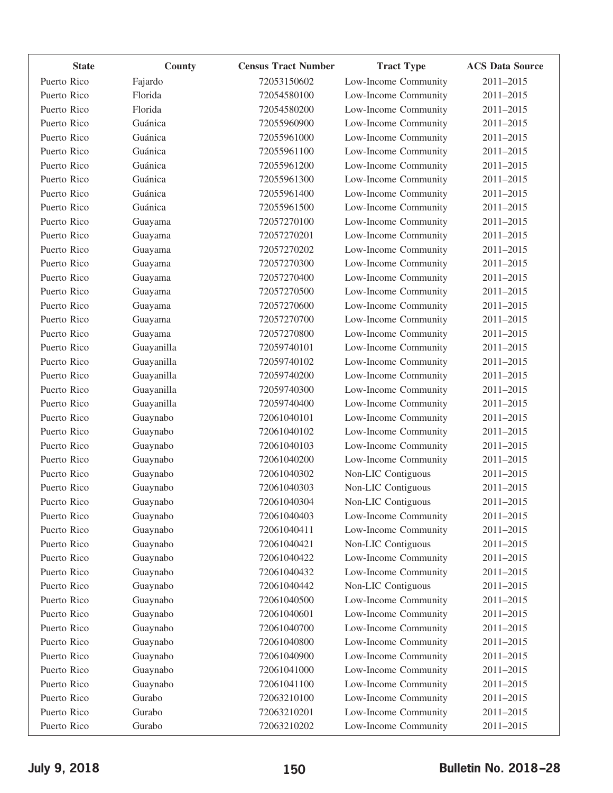| <b>State</b> | County     | <b>Census Tract Number</b> | <b>Tract Type</b>    | <b>ACS Data Source</b> |
|--------------|------------|----------------------------|----------------------|------------------------|
| Puerto Rico  | Fajardo    | 72053150602                | Low-Income Community | 2011-2015              |
| Puerto Rico  | Florida    | 72054580100                | Low-Income Community | 2011-2015              |
| Puerto Rico  | Florida    | 72054580200                | Low-Income Community | 2011-2015              |
| Puerto Rico  | Guánica    | 72055960900                | Low-Income Community | 2011-2015              |
| Puerto Rico  | Guánica    | 72055961000                | Low-Income Community | 2011-2015              |
| Puerto Rico  | Guánica    | 72055961100                | Low-Income Community | 2011-2015              |
| Puerto Rico  | Guánica    | 72055961200                | Low-Income Community | 2011-2015              |
| Puerto Rico  | Guánica    | 72055961300                | Low-Income Community | 2011-2015              |
| Puerto Rico  | Guánica    | 72055961400                | Low-Income Community | 2011-2015              |
| Puerto Rico  | Guánica    | 72055961500                | Low-Income Community | 2011-2015              |
| Puerto Rico  | Guayama    | 72057270100                | Low-Income Community | 2011-2015              |
| Puerto Rico  | Guayama    | 72057270201                | Low-Income Community | 2011-2015              |
| Puerto Rico  | Guayama    | 72057270202                | Low-Income Community | 2011-2015              |
| Puerto Rico  | Guayama    | 72057270300                | Low-Income Community | 2011-2015              |
| Puerto Rico  | Guayama    | 72057270400                | Low-Income Community | 2011-2015              |
| Puerto Rico  | Guayama    | 72057270500                | Low-Income Community | 2011-2015              |
| Puerto Rico  | Guayama    | 72057270600                | Low-Income Community | 2011-2015              |
| Puerto Rico  | Guayama    | 72057270700                | Low-Income Community | 2011-2015              |
| Puerto Rico  | Guayama    | 72057270800                | Low-Income Community | 2011-2015              |
| Puerto Rico  | Guayanilla | 72059740101                | Low-Income Community | 2011-2015              |
| Puerto Rico  | Guayanilla | 72059740102                | Low-Income Community | 2011-2015              |
| Puerto Rico  | Guayanilla | 72059740200                | Low-Income Community | 2011-2015              |
| Puerto Rico  | Guayanilla | 72059740300                | Low-Income Community | 2011-2015              |
| Puerto Rico  | Guayanilla | 72059740400                | Low-Income Community | 2011-2015              |
| Puerto Rico  | Guaynabo   | 72061040101                | Low-Income Community | 2011-2015              |
| Puerto Rico  | Guaynabo   | 72061040102                | Low-Income Community | 2011-2015              |
| Puerto Rico  | Guaynabo   | 72061040103                | Low-Income Community | 2011-2015              |
| Puerto Rico  | Guaynabo   | 72061040200                | Low-Income Community | 2011-2015              |
| Puerto Rico  | Guaynabo   | 72061040302                | Non-LIC Contiguous   | 2011-2015              |
| Puerto Rico  | Guaynabo   | 72061040303                | Non-LIC Contiguous   | 2011-2015              |
| Puerto Rico  | Guaynabo   | 72061040304                | Non-LIC Contiguous   | 2011-2015              |
| Puerto Rico  | Guaynabo   | 72061040403                | Low-Income Community | 2011-2015              |
| Puerto Rico  | Guaynabo   | 72061040411                | Low-Income Community | 2011-2015              |
| Puerto Rico  | Guaynabo   | 72061040421                | Non-LIC Contiguous   | 2011-2015              |
| Puerto Rico  | Guaynabo   | 72061040422                | Low-Income Community | 2011-2015              |
| Puerto Rico  | Guaynabo   | 72061040432                | Low-Income Community | 2011-2015              |
| Puerto Rico  | Guaynabo   | 72061040442                | Non-LIC Contiguous   | 2011-2015              |
| Puerto Rico  | Guaynabo   | 72061040500                | Low-Income Community | 2011-2015              |
| Puerto Rico  | Guaynabo   | 72061040601                | Low-Income Community | 2011-2015              |
| Puerto Rico  | Guaynabo   | 72061040700                | Low-Income Community | 2011-2015              |
| Puerto Rico  | Guaynabo   | 72061040800                | Low-Income Community | 2011-2015              |
| Puerto Rico  | Guaynabo   | 72061040900                | Low-Income Community | 2011-2015              |
| Puerto Rico  | Guaynabo   | 72061041000                | Low-Income Community | 2011-2015              |
| Puerto Rico  | Guaynabo   | 72061041100                | Low-Income Community | 2011-2015              |
| Puerto Rico  | Gurabo     | 72063210100                | Low-Income Community | 2011-2015              |
| Puerto Rico  | Gurabo     | 72063210201                | Low-Income Community | 2011-2015              |
| Puerto Rico  | Gurabo     | 72063210202                | Low-Income Community | 2011-2015              |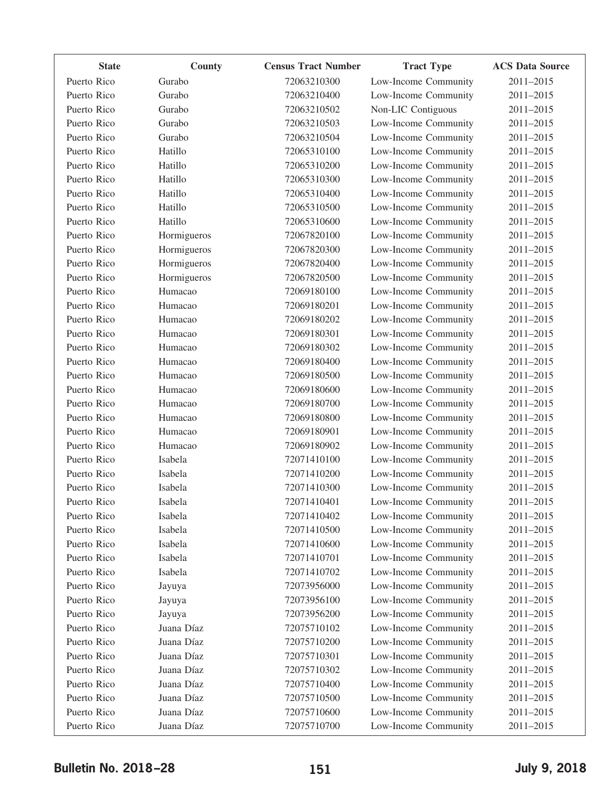| <b>State</b> | County      | <b>Census Tract Number</b> | <b>Tract Type</b>    | <b>ACS Data Source</b> |
|--------------|-------------|----------------------------|----------------------|------------------------|
| Puerto Rico  | Gurabo      | 72063210300                | Low-Income Community | 2011-2015              |
| Puerto Rico  | Gurabo      | 72063210400                | Low-Income Community | 2011-2015              |
| Puerto Rico  | Gurabo      | 72063210502                | Non-LIC Contiguous   | 2011-2015              |
| Puerto Rico  | Gurabo      | 72063210503                | Low-Income Community | 2011-2015              |
| Puerto Rico  | Gurabo      | 72063210504                | Low-Income Community | 2011-2015              |
| Puerto Rico  | Hatillo     | 72065310100                | Low-Income Community | 2011-2015              |
| Puerto Rico  | Hatillo     | 72065310200                | Low-Income Community | 2011-2015              |
| Puerto Rico  | Hatillo     | 72065310300                | Low-Income Community | 2011-2015              |
| Puerto Rico  | Hatillo     | 72065310400                | Low-Income Community | 2011-2015              |
| Puerto Rico  | Hatillo     | 72065310500                | Low-Income Community | 2011-2015              |
| Puerto Rico  | Hatillo     | 72065310600                | Low-Income Community | 2011-2015              |
| Puerto Rico  | Hormigueros | 72067820100                | Low-Income Community | 2011-2015              |
| Puerto Rico  | Hormigueros | 72067820300                | Low-Income Community | 2011-2015              |
| Puerto Rico  | Hormigueros | 72067820400                | Low-Income Community | 2011-2015              |
| Puerto Rico  | Hormigueros | 72067820500                | Low-Income Community | 2011-2015              |
| Puerto Rico  | Humacao     | 72069180100                | Low-Income Community | 2011-2015              |
| Puerto Rico  | Humacao     | 72069180201                | Low-Income Community | 2011-2015              |
| Puerto Rico  | Humacao     | 72069180202                | Low-Income Community | 2011-2015              |
| Puerto Rico  | Humacao     | 72069180301                | Low-Income Community | 2011-2015              |
| Puerto Rico  | Humacao     | 72069180302                | Low-Income Community | 2011-2015              |
| Puerto Rico  | Humacao     | 72069180400                | Low-Income Community | 2011-2015              |
| Puerto Rico  | Humacao     | 72069180500                | Low-Income Community | 2011-2015              |
| Puerto Rico  | Humacao     | 72069180600                | Low-Income Community | 2011-2015              |
| Puerto Rico  | Humacao     | 72069180700                | Low-Income Community | 2011-2015              |
| Puerto Rico  | Humacao     | 72069180800                | Low-Income Community | 2011-2015              |
| Puerto Rico  | Humacao     | 72069180901                | Low-Income Community | 2011-2015              |
| Puerto Rico  | Humacao     | 72069180902                | Low-Income Community | 2011-2015              |
| Puerto Rico  | Isabela     | 72071410100                | Low-Income Community | 2011-2015              |
| Puerto Rico  | Isabela     | 72071410200                | Low-Income Community | 2011-2015              |
| Puerto Rico  | Isabela     | 72071410300                | Low-Income Community | 2011-2015              |
| Puerto Rico  | Isabela     | 72071410401                | Low-Income Community | 2011-2015              |
| Puerto Rico  | Isabela     | 72071410402                | Low-Income Community | 2011-2015              |
| Puerto Rico  | Isabela     | 72071410500                | Low-Income Community | 2011-2015              |
| Puerto Rico  | Isabela     | 72071410600                | Low-Income Community | 2011-2015              |
| Puerto Rico  | Isabela     | 72071410701                | Low-Income Community | 2011-2015              |
| Puerto Rico  | Isabela     | 72071410702                | Low-Income Community | 2011-2015              |
| Puerto Rico  | Jayuya      | 72073956000                | Low-Income Community | 2011-2015              |
| Puerto Rico  | Jayuya      | 72073956100                | Low-Income Community | 2011-2015              |
| Puerto Rico  | Jayuya      | 72073956200                | Low-Income Community | 2011-2015              |
| Puerto Rico  | Juana Díaz  | 72075710102                | Low-Income Community | 2011-2015              |
| Puerto Rico  | Juana Díaz  | 72075710200                | Low-Income Community | 2011-2015              |
| Puerto Rico  | Juana Díaz  | 72075710301                | Low-Income Community | 2011-2015              |
| Puerto Rico  | Juana Díaz  | 72075710302                | Low-Income Community | 2011-2015              |
| Puerto Rico  | Juana Díaz  | 72075710400                | Low-Income Community | 2011-2015              |
| Puerto Rico  | Juana Díaz  | 72075710500                | Low-Income Community | 2011-2015              |
| Puerto Rico  | Juana Díaz  | 72075710600                | Low-Income Community | 2011-2015              |
| Puerto Rico  | Juana Díaz  | 72075710700                | Low-Income Community | 2011-2015              |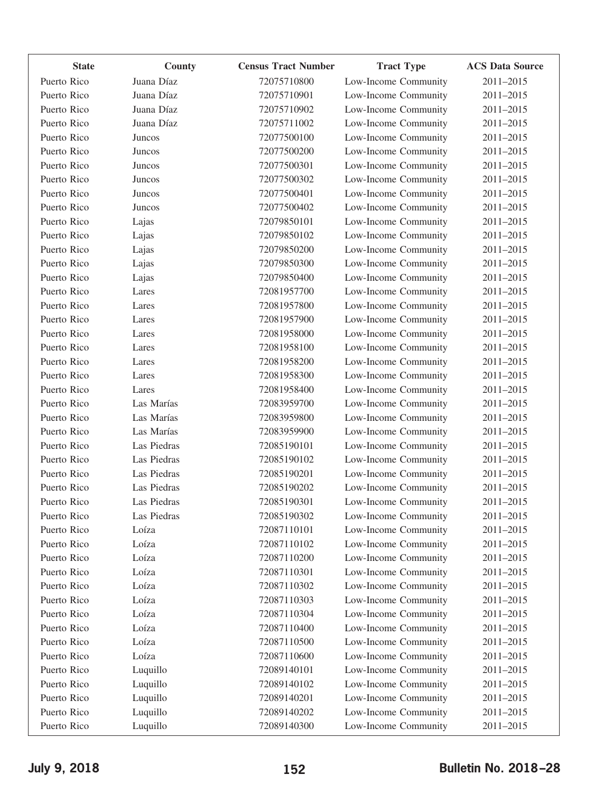| <b>State</b> | County      | <b>Census Tract Number</b> | <b>Tract Type</b>    | <b>ACS Data Source</b> |
|--------------|-------------|----------------------------|----------------------|------------------------|
| Puerto Rico  | Juana Díaz  | 72075710800                | Low-Income Community | 2011-2015              |
| Puerto Rico  | Juana Díaz  | 72075710901                | Low-Income Community | 2011-2015              |
| Puerto Rico  | Juana Díaz  | 72075710902                | Low-Income Community | 2011-2015              |
| Puerto Rico  | Juana Díaz  | 72075711002                | Low-Income Community | 2011-2015              |
| Puerto Rico  | Juncos      | 72077500100                | Low-Income Community | 2011-2015              |
| Puerto Rico  | Juncos      | 72077500200                | Low-Income Community | 2011-2015              |
| Puerto Rico  | Juncos      | 72077500301                | Low-Income Community | 2011-2015              |
| Puerto Rico  | Juncos      | 72077500302                | Low-Income Community | 2011-2015              |
| Puerto Rico  | Juncos      | 72077500401                | Low-Income Community | 2011-2015              |
| Puerto Rico  | Juncos      | 72077500402                | Low-Income Community | 2011-2015              |
| Puerto Rico  | Lajas       | 72079850101                | Low-Income Community | 2011-2015              |
| Puerto Rico  | Lajas       | 72079850102                | Low-Income Community | 2011-2015              |
| Puerto Rico  | Lajas       | 72079850200                | Low-Income Community | 2011-2015              |
| Puerto Rico  | Lajas       | 72079850300                | Low-Income Community | 2011-2015              |
| Puerto Rico  | Lajas       | 72079850400                | Low-Income Community | 2011-2015              |
| Puerto Rico  | Lares       | 72081957700                | Low-Income Community | 2011-2015              |
| Puerto Rico  | Lares       | 72081957800                | Low-Income Community | 2011-2015              |
| Puerto Rico  | Lares       | 72081957900                | Low-Income Community | 2011-2015              |
| Puerto Rico  | Lares       | 72081958000                | Low-Income Community | 2011-2015              |
| Puerto Rico  | Lares       | 72081958100                | Low-Income Community | 2011-2015              |
| Puerto Rico  | Lares       | 72081958200                | Low-Income Community | 2011-2015              |
| Puerto Rico  | Lares       | 72081958300                | Low-Income Community | 2011-2015              |
| Puerto Rico  | Lares       | 72081958400                | Low-Income Community | 2011-2015              |
| Puerto Rico  | Las Marías  | 72083959700                | Low-Income Community | 2011-2015              |
| Puerto Rico  | Las Marías  | 72083959800                | Low-Income Community | 2011-2015              |
| Puerto Rico  | Las Marías  | 72083959900                | Low-Income Community | 2011-2015              |
| Puerto Rico  | Las Piedras | 72085190101                | Low-Income Community | 2011-2015              |
| Puerto Rico  | Las Piedras | 72085190102                | Low-Income Community | 2011-2015              |
| Puerto Rico  | Las Piedras | 72085190201                | Low-Income Community | 2011-2015              |
| Puerto Rico  | Las Piedras | 72085190202                | Low-Income Community | 2011-2015              |
| Puerto Rico  | Las Piedras | 72085190301                | Low-Income Community | 2011-2015              |
| Puerto Rico  | Las Piedras | 72085190302                | Low-Income Community | 2011-2015              |
| Puerto Rico  | Loíza       | 72087110101                | Low-Income Community | 2011-2015              |
| Puerto Rico  | Loíza       | 72087110102                | Low-Income Community | 2011-2015              |
| Puerto Rico  | Loíza       | 72087110200                | Low-Income Community | 2011-2015              |
| Puerto Rico  | Loíza       | 72087110301                | Low-Income Community | 2011-2015              |
| Puerto Rico  | Loíza       | 72087110302                | Low-Income Community | 2011-2015              |
| Puerto Rico  | Loíza       | 72087110303                | Low-Income Community | 2011-2015              |
| Puerto Rico  | Loíza       | 72087110304                | Low-Income Community | 2011-2015              |
| Puerto Rico  | Loíza       | 72087110400                | Low-Income Community | 2011-2015              |
| Puerto Rico  | Loíza       | 72087110500                | Low-Income Community | 2011-2015              |
| Puerto Rico  | Loíza       | 72087110600                | Low-Income Community | 2011-2015              |
| Puerto Rico  | Luquillo    | 72089140101                | Low-Income Community | 2011-2015              |
| Puerto Rico  | Luquillo    | 72089140102                | Low-Income Community | 2011-2015              |
| Puerto Rico  | Luquillo    | 72089140201                | Low-Income Community | 2011-2015              |
| Puerto Rico  | Luquillo    | 72089140202                | Low-Income Community | 2011-2015              |
| Puerto Rico  | Luquillo    | 72089140300                | Low-Income Community | 2011-2015              |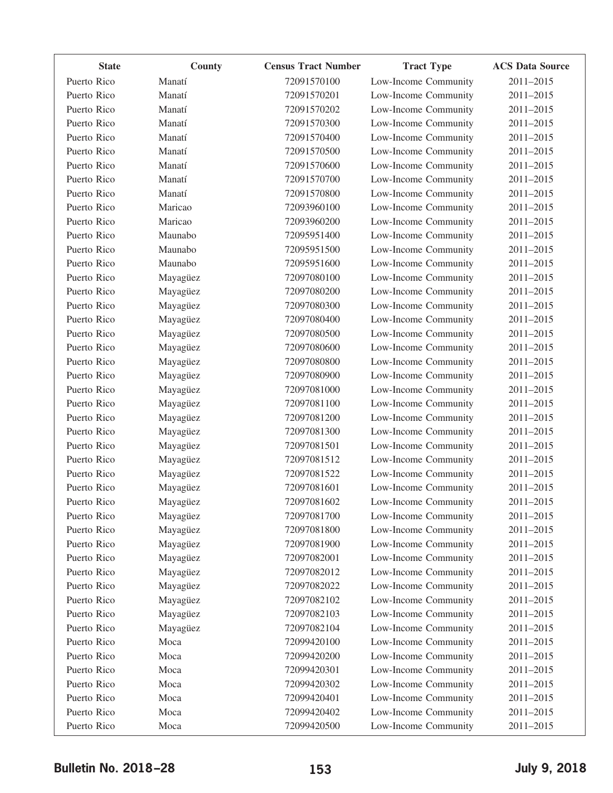| <b>State</b> | County   | <b>Census Tract Number</b> | <b>Tract Type</b>    | <b>ACS Data Source</b> |
|--------------|----------|----------------------------|----------------------|------------------------|
| Puerto Rico  | Manatí   | 72091570100                | Low-Income Community | 2011-2015              |
| Puerto Rico  | Manatí   | 72091570201                | Low-Income Community | 2011-2015              |
| Puerto Rico  | Manatí   | 72091570202                | Low-Income Community | 2011-2015              |
| Puerto Rico  | Manatí   | 72091570300                | Low-Income Community | 2011-2015              |
| Puerto Rico  | Manatí   | 72091570400                | Low-Income Community | 2011-2015              |
| Puerto Rico  | Manatí   | 72091570500                | Low-Income Community | 2011-2015              |
| Puerto Rico  | Manatí   | 72091570600                | Low-Income Community | 2011-2015              |
| Puerto Rico  | Manatí   | 72091570700                | Low-Income Community | 2011-2015              |
| Puerto Rico  | Manatí   | 72091570800                | Low-Income Community | 2011-2015              |
| Puerto Rico  | Maricao  | 72093960100                | Low-Income Community | 2011-2015              |
| Puerto Rico  | Maricao  | 72093960200                | Low-Income Community | 2011-2015              |
| Puerto Rico  | Maunabo  | 72095951400                | Low-Income Community | 2011-2015              |
| Puerto Rico  | Maunabo  | 72095951500                | Low-Income Community | 2011-2015              |
| Puerto Rico  | Maunabo  | 72095951600                | Low-Income Community | 2011-2015              |
| Puerto Rico  | Mayagüez | 72097080100                | Low-Income Community | 2011-2015              |
| Puerto Rico  | Mayagüez | 72097080200                | Low-Income Community | 2011-2015              |
| Puerto Rico  | Mayagüez | 72097080300                | Low-Income Community | 2011-2015              |
| Puerto Rico  | Mayagüez | 72097080400                | Low-Income Community | 2011-2015              |
| Puerto Rico  | Mayagüez | 72097080500                | Low-Income Community | 2011-2015              |
| Puerto Rico  | Mayagüez | 72097080600                | Low-Income Community | 2011-2015              |
| Puerto Rico  | Mayagüez | 72097080800                | Low-Income Community | 2011-2015              |
| Puerto Rico  | Mayagüez | 72097080900                | Low-Income Community | 2011-2015              |
| Puerto Rico  | Mayagüez | 72097081000                | Low-Income Community | 2011-2015              |
| Puerto Rico  | Mayagüez | 72097081100                | Low-Income Community | 2011-2015              |
| Puerto Rico  | Mayagüez | 72097081200                | Low-Income Community | 2011-2015              |
| Puerto Rico  | Mayagüez | 72097081300                | Low-Income Community | 2011-2015              |
| Puerto Rico  | Mayagüez | 72097081501                | Low-Income Community | 2011-2015              |
| Puerto Rico  | Mayagüez | 72097081512                | Low-Income Community | 2011-2015              |
| Puerto Rico  | Mayagüez | 72097081522                | Low-Income Community | 2011-2015              |
| Puerto Rico  | Mayagüez | 72097081601                | Low-Income Community | 2011-2015              |
| Puerto Rico  | Mayagüez | 72097081602                | Low-Income Community | 2011-2015              |
| Puerto Rico  | Mayagüez | 72097081700                | Low-Income Community | 2011-2015              |
| Puerto Rico  | Mayagüez | 72097081800                | Low-Income Community | 2011-2015              |
| Puerto Rico  | Mayagüez | 72097081900                | Low-Income Community | 2011-2015              |
| Puerto Rico  | Mayagüez | 72097082001                | Low-Income Community | 2011-2015              |
| Puerto Rico  | Mayagüez | 72097082012                | Low-Income Community | 2011-2015              |
| Puerto Rico  | Mayagüez | 72097082022                | Low-Income Community | 2011-2015              |
| Puerto Rico  | Mayagüez | 72097082102                | Low-Income Community | 2011-2015              |
| Puerto Rico  | Mayagüez | 72097082103                | Low-Income Community | 2011-2015              |
| Puerto Rico  | Mayagüez | 72097082104                | Low-Income Community | 2011-2015              |
| Puerto Rico  | Moca     | 72099420100                | Low-Income Community | 2011-2015              |
| Puerto Rico  | Moca     | 72099420200                | Low-Income Community | 2011-2015              |
| Puerto Rico  | Moca     | 72099420301                | Low-Income Community | 2011-2015              |
| Puerto Rico  | Moca     | 72099420302                | Low-Income Community | 2011-2015              |
| Puerto Rico  | Moca     | 72099420401                | Low-Income Community | 2011-2015              |
| Puerto Rico  | Moca     | 72099420402                | Low-Income Community | 2011-2015              |
| Puerto Rico  | Moca     | 72099420500                | Low-Income Community | 2011-2015              |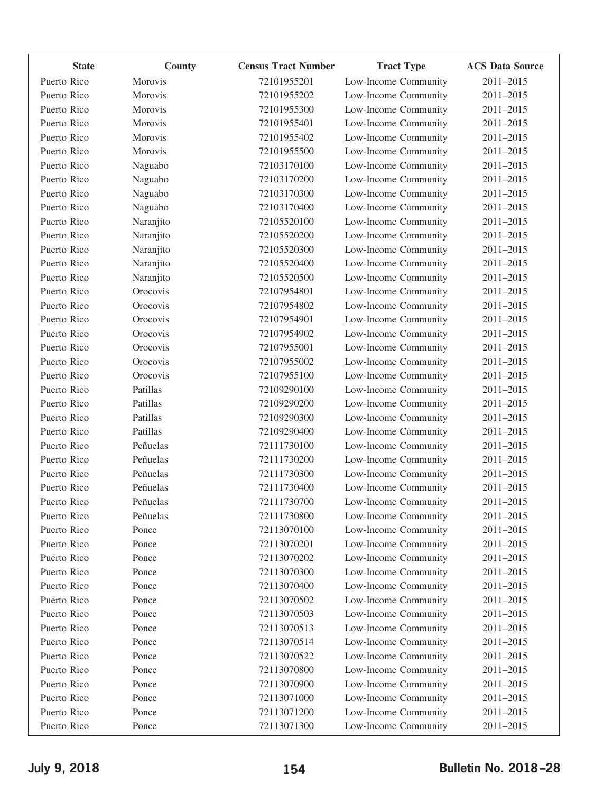| <b>State</b> | County    | <b>Census Tract Number</b> | <b>Tract Type</b>    | <b>ACS Data Source</b> |
|--------------|-----------|----------------------------|----------------------|------------------------|
| Puerto Rico  | Morovis   | 72101955201                | Low-Income Community | 2011-2015              |
| Puerto Rico  | Morovis   | 72101955202                | Low-Income Community | 2011-2015              |
| Puerto Rico  | Morovis   | 72101955300                | Low-Income Community | 2011-2015              |
| Puerto Rico  | Morovis   | 72101955401                | Low-Income Community | 2011-2015              |
| Puerto Rico  | Morovis   | 72101955402                | Low-Income Community | 2011-2015              |
| Puerto Rico  | Morovis   | 72101955500                | Low-Income Community | 2011-2015              |
| Puerto Rico  | Naguabo   | 72103170100                | Low-Income Community | 2011-2015              |
| Puerto Rico  | Naguabo   | 72103170200                | Low-Income Community | 2011-2015              |
| Puerto Rico  | Naguabo   | 72103170300                | Low-Income Community | 2011-2015              |
| Puerto Rico  | Naguabo   | 72103170400                | Low-Income Community | 2011-2015              |
| Puerto Rico  | Naranjito | 72105520100                | Low-Income Community | 2011-2015              |
| Puerto Rico  | Naranjito | 72105520200                | Low-Income Community | 2011-2015              |
| Puerto Rico  | Naranjito | 72105520300                | Low-Income Community | 2011-2015              |
| Puerto Rico  | Naranjito | 72105520400                | Low-Income Community | 2011-2015              |
| Puerto Rico  | Naranjito | 72105520500                | Low-Income Community | 2011-2015              |
| Puerto Rico  | Orocovis  | 72107954801                | Low-Income Community | 2011-2015              |
| Puerto Rico  | Orocovis  | 72107954802                | Low-Income Community | 2011-2015              |
| Puerto Rico  | Orocovis  | 72107954901                | Low-Income Community | 2011-2015              |
| Puerto Rico  | Orocovis  | 72107954902                | Low-Income Community | 2011-2015              |
| Puerto Rico  | Orocovis  | 72107955001                | Low-Income Community | 2011-2015              |
| Puerto Rico  | Orocovis  | 72107955002                | Low-Income Community | 2011-2015              |
| Puerto Rico  | Orocovis  | 72107955100                | Low-Income Community | 2011-2015              |
| Puerto Rico  | Patillas  | 72109290100                | Low-Income Community | 2011-2015              |
| Puerto Rico  | Patillas  | 72109290200                | Low-Income Community | 2011-2015              |
| Puerto Rico  | Patillas  | 72109290300                | Low-Income Community | 2011-2015              |
| Puerto Rico  | Patillas  | 72109290400                | Low-Income Community | 2011-2015              |
| Puerto Rico  | Peñuelas  | 72111730100                | Low-Income Community | 2011-2015              |
| Puerto Rico  | Peñuelas  | 72111730200                | Low-Income Community | 2011-2015              |
| Puerto Rico  | Peñuelas  | 72111730300                | Low-Income Community | 2011-2015              |
| Puerto Rico  | Peñuelas  | 72111730400                | Low-Income Community | 2011-2015              |
| Puerto Rico  | Peñuelas  | 72111730700                | Low-Income Community | 2011-2015              |
| Puerto Rico  | Peñuelas  | 72111730800                | Low-Income Community | 2011-2015              |
| Puerto Rico  | Ponce     | 72113070100                | Low-Income Community | 2011-2015              |
| Puerto Rico  | Ponce     | 72113070201                | Low-Income Community | 2011-2015              |
| Puerto Rico  | Ponce     | 72113070202                | Low-Income Community | 2011-2015              |
| Puerto Rico  | Ponce     | 72113070300                | Low-Income Community | 2011-2015              |
| Puerto Rico  | Ponce     | 72113070400                | Low-Income Community | 2011-2015              |
| Puerto Rico  | Ponce     | 72113070502                | Low-Income Community | 2011-2015              |
| Puerto Rico  | Ponce     | 72113070503                | Low-Income Community | 2011-2015              |
| Puerto Rico  | Ponce     | 72113070513                | Low-Income Community | 2011-2015              |
| Puerto Rico  | Ponce     | 72113070514                | Low-Income Community | 2011-2015              |
| Puerto Rico  | Ponce     | 72113070522                | Low-Income Community | 2011-2015              |
| Puerto Rico  | Ponce     | 72113070800                | Low-Income Community | 2011-2015              |
| Puerto Rico  | Ponce     | 72113070900                | Low-Income Community | 2011-2015              |
| Puerto Rico  | Ponce     | 72113071000                | Low-Income Community | 2011-2015              |
| Puerto Rico  | Ponce     | 72113071200                | Low-Income Community | 2011-2015              |
| Puerto Rico  | Ponce     | 72113071300                | Low-Income Community | 2011-2015              |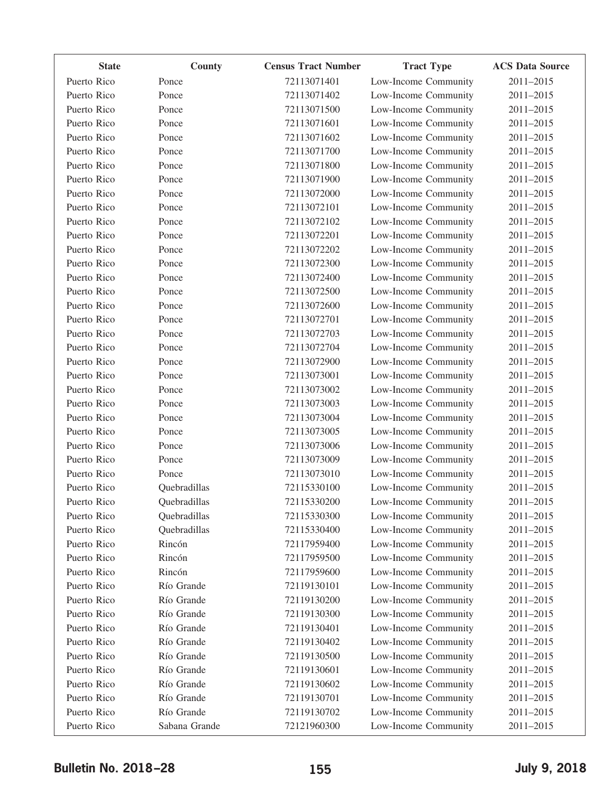| <b>State</b> | County        | <b>Census Tract Number</b> | <b>Tract Type</b>    | <b>ACS Data Source</b> |
|--------------|---------------|----------------------------|----------------------|------------------------|
| Puerto Rico  | Ponce         | 72113071401                | Low-Income Community | 2011-2015              |
| Puerto Rico  | Ponce         | 72113071402                | Low-Income Community | 2011-2015              |
| Puerto Rico  | Ponce         | 72113071500                | Low-Income Community | 2011-2015              |
| Puerto Rico  | Ponce         | 72113071601                | Low-Income Community | 2011-2015              |
| Puerto Rico  | Ponce         | 72113071602                | Low-Income Community | 2011-2015              |
| Puerto Rico  | Ponce         | 72113071700                | Low-Income Community | 2011-2015              |
| Puerto Rico  | Ponce         | 72113071800                | Low-Income Community | 2011-2015              |
| Puerto Rico  | Ponce         | 72113071900                | Low-Income Community | 2011-2015              |
| Puerto Rico  | Ponce         | 72113072000                | Low-Income Community | 2011-2015              |
| Puerto Rico  | Ponce         | 72113072101                | Low-Income Community | 2011-2015              |
| Puerto Rico  | Ponce         | 72113072102                | Low-Income Community | 2011-2015              |
| Puerto Rico  | Ponce         | 72113072201                | Low-Income Community | 2011-2015              |
| Puerto Rico  | Ponce         | 72113072202                | Low-Income Community | 2011-2015              |
| Puerto Rico  | Ponce         | 72113072300                | Low-Income Community | 2011-2015              |
| Puerto Rico  | Ponce         | 72113072400                | Low-Income Community | 2011-2015              |
| Puerto Rico  | Ponce         | 72113072500                | Low-Income Community | 2011-2015              |
| Puerto Rico  | Ponce         | 72113072600                | Low-Income Community | 2011-2015              |
| Puerto Rico  | Ponce         | 72113072701                | Low-Income Community | 2011-2015              |
| Puerto Rico  | Ponce         | 72113072703                | Low-Income Community | 2011-2015              |
| Puerto Rico  | Ponce         | 72113072704                | Low-Income Community | 2011-2015              |
| Puerto Rico  | Ponce         | 72113072900                | Low-Income Community | 2011-2015              |
| Puerto Rico  | Ponce         | 72113073001                | Low-Income Community | 2011-2015              |
| Puerto Rico  | Ponce         | 72113073002                | Low-Income Community | 2011-2015              |
| Puerto Rico  | Ponce         | 72113073003                | Low-Income Community | 2011-2015              |
| Puerto Rico  | Ponce         | 72113073004                | Low-Income Community | 2011-2015              |
| Puerto Rico  | Ponce         | 72113073005                | Low-Income Community | 2011-2015              |
| Puerto Rico  | Ponce         | 72113073006                | Low-Income Community | 2011-2015              |
| Puerto Rico  | Ponce         | 72113073009                | Low-Income Community | 2011-2015              |
| Puerto Rico  | Ponce         | 72113073010                | Low-Income Community | 2011-2015              |
| Puerto Rico  | Quebradillas  | 72115330100                | Low-Income Community | 2011-2015              |
| Puerto Rico  | Quebradillas  | 72115330200                | Low-Income Community | 2011-2015              |
| Puerto Rico  | Quebradillas  | 72115330300                | Low-Income Community | 2011-2015              |
| Puerto Rico  | Quebradillas  | 72115330400                | Low-Income Community | 2011-2015              |
| Puerto Rico  | Rincón        | 72117959400                | Low-Income Community | 2011-2015              |
| Puerto Rico  | Rincón        | 72117959500                | Low-Income Community | 2011-2015              |
| Puerto Rico  | Rincón        | 72117959600                | Low-Income Community | 2011-2015              |
| Puerto Rico  | Río Grande    | 72119130101                | Low-Income Community | 2011-2015              |
| Puerto Rico  | Río Grande    | 72119130200                | Low-Income Community | 2011-2015              |
| Puerto Rico  | Río Grande    | 72119130300                | Low-Income Community | 2011-2015              |
| Puerto Rico  | Río Grande    | 72119130401                | Low-Income Community | 2011-2015              |
| Puerto Rico  | Río Grande    | 72119130402                | Low-Income Community | 2011-2015              |
| Puerto Rico  | Río Grande    | 72119130500                | Low-Income Community | 2011-2015              |
| Puerto Rico  | Río Grande    | 72119130601                | Low-Income Community | 2011-2015              |
| Puerto Rico  | Río Grande    | 72119130602                | Low-Income Community | 2011-2015              |
| Puerto Rico  | Río Grande    | 72119130701                | Low-Income Community | 2011-2015              |
| Puerto Rico  | Río Grande    | 72119130702                | Low-Income Community | 2011-2015              |
| Puerto Rico  | Sabana Grande | 72121960300                | Low-Income Community | 2011-2015              |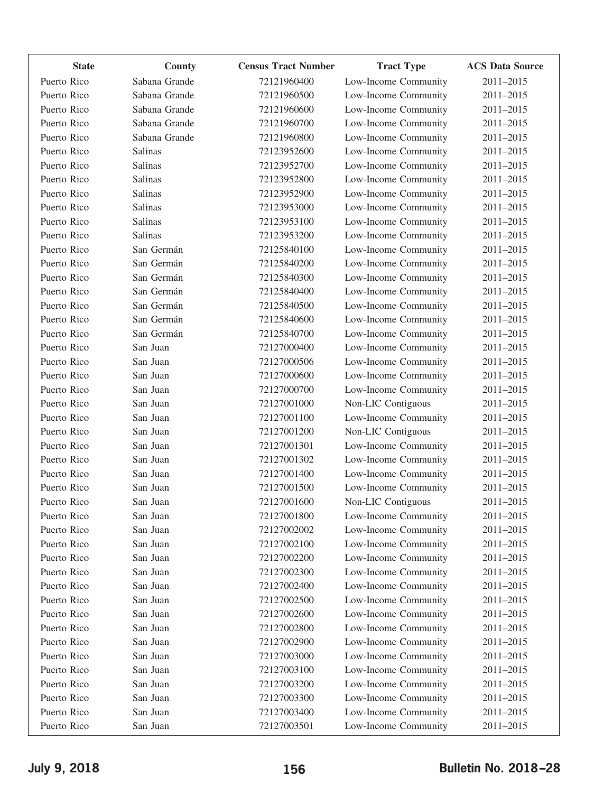| <b>State</b> | County        | <b>Census Tract Number</b> | <b>Tract Type</b>    | <b>ACS Data Source</b> |
|--------------|---------------|----------------------------|----------------------|------------------------|
| Puerto Rico  | Sabana Grande | 72121960400                | Low-Income Community | 2011-2015              |
| Puerto Rico  | Sabana Grande | 72121960500                | Low-Income Community | 2011-2015              |
| Puerto Rico  | Sabana Grande | 72121960600                | Low-Income Community | 2011-2015              |
| Puerto Rico  | Sabana Grande | 72121960700                | Low-Income Community | 2011-2015              |
| Puerto Rico  | Sabana Grande | 72121960800                | Low-Income Community | 2011-2015              |
| Puerto Rico  | Salinas       | 72123952600                | Low-Income Community | 2011-2015              |
| Puerto Rico  | Salinas       | 72123952700                | Low-Income Community | 2011-2015              |
| Puerto Rico  | Salinas       | 72123952800                | Low-Income Community | 2011-2015              |
| Puerto Rico  | Salinas       | 72123952900                | Low-Income Community | 2011-2015              |
| Puerto Rico  | Salinas       | 72123953000                | Low-Income Community | 2011-2015              |
| Puerto Rico  | Salinas       | 72123953100                | Low-Income Community | 2011-2015              |
| Puerto Rico  | Salinas       | 72123953200                | Low-Income Community | 2011-2015              |
| Puerto Rico  | San Germán    | 72125840100                | Low-Income Community | 2011-2015              |
| Puerto Rico  | San Germán    | 72125840200                | Low-Income Community | 2011-2015              |
| Puerto Rico  | San Germán    | 72125840300                | Low-Income Community | 2011-2015              |
| Puerto Rico  | San Germán    | 72125840400                | Low-Income Community | 2011-2015              |
| Puerto Rico  | San Germán    | 72125840500                | Low-Income Community | 2011-2015              |
| Puerto Rico  | San Germán    | 72125840600                | Low-Income Community | 2011-2015              |
| Puerto Rico  | San Germán    | 72125840700                | Low-Income Community | 2011-2015              |
| Puerto Rico  | San Juan      | 72127000400                | Low-Income Community | 2011-2015              |
| Puerto Rico  | San Juan      | 72127000506                | Low-Income Community | 2011-2015              |
| Puerto Rico  | San Juan      | 72127000600                | Low-Income Community | 2011-2015              |
| Puerto Rico  | San Juan      | 72127000700                | Low-Income Community | 2011-2015              |
| Puerto Rico  | San Juan      | 72127001000                | Non-LIC Contiguous   | 2011-2015              |
| Puerto Rico  | San Juan      | 72127001100                | Low-Income Community | 2011-2015              |
| Puerto Rico  | San Juan      | 72127001200                | Non-LIC Contiguous   | 2011-2015              |
| Puerto Rico  | San Juan      | 72127001301                | Low-Income Community | 2011-2015              |
| Puerto Rico  | San Juan      | 72127001302                | Low-Income Community | 2011-2015              |
| Puerto Rico  | San Juan      | 72127001400                | Low-Income Community | 2011-2015              |
| Puerto Rico  | San Juan      | 72127001500                | Low-Income Community | 2011-2015              |
| Puerto Rico  | San Juan      | 72127001600                | Non-LIC Contiguous   | 2011-2015              |
| Puerto Rico  | San Juan      | 72127001800                | Low-Income Community | 2011-2015              |
| Puerto Rico  | San Juan      | 72127002002                | Low-Income Community | 2011-2015              |
| Puerto Rico  | San Juan      | 72127002100                | Low-Income Community | 2011-2015              |
| Puerto Rico  | San Juan      | 72127002200                | Low-Income Community | 2011-2015              |
| Puerto Rico  | San Juan      | 72127002300                | Low-Income Community | 2011-2015              |
| Puerto Rico  | San Juan      | 72127002400                | Low-Income Community | 2011-2015              |
| Puerto Rico  | San Juan      | 72127002500                | Low-Income Community | 2011-2015              |
| Puerto Rico  | San Juan      | 72127002600                | Low-Income Community | 2011-2015              |
| Puerto Rico  | San Juan      | 72127002800                | Low-Income Community | 2011-2015              |
| Puerto Rico  | San Juan      | 72127002900                | Low-Income Community | 2011-2015              |
| Puerto Rico  | San Juan      | 72127003000                | Low-Income Community | 2011-2015              |
| Puerto Rico  | San Juan      | 72127003100                | Low-Income Community | 2011-2015              |
| Puerto Rico  | San Juan      | 72127003200                | Low-Income Community | 2011-2015              |
| Puerto Rico  | San Juan      | 72127003300                | Low-Income Community | 2011-2015              |
| Puerto Rico  | San Juan      | 72127003400                | Low-Income Community | 2011-2015              |
| Puerto Rico  | San Juan      | 72127003501                | Low-Income Community | 2011-2015              |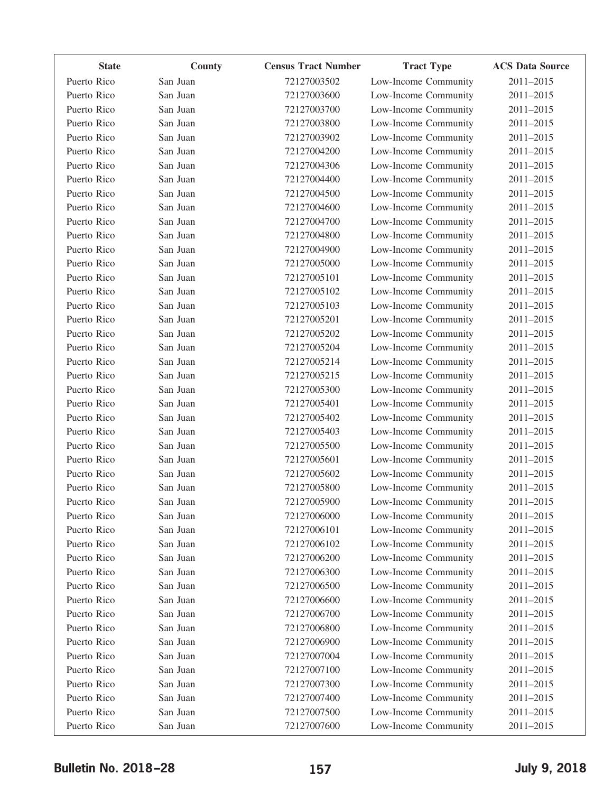| <b>State</b> | County   | <b>Census Tract Number</b> | <b>Tract Type</b>    | <b>ACS Data Source</b> |
|--------------|----------|----------------------------|----------------------|------------------------|
| Puerto Rico  | San Juan | 72127003502                | Low-Income Community | 2011-2015              |
| Puerto Rico  | San Juan | 72127003600                | Low-Income Community | 2011-2015              |
| Puerto Rico  | San Juan | 72127003700                | Low-Income Community | 2011-2015              |
| Puerto Rico  | San Juan | 72127003800                | Low-Income Community | 2011-2015              |
| Puerto Rico  | San Juan | 72127003902                | Low-Income Community | 2011-2015              |
| Puerto Rico  | San Juan | 72127004200                | Low-Income Community | 2011-2015              |
| Puerto Rico  | San Juan | 72127004306                | Low-Income Community | 2011-2015              |
| Puerto Rico  | San Juan | 72127004400                | Low-Income Community | 2011-2015              |
| Puerto Rico  | San Juan | 72127004500                | Low-Income Community | 2011-2015              |
| Puerto Rico  | San Juan | 72127004600                | Low-Income Community | 2011-2015              |
| Puerto Rico  | San Juan | 72127004700                | Low-Income Community | 2011-2015              |
| Puerto Rico  | San Juan | 72127004800                | Low-Income Community | 2011-2015              |
| Puerto Rico  | San Juan | 72127004900                | Low-Income Community | 2011-2015              |
| Puerto Rico  | San Juan | 72127005000                | Low-Income Community | 2011-2015              |
| Puerto Rico  | San Juan | 72127005101                | Low-Income Community | 2011-2015              |
| Puerto Rico  | San Juan | 72127005102                | Low-Income Community | 2011-2015              |
| Puerto Rico  | San Juan | 72127005103                | Low-Income Community | 2011-2015              |
| Puerto Rico  | San Juan | 72127005201                | Low-Income Community | 2011-2015              |
| Puerto Rico  | San Juan | 72127005202                | Low-Income Community | 2011-2015              |
| Puerto Rico  | San Juan | 72127005204                | Low-Income Community | 2011-2015              |
| Puerto Rico  | San Juan | 72127005214                | Low-Income Community | 2011-2015              |
| Puerto Rico  | San Juan | 72127005215                | Low-Income Community | 2011-2015              |
| Puerto Rico  | San Juan | 72127005300                | Low-Income Community | 2011-2015              |
| Puerto Rico  | San Juan | 72127005401                | Low-Income Community | 2011-2015              |
| Puerto Rico  | San Juan | 72127005402                | Low-Income Community | 2011-2015              |
| Puerto Rico  | San Juan | 72127005403                | Low-Income Community | 2011-2015              |
| Puerto Rico  | San Juan | 72127005500                | Low-Income Community | 2011-2015              |
| Puerto Rico  | San Juan | 72127005601                | Low-Income Community | 2011-2015              |
| Puerto Rico  | San Juan | 72127005602                | Low-Income Community | 2011-2015              |
| Puerto Rico  | San Juan | 72127005800                | Low-Income Community | 2011-2015              |
| Puerto Rico  | San Juan | 72127005900                | Low-Income Community | 2011-2015              |
| Puerto Rico  | San Juan | 72127006000                | Low-Income Community | 2011-2015              |
| Puerto Rico  | San Juan | 72127006101                | Low-Income Community | 2011-2015              |
| Puerto Rico  | San Juan | 72127006102                | Low-Income Community | 2011-2015              |
| Puerto Rico  | San Juan | 72127006200                | Low-Income Community | 2011-2015              |
| Puerto Rico  | San Juan | 72127006300                | Low-Income Community | 2011-2015              |
| Puerto Rico  | San Juan | 72127006500                | Low-Income Community | 2011-2015              |
| Puerto Rico  | San Juan | 72127006600                | Low-Income Community | 2011-2015              |
| Puerto Rico  | San Juan | 72127006700                | Low-Income Community | 2011-2015              |
| Puerto Rico  | San Juan | 72127006800                | Low-Income Community | 2011-2015              |
| Puerto Rico  | San Juan | 72127006900                | Low-Income Community | 2011-2015              |
| Puerto Rico  | San Juan | 72127007004                | Low-Income Community | 2011-2015              |
| Puerto Rico  | San Juan | 72127007100                | Low-Income Community | 2011-2015              |
| Puerto Rico  | San Juan | 72127007300                | Low-Income Community | 2011-2015              |
| Puerto Rico  | San Juan | 72127007400                | Low-Income Community | 2011-2015              |
| Puerto Rico  | San Juan | 72127007500                | Low-Income Community | 2011-2015              |
| Puerto Rico  | San Juan | 72127007600                | Low-Income Community | 2011-2015              |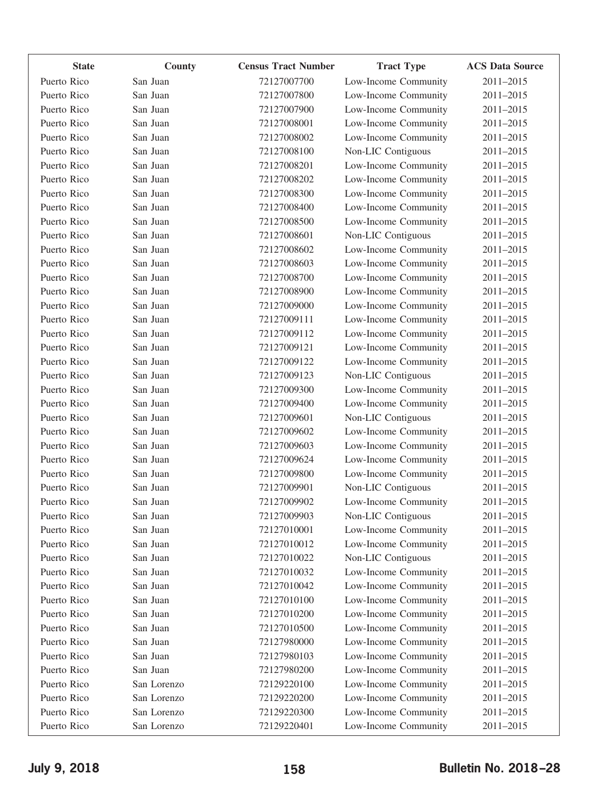| <b>State</b> | County      | <b>Census Tract Number</b> | <b>Tract Type</b>    | <b>ACS Data Source</b> |
|--------------|-------------|----------------------------|----------------------|------------------------|
| Puerto Rico  | San Juan    | 72127007700                | Low-Income Community | 2011-2015              |
| Puerto Rico  | San Juan    | 72127007800                | Low-Income Community | 2011-2015              |
| Puerto Rico  | San Juan    | 72127007900                | Low-Income Community | 2011-2015              |
| Puerto Rico  | San Juan    | 72127008001                | Low-Income Community | 2011-2015              |
| Puerto Rico  | San Juan    | 72127008002                | Low-Income Community | 2011-2015              |
| Puerto Rico  | San Juan    | 72127008100                | Non-LIC Contiguous   | 2011-2015              |
| Puerto Rico  | San Juan    | 72127008201                | Low-Income Community | 2011-2015              |
| Puerto Rico  | San Juan    | 72127008202                | Low-Income Community | 2011-2015              |
| Puerto Rico  | San Juan    | 72127008300                | Low-Income Community | 2011-2015              |
| Puerto Rico  | San Juan    | 72127008400                | Low-Income Community | 2011-2015              |
| Puerto Rico  | San Juan    | 72127008500                | Low-Income Community | 2011-2015              |
| Puerto Rico  | San Juan    | 72127008601                | Non-LIC Contiguous   | 2011-2015              |
| Puerto Rico  | San Juan    | 72127008602                | Low-Income Community | 2011-2015              |
| Puerto Rico  | San Juan    | 72127008603                | Low-Income Community | 2011-2015              |
| Puerto Rico  | San Juan    | 72127008700                | Low-Income Community | 2011-2015              |
| Puerto Rico  | San Juan    | 72127008900                | Low-Income Community | 2011-2015              |
| Puerto Rico  | San Juan    | 72127009000                | Low-Income Community | 2011-2015              |
| Puerto Rico  | San Juan    | 72127009111                | Low-Income Community | 2011-2015              |
| Puerto Rico  | San Juan    | 72127009112                | Low-Income Community | 2011-2015              |
| Puerto Rico  | San Juan    | 72127009121                | Low-Income Community | 2011-2015              |
| Puerto Rico  | San Juan    | 72127009122                | Low-Income Community | 2011-2015              |
| Puerto Rico  | San Juan    | 72127009123                | Non-LIC Contiguous   | 2011-2015              |
| Puerto Rico  | San Juan    | 72127009300                | Low-Income Community | 2011-2015              |
| Puerto Rico  | San Juan    | 72127009400                | Low-Income Community | 2011-2015              |
| Puerto Rico  | San Juan    | 72127009601                | Non-LIC Contiguous   | 2011-2015              |
| Puerto Rico  | San Juan    | 72127009602                | Low-Income Community | 2011-2015              |
| Puerto Rico  | San Juan    | 72127009603                | Low-Income Community | 2011-2015              |
| Puerto Rico  | San Juan    | 72127009624                | Low-Income Community | 2011-2015              |
| Puerto Rico  | San Juan    | 72127009800                | Low-Income Community | 2011-2015              |
| Puerto Rico  | San Juan    | 72127009901                | Non-LIC Contiguous   | 2011-2015              |
| Puerto Rico  | San Juan    | 72127009902                | Low-Income Community | 2011-2015              |
| Puerto Rico  | San Juan    | 72127009903                | Non-LIC Contiguous   | 2011-2015              |
| Puerto Rico  | San Juan    | 72127010001                | Low-Income Community | 2011-2015              |
| Puerto Rico  | San Juan    | 72127010012                | Low-Income Community | 2011-2015              |
| Puerto Rico  | San Juan    | 72127010022                | Non-LIC Contiguous   | 2011-2015              |
| Puerto Rico  | San Juan    | 72127010032                | Low-Income Community | 2011-2015              |
| Puerto Rico  | San Juan    | 72127010042                | Low-Income Community | 2011-2015              |
| Puerto Rico  | San Juan    | 72127010100                | Low-Income Community | 2011-2015              |
| Puerto Rico  | San Juan    | 72127010200                | Low-Income Community | 2011-2015              |
| Puerto Rico  | San Juan    | 72127010500                | Low-Income Community | 2011-2015              |
| Puerto Rico  | San Juan    | 72127980000                | Low-Income Community | 2011-2015              |
| Puerto Rico  | San Juan    | 72127980103                | Low-Income Community | 2011-2015              |
| Puerto Rico  | San Juan    | 72127980200                | Low-Income Community | 2011-2015              |
| Puerto Rico  | San Lorenzo | 72129220100                | Low-Income Community | 2011-2015              |
| Puerto Rico  | San Lorenzo | 72129220200                | Low-Income Community | 2011-2015              |
| Puerto Rico  | San Lorenzo | 72129220300                | Low-Income Community | 2011-2015              |
| Puerto Rico  | San Lorenzo | 72129220401                | Low-Income Community | 2011-2015              |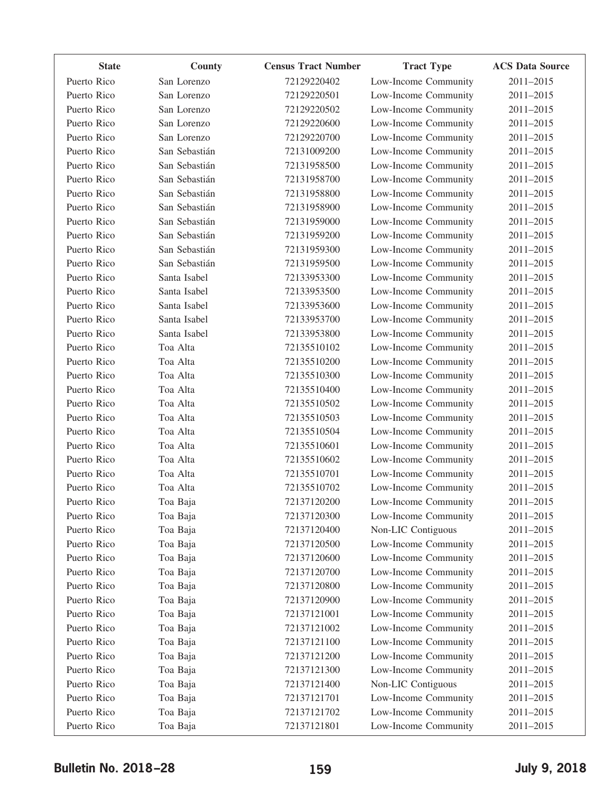| <b>State</b> | County        | <b>Census Tract Number</b> | <b>Tract Type</b>    | <b>ACS Data Source</b> |
|--------------|---------------|----------------------------|----------------------|------------------------|
| Puerto Rico  | San Lorenzo   | 72129220402                | Low-Income Community | 2011-2015              |
| Puerto Rico  | San Lorenzo   | 72129220501                | Low-Income Community | 2011-2015              |
| Puerto Rico  | San Lorenzo   | 72129220502                | Low-Income Community | 2011-2015              |
| Puerto Rico  | San Lorenzo   | 72129220600                | Low-Income Community | 2011-2015              |
| Puerto Rico  | San Lorenzo   | 72129220700                | Low-Income Community | 2011-2015              |
| Puerto Rico  | San Sebastián | 72131009200                | Low-Income Community | 2011-2015              |
| Puerto Rico  | San Sebastián | 72131958500                | Low-Income Community | 2011-2015              |
| Puerto Rico  | San Sebastián | 72131958700                | Low-Income Community | 2011-2015              |
| Puerto Rico  | San Sebastián | 72131958800                | Low-Income Community | 2011-2015              |
| Puerto Rico  | San Sebastián | 72131958900                | Low-Income Community | 2011-2015              |
| Puerto Rico  | San Sebastián | 72131959000                | Low-Income Community | 2011-2015              |
| Puerto Rico  | San Sebastián | 72131959200                | Low-Income Community | 2011-2015              |
| Puerto Rico  | San Sebastián | 72131959300                | Low-Income Community | 2011-2015              |
| Puerto Rico  | San Sebastián | 72131959500                | Low-Income Community | 2011-2015              |
| Puerto Rico  | Santa Isabel  | 72133953300                | Low-Income Community | 2011-2015              |
| Puerto Rico  | Santa Isabel  | 72133953500                | Low-Income Community | 2011-2015              |
| Puerto Rico  | Santa Isabel  | 72133953600                | Low-Income Community | 2011-2015              |
| Puerto Rico  | Santa Isabel  | 72133953700                | Low-Income Community | 2011-2015              |
| Puerto Rico  | Santa Isabel  | 72133953800                | Low-Income Community | 2011-2015              |
| Puerto Rico  | Toa Alta      | 72135510102                | Low-Income Community | 2011-2015              |
| Puerto Rico  | Toa Alta      | 72135510200                | Low-Income Community | 2011-2015              |
| Puerto Rico  | Toa Alta      | 72135510300                | Low-Income Community | 2011-2015              |
| Puerto Rico  | Toa Alta      | 72135510400                | Low-Income Community | 2011-2015              |
| Puerto Rico  | Toa Alta      | 72135510502                | Low-Income Community | 2011-2015              |
| Puerto Rico  | Toa Alta      | 72135510503                | Low-Income Community | 2011-2015              |
| Puerto Rico  | Toa Alta      | 72135510504                | Low-Income Community | 2011-2015              |
| Puerto Rico  | Toa Alta      | 72135510601                | Low-Income Community | 2011-2015              |
| Puerto Rico  | Toa Alta      | 72135510602                | Low-Income Community | 2011-2015              |
| Puerto Rico  | Toa Alta      | 72135510701                | Low-Income Community | 2011-2015              |
| Puerto Rico  | Toa Alta      | 72135510702                | Low-Income Community | 2011-2015              |
| Puerto Rico  | Toa Baja      | 72137120200                | Low-Income Community | 2011-2015              |
| Puerto Rico  | Toa Baja      | 72137120300                | Low-Income Community | 2011-2015              |
| Puerto Rico  | Toa Baja      | 72137120400                | Non-LIC Contiguous   | 2011-2015              |
| Puerto Rico  | Toa Baja      | 72137120500                | Low-Income Community | 2011-2015              |
| Puerto Rico  | Toa Baja      | 72137120600                | Low-Income Community | 2011-2015              |
| Puerto Rico  | Toa Baja      | 72137120700                | Low-Income Community | 2011-2015              |
| Puerto Rico  | Toa Baja      | 72137120800                | Low-Income Community | 2011-2015              |
| Puerto Rico  | Toa Baja      | 72137120900                | Low-Income Community | 2011-2015              |
| Puerto Rico  | Toa Baja      | 72137121001                | Low-Income Community | 2011-2015              |
| Puerto Rico  | Toa Baja      | 72137121002                | Low-Income Community | 2011-2015              |
| Puerto Rico  | Toa Baja      | 72137121100                | Low-Income Community | 2011-2015              |
| Puerto Rico  | Toa Baja      | 72137121200                | Low-Income Community | 2011-2015              |
| Puerto Rico  | Toa Baja      | 72137121300                | Low-Income Community | 2011-2015              |
| Puerto Rico  | Toa Baja      | 72137121400                | Non-LIC Contiguous   | 2011-2015              |
| Puerto Rico  | Toa Baja      | 72137121701                | Low-Income Community | 2011-2015              |
| Puerto Rico  | Toa Baja      | 72137121702                | Low-Income Community | 2011-2015              |
| Puerto Rico  | Toa Baja      | 72137121801                | Low-Income Community | 2011-2015              |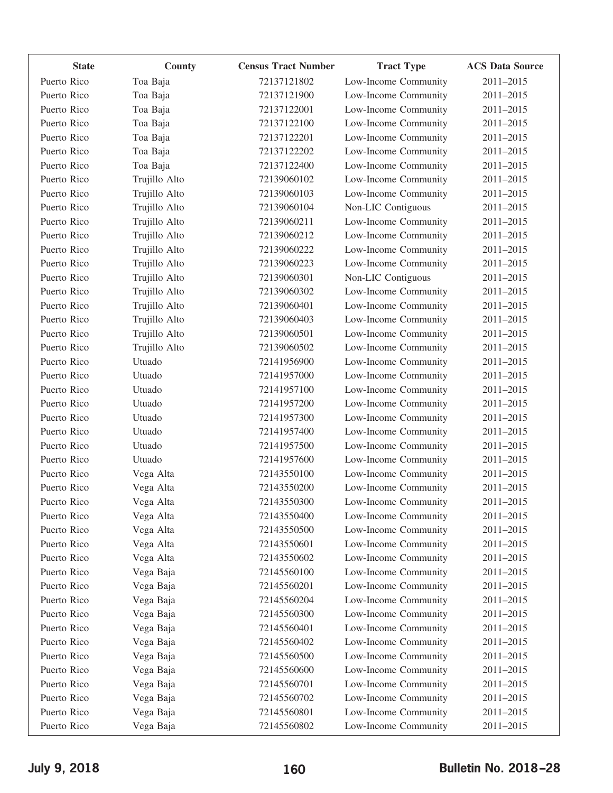| <b>State</b> | County        | <b>Census Tract Number</b> | <b>Tract Type</b>    | <b>ACS Data Source</b> |
|--------------|---------------|----------------------------|----------------------|------------------------|
| Puerto Rico  | Toa Baja      | 72137121802                | Low-Income Community | 2011-2015              |
| Puerto Rico  | Toa Baja      | 72137121900                | Low-Income Community | 2011-2015              |
| Puerto Rico  | Toa Baja      | 72137122001                | Low-Income Community | 2011-2015              |
| Puerto Rico  | Toa Baja      | 72137122100                | Low-Income Community | 2011-2015              |
| Puerto Rico  | Toa Baja      | 72137122201                | Low-Income Community | 2011-2015              |
| Puerto Rico  | Toa Baja      | 72137122202                | Low-Income Community | 2011-2015              |
| Puerto Rico  | Toa Baja      | 72137122400                | Low-Income Community | 2011-2015              |
| Puerto Rico  | Trujillo Alto | 72139060102                | Low-Income Community | 2011-2015              |
| Puerto Rico  | Trujillo Alto | 72139060103                | Low-Income Community | 2011-2015              |
| Puerto Rico  | Trujillo Alto | 72139060104                | Non-LIC Contiguous   | 2011-2015              |
| Puerto Rico  | Trujillo Alto | 72139060211                | Low-Income Community | 2011-2015              |
| Puerto Rico  | Trujillo Alto | 72139060212                | Low-Income Community | 2011-2015              |
| Puerto Rico  | Trujillo Alto | 72139060222                | Low-Income Community | 2011-2015              |
| Puerto Rico  | Trujillo Alto | 72139060223                | Low-Income Community | 2011-2015              |
| Puerto Rico  | Trujillo Alto | 72139060301                | Non-LIC Contiguous   | 2011-2015              |
| Puerto Rico  | Trujillo Alto | 72139060302                | Low-Income Community | 2011-2015              |
| Puerto Rico  | Trujillo Alto | 72139060401                | Low-Income Community | 2011-2015              |
| Puerto Rico  | Trujillo Alto | 72139060403                | Low-Income Community | 2011-2015              |
| Puerto Rico  | Trujillo Alto | 72139060501                | Low-Income Community | 2011-2015              |
| Puerto Rico  | Trujillo Alto | 72139060502                | Low-Income Community | 2011-2015              |
| Puerto Rico  | Utuado        | 72141956900                | Low-Income Community | 2011-2015              |
| Puerto Rico  | Utuado        | 72141957000                | Low-Income Community | 2011-2015              |
| Puerto Rico  | Utuado        | 72141957100                | Low-Income Community | 2011-2015              |
| Puerto Rico  | Utuado        | 72141957200                | Low-Income Community | 2011-2015              |
| Puerto Rico  | Utuado        | 72141957300                | Low-Income Community | 2011-2015              |
| Puerto Rico  | Utuado        | 72141957400                | Low-Income Community | 2011-2015              |
| Puerto Rico  | Utuado        | 72141957500                | Low-Income Community | 2011-2015              |
| Puerto Rico  | Utuado        | 72141957600                | Low-Income Community | 2011-2015              |
| Puerto Rico  | Vega Alta     | 72143550100                | Low-Income Community | 2011-2015              |
| Puerto Rico  | Vega Alta     | 72143550200                | Low-Income Community | 2011-2015              |
| Puerto Rico  | Vega Alta     | 72143550300                | Low-Income Community | 2011-2015              |
| Puerto Rico  | Vega Alta     | 72143550400                | Low-Income Community | 2011-2015              |
| Puerto Rico  | Vega Alta     | 72143550500                | Low-Income Community | 2011-2015              |
| Puerto Rico  | Vega Alta     | 72143550601                | Low-Income Community | 2011-2015              |
| Puerto Rico  | Vega Alta     | 72143550602                | Low-Income Community | 2011-2015              |
| Puerto Rico  | Vega Baja     | 72145560100                | Low-Income Community | 2011-2015              |
| Puerto Rico  | Vega Baja     | 72145560201                | Low-Income Community | 2011-2015              |
| Puerto Rico  | Vega Baja     | 72145560204                | Low-Income Community | 2011-2015              |
| Puerto Rico  | Vega Baja     | 72145560300                | Low-Income Community | 2011-2015              |
| Puerto Rico  | Vega Baja     | 72145560401                | Low-Income Community | 2011-2015              |
| Puerto Rico  | Vega Baja     | 72145560402                | Low-Income Community | 2011-2015              |
| Puerto Rico  | Vega Baja     | 72145560500                | Low-Income Community | 2011-2015              |
| Puerto Rico  | Vega Baja     | 72145560600                | Low-Income Community | 2011-2015              |
| Puerto Rico  | Vega Baja     | 72145560701                | Low-Income Community | 2011-2015              |
| Puerto Rico  | Vega Baja     | 72145560702                | Low-Income Community | 2011-2015              |
| Puerto Rico  | Vega Baja     | 72145560801                | Low-Income Community | 2011-2015              |
| Puerto Rico  | Vega Baja     | 72145560802                | Low-Income Community | 2011-2015              |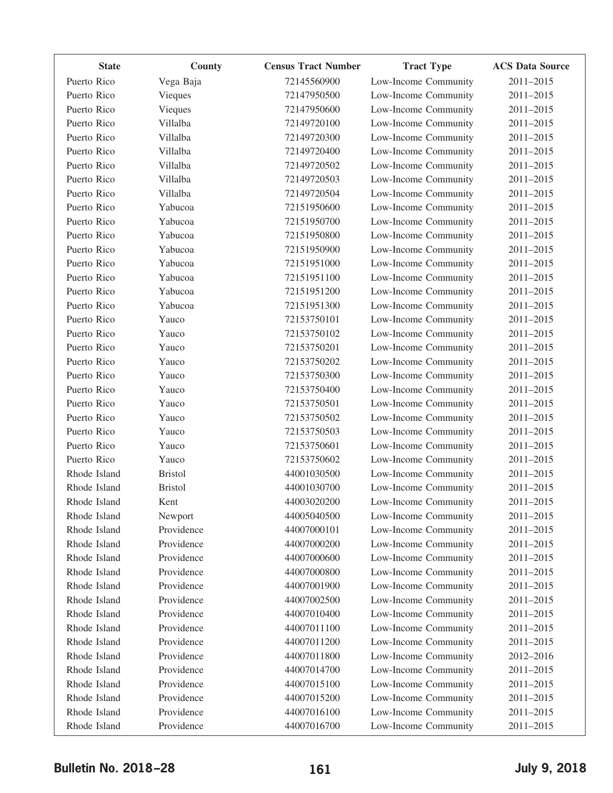| <b>State</b> | County         | <b>Census Tract Number</b> | <b>Tract Type</b>    | <b>ACS Data Source</b> |
|--------------|----------------|----------------------------|----------------------|------------------------|
| Puerto Rico  | Vega Baja      | 72145560900                | Low-Income Community | 2011-2015              |
| Puerto Rico  | Vieques        | 72147950500                | Low-Income Community | 2011-2015              |
| Puerto Rico  | Vieques        | 72147950600                | Low-Income Community | 2011-2015              |
| Puerto Rico  | Villalba       | 72149720100                | Low-Income Community | 2011-2015              |
| Puerto Rico  | Villalba       | 72149720300                | Low-Income Community | 2011-2015              |
| Puerto Rico  | Villalba       | 72149720400                | Low-Income Community | 2011-2015              |
| Puerto Rico  | Villalba       | 72149720502                | Low-Income Community | 2011-2015              |
| Puerto Rico  | Villalba       | 72149720503                | Low-Income Community | 2011-2015              |
| Puerto Rico  | Villalba       | 72149720504                | Low-Income Community | 2011-2015              |
| Puerto Rico  | Yabucoa        | 72151950600                | Low-Income Community | 2011-2015              |
| Puerto Rico  | Yabucoa        | 72151950700                | Low-Income Community | 2011-2015              |
| Puerto Rico  | Yabucoa        | 72151950800                | Low-Income Community | 2011-2015              |
| Puerto Rico  | Yabucoa        | 72151950900                | Low-Income Community | 2011-2015              |
| Puerto Rico  | Yabucoa        | 72151951000                | Low-Income Community | 2011-2015              |
| Puerto Rico  | Yabucoa        | 72151951100                | Low-Income Community | 2011-2015              |
| Puerto Rico  | Yabucoa        | 72151951200                | Low-Income Community | 2011-2015              |
| Puerto Rico  | Yabucoa        | 72151951300                | Low-Income Community | 2011-2015              |
| Puerto Rico  | Yauco          | 72153750101                | Low-Income Community | 2011-2015              |
| Puerto Rico  | Yauco          | 72153750102                | Low-Income Community | 2011-2015              |
| Puerto Rico  | Yauco          | 72153750201                | Low-Income Community | 2011-2015              |
| Puerto Rico  | Yauco          | 72153750202                | Low-Income Community | 2011-2015              |
| Puerto Rico  | Yauco          | 72153750300                | Low-Income Community | 2011-2015              |
| Puerto Rico  | Yauco          | 72153750400                | Low-Income Community | 2011-2015              |
| Puerto Rico  | Yauco          | 72153750501                | Low-Income Community | 2011-2015              |
| Puerto Rico  | Yauco          | 72153750502                | Low-Income Community | 2011-2015              |
| Puerto Rico  | Yauco          | 72153750503                | Low-Income Community | 2011-2015              |
| Puerto Rico  | Yauco          | 72153750601                | Low-Income Community | 2011-2015              |
| Puerto Rico  | Yauco          | 72153750602                | Low-Income Community | 2011-2015              |
| Rhode Island | <b>Bristol</b> | 44001030500                | Low-Income Community | 2011-2015              |
| Rhode Island | <b>Bristol</b> | 44001030700                | Low-Income Community | 2011-2015              |
| Rhode Island | Kent           | 44003020200                | Low-Income Community | 2011-2015              |
| Rhode Island | Newport        | 44005040500                | Low-Income Community | 2011-2015              |
| Rhode Island | Providence     | 44007000101                | Low-Income Community | 2011-2015              |
| Rhode Island | Providence     | 44007000200                | Low-Income Community | 2011-2015              |
| Rhode Island | Providence     | 44007000600                | Low-Income Community | 2011-2015              |
| Rhode Island | Providence     | 44007000800                | Low-Income Community | 2011-2015              |
| Rhode Island | Providence     | 44007001900                | Low-Income Community | 2011-2015              |
| Rhode Island | Providence     | 44007002500                | Low-Income Community | 2011-2015              |
| Rhode Island | Providence     | 44007010400                | Low-Income Community | 2011-2015              |
| Rhode Island | Providence     | 44007011100                | Low-Income Community | 2011-2015              |
| Rhode Island | Providence     | 44007011200                | Low-Income Community | 2011-2015              |
| Rhode Island | Providence     | 44007011800                | Low-Income Community | 2012-2016              |
| Rhode Island | Providence     | 44007014700                | Low-Income Community | 2011-2015              |
| Rhode Island | Providence     | 44007015100                | Low-Income Community | 2011-2015              |
| Rhode Island | Providence     | 44007015200                | Low-Income Community | 2011-2015              |
| Rhode Island | Providence     | 44007016100                | Low-Income Community | 2011-2015              |
| Rhode Island | Providence     | 44007016700                | Low-Income Community | 2011-2015              |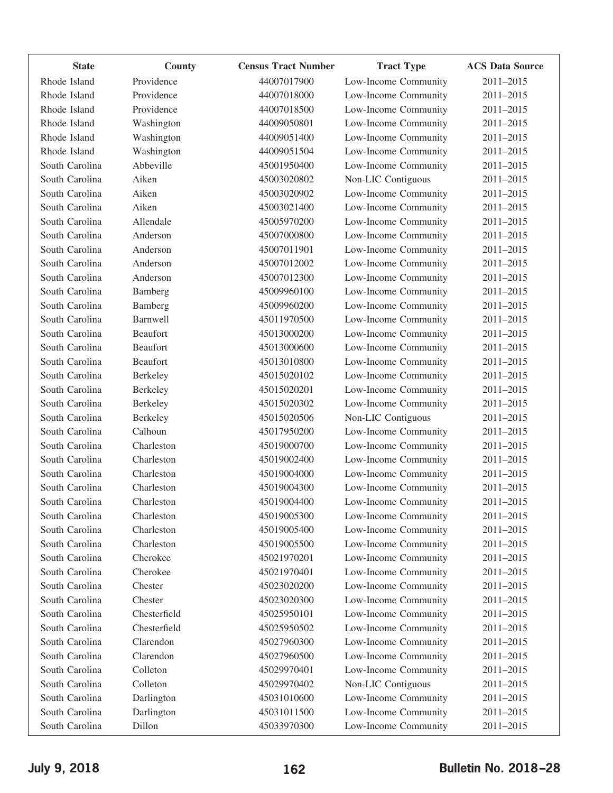| <b>State</b>   | County          | <b>Census Tract Number</b> | <b>Tract Type</b>    | <b>ACS Data Source</b> |
|----------------|-----------------|----------------------------|----------------------|------------------------|
| Rhode Island   | Providence      | 44007017900                | Low-Income Community | 2011-2015              |
| Rhode Island   | Providence      | 44007018000                | Low-Income Community | 2011-2015              |
| Rhode Island   | Providence      | 44007018500                | Low-Income Community | 2011-2015              |
| Rhode Island   | Washington      | 44009050801                | Low-Income Community | 2011-2015              |
| Rhode Island   | Washington      | 44009051400                | Low-Income Community | 2011-2015              |
| Rhode Island   | Washington      | 44009051504                | Low-Income Community | 2011-2015              |
| South Carolina | Abbeville       | 45001950400                | Low-Income Community | 2011-2015              |
| South Carolina | Aiken           | 45003020802                | Non-LIC Contiguous   | 2011-2015              |
| South Carolina | Aiken           | 45003020902                | Low-Income Community | 2011-2015              |
| South Carolina | Aiken           | 45003021400                | Low-Income Community | 2011-2015              |
| South Carolina | Allendale       | 45005970200                | Low-Income Community | 2011-2015              |
| South Carolina | Anderson        | 45007000800                | Low-Income Community | 2011-2015              |
| South Carolina | Anderson        | 45007011901                | Low-Income Community | 2011-2015              |
| South Carolina | Anderson        | 45007012002                | Low-Income Community | 2011-2015              |
| South Carolina | Anderson        | 45007012300                | Low-Income Community | 2011-2015              |
| South Carolina | Bamberg         | 45009960100                | Low-Income Community | 2011-2015              |
| South Carolina | Bamberg         | 45009960200                | Low-Income Community | 2011-2015              |
| South Carolina | Barnwell        | 45011970500                | Low-Income Community | 2011-2015              |
| South Carolina | <b>Beaufort</b> | 45013000200                | Low-Income Community | 2011-2015              |
| South Carolina | <b>Beaufort</b> | 45013000600                | Low-Income Community | 2011-2015              |
| South Carolina | Beaufort        | 45013010800                | Low-Income Community | 2011-2015              |
| South Carolina | Berkeley        | 45015020102                | Low-Income Community | 2011-2015              |
| South Carolina | Berkeley        | 45015020201                | Low-Income Community | 2011-2015              |
| South Carolina | Berkeley        | 45015020302                | Low-Income Community | 2011-2015              |
| South Carolina | Berkeley        | 45015020506                | Non-LIC Contiguous   | 2011-2015              |
| South Carolina | Calhoun         | 45017950200                | Low-Income Community | 2011-2015              |
| South Carolina | Charleston      | 45019000700                | Low-Income Community | 2011-2015              |
| South Carolina | Charleston      | 45019002400                | Low-Income Community | 2011-2015              |
| South Carolina | Charleston      | 45019004000                | Low-Income Community | 2011-2015              |
| South Carolina | Charleston      | 45019004300                | Low-Income Community | 2011-2015              |
| South Carolina | Charleston      | 45019004400                | Low-Income Community | 2011-2015              |
| South Carolina | Charleston      | 45019005300                | Low-Income Community | 2011-2015              |
| South Carolina | Charleston      | 45019005400                | Low-Income Community | 2011-2015              |
| South Carolina | Charleston      | 45019005500                | Low-Income Community | 2011-2015              |
| South Carolina | Cherokee        | 45021970201                | Low-Income Community | 2011-2015              |
| South Carolina | Cherokee        | 45021970401                | Low-Income Community | 2011-2015              |
| South Carolina | Chester         | 45023020200                | Low-Income Community | 2011-2015              |
| South Carolina | Chester         | 45023020300                | Low-Income Community | 2011-2015              |
| South Carolina | Chesterfield    | 45025950101                | Low-Income Community | 2011-2015              |
| South Carolina | Chesterfield    | 45025950502                | Low-Income Community | 2011-2015              |
| South Carolina | Clarendon       | 45027960300                | Low-Income Community | 2011-2015              |
| South Carolina | Clarendon       | 45027960500                | Low-Income Community | 2011-2015              |
| South Carolina | Colleton        | 45029970401                | Low-Income Community | 2011-2015              |
| South Carolina | Colleton        | 45029970402                | Non-LIC Contiguous   | 2011-2015              |
| South Carolina | Darlington      | 45031010600                | Low-Income Community | 2011-2015              |
| South Carolina | Darlington      | 45031011500                | Low-Income Community | 2011-2015              |
| South Carolina | Dillon          | 45033970300                | Low-Income Community | 2011-2015              |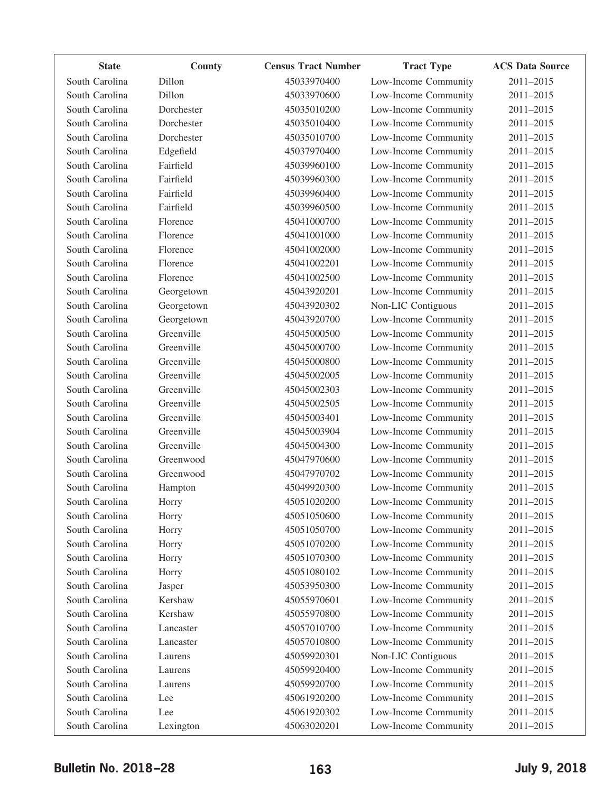| <b>State</b>   | County     | <b>Census Tract Number</b> | <b>Tract Type</b>    | <b>ACS Data Source</b> |
|----------------|------------|----------------------------|----------------------|------------------------|
| South Carolina | Dillon     | 45033970400                | Low-Income Community | 2011-2015              |
| South Carolina | Dillon     | 45033970600                | Low-Income Community | 2011-2015              |
| South Carolina | Dorchester | 45035010200                | Low-Income Community | 2011-2015              |
| South Carolina | Dorchester | 45035010400                | Low-Income Community | 2011-2015              |
| South Carolina | Dorchester | 45035010700                | Low-Income Community | 2011-2015              |
| South Carolina | Edgefield  | 45037970400                | Low-Income Community | 2011-2015              |
| South Carolina | Fairfield  | 45039960100                | Low-Income Community | 2011-2015              |
| South Carolina | Fairfield  | 45039960300                | Low-Income Community | 2011-2015              |
| South Carolina | Fairfield  | 45039960400                | Low-Income Community | 2011-2015              |
| South Carolina | Fairfield  | 45039960500                | Low-Income Community | 2011-2015              |
| South Carolina | Florence   | 45041000700                | Low-Income Community | 2011-2015              |
| South Carolina | Florence   | 45041001000                | Low-Income Community | 2011-2015              |
| South Carolina | Florence   | 45041002000                | Low-Income Community | 2011-2015              |
| South Carolina | Florence   | 45041002201                | Low-Income Community | 2011-2015              |
| South Carolina | Florence   | 45041002500                | Low-Income Community | 2011-2015              |
| South Carolina | Georgetown | 45043920201                | Low-Income Community | 2011-2015              |
| South Carolina | Georgetown | 45043920302                | Non-LIC Contiguous   | 2011-2015              |
| South Carolina | Georgetown | 45043920700                | Low-Income Community | 2011-2015              |
| South Carolina | Greenville | 45045000500                | Low-Income Community | 2011-2015              |
| South Carolina | Greenville | 45045000700                | Low-Income Community | 2011-2015              |
| South Carolina | Greenville | 45045000800                | Low-Income Community | 2011-2015              |
| South Carolina | Greenville | 45045002005                | Low-Income Community | 2011-2015              |
| South Carolina | Greenville | 45045002303                | Low-Income Community | 2011-2015              |
| South Carolina | Greenville | 45045002505                | Low-Income Community | 2011-2015              |
| South Carolina | Greenville | 45045003401                | Low-Income Community | 2011-2015              |
| South Carolina | Greenville | 45045003904                | Low-Income Community | 2011-2015              |
| South Carolina | Greenville | 45045004300                | Low-Income Community | 2011-2015              |
| South Carolina | Greenwood  | 45047970600                | Low-Income Community | 2011-2015              |
| South Carolina | Greenwood  | 45047970702                | Low-Income Community | 2011-2015              |
| South Carolina | Hampton    | 45049920300                | Low-Income Community | 2011-2015              |
| South Carolina | Horry      | 45051020200                | Low-Income Community | 2011-2015              |
| South Carolina | Horry      | 45051050600                | Low-Income Community | 2011-2015              |
| South Carolina | Horry      | 45051050700                | Low-Income Community | 2011-2015              |
| South Carolina | Horry      | 45051070200                | Low-Income Community | 2011-2015              |
| South Carolina | Horry      | 45051070300                | Low-Income Community | 2011-2015              |
| South Carolina | Horry      | 45051080102                | Low-Income Community | 2011-2015              |
| South Carolina | Jasper     | 45053950300                | Low-Income Community | 2011-2015              |
| South Carolina | Kershaw    | 45055970601                | Low-Income Community | 2011-2015              |
| South Carolina | Kershaw    | 45055970800                | Low-Income Community | 2011-2015              |
| South Carolina | Lancaster  | 45057010700                | Low-Income Community | 2011-2015              |
| South Carolina | Lancaster  | 45057010800                | Low-Income Community | 2011-2015              |
| South Carolina | Laurens    | 45059920301                | Non-LIC Contiguous   | 2011-2015              |
| South Carolina | Laurens    | 45059920400                | Low-Income Community | 2011-2015              |
| South Carolina | Laurens    | 45059920700                | Low-Income Community | 2011-2015              |
| South Carolina | Lee        | 45061920200                | Low-Income Community | 2011-2015              |
| South Carolina | Lee        | 45061920302                | Low-Income Community | 2011-2015              |
| South Carolina | Lexington  | 45063020201                | Low-Income Community | 2011-2015              |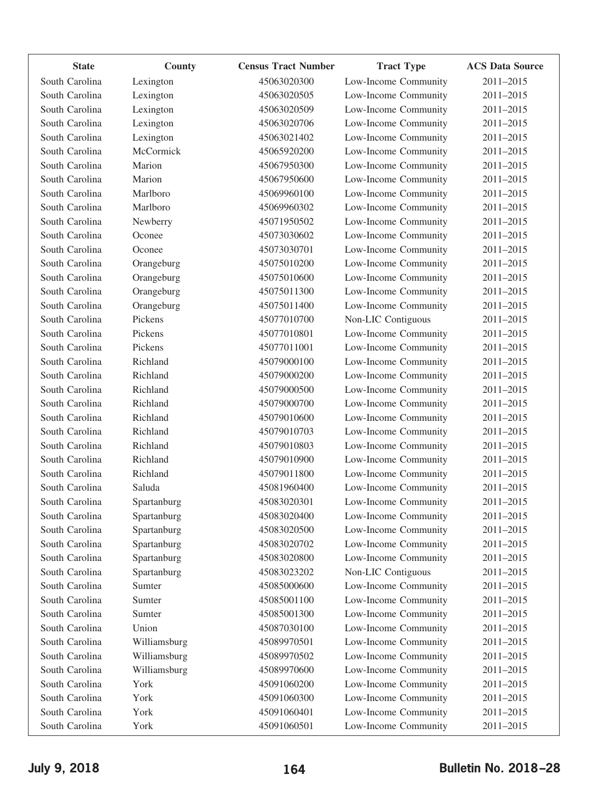| <b>State</b>   | County       | <b>Census Tract Number</b> | <b>Tract Type</b>    | <b>ACS Data Source</b> |
|----------------|--------------|----------------------------|----------------------|------------------------|
| South Carolina | Lexington    | 45063020300                | Low-Income Community | 2011-2015              |
| South Carolina | Lexington    | 45063020505                | Low-Income Community | 2011-2015              |
| South Carolina | Lexington    | 45063020509                | Low-Income Community | 2011-2015              |
| South Carolina | Lexington    | 45063020706                | Low-Income Community | 2011-2015              |
| South Carolina | Lexington    | 45063021402                | Low-Income Community | 2011-2015              |
| South Carolina | McCormick    | 45065920200                | Low-Income Community | 2011-2015              |
| South Carolina | Marion       | 45067950300                | Low-Income Community | 2011-2015              |
| South Carolina | Marion       | 45067950600                | Low-Income Community | 2011-2015              |
| South Carolina | Marlboro     | 45069960100                | Low-Income Community | 2011-2015              |
| South Carolina | Marlboro     | 45069960302                | Low-Income Community | 2011-2015              |
| South Carolina | Newberry     | 45071950502                | Low-Income Community | 2011-2015              |
| South Carolina | Oconee       | 45073030602                | Low-Income Community | 2011-2015              |
| South Carolina | Oconee       | 45073030701                | Low-Income Community | 2011-2015              |
| South Carolina | Orangeburg   | 45075010200                | Low-Income Community | 2011-2015              |
| South Carolina | Orangeburg   | 45075010600                | Low-Income Community | 2011-2015              |
| South Carolina | Orangeburg   | 45075011300                | Low-Income Community | 2011-2015              |
| South Carolina | Orangeburg   | 45075011400                | Low-Income Community | 2011-2015              |
| South Carolina | Pickens      | 45077010700                | Non-LIC Contiguous   | 2011-2015              |
| South Carolina | Pickens      | 45077010801                | Low-Income Community | 2011-2015              |
| South Carolina | Pickens      | 45077011001                | Low-Income Community | 2011-2015              |
| South Carolina | Richland     | 45079000100                | Low-Income Community | 2011-2015              |
| South Carolina | Richland     | 45079000200                | Low-Income Community | 2011-2015              |
| South Carolina | Richland     | 45079000500                | Low-Income Community | 2011-2015              |
| South Carolina | Richland     | 45079000700                | Low-Income Community | 2011-2015              |
| South Carolina | Richland     | 45079010600                | Low-Income Community | 2011-2015              |
| South Carolina | Richland     | 45079010703                | Low-Income Community | 2011-2015              |
| South Carolina | Richland     | 45079010803                | Low-Income Community | 2011-2015              |
| South Carolina | Richland     | 45079010900                | Low-Income Community | 2011-2015              |
| South Carolina | Richland     | 45079011800                | Low-Income Community | 2011-2015              |
| South Carolina | Saluda       | 45081960400                | Low-Income Community | 2011-2015              |
| South Carolina | Spartanburg  | 45083020301                | Low-Income Community | 2011-2015              |
| South Carolina | Spartanburg  | 45083020400                | Low-Income Community | 2011-2015              |
| South Carolina | Spartanburg  | 45083020500                | Low-Income Community | 2011-2015              |
| South Carolina | Spartanburg  | 45083020702                | Low-Income Community | 2011-2015              |
| South Carolina | Spartanburg  | 45083020800                | Low-Income Community | 2011-2015              |
| South Carolina | Spartanburg  | 45083023202                | Non-LIC Contiguous   | 2011-2015              |
| South Carolina | Sumter       | 45085000600                | Low-Income Community | 2011-2015              |
| South Carolina | Sumter       | 45085001100                | Low-Income Community | 2011-2015              |
| South Carolina | Sumter       | 45085001300                | Low-Income Community | 2011-2015              |
| South Carolina | Union        | 45087030100                | Low-Income Community | 2011-2015              |
| South Carolina | Williamsburg | 45089970501                | Low-Income Community | 2011-2015              |
| South Carolina | Williamsburg | 45089970502                | Low-Income Community | 2011-2015              |
| South Carolina | Williamsburg | 45089970600                | Low-Income Community | 2011-2015              |
| South Carolina | York         | 45091060200                | Low-Income Community | 2011-2015              |
| South Carolina | York         | 45091060300                | Low-Income Community | 2011-2015              |
| South Carolina | York         | 45091060401                | Low-Income Community | 2011-2015              |
| South Carolina | York         | 45091060501                | Low-Income Community | 2011-2015              |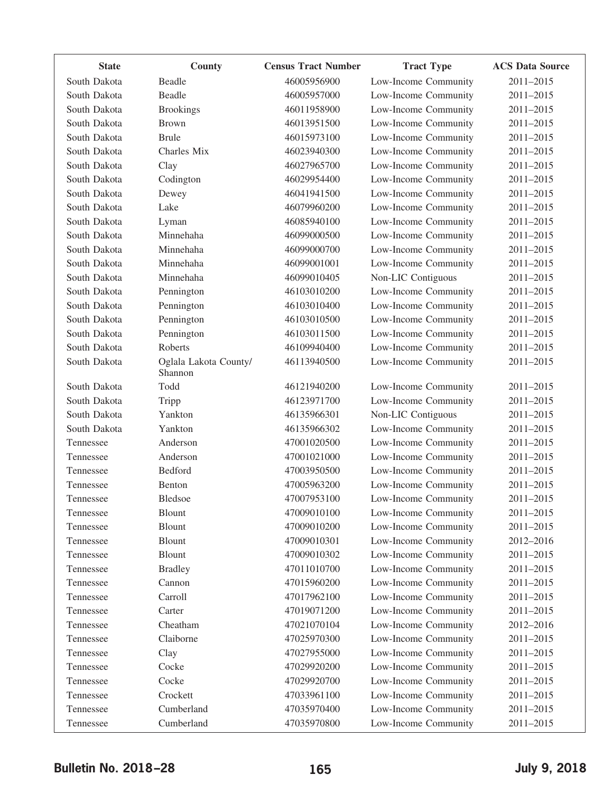| <b>State</b> | County                           | <b>Census Tract Number</b> | <b>Tract Type</b>    | <b>ACS Data Source</b> |
|--------------|----------------------------------|----------------------------|----------------------|------------------------|
| South Dakota | Beadle                           | 46005956900                | Low-Income Community | 2011-2015              |
| South Dakota | Beadle                           | 46005957000                | Low-Income Community | 2011-2015              |
| South Dakota | <b>Brookings</b>                 | 46011958900                | Low-Income Community | 2011-2015              |
| South Dakota | <b>Brown</b>                     | 46013951500                | Low-Income Community | 2011-2015              |
| South Dakota | <b>Brule</b>                     | 46015973100                | Low-Income Community | 2011-2015              |
| South Dakota | Charles Mix                      | 46023940300                | Low-Income Community | 2011-2015              |
| South Dakota | Clay                             | 46027965700                | Low-Income Community | 2011-2015              |
| South Dakota | Codington                        | 46029954400                | Low-Income Community | 2011-2015              |
| South Dakota | Dewey                            | 46041941500                | Low-Income Community | 2011-2015              |
| South Dakota | Lake                             | 46079960200                | Low-Income Community | 2011-2015              |
| South Dakota | Lyman                            | 46085940100                | Low-Income Community | 2011-2015              |
| South Dakota | Minnehaha                        | 46099000500                | Low-Income Community | 2011-2015              |
| South Dakota | Minnehaha                        | 46099000700                | Low-Income Community | 2011-2015              |
| South Dakota | Minnehaha                        | 46099001001                | Low-Income Community | 2011-2015              |
| South Dakota | Minnehaha                        | 46099010405                | Non-LIC Contiguous   | 2011-2015              |
| South Dakota | Pennington                       | 46103010200                | Low-Income Community | 2011-2015              |
| South Dakota | Pennington                       | 46103010400                | Low-Income Community | 2011-2015              |
| South Dakota | Pennington                       | 46103010500                | Low-Income Community | 2011-2015              |
| South Dakota | Pennington                       | 46103011500                | Low-Income Community | 2011-2015              |
| South Dakota | Roberts                          | 46109940400                | Low-Income Community | 2011-2015              |
| South Dakota | Oglala Lakota County/<br>Shannon | 46113940500                | Low-Income Community | 2011-2015              |
| South Dakota | Todd                             | 46121940200                | Low-Income Community | 2011-2015              |
| South Dakota | Tripp                            | 46123971700                | Low-Income Community | 2011-2015              |
| South Dakota | Yankton                          | 46135966301                | Non-LIC Contiguous   | 2011-2015              |
| South Dakota | Yankton                          | 46135966302                | Low-Income Community | 2011-2015              |
| Tennessee    | Anderson                         | 47001020500                | Low-Income Community | 2011-2015              |
| Tennessee    | Anderson                         | 47001021000                | Low-Income Community | 2011-2015              |
| Tennessee    | <b>Bedford</b>                   | 47003950500                | Low-Income Community | 2011-2015              |
| Tennessee    | Benton                           | 47005963200                | Low-Income Community | 2011-2015              |
| Tennessee    | <b>Bledsoe</b>                   | 47007953100                | Low-Income Community | 2011-2015              |
| Tennessee    | Blount                           | 47009010100                | Low-Income Community | 2011-2015              |
| Tennessee    | <b>Blount</b>                    | 47009010200                | Low-Income Community | 2011-2015              |
| Tennessee    | Blount                           | 47009010301                | Low-Income Community | 2012-2016              |
| Tennessee    | Blount                           | 47009010302                | Low-Income Community | 2011-2015              |
| Tennessee    | <b>Bradley</b>                   | 47011010700                | Low-Income Community | 2011-2015              |
| Tennessee    | Cannon                           | 47015960200                | Low-Income Community | 2011-2015              |
| Tennessee    | Carroll                          | 47017962100                | Low-Income Community | 2011-2015              |
| Tennessee    | Carter                           | 47019071200                | Low-Income Community | 2011-2015              |
| Tennessee    | Cheatham                         | 47021070104                | Low-Income Community | 2012-2016              |
| Tennessee    | Claiborne                        | 47025970300                | Low-Income Community | 2011-2015              |
| Tennessee    | Clay                             | 47027955000                | Low-Income Community | 2011-2015              |
| Tennessee    | Cocke                            | 47029920200                | Low-Income Community | 2011-2015              |
| Tennessee    | Cocke                            | 47029920700                | Low-Income Community | 2011-2015              |
| Tennessee    | Crockett                         | 47033961100                | Low-Income Community | 2011-2015              |
| Tennessee    | Cumberland                       | 47035970400                | Low-Income Community | 2011-2015              |
| Tennessee    | Cumberland                       | 47035970800                | Low-Income Community | 2011-2015              |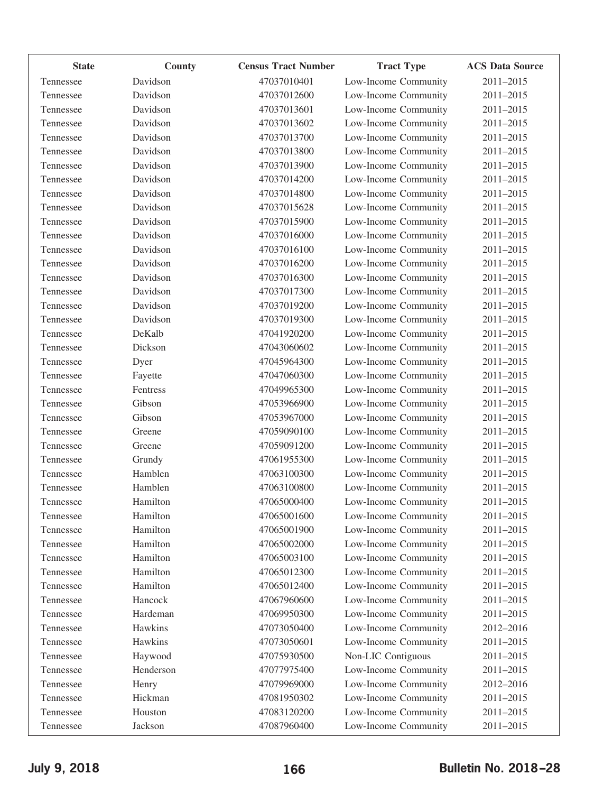| <b>State</b> | County    | <b>Census Tract Number</b> | <b>Tract Type</b>    | <b>ACS Data Source</b> |
|--------------|-----------|----------------------------|----------------------|------------------------|
| Tennessee    | Davidson  | 47037010401                | Low-Income Community | 2011-2015              |
| Tennessee    | Davidson  | 47037012600                | Low-Income Community | 2011-2015              |
| Tennessee    | Davidson  | 47037013601                | Low-Income Community | 2011-2015              |
| Tennessee    | Davidson  | 47037013602                | Low-Income Community | 2011-2015              |
| Tennessee    | Davidson  | 47037013700                | Low-Income Community | 2011-2015              |
| Tennessee    | Davidson  | 47037013800                | Low-Income Community | 2011-2015              |
| Tennessee    | Davidson  | 47037013900                | Low-Income Community | 2011-2015              |
| Tennessee    | Davidson  | 47037014200                | Low-Income Community | 2011-2015              |
| Tennessee    | Davidson  | 47037014800                | Low-Income Community | 2011-2015              |
| Tennessee    | Davidson  | 47037015628                | Low-Income Community | 2011-2015              |
| Tennessee    | Davidson  | 47037015900                | Low-Income Community | 2011-2015              |
| Tennessee    | Davidson  | 47037016000                | Low-Income Community | 2011-2015              |
| Tennessee    | Davidson  | 47037016100                | Low-Income Community | 2011-2015              |
| Tennessee    | Davidson  | 47037016200                | Low-Income Community | 2011-2015              |
| Tennessee    | Davidson  | 47037016300                | Low-Income Community | 2011-2015              |
| Tennessee    | Davidson  | 47037017300                | Low-Income Community | 2011-2015              |
| Tennessee    | Davidson  | 47037019200                | Low-Income Community | 2011-2015              |
| Tennessee    | Davidson  | 47037019300                | Low-Income Community | 2011-2015              |
| Tennessee    | DeKalb    | 47041920200                | Low-Income Community | $2011 - 2015$          |
| Tennessee    | Dickson   | 47043060602                | Low-Income Community | 2011-2015              |
| Tennessee    | Dyer      | 47045964300                | Low-Income Community | 2011-2015              |
| Tennessee    | Fayette   | 47047060300                | Low-Income Community | 2011-2015              |
| Tennessee    | Fentress  | 47049965300                | Low-Income Community | 2011-2015              |
| Tennessee    | Gibson    | 47053966900                | Low-Income Community | 2011-2015              |
| Tennessee    | Gibson    | 47053967000                | Low-Income Community | 2011-2015              |
| Tennessee    | Greene    | 47059090100                | Low-Income Community | 2011-2015              |
| Tennessee    | Greene    | 47059091200                | Low-Income Community | 2011-2015              |
| Tennessee    | Grundy    | 47061955300                | Low-Income Community | 2011-2015              |
| Tennessee    | Hamblen   | 47063100300                | Low-Income Community | 2011-2015              |
| Tennessee    | Hamblen   | 47063100800                | Low-Income Community | 2011-2015              |
| Tennessee    | Hamilton  | 47065000400                | Low-Income Community | 2011-2015              |
| Tennessee    | Hamilton  | 47065001600                | Low-Income Community | 2011-2015              |
| Tennessee    | Hamilton  | 47065001900                | Low-Income Community | 2011-2015              |
| Tennessee    | Hamilton  | 47065002000                | Low-Income Community | 2011-2015              |
| Tennessee    | Hamilton  | 47065003100                | Low-Income Community | 2011-2015              |
| Tennessee    | Hamilton  | 47065012300                | Low-Income Community | 2011-2015              |
| Tennessee    | Hamilton  | 47065012400                | Low-Income Community | 2011-2015              |
| Tennessee    | Hancock   | 47067960600                | Low-Income Community | 2011-2015              |
| Tennessee    | Hardeman  | 47069950300                | Low-Income Community | 2011-2015              |
| Tennessee    | Hawkins   | 47073050400                | Low-Income Community | 2012-2016              |
| Tennessee    | Hawkins   | 47073050601                | Low-Income Community | 2011-2015              |
| Tennessee    | Haywood   | 47075930500                | Non-LIC Contiguous   | 2011-2015              |
| Tennessee    | Henderson | 47077975400                | Low-Income Community | 2011-2015              |
| Tennessee    | Henry     | 47079969000                | Low-Income Community | 2012-2016              |
| Tennessee    | Hickman   | 47081950302                | Low-Income Community | 2011-2015              |
| Tennessee    | Houston   | 47083120200                | Low-Income Community | 2011-2015              |
| Tennessee    | Jackson   | 47087960400                | Low-Income Community | 2011-2015              |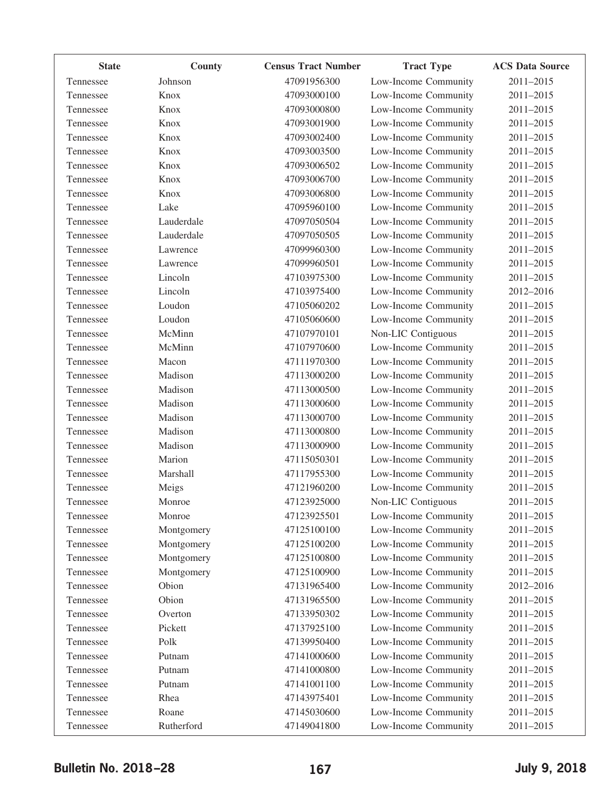| <b>State</b> | County     | <b>Census Tract Number</b> | <b>Tract Type</b>    | <b>ACS Data Source</b> |
|--------------|------------|----------------------------|----------------------|------------------------|
| Tennessee    | Johnson    | 47091956300                | Low-Income Community | 2011-2015              |
| Tennessee    | Knox       | 47093000100                | Low-Income Community | 2011-2015              |
| Tennessee    | Knox       | 47093000800                | Low-Income Community | 2011-2015              |
| Tennessee    | Knox       | 47093001900                | Low-Income Community | 2011-2015              |
| Tennessee    | Knox       | 47093002400                | Low-Income Community | 2011-2015              |
| Tennessee    | Knox       | 47093003500                | Low-Income Community | 2011-2015              |
| Tennessee    | Knox       | 47093006502                | Low-Income Community | 2011-2015              |
| Tennessee    | Knox       | 47093006700                | Low-Income Community | 2011-2015              |
| Tennessee    | Knox       | 47093006800                | Low-Income Community | 2011-2015              |
| Tennessee    | Lake       | 47095960100                | Low-Income Community | 2011-2015              |
| Tennessee    | Lauderdale | 47097050504                | Low-Income Community | 2011-2015              |
| Tennessee    | Lauderdale | 47097050505                | Low-Income Community | 2011-2015              |
| Tennessee    | Lawrence   | 47099960300                | Low-Income Community | 2011-2015              |
| Tennessee    | Lawrence   | 47099960501                | Low-Income Community | 2011-2015              |
| Tennessee    | Lincoln    | 47103975300                | Low-Income Community | 2011-2015              |
| Tennessee    | Lincoln    | 47103975400                | Low-Income Community | 2012-2016              |
| Tennessee    | Loudon     | 47105060202                | Low-Income Community | 2011-2015              |
| Tennessee    | Loudon     | 47105060600                | Low-Income Community | 2011-2015              |
| Tennessee    | McMinn     | 47107970101                | Non-LIC Contiguous   | 2011-2015              |
| Tennessee    | McMinn     | 47107970600                | Low-Income Community | 2011-2015              |
| Tennessee    | Macon      | 47111970300                | Low-Income Community | 2011-2015              |
| Tennessee    | Madison    | 47113000200                | Low-Income Community | 2011-2015              |
| Tennessee    | Madison    | 47113000500                | Low-Income Community | 2011-2015              |
| Tennessee    | Madison    | 47113000600                | Low-Income Community | 2011-2015              |
| Tennessee    | Madison    | 47113000700                | Low-Income Community | 2011-2015              |
| Tennessee    | Madison    | 47113000800                | Low-Income Community | 2011-2015              |
| Tennessee    | Madison    | 47113000900                | Low-Income Community | 2011-2015              |
| Tennessee    | Marion     | 47115050301                | Low-Income Community | 2011-2015              |
| Tennessee    | Marshall   | 47117955300                | Low-Income Community | 2011-2015              |
| Tennessee    | Meigs      | 47121960200                | Low-Income Community | 2011-2015              |
| Tennessee    | Monroe     | 47123925000                | Non-LIC Contiguous   | 2011-2015              |
| Tennessee    | Monroe     | 47123925501                | Low-Income Community | 2011-2015              |
| Tennessee    | Montgomery | 47125100100                | Low-Income Community | 2011-2015              |
| Tennessee    | Montgomery | 47125100200                | Low-Income Community | 2011-2015              |
| Tennessee    | Montgomery | 47125100800                | Low-Income Community | 2011-2015              |
| Tennessee    | Montgomery | 47125100900                | Low-Income Community | 2011-2015              |
| Tennessee    | Obion      | 47131965400                | Low-Income Community | 2012-2016              |
| Tennessee    | Obion      | 47131965500                | Low-Income Community | 2011-2015              |
| Tennessee    | Overton    | 47133950302                | Low-Income Community | 2011-2015              |
| Tennessee    | Pickett    | 47137925100                | Low-Income Community | 2011-2015              |
| Tennessee    | Polk       | 47139950400                | Low-Income Community | 2011-2015              |
| Tennessee    | Putnam     | 47141000600                | Low-Income Community | 2011-2015              |
| Tennessee    | Putnam     | 47141000800                | Low-Income Community | 2011-2015              |
| Tennessee    | Putnam     | 47141001100                | Low-Income Community | 2011-2015              |
| Tennessee    | Rhea       | 47143975401                | Low-Income Community | 2011-2015              |
| Tennessee    | Roane      | 47145030600                | Low-Income Community | 2011-2015              |
| Tennessee    | Rutherford | 47149041800                | Low-Income Community | 2011-2015              |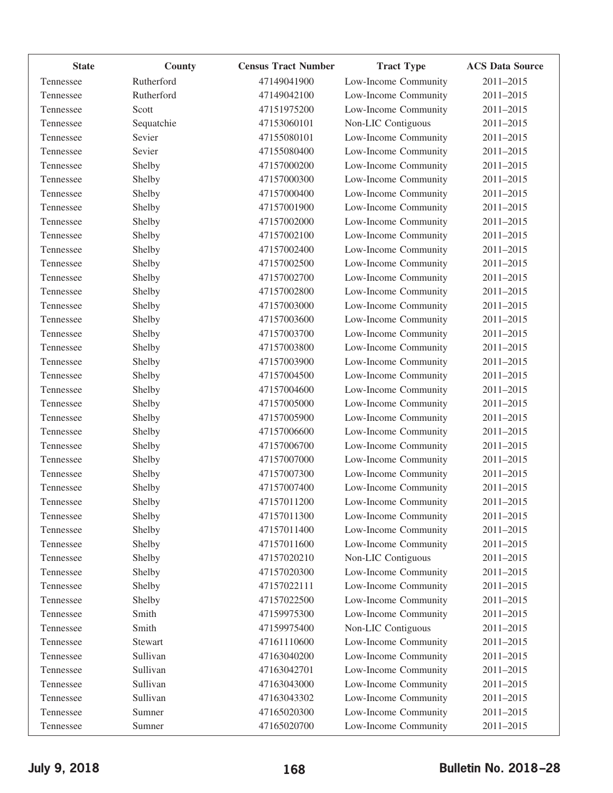| <b>State</b> | County     | <b>Census Tract Number</b> | <b>Tract Type</b>    | <b>ACS Data Source</b> |
|--------------|------------|----------------------------|----------------------|------------------------|
| Tennessee    | Rutherford | 47149041900                | Low-Income Community | 2011-2015              |
| Tennessee    | Rutherford | 47149042100                | Low-Income Community | 2011-2015              |
| Tennessee    | Scott      | 47151975200                | Low-Income Community | 2011-2015              |
| Tennessee    | Sequatchie | 47153060101                | Non-LIC Contiguous   | 2011-2015              |
| Tennessee    | Sevier     | 47155080101                | Low-Income Community | 2011-2015              |
| Tennessee    | Sevier     | 47155080400                | Low-Income Community | 2011-2015              |
| Tennessee    | Shelby     | 47157000200                | Low-Income Community | 2011-2015              |
| Tennessee    | Shelby     | 47157000300                | Low-Income Community | 2011-2015              |
| Tennessee    | Shelby     | 47157000400                | Low-Income Community | 2011-2015              |
| Tennessee    | Shelby     | 47157001900                | Low-Income Community | 2011-2015              |
| Tennessee    | Shelby     | 47157002000                | Low-Income Community | 2011-2015              |
| Tennessee    | Shelby     | 47157002100                | Low-Income Community | 2011-2015              |
| Tennessee    | Shelby     | 47157002400                | Low-Income Community | 2011-2015              |
| Tennessee    | Shelby     | 47157002500                | Low-Income Community | 2011-2015              |
| Tennessee    | Shelby     | 47157002700                | Low-Income Community | 2011-2015              |
| Tennessee    | Shelby     | 47157002800                | Low-Income Community | 2011-2015              |
| Tennessee    | Shelby     | 47157003000                | Low-Income Community | 2011-2015              |
| Tennessee    | Shelby     | 47157003600                | Low-Income Community | 2011-2015              |
| Tennessee    | Shelby     | 47157003700                | Low-Income Community | 2011-2015              |
| Tennessee    | Shelby     | 47157003800                | Low-Income Community | 2011-2015              |
| Tennessee    | Shelby     | 47157003900                | Low-Income Community | 2011-2015              |
| Tennessee    | Shelby     | 47157004500                | Low-Income Community | 2011-2015              |
| Tennessee    | Shelby     | 47157004600                | Low-Income Community | 2011-2015              |
| Tennessee    | Shelby     | 47157005000                | Low-Income Community | 2011-2015              |
| Tennessee    | Shelby     | 47157005900                | Low-Income Community | 2011-2015              |
| Tennessee    | Shelby     | 47157006600                | Low-Income Community | 2011-2015              |
| Tennessee    | Shelby     | 47157006700                | Low-Income Community | 2011-2015              |
| Tennessee    | Shelby     | 47157007000                | Low-Income Community | 2011-2015              |
| Tennessee    | Shelby     | 47157007300                | Low-Income Community | 2011-2015              |
| Tennessee    | Shelby     | 47157007400                | Low-Income Community | 2011-2015              |
| Tennessee    | Shelby     | 47157011200                | Low-Income Community | 2011-2015              |
| Tennessee    | Shelby     | 47157011300                | Low-Income Community | 2011-2015              |
| Tennessee    | Shelby     | 47157011400                | Low-Income Community | 2011-2015              |
| Tennessee    | Shelby     | 47157011600                | Low-Income Community | 2011-2015              |
| Tennessee    | Shelby     | 47157020210                | Non-LIC Contiguous   | 2011-2015              |
| Tennessee    | Shelby     | 47157020300                | Low-Income Community | 2011-2015              |
| Tennessee    | Shelby     | 47157022111                | Low-Income Community | 2011-2015              |
| Tennessee    | Shelby     | 47157022500                | Low-Income Community | 2011-2015              |
| Tennessee    | Smith      | 47159975300                | Low-Income Community | 2011-2015              |
| Tennessee    | Smith      | 47159975400                | Non-LIC Contiguous   | 2011-2015              |
| Tennessee    | Stewart    | 47161110600                | Low-Income Community | 2011-2015              |
| Tennessee    | Sullivan   | 47163040200                | Low-Income Community | 2011-2015              |
| Tennessee    | Sullivan   | 47163042701                | Low-Income Community | 2011-2015              |
| Tennessee    | Sullivan   | 47163043000                | Low-Income Community | 2011-2015              |
| Tennessee    | Sullivan   | 47163043302                | Low-Income Community | 2011-2015              |
| Tennessee    | Sumner     | 47165020300                | Low-Income Community | 2011-2015              |
| Tennessee    | Sumner     | 47165020700                | Low-Income Community | 2011-2015              |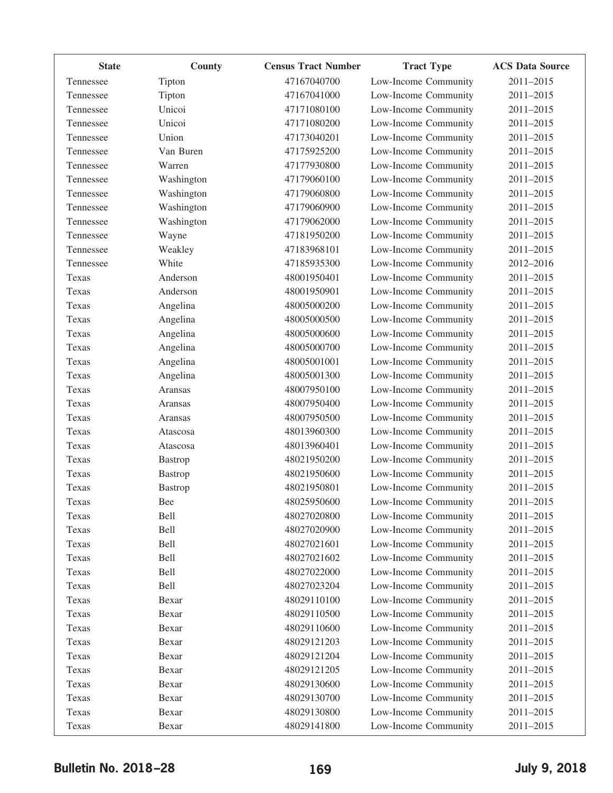| <b>State</b> | County         | <b>Census Tract Number</b> | <b>Tract Type</b>    | <b>ACS Data Source</b> |
|--------------|----------------|----------------------------|----------------------|------------------------|
| Tennessee    | Tipton         | 47167040700                | Low-Income Community | 2011-2015              |
| Tennessee    | Tipton         | 47167041000                | Low-Income Community | 2011-2015              |
| Tennessee    | Unicoi         | 47171080100                | Low-Income Community | 2011-2015              |
| Tennessee    | Unicoi         | 47171080200                | Low-Income Community | 2011-2015              |
| Tennessee    | Union          | 47173040201                | Low-Income Community | 2011-2015              |
| Tennessee    | Van Buren      | 47175925200                | Low-Income Community | 2011-2015              |
| Tennessee    | Warren         | 47177930800                | Low-Income Community | 2011-2015              |
| Tennessee    | Washington     | 47179060100                | Low-Income Community | 2011-2015              |
| Tennessee    | Washington     | 47179060800                | Low-Income Community | 2011-2015              |
| Tennessee    | Washington     | 47179060900                | Low-Income Community | 2011-2015              |
| Tennessee    | Washington     | 47179062000                | Low-Income Community | 2011-2015              |
| Tennessee    | Wayne          | 47181950200                | Low-Income Community | 2011-2015              |
| Tennessee    | Weakley        | 47183968101                | Low-Income Community | 2011-2015              |
| Tennessee    | White          | 47185935300                | Low-Income Community | 2012-2016              |
| Texas        | Anderson       | 48001950401                | Low-Income Community | 2011-2015              |
| Texas        | Anderson       | 48001950901                | Low-Income Community | 2011-2015              |
| Texas        | Angelina       | 48005000200                | Low-Income Community | 2011-2015              |
| Texas        | Angelina       | 48005000500                | Low-Income Community | 2011-2015              |
| Texas        | Angelina       | 48005000600                | Low-Income Community | 2011-2015              |
| Texas        | Angelina       | 48005000700                | Low-Income Community | 2011-2015              |
| Texas        | Angelina       | 48005001001                | Low-Income Community | 2011-2015              |
| Texas        | Angelina       | 48005001300                | Low-Income Community | 2011-2015              |
| Texas        | Aransas        | 48007950100                | Low-Income Community | 2011-2015              |
| Texas        | Aransas        | 48007950400                | Low-Income Community | 2011-2015              |
| Texas        | Aransas        | 48007950500                | Low-Income Community | 2011-2015              |
| Texas        | Atascosa       | 48013960300                | Low-Income Community | 2011-2015              |
| Texas        | Atascosa       | 48013960401                | Low-Income Community | 2011-2015              |
| Texas        | <b>Bastrop</b> | 48021950200                | Low-Income Community | 2011-2015              |
| Texas        | <b>Bastrop</b> | 48021950600                | Low-Income Community | 2011-2015              |
| Texas        | <b>Bastrop</b> | 48021950801                | Low-Income Community | 2011-2015              |
| Texas        | Bee            | 48025950600                | Low-Income Community | 2011-2015              |
| Texas        | Bell           | 48027020800                | Low-Income Community | 2011-2015              |
| Texas        | Bell           | 48027020900                | Low-Income Community | 2011-2015              |
| Texas        | Bell           | 48027021601                | Low-Income Community | 2011-2015              |
| Texas        | Bell           | 48027021602                | Low-Income Community | 2011-2015              |
| Texas        | Bell           | 48027022000                | Low-Income Community | 2011-2015              |
| Texas        | Bell           | 48027023204                | Low-Income Community | 2011-2015              |
| Texas        | Bexar          | 48029110100                | Low-Income Community | 2011-2015              |
| Texas        | Bexar          | 48029110500                | Low-Income Community | 2011-2015              |
| Texas        | Bexar          | 48029110600                | Low-Income Community | 2011-2015              |
| Texas        | Bexar          | 48029121203                | Low-Income Community | 2011-2015              |
| Texas        | Bexar          | 48029121204                | Low-Income Community | 2011-2015              |
| Texas        | Bexar          | 48029121205                | Low-Income Community | 2011-2015              |
| Texas        | Bexar          | 48029130600                | Low-Income Community | 2011-2015              |
| Texas        | Bexar          | 48029130700                | Low-Income Community | 2011-2015              |
| Texas        | Bexar          | 48029130800                | Low-Income Community | 2011-2015              |
| Texas        | Bexar          | 48029141800                | Low-Income Community | 2011-2015              |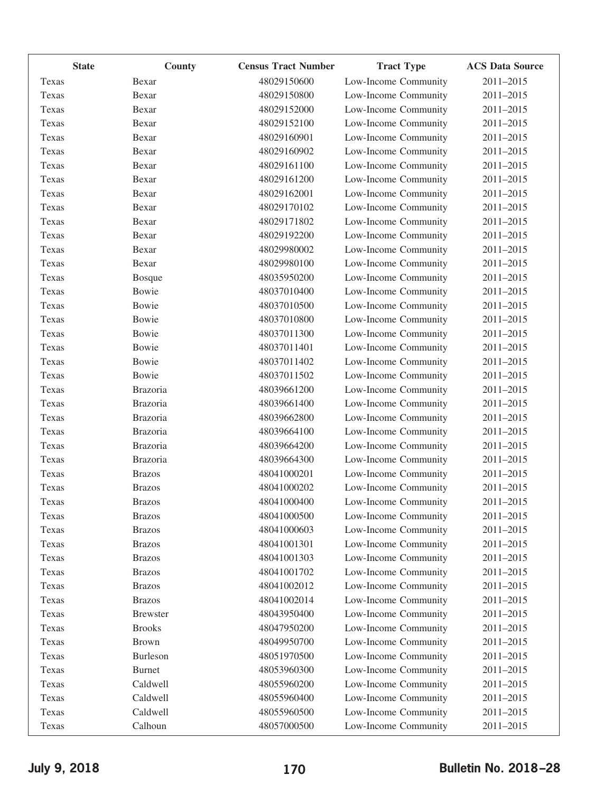| <b>State</b> | <b>County</b>   | <b>Census Tract Number</b> | <b>Tract Type</b>    | <b>ACS Data Source</b> |
|--------------|-----------------|----------------------------|----------------------|------------------------|
| Texas        | Bexar           | 48029150600                | Low-Income Community | 2011-2015              |
| Texas        | Bexar           | 48029150800                | Low-Income Community | 2011-2015              |
| Texas        | Bexar           | 48029152000                | Low-Income Community | 2011-2015              |
| Texas        | Bexar           | 48029152100                | Low-Income Community | 2011-2015              |
| Texas        | Bexar           | 48029160901                | Low-Income Community | 2011-2015              |
| Texas        | Bexar           | 48029160902                | Low-Income Community | 2011-2015              |
| Texas        | Bexar           | 48029161100                | Low-Income Community | 2011-2015              |
| Texas        | Bexar           | 48029161200                | Low-Income Community | 2011-2015              |
| Texas        | Bexar           | 48029162001                | Low-Income Community | 2011-2015              |
| Texas        | Bexar           | 48029170102                | Low-Income Community | 2011-2015              |
| Texas        | Bexar           | 48029171802                | Low-Income Community | 2011-2015              |
| Texas        | Bexar           | 48029192200                | Low-Income Community | 2011-2015              |
| Texas        | Bexar           | 48029980002                | Low-Income Community | 2011-2015              |
| Texas        | Bexar           | 48029980100                | Low-Income Community | 2011-2015              |
| Texas        | <b>Bosque</b>   | 48035950200                | Low-Income Community | 2011-2015              |
| Texas        | Bowie           | 48037010400                | Low-Income Community | 2011-2015              |
| Texas        | <b>Bowie</b>    | 48037010500                | Low-Income Community | 2011-2015              |
| Texas        | Bowie           | 48037010800                | Low-Income Community | 2011-2015              |
| Texas        | Bowie           | 48037011300                | Low-Income Community | 2011-2015              |
| Texas        | Bowie           | 48037011401                | Low-Income Community | 2011-2015              |
| Texas        | Bowie           | 48037011402                | Low-Income Community | 2011-2015              |
| Texas        | Bowie           | 48037011502                | Low-Income Community | 2011-2015              |
| Texas        | <b>Brazoria</b> | 48039661200                | Low-Income Community | 2011-2015              |
| Texas        | Brazoria        | 48039661400                | Low-Income Community | 2011-2015              |
| Texas        | <b>Brazoria</b> | 48039662800                | Low-Income Community | 2011-2015              |
| Texas        | <b>Brazoria</b> | 48039664100                | Low-Income Community | 2011-2015              |
| Texas        | <b>Brazoria</b> | 48039664200                | Low-Income Community | 2011-2015              |
| Texas        | <b>Brazoria</b> | 48039664300                | Low-Income Community | 2011-2015              |
| Texas        | <b>Brazos</b>   | 48041000201                | Low-Income Community | 2011-2015              |
| Texas        | <b>Brazos</b>   | 48041000202                | Low-Income Community | 2011-2015              |
| Texas        | <b>Brazos</b>   | 48041000400                | Low-Income Community | 2011-2015              |
| Texas        | <b>Brazos</b>   | 48041000500                | Low-Income Community | 2011-2015              |
| Texas        | <b>Brazos</b>   | 48041000603                | Low-Income Community | 2011-2015              |
| Texas        | <b>Brazos</b>   | 48041001301                | Low-Income Community | 2011-2015              |
| Texas        | <b>Brazos</b>   | 48041001303                | Low-Income Community | 2011-2015              |
| Texas        | <b>Brazos</b>   | 48041001702                | Low-Income Community | 2011-2015              |
| Texas        | <b>Brazos</b>   | 48041002012                | Low-Income Community | 2011-2015              |
| Texas        | <b>Brazos</b>   | 48041002014                | Low-Income Community | 2011-2015              |
| Texas        | <b>Brewster</b> | 48043950400                | Low-Income Community | 2011-2015              |
| Texas        | <b>Brooks</b>   | 48047950200                | Low-Income Community | 2011-2015              |
| Texas        | <b>Brown</b>    | 48049950700                | Low-Income Community | 2011-2015              |
| Texas        | Burleson        | 48051970500                | Low-Income Community | 2011-2015              |
| Texas        | <b>Burnet</b>   | 48053960300                | Low-Income Community | 2011-2015              |
| Texas        | Caldwell        | 48055960200                | Low-Income Community | 2011-2015              |
| Texas        | Caldwell        | 48055960400                | Low-Income Community | 2011-2015              |
| Texas        | Caldwell        | 48055960500                | Low-Income Community | 2011-2015              |
| Texas        | Calhoun         | 48057000500                | Low-Income Community | 2011-2015              |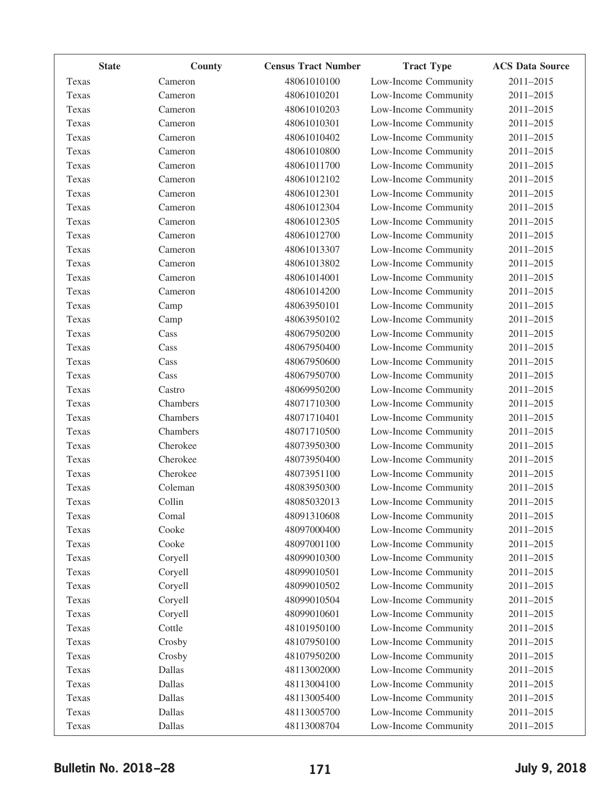| <b>State</b> | County   | <b>Census Tract Number</b> | <b>Tract Type</b>    | <b>ACS Data Source</b> |
|--------------|----------|----------------------------|----------------------|------------------------|
| Texas        | Cameron  | 48061010100                | Low-Income Community | 2011-2015              |
| Texas        | Cameron  | 48061010201                | Low-Income Community | 2011-2015              |
| Texas        | Cameron  | 48061010203                | Low-Income Community | 2011-2015              |
| Texas        | Cameron  | 48061010301                | Low-Income Community | 2011-2015              |
| Texas        | Cameron  | 48061010402                | Low-Income Community | 2011-2015              |
| Texas        | Cameron  | 48061010800                | Low-Income Community | 2011-2015              |
| Texas        | Cameron  | 48061011700                | Low-Income Community | 2011-2015              |
| Texas        | Cameron  | 48061012102                | Low-Income Community | 2011-2015              |
| Texas        | Cameron  | 48061012301                | Low-Income Community | 2011-2015              |
| Texas        | Cameron  | 48061012304                | Low-Income Community | 2011-2015              |
| Texas        | Cameron  | 48061012305                | Low-Income Community | 2011-2015              |
| Texas        | Cameron  | 48061012700                | Low-Income Community | 2011-2015              |
| Texas        | Cameron  | 48061013307                | Low-Income Community | 2011-2015              |
| Texas        | Cameron  | 48061013802                | Low-Income Community | 2011-2015              |
| Texas        | Cameron  | 48061014001                | Low-Income Community | 2011-2015              |
| Texas        | Cameron  | 48061014200                | Low-Income Community | 2011-2015              |
| Texas        | Camp     | 48063950101                | Low-Income Community | 2011-2015              |
| Texas        | Camp     | 48063950102                | Low-Income Community | 2011-2015              |
| Texas        | Cass     | 48067950200                | Low-Income Community | 2011-2015              |
| Texas        | Cass     | 48067950400                | Low-Income Community | 2011-2015              |
| Texas        | Cass     | 48067950600                | Low-Income Community | 2011-2015              |
| Texas        | Cass     | 48067950700                | Low-Income Community | 2011-2015              |
| Texas        | Castro   | 48069950200                | Low-Income Community | 2011-2015              |
| Texas        | Chambers | 48071710300                | Low-Income Community | 2011-2015              |
| Texas        | Chambers | 48071710401                | Low-Income Community | 2011-2015              |
| Texas        | Chambers | 48071710500                | Low-Income Community | 2011-2015              |
| Texas        | Cherokee | 48073950300                | Low-Income Community | 2011-2015              |
| Texas        | Cherokee | 48073950400                | Low-Income Community | 2011-2015              |
| Texas        | Cherokee | 48073951100                | Low-Income Community | 2011-2015              |
| Texas        | Coleman  | 48083950300                | Low-Income Community | 2011-2015              |
| Texas        | Collin   | 48085032013                | Low-Income Community | 2011-2015              |
| Texas        | Comal    | 48091310608                | Low-Income Community | 2011-2015              |
| Texas        | Cooke    | 48097000400                | Low-Income Community | 2011-2015              |
| Texas        | Cooke    | 48097001100                | Low-Income Community | 2011-2015              |
| Texas        | Coryell  | 48099010300                | Low-Income Community | 2011-2015              |
| Texas        | Coryell  | 48099010501                | Low-Income Community | 2011-2015              |
| Texas        | Coryell  | 48099010502                | Low-Income Community | 2011-2015              |
| Texas        | Coryell  | 48099010504                | Low-Income Community | 2011-2015              |
| Texas        | Coryell  | 48099010601                | Low-Income Community | 2011-2015              |
| Texas        | Cottle   | 48101950100                | Low-Income Community | 2011-2015              |
| Texas        | Crosby   | 48107950100                | Low-Income Community | 2011-2015              |
| Texas        | Crosby   | 48107950200                | Low-Income Community | 2011-2015              |
| Texas        | Dallas   | 48113002000                | Low-Income Community | 2011-2015              |
| Texas        | Dallas   | 48113004100                | Low-Income Community | 2011-2015              |
| Texas        | Dallas   | 48113005400                | Low-Income Community | 2011-2015              |
| Texas        | Dallas   | 48113005700                | Low-Income Community | 2011-2015              |
| Texas        | Dallas   | 48113008704                | Low-Income Community | 2011-2015              |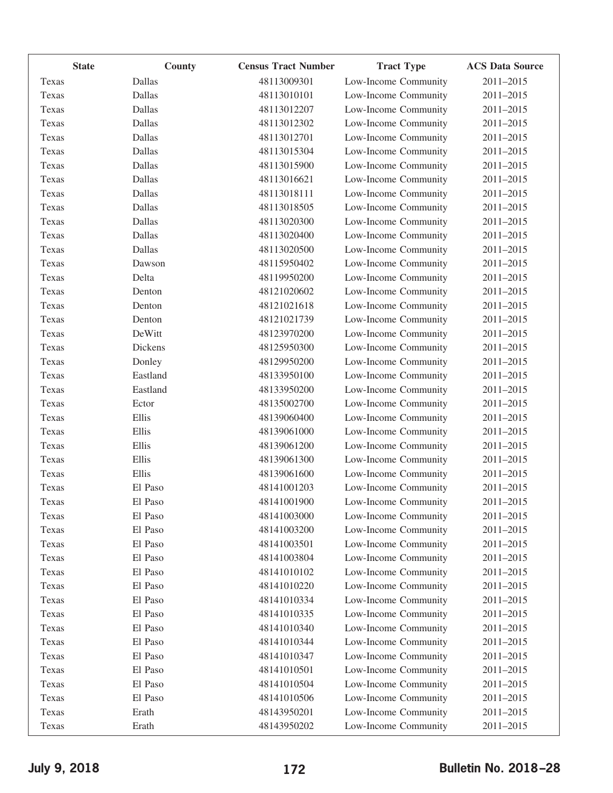|       | <b>State</b> | <b>County</b> | <b>Census Tract Number</b> | <b>Tract Type</b>    | <b>ACS Data Source</b> |
|-------|--------------|---------------|----------------------------|----------------------|------------------------|
| Texas |              | Dallas        | 48113009301                | Low-Income Community | 2011-2015              |
| Texas |              | Dallas        | 48113010101                | Low-Income Community | 2011-2015              |
| Texas |              | Dallas        | 48113012207                | Low-Income Community | 2011-2015              |
| Texas |              | Dallas        | 48113012302                | Low-Income Community | 2011-2015              |
| Texas |              | Dallas        | 48113012701                | Low-Income Community | 2011-2015              |
| Texas |              | Dallas        | 48113015304                | Low-Income Community | 2011-2015              |
| Texas |              | Dallas        | 48113015900                | Low-Income Community | 2011-2015              |
| Texas |              | Dallas        | 48113016621                | Low-Income Community | 2011-2015              |
| Texas |              | Dallas        | 48113018111                | Low-Income Community | 2011-2015              |
| Texas |              | Dallas        | 48113018505                | Low-Income Community | 2011-2015              |
| Texas |              | Dallas        | 48113020300                | Low-Income Community | 2011-2015              |
| Texas |              | Dallas        | 48113020400                | Low-Income Community | 2011-2015              |
| Texas |              | Dallas        | 48113020500                | Low-Income Community | 2011-2015              |
| Texas |              | Dawson        | 48115950402                | Low-Income Community | 2011-2015              |
| Texas |              | Delta         | 48119950200                | Low-Income Community | 2011-2015              |
| Texas |              | Denton        | 48121020602                | Low-Income Community | 2011-2015              |
| Texas |              | Denton        | 48121021618                | Low-Income Community | 2011-2015              |
| Texas |              | Denton        | 48121021739                | Low-Income Community | 2011-2015              |
| Texas |              | DeWitt        | 48123970200                | Low-Income Community | 2011-2015              |
| Texas |              | Dickens       | 48125950300                | Low-Income Community | 2011-2015              |
| Texas |              | Donley        | 48129950200                | Low-Income Community | 2011-2015              |
| Texas |              | Eastland      | 48133950100                | Low-Income Community | 2011-2015              |
| Texas |              | Eastland      | 48133950200                | Low-Income Community | 2011-2015              |
| Texas |              | Ector         | 48135002700                | Low-Income Community | 2011-2015              |
| Texas |              | Ellis         | 48139060400                | Low-Income Community | 2011-2015              |
| Texas |              | Ellis         | 48139061000                | Low-Income Community | 2011-2015              |
| Texas |              | Ellis         | 48139061200                | Low-Income Community | 2011-2015              |
| Texas |              | Ellis         | 48139061300                | Low-Income Community | 2011-2015              |
| Texas |              | Ellis         | 48139061600                | Low-Income Community | 2011-2015              |
| Texas |              | El Paso       | 48141001203                | Low-Income Community | 2011-2015              |
| Texas |              | El Paso       | 48141001900                | Low-Income Community | 2011-2015              |
| Texas |              | El Paso       | 48141003000                | Low-Income Community | 2011-2015              |
| Texas |              | El Paso       | 48141003200                | Low-Income Community | 2011-2015              |
| Texas |              | El Paso       | 48141003501                | Low-Income Community | 2011-2015              |
| Texas |              | El Paso       | 48141003804                | Low-Income Community | 2011-2015              |
| Texas |              | El Paso       | 48141010102                | Low-Income Community | 2011-2015              |
| Texas |              | El Paso       | 48141010220                | Low-Income Community | 2011-2015              |
| Texas |              | El Paso       | 48141010334                | Low-Income Community | 2011-2015              |
| Texas |              | El Paso       | 48141010335                | Low-Income Community | 2011-2015              |
| Texas |              | El Paso       | 48141010340                | Low-Income Community | 2011-2015              |
| Texas |              | El Paso       | 48141010344                | Low-Income Community | 2011-2015              |
| Texas |              | El Paso       | 48141010347                | Low-Income Community | 2011-2015              |
| Texas |              | El Paso       | 48141010501                | Low-Income Community | 2011-2015              |
| Texas |              | El Paso       | 48141010504                | Low-Income Community | 2011-2015              |
| Texas |              | El Paso       | 48141010506                | Low-Income Community | 2011-2015              |
| Texas |              | Erath         | 48143950201                | Low-Income Community | 2011-2015              |
| Texas |              | Erath         | 48143950202                | Low-Income Community | 2011-2015              |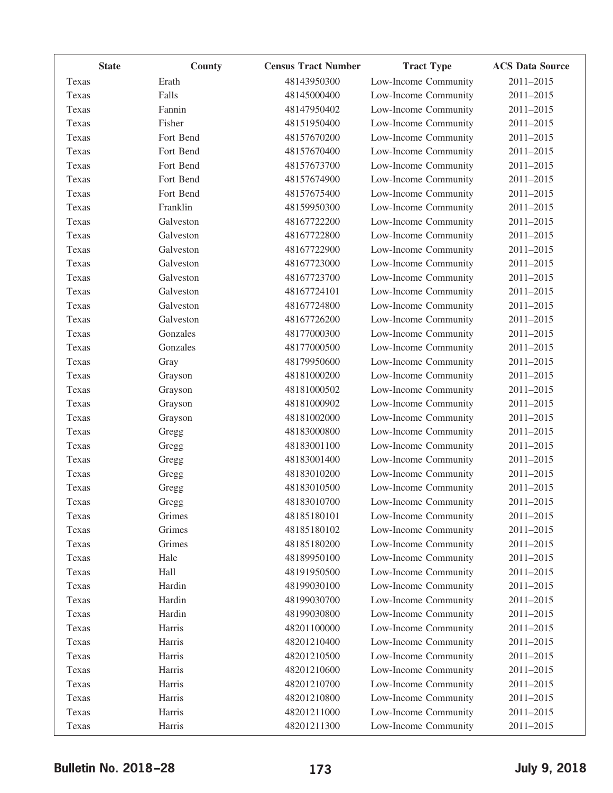|       | <b>State</b> | County    | <b>Census Tract Number</b> | <b>Tract Type</b>    | <b>ACS Data Source</b> |
|-------|--------------|-----------|----------------------------|----------------------|------------------------|
| Texas |              | Erath     | 48143950300                | Low-Income Community | 2011-2015              |
| Texas |              | Falls     | 48145000400                | Low-Income Community | 2011-2015              |
| Texas |              | Fannin    | 48147950402                | Low-Income Community | 2011-2015              |
| Texas |              | Fisher    | 48151950400                | Low-Income Community | 2011-2015              |
| Texas |              | Fort Bend | 48157670200                | Low-Income Community | 2011-2015              |
| Texas |              | Fort Bend | 48157670400                | Low-Income Community | 2011-2015              |
| Texas |              | Fort Bend | 48157673700                | Low-Income Community | 2011-2015              |
| Texas |              | Fort Bend | 48157674900                | Low-Income Community | 2011-2015              |
| Texas |              | Fort Bend | 48157675400                | Low-Income Community | 2011-2015              |
| Texas |              | Franklin  | 48159950300                | Low-Income Community | 2011-2015              |
| Texas |              | Galveston | 48167722200                | Low-Income Community | 2011-2015              |
| Texas |              | Galveston | 48167722800                | Low-Income Community | 2011-2015              |
| Texas |              | Galveston | 48167722900                | Low-Income Community | 2011-2015              |
| Texas |              | Galveston | 48167723000                | Low-Income Community | 2011-2015              |
| Texas |              | Galveston | 48167723700                | Low-Income Community | 2011-2015              |
| Texas |              | Galveston | 48167724101                | Low-Income Community | 2011-2015              |
| Texas |              | Galveston | 48167724800                | Low-Income Community | 2011-2015              |
| Texas |              | Galveston | 48167726200                | Low-Income Community | 2011-2015              |
| Texas |              | Gonzales  | 48177000300                | Low-Income Community | 2011-2015              |
| Texas |              | Gonzales  | 48177000500                | Low-Income Community | 2011-2015              |
| Texas |              | Gray      | 48179950600                | Low-Income Community | 2011-2015              |
| Texas |              | Grayson   | 48181000200                | Low-Income Community | 2011-2015              |
| Texas |              | Grayson   | 48181000502                | Low-Income Community | 2011-2015              |
| Texas |              | Grayson   | 48181000902                | Low-Income Community | 2011-2015              |
| Texas |              | Grayson   | 48181002000                | Low-Income Community | 2011-2015              |
| Texas |              | Gregg     | 48183000800                | Low-Income Community | 2011-2015              |
| Texas |              | Gregg     | 48183001100                | Low-Income Community | 2011-2015              |
| Texas |              | Gregg     | 48183001400                | Low-Income Community | 2011-2015              |
| Texas |              | Gregg     | 48183010200                | Low-Income Community | 2011-2015              |
| Texas |              | Gregg     | 48183010500                | Low-Income Community | 2011-2015              |
| Texas |              | Gregg     | 48183010700                | Low-Income Community | 2011-2015              |
| Texas |              | Grimes    | 48185180101                | Low-Income Community | 2011-2015              |
| Texas |              | Grimes    | 48185180102                | Low-Income Community | 2011-2015              |
| Texas |              | Grimes    | 48185180200                | Low-Income Community | 2011-2015              |
| Texas |              | Hale      | 48189950100                | Low-Income Community | 2011-2015              |
| Texas |              | Hall      | 48191950500                | Low-Income Community | 2011-2015              |
| Texas |              | Hardin    | 48199030100                | Low-Income Community | 2011-2015              |
| Texas |              | Hardin    | 48199030700                | Low-Income Community | 2011-2015              |
| Texas |              | Hardin    | 48199030800                | Low-Income Community | 2011-2015              |
| Texas |              | Harris    | 48201100000                | Low-Income Community | 2011-2015              |
| Texas |              | Harris    | 48201210400                | Low-Income Community | 2011-2015              |
| Texas |              | Harris    | 48201210500                | Low-Income Community | 2011-2015              |
| Texas |              | Harris    | 48201210600                | Low-Income Community | 2011-2015              |
| Texas |              | Harris    | 48201210700                | Low-Income Community | 2011-2015              |
| Texas |              | Harris    | 48201210800                | Low-Income Community | 2011-2015              |
| Texas |              | Harris    | 48201211000                | Low-Income Community | 2011-2015              |
| Texas |              | Harris    | 48201211300                | Low-Income Community | 2011-2015              |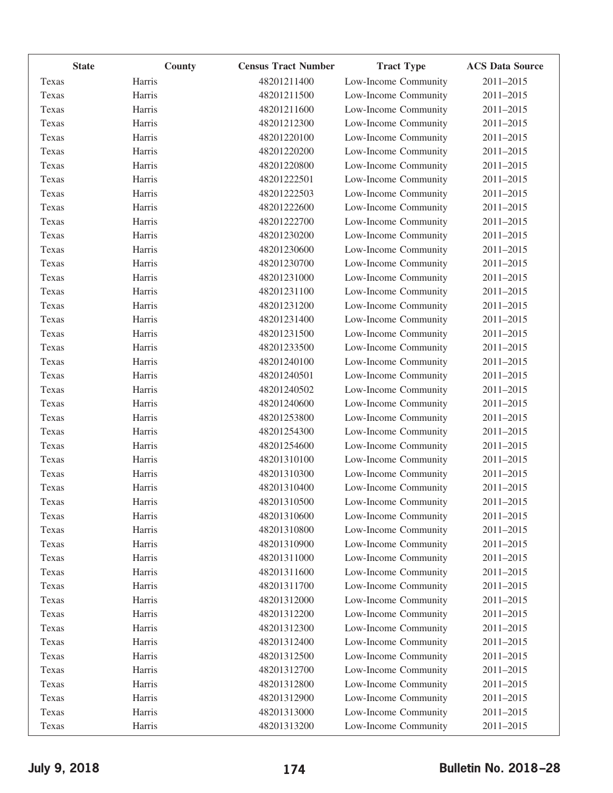|       | <b>State</b> | County | <b>Census Tract Number</b> | <b>Tract Type</b>    | <b>ACS Data Source</b> |
|-------|--------------|--------|----------------------------|----------------------|------------------------|
| Texas | Harris       |        | 48201211400                | Low-Income Community | 2011-2015              |
| Texas | Harris       |        | 48201211500                | Low-Income Community | 2011-2015              |
| Texas | Harris       |        | 48201211600                | Low-Income Community | 2011-2015              |
| Texas | Harris       |        | 48201212300                | Low-Income Community | 2011-2015              |
| Texas | Harris       |        | 48201220100                | Low-Income Community | 2011-2015              |
| Texas | Harris       |        | 48201220200                | Low-Income Community | 2011-2015              |
| Texas | Harris       |        | 48201220800                | Low-Income Community | 2011-2015              |
| Texas | Harris       |        | 48201222501                | Low-Income Community | $2011 - 2015$          |
| Texas | Harris       |        | 48201222503                | Low-Income Community | 2011-2015              |
| Texas | Harris       |        | 48201222600                | Low-Income Community | 2011-2015              |
| Texas | Harris       |        | 48201222700                | Low-Income Community | 2011-2015              |
| Texas | Harris       |        | 48201230200                | Low-Income Community | 2011-2015              |
| Texas | Harris       |        | 48201230600                | Low-Income Community | 2011-2015              |
| Texas | Harris       |        | 48201230700                | Low-Income Community | 2011-2015              |
| Texas | Harris       |        | 48201231000                | Low-Income Community | 2011-2015              |
| Texas | Harris       |        | 48201231100                | Low-Income Community | 2011-2015              |
| Texas | Harris       |        | 48201231200                | Low-Income Community | 2011-2015              |
| Texas | Harris       |        | 48201231400                | Low-Income Community | 2011-2015              |
| Texas | Harris       |        | 48201231500                | Low-Income Community | 2011-2015              |
| Texas | Harris       |        | 48201233500                | Low-Income Community | 2011-2015              |
| Texas | Harris       |        | 48201240100                | Low-Income Community | 2011-2015              |
| Texas | Harris       |        | 48201240501                | Low-Income Community | 2011-2015              |
| Texas | Harris       |        | 48201240502                | Low-Income Community | 2011-2015              |
| Texas | Harris       |        | 48201240600                | Low-Income Community | 2011-2015              |
| Texas | Harris       |        | 48201253800                | Low-Income Community | 2011-2015              |
| Texas | Harris       |        | 48201254300                | Low-Income Community | 2011-2015              |
| Texas | Harris       |        | 48201254600                | Low-Income Community | 2011-2015              |
| Texas | Harris       |        | 48201310100                | Low-Income Community | 2011-2015              |
| Texas | Harris       |        | 48201310300                | Low-Income Community | 2011-2015              |
| Texas | Harris       |        | 48201310400                | Low-Income Community | 2011-2015              |
| Texas | Harris       |        | 48201310500                | Low-Income Community | 2011-2015              |
| Texas | Harris       |        | 48201310600                | Low-Income Community | 2011-2015              |
| Texas | Harris       |        | 48201310800                | Low-Income Community | 2011-2015              |
| Texas | Harris       |        | 48201310900                | Low-Income Community | 2011-2015              |
| Texas | Harris       |        | 48201311000                | Low-Income Community | 2011-2015              |
| Texas | Harris       |        | 48201311600                | Low-Income Community | 2011-2015              |
| Texas | Harris       |        | 48201311700                | Low-Income Community | 2011-2015              |
| Texas | Harris       |        | 48201312000                | Low-Income Community | 2011-2015              |
| Texas | Harris       |        | 48201312200                | Low-Income Community | 2011-2015              |
| Texas | Harris       |        | 48201312300                | Low-Income Community | 2011-2015              |
| Texas | Harris       |        | 48201312400                | Low-Income Community | 2011-2015              |
| Texas | Harris       |        | 48201312500                | Low-Income Community | 2011-2015              |
| Texas | Harris       |        | 48201312700                | Low-Income Community | 2011-2015              |
| Texas | Harris       |        | 48201312800                | Low-Income Community | 2011-2015              |
| Texas | Harris       |        | 48201312900                | Low-Income Community | 2011-2015              |
| Texas | Harris       |        | 48201313000                | Low-Income Community | 2011-2015              |
| Texas | Harris       |        | 48201313200                | Low-Income Community | 2011-2015              |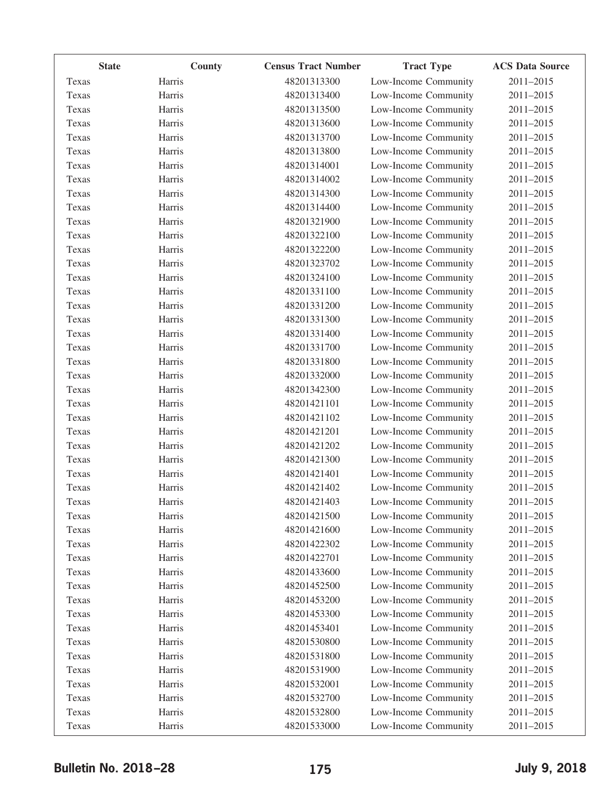|       | <b>State</b>  | <b>Census Tract Number</b><br>County | <b>Tract Type</b>    | <b>ACS Data Source</b> |
|-------|---------------|--------------------------------------|----------------------|------------------------|
| Texas | Harris        | 48201313300                          | Low-Income Community | 2011-2015              |
| Texas | Harris        | 48201313400                          | Low-Income Community | 2011-2015              |
| Texas | Harris        | 48201313500                          | Low-Income Community | 2011-2015              |
| Texas | Harris        | 48201313600                          | Low-Income Community | 2011-2015              |
| Texas | Harris        | 48201313700                          | Low-Income Community | 2011-2015              |
| Texas | Harris        | 48201313800                          | Low-Income Community | 2011-2015              |
| Texas | Harris        | 48201314001                          | Low-Income Community | 2011-2015              |
| Texas | Harris        | 48201314002                          | Low-Income Community | 2011-2015              |
| Texas | Harris        | 48201314300                          | Low-Income Community | 2011-2015              |
| Texas | Harris        | 48201314400                          | Low-Income Community | 2011-2015              |
| Texas | Harris        | 48201321900                          | Low-Income Community | $2011 - 2015$          |
| Texas | Harris        | 48201322100                          | Low-Income Community | 2011-2015              |
| Texas | Harris        | 48201322200                          | Low-Income Community | 2011-2015              |
| Texas | Harris        | 48201323702                          | Low-Income Community | 2011-2015              |
| Texas | Harris        | 48201324100                          | Low-Income Community | 2011-2015              |
| Texas | Harris        | 48201331100                          | Low-Income Community | 2011-2015              |
| Texas | Harris        | 48201331200                          | Low-Income Community | 2011-2015              |
| Texas | Harris        | 48201331300                          | Low-Income Community | 2011-2015              |
| Texas | Harris        | 48201331400                          | Low-Income Community | 2011-2015              |
| Texas | Harris        | 48201331700                          | Low-Income Community | 2011-2015              |
| Texas | Harris        | 48201331800                          | Low-Income Community | 2011-2015              |
| Texas | Harris        | 48201332000                          | Low-Income Community | 2011-2015              |
| Texas | Harris        | 48201342300                          | Low-Income Community | 2011-2015              |
| Texas | Harris        | 48201421101                          | Low-Income Community | 2011-2015              |
| Texas | Harris        | 48201421102                          | Low-Income Community | 2011-2015              |
| Texas | Harris        | 48201421201                          | Low-Income Community | 2011-2015              |
| Texas | Harris        | 48201421202                          | Low-Income Community | 2011-2015              |
| Texas | Harris        | 48201421300                          | Low-Income Community | 2011-2015              |
| Texas | Harris        | 48201421401                          | Low-Income Community | 2011-2015              |
| Texas | Harris        | 48201421402                          | Low-Income Community | 2011-2015              |
| Texas | <b>Harris</b> | 48201421403                          | Low-Income Community | 2011-2015              |
| Texas | Harris        | 48201421500                          | Low-Income Community | 2011-2015              |
| Texas | Harris        | 48201421600                          | Low-Income Community | 2011-2015              |
| Texas | Harris        | 48201422302                          | Low-Income Community | 2011-2015              |
| Texas | Harris        | 48201422701                          | Low-Income Community | 2011-2015              |
| Texas | Harris        | 48201433600                          | Low-Income Community | 2011-2015              |
| Texas | Harris        | 48201452500                          | Low-Income Community | 2011-2015              |
| Texas | Harris        | 48201453200                          | Low-Income Community | 2011-2015              |
| Texas | Harris        | 48201453300                          | Low-Income Community | 2011-2015              |
| Texas | Harris        | 48201453401                          | Low-Income Community | 2011-2015              |
| Texas | Harris        | 48201530800                          | Low-Income Community | 2011-2015              |
| Texas | Harris        | 48201531800                          | Low-Income Community | 2011-2015              |
| Texas | Harris        | 48201531900                          | Low-Income Community | 2011-2015              |
| Texas | Harris        | 48201532001                          | Low-Income Community | 2011-2015              |
| Texas | Harris        | 48201532700                          | Low-Income Community | 2011-2015              |
| Texas | Harris        | 48201532800                          | Low-Income Community | 2011-2015              |
| Texas | Harris        | 48201533000                          | Low-Income Community | 2011-2015              |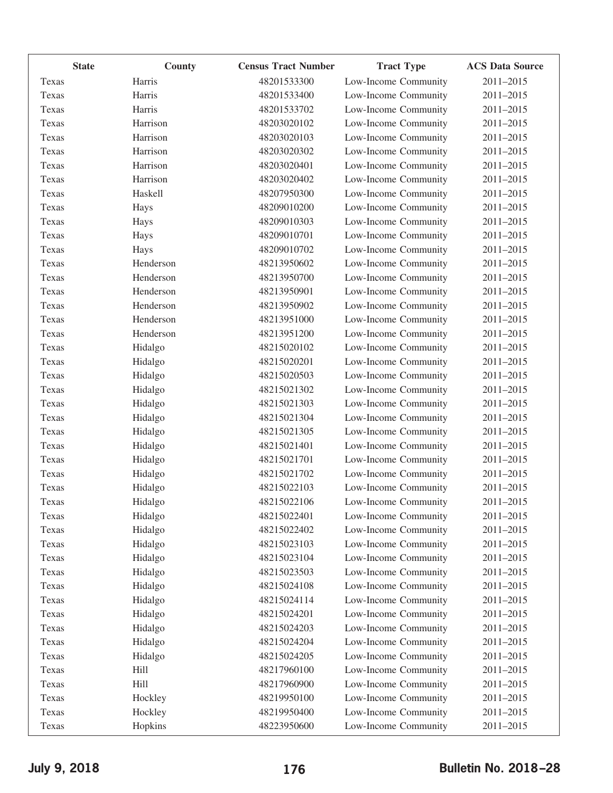|       | <b>State</b><br>County | <b>Census Tract Number</b> | <b>Tract Type</b>    | <b>ACS Data Source</b> |
|-------|------------------------|----------------------------|----------------------|------------------------|
| Texas | Harris                 | 48201533300                | Low-Income Community | 2011-2015              |
| Texas | Harris                 | 48201533400                | Low-Income Community | 2011-2015              |
| Texas | Harris                 | 48201533702                | Low-Income Community | 2011-2015              |
| Texas | Harrison               | 48203020102                | Low-Income Community | 2011-2015              |
| Texas | Harrison               | 48203020103                | Low-Income Community | 2011-2015              |
| Texas | Harrison               | 48203020302                | Low-Income Community | 2011-2015              |
| Texas | Harrison               | 48203020401                | Low-Income Community | 2011-2015              |
| Texas | Harrison               | 48203020402                | Low-Income Community | 2011-2015              |
| Texas | Haskell                | 48207950300                | Low-Income Community | 2011-2015              |
| Texas | Hays                   | 48209010200                | Low-Income Community | 2011-2015              |
| Texas | Hays                   | 48209010303                | Low-Income Community | 2011-2015              |
| Texas | Hays                   | 48209010701                | Low-Income Community | 2011-2015              |
| Texas | Hays                   | 48209010702                | Low-Income Community | 2011-2015              |
| Texas | Henderson              | 48213950602                | Low-Income Community | $2011 - 2015$          |
| Texas | Henderson              | 48213950700                | Low-Income Community | 2011-2015              |
| Texas | Henderson              | 48213950901                | Low-Income Community | 2011-2015              |
| Texas | Henderson              | 48213950902                | Low-Income Community | 2011-2015              |
| Texas | Henderson              | 48213951000                | Low-Income Community | 2011-2015              |
| Texas | Henderson              | 48213951200                | Low-Income Community | 2011-2015              |
| Texas | Hidalgo                | 48215020102                | Low-Income Community | 2011-2015              |
| Texas | Hidalgo                | 48215020201                | Low-Income Community | 2011-2015              |
| Texas | Hidalgo                | 48215020503                | Low-Income Community | 2011-2015              |
| Texas | Hidalgo                | 48215021302                | Low-Income Community | 2011-2015              |
| Texas | Hidalgo                | 48215021303                | Low-Income Community | 2011-2015              |
| Texas | Hidalgo                | 48215021304                | Low-Income Community | 2011-2015              |
| Texas | Hidalgo                | 48215021305                | Low-Income Community | 2011-2015              |
| Texas | Hidalgo                | 48215021401                | Low-Income Community | 2011-2015              |
| Texas | Hidalgo                | 48215021701                | Low-Income Community | 2011-2015              |
| Texas | Hidalgo                | 48215021702                | Low-Income Community | 2011-2015              |
| Texas | Hidalgo                | 48215022103                | Low-Income Community | 2011-2015              |
| Texas | Hidalgo                | 48215022106                | Low-Income Community | 2011-2015              |
| Texas | Hidalgo                | 48215022401                | Low-Income Community | 2011-2015              |
| Texas | Hidalgo                | 48215022402                | Low-Income Community | 2011-2015              |
| Texas | Hidalgo                | 48215023103                | Low-Income Community | 2011-2015              |
| Texas | Hidalgo                | 48215023104                | Low-Income Community | 2011-2015              |
| Texas | Hidalgo                | 48215023503                | Low-Income Community | 2011-2015              |
| Texas | Hidalgo                | 48215024108                | Low-Income Community | 2011-2015              |
| Texas | Hidalgo                | 48215024114                | Low-Income Community | 2011-2015              |
| Texas | Hidalgo                | 48215024201                | Low-Income Community | 2011-2015              |
| Texas | Hidalgo                | 48215024203                | Low-Income Community | 2011-2015              |
| Texas | Hidalgo                | 48215024204                | Low-Income Community | 2011-2015              |
| Texas | Hidalgo                | 48215024205                | Low-Income Community | 2011-2015              |
| Texas | Hill                   | 48217960100                | Low-Income Community | 2011-2015              |
| Texas | Hill                   | 48217960900                | Low-Income Community | 2011-2015              |
| Texas | Hockley                | 48219950100                | Low-Income Community | 2011-2015              |
| Texas | Hockley                | 48219950400                | Low-Income Community | 2011-2015              |
| Texas | Hopkins                | 48223950600                | Low-Income Community | 2011-2015              |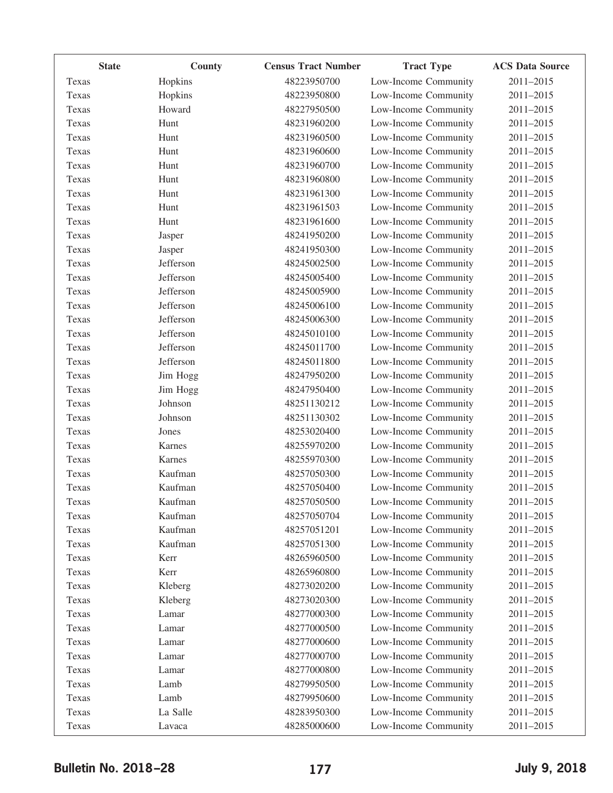|       | <b>State</b><br>County | <b>Census Tract Number</b> | <b>Tract Type</b>    | <b>ACS Data Source</b> |
|-------|------------------------|----------------------------|----------------------|------------------------|
| Texas | Hopkins                | 48223950700                | Low-Income Community | 2011-2015              |
| Texas | Hopkins                | 48223950800                | Low-Income Community | 2011-2015              |
| Texas | Howard                 | 48227950500                | Low-Income Community | 2011-2015              |
| Texas | Hunt                   | 48231960200                | Low-Income Community | 2011-2015              |
| Texas | Hunt                   | 48231960500                | Low-Income Community | 2011-2015              |
| Texas | Hunt                   | 48231960600                | Low-Income Community | 2011-2015              |
| Texas | Hunt                   | 48231960700                | Low-Income Community | 2011-2015              |
| Texas | Hunt                   | 48231960800                | Low-Income Community | 2011-2015              |
| Texas | Hunt                   | 48231961300                | Low-Income Community | 2011-2015              |
| Texas | Hunt                   | 48231961503                | Low-Income Community | 2011-2015              |
| Texas | Hunt                   | 48231961600                | Low-Income Community | 2011-2015              |
| Texas | Jasper                 | 48241950200                | Low-Income Community | 2011-2015              |
| Texas | Jasper                 | 48241950300                | Low-Income Community | 2011-2015              |
| Texas | Jefferson              | 48245002500                | Low-Income Community | 2011-2015              |
| Texas | Jefferson              | 48245005400                | Low-Income Community | 2011-2015              |
| Texas | Jefferson              | 48245005900                | Low-Income Community | 2011-2015              |
| Texas | Jefferson              | 48245006100                | Low-Income Community | 2011-2015              |
| Texas | Jefferson              | 48245006300                | Low-Income Community | 2011-2015              |
| Texas | Jefferson              | 48245010100                | Low-Income Community | 2011-2015              |
| Texas | Jefferson              | 48245011700                | Low-Income Community | 2011-2015              |
| Texas | Jefferson              | 48245011800                | Low-Income Community | 2011-2015              |
| Texas | Jim Hogg               | 48247950200                | Low-Income Community | 2011-2015              |
| Texas | Jim Hogg               | 48247950400                | Low-Income Community | 2011-2015              |
| Texas | Johnson                | 48251130212                | Low-Income Community | 2011-2015              |
| Texas | Johnson                | 48251130302                | Low-Income Community | 2011-2015              |
| Texas | Jones                  | 48253020400                | Low-Income Community | 2011-2015              |
| Texas | Karnes                 | 48255970200                | Low-Income Community | 2011-2015              |
| Texas | Karnes                 | 48255970300                | Low-Income Community | 2011-2015              |
| Texas | Kaufman                | 48257050300                | Low-Income Community | 2011-2015              |
| Texas | Kaufman                | 48257050400                | Low-Income Community | 2011-2015              |
| Texas | Kaufman                | 48257050500                | Low-Income Community | 2011-2015              |
| Texas | Kaufman                | 48257050704                | Low-Income Community | 2011-2015              |
| Texas | Kaufman                | 48257051201                | Low-Income Community | 2011-2015              |
| Texas | Kaufman                | 48257051300                | Low-Income Community | 2011-2015              |
| Texas | Kerr                   | 48265960500                | Low-Income Community | 2011-2015              |
| Texas | Kerr                   | 48265960800                | Low-Income Community | 2011-2015              |
| Texas | Kleberg                | 48273020200                | Low-Income Community | 2011-2015              |
| Texas | Kleberg                | 48273020300                | Low-Income Community | 2011-2015              |
| Texas | Lamar                  | 48277000300                | Low-Income Community | 2011-2015              |
| Texas | Lamar                  | 48277000500                | Low-Income Community | 2011-2015              |
| Texas | Lamar                  | 48277000600                | Low-Income Community | 2011-2015              |
| Texas | Lamar                  | 48277000700                | Low-Income Community | 2011-2015              |
| Texas | Lamar                  | 48277000800                | Low-Income Community | 2011-2015              |
| Texas | Lamb                   | 48279950500                | Low-Income Community | 2011-2015              |
| Texas | Lamb                   | 48279950600                | Low-Income Community | 2011-2015              |
| Texas | La Salle               | 48283950300                | Low-Income Community | 2011-2015              |
| Texas | Lavaca                 | 48285000600                | Low-Income Community | 2011-2015              |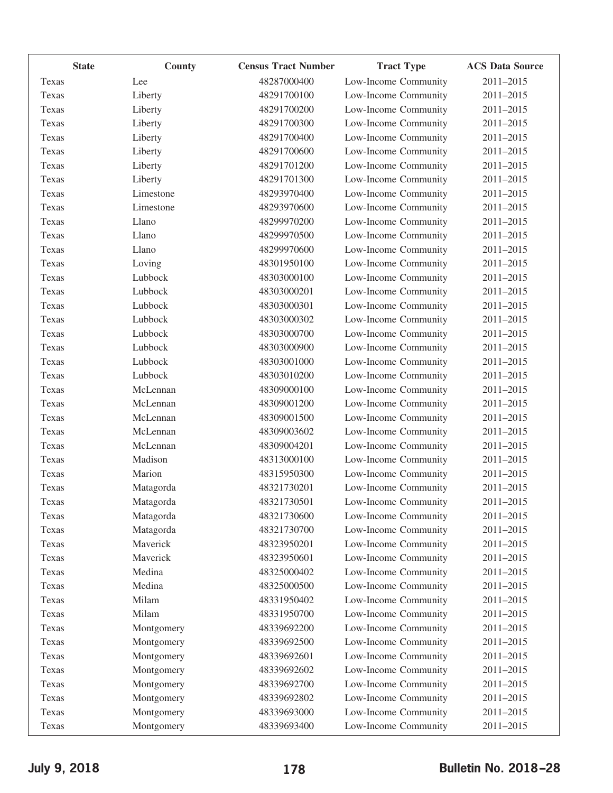| <b>State</b> | County     | <b>Census Tract Number</b> | <b>Tract Type</b>    | <b>ACS Data Source</b> |
|--------------|------------|----------------------------|----------------------|------------------------|
| Texas        | Lee        | 48287000400                | Low-Income Community | 2011-2015              |
| Texas        | Liberty    | 48291700100                | Low-Income Community | 2011-2015              |
| Texas        | Liberty    | 48291700200                | Low-Income Community | 2011-2015              |
| Texas        | Liberty    | 48291700300                | Low-Income Community | 2011-2015              |
| Texas        | Liberty    | 48291700400                | Low-Income Community | 2011-2015              |
| Texas        | Liberty    | 48291700600                | Low-Income Community | 2011-2015              |
| Texas        | Liberty    | 48291701200                | Low-Income Community | 2011-2015              |
| Texas        | Liberty    | 48291701300                | Low-Income Community | 2011-2015              |
| Texas        | Limestone  | 48293970400                | Low-Income Community | 2011-2015              |
| Texas        | Limestone  | 48293970600                | Low-Income Community | 2011-2015              |
| Texas        | Llano      | 48299970200                | Low-Income Community | 2011-2015              |
| Texas        | Llano      | 48299970500                | Low-Income Community | 2011-2015              |
| Texas        | Llano      | 48299970600                | Low-Income Community | 2011-2015              |
| Texas        | Loving     | 48301950100                | Low-Income Community | 2011-2015              |
| Texas        | Lubbock    | 48303000100                | Low-Income Community | 2011-2015              |
| Texas        | Lubbock    | 48303000201                | Low-Income Community | 2011-2015              |
| Texas        | Lubbock    | 48303000301                | Low-Income Community | 2011-2015              |
| Texas        | Lubbock    | 48303000302                | Low-Income Community | 2011-2015              |
| Texas        | Lubbock    | 48303000700                | Low-Income Community | 2011-2015              |
| Texas        | Lubbock    | 48303000900                | Low-Income Community | 2011-2015              |
| Texas        | Lubbock    | 48303001000                | Low-Income Community | 2011-2015              |
| Texas        | Lubbock    | 48303010200                | Low-Income Community | 2011-2015              |
| Texas        | McLennan   | 48309000100                | Low-Income Community | 2011-2015              |
| Texas        | McLennan   | 48309001200                | Low-Income Community | 2011-2015              |
| Texas        | McLennan   | 48309001500                | Low-Income Community | 2011-2015              |
| Texas        | McLennan   | 48309003602                | Low-Income Community | 2011-2015              |
| Texas        | McLennan   | 48309004201                | Low-Income Community | 2011-2015              |
| Texas        | Madison    | 48313000100                | Low-Income Community | 2011-2015              |
| Texas        | Marion     | 48315950300                | Low-Income Community | 2011-2015              |
| Texas        | Matagorda  | 48321730201                | Low-Income Community | 2011-2015              |
| Texas        | Matagorda  | 48321730501                | Low-Income Community | $2011 - 2015$          |
| Texas        | Matagorda  | 48321730600                | Low-Income Community | 2011-2015              |
| Texas        | Matagorda  | 48321730700                | Low-Income Community | 2011-2015              |
| Texas        | Maverick   | 48323950201                | Low-Income Community | 2011-2015              |
| Texas        | Maverick   | 48323950601                | Low-Income Community | 2011-2015              |
| Texas        | Medina     | 48325000402                | Low-Income Community | 2011-2015              |
| Texas        | Medina     | 48325000500                | Low-Income Community | 2011-2015              |
| Texas        | Milam      | 48331950402                | Low-Income Community | 2011-2015              |
| Texas        | Milam      | 48331950700                | Low-Income Community | $2011 - 2015$          |
| Texas        | Montgomery | 48339692200                | Low-Income Community | 2011-2015              |
| Texas        | Montgomery | 48339692500                | Low-Income Community | 2011-2015              |
| Texas        | Montgomery | 48339692601                | Low-Income Community | 2011-2015              |
| Texas        | Montgomery | 48339692602                | Low-Income Community | 2011-2015              |
| Texas        | Montgomery | 48339692700                | Low-Income Community | 2011-2015              |
| Texas        | Montgomery | 48339692802                | Low-Income Community | 2011-2015              |
| Texas        | Montgomery | 48339693000                | Low-Income Community | 2011-2015              |
| Texas        | Montgomery | 48339693400                | Low-Income Community | 2011-2015              |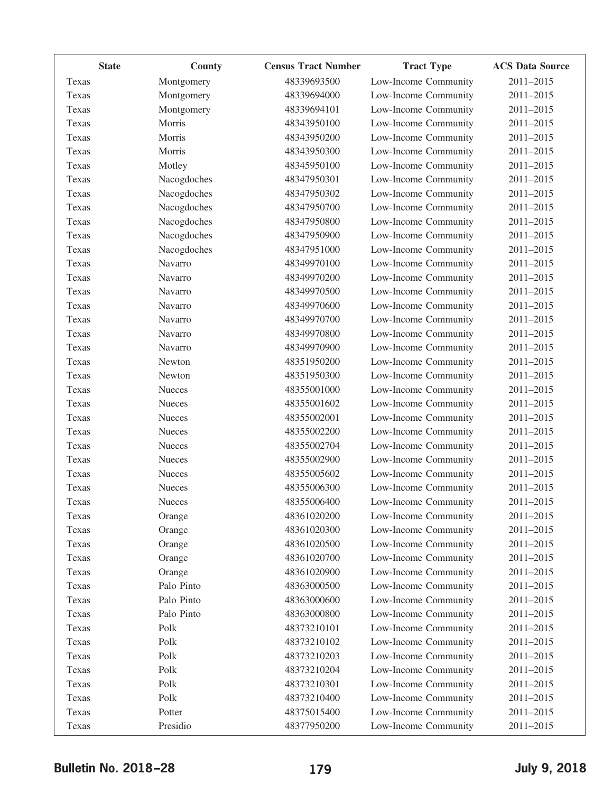| <b>State</b> | County        | <b>Census Tract Number</b> | <b>Tract Type</b>    | <b>ACS Data Source</b> |
|--------------|---------------|----------------------------|----------------------|------------------------|
| Texas        | Montgomery    | 48339693500                | Low-Income Community | 2011-2015              |
| Texas        | Montgomery    | 48339694000                | Low-Income Community | 2011-2015              |
| Texas        | Montgomery    | 48339694101                | Low-Income Community | 2011-2015              |
| Texas        | Morris        | 48343950100                | Low-Income Community | 2011-2015              |
| Texas        | Morris        | 48343950200                | Low-Income Community | 2011-2015              |
| Texas        | Morris        | 48343950300                | Low-Income Community | 2011-2015              |
| Texas        | Motley        | 48345950100                | Low-Income Community | 2011-2015              |
| Texas        | Nacogdoches   | 48347950301                | Low-Income Community | 2011-2015              |
| Texas        | Nacogdoches   | 48347950302                | Low-Income Community | 2011-2015              |
| Texas        | Nacogdoches   | 48347950700                | Low-Income Community | 2011-2015              |
| Texas        | Nacogdoches   | 48347950800                | Low-Income Community | 2011-2015              |
| Texas        | Nacogdoches   | 48347950900                | Low-Income Community | 2011-2015              |
| Texas        | Nacogdoches   | 48347951000                | Low-Income Community | 2011-2015              |
| Texas        | Navarro       | 48349970100                | Low-Income Community | 2011-2015              |
| Texas        | Navarro       | 48349970200                | Low-Income Community | 2011-2015              |
| Texas        | Navarro       | 48349970500                | Low-Income Community | 2011-2015              |
| Texas        | Navarro       | 48349970600                | Low-Income Community | 2011-2015              |
| Texas        | Navarro       | 48349970700                | Low-Income Community | 2011-2015              |
| Texas        | Navarro       | 48349970800                | Low-Income Community | 2011-2015              |
| Texas        | Navarro       | 48349970900                | Low-Income Community | 2011-2015              |
| Texas        | Newton        | 48351950200                | Low-Income Community | 2011-2015              |
| Texas        | Newton        | 48351950300                | Low-Income Community | 2011-2015              |
| Texas        | Nueces        | 48355001000                | Low-Income Community | 2011-2015              |
| Texas        | Nueces        | 48355001602                | Low-Income Community | 2011-2015              |
| Texas        | <b>Nueces</b> | 48355002001                | Low-Income Community | 2011-2015              |
| Texas        | Nueces        | 48355002200                | Low-Income Community | 2011-2015              |
| Texas        | <b>Nueces</b> | 48355002704                | Low-Income Community | 2011-2015              |
| Texas        | Nueces        | 48355002900                | Low-Income Community | 2011-2015              |
| Texas        | Nueces        | 48355005602                | Low-Income Community | 2011-2015              |
| Texas        | <b>Nueces</b> | 48355006300                | Low-Income Community | 2011-2015              |
| Texas        | Nueces        | 48355006400                | Low-Income Community | 2011-2015              |
| Texas        | Orange        | 48361020200                | Low-Income Community | 2011-2015              |
| Texas        | Orange        | 48361020300                | Low-Income Community | 2011-2015              |
| Texas        | Orange        | 48361020500                | Low-Income Community | 2011-2015              |
| Texas        | Orange        | 48361020700                | Low-Income Community | 2011-2015              |
| Texas        | Orange        | 48361020900                | Low-Income Community | 2011-2015              |
| Texas        | Palo Pinto    | 48363000500                | Low-Income Community | 2011-2015              |
| Texas        | Palo Pinto    | 48363000600                | Low-Income Community | 2011-2015              |
| Texas        | Palo Pinto    | 48363000800                | Low-Income Community | 2011-2015              |
| Texas        | Polk          | 48373210101                | Low-Income Community | 2011-2015              |
| Texas        | Polk          | 48373210102                | Low-Income Community | 2011-2015              |
| Texas        | Polk          | 48373210203                | Low-Income Community | 2011-2015              |
| Texas        | Polk          | 48373210204                | Low-Income Community | 2011-2015              |
| Texas        | Polk          | 48373210301                | Low-Income Community | 2011-2015              |
| Texas        | Polk          | 48373210400                | Low-Income Community | 2011-2015              |
| Texas        | Potter        | 48375015400                | Low-Income Community | 2011-2015              |
| Texas        | Presidio      | 48377950200                | Low-Income Community | 2011-2015              |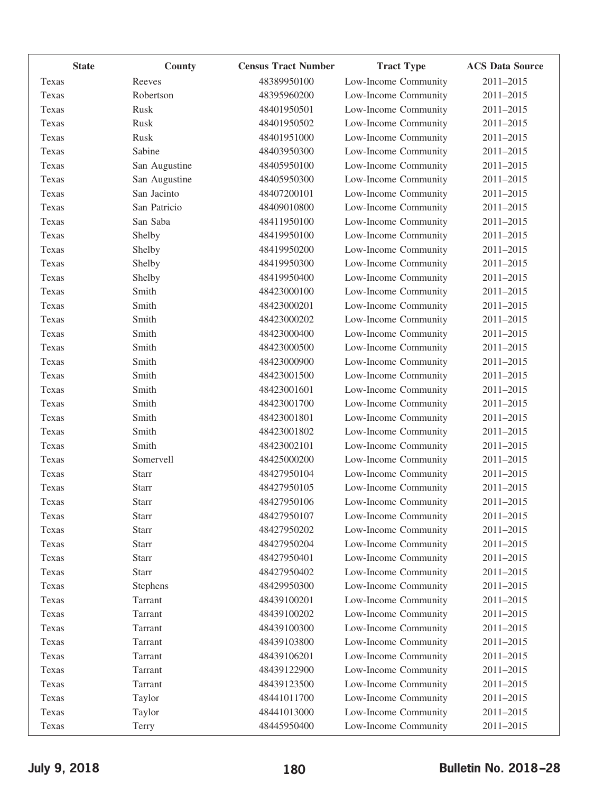| <b>State</b> | <b>County</b>  | <b>Census Tract Number</b> | <b>Tract Type</b>    | <b>ACS Data Source</b> |
|--------------|----------------|----------------------------|----------------------|------------------------|
| Texas        | Reeves         | 48389950100                | Low-Income Community | 2011-2015              |
| Texas        | Robertson      | 48395960200                | Low-Income Community | $2011 - 2015$          |
| Texas        | Rusk           | 48401950501                | Low-Income Community | 2011-2015              |
| Texas        | Rusk           | 48401950502                | Low-Income Community | 2011-2015              |
| Texas        | Rusk           | 48401951000                | Low-Income Community | 2011-2015              |
| Texas        | Sabine         | 48403950300                | Low-Income Community | 2011-2015              |
| Texas        | San Augustine  | 48405950100                | Low-Income Community | 2011-2015              |
| Texas        | San Augustine  | 48405950300                | Low-Income Community | 2011-2015              |
| Texas        | San Jacinto    | 48407200101                | Low-Income Community | 2011-2015              |
| Texas        | San Patricio   | 48409010800                | Low-Income Community | 2011-2015              |
| Texas        | San Saba       | 48411950100                | Low-Income Community | 2011-2015              |
| Texas        | Shelby         | 48419950100                | Low-Income Community | 2011-2015              |
| Texas        | Shelby         | 48419950200                | Low-Income Community | 2011-2015              |
| Texas        | Shelby         | 48419950300                | Low-Income Community | 2011-2015              |
| Texas        | Shelby         | 48419950400                | Low-Income Community | 2011-2015              |
| Texas        | Smith          | 48423000100                | Low-Income Community | 2011-2015              |
| Texas        | Smith          | 48423000201                | Low-Income Community | 2011-2015              |
| Texas        | Smith          | 48423000202                | Low-Income Community | 2011-2015              |
| Texas        | Smith          | 48423000400                | Low-Income Community | 2011-2015              |
| Texas        | Smith          | 48423000500                | Low-Income Community | 2011-2015              |
| Texas        | Smith          | 48423000900                | Low-Income Community | 2011-2015              |
| Texas        | Smith          | 48423001500                | Low-Income Community | 2011-2015              |
| Texas        | Smith          | 48423001601                | Low-Income Community | 2011-2015              |
| Texas        | Smith          | 48423001700                | Low-Income Community | 2011-2015              |
| Texas        | Smith          | 48423001801                | Low-Income Community | 2011-2015              |
| Texas        | Smith          | 48423001802                | Low-Income Community | 2011-2015              |
| Texas        | Smith          | 48423002101                | Low-Income Community | 2011-2015              |
| Texas        | Somervell      | 48425000200                | Low-Income Community | 2011-2015              |
| Texas        | Starr          | 48427950104                | Low-Income Community | 2011-2015              |
| Texas        | Starr          | 48427950105                | Low-Income Community | 2011-2015              |
| Texas        | <b>Starr</b>   | 48427950106                | Low-Income Community | 2011-2015              |
| Texas        | Starr          | 48427950107                | Low-Income Community | 2011-2015              |
| Texas        | <b>Starr</b>   | 48427950202                | Low-Income Community | 2011-2015              |
| Texas        | <b>Starr</b>   | 48427950204                | Low-Income Community | 2011-2015              |
| Texas        | Starr          | 48427950401                | Low-Income Community | 2011-2015              |
| Texas        | Starr          | 48427950402                | Low-Income Community | 2011-2015              |
| Texas        | Stephens       | 48429950300                | Low-Income Community | 2011-2015              |
| Texas        | Tarrant        | 48439100201                | Low-Income Community | 2011-2015              |
| Texas        | <b>Tarrant</b> | 48439100202                | Low-Income Community | 2011-2015              |
| Texas        | <b>Tarrant</b> | 48439100300                | Low-Income Community | 2011-2015              |
| Texas        | Tarrant        | 48439103800                | Low-Income Community | 2011-2015              |
| Texas        | Tarrant        | 48439106201                | Low-Income Community | 2011-2015              |
| Texas        | <b>Tarrant</b> | 48439122900                | Low-Income Community | 2011-2015              |
| Texas        | Tarrant        | 48439123500                | Low-Income Community | 2011-2015              |
| Texas        | Taylor         | 48441011700                | Low-Income Community | 2011-2015              |
| Texas        | Taylor         | 48441013000                | Low-Income Community | 2011-2015              |
| Texas        | Terry          | 48445950400                | Low-Income Community | 2011-2015              |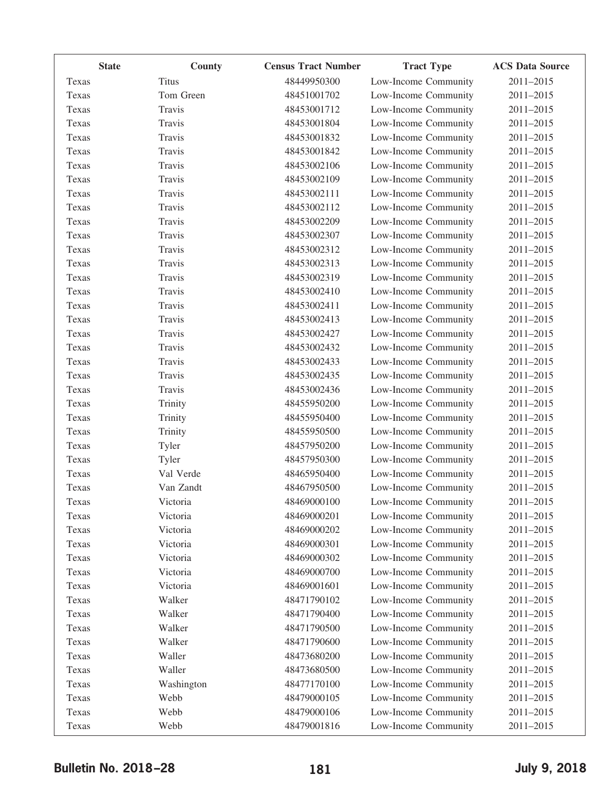| <b>State</b> | County       | <b>Census Tract Number</b> | <b>Tract Type</b>    | <b>ACS Data Source</b> |
|--------------|--------------|----------------------------|----------------------|------------------------|
| Texas        | <b>Titus</b> | 48449950300                | Low-Income Community | 2011-2015              |
| Texas        | Tom Green    | 48451001702                | Low-Income Community | 2011-2015              |
| Texas        | Travis       | 48453001712                | Low-Income Community | 2011-2015              |
| Texas        | Travis       | 48453001804                | Low-Income Community | 2011-2015              |
| Texas        | Travis       | 48453001832                | Low-Income Community | 2011-2015              |
| Texas        | Travis       | 48453001842                | Low-Income Community | 2011-2015              |
| Texas        | Travis       | 48453002106                | Low-Income Community | 2011-2015              |
| Texas        | Travis       | 48453002109                | Low-Income Community | 2011-2015              |
| Texas        | Travis       | 48453002111                | Low-Income Community | 2011-2015              |
| Texas        | Travis       | 48453002112                | Low-Income Community | 2011-2015              |
| Texas        | Travis       | 48453002209                | Low-Income Community | 2011-2015              |
| Texas        | Travis       | 48453002307                | Low-Income Community | 2011-2015              |
| Texas        | Travis       | 48453002312                | Low-Income Community | 2011-2015              |
| Texas        | Travis       | 48453002313                | Low-Income Community | 2011-2015              |
| Texas        | Travis       | 48453002319                | Low-Income Community | 2011-2015              |
| Texas        | Travis       | 48453002410                | Low-Income Community | 2011-2015              |
| Texas        | Travis       | 48453002411                | Low-Income Community | 2011-2015              |
| Texas        | Travis       | 48453002413                | Low-Income Community | 2011-2015              |
| Texas        | Travis       | 48453002427                | Low-Income Community | 2011-2015              |
| Texas        | Travis       | 48453002432                | Low-Income Community | 2011-2015              |
| Texas        | Travis       | 48453002433                | Low-Income Community | 2011-2015              |
| Texas        | Travis       | 48453002435                | Low-Income Community | 2011-2015              |
| Texas        | Travis       | 48453002436                | Low-Income Community | 2011-2015              |
| Texas        | Trinity      | 48455950200                | Low-Income Community | 2011-2015              |
| Texas        | Trinity      | 48455950400                | Low-Income Community | 2011-2015              |
| Texas        | Trinity      | 48455950500                | Low-Income Community | 2011-2015              |
| Texas        | Tyler        | 48457950200                | Low-Income Community | 2011-2015              |
| Texas        | Tyler        | 48457950300                | Low-Income Community | 2011-2015              |
| Texas        | Val Verde    | 48465950400                | Low-Income Community | 2011-2015              |
| Texas        | Van Zandt    | 48467950500                | Low-Income Community | 2011-2015              |
| Texas        | Victoria     | 48469000100                | Low-Income Community | 2011-2015              |
| Texas        | Victoria     | 48469000201                | Low-Income Community | 2011-2015              |
| Texas        | Victoria     | 48469000202                | Low-Income Community | 2011-2015              |
| Texas        | Victoria     | 48469000301                | Low-Income Community | 2011-2015              |
| Texas        | Victoria     | 48469000302                | Low-Income Community | 2011-2015              |
| Texas        | Victoria     | 48469000700                | Low-Income Community | 2011-2015              |
| Texas        | Victoria     | 48469001601                | Low-Income Community | 2011-2015              |
| Texas        | Walker       | 48471790102                | Low-Income Community | 2011-2015              |
| Texas        | Walker       | 48471790400                | Low-Income Community | 2011-2015              |
| Texas        | Walker       | 48471790500                | Low-Income Community | 2011-2015              |
| Texas        | Walker       | 48471790600                | Low-Income Community | 2011-2015              |
| Texas        | Waller       | 48473680200                | Low-Income Community | 2011-2015              |
| Texas        | Waller       | 48473680500                | Low-Income Community | 2011-2015              |
| Texas        | Washington   | 48477170100                | Low-Income Community | 2011-2015              |
| Texas        | Webb         | 48479000105                | Low-Income Community | 2011-2015              |
| Texas        | Webb         | 48479000106                | Low-Income Community | 2011-2015              |
| Texas        | Webb         | 48479001816                | Low-Income Community | 2011-2015              |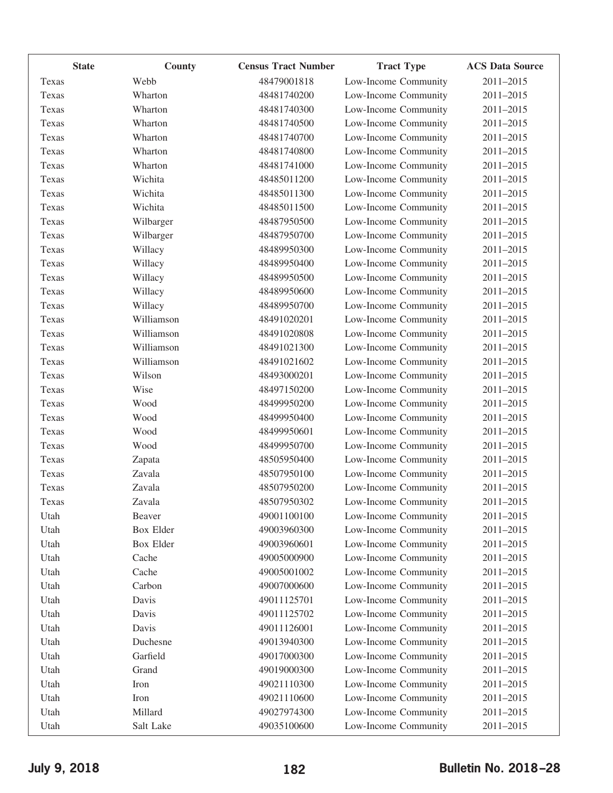| <b>State</b> | County     | <b>Census Tract Number</b> | <b>Tract Type</b>    | <b>ACS Data Source</b> |
|--------------|------------|----------------------------|----------------------|------------------------|
| Texas        | Webb       | 48479001818                | Low-Income Community | 2011-2015              |
| Texas        | Wharton    | 48481740200                | Low-Income Community | 2011-2015              |
| Texas        | Wharton    | 48481740300                | Low-Income Community | 2011-2015              |
| Texas        | Wharton    | 48481740500                | Low-Income Community | 2011-2015              |
| Texas        | Wharton    | 48481740700                | Low-Income Community | 2011-2015              |
| Texas        | Wharton    | 48481740800                | Low-Income Community | 2011-2015              |
| Texas        | Wharton    | 48481741000                | Low-Income Community | 2011-2015              |
| Texas        | Wichita    | 48485011200                | Low-Income Community | 2011-2015              |
| Texas        | Wichita    | 48485011300                | Low-Income Community | 2011-2015              |
| Texas        | Wichita    | 48485011500                | Low-Income Community | 2011-2015              |
| Texas        | Wilbarger  | 48487950500                | Low-Income Community | 2011-2015              |
| Texas        | Wilbarger  | 48487950700                | Low-Income Community | 2011-2015              |
| Texas        | Willacy    | 48489950300                | Low-Income Community | 2011-2015              |
| Texas        | Willacy    | 48489950400                | Low-Income Community | 2011-2015              |
| Texas        | Willacy    | 48489950500                | Low-Income Community | 2011-2015              |
| Texas        | Willacy    | 48489950600                | Low-Income Community | 2011-2015              |
| Texas        | Willacy    | 48489950700                | Low-Income Community | 2011-2015              |
| Texas        | Williamson | 48491020201                | Low-Income Community | 2011-2015              |
| Texas        | Williamson | 48491020808                | Low-Income Community | 2011-2015              |
| Texas        | Williamson | 48491021300                | Low-Income Community | 2011-2015              |
| Texas        | Williamson | 48491021602                | Low-Income Community | 2011-2015              |
| Texas        | Wilson     | 48493000201                | Low-Income Community | 2011-2015              |
| Texas        | Wise       | 48497150200                | Low-Income Community | 2011-2015              |
| Texas        | Wood       | 48499950200                | Low-Income Community | 2011-2015              |
| Texas        | Wood       | 48499950400                | Low-Income Community | 2011-2015              |
| Texas        | Wood       | 48499950601                | Low-Income Community | 2011-2015              |
| Texas        | Wood       | 48499950700                | Low-Income Community | 2011-2015              |
| Texas        | Zapata     | 48505950400                | Low-Income Community | 2011-2015              |
| Texas        | Zavala     | 48507950100                | Low-Income Community | 2011-2015              |
| Texas        | Zavala     | 48507950200                | Low-Income Community | 2011-2015              |
| Texas        | Zavala     | 48507950302                | Low-Income Community | 2011-2015              |
| Utah         | Beaver     | 49001100100                | Low-Income Community | 2011-2015              |
| Utah         | Box Elder  | 49003960300                | Low-Income Community | 2011-2015              |
| Utah         | Box Elder  | 49003960601                | Low-Income Community | 2011-2015              |
| Utah         | Cache      | 49005000900                | Low-Income Community | 2011-2015              |
| Utah         | Cache      | 49005001002                | Low-Income Community | 2011-2015              |
| Utah         | Carbon     | 49007000600                | Low-Income Community | 2011-2015              |
| Utah         | Davis      | 49011125701                | Low-Income Community | 2011-2015              |
| Utah         | Davis      | 49011125702                | Low-Income Community | 2011-2015              |
| Utah         | Davis      | 49011126001                | Low-Income Community | 2011-2015              |
| Utah         | Duchesne   | 49013940300                | Low-Income Community | 2011-2015              |
| Utah         | Garfield   | 49017000300                | Low-Income Community | 2011-2015              |
| Utah         | Grand      | 49019000300                | Low-Income Community | 2011-2015              |
| Utah         | Iron       | 49021110300                | Low-Income Community | 2011-2015              |
| Utah         | Iron       | 49021110600                | Low-Income Community | 2011-2015              |
| Utah         | Millard    | 49027974300                | Low-Income Community | 2011-2015              |
| Utah         | Salt Lake  | 49035100600                | Low-Income Community | 2011-2015              |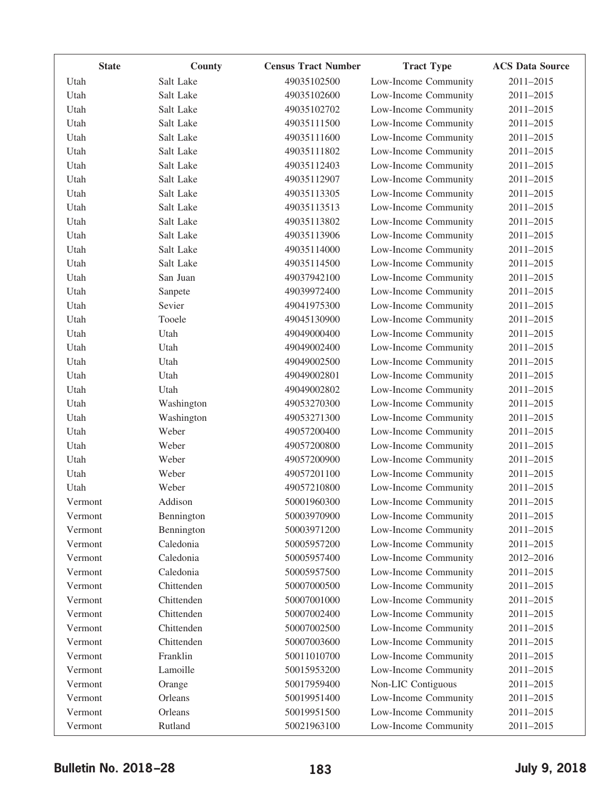| <b>State</b> | County     | <b>Census Tract Number</b> | <b>Tract Type</b>    | <b>ACS Data Source</b> |
|--------------|------------|----------------------------|----------------------|------------------------|
| Utah         | Salt Lake  | 49035102500                | Low-Income Community | 2011-2015              |
| Utah         | Salt Lake  | 49035102600                | Low-Income Community | 2011-2015              |
| Utah         | Salt Lake  | 49035102702                | Low-Income Community | 2011-2015              |
| Utah         | Salt Lake  | 49035111500                | Low-Income Community | 2011-2015              |
| Utah         | Salt Lake  | 49035111600                | Low-Income Community | 2011-2015              |
| Utah         | Salt Lake  | 49035111802                | Low-Income Community | 2011-2015              |
| Utah         | Salt Lake  | 49035112403                | Low-Income Community | 2011-2015              |
| Utah         | Salt Lake  | 49035112907                | Low-Income Community | 2011-2015              |
| Utah         | Salt Lake  | 49035113305                | Low-Income Community | 2011-2015              |
| Utah         | Salt Lake  | 49035113513                | Low-Income Community | 2011-2015              |
| Utah         | Salt Lake  | 49035113802                | Low-Income Community | 2011-2015              |
| Utah         | Salt Lake  | 49035113906                | Low-Income Community | 2011-2015              |
| Utah         | Salt Lake  | 49035114000                | Low-Income Community | 2011-2015              |
| Utah         | Salt Lake  | 49035114500                | Low-Income Community | 2011-2015              |
| Utah         | San Juan   | 49037942100                | Low-Income Community | 2011-2015              |
| Utah         | Sanpete    | 49039972400                | Low-Income Community | 2011-2015              |
| Utah         | Sevier     | 49041975300                | Low-Income Community | 2011-2015              |
| Utah         | Tooele     | 49045130900                | Low-Income Community | 2011-2015              |
| Utah         | Utah       | 49049000400                | Low-Income Community | 2011-2015              |
| Utah         | Utah       | 49049002400                | Low-Income Community | 2011-2015              |
| Utah         | Utah       | 49049002500                | Low-Income Community | 2011-2015              |
| Utah         | Utah       | 49049002801                | Low-Income Community | 2011-2015              |
| Utah         | Utah       | 49049002802                | Low-Income Community | 2011-2015              |
| Utah         | Washington | 49053270300                | Low-Income Community | 2011-2015              |
| Utah         | Washington | 49053271300                | Low-Income Community | 2011-2015              |
| Utah         | Weber      | 49057200400                | Low-Income Community | 2011-2015              |
| Utah         | Weber      | 49057200800                | Low-Income Community | 2011-2015              |
| Utah         | Weber      | 49057200900                | Low-Income Community | 2011-2015              |
| Utah         | Weber      | 49057201100                | Low-Income Community | 2011-2015              |
| Utah         | Weber      | 49057210800                | Low-Income Community | 2011-2015              |
| Vermont      | Addison    | 50001960300                | Low-Income Community | 2011-2015              |
| Vermont      | Bennington | 50003970900                | Low-Income Community | 2011-2015              |
| Vermont      | Bennington | 50003971200                | Low-Income Community | 2011-2015              |
| Vermont      | Caledonia  | 50005957200                | Low-Income Community | 2011-2015              |
| Vermont      | Caledonia  | 50005957400                | Low-Income Community | 2012-2016              |
| Vermont      | Caledonia  | 50005957500                | Low-Income Community | 2011-2015              |
| Vermont      | Chittenden | 50007000500                | Low-Income Community | 2011-2015              |
| Vermont      | Chittenden | 50007001000                | Low-Income Community | 2011-2015              |
| Vermont      | Chittenden | 50007002400                | Low-Income Community | 2011-2015              |
| Vermont      | Chittenden | 50007002500                | Low-Income Community | 2011-2015              |
| Vermont      | Chittenden | 50007003600                | Low-Income Community | 2011-2015              |
| Vermont      | Franklin   | 50011010700                | Low-Income Community | 2011-2015              |
| Vermont      | Lamoille   | 50015953200                | Low-Income Community | 2011-2015              |
| Vermont      | Orange     | 50017959400                | Non-LIC Contiguous   | 2011-2015              |
| Vermont      | Orleans    | 50019951400                | Low-Income Community | 2011-2015              |
| Vermont      | Orleans    | 50019951500                | Low-Income Community | 2011-2015              |
| Vermont      | Rutland    | 50021963100                | Low-Income Community | 2011-2015              |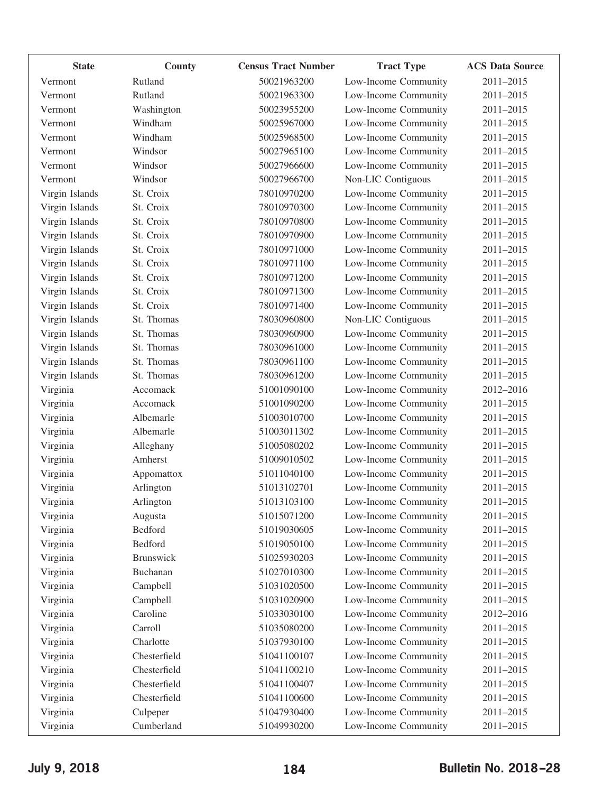| <b>State</b>   | County           | <b>Census Tract Number</b> | <b>Tract Type</b>    | <b>ACS Data Source</b> |
|----------------|------------------|----------------------------|----------------------|------------------------|
| Vermont        | Rutland          | 50021963200                | Low-Income Community | 2011-2015              |
| Vermont        | Rutland          | 50021963300                | Low-Income Community | 2011-2015              |
| Vermont        | Washington       | 50023955200                | Low-Income Community | 2011-2015              |
| Vermont        | Windham          | 50025967000                | Low-Income Community | 2011-2015              |
| Vermont        | Windham          | 50025968500                | Low-Income Community | 2011-2015              |
| Vermont        | Windsor          | 50027965100                | Low-Income Community | 2011-2015              |
| Vermont        | Windsor          | 50027966600                | Low-Income Community | 2011-2015              |
| Vermont        | Windsor          | 50027966700                | Non-LIC Contiguous   | 2011-2015              |
| Virgin Islands | St. Croix        | 78010970200                | Low-Income Community | 2011-2015              |
| Virgin Islands | St. Croix        | 78010970300                | Low-Income Community | 2011-2015              |
| Virgin Islands | St. Croix        | 78010970800                | Low-Income Community | 2011-2015              |
| Virgin Islands | St. Croix        | 78010970900                | Low-Income Community | 2011-2015              |
| Virgin Islands | St. Croix        | 78010971000                | Low-Income Community | 2011-2015              |
| Virgin Islands | St. Croix        | 78010971100                | Low-Income Community | 2011-2015              |
| Virgin Islands | St. Croix        | 78010971200                | Low-Income Community | 2011-2015              |
| Virgin Islands | St. Croix        | 78010971300                | Low-Income Community | 2011-2015              |
| Virgin Islands | St. Croix        | 78010971400                | Low-Income Community | 2011-2015              |
| Virgin Islands | St. Thomas       | 78030960800                | Non-LIC Contiguous   | 2011-2015              |
| Virgin Islands | St. Thomas       | 78030960900                | Low-Income Community | 2011-2015              |
| Virgin Islands | St. Thomas       | 78030961000                | Low-Income Community | 2011-2015              |
| Virgin Islands | St. Thomas       | 78030961100                | Low-Income Community | 2011-2015              |
| Virgin Islands | St. Thomas       | 78030961200                | Low-Income Community | 2011-2015              |
| Virginia       | Accomack         | 51001090100                | Low-Income Community | 2012-2016              |
| Virginia       | Accomack         | 51001090200                | Low-Income Community | 2011-2015              |
| Virginia       | Albemarle        | 51003010700                | Low-Income Community | 2011-2015              |
| Virginia       | Albemarle        | 51003011302                | Low-Income Community | 2011-2015              |
| Virginia       | Alleghany        | 51005080202                | Low-Income Community | 2011-2015              |
| Virginia       | Amherst          | 51009010502                | Low-Income Community | 2011-2015              |
| Virginia       | Appomattox       | 51011040100                | Low-Income Community | 2011-2015              |
| Virginia       | Arlington        | 51013102701                | Low-Income Community | 2011-2015              |
| Virginia       | Arlington        | 51013103100                | Low-Income Community | 2011-2015              |
| Virginia       | Augusta          | 51015071200                | Low-Income Community | 2011-2015              |
| Virginia       | Bedford          | 51019030605                | Low-Income Community | 2011-2015              |
| Virginia       | Bedford          | 51019050100                | Low-Income Community | 2011-2015              |
| Virginia       | <b>Brunswick</b> | 51025930203                | Low-Income Community | 2011-2015              |
| Virginia       | Buchanan         | 51027010300                | Low-Income Community | 2011-2015              |
| Virginia       | Campbell         | 51031020500                | Low-Income Community | 2011-2015              |
| Virginia       | Campbell         | 51031020900                | Low-Income Community | 2011-2015              |
| Virginia       | Caroline         | 51033030100                | Low-Income Community | 2012-2016              |
| Virginia       | Carroll          | 51035080200                | Low-Income Community | 2011-2015              |
| Virginia       | Charlotte        | 51037930100                | Low-Income Community | 2011-2015              |
| Virginia       | Chesterfield     | 51041100107                | Low-Income Community | 2011-2015              |
| Virginia       | Chesterfield     | 51041100210                | Low-Income Community | 2011-2015              |
| Virginia       | Chesterfield     | 51041100407                | Low-Income Community | 2011-2015              |
| Virginia       | Chesterfield     | 51041100600                | Low-Income Community | 2011-2015              |
| Virginia       | Culpeper         | 51047930400                | Low-Income Community | 2011-2015              |
| Virginia       | Cumberland       | 51049930200                | Low-Income Community | 2011-2015              |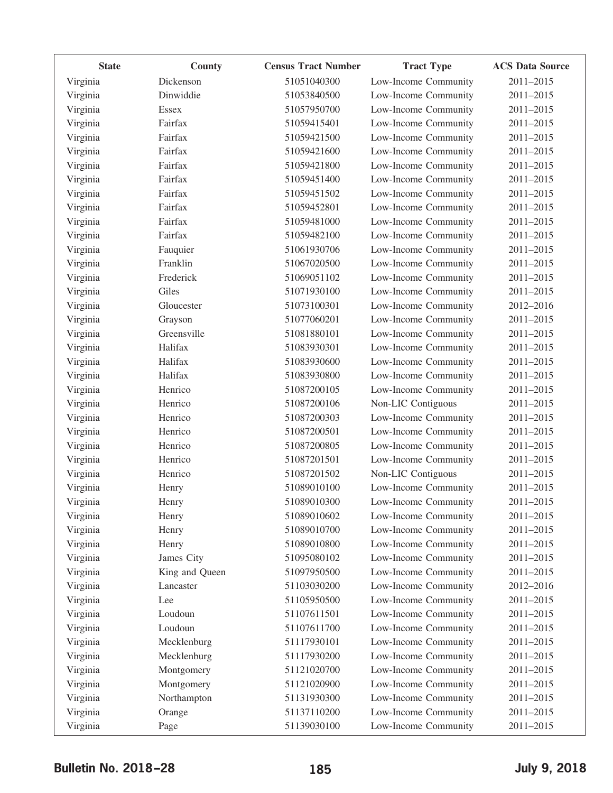| <b>State</b> | County         | <b>Census Tract Number</b> | <b>Tract Type</b>    | <b>ACS Data Source</b> |
|--------------|----------------|----------------------------|----------------------|------------------------|
| Virginia     | Dickenson      | 51051040300                | Low-Income Community | 2011-2015              |
| Virginia     | Dinwiddie      | 51053840500                | Low-Income Community | 2011-2015              |
| Virginia     | <b>Essex</b>   | 51057950700                | Low-Income Community | 2011-2015              |
| Virginia     | Fairfax        | 51059415401                | Low-Income Community | 2011-2015              |
| Virginia     | Fairfax        | 51059421500                | Low-Income Community | 2011-2015              |
| Virginia     | Fairfax        | 51059421600                | Low-Income Community | 2011-2015              |
| Virginia     | Fairfax        | 51059421800                | Low-Income Community | 2011-2015              |
| Virginia     | Fairfax        | 51059451400                | Low-Income Community | 2011-2015              |
| Virginia     | Fairfax        | 51059451502                | Low-Income Community | 2011-2015              |
| Virginia     | Fairfax        | 51059452801                | Low-Income Community | 2011-2015              |
| Virginia     | Fairfax        | 51059481000                | Low-Income Community | 2011-2015              |
| Virginia     | Fairfax        | 51059482100                | Low-Income Community | 2011-2015              |
| Virginia     | Fauquier       | 51061930706                | Low-Income Community | 2011-2015              |
| Virginia     | Franklin       | 51067020500                | Low-Income Community | 2011-2015              |
| Virginia     | Frederick      | 51069051102                | Low-Income Community | 2011-2015              |
| Virginia     | Giles          | 51071930100                | Low-Income Community | 2011-2015              |
| Virginia     | Gloucester     | 51073100301                | Low-Income Community | 2012-2016              |
| Virginia     | Grayson        | 51077060201                | Low-Income Community | 2011-2015              |
| Virginia     | Greensville    | 51081880101                | Low-Income Community | 2011-2015              |
| Virginia     | Halifax        | 51083930301                | Low-Income Community | 2011-2015              |
| Virginia     | Halifax        | 51083930600                | Low-Income Community | 2011-2015              |
| Virginia     | Halifax        | 51083930800                | Low-Income Community | 2011-2015              |
| Virginia     | Henrico        | 51087200105                | Low-Income Community | 2011-2015              |
| Virginia     | Henrico        | 51087200106                | Non-LIC Contiguous   | 2011-2015              |
| Virginia     | Henrico        | 51087200303                | Low-Income Community | 2011-2015              |
| Virginia     | Henrico        | 51087200501                | Low-Income Community | 2011-2015              |
| Virginia     | Henrico        | 51087200805                | Low-Income Community | 2011-2015              |
| Virginia     | Henrico        | 51087201501                | Low-Income Community | 2011-2015              |
| Virginia     | Henrico        | 51087201502                | Non-LIC Contiguous   | 2011-2015              |
| Virginia     | Henry          | 51089010100                | Low-Income Community | 2011-2015              |
| Virginia     | Henry          | 51089010300                | Low-Income Community | 2011-2015              |
| Virginia     | Henry          | 51089010602                | Low-Income Community | 2011-2015              |
| Virginia     | Henry          | 51089010700                | Low-Income Community | 2011-2015              |
| Virginia     | Henry          | 51089010800                | Low-Income Community | 2011-2015              |
| Virginia     | James City     | 51095080102                | Low-Income Community | 2011-2015              |
| Virginia     | King and Queen | 51097950500                | Low-Income Community | 2011-2015              |
| Virginia     | Lancaster      | 51103030200                | Low-Income Community | 2012-2016              |
| Virginia     | Lee            | 51105950500                | Low-Income Community | 2011-2015              |
| Virginia     | Loudoun        | 51107611501                | Low-Income Community | 2011-2015              |
| Virginia     | Loudoun        | 51107611700                | Low-Income Community | 2011-2015              |
| Virginia     | Mecklenburg    | 51117930101                | Low-Income Community | 2011-2015              |
| Virginia     | Mecklenburg    | 51117930200                | Low-Income Community | 2011-2015              |
| Virginia     | Montgomery     | 51121020700                | Low-Income Community | 2011-2015              |
| Virginia     | Montgomery     | 51121020900                | Low-Income Community | 2011-2015              |
| Virginia     | Northampton    | 51131930300                | Low-Income Community | 2011-2015              |
| Virginia     | Orange         | 51137110200                | Low-Income Community | 2011-2015              |
| Virginia     | Page           | 51139030100                | Low-Income Community | 2011-2015              |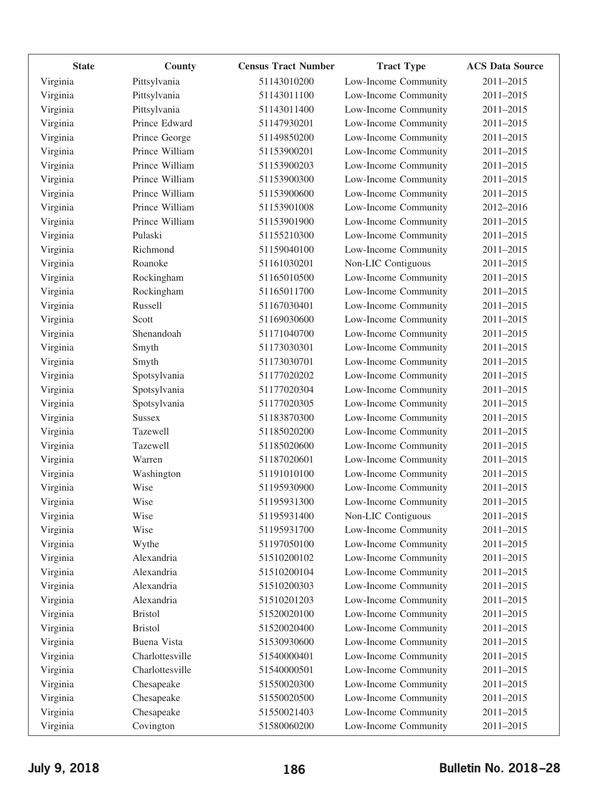| <b>State</b> | County          | <b>Census Tract Number</b> | <b>Tract Type</b>    | <b>ACS Data Source</b> |
|--------------|-----------------|----------------------------|----------------------|------------------------|
| Virginia     | Pittsylvania    | 51143010200                | Low-Income Community | 2011-2015              |
| Virginia     | Pittsylvania    | 51143011100                | Low-Income Community | 2011-2015              |
| Virginia     | Pittsylvania    | 51143011400                | Low-Income Community | 2011-2015              |
| Virginia     | Prince Edward   | 51147930201                | Low-Income Community | 2011-2015              |
| Virginia     | Prince George   | 51149850200                | Low-Income Community | 2011-2015              |
| Virginia     | Prince William  | 51153900201                | Low-Income Community | 2011-2015              |
| Virginia     | Prince William  | 51153900203                | Low-Income Community | 2011-2015              |
| Virginia     | Prince William  | 51153900300                | Low-Income Community | 2011-2015              |
| Virginia     | Prince William  | 51153900600                | Low-Income Community | 2011-2015              |
| Virginia     | Prince William  | 51153901008                | Low-Income Community | 2012-2016              |
| Virginia     | Prince William  | 51153901900                | Low-Income Community | 2011-2015              |
| Virginia     | Pulaski         | 51155210300                | Low-Income Community | 2011-2015              |
| Virginia     | Richmond        | 51159040100                | Low-Income Community | 2011-2015              |
| Virginia     | Roanoke         | 51161030201                | Non-LIC Contiguous   | 2011-2015              |
| Virginia     | Rockingham      | 51165010500                | Low-Income Community | 2011-2015              |
| Virginia     | Rockingham      | 51165011700                | Low-Income Community | 2011-2015              |
| Virginia     | Russell         | 51167030401                | Low-Income Community | 2011-2015              |
| Virginia     | Scott           | 51169030600                | Low-Income Community | 2011-2015              |
| Virginia     | Shenandoah      | 51171040700                | Low-Income Community | 2011-2015              |
| Virginia     | Smyth           | 51173030301                | Low-Income Community | 2011-2015              |
| Virginia     | Smyth           | 51173030701                | Low-Income Community | 2011-2015              |
| Virginia     | Spotsylvania    | 51177020202                | Low-Income Community | 2011-2015              |
| Virginia     | Spotsylvania    | 51177020304                | Low-Income Community | 2011-2015              |
| Virginia     | Spotsylvania    | 51177020305                | Low-Income Community | 2011-2015              |
| Virginia     | <b>Sussex</b>   | 51183870300                | Low-Income Community | 2011-2015              |
| Virginia     | Tazewell        | 51185020200                | Low-Income Community | 2011-2015              |
| Virginia     | Tazewell        | 51185020600                | Low-Income Community | $2011 - 2015$          |
| Virginia     | Warren          | 51187020601                | Low-Income Community | 2011-2015              |
| Virginia     | Washington      | 51191010100                | Low-Income Community | 2011-2015              |
| Virginia     | Wise            | 51195930900                | Low-Income Community | 2011-2015              |
| Virginia     | Wise            | 51195931300                | Low-Income Community | 2011-2015              |
| Virginia     | Wise            | 51195931400                | Non-LIC Contiguous   | 2011-2015              |
| Virginia     | Wise            | 51195931700                | Low-Income Community | 2011-2015              |
| Virginia     | Wythe           | 51197050100                | Low-Income Community | 2011-2015              |
| Virginia     | Alexandria      | 51510200102                | Low-Income Community | 2011-2015              |
| Virginia     | Alexandria      | 51510200104                | Low-Income Community | 2011-2015              |
| Virginia     | Alexandria      | 51510200303                | Low-Income Community | 2011-2015              |
| Virginia     | Alexandria      | 51510201203                | Low-Income Community | 2011-2015              |
| Virginia     | <b>Bristol</b>  | 51520020100                | Low-Income Community | $2011 - 2015$          |
| Virginia     | <b>Bristol</b>  | 51520020400                | Low-Income Community | 2011-2015              |
| Virginia     | Buena Vista     | 51530930600                | Low-Income Community | 2011-2015              |
| Virginia     | Charlottesville | 51540000401                | Low-Income Community | 2011-2015              |
| Virginia     | Charlottesville | 51540000501                | Low-Income Community | 2011-2015              |
| Virginia     | Chesapeake      | 51550020300                | Low-Income Community | 2011-2015              |
| Virginia     | Chesapeake      | 51550020500                | Low-Income Community | 2011-2015              |
| Virginia     | Chesapeake      | 51550021403                | Low-Income Community | 2011-2015              |
| Virginia     | Covington       | 51580060200                | Low-Income Community | 2011-2015              |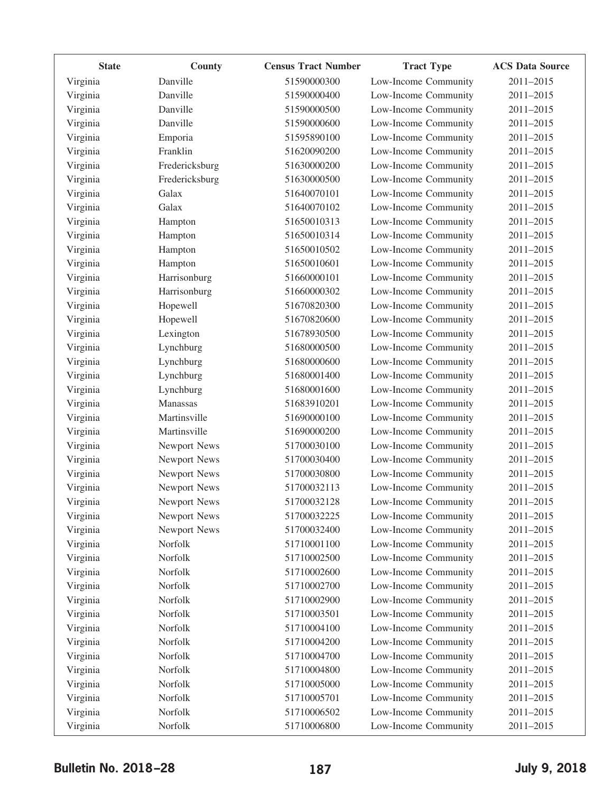| <b>State</b> | County              | <b>Census Tract Number</b> | <b>Tract Type</b>    | <b>ACS Data Source</b> |
|--------------|---------------------|----------------------------|----------------------|------------------------|
| Virginia     | Danville            | 51590000300                | Low-Income Community | 2011-2015              |
| Virginia     | Danville            | 51590000400                | Low-Income Community | 2011-2015              |
| Virginia     | Danville            | 51590000500                | Low-Income Community | 2011-2015              |
| Virginia     | Danville            | 51590000600                | Low-Income Community | 2011-2015              |
| Virginia     | Emporia             | 51595890100                | Low-Income Community | 2011-2015              |
| Virginia     | Franklin            | 51620090200                | Low-Income Community | 2011-2015              |
| Virginia     | Fredericksburg      | 51630000200                | Low-Income Community | 2011-2015              |
| Virginia     | Fredericksburg      | 51630000500                | Low-Income Community | 2011-2015              |
| Virginia     | Galax               | 51640070101                | Low-Income Community | 2011-2015              |
| Virginia     | Galax               | 51640070102                | Low-Income Community | 2011-2015              |
| Virginia     | Hampton             | 51650010313                | Low-Income Community | 2011-2015              |
| Virginia     | Hampton             | 51650010314                | Low-Income Community | 2011-2015              |
| Virginia     | Hampton             | 51650010502                | Low-Income Community | 2011-2015              |
| Virginia     | Hampton             | 51650010601                | Low-Income Community | 2011-2015              |
| Virginia     | Harrisonburg        | 51660000101                | Low-Income Community | 2011-2015              |
| Virginia     | Harrisonburg        | 51660000302                | Low-Income Community | 2011-2015              |
| Virginia     | Hopewell            | 51670820300                | Low-Income Community | 2011-2015              |
| Virginia     | Hopewell            | 51670820600                | Low-Income Community | 2011-2015              |
| Virginia     | Lexington           | 51678930500                | Low-Income Community | 2011-2015              |
| Virginia     | Lynchburg           | 51680000500                | Low-Income Community | 2011-2015              |
| Virginia     | Lynchburg           | 51680000600                | Low-Income Community | 2011-2015              |
| Virginia     | Lynchburg           | 51680001400                | Low-Income Community | 2011-2015              |
| Virginia     | Lynchburg           | 51680001600                | Low-Income Community | 2011-2015              |
| Virginia     | Manassas            | 51683910201                | Low-Income Community | 2011-2015              |
| Virginia     | Martinsville        | 51690000100                | Low-Income Community | 2011-2015              |
| Virginia     | Martinsville        | 51690000200                | Low-Income Community | 2011-2015              |
| Virginia     | Newport News        | 51700030100                | Low-Income Community | 2011-2015              |
| Virginia     | Newport News        | 51700030400                | Low-Income Community | 2011-2015              |
| Virginia     | Newport News        | 51700030800                | Low-Income Community | 2011-2015              |
| Virginia     | Newport News        | 51700032113                | Low-Income Community | 2011-2015              |
| Virginia     | <b>Newport News</b> | 51700032128                | Low-Income Community | 2011-2015              |
| Virginia     | Newport News        | 51700032225                | Low-Income Community | 2011-2015              |
| Virginia     | Newport News        | 51700032400                | Low-Income Community | 2011-2015              |
| Virginia     | Norfolk             | 51710001100                | Low-Income Community | 2011-2015              |
| Virginia     | Norfolk             | 51710002500                | Low-Income Community | 2011-2015              |
| Virginia     | Norfolk             | 51710002600                | Low-Income Community | 2011-2015              |
| Virginia     | Norfolk             | 51710002700                | Low-Income Community | 2011-2015              |
| Virginia     | Norfolk             | 51710002900                | Low-Income Community | 2011-2015              |
| Virginia     | Norfolk             | 51710003501                | Low-Income Community | 2011-2015              |
| Virginia     | Norfolk             | 51710004100                | Low-Income Community | 2011-2015              |
| Virginia     | Norfolk             | 51710004200                | Low-Income Community | 2011-2015              |
| Virginia     | Norfolk             | 51710004700                | Low-Income Community | 2011-2015              |
| Virginia     | Norfolk             | 51710004800                | Low-Income Community | 2011-2015              |
| Virginia     | Norfolk             | 51710005000                | Low-Income Community | 2011-2015              |
| Virginia     | Norfolk             | 51710005701                | Low-Income Community | 2011-2015              |
| Virginia     | Norfolk             | 51710006502                | Low-Income Community | 2011-2015              |
| Virginia     | Norfolk             | 51710006800                | Low-Income Community | 2011-2015              |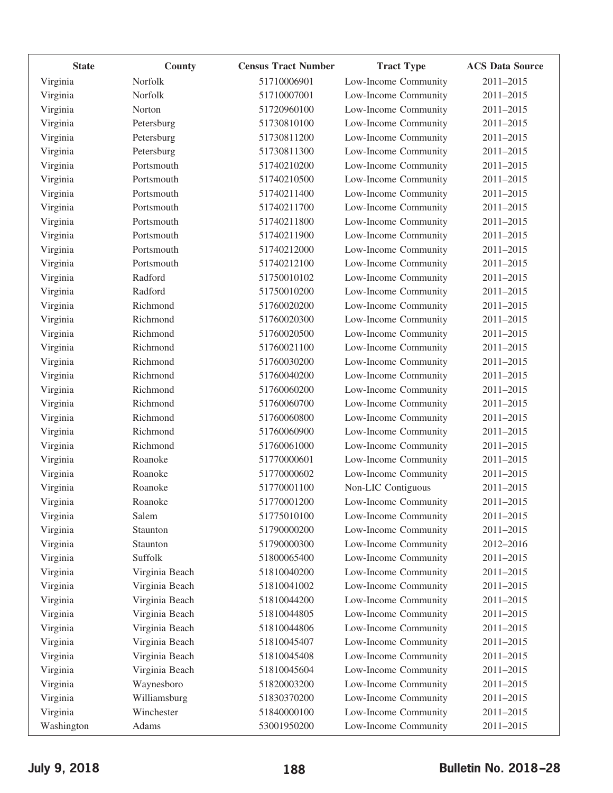| <b>State</b> | County         | <b>Census Tract Number</b> | <b>Tract Type</b>    | <b>ACS Data Source</b> |
|--------------|----------------|----------------------------|----------------------|------------------------|
| Virginia     | Norfolk        | 51710006901                | Low-Income Community | 2011-2015              |
| Virginia     | Norfolk        | 51710007001                | Low-Income Community | 2011-2015              |
| Virginia     | Norton         | 51720960100                | Low-Income Community | 2011-2015              |
| Virginia     | Petersburg     | 51730810100                | Low-Income Community | 2011-2015              |
| Virginia     | Petersburg     | 51730811200                | Low-Income Community | 2011-2015              |
| Virginia     | Petersburg     | 51730811300                | Low-Income Community | 2011-2015              |
| Virginia     | Portsmouth     | 51740210200                | Low-Income Community | 2011-2015              |
| Virginia     | Portsmouth     | 51740210500                | Low-Income Community | 2011-2015              |
| Virginia     | Portsmouth     | 51740211400                | Low-Income Community | 2011-2015              |
| Virginia     | Portsmouth     | 51740211700                | Low-Income Community | 2011-2015              |
| Virginia     | Portsmouth     | 51740211800                | Low-Income Community | 2011-2015              |
| Virginia     | Portsmouth     | 51740211900                | Low-Income Community | 2011-2015              |
| Virginia     | Portsmouth     | 51740212000                | Low-Income Community | 2011-2015              |
| Virginia     | Portsmouth     | 51740212100                | Low-Income Community | 2011-2015              |
| Virginia     | Radford        | 51750010102                | Low-Income Community | 2011-2015              |
| Virginia     | Radford        | 51750010200                | Low-Income Community | 2011-2015              |
| Virginia     | Richmond       | 51760020200                | Low-Income Community | 2011-2015              |
| Virginia     | Richmond       | 51760020300                | Low-Income Community | 2011-2015              |
| Virginia     | Richmond       | 51760020500                | Low-Income Community | 2011-2015              |
| Virginia     | Richmond       | 51760021100                | Low-Income Community | 2011-2015              |
| Virginia     | Richmond       | 51760030200                | Low-Income Community | 2011-2015              |
| Virginia     | Richmond       | 51760040200                | Low-Income Community | 2011-2015              |
| Virginia     | Richmond       | 51760060200                | Low-Income Community | 2011-2015              |
| Virginia     | Richmond       | 51760060700                | Low-Income Community | 2011-2015              |
| Virginia     | Richmond       | 51760060800                | Low-Income Community | 2011-2015              |
| Virginia     | Richmond       | 51760060900                | Low-Income Community | 2011-2015              |
| Virginia     | Richmond       | 51760061000                | Low-Income Community | 2011-2015              |
| Virginia     | Roanoke        | 51770000601                | Low-Income Community | 2011-2015              |
| Virginia     | Roanoke        | 51770000602                | Low-Income Community | 2011-2015              |
| Virginia     | Roanoke        | 51770001100                | Non-LIC Contiguous   | 2011-2015              |
| Virginia     | Roanoke        | 51770001200                | Low-Income Community | 2011-2015              |
| Virginia     | Salem          | 51775010100                | Low-Income Community | 2011-2015              |
| Virginia     | Staunton       | 51790000200                | Low-Income Community | 2011-2015              |
| Virginia     | Staunton       | 51790000300                | Low-Income Community | 2012-2016              |
| Virginia     | Suffolk        | 51800065400                | Low-Income Community | 2011-2015              |
| Virginia     | Virginia Beach | 51810040200                | Low-Income Community | 2011-2015              |
| Virginia     | Virginia Beach | 51810041002                | Low-Income Community | 2011-2015              |
| Virginia     | Virginia Beach | 51810044200                | Low-Income Community | 2011-2015              |
| Virginia     | Virginia Beach | 51810044805                | Low-Income Community | 2011-2015              |
| Virginia     | Virginia Beach | 51810044806                | Low-Income Community | 2011-2015              |
| Virginia     | Virginia Beach | 51810045407                | Low-Income Community | 2011-2015              |
| Virginia     | Virginia Beach | 51810045408                | Low-Income Community | 2011-2015              |
| Virginia     | Virginia Beach | 51810045604                | Low-Income Community | 2011-2015              |
| Virginia     | Waynesboro     | 51820003200                | Low-Income Community | 2011-2015              |
| Virginia     | Williamsburg   | 51830370200                | Low-Income Community | 2011-2015              |
| Virginia     | Winchester     | 51840000100                | Low-Income Community | 2011-2015              |
| Washington   | Adams          | 53001950200                | Low-Income Community | 2011-2015              |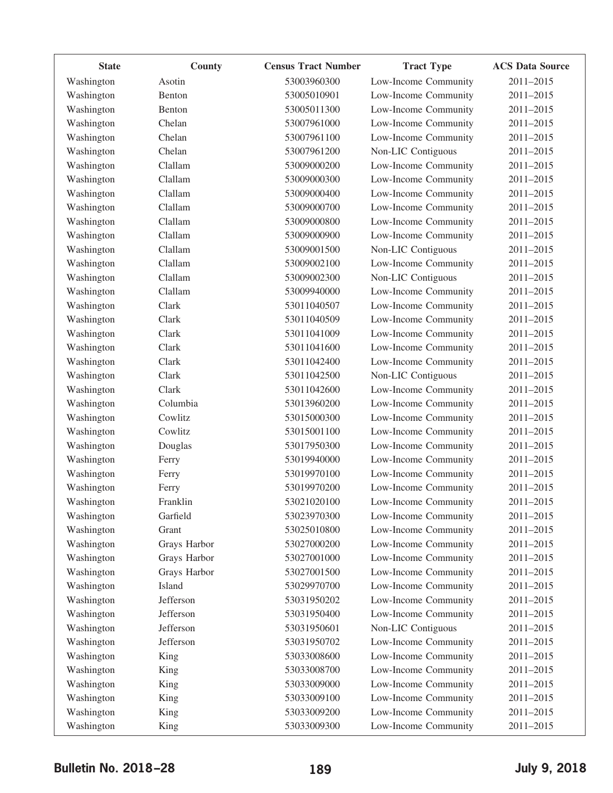| <b>State</b> | County       | <b>Census Tract Number</b> | <b>Tract Type</b>    | <b>ACS Data Source</b> |
|--------------|--------------|----------------------------|----------------------|------------------------|
| Washington   | Asotin       | 53003960300                | Low-Income Community | 2011-2015              |
| Washington   | Benton       | 53005010901                | Low-Income Community | 2011-2015              |
| Washington   | Benton       | 53005011300                | Low-Income Community | 2011-2015              |
| Washington   | Chelan       | 53007961000                | Low-Income Community | 2011-2015              |
| Washington   | Chelan       | 53007961100                | Low-Income Community | 2011-2015              |
| Washington   | Chelan       | 53007961200                | Non-LIC Contiguous   | 2011-2015              |
| Washington   | Clallam      | 53009000200                | Low-Income Community | 2011-2015              |
| Washington   | Clallam      | 53009000300                | Low-Income Community | 2011-2015              |
| Washington   | Clallam      | 53009000400                | Low-Income Community | 2011-2015              |
| Washington   | Clallam      | 53009000700                | Low-Income Community | 2011-2015              |
| Washington   | Clallam      | 53009000800                | Low-Income Community | 2011-2015              |
| Washington   | Clallam      | 53009000900                | Low-Income Community | 2011-2015              |
| Washington   | Clallam      | 53009001500                | Non-LIC Contiguous   | 2011-2015              |
| Washington   | Clallam      | 53009002100                | Low-Income Community | 2011-2015              |
| Washington   | Clallam      | 53009002300                | Non-LIC Contiguous   | 2011-2015              |
| Washington   | Clallam      | 53009940000                | Low-Income Community | 2011-2015              |
| Washington   | Clark        | 53011040507                | Low-Income Community | 2011-2015              |
| Washington   | Clark        | 53011040509                | Low-Income Community | 2011-2015              |
| Washington   | Clark        | 53011041009                | Low-Income Community | 2011-2015              |
| Washington   | Clark        | 53011041600                | Low-Income Community | 2011-2015              |
| Washington   | Clark        | 53011042400                | Low-Income Community | 2011-2015              |
| Washington   | Clark        | 53011042500                | Non-LIC Contiguous   | 2011-2015              |
| Washington   | Clark        | 53011042600                | Low-Income Community | 2011-2015              |
| Washington   | Columbia     | 53013960200                | Low-Income Community | 2011-2015              |
| Washington   | Cowlitz      | 53015000300                | Low-Income Community | 2011-2015              |
| Washington   | Cowlitz      | 53015001100                | Low-Income Community | 2011-2015              |
| Washington   | Douglas      | 53017950300                | Low-Income Community | 2011-2015              |
| Washington   | Ferry        | 53019940000                | Low-Income Community | 2011-2015              |
| Washington   | Ferry        | 53019970100                | Low-Income Community | 2011-2015              |
| Washington   | Ferry        | 53019970200                | Low-Income Community | 2011-2015              |
| Washington   | Franklin     | 53021020100                | Low-Income Community | 2011-2015              |
| Washington   | Garfield     | 53023970300                | Low-Income Community | 2011-2015              |
| Washington   | Grant        | 53025010800                | Low-Income Community | 2011-2015              |
| Washington   | Grays Harbor | 53027000200                | Low-Income Community | 2011-2015              |
| Washington   | Grays Harbor | 53027001000                | Low-Income Community | 2011-2015              |
| Washington   | Grays Harbor | 53027001500                | Low-Income Community | 2011-2015              |
| Washington   | Island       | 53029970700                | Low-Income Community | 2011-2015              |
| Washington   | Jefferson    | 53031950202                | Low-Income Community | 2011-2015              |
| Washington   | Jefferson    | 53031950400                | Low-Income Community | 2011-2015              |
| Washington   | Jefferson    | 53031950601                | Non-LIC Contiguous   | 2011-2015              |
| Washington   | Jefferson    | 53031950702                | Low-Income Community | 2011-2015              |
| Washington   | King         | 53033008600                | Low-Income Community | 2011-2015              |
| Washington   | King         | 53033008700                | Low-Income Community | 2011-2015              |
| Washington   | King         | 53033009000                | Low-Income Community | 2011-2015              |
| Washington   | King         | 53033009100                | Low-Income Community | 2011-2015              |
| Washington   | King         | 53033009200                | Low-Income Community | 2011-2015              |
| Washington   | King         | 53033009300                | Low-Income Community | 2011-2015              |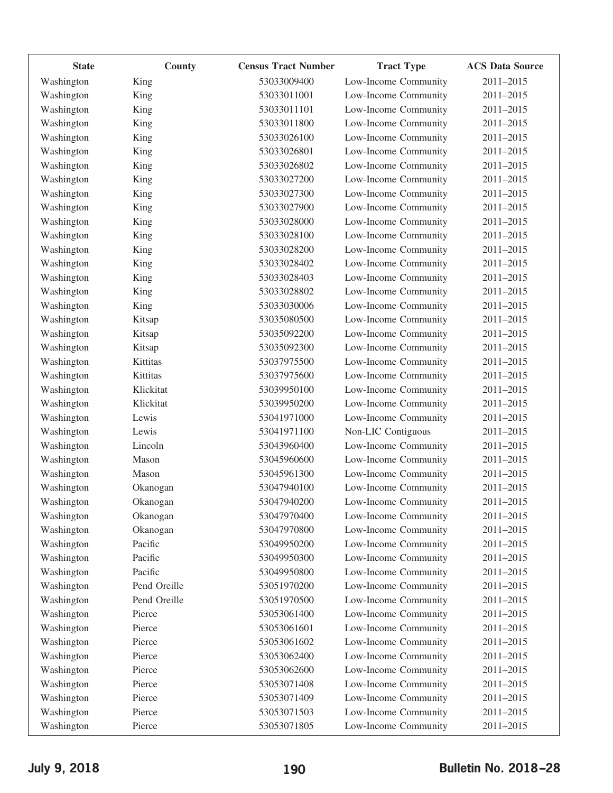| <b>State</b> | <b>County</b> | <b>Census Tract Number</b> | <b>Tract Type</b>    | <b>ACS Data Source</b> |
|--------------|---------------|----------------------------|----------------------|------------------------|
| Washington   | King          | 53033009400                | Low-Income Community | 2011-2015              |
| Washington   | King          | 53033011001                | Low-Income Community | 2011-2015              |
| Washington   | King          | 53033011101                | Low-Income Community | 2011-2015              |
| Washington   | King          | 53033011800                | Low-Income Community | 2011-2015              |
| Washington   | King          | 53033026100                | Low-Income Community | 2011-2015              |
| Washington   | King          | 53033026801                | Low-Income Community | 2011-2015              |
| Washington   | King          | 53033026802                | Low-Income Community | 2011-2015              |
| Washington   | King          | 53033027200                | Low-Income Community | 2011-2015              |
| Washington   | King          | 53033027300                | Low-Income Community | 2011-2015              |
| Washington   | King          | 53033027900                | Low-Income Community | 2011-2015              |
| Washington   | King          | 53033028000                | Low-Income Community | 2011-2015              |
| Washington   | King          | 53033028100                | Low-Income Community | 2011-2015              |
| Washington   | King          | 53033028200                | Low-Income Community | 2011-2015              |
| Washington   | King          | 53033028402                | Low-Income Community | 2011-2015              |
| Washington   | King          | 53033028403                | Low-Income Community | 2011-2015              |
| Washington   | King          | 53033028802                | Low-Income Community | 2011-2015              |
| Washington   | King          | 53033030006                | Low-Income Community | 2011-2015              |
| Washington   | Kitsap        | 53035080500                | Low-Income Community | 2011-2015              |
| Washington   | Kitsap        | 53035092200                | Low-Income Community | 2011-2015              |
| Washington   | Kitsap        | 53035092300                | Low-Income Community | 2011-2015              |
| Washington   | Kittitas      | 53037975500                | Low-Income Community | 2011-2015              |
| Washington   | Kittitas      | 53037975600                | Low-Income Community | 2011-2015              |
| Washington   | Klickitat     | 53039950100                | Low-Income Community | 2011-2015              |
| Washington   | Klickitat     | 53039950200                | Low-Income Community | 2011-2015              |
| Washington   | Lewis         | 53041971000                | Low-Income Community | 2011-2015              |
| Washington   | Lewis         | 53041971100                | Non-LIC Contiguous   | 2011-2015              |
| Washington   | Lincoln       | 53043960400                | Low-Income Community | 2011-2015              |
| Washington   | Mason         | 53045960600                | Low-Income Community | 2011-2015              |
| Washington   | Mason         | 53045961300                | Low-Income Community | 2011-2015              |
| Washington   | Okanogan      | 53047940100                | Low-Income Community | 2011-2015              |
| Washington   | Okanogan      | 53047940200                | Low-Income Community | 2011-2015              |
| Washington   | Okanogan      | 53047970400                | Low-Income Community | 2011-2015              |
| Washington   | Okanogan      | 53047970800                | Low-Income Community | 2011-2015              |
| Washington   | Pacific       | 53049950200                | Low-Income Community | 2011-2015              |
| Washington   | Pacific       | 53049950300                | Low-Income Community | 2011-2015              |
| Washington   | Pacific       | 53049950800                | Low-Income Community | 2011-2015              |
| Washington   | Pend Oreille  | 53051970200                | Low-Income Community | 2011-2015              |
| Washington   | Pend Oreille  | 53051970500                | Low-Income Community | 2011-2015              |
| Washington   | Pierce        | 53053061400                | Low-Income Community | 2011-2015              |
| Washington   | Pierce        | 53053061601                | Low-Income Community | 2011-2015              |
| Washington   | Pierce        | 53053061602                | Low-Income Community | 2011-2015              |
| Washington   | Pierce        | 53053062400                | Low-Income Community | 2011-2015              |
| Washington   | Pierce        | 53053062600                | Low-Income Community | 2011-2015              |
| Washington   | Pierce        | 53053071408                | Low-Income Community | 2011-2015              |
| Washington   | Pierce        | 53053071409                | Low-Income Community | 2011-2015              |
| Washington   | Pierce        | 53053071503                | Low-Income Community | 2011-2015              |
| Washington   | Pierce        | 53053071805                | Low-Income Community | 2011-2015              |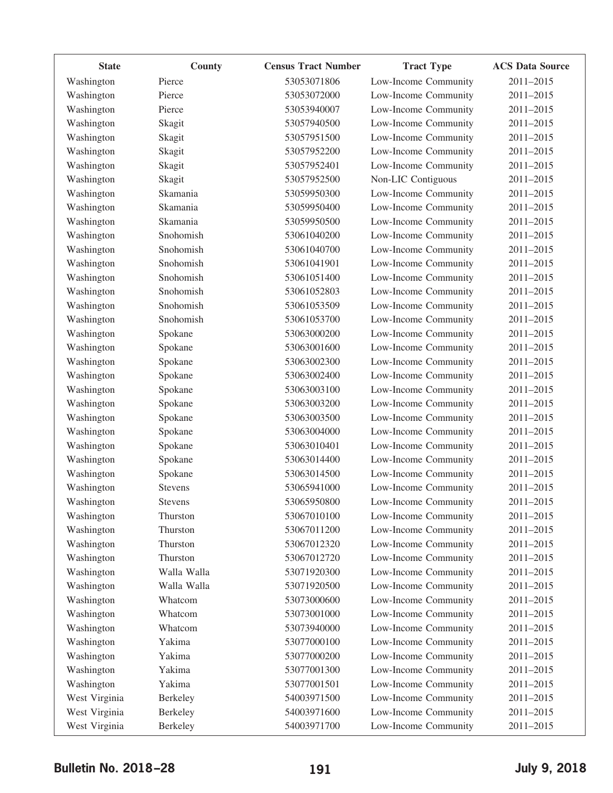| <b>State</b>  | County         | <b>Census Tract Number</b> | <b>Tract Type</b>    | <b>ACS Data Source</b> |
|---------------|----------------|----------------------------|----------------------|------------------------|
| Washington    | Pierce         | 53053071806                | Low-Income Community | 2011-2015              |
| Washington    | Pierce         | 53053072000                | Low-Income Community | 2011-2015              |
| Washington    | Pierce         | 53053940007                | Low-Income Community | 2011-2015              |
| Washington    | Skagit         | 53057940500                | Low-Income Community | 2011-2015              |
| Washington    | Skagit         | 53057951500                | Low-Income Community | 2011-2015              |
| Washington    | Skagit         | 53057952200                | Low-Income Community | 2011-2015              |
| Washington    | Skagit         | 53057952401                | Low-Income Community | 2011-2015              |
| Washington    | Skagit         | 53057952500                | Non-LIC Contiguous   | 2011-2015              |
| Washington    | Skamania       | 53059950300                | Low-Income Community | 2011-2015              |
| Washington    | Skamania       | 53059950400                | Low-Income Community | 2011-2015              |
| Washington    | Skamania       | 53059950500                | Low-Income Community | 2011-2015              |
| Washington    | Snohomish      | 53061040200                | Low-Income Community | 2011-2015              |
| Washington    | Snohomish      | 53061040700                | Low-Income Community | 2011-2015              |
| Washington    | Snohomish      | 53061041901                | Low-Income Community | 2011-2015              |
| Washington    | Snohomish      | 53061051400                | Low-Income Community | 2011-2015              |
| Washington    | Snohomish      | 53061052803                | Low-Income Community | 2011-2015              |
| Washington    | Snohomish      | 53061053509                | Low-Income Community | 2011-2015              |
| Washington    | Snohomish      | 53061053700                | Low-Income Community | 2011-2015              |
| Washington    | Spokane        | 53063000200                | Low-Income Community | 2011-2015              |
| Washington    | Spokane        | 53063001600                | Low-Income Community | 2011-2015              |
| Washington    | Spokane        | 53063002300                | Low-Income Community | 2011-2015              |
| Washington    | Spokane        | 53063002400                | Low-Income Community | 2011-2015              |
| Washington    | Spokane        | 53063003100                | Low-Income Community | 2011-2015              |
| Washington    | Spokane        | 53063003200                | Low-Income Community | 2011-2015              |
| Washington    | Spokane        | 53063003500                | Low-Income Community | 2011-2015              |
| Washington    | Spokane        | 53063004000                | Low-Income Community | 2011-2015              |
| Washington    | Spokane        | 53063010401                | Low-Income Community | 2011-2015              |
| Washington    | Spokane        | 53063014400                | Low-Income Community | 2011-2015              |
| Washington    | Spokane        | 53063014500                | Low-Income Community | 2011-2015              |
| Washington    | <b>Stevens</b> | 53065941000                | Low-Income Community | 2011-2015              |
| Washington    | <b>Stevens</b> | 53065950800                | Low-Income Community | 2011-2015              |
| Washington    | Thurston       | 53067010100                | Low-Income Community | 2011-2015              |
| Washington    | Thurston       | 53067011200                | Low-Income Community | 2011-2015              |
| Washington    | Thurston       | 53067012320                | Low-Income Community | 2011-2015              |
| Washington    | Thurston       | 53067012720                | Low-Income Community | 2011-2015              |
| Washington    | Walla Walla    | 53071920300                | Low-Income Community | 2011-2015              |
| Washington    | Walla Walla    | 53071920500                | Low-Income Community | 2011-2015              |
| Washington    | Whatcom        | 53073000600                | Low-Income Community | 2011-2015              |
| Washington    | Whatcom        | 53073001000                | Low-Income Community | 2011-2015              |
| Washington    | Whatcom        | 53073940000                | Low-Income Community | 2011-2015              |
| Washington    | Yakima         | 53077000100                | Low-Income Community | 2011-2015              |
| Washington    | Yakima         | 53077000200                | Low-Income Community | 2011-2015              |
| Washington    | Yakima         | 53077001300                | Low-Income Community | 2011-2015              |
| Washington    | Yakima         | 53077001501                | Low-Income Community | 2011-2015              |
| West Virginia | Berkeley       | 54003971500                | Low-Income Community | 2011-2015              |
| West Virginia | Berkeley       | 54003971600                | Low-Income Community | 2011-2015              |
| West Virginia | Berkeley       | 54003971700                | Low-Income Community | 2011-2015              |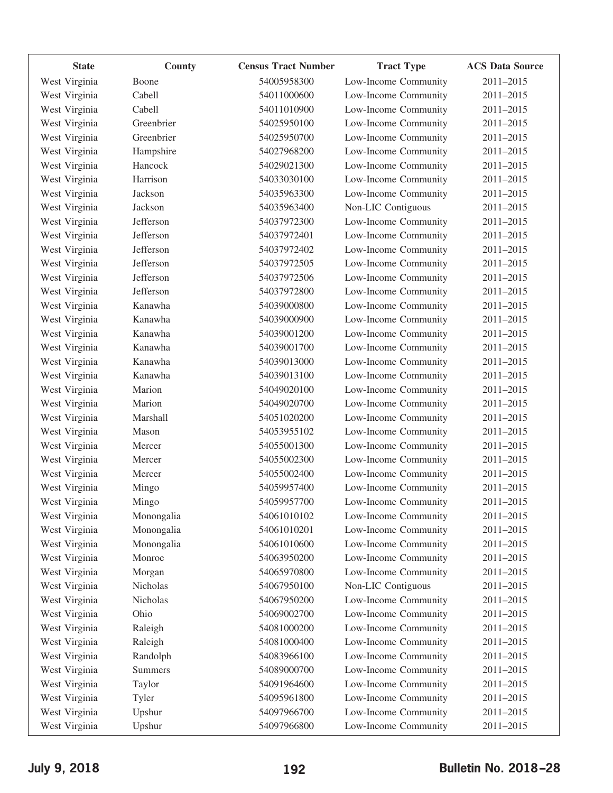| <b>State</b>  | County         | <b>Census Tract Number</b> | <b>Tract Type</b>    | <b>ACS Data Source</b> |
|---------------|----------------|----------------------------|----------------------|------------------------|
| West Virginia | Boone          | 54005958300                | Low-Income Community | 2011-2015              |
| West Virginia | Cabell         | 54011000600                | Low-Income Community | 2011-2015              |
| West Virginia | Cabell         | 54011010900                | Low-Income Community | 2011-2015              |
| West Virginia | Greenbrier     | 54025950100                | Low-Income Community | 2011-2015              |
| West Virginia | Greenbrier     | 54025950700                | Low-Income Community | 2011-2015              |
| West Virginia | Hampshire      | 54027968200                | Low-Income Community | 2011-2015              |
| West Virginia | Hancock        | 54029021300                | Low-Income Community | 2011-2015              |
| West Virginia | Harrison       | 54033030100                | Low-Income Community | 2011-2015              |
| West Virginia | Jackson        | 54035963300                | Low-Income Community | 2011-2015              |
| West Virginia | Jackson        | 54035963400                | Non-LIC Contiguous   | 2011-2015              |
| West Virginia | Jefferson      | 54037972300                | Low-Income Community | 2011-2015              |
| West Virginia | Jefferson      | 54037972401                | Low-Income Community | 2011-2015              |
| West Virginia | Jefferson      | 54037972402                | Low-Income Community | 2011-2015              |
| West Virginia | Jefferson      | 54037972505                | Low-Income Community | 2011-2015              |
| West Virginia | Jefferson      | 54037972506                | Low-Income Community | 2011-2015              |
| West Virginia | Jefferson      | 54037972800                | Low-Income Community | 2011-2015              |
| West Virginia | Kanawha        | 54039000800                | Low-Income Community | 2011-2015              |
| West Virginia | Kanawha        | 54039000900                | Low-Income Community | 2011-2015              |
| West Virginia | Kanawha        | 54039001200                | Low-Income Community | 2011-2015              |
| West Virginia | Kanawha        | 54039001700                | Low-Income Community | 2011-2015              |
| West Virginia | Kanawha        | 54039013000                | Low-Income Community | 2011-2015              |
| West Virginia | Kanawha        | 54039013100                | Low-Income Community | 2011-2015              |
| West Virginia | Marion         | 54049020100                | Low-Income Community | 2011-2015              |
| West Virginia | Marion         | 54049020700                | Low-Income Community | 2011-2015              |
| West Virginia | Marshall       | 54051020200                | Low-Income Community | 2011-2015              |
| West Virginia | Mason          | 54053955102                | Low-Income Community | 2011-2015              |
| West Virginia | Mercer         | 54055001300                | Low-Income Community | 2011-2015              |
| West Virginia | Mercer         | 54055002300                | Low-Income Community | 2011-2015              |
| West Virginia | Mercer         | 54055002400                | Low-Income Community | 2011-2015              |
| West Virginia | Mingo          | 54059957400                | Low-Income Community | 2011-2015              |
| West Virginia | Mingo          | 54059957700                | Low-Income Community | 2011-2015              |
| West Virginia | Monongalia     | 54061010102                | Low-Income Community | 2011-2015              |
| West Virginia | Monongalia     | 54061010201                | Low-Income Community | 2011-2015              |
| West Virginia | Monongalia     | 54061010600                | Low-Income Community | 2011-2015              |
| West Virginia | Monroe         | 54063950200                | Low-Income Community | 2011-2015              |
| West Virginia | Morgan         | 54065970800                | Low-Income Community | 2011-2015              |
| West Virginia | Nicholas       | 54067950100                | Non-LIC Contiguous   | 2011-2015              |
| West Virginia | Nicholas       | 54067950200                | Low-Income Community | 2011-2015              |
| West Virginia | Ohio           | 54069002700                | Low-Income Community | 2011-2015              |
| West Virginia | Raleigh        | 54081000200                | Low-Income Community | 2011-2015              |
| West Virginia | Raleigh        | 54081000400                | Low-Income Community | 2011-2015              |
| West Virginia | Randolph       | 54083966100                | Low-Income Community | 2011-2015              |
| West Virginia | <b>Summers</b> | 54089000700                | Low-Income Community | 2011-2015              |
| West Virginia | Taylor         | 54091964600                | Low-Income Community | 2011-2015              |
| West Virginia | Tyler          | 54095961800                | Low-Income Community | 2011-2015              |
| West Virginia | Upshur         | 54097966700                | Low-Income Community | 2011-2015              |
| West Virginia | Upshur         | 54097966800                | Low-Income Community | 2011-2015              |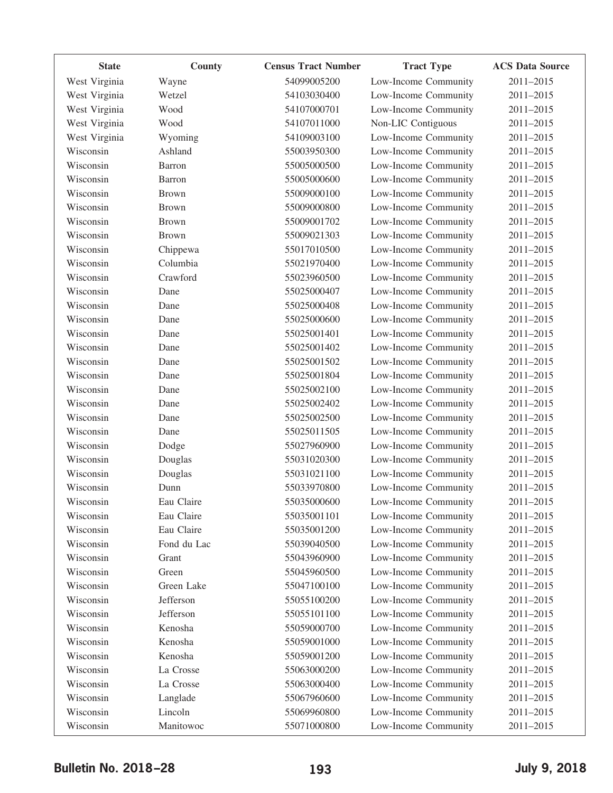| <b>State</b>  | County       | <b>Census Tract Number</b> | <b>Tract Type</b>    | <b>ACS Data Source</b> |
|---------------|--------------|----------------------------|----------------------|------------------------|
| West Virginia | Wayne        | 54099005200                | Low-Income Community | 2011-2015              |
| West Virginia | Wetzel       | 54103030400                | Low-Income Community | 2011-2015              |
| West Virginia | Wood         | 54107000701                | Low-Income Community | 2011-2015              |
| West Virginia | Wood         | 54107011000                | Non-LIC Contiguous   | 2011-2015              |
| West Virginia | Wyoming      | 54109003100                | Low-Income Community | 2011-2015              |
| Wisconsin     | Ashland      | 55003950300                | Low-Income Community | 2011-2015              |
| Wisconsin     | Barron       | 55005000500                | Low-Income Community | 2011-2015              |
| Wisconsin     | Barron       | 55005000600                | Low-Income Community | 2011-2015              |
| Wisconsin     | <b>Brown</b> | 55009000100                | Low-Income Community | 2011-2015              |
| Wisconsin     | <b>Brown</b> | 55009000800                | Low-Income Community | 2011-2015              |
| Wisconsin     | <b>Brown</b> | 55009001702                | Low-Income Community | 2011-2015              |
| Wisconsin     | <b>Brown</b> | 55009021303                | Low-Income Community | 2011-2015              |
| Wisconsin     | Chippewa     | 55017010500                | Low-Income Community | 2011-2015              |
| Wisconsin     | Columbia     | 55021970400                | Low-Income Community | 2011-2015              |
| Wisconsin     | Crawford     | 55023960500                | Low-Income Community | 2011-2015              |
| Wisconsin     | Dane         | 55025000407                | Low-Income Community | 2011-2015              |
| Wisconsin     | Dane         | 55025000408                | Low-Income Community | 2011-2015              |
| Wisconsin     | Dane         | 55025000600                | Low-Income Community | 2011-2015              |
| Wisconsin     | Dane         | 55025001401                | Low-Income Community | 2011-2015              |
| Wisconsin     | Dane         | 55025001402                | Low-Income Community | 2011-2015              |
| Wisconsin     | Dane         | 55025001502                | Low-Income Community | 2011-2015              |
| Wisconsin     | Dane         | 55025001804                | Low-Income Community | 2011-2015              |
| Wisconsin     | Dane         | 55025002100                | Low-Income Community | 2011-2015              |
| Wisconsin     | Dane         | 55025002402                | Low-Income Community | 2011-2015              |
| Wisconsin     | Dane         | 55025002500                | Low-Income Community | 2011-2015              |
| Wisconsin     | Dane         | 55025011505                | Low-Income Community | 2011-2015              |
| Wisconsin     | Dodge        | 55027960900                | Low-Income Community | 2011-2015              |
| Wisconsin     | Douglas      | 55031020300                | Low-Income Community | 2011-2015              |
| Wisconsin     | Douglas      | 55031021100                | Low-Income Community | 2011-2015              |
| Wisconsin     | Dunn         | 55033970800                | Low-Income Community | 2011-2015              |
| Wisconsin     | Eau Claire   | 55035000600                | Low-Income Community | 2011-2015              |
| Wisconsin     | Eau Claire   | 55035001101                | Low-Income Community | 2011-2015              |
| Wisconsin     | Eau Claire   | 55035001200                | Low-Income Community | 2011-2015              |
| Wisconsin     | Fond du Lac  | 55039040500                | Low-Income Community | 2011-2015              |
| Wisconsin     | Grant        | 55043960900                | Low-Income Community | 2011-2015              |
| Wisconsin     | Green        | 55045960500                | Low-Income Community | 2011-2015              |
| Wisconsin     | Green Lake   | 55047100100                | Low-Income Community | 2011-2015              |
| Wisconsin     | Jefferson    | 55055100200                | Low-Income Community | 2011-2015              |
| Wisconsin     | Jefferson    | 55055101100                | Low-Income Community | 2011-2015              |
| Wisconsin     | Kenosha      | 55059000700                | Low-Income Community | 2011-2015              |
| Wisconsin     | Kenosha      | 55059001000                | Low-Income Community | 2011-2015              |
| Wisconsin     | Kenosha      | 55059001200                | Low-Income Community | 2011-2015              |
| Wisconsin     | La Crosse    | 55063000200                | Low-Income Community | 2011-2015              |
| Wisconsin     | La Crosse    | 55063000400                | Low-Income Community | 2011-2015              |
| Wisconsin     | Langlade     | 55067960600                | Low-Income Community | 2011-2015              |
| Wisconsin     | Lincoln      | 55069960800                | Low-Income Community | 2011-2015              |
| Wisconsin     | Manitowoc    | 55071000800                | Low-Income Community | $2011 - 2015$          |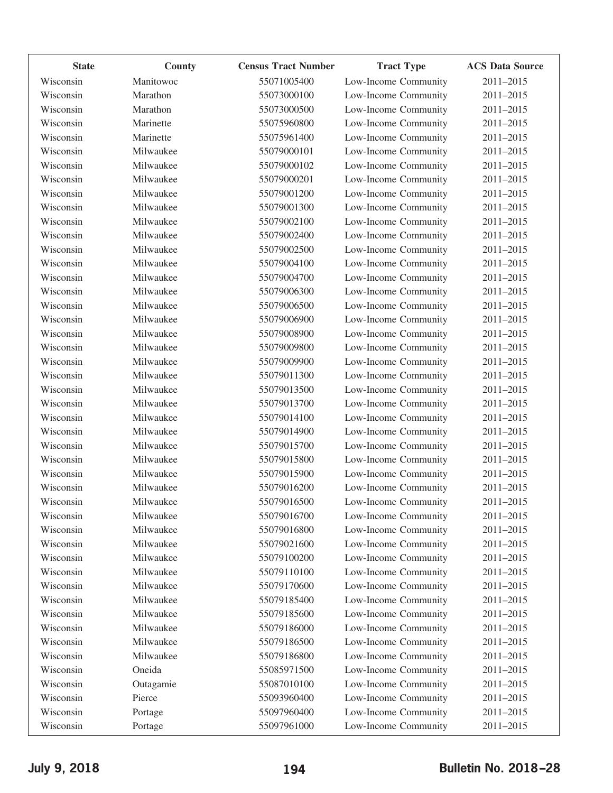| <b>State</b> | County    | <b>Census Tract Number</b> | <b>Tract Type</b>    | <b>ACS Data Source</b> |
|--------------|-----------|----------------------------|----------------------|------------------------|
| Wisconsin    | Manitowoc | 55071005400                | Low-Income Community | 2011-2015              |
| Wisconsin    | Marathon  | 55073000100                | Low-Income Community | 2011-2015              |
| Wisconsin    | Marathon  | 55073000500                | Low-Income Community | 2011-2015              |
| Wisconsin    | Marinette | 55075960800                | Low-Income Community | 2011-2015              |
| Wisconsin    | Marinette | 55075961400                | Low-Income Community | 2011-2015              |
| Wisconsin    | Milwaukee | 55079000101                | Low-Income Community | 2011-2015              |
| Wisconsin    | Milwaukee | 55079000102                | Low-Income Community | 2011-2015              |
| Wisconsin    | Milwaukee | 55079000201                | Low-Income Community | 2011-2015              |
| Wisconsin    | Milwaukee | 55079001200                | Low-Income Community | 2011-2015              |
| Wisconsin    | Milwaukee | 55079001300                | Low-Income Community | 2011-2015              |
| Wisconsin    | Milwaukee | 55079002100                | Low-Income Community | 2011-2015              |
| Wisconsin    | Milwaukee | 55079002400                | Low-Income Community | 2011-2015              |
| Wisconsin    | Milwaukee | 55079002500                | Low-Income Community | 2011-2015              |
| Wisconsin    | Milwaukee | 55079004100                | Low-Income Community | 2011-2015              |
| Wisconsin    | Milwaukee | 55079004700                | Low-Income Community | 2011-2015              |
| Wisconsin    | Milwaukee | 55079006300                | Low-Income Community | 2011-2015              |
| Wisconsin    | Milwaukee | 55079006500                | Low-Income Community | 2011-2015              |
| Wisconsin    | Milwaukee | 55079006900                | Low-Income Community | 2011-2015              |
| Wisconsin    | Milwaukee | 55079008900                | Low-Income Community | 2011-2015              |
| Wisconsin    | Milwaukee | 55079009800                | Low-Income Community | 2011-2015              |
| Wisconsin    | Milwaukee | 55079009900                | Low-Income Community | 2011-2015              |
| Wisconsin    | Milwaukee | 55079011300                | Low-Income Community | 2011-2015              |
| Wisconsin    | Milwaukee | 55079013500                | Low-Income Community | 2011-2015              |
| Wisconsin    | Milwaukee | 55079013700                | Low-Income Community | 2011-2015              |
| Wisconsin    | Milwaukee | 55079014100                | Low-Income Community | 2011-2015              |
| Wisconsin    | Milwaukee | 55079014900                | Low-Income Community | 2011-2015              |
| Wisconsin    | Milwaukee | 55079015700                | Low-Income Community | 2011-2015              |
| Wisconsin    | Milwaukee | 55079015800                | Low-Income Community | 2011-2015              |
| Wisconsin    | Milwaukee | 55079015900                | Low-Income Community | 2011-2015              |
| Wisconsin    | Milwaukee | 55079016200                | Low-Income Community | 2011-2015              |
| Wisconsin    | Milwaukee | 55079016500                | Low-Income Community | 2011-2015              |
| Wisconsin    | Milwaukee | 55079016700                | Low-Income Community | 2011-2015              |
| Wisconsin    | Milwaukee | 55079016800                | Low-Income Community | 2011-2015              |
| Wisconsin    | Milwaukee | 55079021600                | Low-Income Community | 2011-2015              |
| Wisconsin    | Milwaukee | 55079100200                | Low-Income Community | 2011-2015              |
| Wisconsin    | Milwaukee | 55079110100                | Low-Income Community | 2011-2015              |
| Wisconsin    | Milwaukee | 55079170600                | Low-Income Community | 2011-2015              |
| Wisconsin    | Milwaukee | 55079185400                | Low-Income Community | 2011-2015              |
| Wisconsin    | Milwaukee | 55079185600                | Low-Income Community | 2011-2015              |
| Wisconsin    | Milwaukee | 55079186000                | Low-Income Community | 2011-2015              |
| Wisconsin    | Milwaukee | 55079186500                | Low-Income Community | 2011-2015              |
| Wisconsin    | Milwaukee | 55079186800                | Low-Income Community | 2011-2015              |
| Wisconsin    | Oneida    | 55085971500                | Low-Income Community | 2011-2015              |
| Wisconsin    | Outagamie | 55087010100                | Low-Income Community | 2011-2015              |
| Wisconsin    | Pierce    | 55093960400                | Low-Income Community | 2011-2015              |
| Wisconsin    | Portage   | 55097960400                | Low-Income Community | 2011-2015              |
| Wisconsin    | Portage   | 55097961000                | Low-Income Community | 2011-2015              |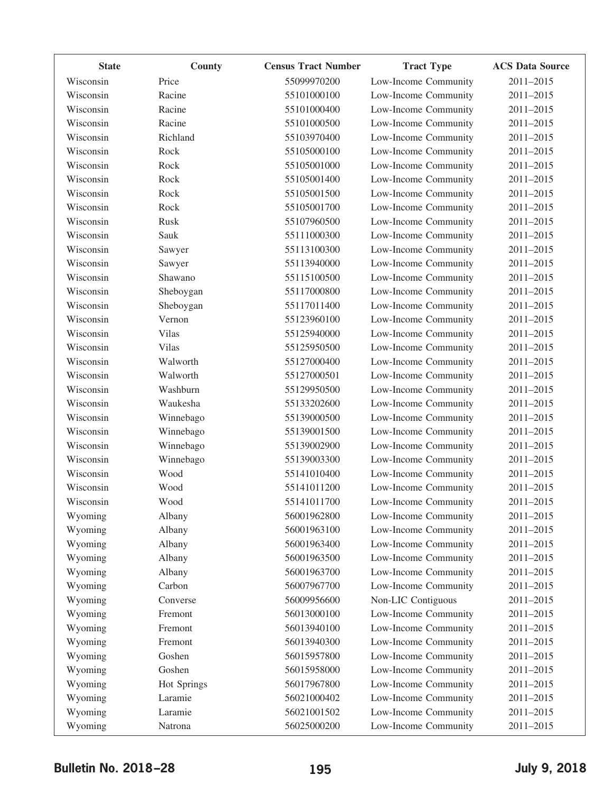| <b>State</b> | County       | <b>Census Tract Number</b> | <b>Tract Type</b>    | <b>ACS Data Source</b> |
|--------------|--------------|----------------------------|----------------------|------------------------|
| Wisconsin    | Price        | 55099970200                | Low-Income Community | 2011-2015              |
| Wisconsin    | Racine       | 55101000100                | Low-Income Community | 2011-2015              |
| Wisconsin    | Racine       | 55101000400                | Low-Income Community | 2011-2015              |
| Wisconsin    | Racine       | 55101000500                | Low-Income Community | 2011-2015              |
| Wisconsin    | Richland     | 55103970400                | Low-Income Community | 2011-2015              |
| Wisconsin    | Rock         | 55105000100                | Low-Income Community | 2011-2015              |
| Wisconsin    | Rock         | 55105001000                | Low-Income Community | 2011-2015              |
| Wisconsin    | Rock         | 55105001400                | Low-Income Community | 2011-2015              |
| Wisconsin    | Rock         | 55105001500                | Low-Income Community | 2011-2015              |
| Wisconsin    | Rock         | 55105001700                | Low-Income Community | 2011-2015              |
| Wisconsin    | Rusk         | 55107960500                | Low-Income Community | 2011-2015              |
| Wisconsin    | Sauk         | 55111000300                | Low-Income Community | 2011-2015              |
| Wisconsin    | Sawyer       | 55113100300                | Low-Income Community | 2011-2015              |
| Wisconsin    | Sawyer       | 55113940000                | Low-Income Community | 2011-2015              |
| Wisconsin    | Shawano      | 55115100500                | Low-Income Community | 2011-2015              |
| Wisconsin    | Sheboygan    | 55117000800                | Low-Income Community | 2011-2015              |
| Wisconsin    | Sheboygan    | 55117011400                | Low-Income Community | 2011-2015              |
| Wisconsin    | Vernon       | 55123960100                | Low-Income Community | 2011-2015              |
| Wisconsin    | Vilas        | 55125940000                | Low-Income Community | 2011-2015              |
| Wisconsin    | <b>Vilas</b> | 55125950500                | Low-Income Community | 2011-2015              |
| Wisconsin    | Walworth     | 55127000400                | Low-Income Community | 2011-2015              |
| Wisconsin    | Walworth     | 55127000501                | Low-Income Community | 2011-2015              |
| Wisconsin    | Washburn     | 55129950500                | Low-Income Community | 2011-2015              |
| Wisconsin    | Waukesha     | 55133202600                | Low-Income Community | 2011-2015              |
| Wisconsin    | Winnebago    | 55139000500                | Low-Income Community | 2011-2015              |
| Wisconsin    | Winnebago    | 55139001500                | Low-Income Community | 2011-2015              |
| Wisconsin    | Winnebago    | 55139002900                | Low-Income Community | 2011-2015              |
| Wisconsin    | Winnebago    | 55139003300                | Low-Income Community | 2011-2015              |
| Wisconsin    | Wood         | 55141010400                | Low-Income Community | 2011-2015              |
| Wisconsin    | Wood         | 55141011200                | Low-Income Community | 2011-2015              |
| Wisconsin    | Wood         | 55141011700                | Low-Income Community | 2011-2015              |
| Wyoming      | Albany       | 56001962800                | Low-Income Community | 2011-2015              |
| Wyoming      | Albany       | 56001963100                | Low-Income Community | 2011-2015              |
| Wyoming      | Albany       | 56001963400                | Low-Income Community | 2011-2015              |
| Wyoming      | Albany       | 56001963500                | Low-Income Community | 2011-2015              |
| Wyoming      | Albany       | 56001963700                | Low-Income Community | 2011-2015              |
| Wyoming      | Carbon       | 56007967700                | Low-Income Community | 2011-2015              |
| Wyoming      | Converse     | 56009956600                | Non-LIC Contiguous   | 2011-2015              |
| Wyoming      | Fremont      | 56013000100                | Low-Income Community | 2011-2015              |
| Wyoming      | Fremont      | 56013940100                | Low-Income Community | 2011-2015              |
| Wyoming      | Fremont      | 56013940300                | Low-Income Community | 2011-2015              |
| Wyoming      | Goshen       | 56015957800                | Low-Income Community | 2011-2015              |
| Wyoming      | Goshen       | 56015958000                | Low-Income Community | 2011-2015              |
| Wyoming      | Hot Springs  | 56017967800                | Low-Income Community | 2011-2015              |
| Wyoming      | Laramie      | 56021000402                | Low-Income Community | 2011-2015              |
| Wyoming      | Laramie      | 56021001502                | Low-Income Community | 2011-2015              |
| Wyoming      | Natrona      | 56025000200                | Low-Income Community | 2011-2015              |